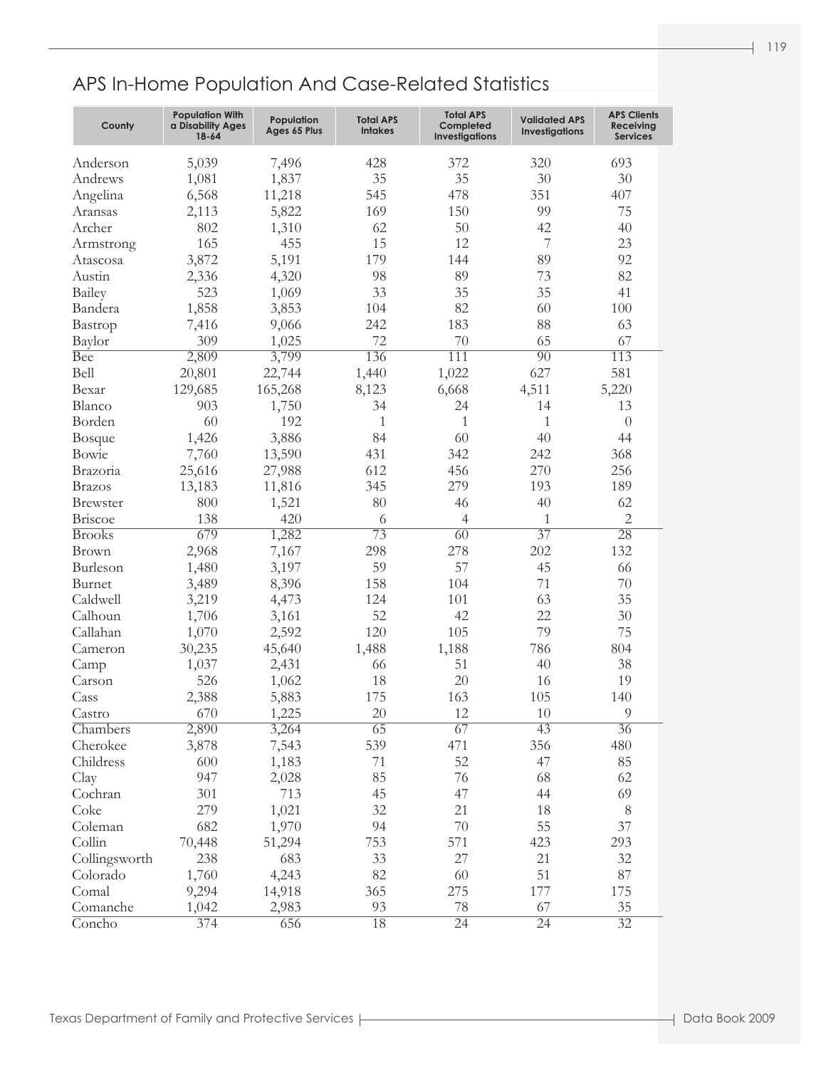| County          | <b>Population With</b><br>a Disability Ages<br>18-64 | Population<br>Ages 65 Plus | <b>Total APS</b><br><b>Intakes</b> | <b>Total APS</b><br>Completed<br><b>Investigations</b> | <b>Validated APS</b><br><b>Investigations</b> | <b>APS Clients</b><br>Receiving<br><b>Services</b> |
|-----------------|------------------------------------------------------|----------------------------|------------------------------------|--------------------------------------------------------|-----------------------------------------------|----------------------------------------------------|
| Anderson        | 5,039                                                | 7,496                      | 428                                | 372                                                    | 320                                           | 693                                                |
| Andrews         | 1,081                                                | 1,837                      | 35                                 | 35                                                     | 30                                            | 30                                                 |
| Angelina        | 6,568                                                | 11,218                     | 545                                | 478                                                    | 351                                           | 407                                                |
| Aransas         | 2,113                                                | 5,822                      | 169                                | 150                                                    | 99                                            | 75                                                 |
| Archer          | 802                                                  | 1,310                      | 62                                 | 50                                                     | 42                                            | 40                                                 |
| Armstrong       | 165                                                  | 455                        | 15                                 | 12                                                     | 7                                             | 23                                                 |
| Atascosa        | 3,872                                                | 5,191                      | 179                                | 144                                                    | 89                                            | 92                                                 |
| Austin          | 2,336                                                | 4,320                      | 98                                 | 89                                                     | 73                                            | 82                                                 |
| Bailey          | 523                                                  | 1,069                      | 33                                 | 35                                                     | 35                                            | 41                                                 |
| Bandera         | 1,858                                                | 3,853                      | 104                                | 82                                                     | 60                                            | 100                                                |
| Bastrop         | 7,416                                                | 9,066                      | 242                                | 183                                                    | 88                                            | 63                                                 |
| Baylor          | 309                                                  | 1,025                      | 72                                 | 70                                                     | 65                                            | 67                                                 |
| <b>Bee</b>      | 2,809                                                | 3,799                      | 136                                | $\overline{111}$                                       | $\overline{90}$                               | 113                                                |
| Bell            | 20,801                                               | 22,744                     | 1,440                              | 1,022                                                  | 627                                           | 581                                                |
| Bexar           | 129,685                                              | 165,268                    | 8,123                              | 6,668                                                  | 4,511                                         | 5,220                                              |
| Blanco          | 903                                                  | 1,750                      | 34                                 | 24                                                     | 14                                            | 13                                                 |
| Borden          | 60                                                   | 192                        | 1                                  | $\mathbf{1}$                                           | $\mathbf{1}$                                  | $\theta$                                           |
| Bosque          | 1,426                                                | 3,886                      | 84                                 | 60                                                     | 40                                            | 44                                                 |
| Bowie           | 7,760                                                | 13,590                     | 431                                | 342                                                    | 242                                           | 368                                                |
| Brazoria        | 25,616                                               | 27,988                     | 612                                | 456                                                    | 270                                           | 256                                                |
| <b>Brazos</b>   | 13,183                                               | 11,816                     | 345                                | 279                                                    | 193                                           | 189                                                |
| <b>Brewster</b> | 800                                                  | 1,521                      | 80                                 | 46                                                     | 40                                            | 62                                                 |
| <b>Briscoe</b>  | 138                                                  | 420                        | 6                                  | $\overline{4}$                                         | $\mathbf{1}$                                  | $\overline{2}$                                     |
| <b>Brooks</b>   | 679                                                  | 1,282                      | $\overline{73}$                    | $\overline{60}$                                        | $\overline{37}$                               | $\overline{28}$                                    |
| <b>Brown</b>    | 2,968                                                | 7,167                      | 298                                | 278                                                    | 202                                           | 132                                                |
| Burleson        | 1,480                                                | 3,197                      | 59                                 | 57                                                     | 45                                            | 66                                                 |
| Burnet          | 3,489                                                | 8,396                      | 158                                | 104                                                    | 71                                            | 70                                                 |
| Caldwell        | 3,219                                                | 4,473                      | 124                                | 101                                                    | 63                                            | 35                                                 |
| Calhoun         | 1,706                                                | 3,161                      | 52                                 | 42                                                     | 22                                            | $30\,$                                             |
| Callahan        | 1,070                                                | 2,592                      | 120                                | 105                                                    | 79                                            | 75                                                 |
| Cameron         | 30,235                                               | 45,640                     | 1,488                              | 1,188                                                  | 786                                           | 804                                                |
| Camp            | 1,037                                                | 2,431                      | 66                                 | 51                                                     | 40                                            | 38                                                 |
| Carson          | 526                                                  | 1,062                      | 18                                 | 20                                                     | 16                                            | 19                                                 |
| Cass            | 2,388                                                | 5,883                      | 175                                | 163                                                    | 105                                           | 140                                                |
| Castro          | 670                                                  | 1,225                      | $20\,$                             | 12                                                     | $10\,$                                        | $\overline{9}$                                     |
| Chambers        | 2,890                                                | 3,264                      | 65                                 | 67                                                     | 43                                            | $\overline{36}$                                    |
| Cherokee        | 3,878                                                | 7,543                      | 539                                | 471                                                    | 356                                           | 480                                                |
| Childress       | 600                                                  | 1,183                      | $71\,$                             | 52                                                     | 47                                            | 85                                                 |
| Clay            | 947                                                  | 2,028                      | 85                                 | 76                                                     | 68                                            | 62                                                 |
| Cochran         | 301                                                  | 713                        | 45                                 | 47                                                     | 44                                            | 69                                                 |
| Coke            | 279                                                  | 1,021                      | 32                                 | 21                                                     | 18                                            | 8                                                  |
| Coleman         | 682                                                  | 1,970                      | 94                                 | 70                                                     | 55                                            | 37                                                 |
| Collin          | 70,448                                               | 51,294                     | 753                                | 571                                                    | 423                                           | 293                                                |
| Collingsworth   | 238                                                  | 683                        | 33                                 | 27                                                     | 21                                            | 32                                                 |
| Colorado        | 1,760                                                | 4,243                      | 82                                 | 60                                                     | 51                                            | 87                                                 |
| Comal           | 9,294                                                | 14,918                     | 365                                | 275                                                    | 177                                           | 175                                                |
| Comanche        | 1,042                                                | 2,983                      | 93                                 | 78                                                     | 67                                            | 35                                                 |
| Concho          | 374                                                  | 656                        | 18                                 | $\overline{24}$                                        | $\overline{24}$                               | $\overline{32}$                                    |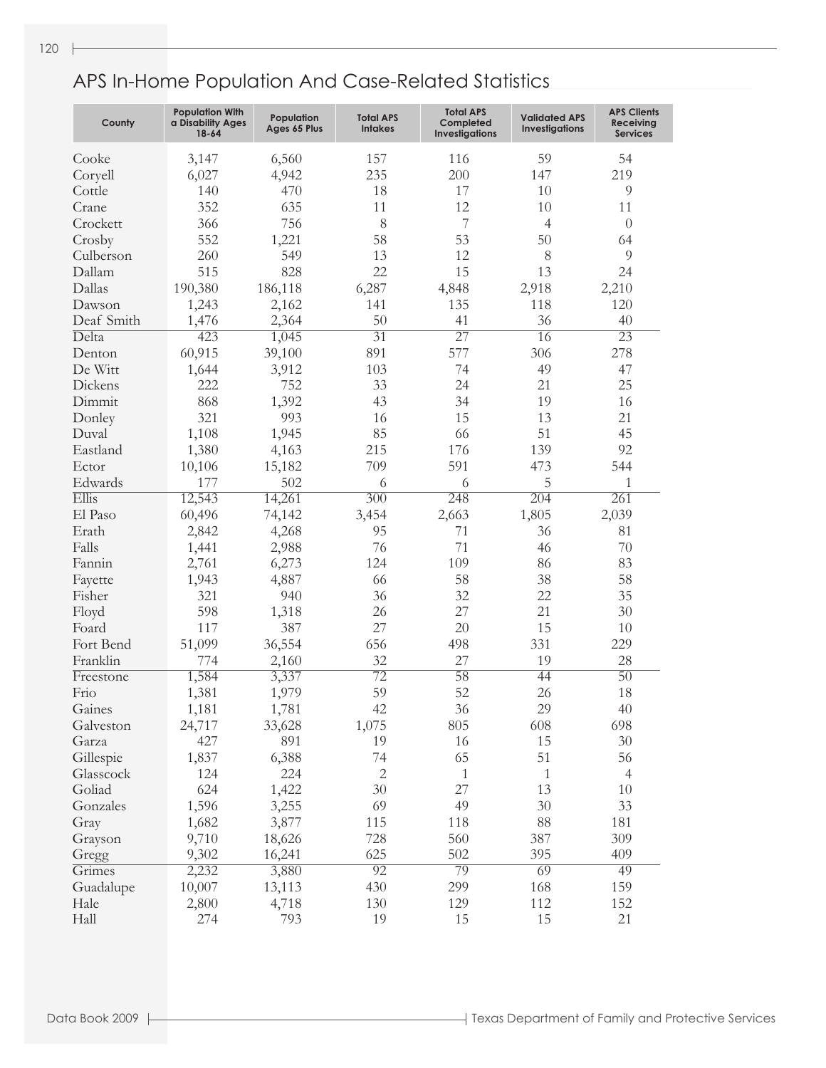| County     | <b>Population With</b><br>a Disability Ages<br>$18 - 64$ | Population<br>Ages 65 Plus | <b>Total APS</b><br><b>Intakes</b> | <b>Total APS</b><br>Completed<br><b>Investigations</b> | <b>Validated APS</b><br><b>Investigations</b> | <b>APS Clients</b><br><b>Receiving</b><br><b>Services</b> |
|------------|----------------------------------------------------------|----------------------------|------------------------------------|--------------------------------------------------------|-----------------------------------------------|-----------------------------------------------------------|
| Cooke      | 3,147                                                    | 6,560                      | 157                                | 116                                                    | 59                                            | 54                                                        |
| Coryell    | 6,027                                                    | 4,942                      | 235                                | 200                                                    | 147                                           | 219                                                       |
| Cottle     | 140                                                      | 470                        | 18                                 | 17                                                     | 10                                            | 9                                                         |
| Crane      | 352                                                      | 635                        | 11                                 | 12                                                     | 10                                            | 11                                                        |
| Crockett   | 366                                                      | 756                        | 8                                  | 7                                                      | $\overline{4}$                                | $\theta$                                                  |
| Crosby     | 552                                                      | 1,221                      | 58                                 | 53                                                     | 50                                            | 64                                                        |
| Culberson  | 260                                                      | 549                        | 13                                 | 12                                                     | 8                                             | 9                                                         |
| Dallam     | 515                                                      | 828                        | 22                                 | 15                                                     | 13                                            | 24                                                        |
| Dallas     | 190,380                                                  | 186,118                    | 6,287                              | 4,848                                                  | 2,918                                         | 2,210                                                     |
| Dawson     | 1,243                                                    | 2,162                      | 141                                | 135                                                    | 118                                           | 120                                                       |
| Deaf Smith | 1,476                                                    | 2,364                      | 50                                 | 41                                                     | 36                                            | 40                                                        |
| Delta      | 423                                                      | 1,045                      | $\overline{31}$                    | $\overline{27}$                                        | 16                                            | $\overline{23}$                                           |
| Denton     | 60,915                                                   | 39,100                     | 891                                | 577                                                    | 306                                           | 278                                                       |
| De Witt    | 1,644                                                    | 3,912                      | 103                                | 74                                                     | 49                                            | 47                                                        |
| Dickens    | 222                                                      | 752                        | 33                                 | 24                                                     | 21                                            | 25                                                        |
| Dimmit     | 868                                                      | 1,392                      | 43                                 | 34                                                     | 19                                            | 16                                                        |
| Donley     | 321                                                      | 993                        | 16                                 | 15                                                     | 13                                            | 21                                                        |
| Duval      | 1,108                                                    | 1,945                      | 85                                 | 66                                                     | 51                                            | 45                                                        |
| Eastland   | 1,380                                                    | 4,163                      | 215                                | 176                                                    | 139                                           | 92                                                        |
| Ector      | 10,106                                                   | 15,182                     | 709                                | 591                                                    | 473                                           | 544                                                       |
| Edwards    | 177                                                      | 502                        | 6                                  | 6                                                      | 5                                             | $\mathbf{1}$                                              |
| Ellis      | 12,543                                                   | 14,261                     | $\overline{300}$                   | 248                                                    | $\overline{204}$                              | 261                                                       |
| El Paso    | 60,496                                                   | 74,142                     | 3,454                              | 2,663                                                  | 1,805                                         | 2,039                                                     |
| Erath      | 2,842                                                    | 4,268                      | 95                                 | 71                                                     | 36                                            | 81                                                        |
| Falls      | 1,441                                                    | 2,988                      | 76                                 | 71                                                     | 46                                            | 70                                                        |
| Fannin     | 2,761                                                    | 6,273                      | 124                                | 109                                                    | 86                                            | 83                                                        |
| Fayette    | 1,943                                                    | 4,887                      | 66                                 | 58                                                     | 38                                            | 58                                                        |
| Fisher     | 321                                                      | 940                        | 36                                 | 32                                                     | 22                                            | 35                                                        |
| Floyd      | 598                                                      | 1,318                      | 26                                 | 27                                                     | 21                                            | 30                                                        |
| Foard      | 117                                                      | 387                        | 27                                 | 20                                                     | 15                                            | 10                                                        |
| Fort Bend  | 51,099                                                   | 36,554                     | 656                                | 498                                                    | 331                                           | 229                                                       |
| Franklin   | 774                                                      | 2,160                      | 32                                 | 27                                                     | 19                                            | 28                                                        |
| Freestone  | 1,584                                                    | 3,337                      | $\overline{72}$                    | 58                                                     | 44                                            | $\overline{50}$                                           |
| Frio       | 1,381                                                    | 1,979                      | 59                                 | 52                                                     | 26                                            | 18                                                        |
| Gaines     | 1,181                                                    | 1,781                      | 42                                 | 36                                                     | 29                                            | $40\,$                                                    |
| Galveston  | 24,717                                                   | 33,628                     | 1,075                              | 805                                                    | 608                                           | 698                                                       |
| Garza      | 427                                                      | 891                        | 19                                 | 16                                                     | 15                                            | 30                                                        |
| Gillespie  | 1,837                                                    | 6,388                      | 74                                 | 65                                                     | 51                                            | 56                                                        |
| Glasscock  | 124                                                      | 224                        | $\mathbf{2}$                       | $\mathbf{1}$                                           | $\mathbf{1}$                                  | $\overline{4}$                                            |
| Goliad     | 624                                                      | 1,422                      | 30                                 | 27                                                     | 13                                            | 10                                                        |
| Gonzales   | 1,596                                                    | 3,255                      | 69                                 | 49                                                     | 30                                            | 33                                                        |
| Gray       | 1,682                                                    | 3,877                      | 115                                | 118                                                    | 88                                            | 181                                                       |
| Grayson    | 9,710                                                    | 18,626                     | 728                                | 560                                                    | 387                                           | 309                                                       |
| Gregg      | 9,302                                                    | 16,241                     | 625                                | 502                                                    | 395                                           | 409                                                       |
| Grimes     | 2,232                                                    | 3,880                      | $\overline{92}$                    | 79                                                     | 69                                            | 49                                                        |
| Guadalupe  | 10,007                                                   | 13,113                     | 430                                | 299                                                    | 168                                           | 159                                                       |
| Hale       | 2,800                                                    | 4,718                      | 130                                | 129                                                    | 112                                           | 152                                                       |
| Hall       | 274                                                      | 793                        | 19                                 | 15                                                     | 15                                            | 21                                                        |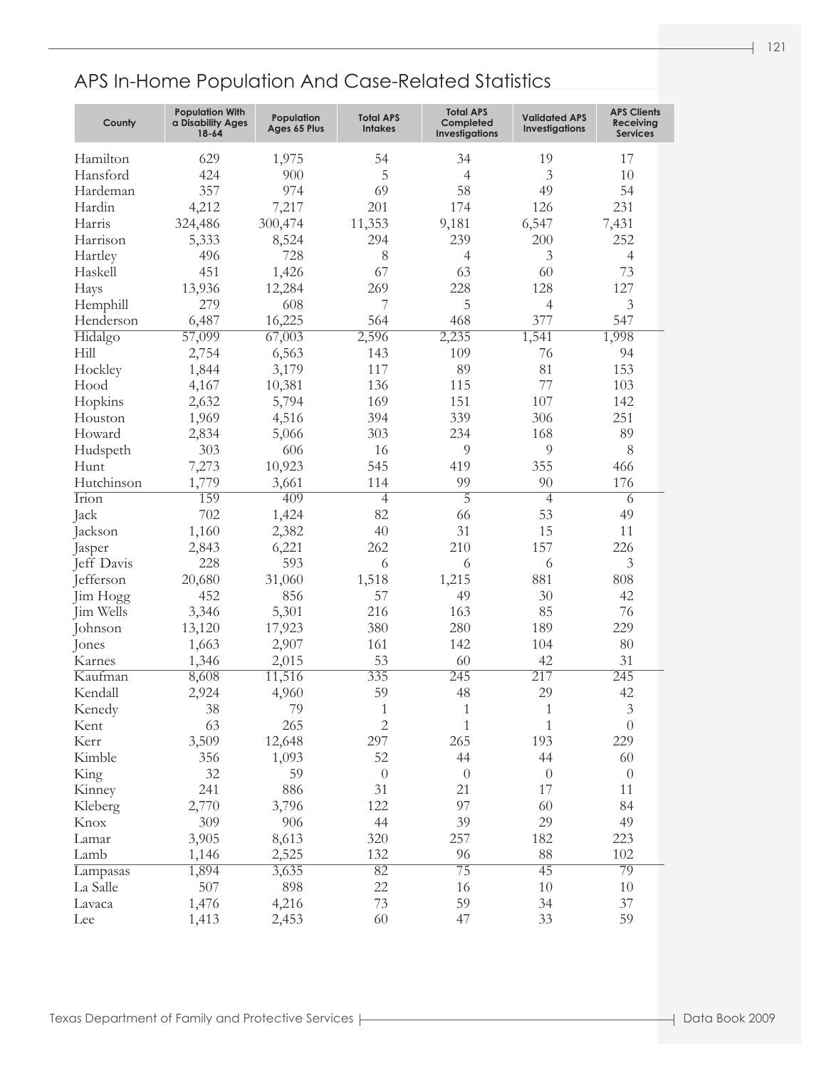| Hamilton<br>629<br>1,975<br>54<br>19<br>17<br>34<br>424<br>900<br>5<br>3<br>Hansford<br>$\overline{4}$<br>10<br>357<br>974<br>69<br>58<br>49<br>54<br>Hardeman<br>4,212<br>201<br>231<br>Hardin<br>7,217<br>174<br>126<br>6,547<br>7,431<br>324,486<br>300,474<br>11,353<br>9,181<br>Harris<br>294<br>239<br>252<br>5,333<br>8,524<br>200<br>Harrison<br>496<br>728<br>3<br>8<br>$\overline{4}$<br>$\overline{4}$<br>Hartley<br>451<br>67<br>73<br>Haskell<br>1,426<br>63<br>60<br>13,936<br>12,284<br>269<br>228<br>128<br>127<br>Hays<br>5<br>279<br>608<br>7<br>$\overline{4}$<br>3<br>Hemphill<br>6,487<br>16,225<br>468<br>377<br>547<br>564<br>Henderson<br>57,099<br>1,541<br>67,003<br>2,596<br>2,235<br>1,998<br>Hidalgo<br>Hill<br>2,754<br>6,563<br>143<br>109<br>76<br>94<br>81<br>1,844<br>3,179<br>117<br>89<br>153<br>Hockley<br>10,381<br>77<br>Hood<br>4,167<br>136<br>115<br>103<br>2,632<br>5,794<br>169<br>151<br>107<br>142<br>Hopkins<br>339<br>251<br>1,969<br>4,516<br>394<br>306<br>Houston<br>234<br>2,834<br>303<br>168<br>89<br>Howard<br>5,066<br>606<br>9<br>9<br>8<br>303<br>Hudspeth<br>16<br>7,273<br>10,923<br>Hunt<br>545<br>419<br>355<br>466<br>1,779<br>99<br>Hutchinson<br>3,661<br>114<br>90<br>176<br>$\overline{5}$<br>Irion<br>159<br>409<br>$\overline{4}$<br>$\overline{4}$<br>6<br>702<br>1,424<br>82<br>53<br>66<br>49<br>Jack<br>2,382<br>1,160<br>40<br>31<br>15<br>11<br>Jackson<br>6,221<br>210<br>157<br>226<br>2,843<br>262<br>Jasper<br>228<br>593<br>Jeff Davis<br>6<br>3<br>6<br>6<br>881<br>Jefferson<br>20,680<br>31,060<br>1,518<br>1,215<br>808<br>452<br>856<br>30<br>57<br>49<br>42<br>Jim Hogg<br>216<br>85<br>76<br>Jim Wells<br>3,346<br>5,301<br>163<br>229<br>13,120<br>17,923<br>380<br>280<br>189<br>Johnson<br>1,663<br>2,907<br>142<br>104<br>$80\,$<br>161<br>Jones<br>31<br>1,346<br>2,015<br>53<br>60<br>42<br>Karnes<br>11,516<br>335<br>245<br>217<br>245<br>Kaufman<br>8,608<br>29<br>59<br>48<br>Kendall<br>2,924<br>4,960<br>42<br>$\ensuremath{\mathfrak{Z}}$<br>38<br>79<br>$\mathbf{1}$<br>$\mathbf{1}$<br>$\mathbf{1}$<br>Kenedy<br>$\mathbf{2}$<br>63<br>265<br>$\mathbf{1}$<br>$\mathbf 1$<br>$\theta$<br>Kent<br>3,509<br>12,648<br>297<br>265<br>193<br>229<br>Kerr<br>356<br>1,093<br>52<br>44<br>44<br>60<br>Kimble<br>32<br>59<br>$\theta$<br>$\theta$<br>$\theta$<br>$\theta$<br>King<br>241<br>886<br>21<br>17<br>31<br>11<br>Kinney<br>2,770<br>3,796<br>97<br>122<br>60<br>84<br>Kleberg<br>29<br>309<br>906<br>44<br>39<br>49<br>Knox<br>3,905<br>8,613<br>257<br>182<br>223<br>320<br>Lamar<br>2,525<br>132<br>88<br>1,146<br>96<br>102<br>Lamb<br>$\overline{75}$<br>$\overline{45}$<br>79<br>3,635<br>$\overline{82}$<br>1,894<br>Lampasas<br>507<br>898<br>22<br>$10\,$<br>16<br>10<br>La Salle<br>4,216<br>73<br>59<br>34<br>37<br>1,476<br>Lavaca<br>33<br>59<br>Lee<br>1,413<br>2,453<br>60<br>47 | County | <b>Population With</b><br>a Disability Ages<br>$18 - 64$ | Population<br>Ages 65 Plus | <b>Total APS</b><br><b>Intakes</b> | <b>Total APS</b><br>Completed<br><b>Investigations</b> | <b>Validated APS</b><br><b>Investigations</b> | <b>APS Clients</b><br><b>Receiving</b><br><b>Services</b> |
|---------------------------------------------------------------------------------------------------------------------------------------------------------------------------------------------------------------------------------------------------------------------------------------------------------------------------------------------------------------------------------------------------------------------------------------------------------------------------------------------------------------------------------------------------------------------------------------------------------------------------------------------------------------------------------------------------------------------------------------------------------------------------------------------------------------------------------------------------------------------------------------------------------------------------------------------------------------------------------------------------------------------------------------------------------------------------------------------------------------------------------------------------------------------------------------------------------------------------------------------------------------------------------------------------------------------------------------------------------------------------------------------------------------------------------------------------------------------------------------------------------------------------------------------------------------------------------------------------------------------------------------------------------------------------------------------------------------------------------------------------------------------------------------------------------------------------------------------------------------------------------------------------------------------------------------------------------------------------------------------------------------------------------------------------------------------------------------------------------------------------------------------------------------------------------------------------------------------------------------------------------------------------------------------------------------------------------------------------------------------------------------------------------------------------------------------------------------------------------------------------------------------------------------------------------------------------------------------------------------------------------------------------------------------------------------------------------------------------------------------------------------------------------------------------------------------------------------------------------------------------------------------------------|--------|----------------------------------------------------------|----------------------------|------------------------------------|--------------------------------------------------------|-----------------------------------------------|-----------------------------------------------------------|
|                                                                                                                                                                                                                                                                                                                                                                                                                                                                                                                                                                                                                                                                                                                                                                                                                                                                                                                                                                                                                                                                                                                                                                                                                                                                                                                                                                                                                                                                                                                                                                                                                                                                                                                                                                                                                                                                                                                                                                                                                                                                                                                                                                                                                                                                                                                                                                                                                                                                                                                                                                                                                                                                                                                                                                                                                                                                                                         |        |                                                          |                            |                                    |                                                        |                                               |                                                           |
|                                                                                                                                                                                                                                                                                                                                                                                                                                                                                                                                                                                                                                                                                                                                                                                                                                                                                                                                                                                                                                                                                                                                                                                                                                                                                                                                                                                                                                                                                                                                                                                                                                                                                                                                                                                                                                                                                                                                                                                                                                                                                                                                                                                                                                                                                                                                                                                                                                                                                                                                                                                                                                                                                                                                                                                                                                                                                                         |        |                                                          |                            |                                    |                                                        |                                               |                                                           |
|                                                                                                                                                                                                                                                                                                                                                                                                                                                                                                                                                                                                                                                                                                                                                                                                                                                                                                                                                                                                                                                                                                                                                                                                                                                                                                                                                                                                                                                                                                                                                                                                                                                                                                                                                                                                                                                                                                                                                                                                                                                                                                                                                                                                                                                                                                                                                                                                                                                                                                                                                                                                                                                                                                                                                                                                                                                                                                         |        |                                                          |                            |                                    |                                                        |                                               |                                                           |
|                                                                                                                                                                                                                                                                                                                                                                                                                                                                                                                                                                                                                                                                                                                                                                                                                                                                                                                                                                                                                                                                                                                                                                                                                                                                                                                                                                                                                                                                                                                                                                                                                                                                                                                                                                                                                                                                                                                                                                                                                                                                                                                                                                                                                                                                                                                                                                                                                                                                                                                                                                                                                                                                                                                                                                                                                                                                                                         |        |                                                          |                            |                                    |                                                        |                                               |                                                           |
|                                                                                                                                                                                                                                                                                                                                                                                                                                                                                                                                                                                                                                                                                                                                                                                                                                                                                                                                                                                                                                                                                                                                                                                                                                                                                                                                                                                                                                                                                                                                                                                                                                                                                                                                                                                                                                                                                                                                                                                                                                                                                                                                                                                                                                                                                                                                                                                                                                                                                                                                                                                                                                                                                                                                                                                                                                                                                                         |        |                                                          |                            |                                    |                                                        |                                               |                                                           |
|                                                                                                                                                                                                                                                                                                                                                                                                                                                                                                                                                                                                                                                                                                                                                                                                                                                                                                                                                                                                                                                                                                                                                                                                                                                                                                                                                                                                                                                                                                                                                                                                                                                                                                                                                                                                                                                                                                                                                                                                                                                                                                                                                                                                                                                                                                                                                                                                                                                                                                                                                                                                                                                                                                                                                                                                                                                                                                         |        |                                                          |                            |                                    |                                                        |                                               |                                                           |
|                                                                                                                                                                                                                                                                                                                                                                                                                                                                                                                                                                                                                                                                                                                                                                                                                                                                                                                                                                                                                                                                                                                                                                                                                                                                                                                                                                                                                                                                                                                                                                                                                                                                                                                                                                                                                                                                                                                                                                                                                                                                                                                                                                                                                                                                                                                                                                                                                                                                                                                                                                                                                                                                                                                                                                                                                                                                                                         |        |                                                          |                            |                                    |                                                        |                                               |                                                           |
|                                                                                                                                                                                                                                                                                                                                                                                                                                                                                                                                                                                                                                                                                                                                                                                                                                                                                                                                                                                                                                                                                                                                                                                                                                                                                                                                                                                                                                                                                                                                                                                                                                                                                                                                                                                                                                                                                                                                                                                                                                                                                                                                                                                                                                                                                                                                                                                                                                                                                                                                                                                                                                                                                                                                                                                                                                                                                                         |        |                                                          |                            |                                    |                                                        |                                               |                                                           |
|                                                                                                                                                                                                                                                                                                                                                                                                                                                                                                                                                                                                                                                                                                                                                                                                                                                                                                                                                                                                                                                                                                                                                                                                                                                                                                                                                                                                                                                                                                                                                                                                                                                                                                                                                                                                                                                                                                                                                                                                                                                                                                                                                                                                                                                                                                                                                                                                                                                                                                                                                                                                                                                                                                                                                                                                                                                                                                         |        |                                                          |                            |                                    |                                                        |                                               |                                                           |
|                                                                                                                                                                                                                                                                                                                                                                                                                                                                                                                                                                                                                                                                                                                                                                                                                                                                                                                                                                                                                                                                                                                                                                                                                                                                                                                                                                                                                                                                                                                                                                                                                                                                                                                                                                                                                                                                                                                                                                                                                                                                                                                                                                                                                                                                                                                                                                                                                                                                                                                                                                                                                                                                                                                                                                                                                                                                                                         |        |                                                          |                            |                                    |                                                        |                                               |                                                           |
|                                                                                                                                                                                                                                                                                                                                                                                                                                                                                                                                                                                                                                                                                                                                                                                                                                                                                                                                                                                                                                                                                                                                                                                                                                                                                                                                                                                                                                                                                                                                                                                                                                                                                                                                                                                                                                                                                                                                                                                                                                                                                                                                                                                                                                                                                                                                                                                                                                                                                                                                                                                                                                                                                                                                                                                                                                                                                                         |        |                                                          |                            |                                    |                                                        |                                               |                                                           |
|                                                                                                                                                                                                                                                                                                                                                                                                                                                                                                                                                                                                                                                                                                                                                                                                                                                                                                                                                                                                                                                                                                                                                                                                                                                                                                                                                                                                                                                                                                                                                                                                                                                                                                                                                                                                                                                                                                                                                                                                                                                                                                                                                                                                                                                                                                                                                                                                                                                                                                                                                                                                                                                                                                                                                                                                                                                                                                         |        |                                                          |                            |                                    |                                                        |                                               |                                                           |
|                                                                                                                                                                                                                                                                                                                                                                                                                                                                                                                                                                                                                                                                                                                                                                                                                                                                                                                                                                                                                                                                                                                                                                                                                                                                                                                                                                                                                                                                                                                                                                                                                                                                                                                                                                                                                                                                                                                                                                                                                                                                                                                                                                                                                                                                                                                                                                                                                                                                                                                                                                                                                                                                                                                                                                                                                                                                                                         |        |                                                          |                            |                                    |                                                        |                                               |                                                           |
|                                                                                                                                                                                                                                                                                                                                                                                                                                                                                                                                                                                                                                                                                                                                                                                                                                                                                                                                                                                                                                                                                                                                                                                                                                                                                                                                                                                                                                                                                                                                                                                                                                                                                                                                                                                                                                                                                                                                                                                                                                                                                                                                                                                                                                                                                                                                                                                                                                                                                                                                                                                                                                                                                                                                                                                                                                                                                                         |        |                                                          |                            |                                    |                                                        |                                               |                                                           |
|                                                                                                                                                                                                                                                                                                                                                                                                                                                                                                                                                                                                                                                                                                                                                                                                                                                                                                                                                                                                                                                                                                                                                                                                                                                                                                                                                                                                                                                                                                                                                                                                                                                                                                                                                                                                                                                                                                                                                                                                                                                                                                                                                                                                                                                                                                                                                                                                                                                                                                                                                                                                                                                                                                                                                                                                                                                                                                         |        |                                                          |                            |                                    |                                                        |                                               |                                                           |
|                                                                                                                                                                                                                                                                                                                                                                                                                                                                                                                                                                                                                                                                                                                                                                                                                                                                                                                                                                                                                                                                                                                                                                                                                                                                                                                                                                                                                                                                                                                                                                                                                                                                                                                                                                                                                                                                                                                                                                                                                                                                                                                                                                                                                                                                                                                                                                                                                                                                                                                                                                                                                                                                                                                                                                                                                                                                                                         |        |                                                          |                            |                                    |                                                        |                                               |                                                           |
|                                                                                                                                                                                                                                                                                                                                                                                                                                                                                                                                                                                                                                                                                                                                                                                                                                                                                                                                                                                                                                                                                                                                                                                                                                                                                                                                                                                                                                                                                                                                                                                                                                                                                                                                                                                                                                                                                                                                                                                                                                                                                                                                                                                                                                                                                                                                                                                                                                                                                                                                                                                                                                                                                                                                                                                                                                                                                                         |        |                                                          |                            |                                    |                                                        |                                               |                                                           |
|                                                                                                                                                                                                                                                                                                                                                                                                                                                                                                                                                                                                                                                                                                                                                                                                                                                                                                                                                                                                                                                                                                                                                                                                                                                                                                                                                                                                                                                                                                                                                                                                                                                                                                                                                                                                                                                                                                                                                                                                                                                                                                                                                                                                                                                                                                                                                                                                                                                                                                                                                                                                                                                                                                                                                                                                                                                                                                         |        |                                                          |                            |                                    |                                                        |                                               |                                                           |
|                                                                                                                                                                                                                                                                                                                                                                                                                                                                                                                                                                                                                                                                                                                                                                                                                                                                                                                                                                                                                                                                                                                                                                                                                                                                                                                                                                                                                                                                                                                                                                                                                                                                                                                                                                                                                                                                                                                                                                                                                                                                                                                                                                                                                                                                                                                                                                                                                                                                                                                                                                                                                                                                                                                                                                                                                                                                                                         |        |                                                          |                            |                                    |                                                        |                                               |                                                           |
|                                                                                                                                                                                                                                                                                                                                                                                                                                                                                                                                                                                                                                                                                                                                                                                                                                                                                                                                                                                                                                                                                                                                                                                                                                                                                                                                                                                                                                                                                                                                                                                                                                                                                                                                                                                                                                                                                                                                                                                                                                                                                                                                                                                                                                                                                                                                                                                                                                                                                                                                                                                                                                                                                                                                                                                                                                                                                                         |        |                                                          |                            |                                    |                                                        |                                               |                                                           |
|                                                                                                                                                                                                                                                                                                                                                                                                                                                                                                                                                                                                                                                                                                                                                                                                                                                                                                                                                                                                                                                                                                                                                                                                                                                                                                                                                                                                                                                                                                                                                                                                                                                                                                                                                                                                                                                                                                                                                                                                                                                                                                                                                                                                                                                                                                                                                                                                                                                                                                                                                                                                                                                                                                                                                                                                                                                                                                         |        |                                                          |                            |                                    |                                                        |                                               |                                                           |
|                                                                                                                                                                                                                                                                                                                                                                                                                                                                                                                                                                                                                                                                                                                                                                                                                                                                                                                                                                                                                                                                                                                                                                                                                                                                                                                                                                                                                                                                                                                                                                                                                                                                                                                                                                                                                                                                                                                                                                                                                                                                                                                                                                                                                                                                                                                                                                                                                                                                                                                                                                                                                                                                                                                                                                                                                                                                                                         |        |                                                          |                            |                                    |                                                        |                                               |                                                           |
|                                                                                                                                                                                                                                                                                                                                                                                                                                                                                                                                                                                                                                                                                                                                                                                                                                                                                                                                                                                                                                                                                                                                                                                                                                                                                                                                                                                                                                                                                                                                                                                                                                                                                                                                                                                                                                                                                                                                                                                                                                                                                                                                                                                                                                                                                                                                                                                                                                                                                                                                                                                                                                                                                                                                                                                                                                                                                                         |        |                                                          |                            |                                    |                                                        |                                               |                                                           |
|                                                                                                                                                                                                                                                                                                                                                                                                                                                                                                                                                                                                                                                                                                                                                                                                                                                                                                                                                                                                                                                                                                                                                                                                                                                                                                                                                                                                                                                                                                                                                                                                                                                                                                                                                                                                                                                                                                                                                                                                                                                                                                                                                                                                                                                                                                                                                                                                                                                                                                                                                                                                                                                                                                                                                                                                                                                                                                         |        |                                                          |                            |                                    |                                                        |                                               |                                                           |
|                                                                                                                                                                                                                                                                                                                                                                                                                                                                                                                                                                                                                                                                                                                                                                                                                                                                                                                                                                                                                                                                                                                                                                                                                                                                                                                                                                                                                                                                                                                                                                                                                                                                                                                                                                                                                                                                                                                                                                                                                                                                                                                                                                                                                                                                                                                                                                                                                                                                                                                                                                                                                                                                                                                                                                                                                                                                                                         |        |                                                          |                            |                                    |                                                        |                                               |                                                           |
|                                                                                                                                                                                                                                                                                                                                                                                                                                                                                                                                                                                                                                                                                                                                                                                                                                                                                                                                                                                                                                                                                                                                                                                                                                                                                                                                                                                                                                                                                                                                                                                                                                                                                                                                                                                                                                                                                                                                                                                                                                                                                                                                                                                                                                                                                                                                                                                                                                                                                                                                                                                                                                                                                                                                                                                                                                                                                                         |        |                                                          |                            |                                    |                                                        |                                               |                                                           |
|                                                                                                                                                                                                                                                                                                                                                                                                                                                                                                                                                                                                                                                                                                                                                                                                                                                                                                                                                                                                                                                                                                                                                                                                                                                                                                                                                                                                                                                                                                                                                                                                                                                                                                                                                                                                                                                                                                                                                                                                                                                                                                                                                                                                                                                                                                                                                                                                                                                                                                                                                                                                                                                                                                                                                                                                                                                                                                         |        |                                                          |                            |                                    |                                                        |                                               |                                                           |
|                                                                                                                                                                                                                                                                                                                                                                                                                                                                                                                                                                                                                                                                                                                                                                                                                                                                                                                                                                                                                                                                                                                                                                                                                                                                                                                                                                                                                                                                                                                                                                                                                                                                                                                                                                                                                                                                                                                                                                                                                                                                                                                                                                                                                                                                                                                                                                                                                                                                                                                                                                                                                                                                                                                                                                                                                                                                                                         |        |                                                          |                            |                                    |                                                        |                                               |                                                           |
|                                                                                                                                                                                                                                                                                                                                                                                                                                                                                                                                                                                                                                                                                                                                                                                                                                                                                                                                                                                                                                                                                                                                                                                                                                                                                                                                                                                                                                                                                                                                                                                                                                                                                                                                                                                                                                                                                                                                                                                                                                                                                                                                                                                                                                                                                                                                                                                                                                                                                                                                                                                                                                                                                                                                                                                                                                                                                                         |        |                                                          |                            |                                    |                                                        |                                               |                                                           |
|                                                                                                                                                                                                                                                                                                                                                                                                                                                                                                                                                                                                                                                                                                                                                                                                                                                                                                                                                                                                                                                                                                                                                                                                                                                                                                                                                                                                                                                                                                                                                                                                                                                                                                                                                                                                                                                                                                                                                                                                                                                                                                                                                                                                                                                                                                                                                                                                                                                                                                                                                                                                                                                                                                                                                                                                                                                                                                         |        |                                                          |                            |                                    |                                                        |                                               |                                                           |
|                                                                                                                                                                                                                                                                                                                                                                                                                                                                                                                                                                                                                                                                                                                                                                                                                                                                                                                                                                                                                                                                                                                                                                                                                                                                                                                                                                                                                                                                                                                                                                                                                                                                                                                                                                                                                                                                                                                                                                                                                                                                                                                                                                                                                                                                                                                                                                                                                                                                                                                                                                                                                                                                                                                                                                                                                                                                                                         |        |                                                          |                            |                                    |                                                        |                                               |                                                           |
|                                                                                                                                                                                                                                                                                                                                                                                                                                                                                                                                                                                                                                                                                                                                                                                                                                                                                                                                                                                                                                                                                                                                                                                                                                                                                                                                                                                                                                                                                                                                                                                                                                                                                                                                                                                                                                                                                                                                                                                                                                                                                                                                                                                                                                                                                                                                                                                                                                                                                                                                                                                                                                                                                                                                                                                                                                                                                                         |        |                                                          |                            |                                    |                                                        |                                               |                                                           |
|                                                                                                                                                                                                                                                                                                                                                                                                                                                                                                                                                                                                                                                                                                                                                                                                                                                                                                                                                                                                                                                                                                                                                                                                                                                                                                                                                                                                                                                                                                                                                                                                                                                                                                                                                                                                                                                                                                                                                                                                                                                                                                                                                                                                                                                                                                                                                                                                                                                                                                                                                                                                                                                                                                                                                                                                                                                                                                         |        |                                                          |                            |                                    |                                                        |                                               |                                                           |
|                                                                                                                                                                                                                                                                                                                                                                                                                                                                                                                                                                                                                                                                                                                                                                                                                                                                                                                                                                                                                                                                                                                                                                                                                                                                                                                                                                                                                                                                                                                                                                                                                                                                                                                                                                                                                                                                                                                                                                                                                                                                                                                                                                                                                                                                                                                                                                                                                                                                                                                                                                                                                                                                                                                                                                                                                                                                                                         |        |                                                          |                            |                                    |                                                        |                                               |                                                           |
|                                                                                                                                                                                                                                                                                                                                                                                                                                                                                                                                                                                                                                                                                                                                                                                                                                                                                                                                                                                                                                                                                                                                                                                                                                                                                                                                                                                                                                                                                                                                                                                                                                                                                                                                                                                                                                                                                                                                                                                                                                                                                                                                                                                                                                                                                                                                                                                                                                                                                                                                                                                                                                                                                                                                                                                                                                                                                                         |        |                                                          |                            |                                    |                                                        |                                               |                                                           |
|                                                                                                                                                                                                                                                                                                                                                                                                                                                                                                                                                                                                                                                                                                                                                                                                                                                                                                                                                                                                                                                                                                                                                                                                                                                                                                                                                                                                                                                                                                                                                                                                                                                                                                                                                                                                                                                                                                                                                                                                                                                                                                                                                                                                                                                                                                                                                                                                                                                                                                                                                                                                                                                                                                                                                                                                                                                                                                         |        |                                                          |                            |                                    |                                                        |                                               |                                                           |
|                                                                                                                                                                                                                                                                                                                                                                                                                                                                                                                                                                                                                                                                                                                                                                                                                                                                                                                                                                                                                                                                                                                                                                                                                                                                                                                                                                                                                                                                                                                                                                                                                                                                                                                                                                                                                                                                                                                                                                                                                                                                                                                                                                                                                                                                                                                                                                                                                                                                                                                                                                                                                                                                                                                                                                                                                                                                                                         |        |                                                          |                            |                                    |                                                        |                                               |                                                           |
|                                                                                                                                                                                                                                                                                                                                                                                                                                                                                                                                                                                                                                                                                                                                                                                                                                                                                                                                                                                                                                                                                                                                                                                                                                                                                                                                                                                                                                                                                                                                                                                                                                                                                                                                                                                                                                                                                                                                                                                                                                                                                                                                                                                                                                                                                                                                                                                                                                                                                                                                                                                                                                                                                                                                                                                                                                                                                                         |        |                                                          |                            |                                    |                                                        |                                               |                                                           |
|                                                                                                                                                                                                                                                                                                                                                                                                                                                                                                                                                                                                                                                                                                                                                                                                                                                                                                                                                                                                                                                                                                                                                                                                                                                                                                                                                                                                                                                                                                                                                                                                                                                                                                                                                                                                                                                                                                                                                                                                                                                                                                                                                                                                                                                                                                                                                                                                                                                                                                                                                                                                                                                                                                                                                                                                                                                                                                         |        |                                                          |                            |                                    |                                                        |                                               |                                                           |
|                                                                                                                                                                                                                                                                                                                                                                                                                                                                                                                                                                                                                                                                                                                                                                                                                                                                                                                                                                                                                                                                                                                                                                                                                                                                                                                                                                                                                                                                                                                                                                                                                                                                                                                                                                                                                                                                                                                                                                                                                                                                                                                                                                                                                                                                                                                                                                                                                                                                                                                                                                                                                                                                                                                                                                                                                                                                                                         |        |                                                          |                            |                                    |                                                        |                                               |                                                           |
|                                                                                                                                                                                                                                                                                                                                                                                                                                                                                                                                                                                                                                                                                                                                                                                                                                                                                                                                                                                                                                                                                                                                                                                                                                                                                                                                                                                                                                                                                                                                                                                                                                                                                                                                                                                                                                                                                                                                                                                                                                                                                                                                                                                                                                                                                                                                                                                                                                                                                                                                                                                                                                                                                                                                                                                                                                                                                                         |        |                                                          |                            |                                    |                                                        |                                               |                                                           |
|                                                                                                                                                                                                                                                                                                                                                                                                                                                                                                                                                                                                                                                                                                                                                                                                                                                                                                                                                                                                                                                                                                                                                                                                                                                                                                                                                                                                                                                                                                                                                                                                                                                                                                                                                                                                                                                                                                                                                                                                                                                                                                                                                                                                                                                                                                                                                                                                                                                                                                                                                                                                                                                                                                                                                                                                                                                                                                         |        |                                                          |                            |                                    |                                                        |                                               |                                                           |
|                                                                                                                                                                                                                                                                                                                                                                                                                                                                                                                                                                                                                                                                                                                                                                                                                                                                                                                                                                                                                                                                                                                                                                                                                                                                                                                                                                                                                                                                                                                                                                                                                                                                                                                                                                                                                                                                                                                                                                                                                                                                                                                                                                                                                                                                                                                                                                                                                                                                                                                                                                                                                                                                                                                                                                                                                                                                                                         |        |                                                          |                            |                                    |                                                        |                                               |                                                           |
|                                                                                                                                                                                                                                                                                                                                                                                                                                                                                                                                                                                                                                                                                                                                                                                                                                                                                                                                                                                                                                                                                                                                                                                                                                                                                                                                                                                                                                                                                                                                                                                                                                                                                                                                                                                                                                                                                                                                                                                                                                                                                                                                                                                                                                                                                                                                                                                                                                                                                                                                                                                                                                                                                                                                                                                                                                                                                                         |        |                                                          |                            |                                    |                                                        |                                               |                                                           |
|                                                                                                                                                                                                                                                                                                                                                                                                                                                                                                                                                                                                                                                                                                                                                                                                                                                                                                                                                                                                                                                                                                                                                                                                                                                                                                                                                                                                                                                                                                                                                                                                                                                                                                                                                                                                                                                                                                                                                                                                                                                                                                                                                                                                                                                                                                                                                                                                                                                                                                                                                                                                                                                                                                                                                                                                                                                                                                         |        |                                                          |                            |                                    |                                                        |                                               |                                                           |
|                                                                                                                                                                                                                                                                                                                                                                                                                                                                                                                                                                                                                                                                                                                                                                                                                                                                                                                                                                                                                                                                                                                                                                                                                                                                                                                                                                                                                                                                                                                                                                                                                                                                                                                                                                                                                                                                                                                                                                                                                                                                                                                                                                                                                                                                                                                                                                                                                                                                                                                                                                                                                                                                                                                                                                                                                                                                                                         |        |                                                          |                            |                                    |                                                        |                                               |                                                           |
|                                                                                                                                                                                                                                                                                                                                                                                                                                                                                                                                                                                                                                                                                                                                                                                                                                                                                                                                                                                                                                                                                                                                                                                                                                                                                                                                                                                                                                                                                                                                                                                                                                                                                                                                                                                                                                                                                                                                                                                                                                                                                                                                                                                                                                                                                                                                                                                                                                                                                                                                                                                                                                                                                                                                                                                                                                                                                                         |        |                                                          |                            |                                    |                                                        |                                               |                                                           |
|                                                                                                                                                                                                                                                                                                                                                                                                                                                                                                                                                                                                                                                                                                                                                                                                                                                                                                                                                                                                                                                                                                                                                                                                                                                                                                                                                                                                                                                                                                                                                                                                                                                                                                                                                                                                                                                                                                                                                                                                                                                                                                                                                                                                                                                                                                                                                                                                                                                                                                                                                                                                                                                                                                                                                                                                                                                                                                         |        |                                                          |                            |                                    |                                                        |                                               |                                                           |
|                                                                                                                                                                                                                                                                                                                                                                                                                                                                                                                                                                                                                                                                                                                                                                                                                                                                                                                                                                                                                                                                                                                                                                                                                                                                                                                                                                                                                                                                                                                                                                                                                                                                                                                                                                                                                                                                                                                                                                                                                                                                                                                                                                                                                                                                                                                                                                                                                                                                                                                                                                                                                                                                                                                                                                                                                                                                                                         |        |                                                          |                            |                                    |                                                        |                                               |                                                           |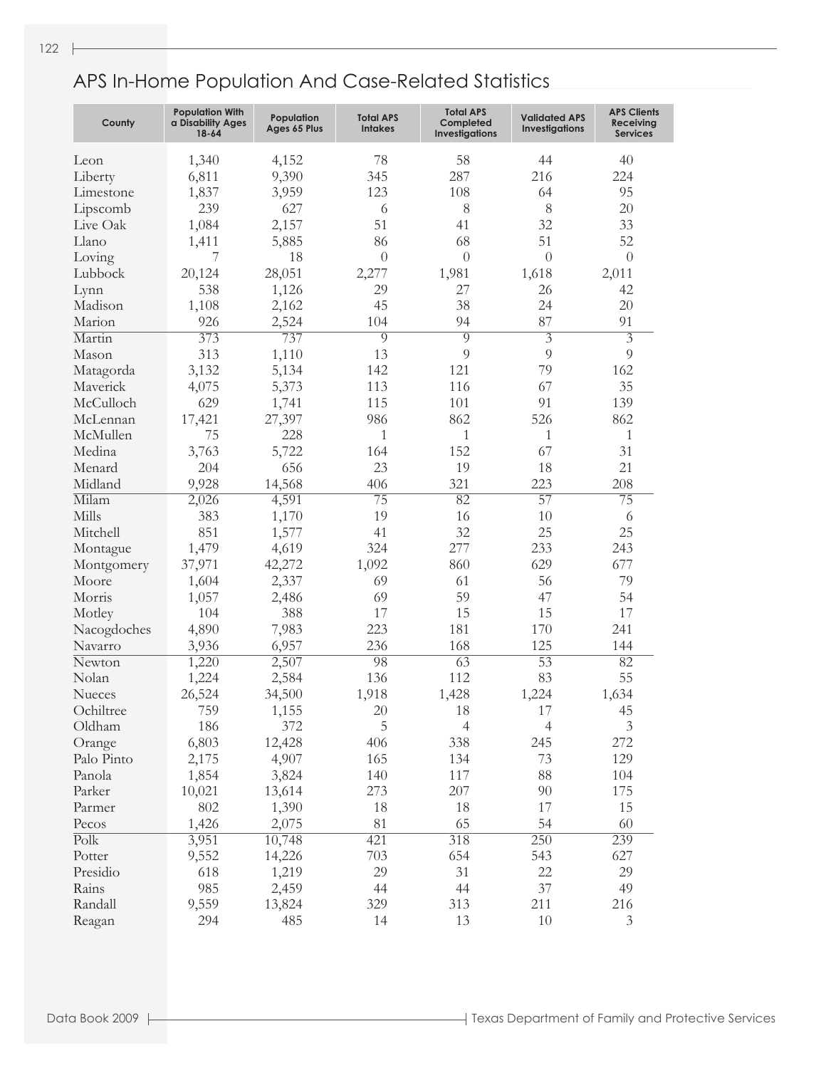| County                   | <b>Population With</b><br>a Disability Ages<br>$18 - 64$ | Population<br>Ages 65 Plus | <b>Total APS</b><br><b>Intakes</b> | <b>Total APS</b><br>Completed<br><b>Investigations</b> | <b>Validated APS</b><br><b>Investigations</b> | <b>APS Clients</b><br>Receiving<br><b>Services</b> |
|--------------------------|----------------------------------------------------------|----------------------------|------------------------------------|--------------------------------------------------------|-----------------------------------------------|----------------------------------------------------|
| Leon                     | 1,340                                                    | 4,152                      | 78                                 | 58                                                     | 44                                            | 40                                                 |
| Liberty                  | 6,811                                                    | 9,390                      | 345                                | 287                                                    | 216                                           | 224                                                |
| Limestone                | 1,837                                                    | 3,959                      | 123                                | 108                                                    | 64                                            | 95                                                 |
| Lipscomb                 | 239                                                      | 627                        | 6                                  | 8                                                      | 8                                             | 20                                                 |
| Live Oak                 | 1,084                                                    | 2,157                      | 51                                 | 41                                                     | 32                                            | 33                                                 |
| Llano                    | 1,411                                                    | 5,885                      | 86                                 | 68                                                     | 51                                            | 52                                                 |
| Loving                   | 7                                                        | 18                         | $\theta$                           | $\Omega$                                               | $\theta$                                      | $\theta$                                           |
| Lubbock                  | 20,124                                                   | 28,051                     | 2,277                              | 1,981                                                  | 1,618                                         | 2,011                                              |
| Lynn                     | 538                                                      | 1,126                      | 29                                 | 27                                                     | 26                                            | 42                                                 |
| Madison                  | 1,108                                                    | 2,162                      | 45                                 | 38                                                     | 24                                            | 20                                                 |
| Marion                   | 926                                                      | 2,524                      | 104                                | 94                                                     | 87                                            | 91                                                 |
| Martin                   | 373                                                      | 737                        | $\overline{9}$                     | $\overline{9}$                                         | $\overline{3}$                                | $\overline{3}$                                     |
| Mason                    | 313                                                      | 1,110                      | 13                                 | 9                                                      | 9                                             | $\overline{9}$                                     |
| Matagorda                | 3,132                                                    | 5,134                      | 142                                | 121                                                    | 79                                            | 162                                                |
| Maverick                 | 4,075                                                    | 5,373                      | 113                                | 116                                                    | 67                                            | 35                                                 |
| McCulloch                | 629                                                      | 1,741                      | 115                                | 101                                                    | 91                                            | 139                                                |
| McLennan                 | 17,421                                                   | 27,397                     | 986                                | 862                                                    | 526                                           | 862                                                |
| McMullen                 | 75                                                       | 228                        | $\mathbf{1}$                       | $\mathbf{1}$                                           | $\mathbf{1}$                                  | $\mathbf{1}$                                       |
| Medina                   | 3,763                                                    | 5,722                      | 164                                | 152                                                    | 67                                            | 31                                                 |
| Menard                   | 204                                                      | 656                        | 23                                 | 19                                                     | 18                                            | 21                                                 |
| Midland                  | 9,928                                                    | 14,568                     | 406                                | 321                                                    | 223                                           | 208                                                |
| Milam                    | 2,026                                                    | 4,591                      | $\overline{75}$                    | 82                                                     | $\overline{57}$                               | 75                                                 |
| Mills                    | 383                                                      | 1,170                      | 19                                 | 16                                                     | 10                                            | 6                                                  |
| Mitchell                 | 851                                                      | 1,577                      | 41                                 | 32                                                     | 25                                            | 25                                                 |
| Montague                 | 1,479                                                    | 4,619                      | 324                                | 277                                                    | 233                                           | 243                                                |
| Montgomery               | 37,971                                                   | 42,272                     | 1,092                              | 860                                                    | 629                                           | 677                                                |
| Moore                    | 1,604                                                    | 2,337                      | 69                                 | 61                                                     | 56                                            | 79                                                 |
| Morris                   | 1,057                                                    | 2,486                      | 69                                 | 59                                                     | 47                                            | 54                                                 |
| Motley                   | 104                                                      | 388                        | 17                                 | 15                                                     | 15                                            | 17                                                 |
| Nacogdoches              | 4,890                                                    | 7,983                      | 223                                | 181                                                    | 170                                           | 241                                                |
| Navarro                  | 3,936                                                    | 6,957                      | 236                                | 168                                                    | 125                                           | 144                                                |
| Newton                   | 1,220                                                    | 2,507                      | 98                                 | $\overline{63}$                                        | $\overline{53}$                               | 82                                                 |
| Nolan                    | 1,224                                                    | 2,584                      | 136                                | 112                                                    | 83                                            | 55                                                 |
| Nueces                   | 26,524                                                   | 34,500                     | 1,918                              | 1,428                                                  | 1,224                                         | 1,634                                              |
| Ochiltree                | 759                                                      | 1,155                      | 20                                 | 18                                                     | 17                                            | 45                                                 |
| Oldham                   | 186                                                      | 372                        | $\mathbf 5$                        | $\overline{4}$                                         | $\overline{4}$                                | $\ensuremath{\mathfrak{Z}}$                        |
| Orange                   | 6,803                                                    | 12,428                     | 406                                | 338                                                    | 245                                           | 272                                                |
| Palo Pinto               | 2,175                                                    | 4,907                      | 165                                | 134                                                    | 73                                            | 129                                                |
| Panola                   | 1,854                                                    | 3,824                      | 140                                | $117\,$                                                | 88                                            | 104                                                |
| Parker                   | 10,021                                                   | 13,614                     | 273                                | 207                                                    | $90\,$                                        | 175                                                |
| Parmer                   | $802\,$                                                  | 1,390                      | 18                                 | 18                                                     | 17                                            | 15                                                 |
| Pecos                    | 1,426                                                    | 2,075                      | $81\,$                             | 65                                                     | 54                                            | 60                                                 |
| $\overline{\text{Poly}}$ | 3,951                                                    | 10,748                     | 421                                | 318                                                    | 250                                           | 239                                                |
| Potter                   | 9,552                                                    | 14,226                     | 703                                | 654                                                    | 543                                           | 627                                                |
| Presidio                 | 618                                                      | 1,219                      | 29                                 | 31                                                     | 22                                            | 29                                                 |
| Rains                    | 985                                                      | 2,459                      | 44                                 | 44                                                     | $37\,$                                        | 49                                                 |
| Randall                  | 9,559                                                    | 13,824                     | 329                                | 313                                                    | 211                                           | 216                                                |
| Reagan                   | 294                                                      | 485                        | 14                                 | 13                                                     | $10\,$                                        | $\mathfrak{Z}$                                     |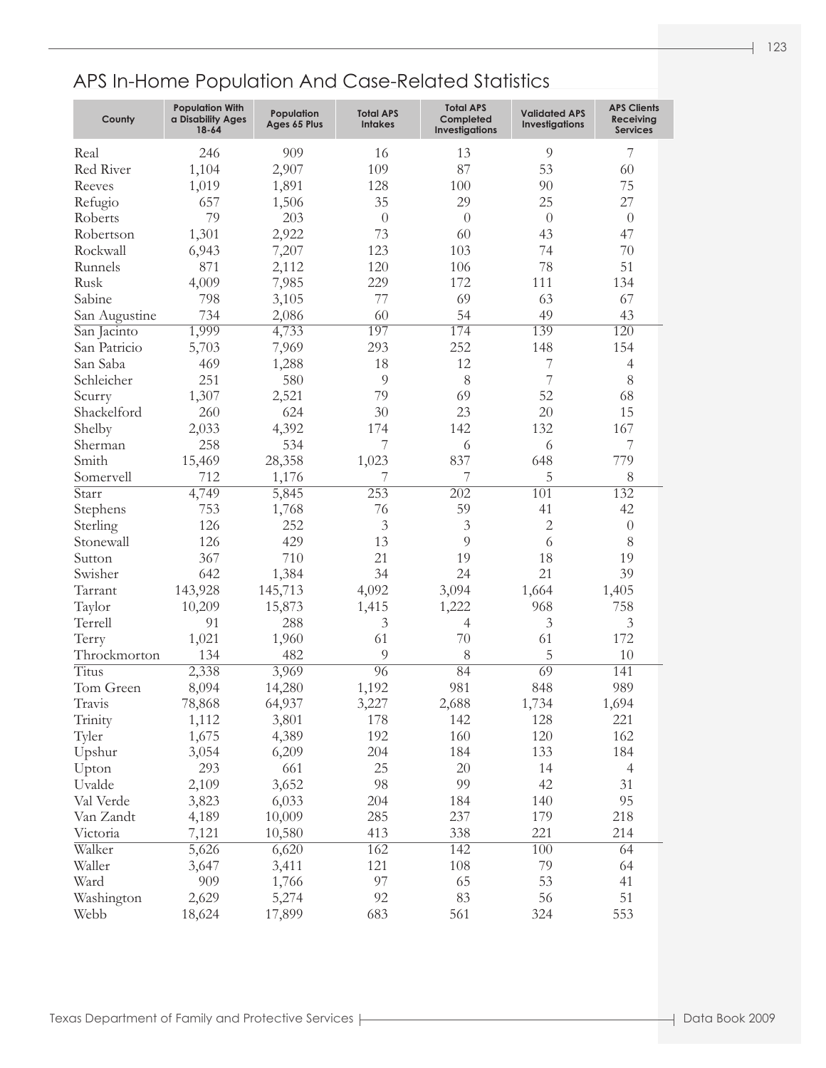| County        | <b>Population With</b><br>a Disability Ages<br>18-64 | Population<br>Ages 65 Plus | <b>Total APS</b><br><b>Intakes</b> | <b>Total APS</b><br>Completed<br><b>Investigations</b> | <b>Validated APS</b><br><b>Investigations</b> | <b>APS Clients</b><br><b>Receiving</b><br><b>Services</b> |
|---------------|------------------------------------------------------|----------------------------|------------------------------------|--------------------------------------------------------|-----------------------------------------------|-----------------------------------------------------------|
| Real          | 246                                                  | 909                        | 16                                 | 13                                                     | 9                                             | 7                                                         |
| Red River     | 1,104                                                | 2,907                      | 109                                | 87                                                     | 53                                            | 60                                                        |
| Reeves        | 1,019                                                | 1,891                      | 128                                | 100                                                    | 90                                            | 75                                                        |
| Refugio       | 657                                                  | 1,506                      | 35                                 | 29                                                     | 25                                            | 27                                                        |
| Roberts       | 79                                                   | 203                        | $\overline{0}$                     | $\theta$                                               | $\theta$                                      | $\theta$                                                  |
| Robertson     | 1,301                                                | 2,922                      | 73                                 | 60                                                     | 43                                            | 47                                                        |
| Rockwall      | 6,943                                                | 7,207                      | 123                                | 103                                                    | 74                                            | 70                                                        |
| Runnels       | 871                                                  | 2,112                      | 120                                | 106                                                    | 78                                            | 51                                                        |
| Rusk          | 4,009                                                | 7,985                      | 229                                | 172                                                    | 111                                           | 134                                                       |
| Sabine        | 798                                                  | 3,105                      | 77                                 | 69                                                     | 63                                            | 67                                                        |
| San Augustine | 734                                                  | 2,086                      | 60                                 | 54                                                     | 49                                            | 43                                                        |
|               | 1,999                                                | 4,733                      | 197                                | 174                                                    | 139                                           | 120                                                       |
| San Jacinto   | 5,703                                                |                            | 293                                | 252                                                    | 148                                           | 154                                                       |
| San Patricio  |                                                      | 7,969                      |                                    |                                                        |                                               |                                                           |
| San Saba      | 469                                                  | 1,288                      | 18                                 | 12                                                     | 7                                             | $\overline{4}$                                            |
| Schleicher    | 251                                                  | 580                        | 9                                  | 8                                                      | 7                                             | 8                                                         |
| Scurry        | 1,307                                                | 2,521                      | 79                                 | 69                                                     | 52                                            | 68                                                        |
| Shackelford   | 260                                                  | 624                        | 30                                 | 23                                                     | 20                                            | 15                                                        |
| Shelby        | 2,033                                                | 4,392                      | 174                                | 142                                                    | 132                                           | 167                                                       |
| Sherman       | 258                                                  | 534                        | 7                                  | 6                                                      | 6                                             | 7                                                         |
| Smith         | 15,469                                               | 28,358                     | 1,023                              | 837                                                    | 648                                           | 779                                                       |
| Somervell     | 712                                                  | 1,176                      | 7                                  | 7                                                      | 5                                             | 8                                                         |
| Starr         | 4,749                                                | 5,845                      | 253                                | $\overline{202}$                                       | $\overline{101}$                              | 132                                                       |
| Stephens      | 753                                                  | 1,768                      | 76                                 | 59                                                     | 41                                            | 42                                                        |
| Sterling      | 126                                                  | 252                        | 3                                  | $\mathfrak{Z}$                                         | $\overline{2}$                                | $\theta$                                                  |
| Stonewall     | 126                                                  | 429                        | 13                                 | 9                                                      | 6                                             | 8                                                         |
| Sutton        | 367                                                  | 710                        | 21                                 | 19                                                     | 18                                            | 19                                                        |
| Swisher       | 642                                                  | 1,384                      | 34                                 | 24                                                     | 21                                            | 39                                                        |
| Tarrant       | 143,928                                              | 145,713                    | 4,092                              | 3,094                                                  | 1,664                                         | 1,405                                                     |
| Taylor        | 10,209                                               | 15,873                     | 1,415                              | 1,222                                                  | 968                                           | 758                                                       |
| Terrell       | 91                                                   | 288                        | 3                                  | $\overline{4}$                                         | 3                                             | $\mathfrak{Z}$                                            |
| Terry         | 1,021                                                | 1,960                      | 61                                 | 70                                                     | 61                                            | 172                                                       |
| Throckmorton  | 134                                                  | 482                        | 9                                  | 8                                                      | 5                                             | 10                                                        |
| <b>Titus</b>  | 2,338                                                | 3,969                      | $\overline{96}$                    | 84                                                     | 69                                            | 141                                                       |
| Tom Green     | 8,094                                                | 14,280                     | 1,192                              | 981                                                    | 848                                           | 989                                                       |
| Travis        | 78,868                                               | 64,937                     | 3,227                              | 2,688                                                  | 1,734                                         | 1,694                                                     |
| Trinity       | 1,112                                                | 3,801                      | 178                                | 142                                                    | 128                                           | 221                                                       |
| Tyler         | 1,675                                                | 4,389                      | 192                                | 160                                                    | 120                                           | 162                                                       |
| Upshur        | 3,054                                                | 6,209                      | 204                                | 184                                                    | 133                                           | 184                                                       |
| Upton         | 293                                                  | 661                        | 25                                 | $20\,$                                                 | 14                                            | $\overline{4}$                                            |
| Uvalde        | 2,109                                                | 3,652                      | 98                                 | 99                                                     | 42                                            | 31                                                        |
| Val Verde     | 3,823                                                | 6,033                      | 204                                | 184                                                    | 140                                           | 95                                                        |
| Van Zandt     | 4,189                                                | 10,009                     | 285                                | 237                                                    | 179                                           | 218                                                       |
| Victoria      | 7,121                                                | 10,580                     | 413                                | 338                                                    | 221                                           | 214                                                       |
| Walker        | 5,626                                                | 6,620                      | 162                                | 142                                                    | 100                                           | 64                                                        |
| Waller        | 3,647                                                | 3,411                      | 121                                | 108                                                    | 79                                            | 64                                                        |
| Ward          | 909                                                  | 1,766                      | 97                                 | 65                                                     | 53                                            | 41                                                        |
| Washington    | 2,629                                                | 5,274                      | 92                                 | 83                                                     | 56                                            | 51                                                        |
| Webb          | 18,624                                               | 17,899                     | 683                                | 561                                                    | 324                                           | 553                                                       |
|               |                                                      |                            |                                    |                                                        |                                               |                                                           |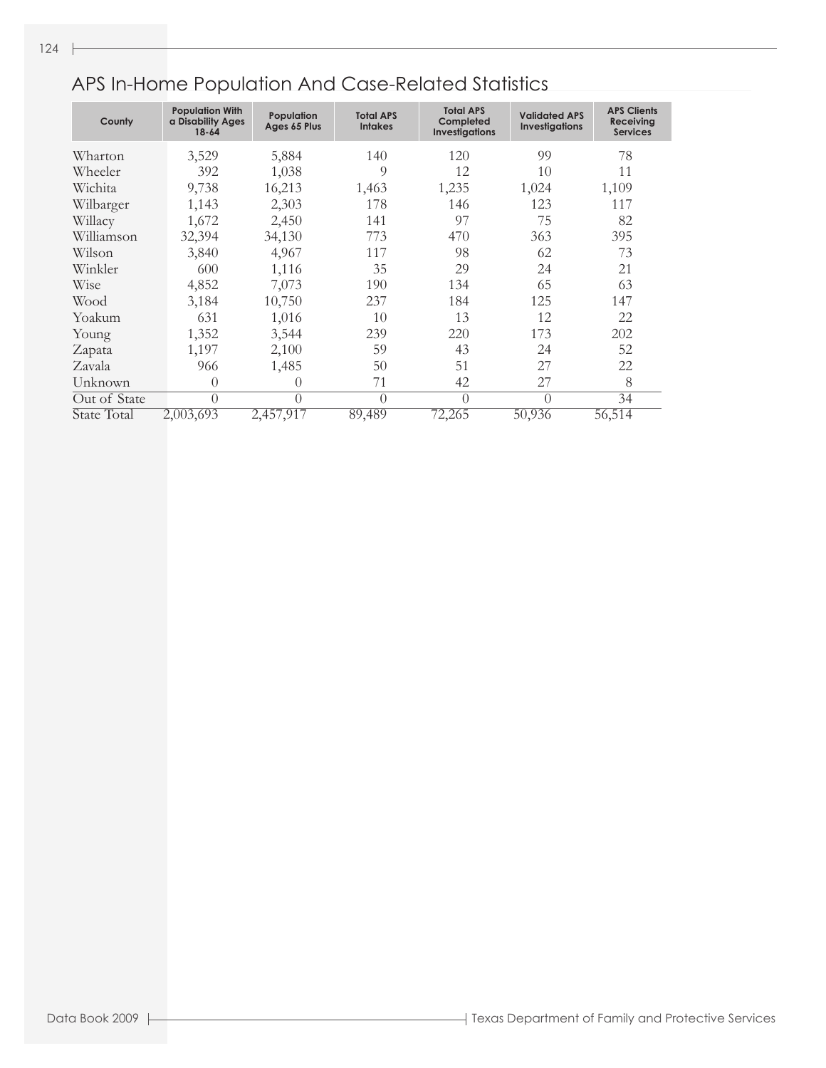| County       | <b>Population With</b><br>a Disability Ages<br>$18 - 64$ | Population<br>Ages 65 Plus | <b>Total APS</b><br><b>Intakes</b> | <b>Total APS</b><br>Completed<br>Investigations | <b>Validated APS</b><br><b>Investigations</b> | <b>APS Clients</b><br><b>Receiving</b><br><b>Services</b> |
|--------------|----------------------------------------------------------|----------------------------|------------------------------------|-------------------------------------------------|-----------------------------------------------|-----------------------------------------------------------|
| Wharton      | 3,529                                                    | 5,884                      | 140                                | 120                                             | 99                                            | 78                                                        |
| Wheeler      | 392                                                      | 1,038                      | 9                                  | 12                                              | 10                                            | 11                                                        |
| Wichita      | 9,738                                                    | 16,213                     | 1,463                              | 1,235                                           | 1,024                                         | 1,109                                                     |
| Wilbarger    | 1,143                                                    | 2,303                      | 178                                | 146                                             | 123                                           | 117                                                       |
| Willacy      | 1,672                                                    | 2,450                      | 141                                | 97                                              | 75                                            | 82                                                        |
| Williamson   | 32,394                                                   | 34,130                     | 773                                | 470                                             | 363                                           | 395                                                       |
| Wilson       | 3,840                                                    | 4,967                      | 117                                | 98                                              | 62                                            | 73                                                        |
| Winkler      | 600                                                      | 1,116                      | 35                                 | 29                                              | 24                                            | 21                                                        |
| Wise         | 4,852                                                    | 7,073                      | 190                                | 134                                             | 65                                            | 63                                                        |
| Wood         | 3,184                                                    | 10,750                     | 237                                | 184                                             | 125                                           | 147                                                       |
| Yoakum       | 631                                                      | 1,016                      | 10                                 | 13                                              | 12                                            | 22                                                        |
| Young        | 1,352                                                    | 3,544                      | 239                                | 220                                             | 173                                           | 202                                                       |
| Zapata       | 1,197                                                    | 2,100                      | 59                                 | 43                                              | 24                                            | 52                                                        |
| Zavala       | 966                                                      | 1,485                      | 50                                 | 51                                              | 27                                            | 22                                                        |
| Unknown      | 0                                                        | $\Omega$                   | 71                                 | 42                                              | 27                                            | 8                                                         |
| Out of State | $\Omega$                                                 | $\bigcap$                  | $\bigcap$                          | $\Omega$                                        | $\bigcap$                                     | 34                                                        |
| State Total  | 2,003,693                                                | 2,457,917                  | 89,489                             | 72,265                                          | 50,936                                        | 56,514                                                    |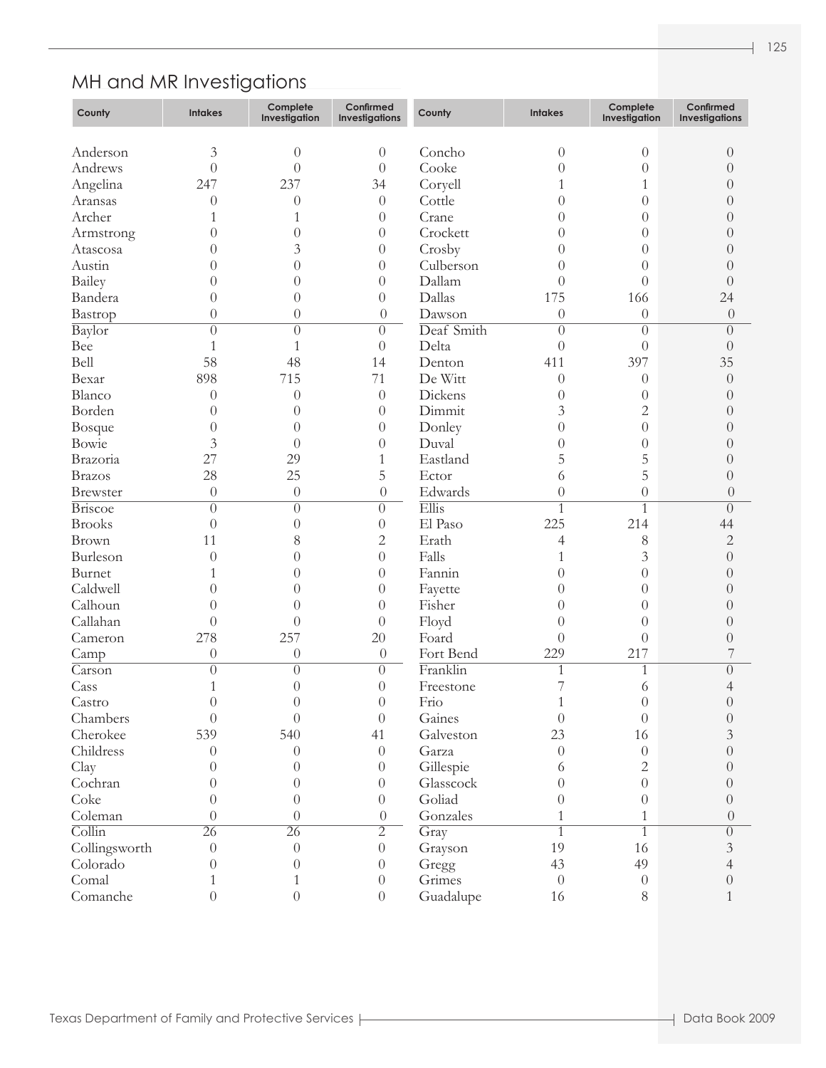# MH and MR Investigations

| County                     | <b>Intakes</b>      | Complete<br>Investigation | Confirmed<br>Investigations | County     | <b>Intakes</b>       | Complete<br>Investigation | Confirmed<br>Investigations |
|----------------------------|---------------------|---------------------------|-----------------------------|------------|----------------------|---------------------------|-----------------------------|
|                            | $\mathfrak{Z}$      | $\theta$                  |                             | Concho     |                      | $\theta$                  | $\theta$                    |
| Anderson<br>Andrews        | $\overline{0}$      | $\theta$                  | $\theta$<br>$\theta$        | Cooke      | $\theta$<br>$\theta$ | $\overline{0}$            | $\left( \right)$            |
|                            |                     | 237                       |                             |            |                      |                           |                             |
| Angelina                   | 247                 |                           | 34                          | Coryell    |                      | $\mathbf{1}$              | $\Omega$                    |
| Aransas                    | $\theta$            | $\theta$                  | $\theta$                    | Cottle     | 0                    | $\overline{0}$            | 0                           |
| Archer                     |                     | 1                         | $\theta$                    | Crane      | $\theta$             | $\overline{0}$            | 0                           |
| Armstrong                  | 0                   | $\overline{0}$            | $\theta$                    | Crockett   | $\theta$             | $\overline{0}$            | 0                           |
| Atascosa                   | 0                   | 3                         | $\theta$                    | Crosby     | $\overline{0}$       | $\overline{0}$            | 0                           |
| Austin                     | 0                   | $\theta$                  | $\theta$                    | Culberson  | $\overline{0}$       | $\theta$                  | $\Omega$                    |
| Bailey                     | 0                   | $\theta$                  | $\theta$                    | Dallam     | $\overline{0}$       | $\overline{0}$            | $\theta$                    |
| Bandera                    | 0                   | $\theta$                  | $\theta$                    | Dallas     | 175                  | 166                       | 24                          |
| Bastrop                    | $\boldsymbol{0}$    | $\theta$                  | $\theta$                    | Dawson     | $\theta$             | $\theta$                  | $\theta$                    |
| Baylor                     | $\theta$            | $\left( \right)$          | $\theta$                    | Deaf Smith | $\overline{0}$       | $\overline{0}$            | $\Omega$                    |
| Bee                        | 1                   | 1                         | $\theta$                    | Delta      | $\theta$             | $\overline{0}$            | $\overline{0}$              |
| Bell                       | 58                  | 48                        | 14                          | Denton     | 411                  | 397                       | 35                          |
| Bexar                      | 898                 | 715                       | 71                          | De Witt    | $\theta$             | $\theta$                  | $\theta$                    |
| Blanco                     | $\theta$            | $\theta$                  | $\theta$                    | Dickens    | $\overline{0}$       | $\theta$                  | $\left( \right)$            |
| Borden                     | 0                   | $\theta$                  | $\theta$                    | Dimmit     | 3                    | $\overline{c}$            | $\left( \right)$            |
| Bosque                     | 0                   | $\theta$                  | $\theta$                    | Donley     | $\overline{0}$       | $\overline{0}$            | 0                           |
| Bowie                      | 3                   | $\theta$                  | $\theta$                    | Duval      | $\overline{0}$       | $\overline{0}$            | 0                           |
| Brazoria                   | 27                  | 29                        | 1                           | Eastland   | 5                    | 5                         | $\left( \right)$            |
| <b>Brazos</b>              | 28                  | 25                        | 5                           | Ector      | 6                    | 5                         | $\theta$                    |
| <b>Brewster</b>            | $\theta$            | $\theta$                  | $\theta$                    | Edwards    | $\theta$             | $\overline{0}$            | $\overline{0}$              |
| <b>Briscoe</b>             | $\theta$            | $\overline{0}$            | $\theta$                    | Ellis      | $\overline{1}$       | $\mathbf{1}$              | $\Omega$                    |
| <b>Brooks</b>              | $\theta$            | $\overline{0}$            | $\theta$                    | El Paso    | 225                  | 214                       | 44                          |
| Brown                      | 11                  | 8                         | 2                           | Erath      | 4                    | 8                         | $\sqrt{2}$                  |
| Burleson                   | $\left( \right)$    | $\overline{0}$            | $\theta$                    | Falls      |                      | 3                         | $\overline{0}$              |
| Burnet                     |                     | $\overline{0}$            | $\theta$                    | Fannin     | $\overline{0}$       | $\overline{0}$            | $\overline{0}$              |
| Caldwell                   |                     | $\theta$                  | $\theta$                    | Fayette    | $\overline{0}$       | $\overline{0}$            | $\theta$                    |
| Calhoun                    | 0                   | $\theta$                  | $\theta$                    | Fisher     | $\overline{0}$       | $\theta$                  | $\left( \right)$            |
| Callahan                   | $\theta$            | $\left( \right)$          | $\theta$                    | Floyd      | $\overline{0}$       | $\overline{0}$            | $\left( \right)$            |
| Cameron                    | 278                 | 257                       | 20                          | Foard      | $\theta$             | $\theta$                  | $\theta$                    |
| Camp                       | $\theta$            | $\theta$                  | $\theta$                    | Fort Bend  | 229                  | 217                       | 7                           |
| $\overline{\text{Carson}}$ | $\theta$            | $\overline{0}$            | $\theta$                    | Franklin   | 1                    | 1                         | $\overline{0}$              |
| Cass                       |                     | $\overline{0}$            | $\theta$                    | Freestone  | 7                    | 6                         | 4                           |
| Castro                     | $\theta$            | $\theta$                  | $\boldsymbol{0}$            | Frio       | $\mathbf{1}$         | $\boldsymbol{0}$          | $\sqrt{a}$                  |
| Chambers                   | $\left( \right)$    | $\theta$                  | $\theta$                    | Gaines     | $\theta$             | $\overline{0}$            | $\sqrt{a}$                  |
| Cherokee                   | 539                 | 540                       | 41                          | Galveston  | 23                   | 16                        | 3                           |
| Childress                  | $\Omega$            | $\theta$                  | $\theta$                    | Garza      | $\theta$             | $\overline{0}$            | $\overline{0}$              |
| Clay                       | $\Omega$            | $\left( \right)$          | $\theta$                    | Gillespie  | 6                    | $\mathbf{2}$              | $\Omega$                    |
| Cochran                    | $\theta$            | $\theta$                  | $\theta$                    | Glasscock  | $\theta$             | $\overline{0}$            | 0                           |
| Coke                       | $\theta$            | $\theta$                  | $\boldsymbol{0}$            | Goliad     | $\theta$             | $\theta$                  | $\theta$                    |
| Coleman                    | $\left( \right)$    | $\theta$                  | $\theta$                    | Gonzales   | 1                    | $\mathbf{1}$              | $\overline{0}$              |
| $\overline{\text{Collin}}$ | $\overline{26}$     | $\overline{26}$           | $\overline{2}$              | Gray       | 1                    | 1                         | $\overline{0}$              |
| Collingsworth              | $\theta$            | $\theta$                  | $\boldsymbol{0}$            | Grayson    | 19                   | 16                        | $\mathfrak{Z}$              |
| Colorado                   | $\theta$            | $\overline{0}$            | $\theta$                    | Gregg      | 43                   | 49                        | 4                           |
| Comal                      |                     | 1                         | $\boldsymbol{0}$            | Grimes     | $\theta$             | $\boldsymbol{0}$          | $\theta$                    |
|                            | 1<br>$\overline{0}$ | $\theta$                  |                             |            |                      |                           |                             |
| Comanche                   |                     |                           | $\boldsymbol{0}$            | Guadalupe  | 16                   | $8\,$                     | $\mathbf{1}$                |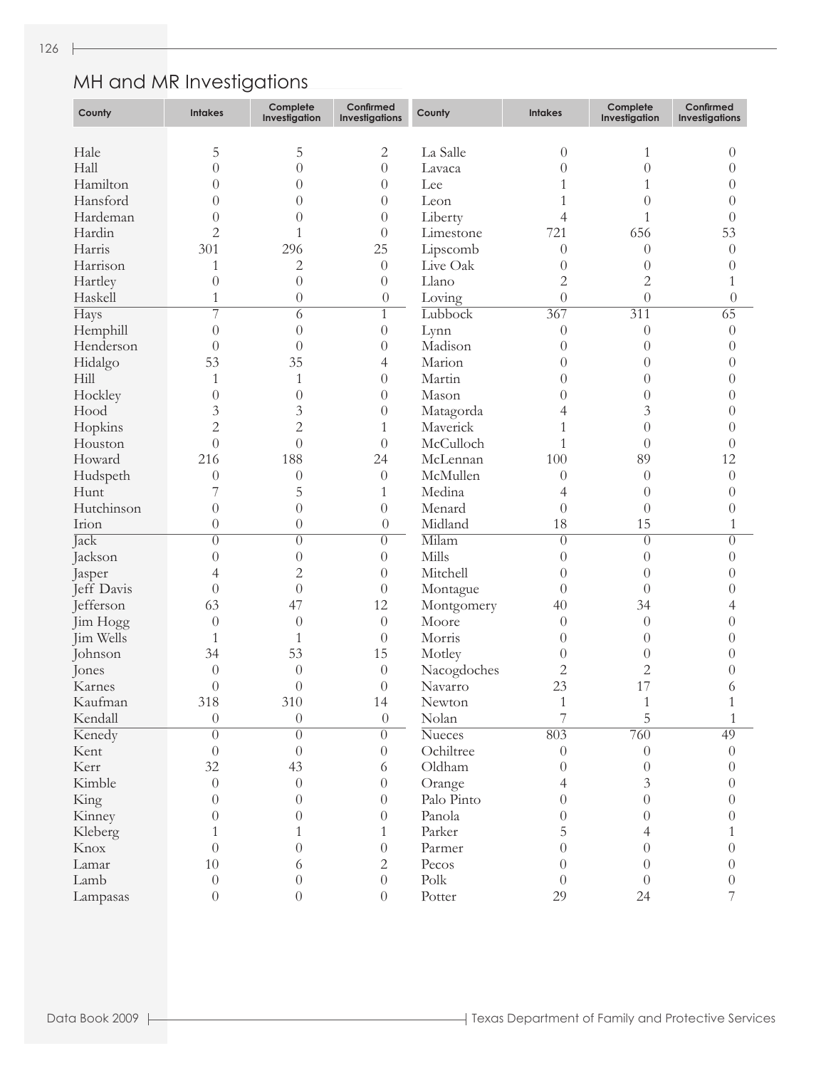### MH and MR Investigations

| County     | <b>Intakes</b>             | Complete<br>Investigation    | Confirmed<br>Investigations | County                 | <b>Intakes</b>   | Complete<br>Investigation | Confirmed<br><b>Investigations</b> |
|------------|----------------------------|------------------------------|-----------------------------|------------------------|------------------|---------------------------|------------------------------------|
| Hale       | 5                          | 5                            | $\mathbf{2}$                | La Salle               | $\theta$         | 1                         | $\Omega$                           |
| Hall       | $\overline{0}$             | $\overline{0}$               | $\theta$                    | Lavaca                 | $\theta$         | $\overline{0}$            | 0                                  |
| Hamilton   |                            |                              |                             |                        |                  |                           |                                    |
| Hansford   | $\overline{0}$             | $\overline{0}$               | $\theta$                    | Lee                    |                  | 1                         | $\theta$                           |
|            | $\overline{0}$             | $\theta$                     | $\theta$                    | Leon                   |                  | 0                         | $\left( \right)$                   |
| Hardeman   | $\overline{0}$             | $\left( \right)$             | $\theta$                    | Liberty                | 4                | 1                         | 0                                  |
| Hardin     | $\overline{c}$             | 1                            | $\overline{0}$              | Limestone              | 721              | 656                       | 53                                 |
| Harris     | 301                        | 296                          | 25                          | Lipscomb               | $\theta$         | $\overline{0}$            | $\theta$                           |
| Harrison   | 1                          | $\mathbf{2}$                 | $\theta$                    | Live Oak               | $\theta$         | $\left( \right)$          | $\Omega$                           |
| Hartley    | $\overline{0}$             | $\overline{0}$               | $\overline{0}$              | Llano                  | $\overline{c}$   | $\overline{c}$            |                                    |
| Haskell    | 1                          | $\theta$                     | $\theta$                    | Loving                 | $\overline{0}$   | $\overline{0}$            | $\theta$                           |
| Hays       | 7                          | 6                            | $\mathbf{1}$                | Lubbock                | 367              | 311                       | $\overline{65}$                    |
| Hemphill   | $\overline{0}$             | $\overline{0}$               | $\theta$                    | Lynn                   | $\theta$         | $\overline{0}$            | $\overline{0}$                     |
| Henderson  | $\overline{0}$             | $\overline{0}$               | $\theta$                    | Madison                | $\theta$         | $\theta$                  | $\theta$                           |
| Hidalgo    | 53                         | 35                           | 4                           | Marion                 | $\theta$         | $\theta$                  | 0                                  |
| Hill       | 1                          | 1                            | $\theta$                    | Martin                 | $\theta$         | $\theta$                  | 0                                  |
| Hockley    | $\boldsymbol{0}$           | $\overline{0}$               | $\theta$                    | Mason                  | $\theta$         | $\overline{0}$            | 0                                  |
| Hood       | 3                          | 3                            | $\theta$                    | Matagorda              | 4                | 3                         | 0                                  |
| Hopkins    | $\overline{c}$             | $\overline{2}$               | 1                           | Maverick               | 1                | $\theta$                  | 0                                  |
| Houston    | $\overline{0}$             | $\theta$                     | $\theta$                    | McCulloch              | 1                | $\theta$                  | 0                                  |
| Howard     | 216                        | 188                          | 24                          | McLennan               | 100              | 89                        | 12                                 |
| Hudspeth   | $\theta$                   | $\theta$                     | $\theta$                    | McMullen               | $\theta$         | $\theta$                  | $\theta$                           |
| Hunt       | 7                          | 5                            | 1                           | Medina                 | 4                | $\theta$                  | $\theta$                           |
| Hutchinson | $\overline{0}$             | $\theta$                     | $\theta$                    | Menard                 | $\theta$         | $\overline{0}$            | $\left( \right)$                   |
| Irion      | $\theta$                   | $\theta$                     | $\theta$                    | Midland                | 18               | 15                        | 1                                  |
| Jack       | $\overline{0}$             | $\overline{0}$               | $\overline{0}$              | Milam                  | $\overline{0}$   | $\theta$                  | $\theta$                           |
| Jackson    | $\boldsymbol{0}$           | $\theta$                     | $\theta$                    | Mills                  | $\overline{0}$   | $\overline{0}$            | $\theta$                           |
| Jasper     | 4                          | $\overline{2}$               | $\theta$                    | Mitchell               | $\overline{0}$   | $\theta$                  | $\theta$                           |
| Jeff Davis | $\overline{0}$             | $\theta$                     | $\theta$                    | Montague               | $\overline{0}$   | $\Omega$                  | 0                                  |
| Jefferson  | 63                         | 47                           | 12                          | Montgomery             | 40               | 34                        |                                    |
| Jim Hogg   | $\overline{0}$             | $\overline{0}$               | $\theta$                    | Moore                  | $\overline{0}$   | $\theta$                  | 0                                  |
| Jim Wells  | 1                          | 1                            | $\theta$                    | Morris                 | $\overline{0}$   | $\theta$                  | 0                                  |
| Johnson    | 34                         | 53                           | 15                          | Motley                 | $\overline{0}$   | $\theta$                  | 0                                  |
| Jones      | $\theta$                   | $\theta$                     | $\theta$                    |                        | $\overline{c}$   | $\overline{c}$            | 0                                  |
| Karnes     | $\theta$                   | $\theta$                     | $\theta$                    | Nacogdoches<br>Navarro | 23               | 17                        |                                    |
| Kaufman    | 318                        | 310                          | 14                          |                        | 1                |                           | 6                                  |
|            |                            |                              |                             | Newton                 | 7                | $\,1\,$                   |                                    |
| Kendall    | $\theta$<br>$\overline{0}$ | $\boldsymbol{0}$<br>$\theta$ | $\theta$<br>$\Omega$        | Nolan                  | 803              | 5<br>760                  | 1<br>49                            |
| Kenedy     |                            |                              |                             | <b>Nueces</b>          |                  |                           |                                    |
| Kent       | $\theta$                   | $\theta$                     | $\theta$                    | Ochiltree              | $\theta$         | $\overline{0}$            | $\theta$                           |
| Kerr       | 32                         | 43                           | 6                           | Oldham                 | $\left( \right)$ | $\theta$                  | $\theta$                           |
| Kimble     | $\overline{0}$             | $\overline{0}$               | $\theta$                    | Orange                 | 4                | 3                         | 0                                  |
| King       | $\theta$                   | 0                            | $\theta$                    | Palo Pinto             | $\overline{0}$   | $\theta$                  | 0                                  |
| Kinney     | 0                          | 0                            | $\theta$                    | Panola                 | $\Omega$         | 0                         | 0                                  |
| Kleberg    |                            | 1                            | 1                           | Parker                 | 5                | 4                         |                                    |
| Knox       | $\theta$                   | $\theta$                     | $\theta$                    | Parmer                 | 0                | 0                         | 0                                  |
| Lamar      | 10                         | 6                            | 2                           | Pecos                  | $\theta$         | $\theta$                  | 0                                  |
| Lamb       | $\theta$                   | 0                            | $\overline{0}$              | Polk                   | $\theta$         | $\Omega$                  | $\theta$                           |
| Lampasas   | $\boldsymbol{0}$           | $\theta$                     | $\boldsymbol{0}$            | Potter                 | 29               | 24                        |                                    |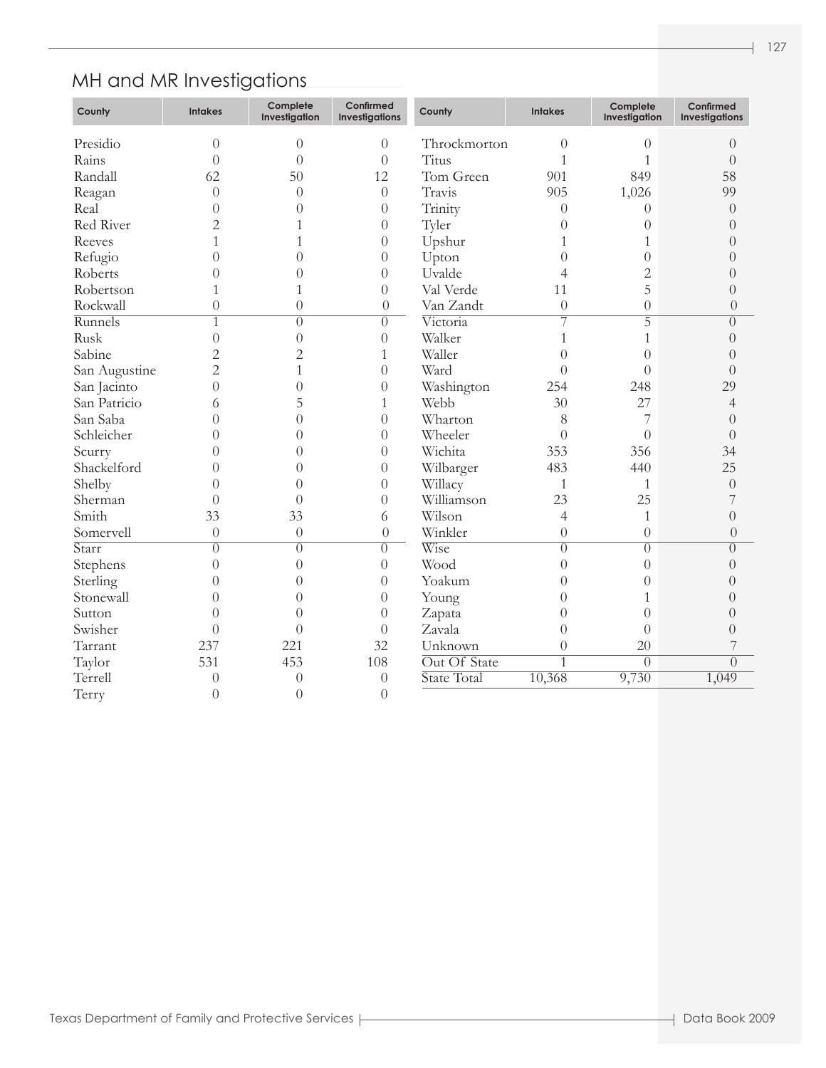# MH and MR Investigations

| County        | <b>Intakes</b> | Complete<br>Investigation | Confirmed<br><b>Investigations</b> | County       | <b>Intakes</b> | Complete<br>Investigation | Confirmed<br><b>Investigations</b> |
|---------------|----------------|---------------------------|------------------------------------|--------------|----------------|---------------------------|------------------------------------|
| Presidio      | $\theta$       | $\theta$                  | $\theta$                           | Throckmorton | $\theta$       | $\theta$                  | $\theta$                           |
| Rains         | $\overline{0}$ | $\overline{0}$            | $\theta$                           | Titus        | $\mathbf{1}$   | $\mathbf{1}$              | $\theta$                           |
| Randall       | 62             | 50                        | 12                                 | Tom Green    | 901            | 849                       | 58                                 |
| Reagan        | $\theta$       | $\theta$                  | $\theta$                           | Travis       | 905            | 1,026                     | 99                                 |
| Real          | $\overline{0}$ | $\theta$                  | $\theta$                           | Trinity      | $\theta$       | $\theta$                  | $\theta$                           |
| Red River     | $\overline{2}$ | 1                         | $\theta$                           | Tyler        | $\overline{0}$ | $\theta$                  | $\overline{0}$                     |
| Reeves        | $\mathbf{1}$   | 1                         | $\theta$                           | Upshur       | 1              | $\mathbf{1}$              | $\overline{0}$                     |
| Refugio       | $\overline{0}$ | $\theta$                  | $\theta$                           | Upton        | $\overline{0}$ | $\overline{0}$            | $\overline{0}$                     |
| Roberts       | $\overline{0}$ | $\overline{0}$            | $\theta$                           | Uvalde       | 4              | $\overline{2}$            | $\overline{0}$                     |
| Robertson     | 1              | 1                         | $\theta$                           | Val Verde    | 11             | 5                         | $\overline{0}$                     |
| Rockwall      | $\overline{0}$ | $\overline{0}$            | $\boldsymbol{0}$                   | Van Zandt    | $\overline{0}$ | $\overline{0}$            | $\overline{0}$                     |
| Runnels       | 1              | $\overline{0}$            | $\overline{0}$                     | Victoria     | $\overline{7}$ | $\overline{5}$            | $\overline{0}$                     |
| Rusk          | $\overline{0}$ | $\overline{0}$            | $\theta$                           | Walker       | $\mathbf{1}$   | $\mathbf{1}$              | $\overline{0}$                     |
| Sabine        | $\overline{2}$ | $\overline{2}$            | $\mathbf{1}$                       | Waller       | $\overline{0}$ | $\overline{0}$            | $\overline{0}$                     |
| San Augustine | $\overline{2}$ | 1                         | $\overline{0}$                     | Ward         | $\overline{0}$ | $\overline{0}$            | $\overline{0}$                     |
| San Jacinto   | $\overline{0}$ | $\overline{0}$            | $\theta$                           | Washington   | 254            | 248                       | 29                                 |
| San Patricio  | 6              | 5                         | $\mathbf{1}$                       | Webb         | 30             | 27                        | 4                                  |
| San Saba      | $\overline{0}$ | $\overline{0}$            | $\theta$                           | Wharton      | 8              | 7                         | $\overline{0}$                     |
| Schleicher    | $\overline{0}$ | $\overline{0}$            | $\theta$                           | Wheeler      | $\overline{0}$ | $\overline{0}$            | $\overline{0}$                     |
| Scurry        | $\overline{0}$ | $\overline{0}$            | $\theta$                           | Wichita      | 353            | 356                       | 34                                 |
| Shackelford   | $\overline{0}$ | $\overline{0}$            | $\theta$                           | Wilbarger    | 483            | 440                       | 25                                 |
| Shelby        | $\overline{0}$ | $\overline{0}$            | $\theta$                           | Willacy      | $\mathbf{1}$   | $\mathbf{1}$              | $\overline{0}$                     |
| Sherman       | $\overline{0}$ | $\overline{0}$            | $\theta$                           | Williamson   | 23             | 25                        | 7                                  |
| Smith         | 33             | 33                        | 6                                  | Wilson       | $\overline{4}$ | $\mathbf{1}$              | $\theta$                           |
| Somervell     | $\overline{0}$ | $\theta$                  | $\theta$                           | Winkler      | $\overline{0}$ | $\overline{0}$            | $\theta$                           |
| Starr         | $\overline{0}$ | $\overline{0}$            | $\overline{0}$                     | Wise         | $\overline{0}$ | $\overline{0}$            | $\overline{0}$                     |
| Stephens      | $\overline{0}$ | $\overline{0}$            | $\theta$                           | Wood         | $\overline{0}$ | $\theta$                  | $\overline{0}$                     |
| Sterling      | $\theta$       | $\overline{0}$            | $\theta$                           | Yoakum       | $\overline{0}$ | $\overline{0}$            | $\overline{0}$                     |
| Stonewall     | $\overline{0}$ | $\overline{0}$            | $\theta$                           | Young        | $\overline{0}$ | $\mathbf{1}$              | $\overline{0}$                     |
| Sutton        | $\theta$       | $\overline{0}$            | $\theta$                           | Zapata       | $\overline{0}$ | $\overline{0}$            | $\overline{0}$                     |
| Swisher       | $\theta$       | $\overline{0}$            | $\overline{0}$                     | Zavala       | $\overline{0}$ | $\overline{0}$            | $\overline{0}$                     |
| Tarrant       | 237            | 221                       | 32                                 | Unknown      | $\overline{0}$ | 20                        | 7                                  |
| Taylor        | 531            | 453                       | 108                                | Out Of State | $\overline{1}$ | $\overline{0}$            | $\overline{0}$                     |
| Terrell       | $\overline{0}$ | $\overline{0}$            | $\theta$                           | State Total  | 10,368         | 9,730                     | 1,049                              |
| Terry         | $\overline{0}$ | $\overline{0}$            | $\overline{0}$                     |              |                |                           |                                    |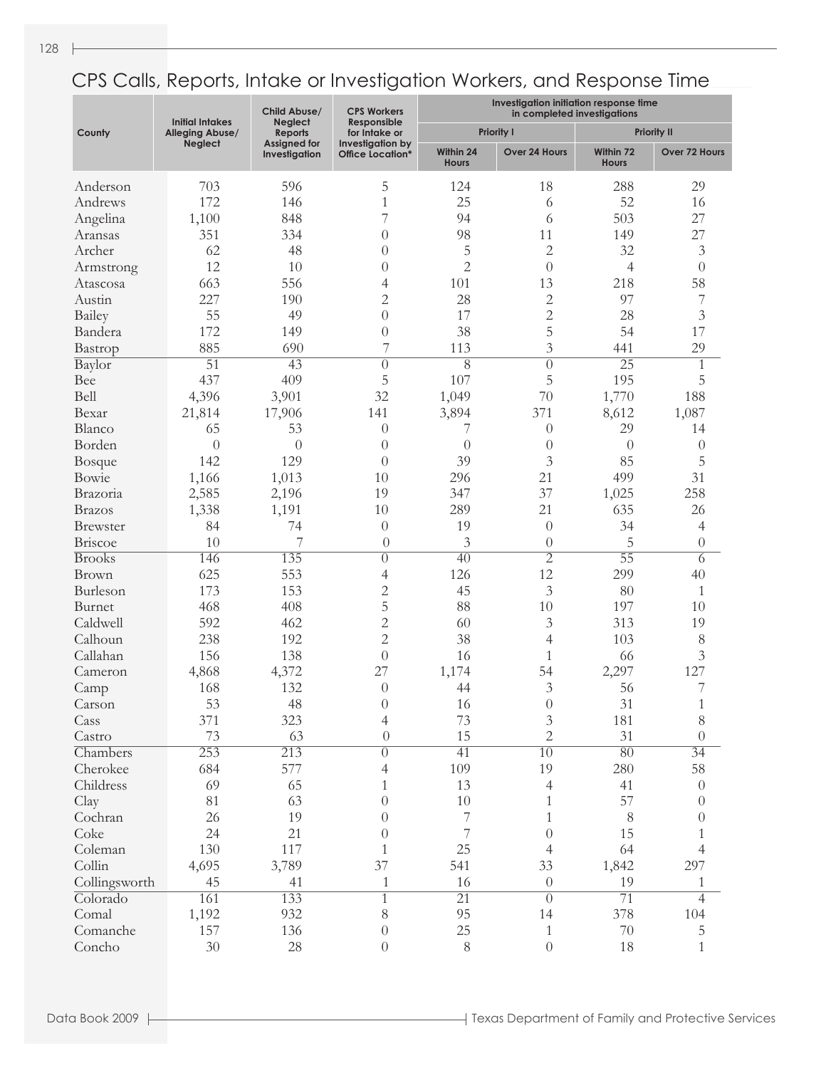|                 | <b>Initial Intakes</b> | Child Abuse/<br><b>Neglect</b> | <b>CPS Workers</b><br>Responsible           | Investigation initiation response time<br>in completed investigations |                      |                           |                    |  |
|-----------------|------------------------|--------------------------------|---------------------------------------------|-----------------------------------------------------------------------|----------------------|---------------------------|--------------------|--|
| County          | Alleging Abuse/        | <b>Reports</b>                 | for Intake or                               |                                                                       | <b>Priority I</b>    |                           | <b>Priority II</b> |  |
|                 | <b>Neglect</b>         | Assigned for<br>Investigation  | Investigation by<br><b>Office Location*</b> | Within 24<br><b>Hours</b>                                             | <b>Over 24 Hours</b> | Within 72<br><b>Hours</b> | Over 72 Hours      |  |
| Anderson        | 703                    | 596                            | 5                                           | 124                                                                   | 18                   | 288                       | 29                 |  |
| Andrews         | 172                    | 146                            | $\mathbf{1}$                                | 25                                                                    | 6                    | 52                        | 16                 |  |
| Angelina        | 1,100                  | 848                            | 7                                           | 94                                                                    | 6                    | 503                       | 27                 |  |
| Aransas         | 351                    | 334                            | $\overline{0}$                              | 98                                                                    | 11                   | 149                       | 27                 |  |
| Archer          | 62                     | 48                             | $\overline{0}$                              | 5                                                                     | $\overline{2}$       | 32                        | $\mathfrak{Z}$     |  |
| Armstrong       | 12                     | 10                             | $\overline{0}$                              | $\mathbf{2}$                                                          | $\theta$             | $\overline{4}$            | $\theta$           |  |
| Atascosa        | 663                    | 556                            | 4                                           | 101                                                                   | 13                   | 218                       | 58                 |  |
| Austin          | 227                    | 190                            | $\overline{2}$                              | 28                                                                    | $\overline{c}$       | 97                        | 7                  |  |
| Bailey          | 55                     | 49                             | $\overline{0}$                              | 17                                                                    | $\overline{2}$       | 28                        | $\mathfrak{Z}$     |  |
| Bandera         | 172                    | 149                            | $\overline{0}$                              | 38                                                                    | 5                    | 54                        | 17                 |  |
| Bastrop         | 885                    | 690                            | 7                                           | 113                                                                   | 3                    | 441                       | 29                 |  |
| Baylor          | $\overline{51}$        | $\overline{43}$                | $\overline{0}$                              | $\overline{8}$                                                        | $\overline{0}$       | $\overline{25}$           | 1                  |  |
| Bee             | 437                    | 409                            | 5                                           | 107                                                                   | 5                    | 195                       | 5                  |  |
| Bell            | 4,396                  | 3,901                          | 32                                          | 1,049                                                                 | 70                   | 1,770                     | 188                |  |
| Bexar           | 21,814                 | 17,906                         | 141                                         | 3,894                                                                 | 371                  | 8,612                     | 1,087              |  |
| Blanco          | 65                     | 53                             | $\theta$                                    |                                                                       | $\theta$             | 29                        | 14                 |  |
|                 | $\overline{0}$         | $\left( \right)$               |                                             | 7                                                                     |                      |                           |                    |  |
| Borden          |                        |                                | $\overline{0}$                              | $\theta$                                                              | $\theta$             | $\theta$                  | $\theta$           |  |
| <b>Bosque</b>   | 142                    | 129                            | $\overline{0}$                              | 39                                                                    | 3                    | 85                        | $\overline{5}$     |  |
| Bowie           | 1,166                  | 1,013                          | 10                                          | 296                                                                   | 21                   | 499                       | 31                 |  |
| Brazoria        | 2,585                  | 2,196                          | 19                                          | 347                                                                   | 37                   | 1,025                     | 258                |  |
| <b>Brazos</b>   | 1,338                  | 1,191                          | 10                                          | 289                                                                   | 21                   | 635                       | 26                 |  |
| <b>Brewster</b> | 84                     | 74                             | $\overline{0}$                              | 19                                                                    | $\theta$             | 34                        | $\overline{4}$     |  |
| Briscoe         | 10                     | 7                              | $\theta$                                    | 3                                                                     | $\theta$             | 5                         | $\theta$           |  |
| <b>Brooks</b>   | 146                    | 135                            | $\overline{0}$                              | 40                                                                    | $\overline{2}$       | $\overline{55}$           | 6                  |  |
| Brown           | 625                    | 553                            | 4                                           | 126                                                                   | 12                   | 299                       | 40                 |  |
| Burleson        | 173                    | 153                            | $\overline{c}$                              | 45                                                                    | 3                    | 80                        | $\mathbf{1}$       |  |
| Burnet          | 468                    | 408                            | 5                                           | 88                                                                    | 10                   | 197                       | 10                 |  |
| Caldwell        | 592                    | 462                            | $\overline{c}$                              | 60                                                                    | 3                    | 313                       | 19                 |  |
| Calhoun         | 238                    | 192                            | $\overline{c}$                              | 38                                                                    | $\overline{4}$       | 103                       | 8                  |  |
| Callahan        | 156                    | 138                            | $\overline{0}$                              | 16                                                                    | $\mathbf{1}$         | 66                        | 3                  |  |
| Cameron         | 4,868                  | 4,372                          | 27                                          | 1,174                                                                 | 54                   | 2,297                     | 127                |  |
| Camp            | 168                    | 132                            | $\overline{0}$                              | 44                                                                    | 3                    | 56                        | 7                  |  |
| Carson          | 53                     | 48                             | $\overline{0}$                              | 16                                                                    | $\theta$             | 31                        | 1                  |  |
| Cass            | 371                    | 323                            | 4                                           | 73                                                                    | $\mathfrak{Z}$       | 181                       | $8\,$              |  |
| Castro          | 73                     | 63                             | $\theta$                                    | 15                                                                    | $\overline{2}$       | 31                        | $\overline{0}$     |  |
| Chambers        | $\overline{253}$       | $\overline{213}$               | $\overline{0}$                              | 41                                                                    | $\overline{10}$      | $\overline{80}$           | $\overline{34}$    |  |
| Cherokee        | 684                    | 577                            | 4                                           | 109                                                                   | 19                   | 280                       | 58                 |  |
| Childress       | 69                     | 65                             | 1                                           | 13                                                                    | $\overline{4}$       | 41                        | $\boldsymbol{0}$   |  |
| Clay            | 81                     | 63                             | $\theta$                                    | $10\,$                                                                | 1                    | 57                        | $\theta$           |  |
| Cochran         | 26                     | 19                             | $\theta$                                    | 7                                                                     | 1                    | 8                         | $\theta$           |  |
| Coke            | 24                     | 21                             | $\overline{0}$                              | 7                                                                     | $\theta$             | 15                        | 1                  |  |
| Coleman         | 130                    | 117                            | 1                                           | 25                                                                    | $\overline{4}$       | 64                        | 4                  |  |
| Collin          | 4,695                  | 3,789                          | 37                                          | 541                                                                   | 33                   | 1,842                     | 297                |  |
| Collingsworth   | 45                     | 41                             | $\mathbf{1}$                                | 16                                                                    | $\theta$             | 19                        | 1                  |  |
| Colorado        | 161                    | 133                            | $\mathbf{1}$                                | $\overline{21}$                                                       | $\overline{0}$       | $\overline{71}$           | 4                  |  |
| Comal           | 1,192                  | 932                            | 8                                           | 95                                                                    | 14                   | 378                       | 104                |  |
| Comanche        | 157                    | 136                            | $\theta$                                    | $25\,$                                                                | $\mathbf{1}$         | $70\,$                    | $\mathbf 5$        |  |
| Concho          | 30                     | 28                             | $\theta$                                    | $8\,$                                                                 | $\boldsymbol{0}$     | 18                        | $\mathbf{1}$       |  |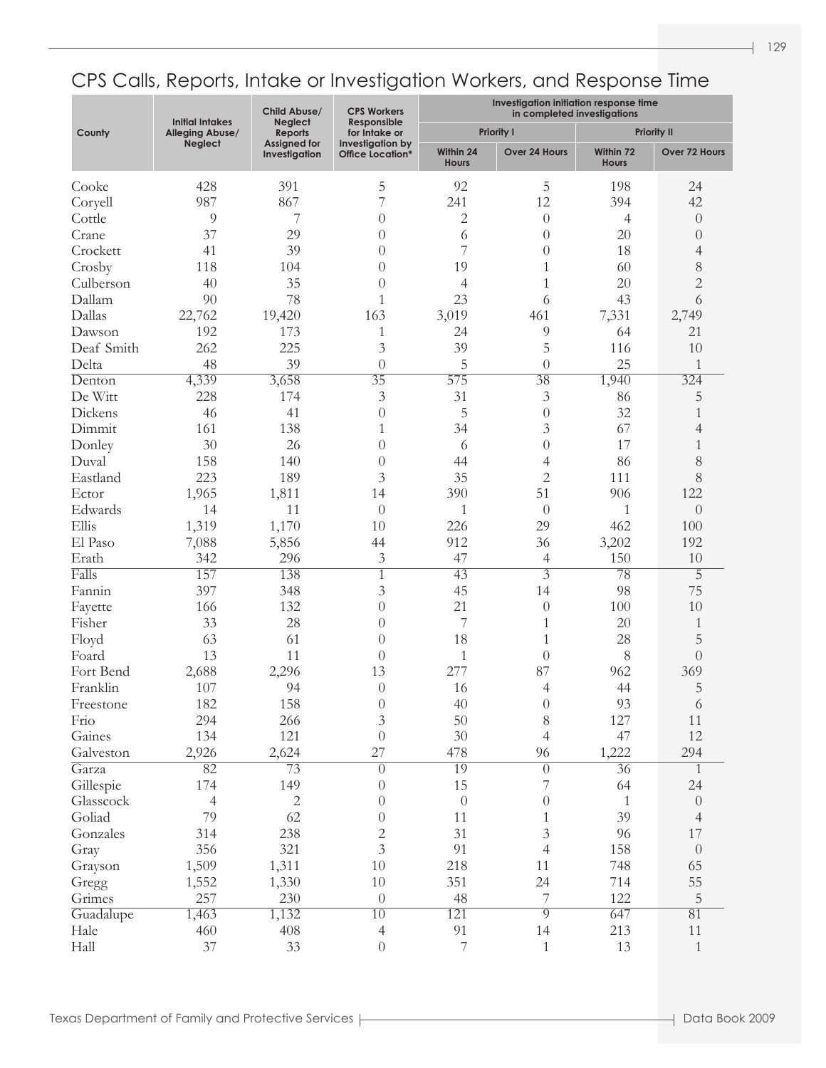|                | <b>Initial Intakes</b> | Child Abuse/<br><b>Neglect</b>       | <b>CPS Workers</b><br>Responsible    | Investigation initiation response time<br>in completed investigations |                                  |                           |                    |  |
|----------------|------------------------|--------------------------------------|--------------------------------------|-----------------------------------------------------------------------|----------------------------------|---------------------------|--------------------|--|
| County         | <b>Alleging Abuse/</b> | Reports                              | for Intake or                        |                                                                       | <b>Priority I</b>                |                           | <b>Priority II</b> |  |
|                | <b>Neglect</b>         | <b>Assigned for</b><br>Investigation | Investigation by<br>Office Location* | Within 24<br><b>Hours</b>                                             | Over 24 Hours                    | Within 72<br><b>Hours</b> | Over 72 Hours      |  |
| Cooke          | 428                    | 391                                  | 5                                    | 92                                                                    | 5                                | 198                       | 24                 |  |
| Coryell        | 987                    | 867                                  | 7                                    | 241                                                                   | 12                               | 394                       | 42                 |  |
| Cottle         | $\overline{9}$         | 7                                    | $\theta$                             | $\mathbf{2}$                                                          | $\theta$                         | 4                         | $\theta$           |  |
| Crane          | 37                     | 29                                   | $\theta$                             | 6                                                                     | $\theta$                         | 20                        | $\theta$           |  |
| Crockett       | 41                     | 39                                   | 0                                    | 7                                                                     | $\theta$                         | 18                        | 4                  |  |
| Crosby         | 118                    | 104                                  | 0                                    | 19                                                                    | 1                                | 60                        | 8                  |  |
| Culberson      | 40                     | 35                                   | 0                                    | 4                                                                     | 1                                | 20                        | $\sqrt{2}$         |  |
| Dallam         | 90                     | 78                                   | 1                                    | 23                                                                    | 6                                | 43                        | 6                  |  |
| Dallas         | 22,762                 | 19,420                               | 163                                  | 3,019                                                                 | 461                              | 7,331                     | 2,749              |  |
| Dawson         | 192                    | 173                                  | $\mathbf{1}$                         | 24                                                                    | 9                                | 64                        | 21                 |  |
| Deaf Smith     | 262                    | 225                                  | 3                                    | 39                                                                    | 5                                | 116                       | 10                 |  |
| Delta          | 48                     | 39                                   | $\overline{0}$                       | 5                                                                     | $\overline{0}$                   | 25                        | 1                  |  |
| Denton         | 4,339                  | 3,658                                | $\overline{35}$                      | 575                                                                   | $\overline{38}$                  | 1,940                     | 324                |  |
| De Witt        | 228                    | 174                                  | 3                                    | 31                                                                    | 3                                | 86                        | 5                  |  |
| Dickens        | 46                     | 41                                   | $\theta$                             | 5                                                                     | $\theta$                         | 32                        | 1                  |  |
| Dimmit         | 161                    | 138                                  | 1                                    | 34                                                                    | 3                                | 67                        | 4                  |  |
| Donley         | 30                     | 26                                   | $\theta$                             | 6                                                                     | $\overline{0}$                   | 17                        | 1                  |  |
| Duval          | 158                    | 140                                  | $\theta$                             | 44                                                                    | 4                                | 86                        | 8                  |  |
| Eastland       | 223                    | 189                                  | 3                                    | 35                                                                    | $\overline{2}$                   | 111                       | 8                  |  |
|                |                        |                                      |                                      | 390                                                                   | 51                               | 906                       | 122                |  |
| Ector          | 1,965                  | 1,811                                | 14                                   |                                                                       |                                  |                           |                    |  |
| Edwards        | 14                     | 11                                   | $\theta$                             | $\mathbf{1}$                                                          | $\theta$                         | 1                         | $\overline{0}$     |  |
| Ellis          | 1,319                  | 1,170                                | 10                                   | 226                                                                   | 29                               | 462                       | 100                |  |
| El Paso        | 7,088                  | 5,856                                | 44                                   | 912<br>47                                                             | 36                               | 3,202<br>150              | 192                |  |
| Erath<br>Falls | 342<br>157             | 296                                  | 3<br>$\overline{1}$                  |                                                                       | $\overline{4}$<br>$\overline{3}$ |                           | 10                 |  |
|                | 397                    | 138                                  |                                      | $\overline{43}$                                                       | 14                               | $\overline{78}$<br>98     | 5<br>75            |  |
| Fannin         |                        | 348                                  | $\overline{3}$                       | 45<br>21                                                              |                                  |                           |                    |  |
| Fayette        | 166                    | 132                                  | $\theta$                             |                                                                       | $\theta$                         | 100                       | 10                 |  |
| Fisher         | 33                     | 28                                   | $\theta$                             | 7                                                                     | 1                                | 20                        | 1                  |  |
| Floyd          | 63                     | 61                                   | $\theta$                             | 18                                                                    | 1                                | 28                        | 5                  |  |
| Foard          | 13                     | 11                                   | $\theta$                             | $\mathbf{1}$                                                          | $\overline{0}$                   | 8                         | $\overline{0}$     |  |
| Fort Bend      | 2,688                  | 2,296                                | 13                                   | 277                                                                   | 87                               | 962                       | 369                |  |
| Franklin       | 107                    | 94                                   | $\theta$                             | 16                                                                    | 4                                | 44                        | 5                  |  |
| Freestone      | 182                    | 158                                  | $\boldsymbol{0}$                     | 40                                                                    | $\boldsymbol{0}$                 | 93                        | $\sqrt{6}$         |  |
| Frio           | 294                    | 266                                  | $\overline{3}$                       | 50                                                                    | $8\,$                            | 127                       | 11                 |  |
| Gaines         | 134                    | 121                                  | $\theta$                             | 30                                                                    | $\overline{4}$                   | 47                        | 12                 |  |
| Galveston      | 2,926                  | 2,624                                | 27                                   | 478                                                                   | 96                               | 1,222                     | 294                |  |
| Garza          | 82                     | $\overline{73}$                      | $\overline{0}$                       | 19                                                                    | $\overline{0}$                   | $\overline{36}$           | 1                  |  |
| Gillespie      | 174                    | 149                                  | $\theta$                             | 15                                                                    | $\overline{7}$                   | 64                        | 24                 |  |
| Glasscock      | $\overline{4}$         | $\sqrt{2}$                           | $\theta$                             | $\boldsymbol{0}$                                                      | $\boldsymbol{0}$                 | 1                         | $\boldsymbol{0}$   |  |
| Goliad         | 79                     | 62                                   | $\theta$                             | 11                                                                    | $\mathbf{1}$                     | 39                        | $\overline{4}$     |  |
| Gonzales       | 314                    | 238                                  | $\overline{2}$                       | 31                                                                    | $\overline{3}$                   | 96                        | 17                 |  |
| Gray           | 356                    | 321                                  | $\overline{3}$                       | 91                                                                    | $\overline{4}$                   | 158                       | $\boldsymbol{0}$   |  |
| Grayson        | 1,509                  | 1,311                                | $10\,$                               | 218                                                                   | 11                               | 748                       | 65                 |  |
| Gregg          | 1,552                  | 1,330                                | 10                                   | 351                                                                   | 24                               | 714                       | 55                 |  |
| Grimes         | 257                    | 230                                  | $\theta$                             | 48                                                                    | $\overline{7}$                   | 122                       | 5                  |  |
| Guadalupe      | 1,463                  | 1,132                                | $\overline{10}$                      | 121                                                                   | $\overline{9}$                   | 647                       | $\overline{81}$    |  |
| Hale           | 460                    | 408                                  | $\overline{4}$                       | 91                                                                    | 14                               | 213                       | 11                 |  |
| Hall           | 37                     | 33                                   | $\boldsymbol{0}$                     | $\overline{\phantom{a}}$                                              | $\mathbf{1}$                     | 13                        | $\mathbf{1}$       |  |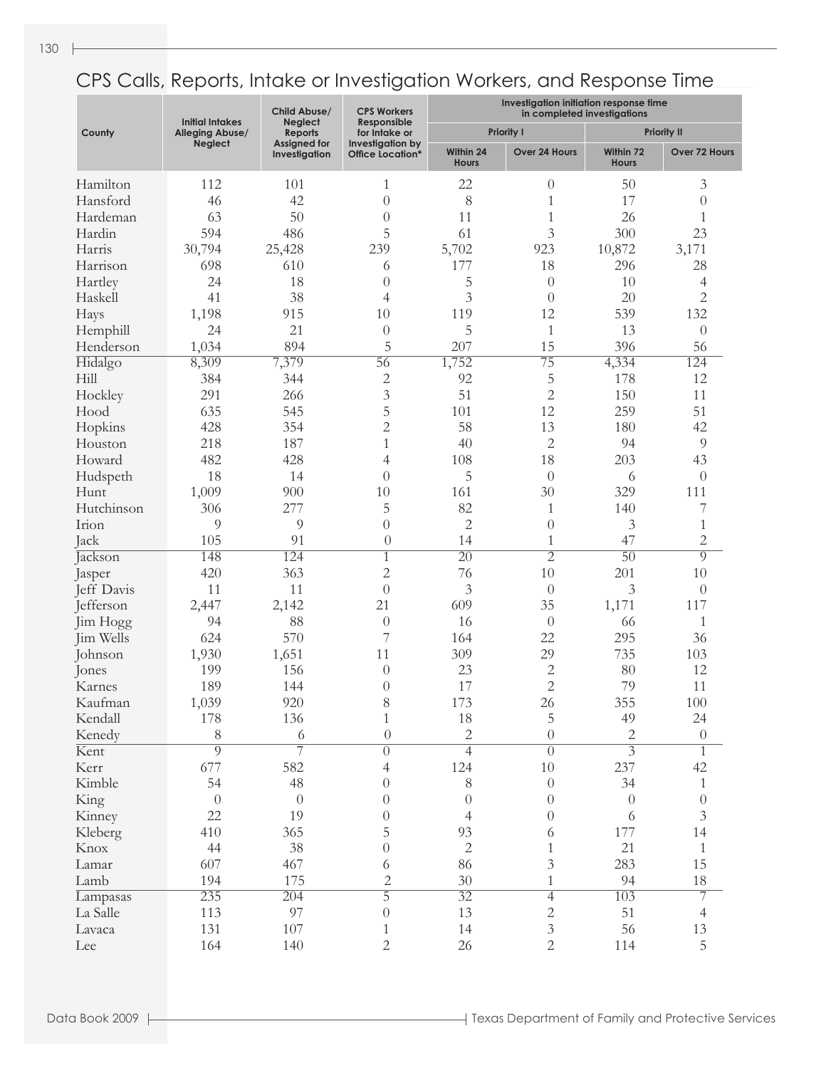|            | <b>Initial Intakes</b> | Child Abuse/<br><b>Neglect</b>       | <b>CPS Workers</b><br>Responsible           | Investigation initiation response time<br>in completed investigations |                             |                           |                    |  |
|------------|------------------------|--------------------------------------|---------------------------------------------|-----------------------------------------------------------------------|-----------------------------|---------------------------|--------------------|--|
| County     | <b>Alleging Abuse/</b> | <b>Reports</b>                       | for Intake or                               |                                                                       | <b>Priority I</b>           |                           | <b>Priority II</b> |  |
|            | <b>Neglect</b>         | <b>Assigned for</b><br>Investigation | Investigation by<br><b>Office Location*</b> | Within 24<br><b>Hours</b>                                             | Over 24 Hours               | Within 72<br><b>Hours</b> | Over 72 Hours      |  |
| Hamilton   | 112                    | 101                                  | 1                                           | 22                                                                    | $\theta$                    | 50                        | 3                  |  |
| Hansford   | 46                     | 42                                   | $\overline{0}$                              | 8                                                                     | $\mathbf{1}$                | 17                        | $\theta$           |  |
| Hardeman   | 63                     | 50                                   | $\overline{0}$                              | 11                                                                    | $\mathbf{1}$                | 26                        | 1                  |  |
| Hardin     | 594                    | 486                                  | 5                                           | 61                                                                    | 3                           | 300                       | 23                 |  |
| Harris     | 30,794                 | 25,428                               | 239                                         | 5,702                                                                 | 923                         | 10,872                    | 3,171              |  |
| Harrison   | 698                    | 610                                  | 6                                           | 177                                                                   | 18                          | 296                       | 28                 |  |
| Hartley    | 24                     | 18                                   | $\overline{0}$                              | 5                                                                     | $\theta$                    | 10                        | 4                  |  |
| Haskell    | 41                     | 38                                   | 4                                           | 3                                                                     | $\theta$                    | 20                        | $\overline{2}$     |  |
| Hays       | 1,198                  | 915                                  | 10                                          | 119                                                                   | 12                          | 539                       | 132                |  |
| Hemphill   | 24                     | 21                                   | $\overline{0}$                              | 5                                                                     | $\mathbf{1}$                | 13                        | $\theta$           |  |
| Henderson  | 1,034                  | 894                                  | 5                                           | 207                                                                   | 15                          | 396                       | 56                 |  |
| Hidalgo    | 8,309                  | 7,379                                | 56                                          | 1,752                                                                 | $\overline{75}$             | 4,334                     | 124                |  |
| Hill       | 384                    | 344                                  | $\overline{2}$                              | 92                                                                    | 5                           | 178                       | 12                 |  |
| Hockley    | 291                    | 266                                  | 3                                           | 51                                                                    | $\overline{2}$              | 150                       | 11                 |  |
| Hood       | 635                    |                                      | 5                                           |                                                                       | 12                          | 259                       | 51                 |  |
|            |                        | 545                                  |                                             | 101                                                                   |                             |                           |                    |  |
| Hopkins    | 428                    | 354                                  | $\overline{2}$                              | 58                                                                    | 13                          | 180                       | 42                 |  |
| Houston    | 218                    | 187                                  | 1                                           | 40                                                                    | $\overline{2}$              | 94                        | 9                  |  |
| Howard     | 482                    | 428                                  | 4                                           | 108                                                                   | 18                          | 203                       | 43                 |  |
| Hudspeth   | 18                     | 14                                   | $\theta$                                    | 5                                                                     | $\theta$                    | 6                         | $\theta$           |  |
| Hunt       | 1,009                  | 900                                  | 10                                          | 161                                                                   | 30                          | 329                       | 111                |  |
| Hutchinson | 306                    | 277                                  | 5                                           | 82                                                                    | 1                           | 140                       | 7                  |  |
| Irion      | 9                      | 9                                    | $\theta$                                    | $\overline{2}$                                                        | $\theta$                    | 3                         | 1                  |  |
| Jack       | 105                    | 91                                   | $\theta$                                    | 14                                                                    | $\mathbf{1}$                | 47                        | $\overline{2}$     |  |
| Jackson    | 148                    | 124                                  | $\mathbf{1}$                                | $\overline{20}$                                                       | $\overline{2}$              | $\overline{50}$           | 9                  |  |
| Jasper     | 420                    | 363                                  | 2                                           | 76                                                                    | 10                          | 201                       | 10                 |  |
| Jeff Davis | 11                     | 11                                   | $\overline{0}$                              | $\overline{3}$                                                        | $\overline{0}$              | 3                         | $\overline{0}$     |  |
| Jefferson  | 2,447                  | 2,142                                | 21                                          | 609                                                                   | 35                          | 1,171                     | 117                |  |
| Jim Hogg   | 94                     | 88                                   | $\overline{0}$                              | 16                                                                    | $\overline{0}$              | 66                        | 1                  |  |
| Jim Wells  | 624                    | 570                                  | 7                                           | 164                                                                   | 22                          | 295                       | 36                 |  |
| Johnson    | 1,930                  | 1,651                                | 11                                          | 309                                                                   | 29                          | 735                       | 103                |  |
| Jones      | 199                    | 156                                  | $\overline{0}$                              | 23                                                                    | $\overline{c}$              | 80                        | 12                 |  |
| Karnes     | 189                    | 144                                  | $\overline{0}$                              | 17                                                                    | $\overline{2}$              | 79                        | 11                 |  |
| Kaufman    | 1,039                  | 920                                  | 8                                           | 173                                                                   | 26                          | 355                       | 100                |  |
| Kendall    | 178                    | 136                                  | $\mathbf{1}$                                | 18                                                                    | 5                           | 49                        | 24                 |  |
| Kenedy     | 8                      | $\sqrt{6}$                           | $\theta$                                    | $\sqrt{2}$                                                            | $\boldsymbol{0}$            | $\overline{c}$            | $\boldsymbol{0}$   |  |
| Kent       | $\overline{9}$         | 7                                    | $\overline{0}$                              | $\overline{4}$                                                        | $\overline{0}$              | $\overline{3}$            | $\overline{1}$     |  |
| Kerr       | 677                    | 582                                  | 4                                           | 124                                                                   | $10\,$                      | 237                       | 42                 |  |
| Kimble     | 54                     | 48                                   | $\theta$                                    | $\,$ $\,$                                                             | $\theta$                    | 34                        | $\mathbf{1}$       |  |
| King       | $\overline{0}$         | $\theta$                             | $\theta$                                    | $\boldsymbol{0}$                                                      | $\theta$                    | $\theta$                  | $\boldsymbol{0}$   |  |
| Kinney     | 22                     | 19                                   | $\left\{ 0\right\}$                         | $\overline{4}$                                                        | $\theta$                    | 6                         | $\mathfrak{Z}$     |  |
| Kleberg    | 410                    | 365                                  | 5                                           | 93                                                                    | 6                           | 177                       | 14                 |  |
| Knox       | 44                     | 38                                   | $\boldsymbol{0}$                            | $\sqrt{2}$                                                            | 1                           | 21                        | $\mathbf{1}$       |  |
| Lamar      | 607                    | 467                                  | 6                                           | 86                                                                    | $\mathfrak{Z}$              | 283                       | 15                 |  |
| Lamb       | 194                    | 175                                  | $\overline{2}$                              | $30\,$                                                                | $\mathbf{1}$                | 94                        | $18\,$             |  |
| Lampasas   | 235                    | 204                                  | $\overline{5}$                              | $\overline{32}$                                                       | $\overline{4}$              | 103                       | 7                  |  |
| La Salle   | 113                    | 97                                   | $\overline{0}$                              | 13                                                                    | $\sqrt{2}$                  | 51                        | 4                  |  |
| Lavaca     | 131                    | $107\,$                              | 1                                           | 14                                                                    | $\ensuremath{\mathfrak{Z}}$ | 56                        | 13                 |  |
| Lee        | 164                    | 140                                  | $\overline{2}$                              | 26                                                                    | $\overline{2}$              | 114                       | 5                  |  |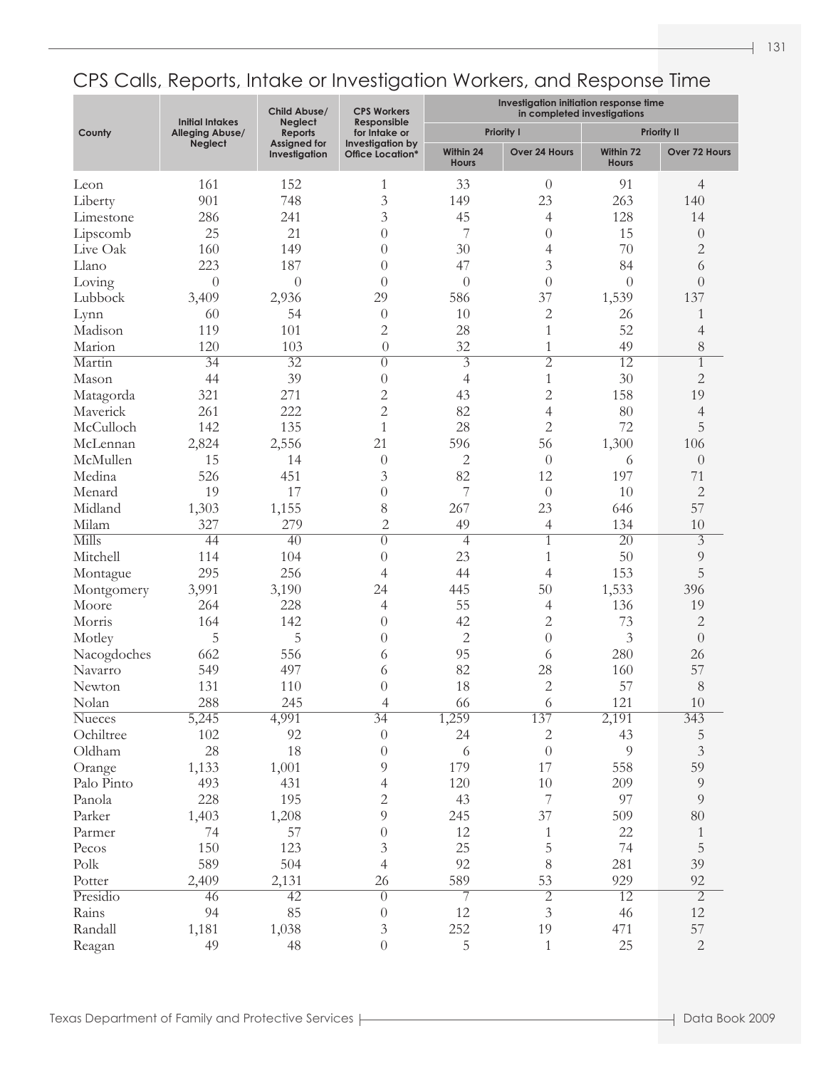|               | <b>Initial Intakes</b> | Child Abuse/<br><b>Neglect</b>       | <b>CPS Workers</b><br>Responsible    | Investigation initiation response time<br>in completed investigations |                             |                           |                         |  |
|---------------|------------------------|--------------------------------------|--------------------------------------|-----------------------------------------------------------------------|-----------------------------|---------------------------|-------------------------|--|
| County        | Alleging Abuse/        | <b>Reports</b>                       | for Intake or                        |                                                                       | <b>Priority I</b>           |                           | <b>Priority II</b>      |  |
|               | <b>Neglect</b>         | <b>Assigned for</b><br>Investigation | Investigation by<br>Office Location* | Within 24<br><b>Hours</b>                                             | Over 24 Hours               | Within 72<br><b>Hours</b> | Over 72 Hours           |  |
| Leon          | 161                    | 152                                  | 1                                    | 33                                                                    | $\theta$                    | 91                        | $\overline{4}$          |  |
| Liberty       | 901                    | 748                                  | 3                                    | 149                                                                   | 23                          | 263                       | 140                     |  |
| Limestone     | 286                    | 241                                  | 3                                    | 45                                                                    | 4                           | 128                       | 14                      |  |
| Lipscomb      | 25                     | 21                                   | $\theta$                             | 7                                                                     | $\theta$                    | 15                        | $\theta$                |  |
| Live Oak      | 160                    | 149                                  | $\theta$                             | 30                                                                    | 4                           | 70                        | $\sqrt{2}$              |  |
| Llano         | 223                    | 187                                  | $\theta$                             | 47                                                                    | 3                           | 84                        | 6                       |  |
| Loving        | $\theta$               | $\overline{0}$                       | $\theta$                             | $\theta$                                                              | $\theta$                    | $\overline{0}$            | $\theta$                |  |
| Lubbock       | 3,409                  | 2,936                                | 29                                   | 586                                                                   | 37                          | 1,539                     | 137                     |  |
| Lynn          | 60                     | 54                                   | $\theta$                             | 10                                                                    | $\overline{c}$              | 26                        | 1                       |  |
| Madison       | 119                    | 101                                  | $\overline{2}$                       | 28                                                                    | $\mathbf{1}$                | 52                        |                         |  |
|               | 120                    | 103                                  |                                      | 32                                                                    |                             | 49                        | $\overline{4}$          |  |
| Marion        |                        |                                      | $\overline{0}$                       |                                                                       | $\mathbf{1}$                |                           | $8\,$                   |  |
| Martin        | $\overline{34}$        | $\overline{32}$                      | $\left( \right)$                     | $\overline{\overline{3}}$                                             | $\overline{2}$              | $\overline{12}$           | $\mathbf{1}$            |  |
| Mason         | 44                     | 39                                   | $\theta$                             | $\overline{4}$                                                        | $\mathbf{1}$                | 30                        | $\sqrt{2}$              |  |
| Matagorda     | 321                    | 271                                  | $\overline{c}$                       | 43                                                                    | $\overline{c}$              | 158                       | 19                      |  |
| Maverick      | 261                    | 222                                  | $\overline{2}$                       | 82                                                                    | $\overline{4}$              | 80                        | $\overline{4}$          |  |
| McCulloch     | 142                    | 135                                  | $\mathbf{1}$                         | 28                                                                    | $\overline{2}$              | 72                        | 5                       |  |
| McLennan      | 2,824                  | 2,556                                | 21                                   | 596                                                                   | 56                          | 1,300                     | 106                     |  |
| McMullen      | 15                     | 14                                   | $\theta$                             | $\mathbf{2}$                                                          | $\theta$                    | 6                         | $\theta$                |  |
| Medina        | 526                    | 451                                  | 3                                    | 82                                                                    | 12                          | 197                       | 71                      |  |
| Menard        | 19                     | 17                                   | $\theta$                             | 7                                                                     | $\theta$                    | 10                        | $\mathbf{2}$            |  |
| Midland       | 1,303                  | 1,155                                | $8\,$                                | 267                                                                   | 23                          | 646                       | 57                      |  |
| Milam         | 327                    | 279                                  | $\overline{2}$                       | 49                                                                    | 4                           | 134                       | 10                      |  |
| Mills         | 44                     | $\overline{40}$                      | $\left( \right)$                     | $\overline{4}$                                                        | $\mathbf{1}$                | $\overline{20}$           | $\overline{\mathbf{3}}$ |  |
| Mitchell      | 114                    | 104                                  | $\theta$                             | 23                                                                    | $\mathbf{1}$                | 50                        | $\overline{9}$          |  |
| Montague      | 295                    | 256                                  | 4                                    | 44                                                                    | 4                           | 153                       | 5                       |  |
| Montgomery    | 3,991                  | 3,190                                | 24                                   | 445                                                                   | 50                          | 1,533                     | 396                     |  |
| Moore         | 264                    | 228                                  | 4                                    | 55                                                                    | 4                           | 136                       | 19                      |  |
| Morris        | 164                    | 142                                  | $\theta$                             | 42                                                                    | $\overline{c}$              | 73                        | $\mathbf{2}$            |  |
| Motley        | 5                      | 5                                    | $\theta$                             | $\sqrt{2}$                                                            | $\overline{0}$              | 3                         | $\theta$                |  |
| Nacogdoches   | 662                    | 556                                  | 6                                    | 95                                                                    | 6                           | 280                       | 26                      |  |
| Navarro       | 549                    | 497                                  | 6                                    | 82                                                                    | 28                          | 160                       | 57                      |  |
| Newton        | 131                    | 110                                  | $\overline{0}$                       | 18                                                                    | $\overline{c}$              | 57                        | $8\,$                   |  |
| Nolan         | 288                    | 245                                  | 4                                    | 66                                                                    | $\sqrt{6}$                  | 121                       | $10\,$                  |  |
| <b>Nueces</b> | 5,245                  | 4,991                                | $\overline{34}$                      | 1,259                                                                 | 137                         | 2,191                     | 343                     |  |
| Ochiltree     | $102\,$                | 92                                   | $\boldsymbol{0}$                     | 24                                                                    | $\overline{c}$              | 43                        | 5                       |  |
| Oldham        | 28                     | 18                                   | $\boldsymbol{0}$                     | 6                                                                     | $\theta$                    | 9                         | $\mathfrak{Z}$          |  |
| Orange        | 1,133                  | 1,001                                | 9                                    | 179                                                                   | 17                          | 558                       | 59                      |  |
| Palo Pinto    | 493                    | 431                                  | $\overline{4}$                       | 120                                                                   | $10\,$                      | 209                       | $\overline{9}$          |  |
| Panola        | 228                    | 195                                  | $\sqrt{2}$                           | 43                                                                    | $\overline{\phantom{a}}$    | 97                        | $\overline{9}$          |  |
| Parker        | 1,403                  | 1,208                                | 9                                    | 245                                                                   | 37                          | 509                       | 80                      |  |
|               |                        |                                      |                                      |                                                                       |                             |                           |                         |  |
| Parmer        | 74                     | 57                                   | $\theta$                             | 12                                                                    | 1                           | 22                        | $\mathbf{1}$            |  |
| Pecos         | 150                    | 123                                  | $\mathfrak{Z}$                       | 25                                                                    | 5                           | 74                        | 5                       |  |
| Polk          | 589                    | 504                                  | $\overline{4}$                       | 92                                                                    | 8                           | 281                       | 39                      |  |
| Potter        | 2,409                  | 2,131                                | 26                                   | 589                                                                   | 53                          | 929                       | 92                      |  |
| Presidio      | 46                     | $\overline{42}$                      | $\overline{0}$                       | 7                                                                     | $\overline{2}$              | $\overline{12}$           | $\overline{2}$          |  |
| Rains         | 94                     | 85                                   | $\boldsymbol{0}$                     | $12\,$                                                                | $\ensuremath{\mathfrak{Z}}$ | 46                        | $12\,$                  |  |
| Randall       | 1,181                  | 1,038                                | $\ensuremath{\mathfrak{Z}}$          | 252                                                                   | 19                          | 471                       | 57                      |  |
| Reagan        | 49                     | 48                                   | $\boldsymbol{0}$                     | 5                                                                     | $\mathbf{1}$                | 25                        | $\sqrt{2}$              |  |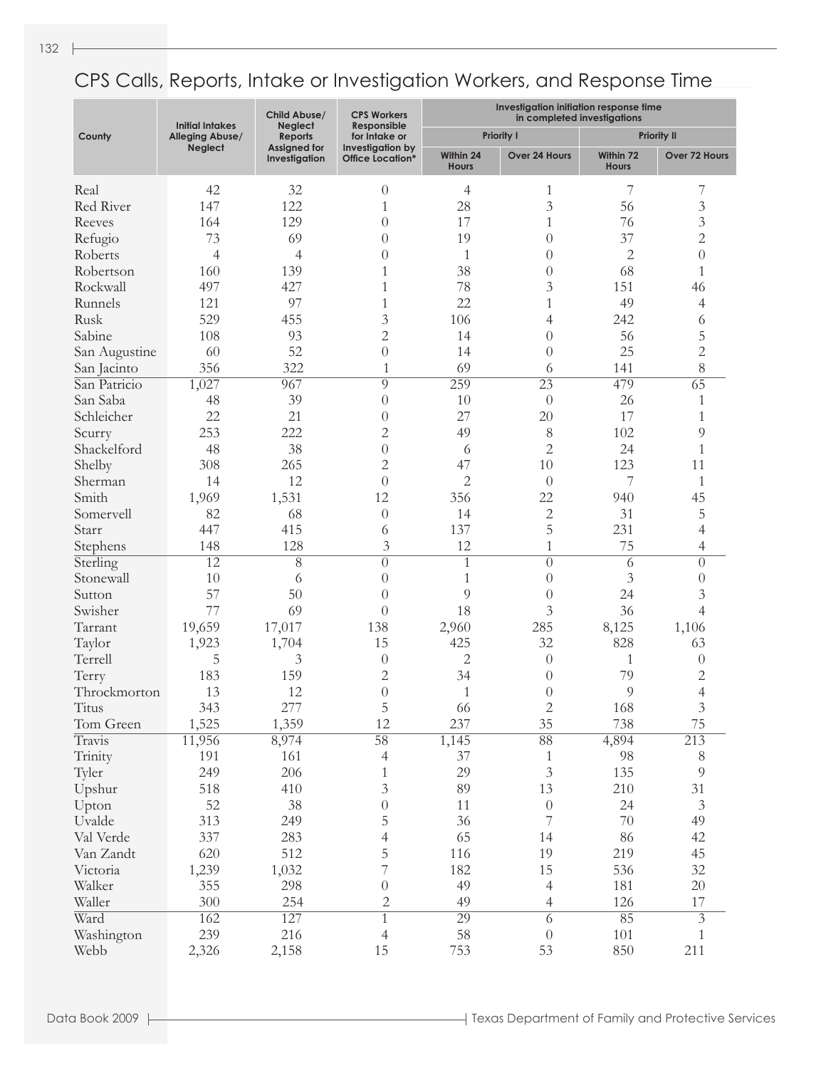|               | <b>Initial Intakes</b> | Child Abuse/<br><b>Neglect</b>       | <b>CPS Workers</b><br>Responsible           | Investigation initiation response time<br>in completed investigations |                   |                           |                    |  |
|---------------|------------------------|--------------------------------------|---------------------------------------------|-----------------------------------------------------------------------|-------------------|---------------------------|--------------------|--|
| County        | <b>Alleging Abuse/</b> | <b>Reports</b>                       | for Intake or                               |                                                                       | <b>Priority I</b> |                           | <b>Priority II</b> |  |
|               | <b>Neglect</b>         | <b>Assigned for</b><br>Investigation | Investigation by<br><b>Office Location*</b> | Within 24<br><b>Hours</b>                                             | Over 24 Hours     | Within 72<br><b>Hours</b> | Over 72 Hours      |  |
| Real          | 42                     | 32                                   | $\theta$                                    | 4                                                                     | 1                 | 7                         | 7                  |  |
| Red River     | 147                    | 122                                  | $\mathbf{1}$                                | 28                                                                    | $\mathfrak{Z}$    | 56                        | 3                  |  |
| Reeves        | 164                    | 129                                  | $\overline{0}$                              | 17                                                                    | $\mathbf{1}$      | 76                        | 3                  |  |
| Refugio       | 73                     | 69                                   | $\overline{0}$                              | 19                                                                    | $\overline{0}$    | 37                        | $\overline{c}$     |  |
| Roberts       | $\overline{4}$         | $\overline{4}$                       | $\overline{0}$                              | 1                                                                     | $\overline{0}$    | $\mathbf{2}$              | $\overline{0}$     |  |
| Robertson     | 160                    | 139                                  | $\mathbf{1}$                                | 38                                                                    | $\theta$          | 68                        | $\mathbf{1}$       |  |
| Rockwall      | 497                    | 427                                  | 1                                           | 78                                                                    | 3                 | 151                       | 46                 |  |
| Runnels       | 121                    | 97                                   | 1                                           | 22                                                                    | $\mathbf{1}$      | 49                        | 4                  |  |
| Rusk          | 529                    | 455                                  | 3                                           | 106                                                                   | 4                 | 242                       | 6                  |  |
| Sabine        | 108                    | 93                                   | $\overline{2}$                              | 14                                                                    | $\theta$          | 56                        | 5                  |  |
| San Augustine | 60                     | 52                                   | $\overline{0}$                              | 14                                                                    | $\overline{0}$    | 25                        | $\overline{c}$     |  |
| San Jacinto   | 356                    | 322                                  | $\mathbf{1}$                                | 69                                                                    | 6                 | 141                       | 8                  |  |
| San Patricio  | 1,027                  | 967                                  | 9                                           | 259                                                                   | $\overline{23}$   | 479                       | $\overline{65}$    |  |
| San Saba      | 48                     | 39                                   | $\overline{0}$                              | 10                                                                    | $\overline{0}$    | 26                        | 1                  |  |
| Schleicher    | 22                     | 21                                   | $\overline{0}$                              | 27                                                                    | 20                | 17                        | 1                  |  |
| Scurry        | 253                    | 222                                  | $\overline{2}$                              | 49                                                                    | 8                 | 102                       | 9                  |  |
| Shackelford   | 48                     | 38                                   | $\overline{0}$                              | 6                                                                     | $\overline{2}$    | 24                        | 1                  |  |
| Shelby        | 308                    | 265                                  | $\overline{2}$                              | 47                                                                    | 10                | 123                       | 11                 |  |
| Sherman       | 14                     | 12                                   | $\overline{0}$                              | $\overline{c}$                                                        | $\theta$          | 7                         | 1                  |  |
| Smith         | 1,969                  | 1,531                                | 12                                          | 356                                                                   | 22                | 940                       | 45                 |  |
| Somervell     | 82                     | 68                                   | $\overline{0}$                              | 14                                                                    | $\overline{c}$    | 31                        | 5                  |  |
| Starr         | 447                    | 415                                  | 6                                           | 137                                                                   | 5                 | 231                       | 4                  |  |
| Stephens      | 148                    | 128                                  | 3                                           | 12                                                                    | $\mathbf{1}$      | 75                        | 4                  |  |
| Sterling      | $\overline{12}$        | $\overline{8}$                       | $\overline{0}$                              | $\overline{1}$                                                        | $\overline{0}$    | 6                         | $\overline{0}$     |  |
| Stonewall     | 10                     | 6                                    | $\overline{0}$                              | 1                                                                     | $\overline{0}$    | 3                         | $\theta$           |  |
| Sutton        | 57                     | 50                                   | $\overline{0}$                              | 9                                                                     | $\theta$          | 24                        | 3                  |  |
| Swisher       | 77                     | 69                                   | $\theta$                                    | 18                                                                    | 3                 | 36                        | 4                  |  |
| Tarrant       | 19,659                 | 17,017                               | 138                                         | 2,960                                                                 | 285               | 8,125                     | 1,106              |  |
| Taylor        | 1,923                  | 1,704                                | 15                                          | 425                                                                   | 32                | 828                       | 63                 |  |
| Terrell       | 5                      | 3                                    | $\theta$                                    | $\overline{c}$                                                        | $\theta$          | $\mathbf{1}$              | $\theta$           |  |
| Terry         | 183                    | 159                                  | $\overline{2}$                              | 34                                                                    | $\theta$          | 79                        | $\overline{c}$     |  |
| Throckmorton  | 13                     | 12                                   | $\overline{0}$                              | $\mathbf{1}$                                                          | $\theta$          | 9                         | $\overline{4}$     |  |
| Titus         | 343                    | 277                                  | 5                                           | 66                                                                    | $\sqrt{2}$        | 168                       | $\mathfrak{Z}$     |  |
| Tom Green     | 1,525                  | 1,359                                | 12                                          | 237                                                                   | 35                | 738                       | 75                 |  |
| Travis        | 11,956                 | 8,974                                | $\overline{58}$                             | 1,145                                                                 | $\overline{88}$   | 4,894                     | 213                |  |
| Trinity       | 191                    | 161                                  | $\overline{4}$                              | 37                                                                    | $\mathbf{1}$      | 98                        | 8                  |  |
| Tyler         | 249                    | 206                                  | $\mathbf{1}$                                | 29                                                                    | $\mathfrak{Z}$    | 135                       | 9                  |  |
| Upshur        | 518                    | 410                                  | $\mathfrak{Z}$                              | 89                                                                    | 13                | 210                       | 31                 |  |
| Upton         | 52                     | 38                                   | $\theta$                                    | 11                                                                    | $\theta$          | 24                        | $\mathfrak{Z}$     |  |
| Uvalde        | 313                    | 249                                  | 5                                           | 36                                                                    | $\overline{7}$    | 70                        | 49                 |  |
| Val Verde     | 337                    | 283                                  | $\overline{4}$                              | 65                                                                    | 14                | 86                        | 42                 |  |
| Van Zandt     | 620                    | 512                                  | 5                                           | 116                                                                   | 19                | 219                       | 45                 |  |
| Victoria      | 1,239                  | 1,032                                | 7                                           | 182                                                                   | 15                | 536                       | $32\,$             |  |
| Walker        | 355                    | 298                                  | $\theta$                                    | 49                                                                    | $\overline{4}$    | 181                       | $20\,$             |  |
| Waller        | 300                    | 254                                  | $\mathbf{2}$                                | 49                                                                    | $\overline{4}$    | 126                       | 17                 |  |
| Ward          | 162                    | 127                                  | $\mathbf{1}$                                | 29                                                                    | $\overline{6}$    | 85                        | $\overline{3}$     |  |
| Washington    | 239                    | 216                                  | $\overline{4}$                              | 58                                                                    | $\theta$          | 101                       | $\mathbf{1}$       |  |
| Webb          | 2,326                  | 2,158                                | 15                                          | 753                                                                   | 53                | 850                       | 211                |  |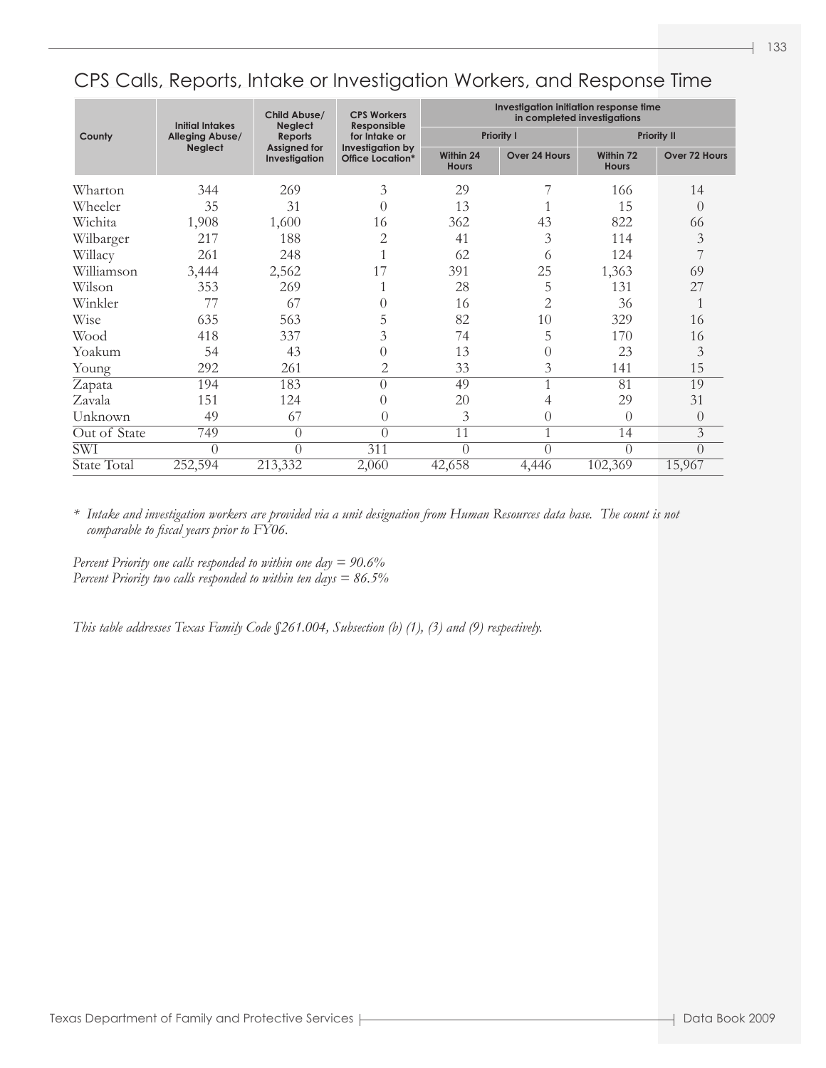|              | <b>Initial Intakes</b> | Child Abuse/<br><b>Neglect</b>       | <b>CPS Workers</b><br>Responsible           | Investigation initiation response time<br>in completed investigations |                   |                           |                  |  |
|--------------|------------------------|--------------------------------------|---------------------------------------------|-----------------------------------------------------------------------|-------------------|---------------------------|------------------|--|
| County       | Alleging Abuse/        | <b>Reports</b>                       | for Intake or                               |                                                                       | <b>Priority I</b> | <b>Priority II</b>        |                  |  |
|              | <b>Neglect</b>         | <b>Assigned for</b><br>Investigation | Investigation by<br><b>Office Location*</b> | Within 24<br><b>Hours</b>                                             | Over 24 Hours     | Within 72<br><b>Hours</b> | Over 72 Hours    |  |
| Wharton      | 344                    | 269                                  | 3                                           | 29                                                                    |                   | 166                       | 14               |  |
| Wheeler      | 35                     | 31                                   | $\Omega$                                    | 13                                                                    |                   | 15                        | $\Omega$         |  |
| Wichita      | 1,908                  | 1,600                                | 16                                          | 362                                                                   | 43                | 822                       | 66               |  |
| Wilbarger    | 217                    | 188                                  | $\overline{2}$                              | 41                                                                    | 3                 | 114                       | 3                |  |
| Willacy      | 261                    | 248                                  |                                             | 62                                                                    | 6                 | 124                       |                  |  |
| Williamson   | 3,444                  | 2,562                                | 17                                          | 391                                                                   | 25                | 1,363                     | 69               |  |
| Wilson       | 353                    | 269                                  |                                             | 28                                                                    | 5                 | 131                       | 27               |  |
| Winkler      | 77                     | 67                                   | 0                                           | 16                                                                    | $\overline{2}$    | 36                        |                  |  |
| Wise         | 635                    | 563                                  | 5                                           | 82                                                                    | 10                | 329                       | 16               |  |
| Wood         | 418                    | 337                                  | 3                                           | 74                                                                    | 5                 | 170                       | 16               |  |
| Yoakum       | 54                     | 43                                   | 0                                           | 13                                                                    | $\theta$          | 23                        | 3                |  |
| Young        | 292                    | 261                                  | 2                                           | 33                                                                    | 3                 | 141                       | 15               |  |
| Zapata       | 194                    | 183                                  | $\Omega$                                    | 49                                                                    | $\mathbf{1}$      | 81                        | 19               |  |
| Zavala       | 151                    | 124                                  | 0                                           | 20                                                                    | 4                 | 29                        | 31               |  |
| Unknown      | 49                     | 67                                   | $\Omega$                                    | 3                                                                     | $\theta$          | $\Omega$                  | $\Omega$         |  |
| Out of State | 749                    | $\theta$                             | $\theta$                                    | 11                                                                    | $\mathbf{1}$      | 14                        | $\overline{3}$   |  |
| <b>SWI</b>   | $\left( \right)$       | $\theta$                             | 311                                         | $\theta$                                                              | $\theta$          | $\Omega$                  | $\left( \right)$ |  |
| State Total  | 252,594                | 213,332                              | 2,060                                       | 42,658                                                                | 4,446             | 102,369                   | 15,967           |  |

*\* Intake and investigation workers are provided via a unit designation from Human Resources data base. The count is not comparable to fiscal years prior to FY06.*

*Percent Priority one calls responded to within one day = 90.6% Percent Priority two calls responded to within ten days = 86.5%*

*This table addresses Texas Family Code §261.004, Subsection (b) (1), (3) and (9) respectively.*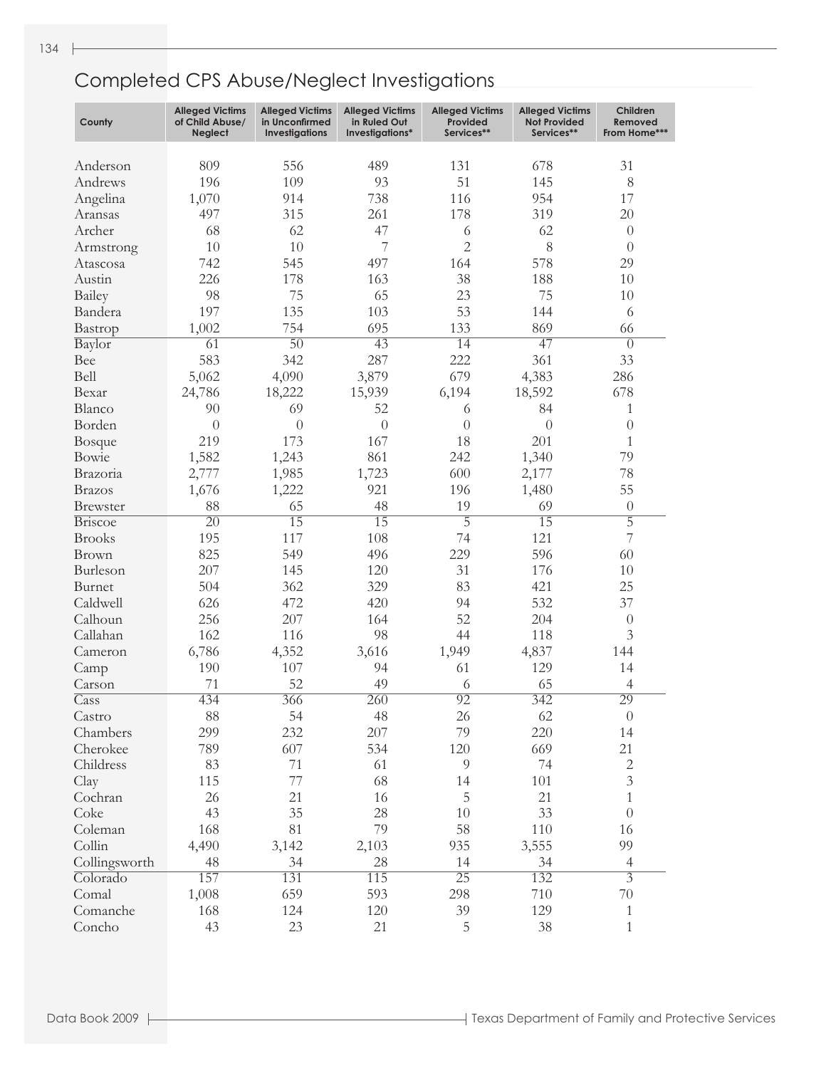| County                | <b>Alleged Victims</b><br>of Child Abuse/<br><b>Neglect</b> | <b>Alleged Victims</b><br>in Unconfirmed<br><b>Investigations</b> | <b>Alleged Victims</b><br>in Ruled Out<br>Investigations* | <b>Alleged Victims</b><br>Provided<br>Services** | <b>Alleged Victims</b><br><b>Not Provided</b><br>Services** | Children<br>Removed<br>From Home*** |
|-----------------------|-------------------------------------------------------------|-------------------------------------------------------------------|-----------------------------------------------------------|--------------------------------------------------|-------------------------------------------------------------|-------------------------------------|
| Anderson              | 809                                                         | 556                                                               | 489                                                       | 131                                              | 678                                                         | 31                                  |
| Andrews               | 196                                                         | 109                                                               | 93                                                        | 51                                               | 145                                                         | 8                                   |
|                       | 1,070                                                       | 914                                                               | 738                                                       | 116                                              | 954                                                         | 17                                  |
| Angelina<br>Aransas   | 497                                                         | 315                                                               | 261                                                       | 178                                              | 319                                                         | 20                                  |
| Archer                | 68                                                          | 62                                                                | 47                                                        |                                                  | 62                                                          | $\theta$                            |
|                       | 10                                                          | 10                                                                | 7                                                         | 6<br>$\overline{2}$                              | 8                                                           | $\theta$                            |
| Armstrong<br>Atascosa | 742                                                         | 545                                                               | 497                                                       | 164                                              | 578                                                         | 29                                  |
| Austin                | 226                                                         | 178                                                               | 163                                                       | 38                                               | 188                                                         | 10                                  |
|                       |                                                             | 75                                                                |                                                           | 23                                               | 75                                                          |                                     |
| Bailey                | 98                                                          |                                                                   | 65                                                        | 53                                               |                                                             | 10                                  |
| Bandera               | 197                                                         | 135                                                               | 103                                                       |                                                  | 144                                                         | 6                                   |
| Bastrop               | 1,002                                                       | 754                                                               | 695                                                       | 133                                              | 869                                                         | 66                                  |
| Baylor                | 61                                                          | 50                                                                | $\overline{43}$                                           | 14                                               | $\overline{47}$                                             | $\theta$                            |
| Bee                   | 583                                                         | 342                                                               | 287                                                       | 222                                              | 361                                                         | 33                                  |
| Bell                  | 5,062                                                       | 4,090                                                             | 3,879                                                     | 679                                              | 4,383                                                       | 286                                 |
| Bexar                 | 24,786                                                      | 18,222                                                            | 15,939                                                    | 6,194                                            | 18,592                                                      | 678                                 |
| Blanco                | 90                                                          | 69                                                                | 52                                                        | 6                                                | 84                                                          | $\mathbf{1}$                        |
| Borden                | $\overline{0}$                                              | $\theta$                                                          | $\theta$                                                  | $\overline{0}$                                   | $\theta$                                                    | $\theta$                            |
| <b>Bosque</b>         | 219                                                         | 173                                                               | 167                                                       | 18                                               | 201                                                         | 1                                   |
| Bowie                 | 1,582                                                       | 1,243                                                             | 861                                                       | 242                                              | 1,340                                                       | 79                                  |
| Brazoria              | 2,777                                                       | 1,985                                                             | 1,723                                                     | 600                                              | 2,177                                                       | 78                                  |
| <b>Brazos</b>         | 1,676                                                       | 1,222                                                             | 921                                                       | 196                                              | 1,480                                                       | 55                                  |
| <b>Brewster</b>       | 88                                                          | 65                                                                | 48                                                        | 19                                               | 69                                                          | $\boldsymbol{0}$                    |
| <b>Briscoe</b>        | $\overline{20}$                                             | 15                                                                | 15                                                        | 5                                                | $\overline{15}$                                             | 5                                   |
| <b>Brooks</b>         | 195                                                         | 117                                                               | 108                                                       | 74                                               | 121                                                         | 7                                   |
| <b>Brown</b>          | 825                                                         | 549                                                               | 496                                                       | 229                                              | 596                                                         | 60                                  |
| Burleson              | 207                                                         | 145                                                               | 120                                                       | 31                                               | 176                                                         | 10                                  |
| Burnet                | 504                                                         | 362                                                               | 329                                                       | 83                                               | 421                                                         | 25                                  |
| Caldwell              | 626                                                         | 472                                                               | 420                                                       | 94                                               | 532                                                         | 37                                  |
| Calhoun               | 256                                                         | 207                                                               | 164                                                       | 52                                               | 204                                                         | $\theta$                            |
| Callahan              | 162                                                         | 116                                                               | 98                                                        | 44                                               | 118                                                         | 3                                   |
| Cameron               | 6,786                                                       | 4,352                                                             | 3,616                                                     | 1,949                                            | 4,837                                                       | 144                                 |
| Camp                  | 190                                                         | 107                                                               | 94                                                        | 61                                               | 129                                                         | 14                                  |
| Carson                | 71                                                          | 52                                                                | 49                                                        | 6                                                | 65                                                          | $\overline{4}$                      |
| $\overline{C}$ ass    | 434                                                         | 366                                                               | $\overline{260}$                                          | 92                                               | 342                                                         | 29                                  |
| Castro                | 88                                                          | 54                                                                | 48                                                        | 26                                               | 62                                                          | $\boldsymbol{0}$                    |
| Chambers              | 299                                                         | 232                                                               | 207                                                       | 79                                               | 220                                                         | 14                                  |
| Cherokee              | 789                                                         | 607                                                               | 534                                                       | 120                                              | 669                                                         | 21                                  |
| Childress             | 83                                                          | 71                                                                | 61                                                        | $\overline{9}$                                   | 74                                                          | $\sqrt{2}$                          |
| Clay                  | 115                                                         | 77                                                                | 68                                                        | 14                                               | 101                                                         | $\mathfrak{Z}$                      |
| Cochran               | 26                                                          | 21                                                                | 16                                                        | 5                                                | 21                                                          | $\mathbf{1}$                        |
| Coke                  | 43                                                          | 35                                                                | 28                                                        | 10                                               | 33                                                          | $\boldsymbol{0}$                    |
| Coleman               | 168                                                         | 81                                                                | 79                                                        | 58                                               | 110                                                         | 16                                  |
| Collin                | 4,490                                                       | 3,142                                                             | 2,103                                                     | 935                                              | 3,555                                                       | 99                                  |
| Collingsworth         | 48                                                          | 34                                                                | 28                                                        | 14                                               | 34                                                          | $\overline{4}$                      |
| Colorado              | 157                                                         | 131                                                               | 115                                                       | 25                                               | 132                                                         | $\overline{3}$                      |
| Comal                 | 1,008                                                       | 659                                                               | 593                                                       | 298                                              | 710                                                         | $70\,$                              |
| Comanche              | 168                                                         | 124                                                               | 120                                                       | 39                                               | 129                                                         | $\mathbf{1}$                        |
| Concho                | 43                                                          | 23                                                                | 21                                                        | 5                                                | 38                                                          | $\mathbf{1}$                        |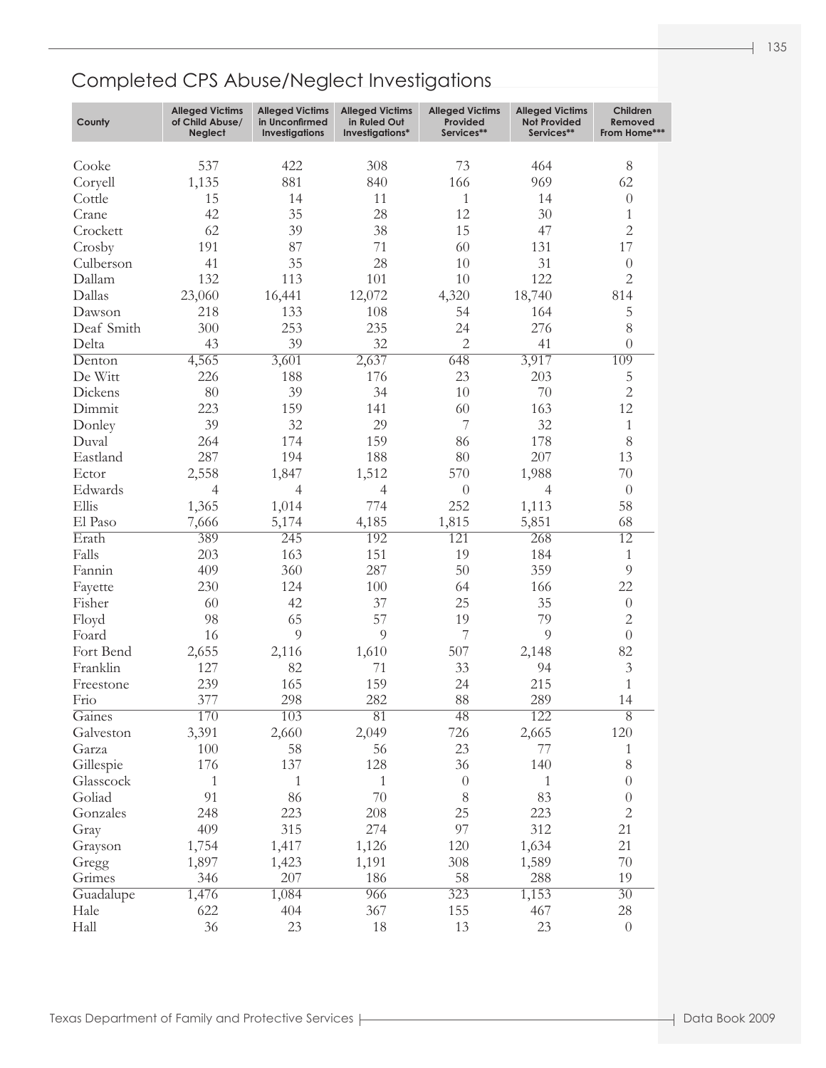| County     | <b>Alleged Victims</b><br>of Child Abuse/<br>Neglect | <b>Alleged Victims</b><br>in Unconfirmed<br><b>Investigations</b> | <b>Alleged Victims</b><br>in Ruled Out<br>Investigations* | <b>Alleged Victims</b><br>Provided<br>Services** | <b>Alleged Victims</b><br><b>Not Provided</b><br>Services** | Children<br>Removed<br>From Home*** |
|------------|------------------------------------------------------|-------------------------------------------------------------------|-----------------------------------------------------------|--------------------------------------------------|-------------------------------------------------------------|-------------------------------------|
| Cooke      | 537                                                  | 422                                                               | 308                                                       | 73                                               | 464                                                         | $8\,$                               |
| Coryell    | 1,135                                                | 881                                                               | 840                                                       | 166                                              | 969                                                         | 62                                  |
| Cottle     | 15                                                   | 14                                                                | 11                                                        | $\mathbf{1}$                                     | 14                                                          | $\theta$                            |
| Crane      | 42                                                   | 35                                                                | 28                                                        | 12                                               | 30                                                          | 1                                   |
| Crockett   | 62                                                   | 39                                                                | 38                                                        | 15                                               | 47                                                          | $\overline{2}$                      |
| Crosby     | 191                                                  | 87                                                                | 71                                                        | 60                                               | 131                                                         | 17                                  |
| Culberson  | 41                                                   | 35                                                                | 28                                                        | 10                                               | 31                                                          | $\theta$                            |
| Dallam     | 132                                                  | 113                                                               | 101                                                       | 10                                               | 122                                                         | $\overline{2}$                      |
| Dallas     | 23,060                                               | 16,441                                                            | 12,072                                                    | 4,320                                            | 18,740                                                      | 814                                 |
| Dawson     | 218                                                  | 133                                                               | 108                                                       | 54                                               | 164                                                         | 5                                   |
| Deaf Smith | 300                                                  | 253                                                               | 235                                                       | 24                                               | 276                                                         | $8\,$                               |
| Delta      | 43                                                   | 39                                                                | 32                                                        | $\overline{2}$                                   | 41                                                          | $\overline{0}$                      |
| Denton     | 4,565                                                | 3,601                                                             | 2,637                                                     | 648                                              | 3,917                                                       | 109                                 |
| De Witt    | 226                                                  | 188                                                               | 176                                                       | 23                                               | 203                                                         | 5                                   |
| Dickens    | 80                                                   | 39                                                                | 34                                                        | 10                                               | 70                                                          | $\overline{2}$                      |
| Dimmit     | 223                                                  | 159                                                               | 141                                                       | 60                                               | 163                                                         | 12                                  |
| Donley     | 39                                                   | 32                                                                | 29                                                        | $\overline{7}$                                   | 32                                                          | $\mathbf{1}$                        |
| Duval      | 264                                                  | 174                                                               | 159                                                       | 86                                               | 178                                                         | $8\,$                               |
| Eastland   | 287                                                  | 194                                                               | 188                                                       | 80                                               | 207                                                         | 13                                  |
| Ector      | 2,558                                                | 1,847                                                             | 1,512                                                     | 570                                              | 1,988                                                       | 70                                  |
| Edwards    | $\overline{4}$                                       | $\overline{4}$                                                    | $\overline{4}$                                            | $\theta$                                         | $\overline{4}$                                              | $\theta$                            |
| Ellis      | 1,365                                                | 1,014                                                             | 774                                                       | 252                                              | 1,113                                                       | 58                                  |
| El Paso    | 7,666                                                | 5,174                                                             | 4,185                                                     | 1,815                                            | 5,851                                                       | 68                                  |
| Erath      | 389                                                  | 245                                                               | 192                                                       | 121                                              | 268                                                         | 12                                  |
| Falls      | 203                                                  | 163                                                               | 151                                                       | 19                                               | 184                                                         | $\mathbf{1}$                        |
| Fannin     | 409                                                  | 360                                                               | 287                                                       | 50                                               | 359                                                         | 9                                   |
| Fayette    | 230                                                  | 124                                                               | 100                                                       | 64                                               | 166                                                         | 22                                  |
| Fisher     | 60                                                   | 42                                                                | 37                                                        | 25                                               | 35                                                          | $\boldsymbol{0}$                    |
| Floyd      | 98                                                   | 65                                                                | 57                                                        | 19                                               | 79                                                          | $\sqrt{2}$                          |
| Foard      | 16                                                   | 9                                                                 | 9                                                         | 7                                                | 9                                                           | $\boldsymbol{0}$                    |
| Fort Bend  | 2,655                                                | 2,116                                                             | 1,610                                                     | 507                                              | 2,148                                                       | 82                                  |
| Franklin   | 127                                                  | 82                                                                | 71                                                        | 33                                               | 94                                                          | $\mathfrak{Z}$                      |
| Freestone  | 239                                                  | 165                                                               | 159                                                       | 24                                               | 215                                                         | $\mathbf 1$                         |
| Frio       | 377                                                  | 298                                                               | 282                                                       | 88                                               | 289                                                         | 14                                  |
| Gaines     | 170                                                  | 103                                                               | 81                                                        | 48                                               | 122                                                         | $\overline{8}$                      |
| Galveston  | 3,391                                                | 2,660                                                             | 2,049                                                     | 726                                              | 2,665                                                       | 120                                 |
| Garza      | 100                                                  | 58                                                                | 56                                                        | 23                                               | 77                                                          | $\mathbf{1}$                        |
| Gillespie  | 176                                                  | 137                                                               | 128                                                       | 36                                               | 140                                                         | $8\,$                               |
| Glasscock  | $\mathbf{1}$                                         | $\mathbf{1}$                                                      | $\mathbf{1}$                                              | $\theta$                                         | 1                                                           | $\boldsymbol{0}$                    |
| Goliad     | 91                                                   | 86                                                                | $70\,$                                                    | $8\,$                                            | 83                                                          | $\boldsymbol{0}$                    |
| Gonzales   | 248                                                  | 223                                                               | 208                                                       | 25                                               | 223                                                         | $\overline{2}$                      |
| Gray       | 409                                                  | 315                                                               | 274                                                       | 97                                               | 312                                                         | 21                                  |
| Grayson    | 1,754                                                | 1,417                                                             | 1,126                                                     | 120                                              | 1,634                                                       | 21                                  |
| Gregg      | 1,897                                                | 1,423                                                             | 1,191                                                     | 308                                              | 1,589                                                       | $70\,$                              |
| Grimes     | 346                                                  | 207                                                               | 186                                                       | 58                                               | 288                                                         | 19                                  |
| Guadalupe  | 1,476                                                | 1,084                                                             | 966                                                       | 323                                              | 1,153                                                       | $\overline{30}$                     |
| Hale       | 622                                                  | 404                                                               | 367                                                       | 155                                              | 467                                                         | $28\,$                              |
| Hall       | 36                                                   | 23                                                                | 18                                                        | 13                                               | 23                                                          | $\boldsymbol{0}$                    |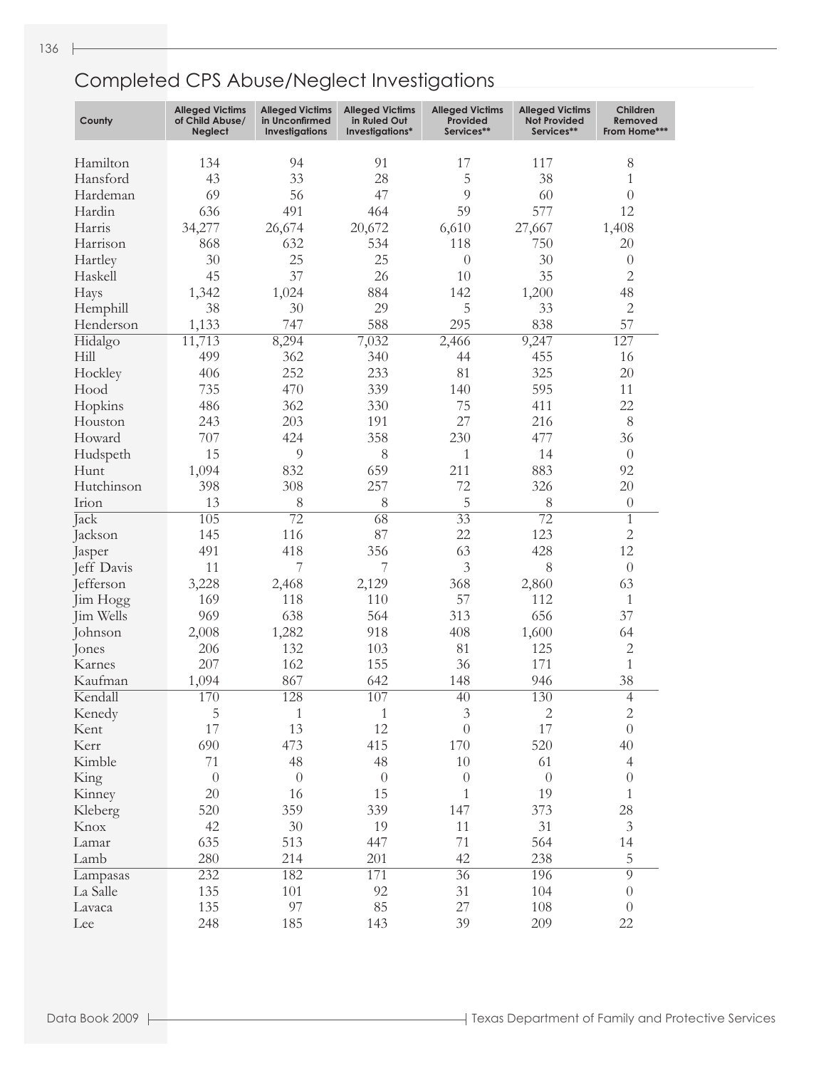| County     | <b>Alleged Victims</b><br>of Child Abuse/<br><b>Neglect</b> | <b>Alleged Victims</b><br>in Unconfirmed<br><b>Investigations</b> | <b>Alleged Victims</b><br>in Ruled Out<br>Investigations* | <b>Alleged Victims</b><br>Provided<br>Services** | <b>Alleged Victims</b><br><b>Not Provided</b><br>Services** | Children<br>Removed<br>From Home*** |
|------------|-------------------------------------------------------------|-------------------------------------------------------------------|-----------------------------------------------------------|--------------------------------------------------|-------------------------------------------------------------|-------------------------------------|
| Hamilton   | 134                                                         | 94                                                                | 91                                                        | 17                                               | 117                                                         | 8                                   |
| Hansford   | 43                                                          | 33                                                                | 28                                                        | 5                                                | 38                                                          | 1                                   |
| Hardeman   | 69                                                          | 56                                                                | 47                                                        | 9                                                | 60                                                          | $\overline{0}$                      |
| Hardin     | 636                                                         | 491                                                               | 464                                                       | 59                                               | 577                                                         | 12                                  |
| Harris     | 34,277                                                      | 26,674                                                            | 20,672                                                    | 6,610                                            | 27,667                                                      | 1,408                               |
| Harrison   | 868                                                         | 632                                                               | 534                                                       | 118                                              | 750                                                         | 20                                  |
| Hartley    | 30                                                          | 25                                                                | 25                                                        | $\theta$                                         | 30                                                          | $\theta$                            |
| Haskell    | 45                                                          | 37                                                                | 26                                                        | 10                                               | 35                                                          | $\overline{c}$                      |
| Hays       | 1,342                                                       | 1,024                                                             | 884                                                       | 142                                              | 1,200                                                       | 48                                  |
| Hemphill   | 38                                                          | 30                                                                | 29                                                        | 5                                                | 33                                                          | $\overline{2}$                      |
| Henderson  | 1,133                                                       | 747                                                               | 588                                                       | 295                                              | 838                                                         | 57                                  |
| Hidalgo    | 11,713                                                      | 8,294                                                             | 7,032                                                     | 2,466                                            | 9,247                                                       | 127                                 |
| Hill       | 499                                                         | 362                                                               | 340                                                       | 44                                               | 455                                                         | 16                                  |
| Hockley    | 406                                                         | 252                                                               | 233                                                       | 81                                               | 325                                                         | 20                                  |
| Hood       | 735                                                         | 470                                                               | 339                                                       | 140                                              | 595                                                         | 11                                  |
|            | 486                                                         | 362                                                               | 330                                                       | 75                                               | 411                                                         | 22                                  |
| Hopkins    |                                                             |                                                                   |                                                           | 27                                               |                                                             | 8                                   |
| Houston    | 243                                                         | 203                                                               | 191                                                       |                                                  | 216                                                         |                                     |
| Howard     | 707                                                         | 424                                                               | 358                                                       | 230                                              | 477                                                         | 36                                  |
| Hudspeth   | 15                                                          | $\mathcal{Q}$                                                     | 8                                                         | $\mathbf{1}$                                     | 14                                                          | $\theta$                            |
| Hunt       | 1,094                                                       | 832                                                               | 659                                                       | 211                                              | 883                                                         | 92                                  |
| Hutchinson | 398                                                         | 308                                                               | 257                                                       | 72                                               | 326                                                         | 20                                  |
| Irion      | 13                                                          | 8                                                                 | 8                                                         | 5                                                | 8                                                           | $\theta$                            |
| Jack       | 105                                                         | $\overline{72}$                                                   | $\overline{68}$                                           | $\overline{33}$                                  | $\overline{72}$                                             | $\overline{1}$                      |
| Jackson    | 145                                                         | 116                                                               | 87                                                        | 22                                               | 123                                                         | $\overline{2}$                      |
| Jasper     | 491                                                         | 418                                                               | 356                                                       | 63                                               | 428                                                         | 12                                  |
| Jeff Davis | 11                                                          | 7                                                                 | 7                                                         | 3                                                | 8                                                           | $\theta$                            |
| Jefferson  | 3,228                                                       | 2,468                                                             | 2,129                                                     | 368                                              | 2,860                                                       | 63                                  |
| Jim Hogg   | 169                                                         | 118                                                               | 110                                                       | 57                                               | 112                                                         | $\mathbf{1}$                        |
| Jim Wells  | 969                                                         | 638                                                               | 564                                                       | 313                                              | 656                                                         | 37                                  |
| Johnson    | 2,008                                                       | 1,282                                                             | 918                                                       | 408                                              | 1,600                                                       | 64                                  |
| Jones      | 206                                                         | 132                                                               | 103                                                       | 81                                               | 125                                                         | $\overline{c}$                      |
| Karnes     | 207                                                         | 162                                                               | 155                                                       | 36                                               | 171                                                         | $\mathbf 1$                         |
| Kaufman    | 1,094                                                       | 867                                                               | 642                                                       | 148                                              | 946                                                         | 38                                  |
| Kendall    | 170                                                         | 128                                                               | 107                                                       | $\overline{40}$                                  | 130                                                         | $\overline{4}$                      |
| Kenedy     | 5                                                           | $\mathbf{1}$                                                      | $\mathbf{1}$                                              | $\mathfrak{Z}$                                   | $\sqrt{2}$                                                  | $\mathbf{2}$                        |
| Kent       | 17                                                          | 13                                                                | 12                                                        | $\theta$                                         | 17                                                          | $\overline{0}$                      |
| Kerr       | 690                                                         | 473                                                               | 415                                                       | 170                                              | 520                                                         | 40                                  |
| Kimble     | 71                                                          | 48                                                                | 48                                                        | $10\,$                                           | 61                                                          | $\overline{4}$                      |
| King       | $\theta$                                                    | $\theta$                                                          | $\boldsymbol{0}$                                          | $\theta$                                         | $\theta$                                                    | $\theta$                            |
| Kinney     | 20                                                          | 16                                                                | 15                                                        | $\mathbf{1}$                                     | 19                                                          | $\mathbf{1}$                        |
| Kleberg    | 520                                                         | 359                                                               | 339                                                       | 147                                              | 373                                                         | 28                                  |
| Knox       | 42                                                          | 30                                                                | 19                                                        | 11                                               | 31                                                          | $\mathfrak{Z}$                      |
| Lamar      | 635                                                         | 513                                                               | 447                                                       | 71                                               | 564                                                         | 14                                  |
| Lamb       | 280                                                         | 214                                                               | 201                                                       | 42                                               | 238                                                         | 5                                   |
| Lampasas   | 232                                                         | 182                                                               | 171                                                       | $\overline{36}$                                  | 196                                                         | $\overline{9}$                      |
| La Salle   | 135                                                         | 101                                                               | 92                                                        | 31                                               | 104                                                         | $\theta$                            |
| Lavaca     | 135                                                         | 97                                                                | 85                                                        | 27                                               | 108                                                         | $\theta$                            |
| Lee        | 248                                                         | 185                                                               | 143                                                       | 39                                               | 209                                                         | 22                                  |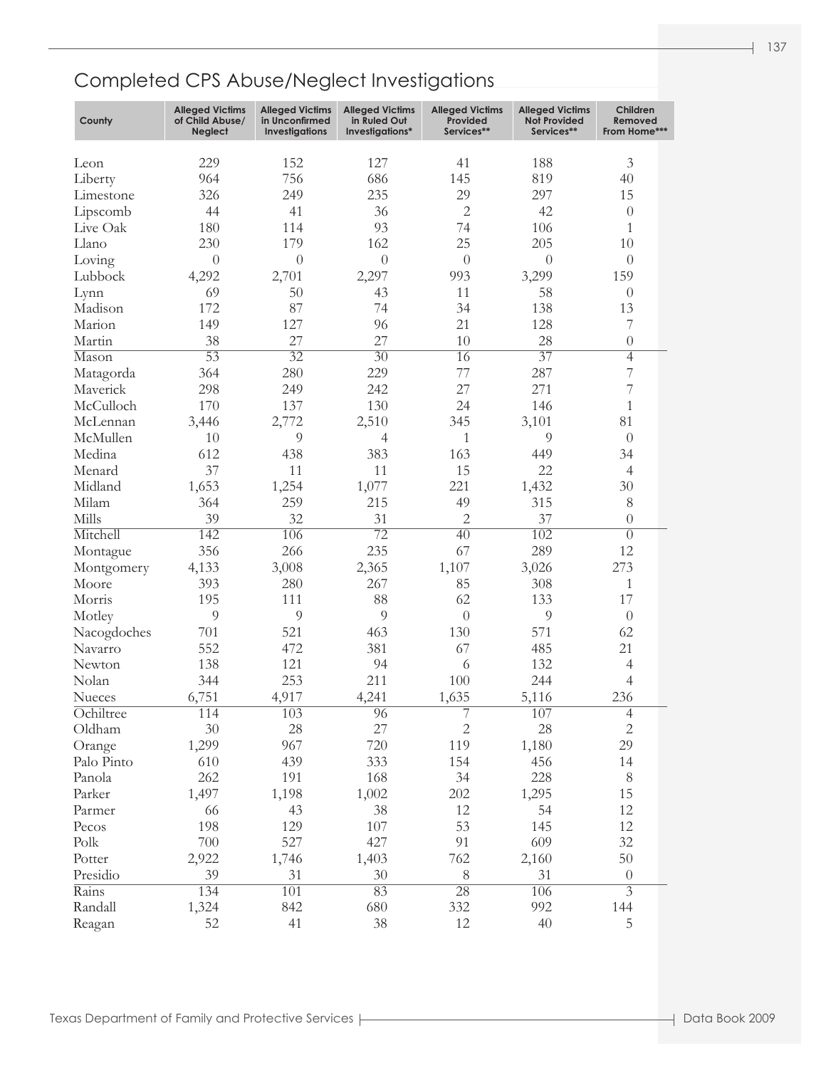| County        | <b>Alleged Victims</b><br>of Child Abuse/<br>Neglect | <b>Alleged Victims</b><br>in Unconfirmed<br><b>Investigations</b> | <b>Alleged Victims</b><br>in Ruled Out<br>Investigations* | <b>Alleged Victims</b><br>Provided<br>Services** | <b>Alleged Victims</b><br><b>Not Provided</b><br>Services** | Children<br>Removed<br>From Home*** |  |
|---------------|------------------------------------------------------|-------------------------------------------------------------------|-----------------------------------------------------------|--------------------------------------------------|-------------------------------------------------------------|-------------------------------------|--|
| Leon          | 229                                                  | 152                                                               | 127                                                       | 41                                               | 188                                                         | 3                                   |  |
| Liberty       | 964                                                  | 756                                                               | 686                                                       | 145                                              | 819                                                         | 40                                  |  |
| Limestone     | 326                                                  | 249                                                               | 235                                                       | 29                                               | 297                                                         | 15                                  |  |
| Lipscomb      | 44                                                   | 41                                                                | 36                                                        | $\overline{2}$                                   | 42                                                          | $\theta$                            |  |
| Live Oak      | 180                                                  | 114                                                               | 93                                                        | 74                                               | 106                                                         | 1                                   |  |
| Llano         | 230                                                  | 179                                                               | 162                                                       | 25                                               | 205                                                         | 10                                  |  |
| Loving        | $\overline{0}$                                       | $\overline{0}$                                                    | $\theta$                                                  | $\theta$                                         | $\theta$                                                    | $\theta$                            |  |
| Lubbock       | 4,292                                                | 2,701                                                             | 2,297                                                     | 993                                              | 3,299                                                       | 159                                 |  |
| Lynn          | 69                                                   | 50                                                                | 43                                                        | 11                                               | 58                                                          | $\theta$                            |  |
| Madison       | 172                                                  | 87                                                                | 74                                                        | 34                                               | 138                                                         | 13                                  |  |
| Marion        | 149                                                  | 127                                                               | 96                                                        | 21                                               | 128                                                         | 7                                   |  |
| Martin        | 38                                                   | 27                                                                | 27                                                        | 10                                               | 28                                                          | $\theta$                            |  |
| Mason         | $\overline{53}$                                      | $\overline{32}$                                                   | $\overline{30}$                                           | 16                                               | $\overline{37}$                                             | $\overline{4}$                      |  |
| Matagorda     | 364                                                  | 280                                                               | 229                                                       | 77                                               | 287                                                         | 7                                   |  |
| Maverick      | 298                                                  | 249                                                               | 242                                                       | 27                                               | 271                                                         | 7                                   |  |
| McCulloch     | 170                                                  | 137                                                               | 130                                                       | 24                                               | 146                                                         | $\mathbf{1}$                        |  |
| McLennan      | 3,446                                                | 2,772                                                             | 2,510                                                     | 345                                              | 3,101                                                       | 81                                  |  |
| McMullen      | 10                                                   | 9                                                                 | 4                                                         | 1                                                | 9                                                           | $\theta$                            |  |
| Medina        | 612                                                  | 438                                                               | 383                                                       | 163                                              | 449                                                         | 34                                  |  |
| Menard        | 37                                                   | 11                                                                | 11                                                        | 15                                               | 22                                                          | $\overline{4}$                      |  |
| Midland       | 1,653                                                | 1,254                                                             | 1,077                                                     | 221                                              | 1,432                                                       | 30                                  |  |
| Milam         | 364                                                  | 259                                                               | 215                                                       | 49                                               | 315                                                         | $8\,$                               |  |
| Mills         | 39                                                   | 32                                                                | 31                                                        | $\overline{2}$                                   | 37                                                          | $\theta$                            |  |
| Mitchell      | 142                                                  | 106                                                               | $\overline{72}$                                           | 40                                               | 102                                                         | $\overline{0}$                      |  |
| Montague      | 356                                                  | 266                                                               | 235                                                       | 67                                               | 289                                                         | 12                                  |  |
| Montgomery    | 4,133                                                | 3,008                                                             | 2,365                                                     | 1,107                                            | 3,026                                                       | 273                                 |  |
| Moore         | 393                                                  | 280                                                               | 267                                                       | 85                                               | 308                                                         | 1                                   |  |
| Morris        | 195                                                  | 111                                                               | 88                                                        | 62                                               | 133                                                         | 17                                  |  |
| Motley        | 9                                                    | 9                                                                 | 9                                                         | $\theta$                                         | 9                                                           | $\theta$                            |  |
| Nacogdoches   | 701                                                  | 521                                                               | 463                                                       | 130                                              | 571                                                         | 62                                  |  |
| Navarro       | 552                                                  | 472                                                               | 381                                                       | 67                                               | 485                                                         | 21                                  |  |
| Newton        | 138                                                  | 121                                                               | 94                                                        | 6                                                | 132                                                         | $\overline{4}$                      |  |
| Nolan         | 344                                                  | 253                                                               | 211                                                       | 100                                              | 244                                                         | $\overline{4}$                      |  |
| <b>Nueces</b> | 6,751                                                | 4,917                                                             | 4,241                                                     | 1,635                                            | 5,116                                                       | 236                                 |  |
| Ochiltree     | 114                                                  | $\overline{103}$                                                  | 96                                                        | 7                                                | 107                                                         | $\overline{4}$                      |  |
| Oldham        | $30\,$                                               | 28                                                                | $27\,$                                                    | $\sqrt{2}$                                       | $28\,$                                                      | $\sqrt{2}$                          |  |
| Orange        | 1,299                                                | 967                                                               | 720                                                       | 119                                              | 1,180                                                       | 29                                  |  |
| Palo Pinto    | 610                                                  | 439                                                               | 333                                                       | 154                                              | 456                                                         | 14                                  |  |
| Panola        | 262                                                  | 191                                                               | 168                                                       | 34                                               | 228                                                         | $8\,$                               |  |
| Parker        | 1,497                                                | 1,198                                                             | 1,002                                                     | 202                                              | 1,295                                                       | 15                                  |  |
| Parmer        | 66                                                   | 43                                                                | 38                                                        | 12                                               | 54                                                          | 12                                  |  |
| Pecos         | 198                                                  | 129                                                               | 107                                                       | 53                                               | 145                                                         | 12                                  |  |
| Polk          | 700                                                  | 527                                                               | 427                                                       | 91                                               | 609                                                         | $32\,$                              |  |
| Potter        | 2,922                                                | 1,746                                                             | 1,403                                                     | 762                                              | 2,160                                                       | $50\,$                              |  |
| Presidio      | 39                                                   | 31                                                                | 30                                                        | 8                                                | 31                                                          | $\theta$                            |  |
| Rains         | 134                                                  | 101                                                               | 83                                                        | 28                                               | 106                                                         | $\overline{3}$                      |  |
| Randall       | 1,324                                                | 842                                                               | 680                                                       | 332                                              | 992                                                         | 144                                 |  |
| Reagan        | 52                                                   | 41                                                                | 38                                                        | 12                                               | 40                                                          | 5                                   |  |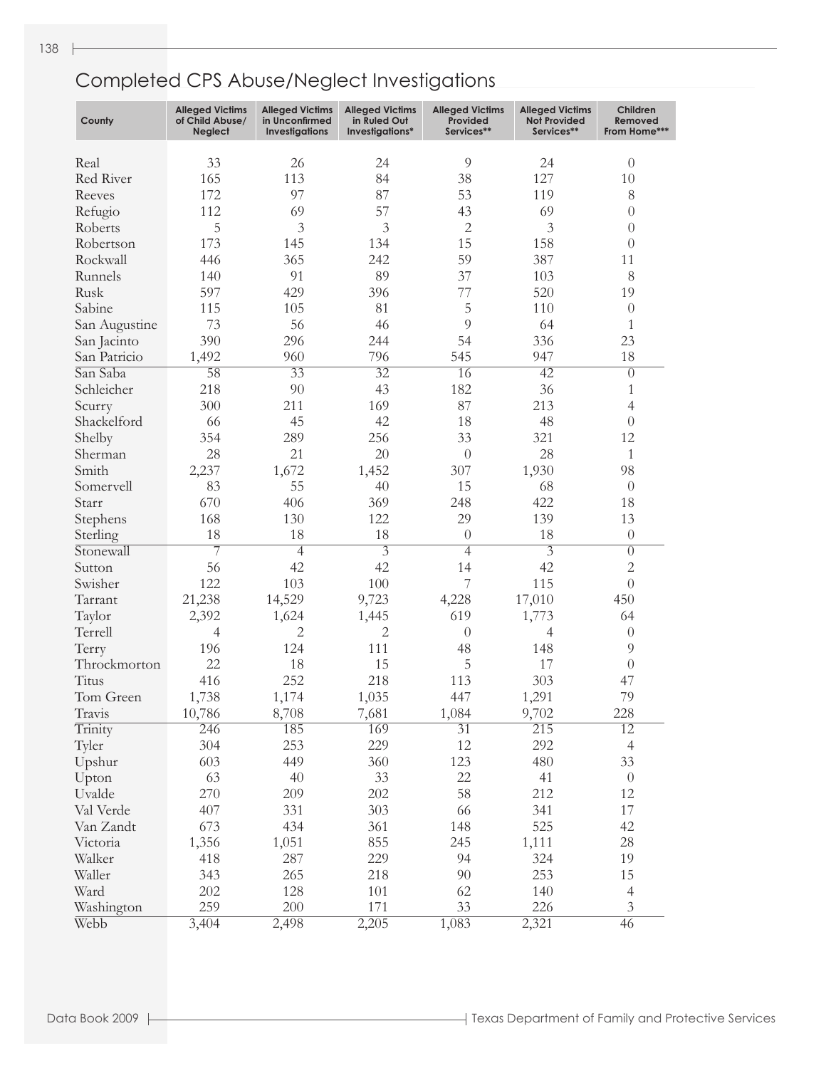| County        | <b>Alleged Victims</b><br>of Child Abuse/<br>Neglect | <b>Alleged Victims</b><br>in Unconfirmed<br><b>Investigations</b> | <b>Alleged Victims</b><br>in Ruled Out<br>Investigations* | <b>Alleged Victims</b><br>Provided<br>Services** | <b>Alleged Victims</b><br><b>Not Provided</b><br>Services** | Children<br>Removed<br>From Home*** |
|---------------|------------------------------------------------------|-------------------------------------------------------------------|-----------------------------------------------------------|--------------------------------------------------|-------------------------------------------------------------|-------------------------------------|
| Real          | 33                                                   | 26                                                                | 24                                                        | $\overline{9}$                                   | 24                                                          | $\theta$                            |
| Red River     | 165                                                  | 113                                                               | 84                                                        | 38                                               | 127                                                         | 10                                  |
| Reeves        | 172                                                  | 97                                                                | 87                                                        | 53                                               | 119                                                         | 8                                   |
| Refugio       | 112                                                  | 69                                                                | 57                                                        | 43                                               | 69                                                          | $\theta$                            |
| Roberts       | 5                                                    | 3                                                                 | 3                                                         | $\mathbf{2}$                                     | 3                                                           | $\theta$                            |
| Robertson     | 173                                                  | 145                                                               | 134                                                       | 15                                               | 158                                                         | $\theta$                            |
| Rockwall      | 446                                                  | 365                                                               | 242                                                       | 59                                               | 387                                                         | 11                                  |
| Runnels       | 140                                                  | 91                                                                | 89                                                        | 37                                               | 103                                                         | 8                                   |
| Rusk          | 597                                                  | 429                                                               | 396                                                       | 77                                               | 520                                                         | 19                                  |
| Sabine        | 115                                                  | 105                                                               | 81                                                        | 5                                                | 110                                                         | $\theta$                            |
| San Augustine | 73                                                   | 56                                                                | 46                                                        | $\overline{9}$                                   | 64                                                          | $\mathbf{1}$                        |
| San Jacinto   | 390                                                  | 296                                                               | 244                                                       | 54                                               | 336                                                         | 23                                  |
| San Patricio  | 1,492                                                | 960                                                               | 796                                                       | 545                                              | 947                                                         | 18                                  |
| San Saba      | 58                                                   | $\overline{33}$                                                   | $\overline{32}$                                           | 16                                               | $\overline{42}$                                             | $\overline{0}$                      |
| Schleicher    | 218                                                  | 90                                                                | 43                                                        | 182                                              | 36                                                          | $\mathbf{1}$                        |
| Scurry        | 300                                                  | 211                                                               | 169                                                       | 87                                               | 213                                                         | $\overline{4}$                      |
| Shackelford   | 66                                                   | 45                                                                | 42                                                        | 18                                               | 48                                                          | $\overline{0}$                      |
| Shelby        | 354                                                  | 289                                                               | 256                                                       | 33                                               | 321                                                         | 12                                  |
| Sherman       | 28                                                   | 21                                                                | 20                                                        | $\theta$                                         | 28                                                          | 1                                   |
| Smith         | 2,237                                                | 1,672                                                             | 1,452                                                     | 307                                              | 1,930                                                       | 98                                  |
| Somervell     | 83                                                   | 55                                                                | 40                                                        | 15                                               | 68                                                          | $\theta$                            |
| Starr         | 670                                                  | 406                                                               | 369                                                       | 248                                              | 422                                                         | 18                                  |
| Stephens      | 168                                                  | 130                                                               | 122                                                       | 29                                               | 139                                                         | 13                                  |
| Sterling      | 18                                                   | 18                                                                | 18                                                        | $\theta$                                         | 18                                                          | $\theta$                            |
| Stonewall     | $\overline{7}$                                       | $\overline{4}$                                                    | $\overline{3}$                                            | $\overline{4}$                                   | $\overline{3}$                                              | $\overline{0}$                      |
| Sutton        | 56                                                   | 42                                                                | 42                                                        | 14                                               | 42                                                          | $\overline{c}$                      |
| Swisher       | 122                                                  | 103                                                               | 100                                                       | 7                                                | 115                                                         | $\theta$                            |
| Tarrant       | 21,238                                               | 14,529                                                            | 9,723                                                     | 4,228                                            | 17,010                                                      | 450                                 |
| Taylor        | 2,392                                                | 1,624                                                             | 1,445                                                     | 619                                              | 1,773                                                       | 64                                  |
| Terrell       | 4                                                    | $\overline{c}$                                                    | $\overline{c}$                                            | $\theta$                                         | $\overline{4}$                                              | $\theta$                            |
| Terry         | 196                                                  | 124                                                               | 111                                                       | 48                                               | 148                                                         | $\overline{9}$                      |
| Throckmorton  | 22                                                   | 18                                                                | 15                                                        | 5                                                | 17                                                          | $\theta$                            |
| Titus         | 416                                                  | 252                                                               | 218                                                       | 113                                              | 303                                                         | 47                                  |
| Tom Green     | 1,738                                                | 1,174                                                             | 1,035                                                     | 447                                              | 1,291                                                       | 79                                  |
| Travis        | 10,786                                               | 8,708                                                             | 7,681                                                     | 1,084                                            | 9,702                                                       | 228                                 |
| Trinity       | 246                                                  | 185                                                               | 169                                                       | $\overline{31}$                                  | $\overline{215}$                                            | $\overline{12}$                     |
| Tyler         | 304                                                  | 253                                                               | 229                                                       | 12                                               | 292                                                         | $\overline{4}$                      |
| Upshur        | 603                                                  | 449                                                               | 360                                                       | 123                                              | 480                                                         | 33                                  |
| Upton         | 63                                                   | 40                                                                | 33                                                        | 22                                               | 41                                                          | $\boldsymbol{0}$                    |
| Uvalde        | 270                                                  | 209                                                               | 202                                                       | 58                                               | 212                                                         | 12                                  |
| Val Verde     | 407                                                  | 331                                                               | 303                                                       | 66                                               | 341                                                         | 17                                  |
| Van Zandt     | 673                                                  | 434                                                               | 361                                                       | 148                                              | 525                                                         | 42                                  |
| Victoria      | 1,356                                                | 1,051                                                             | 855                                                       | 245                                              | 1,111                                                       | $28\,$                              |
| Walker        | 418                                                  | 287                                                               | 229                                                       | 94                                               | 324                                                         | 19                                  |
| Waller        | 343                                                  | 265                                                               | 218                                                       | 90                                               | 253                                                         | 15                                  |
| Ward          | 202                                                  | 128                                                               | 101                                                       | 62                                               | 140                                                         | $\overline{4}$                      |
| Washington    | 259                                                  | 200                                                               | 171                                                       | 33                                               | 226                                                         | $\mathfrak{Z}$                      |
| Webb          | 3,404                                                | 2,498                                                             | 2,205                                                     | 1,083                                            | 2,321                                                       | 46                                  |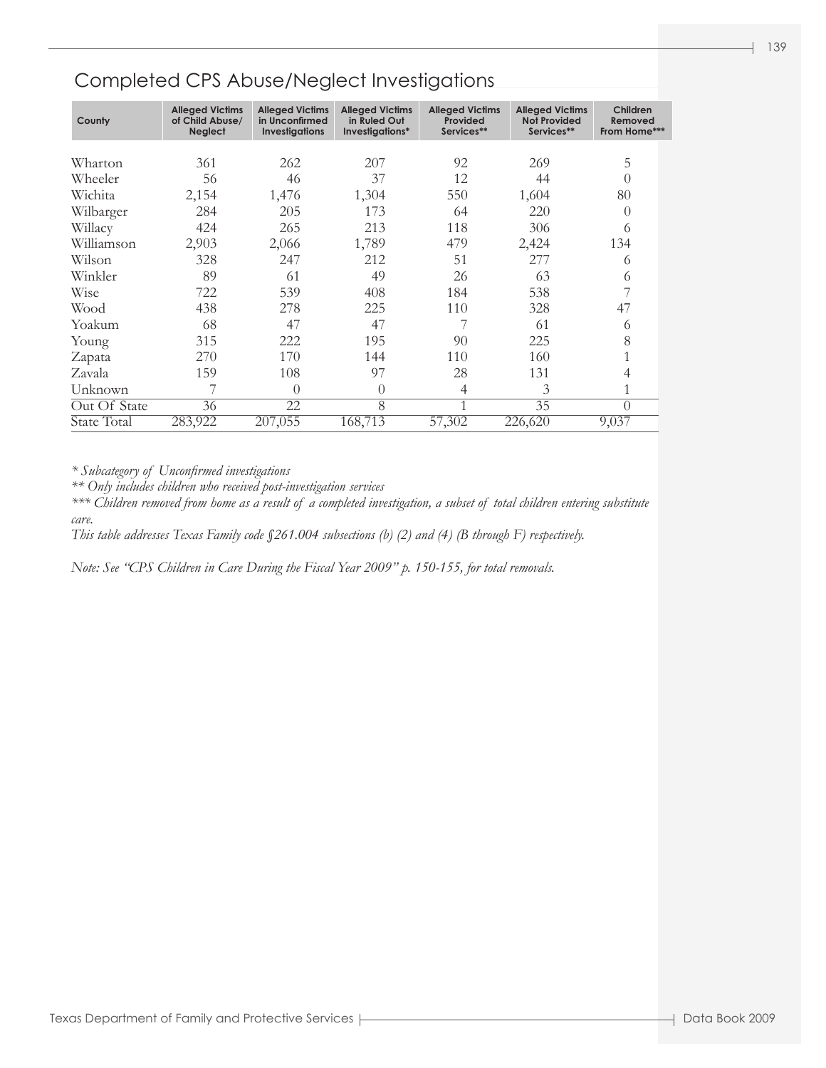| County       | <b>Alleged Victims</b><br>of Child Abuse/<br><b>Neglect</b> | <b>Alleged Victims</b><br>in Unconfirmed<br><b>Investigations</b> | <b>Alleged Victims</b><br>in Ruled Out<br>Investigations* | <b>Alleged Victims</b><br>Provided<br>Services** | <b>Alleged Victims</b><br><b>Not Provided</b><br>Services** | Children<br>Removed<br>From Home*** |
|--------------|-------------------------------------------------------------|-------------------------------------------------------------------|-----------------------------------------------------------|--------------------------------------------------|-------------------------------------------------------------|-------------------------------------|
|              |                                                             |                                                                   |                                                           |                                                  |                                                             |                                     |
| Wharton      | 361                                                         | 262                                                               | 207                                                       | 92                                               | 269                                                         | 5                                   |
| Wheeler      | 56                                                          | 46                                                                | 37                                                        | 12                                               | 44                                                          | $\left( \right)$                    |
| Wichita      | 2,154                                                       | 1,476                                                             | 1,304                                                     | 550                                              | 1,604                                                       | 80                                  |
| Wilbarger    | 284                                                         | 205                                                               | 173                                                       | 64                                               | 220                                                         | $\left( \right)$                    |
| Willacy      | 424                                                         | 265                                                               | 213                                                       | 118                                              | 306                                                         | 6                                   |
| Williamson   | 2,903                                                       | 2,066                                                             | 1,789                                                     | 479                                              | 2,424                                                       | 134                                 |
| Wilson       | 328                                                         | 247                                                               | 212                                                       | 51                                               | 277                                                         | 6                                   |
| Winkler      | 89                                                          | 61                                                                | 49                                                        | 26                                               | 63                                                          | 6                                   |
| Wise         | 722                                                         | 539                                                               | 408                                                       | 184                                              | 538                                                         |                                     |
| Wood         | 438                                                         | 278                                                               | 225                                                       | 110                                              | 328                                                         | 47                                  |
| Yoakum       | 68                                                          | 47                                                                | 47                                                        |                                                  | 61                                                          | 6                                   |
| Young        | 315                                                         | 222                                                               | 195                                                       | 90                                               | 225                                                         | 8                                   |
| Zapata       | 270                                                         | 170                                                               | 144                                                       | 110                                              | 160                                                         |                                     |
| Zavala       | 159                                                         | 108                                                               | 97                                                        | 28                                               | 131                                                         | 4                                   |
| Unknown      |                                                             | $\Omega$                                                          | $\Omega$                                                  | 4                                                | 3                                                           |                                     |
| Out Of State | 36                                                          | 22                                                                | 8                                                         | 1                                                | 35                                                          | $\theta$                            |
| State Total  | 283,922                                                     | 207,055                                                           | 168,713                                                   | 57,302                                           | 226,620                                                     | 9,037                               |

*\* Subcategory of Unconfirmed investigations*

*\*\* Only includes children who received post-investigation services*

*\*\*\* Children removed from home as a result of a completed investigation, a subset of total children entering substitute care.*

*This table addresses Texas Family code §261.004 subsections (b) (2) and (4) (B through F) respectively.*

*Note: See "CPS Children in Care During the Fiscal Year 2009" p. 150-155, for total removals.*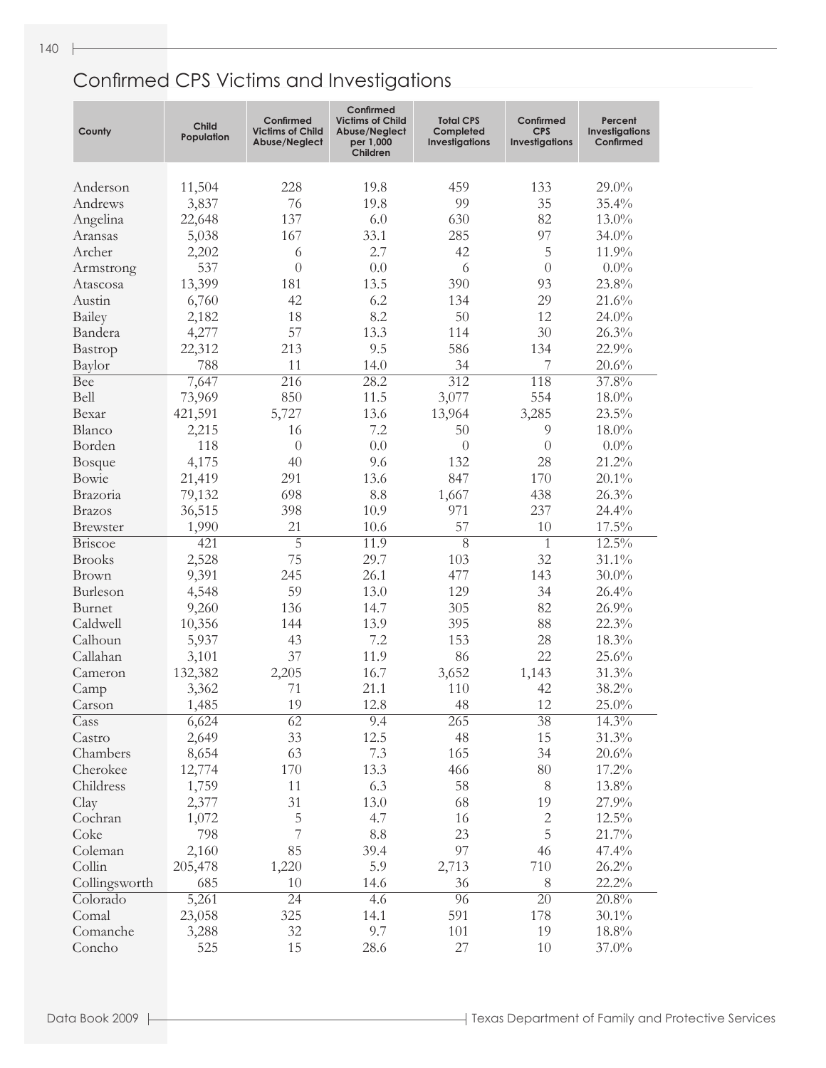| 11,504<br>228<br>19.8<br>459<br>133<br>$29.0\%$<br>Anderson<br>19.8<br>99<br>35<br>3,837<br>76<br>35.4%<br>Andrews<br>137<br>82<br>Angelina<br>22,648<br>6.0<br>630<br>13.0%<br>167<br>285<br>97<br>5,038<br>33.1<br>$34.0\%$<br>Aransas<br>2.7<br>42<br>5<br>Archer<br>2,202<br>11.9%<br>6<br>537<br>$\theta$<br>0.0<br>6<br>$\theta$<br>$0.0\%$<br>Armstrong<br>13,399<br>13.5<br>23.8%<br>181<br>390<br>93<br>Atascosa<br>42<br>134<br>29<br>Austin<br>6,760<br>6.2<br>21.6%<br>18<br>8.2<br>50<br>12<br>Bailey<br>$24.0\%$<br>2,182<br>57<br>13.3<br>30<br>26.3%<br>4,277<br>114<br>Bandera<br>22,312<br>213<br>9.5<br>586<br>134<br>22.9%<br>Bastrop<br>11<br>788<br>14.0<br>34<br>7<br>20.6%<br>Baylor<br>$\overline{312}$<br>37.8%<br><b>Bee</b><br>$\overline{216}$<br>28.2<br>118<br>7,647<br>850<br>11.5<br>554<br>Bell<br>73,969<br>3,077<br>18.0%<br>13.6<br>421,591<br>5,727<br>13,964<br>3,285<br>$23.5\%$<br>Bexar<br>Blanco<br>2,215<br>16<br>7.2<br>50<br>9<br>18.0%<br>Borden<br>0.0<br>118<br>$\theta$<br>$\overline{0}$<br>$0.0\%$<br>$\overline{0}$<br>4,175<br>28<br>21.2%<br>40<br>9.6<br>132<br><b>Bosque</b><br>291<br>13.6<br>847<br>170<br>21,419<br>$20.1\%$<br>Bowie<br>698<br>8.8<br>438<br>26.3%<br>1,667<br>Brazoria<br>79,132<br>237<br>36,515<br>398<br>10.9<br>971<br>24.4%<br><b>Brazos</b><br>21<br>57<br>10<br>1,990<br>10.6<br>17.5%<br><b>Brewster</b><br>$\overline{5}$<br>$\overline{8}$<br>$12.5\%$<br>421<br>11.9<br><b>Briscoe</b><br>1<br>2,528<br>75<br>29.7<br>32<br>$31.1\%$<br><b>Brooks</b><br>103<br>26.1<br>143<br>9,391<br>245<br>477<br>$30.0\%$<br><b>Brown</b><br>59<br>13.0<br>129<br>34<br>Burleson<br>4,548<br>26.4%<br>136<br>305<br>82<br>9,260<br>14.7<br>26.9%<br>Burnet<br>144<br>13.9<br>395<br>88<br>Caldwell<br>10,356<br>22.3%<br>43<br>153<br>28<br>Calhoun<br>5,937<br>7.2<br>18.3%<br>22<br>37<br>86<br>Callahan<br>11.9<br>25.6%<br>3,101<br>132,382<br>2,205<br>16.7<br>1,143<br>31.3%<br>Cameron<br>3,652<br>71<br>21.1<br>42<br>38.2%<br>110<br>3,362<br>Camp<br>19<br>12.8<br>12<br>48<br>$25.0\%$<br>1,485<br>Carson<br>$14.3\%$<br>6,624<br>62<br>265<br>38<br>Cass<br>9.4<br>33<br>48<br>15<br>31.3%<br>2,649<br>12.5<br>Castro<br>63<br>8,654<br>7.3<br>165<br>34<br>20.6%<br>Chambers<br>12,774<br>170<br>13.3<br>466<br>80<br>17.2%<br>Cherokee<br>8<br>1,759<br>11<br>6.3<br>58<br>13.8%<br>Childress<br>19<br>2,377<br>31<br>13.0<br>68<br>27.9%<br>Clay<br>$\sqrt{2}$<br>5<br>4.7<br>16<br>$12.5\%$<br>Cochran<br>1,072<br>5<br>7<br>23<br>Coke<br>798<br>8.8<br>21.7%<br>85<br>97<br>2,160<br>39.4<br>46<br>47.4%<br>Coleman<br>5.9<br>Collin<br>205,478<br>1,220<br>2,713<br>710<br>26.2%<br>$22.2\%$<br>Collingsworth<br>685<br>10<br>8<br>14.6<br>36<br>96<br>$\overline{20}$<br>20.8%<br>Colorado<br>5,261<br>$\overline{24}$<br>4.6<br>325<br>591<br>178<br>14.1<br>$30.1\%$<br>Comal<br>23,058<br>Comanche<br>32<br>9.7<br>101<br>19<br>$18.8\%$<br>3,288<br>15<br>27<br>Concho<br>525<br>28.6<br>10<br>37.0% | County | Child<br>Population | Confirmed<br><b>Victims of Child</b><br>Abuse/Neglect | Confirmed<br><b>Victims of Child</b><br>Abuse/Neglect<br>per 1,000<br>Children | <b>Total CPS</b><br>Completed<br>Investigations | Confirmed<br><b>CPS</b><br><b>Investigations</b> | Percent<br><b>Investigations</b><br>Confirmed |
|------------------------------------------------------------------------------------------------------------------------------------------------------------------------------------------------------------------------------------------------------------------------------------------------------------------------------------------------------------------------------------------------------------------------------------------------------------------------------------------------------------------------------------------------------------------------------------------------------------------------------------------------------------------------------------------------------------------------------------------------------------------------------------------------------------------------------------------------------------------------------------------------------------------------------------------------------------------------------------------------------------------------------------------------------------------------------------------------------------------------------------------------------------------------------------------------------------------------------------------------------------------------------------------------------------------------------------------------------------------------------------------------------------------------------------------------------------------------------------------------------------------------------------------------------------------------------------------------------------------------------------------------------------------------------------------------------------------------------------------------------------------------------------------------------------------------------------------------------------------------------------------------------------------------------------------------------------------------------------------------------------------------------------------------------------------------------------------------------------------------------------------------------------------------------------------------------------------------------------------------------------------------------------------------------------------------------------------------------------------------------------------------------------------------------------------------------------------------------------------------------------------------------------------------------------------------------------------------------------------------------------------------------------------------------------------------------------------------------------------------------------------------------------------------------------------------------------------------------------------------------------------------------------------------------------------------------------------------------------------------------------|--------|---------------------|-------------------------------------------------------|--------------------------------------------------------------------------------|-------------------------------------------------|--------------------------------------------------|-----------------------------------------------|
|                                                                                                                                                                                                                                                                                                                                                                                                                                                                                                                                                                                                                                                                                                                                                                                                                                                                                                                                                                                                                                                                                                                                                                                                                                                                                                                                                                                                                                                                                                                                                                                                                                                                                                                                                                                                                                                                                                                                                                                                                                                                                                                                                                                                                                                                                                                                                                                                                                                                                                                                                                                                                                                                                                                                                                                                                                                                                                                                                                                                            |        |                     |                                                       |                                                                                |                                                 |                                                  |                                               |
|                                                                                                                                                                                                                                                                                                                                                                                                                                                                                                                                                                                                                                                                                                                                                                                                                                                                                                                                                                                                                                                                                                                                                                                                                                                                                                                                                                                                                                                                                                                                                                                                                                                                                                                                                                                                                                                                                                                                                                                                                                                                                                                                                                                                                                                                                                                                                                                                                                                                                                                                                                                                                                                                                                                                                                                                                                                                                                                                                                                                            |        |                     |                                                       |                                                                                |                                                 |                                                  |                                               |
|                                                                                                                                                                                                                                                                                                                                                                                                                                                                                                                                                                                                                                                                                                                                                                                                                                                                                                                                                                                                                                                                                                                                                                                                                                                                                                                                                                                                                                                                                                                                                                                                                                                                                                                                                                                                                                                                                                                                                                                                                                                                                                                                                                                                                                                                                                                                                                                                                                                                                                                                                                                                                                                                                                                                                                                                                                                                                                                                                                                                            |        |                     |                                                       |                                                                                |                                                 |                                                  |                                               |
|                                                                                                                                                                                                                                                                                                                                                                                                                                                                                                                                                                                                                                                                                                                                                                                                                                                                                                                                                                                                                                                                                                                                                                                                                                                                                                                                                                                                                                                                                                                                                                                                                                                                                                                                                                                                                                                                                                                                                                                                                                                                                                                                                                                                                                                                                                                                                                                                                                                                                                                                                                                                                                                                                                                                                                                                                                                                                                                                                                                                            |        |                     |                                                       |                                                                                |                                                 |                                                  |                                               |
|                                                                                                                                                                                                                                                                                                                                                                                                                                                                                                                                                                                                                                                                                                                                                                                                                                                                                                                                                                                                                                                                                                                                                                                                                                                                                                                                                                                                                                                                                                                                                                                                                                                                                                                                                                                                                                                                                                                                                                                                                                                                                                                                                                                                                                                                                                                                                                                                                                                                                                                                                                                                                                                                                                                                                                                                                                                                                                                                                                                                            |        |                     |                                                       |                                                                                |                                                 |                                                  |                                               |
|                                                                                                                                                                                                                                                                                                                                                                                                                                                                                                                                                                                                                                                                                                                                                                                                                                                                                                                                                                                                                                                                                                                                                                                                                                                                                                                                                                                                                                                                                                                                                                                                                                                                                                                                                                                                                                                                                                                                                                                                                                                                                                                                                                                                                                                                                                                                                                                                                                                                                                                                                                                                                                                                                                                                                                                                                                                                                                                                                                                                            |        |                     |                                                       |                                                                                |                                                 |                                                  |                                               |
|                                                                                                                                                                                                                                                                                                                                                                                                                                                                                                                                                                                                                                                                                                                                                                                                                                                                                                                                                                                                                                                                                                                                                                                                                                                                                                                                                                                                                                                                                                                                                                                                                                                                                                                                                                                                                                                                                                                                                                                                                                                                                                                                                                                                                                                                                                                                                                                                                                                                                                                                                                                                                                                                                                                                                                                                                                                                                                                                                                                                            |        |                     |                                                       |                                                                                |                                                 |                                                  |                                               |
|                                                                                                                                                                                                                                                                                                                                                                                                                                                                                                                                                                                                                                                                                                                                                                                                                                                                                                                                                                                                                                                                                                                                                                                                                                                                                                                                                                                                                                                                                                                                                                                                                                                                                                                                                                                                                                                                                                                                                                                                                                                                                                                                                                                                                                                                                                                                                                                                                                                                                                                                                                                                                                                                                                                                                                                                                                                                                                                                                                                                            |        |                     |                                                       |                                                                                |                                                 |                                                  |                                               |
|                                                                                                                                                                                                                                                                                                                                                                                                                                                                                                                                                                                                                                                                                                                                                                                                                                                                                                                                                                                                                                                                                                                                                                                                                                                                                                                                                                                                                                                                                                                                                                                                                                                                                                                                                                                                                                                                                                                                                                                                                                                                                                                                                                                                                                                                                                                                                                                                                                                                                                                                                                                                                                                                                                                                                                                                                                                                                                                                                                                                            |        |                     |                                                       |                                                                                |                                                 |                                                  |                                               |
|                                                                                                                                                                                                                                                                                                                                                                                                                                                                                                                                                                                                                                                                                                                                                                                                                                                                                                                                                                                                                                                                                                                                                                                                                                                                                                                                                                                                                                                                                                                                                                                                                                                                                                                                                                                                                                                                                                                                                                                                                                                                                                                                                                                                                                                                                                                                                                                                                                                                                                                                                                                                                                                                                                                                                                                                                                                                                                                                                                                                            |        |                     |                                                       |                                                                                |                                                 |                                                  |                                               |
|                                                                                                                                                                                                                                                                                                                                                                                                                                                                                                                                                                                                                                                                                                                                                                                                                                                                                                                                                                                                                                                                                                                                                                                                                                                                                                                                                                                                                                                                                                                                                                                                                                                                                                                                                                                                                                                                                                                                                                                                                                                                                                                                                                                                                                                                                                                                                                                                                                                                                                                                                                                                                                                                                                                                                                                                                                                                                                                                                                                                            |        |                     |                                                       |                                                                                |                                                 |                                                  |                                               |
|                                                                                                                                                                                                                                                                                                                                                                                                                                                                                                                                                                                                                                                                                                                                                                                                                                                                                                                                                                                                                                                                                                                                                                                                                                                                                                                                                                                                                                                                                                                                                                                                                                                                                                                                                                                                                                                                                                                                                                                                                                                                                                                                                                                                                                                                                                                                                                                                                                                                                                                                                                                                                                                                                                                                                                                                                                                                                                                                                                                                            |        |                     |                                                       |                                                                                |                                                 |                                                  |                                               |
|                                                                                                                                                                                                                                                                                                                                                                                                                                                                                                                                                                                                                                                                                                                                                                                                                                                                                                                                                                                                                                                                                                                                                                                                                                                                                                                                                                                                                                                                                                                                                                                                                                                                                                                                                                                                                                                                                                                                                                                                                                                                                                                                                                                                                                                                                                                                                                                                                                                                                                                                                                                                                                                                                                                                                                                                                                                                                                                                                                                                            |        |                     |                                                       |                                                                                |                                                 |                                                  |                                               |
|                                                                                                                                                                                                                                                                                                                                                                                                                                                                                                                                                                                                                                                                                                                                                                                                                                                                                                                                                                                                                                                                                                                                                                                                                                                                                                                                                                                                                                                                                                                                                                                                                                                                                                                                                                                                                                                                                                                                                                                                                                                                                                                                                                                                                                                                                                                                                                                                                                                                                                                                                                                                                                                                                                                                                                                                                                                                                                                                                                                                            |        |                     |                                                       |                                                                                |                                                 |                                                  |                                               |
|                                                                                                                                                                                                                                                                                                                                                                                                                                                                                                                                                                                                                                                                                                                                                                                                                                                                                                                                                                                                                                                                                                                                                                                                                                                                                                                                                                                                                                                                                                                                                                                                                                                                                                                                                                                                                                                                                                                                                                                                                                                                                                                                                                                                                                                                                                                                                                                                                                                                                                                                                                                                                                                                                                                                                                                                                                                                                                                                                                                                            |        |                     |                                                       |                                                                                |                                                 |                                                  |                                               |
|                                                                                                                                                                                                                                                                                                                                                                                                                                                                                                                                                                                                                                                                                                                                                                                                                                                                                                                                                                                                                                                                                                                                                                                                                                                                                                                                                                                                                                                                                                                                                                                                                                                                                                                                                                                                                                                                                                                                                                                                                                                                                                                                                                                                                                                                                                                                                                                                                                                                                                                                                                                                                                                                                                                                                                                                                                                                                                                                                                                                            |        |                     |                                                       |                                                                                |                                                 |                                                  |                                               |
|                                                                                                                                                                                                                                                                                                                                                                                                                                                                                                                                                                                                                                                                                                                                                                                                                                                                                                                                                                                                                                                                                                                                                                                                                                                                                                                                                                                                                                                                                                                                                                                                                                                                                                                                                                                                                                                                                                                                                                                                                                                                                                                                                                                                                                                                                                                                                                                                                                                                                                                                                                                                                                                                                                                                                                                                                                                                                                                                                                                                            |        |                     |                                                       |                                                                                |                                                 |                                                  |                                               |
|                                                                                                                                                                                                                                                                                                                                                                                                                                                                                                                                                                                                                                                                                                                                                                                                                                                                                                                                                                                                                                                                                                                                                                                                                                                                                                                                                                                                                                                                                                                                                                                                                                                                                                                                                                                                                                                                                                                                                                                                                                                                                                                                                                                                                                                                                                                                                                                                                                                                                                                                                                                                                                                                                                                                                                                                                                                                                                                                                                                                            |        |                     |                                                       |                                                                                |                                                 |                                                  |                                               |
|                                                                                                                                                                                                                                                                                                                                                                                                                                                                                                                                                                                                                                                                                                                                                                                                                                                                                                                                                                                                                                                                                                                                                                                                                                                                                                                                                                                                                                                                                                                                                                                                                                                                                                                                                                                                                                                                                                                                                                                                                                                                                                                                                                                                                                                                                                                                                                                                                                                                                                                                                                                                                                                                                                                                                                                                                                                                                                                                                                                                            |        |                     |                                                       |                                                                                |                                                 |                                                  |                                               |
|                                                                                                                                                                                                                                                                                                                                                                                                                                                                                                                                                                                                                                                                                                                                                                                                                                                                                                                                                                                                                                                                                                                                                                                                                                                                                                                                                                                                                                                                                                                                                                                                                                                                                                                                                                                                                                                                                                                                                                                                                                                                                                                                                                                                                                                                                                                                                                                                                                                                                                                                                                                                                                                                                                                                                                                                                                                                                                                                                                                                            |        |                     |                                                       |                                                                                |                                                 |                                                  |                                               |
|                                                                                                                                                                                                                                                                                                                                                                                                                                                                                                                                                                                                                                                                                                                                                                                                                                                                                                                                                                                                                                                                                                                                                                                                                                                                                                                                                                                                                                                                                                                                                                                                                                                                                                                                                                                                                                                                                                                                                                                                                                                                                                                                                                                                                                                                                                                                                                                                                                                                                                                                                                                                                                                                                                                                                                                                                                                                                                                                                                                                            |        |                     |                                                       |                                                                                |                                                 |                                                  |                                               |
|                                                                                                                                                                                                                                                                                                                                                                                                                                                                                                                                                                                                                                                                                                                                                                                                                                                                                                                                                                                                                                                                                                                                                                                                                                                                                                                                                                                                                                                                                                                                                                                                                                                                                                                                                                                                                                                                                                                                                                                                                                                                                                                                                                                                                                                                                                                                                                                                                                                                                                                                                                                                                                                                                                                                                                                                                                                                                                                                                                                                            |        |                     |                                                       |                                                                                |                                                 |                                                  |                                               |
|                                                                                                                                                                                                                                                                                                                                                                                                                                                                                                                                                                                                                                                                                                                                                                                                                                                                                                                                                                                                                                                                                                                                                                                                                                                                                                                                                                                                                                                                                                                                                                                                                                                                                                                                                                                                                                                                                                                                                                                                                                                                                                                                                                                                                                                                                                                                                                                                                                                                                                                                                                                                                                                                                                                                                                                                                                                                                                                                                                                                            |        |                     |                                                       |                                                                                |                                                 |                                                  |                                               |
|                                                                                                                                                                                                                                                                                                                                                                                                                                                                                                                                                                                                                                                                                                                                                                                                                                                                                                                                                                                                                                                                                                                                                                                                                                                                                                                                                                                                                                                                                                                                                                                                                                                                                                                                                                                                                                                                                                                                                                                                                                                                                                                                                                                                                                                                                                                                                                                                                                                                                                                                                                                                                                                                                                                                                                                                                                                                                                                                                                                                            |        |                     |                                                       |                                                                                |                                                 |                                                  |                                               |
|                                                                                                                                                                                                                                                                                                                                                                                                                                                                                                                                                                                                                                                                                                                                                                                                                                                                                                                                                                                                                                                                                                                                                                                                                                                                                                                                                                                                                                                                                                                                                                                                                                                                                                                                                                                                                                                                                                                                                                                                                                                                                                                                                                                                                                                                                                                                                                                                                                                                                                                                                                                                                                                                                                                                                                                                                                                                                                                                                                                                            |        |                     |                                                       |                                                                                |                                                 |                                                  |                                               |
|                                                                                                                                                                                                                                                                                                                                                                                                                                                                                                                                                                                                                                                                                                                                                                                                                                                                                                                                                                                                                                                                                                                                                                                                                                                                                                                                                                                                                                                                                                                                                                                                                                                                                                                                                                                                                                                                                                                                                                                                                                                                                                                                                                                                                                                                                                                                                                                                                                                                                                                                                                                                                                                                                                                                                                                                                                                                                                                                                                                                            |        |                     |                                                       |                                                                                |                                                 |                                                  |                                               |
|                                                                                                                                                                                                                                                                                                                                                                                                                                                                                                                                                                                                                                                                                                                                                                                                                                                                                                                                                                                                                                                                                                                                                                                                                                                                                                                                                                                                                                                                                                                                                                                                                                                                                                                                                                                                                                                                                                                                                                                                                                                                                                                                                                                                                                                                                                                                                                                                                                                                                                                                                                                                                                                                                                                                                                                                                                                                                                                                                                                                            |        |                     |                                                       |                                                                                |                                                 |                                                  |                                               |
|                                                                                                                                                                                                                                                                                                                                                                                                                                                                                                                                                                                                                                                                                                                                                                                                                                                                                                                                                                                                                                                                                                                                                                                                                                                                                                                                                                                                                                                                                                                                                                                                                                                                                                                                                                                                                                                                                                                                                                                                                                                                                                                                                                                                                                                                                                                                                                                                                                                                                                                                                                                                                                                                                                                                                                                                                                                                                                                                                                                                            |        |                     |                                                       |                                                                                |                                                 |                                                  |                                               |
|                                                                                                                                                                                                                                                                                                                                                                                                                                                                                                                                                                                                                                                                                                                                                                                                                                                                                                                                                                                                                                                                                                                                                                                                                                                                                                                                                                                                                                                                                                                                                                                                                                                                                                                                                                                                                                                                                                                                                                                                                                                                                                                                                                                                                                                                                                                                                                                                                                                                                                                                                                                                                                                                                                                                                                                                                                                                                                                                                                                                            |        |                     |                                                       |                                                                                |                                                 |                                                  |                                               |
|                                                                                                                                                                                                                                                                                                                                                                                                                                                                                                                                                                                                                                                                                                                                                                                                                                                                                                                                                                                                                                                                                                                                                                                                                                                                                                                                                                                                                                                                                                                                                                                                                                                                                                                                                                                                                                                                                                                                                                                                                                                                                                                                                                                                                                                                                                                                                                                                                                                                                                                                                                                                                                                                                                                                                                                                                                                                                                                                                                                                            |        |                     |                                                       |                                                                                |                                                 |                                                  |                                               |
|                                                                                                                                                                                                                                                                                                                                                                                                                                                                                                                                                                                                                                                                                                                                                                                                                                                                                                                                                                                                                                                                                                                                                                                                                                                                                                                                                                                                                                                                                                                                                                                                                                                                                                                                                                                                                                                                                                                                                                                                                                                                                                                                                                                                                                                                                                                                                                                                                                                                                                                                                                                                                                                                                                                                                                                                                                                                                                                                                                                                            |        |                     |                                                       |                                                                                |                                                 |                                                  |                                               |
|                                                                                                                                                                                                                                                                                                                                                                                                                                                                                                                                                                                                                                                                                                                                                                                                                                                                                                                                                                                                                                                                                                                                                                                                                                                                                                                                                                                                                                                                                                                                                                                                                                                                                                                                                                                                                                                                                                                                                                                                                                                                                                                                                                                                                                                                                                                                                                                                                                                                                                                                                                                                                                                                                                                                                                                                                                                                                                                                                                                                            |        |                     |                                                       |                                                                                |                                                 |                                                  |                                               |
|                                                                                                                                                                                                                                                                                                                                                                                                                                                                                                                                                                                                                                                                                                                                                                                                                                                                                                                                                                                                                                                                                                                                                                                                                                                                                                                                                                                                                                                                                                                                                                                                                                                                                                                                                                                                                                                                                                                                                                                                                                                                                                                                                                                                                                                                                                                                                                                                                                                                                                                                                                                                                                                                                                                                                                                                                                                                                                                                                                                                            |        |                     |                                                       |                                                                                |                                                 |                                                  |                                               |
|                                                                                                                                                                                                                                                                                                                                                                                                                                                                                                                                                                                                                                                                                                                                                                                                                                                                                                                                                                                                                                                                                                                                                                                                                                                                                                                                                                                                                                                                                                                                                                                                                                                                                                                                                                                                                                                                                                                                                                                                                                                                                                                                                                                                                                                                                                                                                                                                                                                                                                                                                                                                                                                                                                                                                                                                                                                                                                                                                                                                            |        |                     |                                                       |                                                                                |                                                 |                                                  |                                               |
|                                                                                                                                                                                                                                                                                                                                                                                                                                                                                                                                                                                                                                                                                                                                                                                                                                                                                                                                                                                                                                                                                                                                                                                                                                                                                                                                                                                                                                                                                                                                                                                                                                                                                                                                                                                                                                                                                                                                                                                                                                                                                                                                                                                                                                                                                                                                                                                                                                                                                                                                                                                                                                                                                                                                                                                                                                                                                                                                                                                                            |        |                     |                                                       |                                                                                |                                                 |                                                  |                                               |
|                                                                                                                                                                                                                                                                                                                                                                                                                                                                                                                                                                                                                                                                                                                                                                                                                                                                                                                                                                                                                                                                                                                                                                                                                                                                                                                                                                                                                                                                                                                                                                                                                                                                                                                                                                                                                                                                                                                                                                                                                                                                                                                                                                                                                                                                                                                                                                                                                                                                                                                                                                                                                                                                                                                                                                                                                                                                                                                                                                                                            |        |                     |                                                       |                                                                                |                                                 |                                                  |                                               |
|                                                                                                                                                                                                                                                                                                                                                                                                                                                                                                                                                                                                                                                                                                                                                                                                                                                                                                                                                                                                                                                                                                                                                                                                                                                                                                                                                                                                                                                                                                                                                                                                                                                                                                                                                                                                                                                                                                                                                                                                                                                                                                                                                                                                                                                                                                                                                                                                                                                                                                                                                                                                                                                                                                                                                                                                                                                                                                                                                                                                            |        |                     |                                                       |                                                                                |                                                 |                                                  |                                               |
|                                                                                                                                                                                                                                                                                                                                                                                                                                                                                                                                                                                                                                                                                                                                                                                                                                                                                                                                                                                                                                                                                                                                                                                                                                                                                                                                                                                                                                                                                                                                                                                                                                                                                                                                                                                                                                                                                                                                                                                                                                                                                                                                                                                                                                                                                                                                                                                                                                                                                                                                                                                                                                                                                                                                                                                                                                                                                                                                                                                                            |        |                     |                                                       |                                                                                |                                                 |                                                  |                                               |
|                                                                                                                                                                                                                                                                                                                                                                                                                                                                                                                                                                                                                                                                                                                                                                                                                                                                                                                                                                                                                                                                                                                                                                                                                                                                                                                                                                                                                                                                                                                                                                                                                                                                                                                                                                                                                                                                                                                                                                                                                                                                                                                                                                                                                                                                                                                                                                                                                                                                                                                                                                                                                                                                                                                                                                                                                                                                                                                                                                                                            |        |                     |                                                       |                                                                                |                                                 |                                                  |                                               |
|                                                                                                                                                                                                                                                                                                                                                                                                                                                                                                                                                                                                                                                                                                                                                                                                                                                                                                                                                                                                                                                                                                                                                                                                                                                                                                                                                                                                                                                                                                                                                                                                                                                                                                                                                                                                                                                                                                                                                                                                                                                                                                                                                                                                                                                                                                                                                                                                                                                                                                                                                                                                                                                                                                                                                                                                                                                                                                                                                                                                            |        |                     |                                                       |                                                                                |                                                 |                                                  |                                               |
|                                                                                                                                                                                                                                                                                                                                                                                                                                                                                                                                                                                                                                                                                                                                                                                                                                                                                                                                                                                                                                                                                                                                                                                                                                                                                                                                                                                                                                                                                                                                                                                                                                                                                                                                                                                                                                                                                                                                                                                                                                                                                                                                                                                                                                                                                                                                                                                                                                                                                                                                                                                                                                                                                                                                                                                                                                                                                                                                                                                                            |        |                     |                                                       |                                                                                |                                                 |                                                  |                                               |
|                                                                                                                                                                                                                                                                                                                                                                                                                                                                                                                                                                                                                                                                                                                                                                                                                                                                                                                                                                                                                                                                                                                                                                                                                                                                                                                                                                                                                                                                                                                                                                                                                                                                                                                                                                                                                                                                                                                                                                                                                                                                                                                                                                                                                                                                                                                                                                                                                                                                                                                                                                                                                                                                                                                                                                                                                                                                                                                                                                                                            |        |                     |                                                       |                                                                                |                                                 |                                                  |                                               |
|                                                                                                                                                                                                                                                                                                                                                                                                                                                                                                                                                                                                                                                                                                                                                                                                                                                                                                                                                                                                                                                                                                                                                                                                                                                                                                                                                                                                                                                                                                                                                                                                                                                                                                                                                                                                                                                                                                                                                                                                                                                                                                                                                                                                                                                                                                                                                                                                                                                                                                                                                                                                                                                                                                                                                                                                                                                                                                                                                                                                            |        |                     |                                                       |                                                                                |                                                 |                                                  |                                               |
|                                                                                                                                                                                                                                                                                                                                                                                                                                                                                                                                                                                                                                                                                                                                                                                                                                                                                                                                                                                                                                                                                                                                                                                                                                                                                                                                                                                                                                                                                                                                                                                                                                                                                                                                                                                                                                                                                                                                                                                                                                                                                                                                                                                                                                                                                                                                                                                                                                                                                                                                                                                                                                                                                                                                                                                                                                                                                                                                                                                                            |        |                     |                                                       |                                                                                |                                                 |                                                  |                                               |
|                                                                                                                                                                                                                                                                                                                                                                                                                                                                                                                                                                                                                                                                                                                                                                                                                                                                                                                                                                                                                                                                                                                                                                                                                                                                                                                                                                                                                                                                                                                                                                                                                                                                                                                                                                                                                                                                                                                                                                                                                                                                                                                                                                                                                                                                                                                                                                                                                                                                                                                                                                                                                                                                                                                                                                                                                                                                                                                                                                                                            |        |                     |                                                       |                                                                                |                                                 |                                                  |                                               |
|                                                                                                                                                                                                                                                                                                                                                                                                                                                                                                                                                                                                                                                                                                                                                                                                                                                                                                                                                                                                                                                                                                                                                                                                                                                                                                                                                                                                                                                                                                                                                                                                                                                                                                                                                                                                                                                                                                                                                                                                                                                                                                                                                                                                                                                                                                                                                                                                                                                                                                                                                                                                                                                                                                                                                                                                                                                                                                                                                                                                            |        |                     |                                                       |                                                                                |                                                 |                                                  |                                               |
|                                                                                                                                                                                                                                                                                                                                                                                                                                                                                                                                                                                                                                                                                                                                                                                                                                                                                                                                                                                                                                                                                                                                                                                                                                                                                                                                                                                                                                                                                                                                                                                                                                                                                                                                                                                                                                                                                                                                                                                                                                                                                                                                                                                                                                                                                                                                                                                                                                                                                                                                                                                                                                                                                                                                                                                                                                                                                                                                                                                                            |        |                     |                                                       |                                                                                |                                                 |                                                  |                                               |
|                                                                                                                                                                                                                                                                                                                                                                                                                                                                                                                                                                                                                                                                                                                                                                                                                                                                                                                                                                                                                                                                                                                                                                                                                                                                                                                                                                                                                                                                                                                                                                                                                                                                                                                                                                                                                                                                                                                                                                                                                                                                                                                                                                                                                                                                                                                                                                                                                                                                                                                                                                                                                                                                                                                                                                                                                                                                                                                                                                                                            |        |                     |                                                       |                                                                                |                                                 |                                                  |                                               |
|                                                                                                                                                                                                                                                                                                                                                                                                                                                                                                                                                                                                                                                                                                                                                                                                                                                                                                                                                                                                                                                                                                                                                                                                                                                                                                                                                                                                                                                                                                                                                                                                                                                                                                                                                                                                                                                                                                                                                                                                                                                                                                                                                                                                                                                                                                                                                                                                                                                                                                                                                                                                                                                                                                                                                                                                                                                                                                                                                                                                            |        |                     |                                                       |                                                                                |                                                 |                                                  |                                               |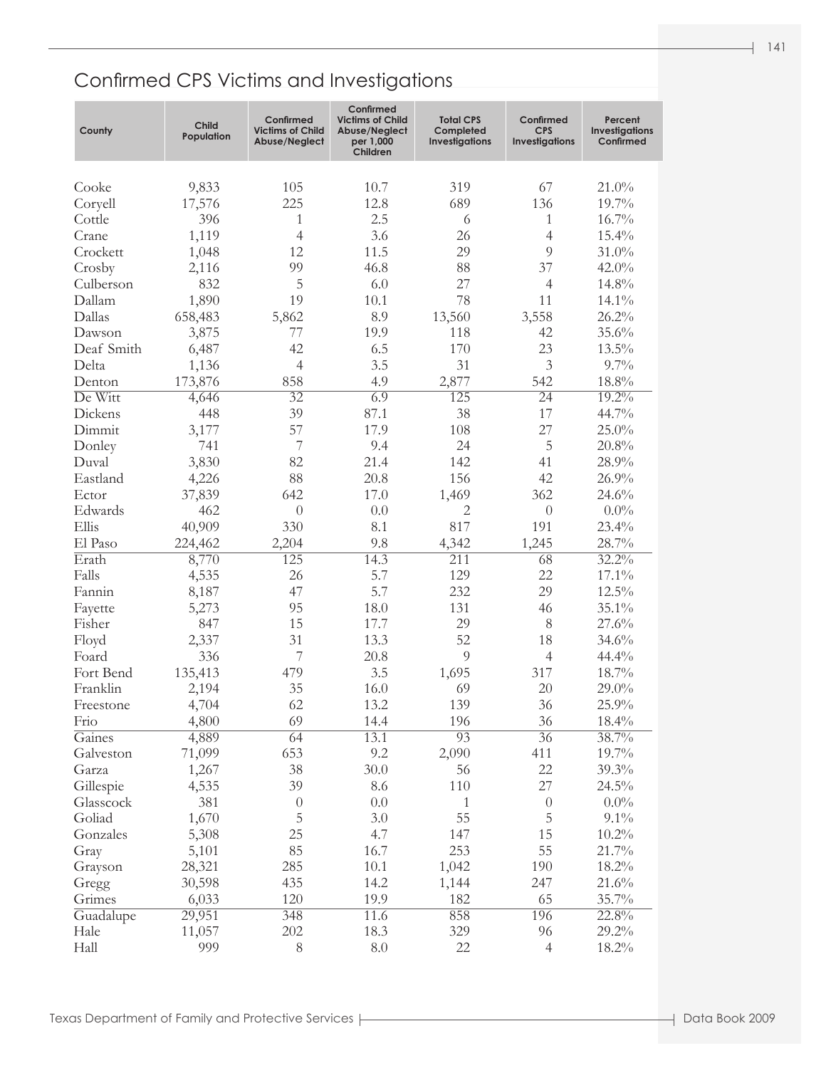| County     | <b>Child</b><br>Population | Confirmed<br><b>Victims of Child</b><br>Abuse/Neglect | Confirmed<br><b>Victims of Child</b><br>Abuse/Neglect<br>per 1,000<br>Children | <b>Total CPS</b><br>Completed<br><b>Investigations</b> | Confirmed<br><b>CPS</b><br><b>Investigations</b> | Percent<br>Investigations<br>Confirmed |
|------------|----------------------------|-------------------------------------------------------|--------------------------------------------------------------------------------|--------------------------------------------------------|--------------------------------------------------|----------------------------------------|
| Cooke      | 9,833                      | 105                                                   | 10.7                                                                           | 319                                                    | 67                                               | 21.0%                                  |
| Coryell    | 17,576                     | 225                                                   | 12.8                                                                           | 689                                                    | 136                                              | 19.7%                                  |
| Cottle     | 396                        | 1                                                     | 2.5                                                                            | 6                                                      | 1                                                | 16.7%                                  |
| Crane      | 1,119                      | $\overline{4}$                                        | 3.6                                                                            | 26                                                     | $\overline{4}$                                   | 15.4%                                  |
| Crockett   | 1,048                      | 12                                                    | 11.5                                                                           | 29                                                     | 9                                                | 31.0%                                  |
| Crosby     | 2,116                      | 99                                                    | 46.8                                                                           | 88                                                     | 37                                               | 42.0%                                  |
| Culberson  | 832                        | 5                                                     | 6.0                                                                            | 27                                                     | $\overline{4}$                                   | 14.8%                                  |
| Dallam     | 1,890                      | 19                                                    | 10.1                                                                           | 78                                                     | 11                                               | 14.1%                                  |
| Dallas     | 658,483                    | 5,862                                                 | 8.9                                                                            | 13,560                                                 | 3,558                                            | 26.2%                                  |
| Dawson     | 3,875                      | 77                                                    | 19.9                                                                           | 118                                                    | 42                                               | 35.6%                                  |
| Deaf Smith | 6,487                      | 42                                                    | 6.5                                                                            | 170                                                    | 23                                               | 13.5%                                  |
| Delta      | 1,136                      | $\overline{4}$                                        | 3.5                                                                            | 31                                                     | 3                                                | $9.7\%$                                |
| Denton     | 173,876                    | 858                                                   | 4.9                                                                            | 2,877                                                  | 542                                              | 18.8%                                  |
| De Witt    | 4,646                      | $\overline{32}$                                       | 6.9                                                                            | 125                                                    | $\overline{24}$                                  | $19.2\%$                               |
| Dickens    | 448                        | 39                                                    | 87.1                                                                           | 38                                                     | 17                                               | 44.7%                                  |
| Dimmit     | 3,177                      | 57                                                    | 17.9                                                                           | 108                                                    | 27                                               | 25.0%                                  |
| Donley     | 741                        | 7                                                     | 9.4                                                                            | 24                                                     | 5                                                | 20.8%                                  |
| Duval      | 3,830                      | 82                                                    | 21.4                                                                           | 142                                                    | 41                                               | 28.9%                                  |
| Eastland   | 4,226                      | 88                                                    | 20.8                                                                           | 156                                                    | 42                                               | 26.9%                                  |
| Ector      | 37,839                     | 642                                                   | 17.0                                                                           | 1,469                                                  | 362                                              | 24.6%                                  |
| Edwards    | 462                        | $\overline{0}$                                        | 0.0                                                                            | $\mathbf{2}$                                           | $\theta$                                         | $0.0\%$                                |
| Ellis      | 40,909                     | 330                                                   | 8.1                                                                            | 817                                                    | 191                                              | 23.4%                                  |
| El Paso    | 224,462                    | 2,204                                                 | 9.8                                                                            | 4,342                                                  | 1,245                                            | 28.7%                                  |
| Erath      | 8,770                      | 125                                                   | 14.3                                                                           | 211                                                    | 68                                               | $32.2\%$                               |
| Falls      | 4,535                      | 26                                                    | 5.7                                                                            | 129                                                    | 22                                               | 17.1%                                  |
| Fannin     | 8,187                      | 47                                                    | 5.7                                                                            | 232                                                    | 29                                               | 12.5%                                  |
| Fayette    | 5,273                      | 95                                                    | 18.0                                                                           | 131                                                    | 46                                               | 35.1%                                  |
| Fisher     | 847                        | 15                                                    | 17.7                                                                           | 29                                                     | 8                                                | 27.6%                                  |
| Floyd      | 2,337                      | 31                                                    | 13.3                                                                           | 52                                                     | 18                                               | 34.6%                                  |
| Foard      | 336                        | 7                                                     | 20.8                                                                           | 9                                                      | $\overline{4}$                                   | 44.4%                                  |
| Fort Bend  | 135,413                    | 479                                                   | 3.5                                                                            | 1,695                                                  | 317                                              | 18.7%                                  |
| Franklin   | 2,194                      | 35                                                    | 16.0                                                                           | 69                                                     | 20                                               | $29.0\%$                               |
| Freestone  | 4,704                      | 62                                                    | 13.2                                                                           | 139                                                    | 36                                               | 25.9%                                  |
| Frio       | 4,800                      | 69                                                    | 14.4                                                                           | 196                                                    | 36                                               | 18.4%                                  |
| Gaines     | 4,889                      | 64                                                    | 13.1                                                                           | $\overline{93}$                                        | $\overline{36}$                                  | 38.7%                                  |
| Galveston  | 71,099                     | 653                                                   | 9.2                                                                            | 2,090                                                  | 411                                              | 19.7%                                  |
| Garza      | 1,267                      | 38                                                    | 30.0                                                                           | 56                                                     | 22                                               | 39.3%                                  |
| Gillespie  | 4,535                      | 39                                                    | 8.6                                                                            | 110                                                    | 27                                               | 24.5%                                  |
| Glasscock  | 381                        | $\theta$                                              | 0.0                                                                            | 1                                                      | $\theta$                                         | $0.0\%$                                |
| Goliad     | 1,670                      | 5                                                     | 3.0                                                                            | 55                                                     | 5                                                | $9.1\%$                                |
| Gonzales   | 5,308                      | 25                                                    | 4.7                                                                            | 147                                                    | 15                                               | $10.2\%$                               |
| Gray       | 5,101                      | 85                                                    | 16.7                                                                           | 253                                                    | 55                                               | 21.7%                                  |
| Grayson    | 28,321                     | 285                                                   | 10.1                                                                           | 1,042                                                  | 190                                              | 18.2%                                  |
| Gregg      | 30,598                     | 435                                                   | 14.2                                                                           | 1,144                                                  | 247                                              | 21.6%                                  |
| Grimes     | 6,033                      | 120                                                   | 19.9                                                                           | 182                                                    | 65                                               | 35.7%                                  |
| Guadalupe  | 29,951                     | 348                                                   | 11.6                                                                           | 858                                                    | 196                                              | 22.8%                                  |
| Hale       | 11,057                     | 202                                                   | 18.3                                                                           | 329                                                    | 96                                               | 29.2%                                  |
| Hall       | 999                        | 8                                                     | $8.0\,$                                                                        | 22                                                     | $\overline{4}$                                   | 18.2%                                  |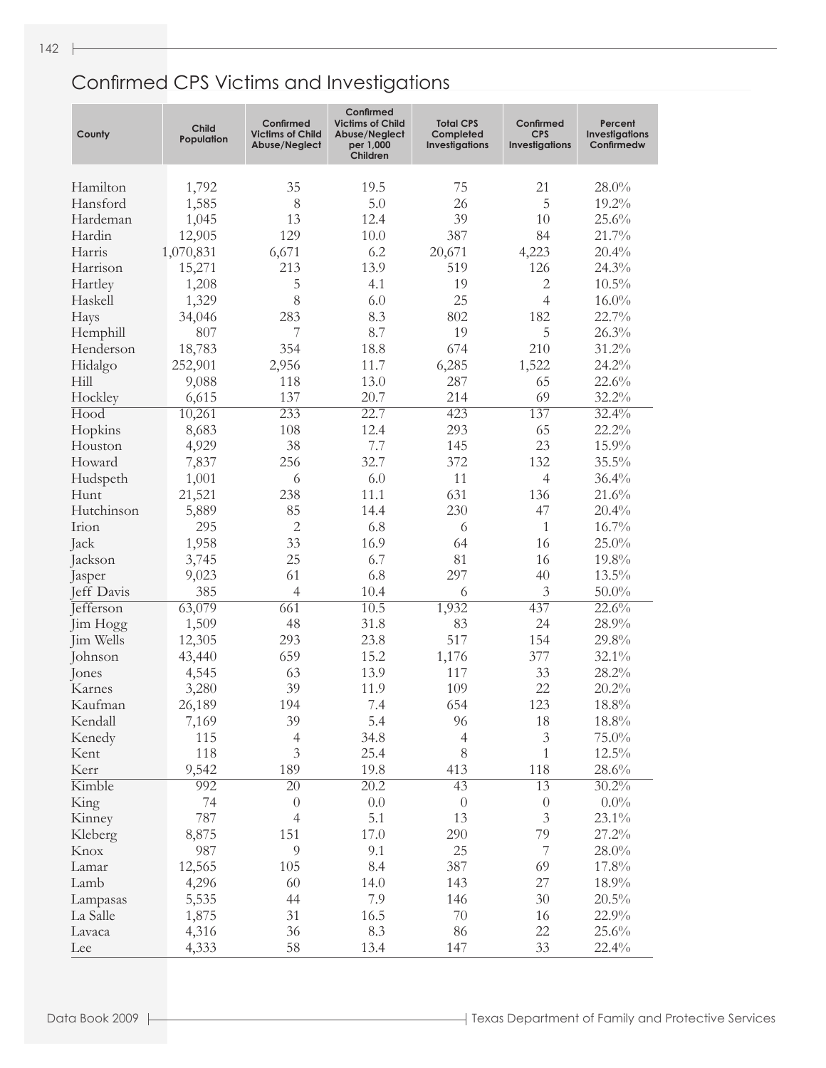| County           | <b>Child</b><br>Population | Confirmed<br><b>Victims of Child</b><br>Abuse/Neglect | Confirmed<br><b>Victims of Child</b><br>Abuse/Neglect<br>per 1,000<br>Children | <b>Total CPS</b><br>Completed<br><b>Investigations</b> | Confirmed<br><b>CPS</b><br><b>Investigations</b> | Percent<br><b>Investigations</b><br>Confirmedw |
|------------------|----------------------------|-------------------------------------------------------|--------------------------------------------------------------------------------|--------------------------------------------------------|--------------------------------------------------|------------------------------------------------|
| Hamilton         | 1,792                      | 35                                                    | 19.5                                                                           | 75                                                     | 21                                               | 28.0%                                          |
| Hansford         | 1,585                      | 8                                                     | 5.0                                                                            | 26                                                     | 5                                                | 19.2%                                          |
| Hardeman         | 1,045                      | 13                                                    | 12.4                                                                           | 39                                                     | 10                                               | 25.6%                                          |
| Hardin           | 12,905                     | 129                                                   | 10.0                                                                           | 387                                                    | 84                                               | 21.7%                                          |
| Harris           | 1,070,831                  | 6,671                                                 | 6.2                                                                            | 20,671                                                 | 4,223                                            | 20.4%                                          |
| Harrison         | 15,271                     | 213                                                   | 13.9                                                                           | 519                                                    | 126                                              | 24.3%                                          |
| Hartley          | 1,208                      | 5                                                     | 4.1                                                                            | 19                                                     | $\mathbf{2}$                                     | $10.5\%$                                       |
| Haskell          | 1,329                      | 8                                                     | 6.0                                                                            | 25                                                     | $\overline{4}$                                   | $16.0\%$                                       |
| Hays             | 34,046                     | 283                                                   | 8.3                                                                            | 802                                                    | 182                                              | 22.7%                                          |
| Hemphill         | 807                        | 7                                                     | 8.7                                                                            | 19                                                     | 5                                                | 26.3%                                          |
| Henderson        | 18,783                     | 354                                                   | 18.8                                                                           | 674                                                    | 210                                              | 31.2%                                          |
| Hidalgo          | 252,901                    | 2,956                                                 | 11.7                                                                           | 6,285                                                  | 1,522                                            | 24.2%                                          |
| Hill             | 9,088                      | 118                                                   | 13.0                                                                           | 287                                                    | 65                                               | 22.6%                                          |
| Hockley          | 6,615                      | 137                                                   | 20.7                                                                           | 214                                                    | 69                                               | 32.2%                                          |
| Hood             | 10,261                     | 233                                                   | 22.7                                                                           | 423                                                    | 137                                              | 32.4%                                          |
| Hopkins          | 8,683                      | 108                                                   | 12.4                                                                           | 293                                                    | 65                                               | 22.2%                                          |
| Houston          | 4,929                      | 38                                                    | 7.7                                                                            | 145                                                    | 23                                               | 15.9%                                          |
| Howard           | 7,837                      | 256                                                   | 32.7                                                                           | 372                                                    | 132                                              | 35.5%                                          |
| Hudspeth         | 1,001                      | 6                                                     | 6.0                                                                            | 11                                                     | $\overline{4}$                                   | 36.4%                                          |
| Hunt             | 21,521                     | 238                                                   | 11.1                                                                           | 631                                                    | 136                                              | 21.6%                                          |
| Hutchinson       | 5,889                      | 85                                                    | 14.4                                                                           | 230                                                    | 47                                               | 20.4%                                          |
| Irion            | 295                        | $\overline{2}$                                        | 6.8                                                                            | 6                                                      | $\mathbf{1}$                                     | 16.7%                                          |
| Jack             | 1,958                      | 33                                                    | 16.9                                                                           | 64                                                     | 16                                               | $25.0\%$                                       |
| Jackson          | 3,745                      | 25                                                    | 6.7                                                                            | 81                                                     | 16                                               | 19.8%                                          |
| Jasper           | 9,023                      | 61                                                    | 6.8                                                                            | 297                                                    | 40                                               | 13.5%                                          |
| Jeff Davis       | 385                        | $\overline{4}$                                        | 10.4                                                                           | 6                                                      | $\mathfrak{Z}$                                   | $50.0\%$                                       |
| <b>Jefferson</b> | 63,079                     | 661                                                   | 10.5                                                                           | 1,932                                                  | 437                                              | 22.6%                                          |
| Jim Hogg         | 1,509                      | 48                                                    | 31.8                                                                           | 83                                                     | 24                                               | 28.9%                                          |
| Jim Wells        | 12,305                     | 293                                                   | 23.8                                                                           | 517                                                    | 154                                              | 29.8%                                          |
| Johnson          | 43,440                     | 659                                                   | 15.2                                                                           | 1,176                                                  | 377                                              | 32.1%                                          |
| Jones            | 4,545                      | 63                                                    | 13.9                                                                           | 117                                                    | 33                                               | 28.2%                                          |
| Karnes           | 3,280                      | 39                                                    | 11.9                                                                           | 109                                                    | 22                                               | 20.2%                                          |
| Kaufman          | 26,189                     | 194                                                   | 7.4                                                                            | 654                                                    | 123                                              | 18.8%                                          |
| Kendall          | 7,169                      | 39                                                    | 5.4                                                                            | 96                                                     | 18                                               | $18.8\%$                                       |
|                  | 115                        | $\overline{4}$                                        | 34.8                                                                           |                                                        | $\sqrt{3}$                                       | 75.0%                                          |
| Kenedy           | 118                        | $\overline{3}$                                        | 25.4                                                                           | $\overline{4}$<br>$8\,$                                | $\mathbf{1}$                                     | 12.5%                                          |
| Kent<br>Kerr     | 9,542                      | 189                                                   | 19.8                                                                           | 413                                                    | 118                                              |                                                |
| Kimble           | 992                        |                                                       |                                                                                |                                                        |                                                  | 28.6%                                          |
|                  |                            | $\overline{20}$                                       | $\overline{20.2}$                                                              | 43                                                     | 13                                               | $30.2\%$                                       |
| King             | 74                         | $\theta$                                              | $0.0\,$                                                                        | $\boldsymbol{0}$                                       | $\boldsymbol{0}$                                 | $0.0\%$                                        |
| Kinney           | 787                        | $\overline{4}$                                        | 5.1                                                                            | 13                                                     | $\mathfrak{Z}$                                   | 23.1%                                          |
| Kleberg          | 8,875                      | 151                                                   | 17.0                                                                           | 290                                                    | 79                                               | 27.2%                                          |
| Knox             | 987                        | 9                                                     | 9.1                                                                            | 25                                                     | $\boldsymbol{7}$                                 | $28.0\%$                                       |
| Lamar            | 12,565                     | 105                                                   | 8.4                                                                            | 387                                                    | 69                                               | 17.8%                                          |
| Lamb             | 4,296                      | 60                                                    | 14.0                                                                           | 143                                                    | 27                                               | 18.9%                                          |
| Lampasas         | 5,535                      | 44                                                    | 7.9                                                                            | 146                                                    | $30\,$                                           | 20.5%                                          |
| La Salle         | 1,875                      | 31                                                    | 16.5                                                                           | $70\,$                                                 | 16                                               | 22.9%                                          |
| Lavaca           | 4,316                      | 36                                                    | 8.3                                                                            | 86                                                     | 22                                               | 25.6%                                          |
| Lee              | 4,333                      | 58                                                    | 13.4                                                                           | 147                                                    | 33                                               | 22.4%                                          |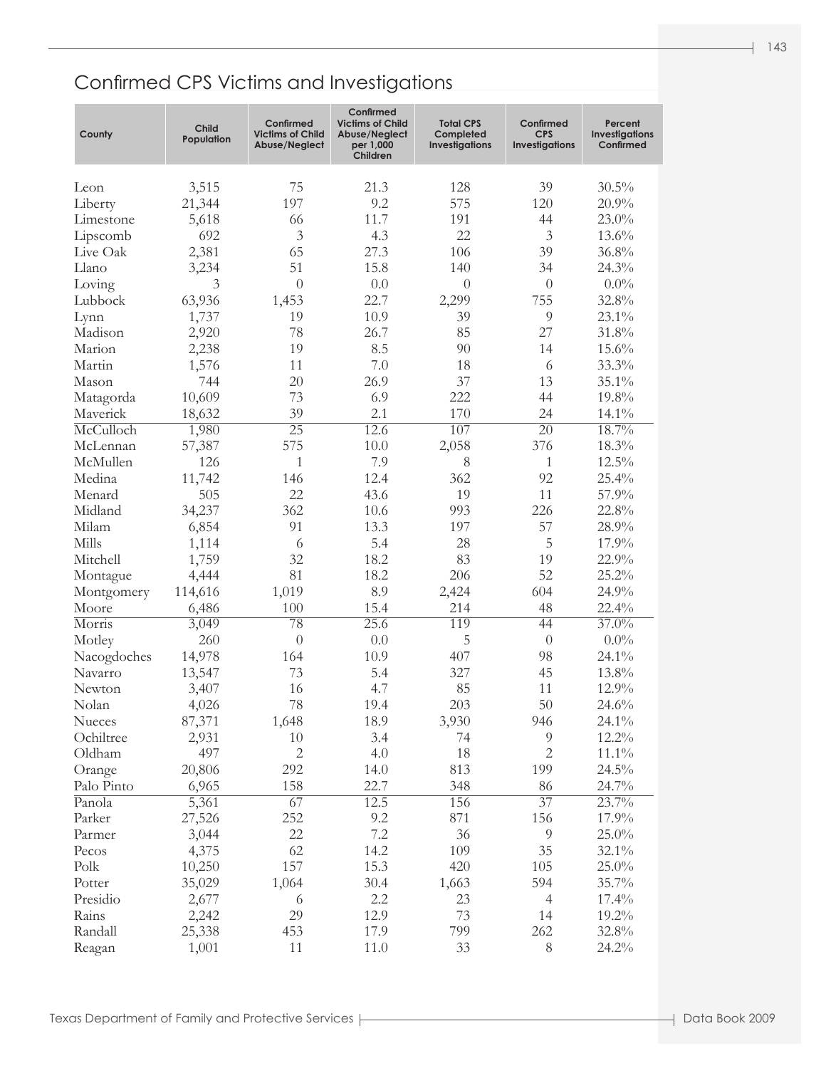| County                 | <b>Child</b><br>Population | Confirmed<br><b>Victims of Child</b><br>Abuse/Neglect | Confirmed<br><b>Victims of Child</b><br>Abuse/Neglect<br>per 1,000<br>Children | <b>Total CPS</b><br>Completed<br><b>Investigations</b> | Confirmed<br><b>CPS</b><br>Investigations | Percent<br><b>Investigations</b><br>Confirmed |
|------------------------|----------------------------|-------------------------------------------------------|--------------------------------------------------------------------------------|--------------------------------------------------------|-------------------------------------------|-----------------------------------------------|
| Leon                   | 3,515                      | 75                                                    | 21.3                                                                           | 128                                                    | 39                                        | 30.5%                                         |
| Liberty                | 21,344                     | 197                                                   | 9.2                                                                            | 575                                                    | 120                                       | 20.9%                                         |
| Limestone              | 5,618                      | 66                                                    | 11.7                                                                           | 191                                                    | 44                                        | 23.0%                                         |
| Lipscomb               | 692                        | 3                                                     | 4.3                                                                            | 22                                                     | $\mathfrak{Z}$                            | 13.6%                                         |
| Live Oak               | 2,381                      | 65                                                    | 27.3                                                                           | 106                                                    | 39                                        | 36.8%                                         |
| Llano                  | 3,234                      | 51                                                    | 15.8                                                                           | 140                                                    | 34                                        | 24.3%                                         |
| Loving                 | 3                          | $\overline{0}$                                        | $0.0\,$                                                                        | $\theta$                                               | $\theta$                                  | $0.0\%$                                       |
| Lubbock                | 63,936                     | 1,453                                                 | 22.7                                                                           | 2,299                                                  | 755                                       | 32.8%                                         |
| Lynn                   | 1,737                      | 19                                                    | 10.9                                                                           | 39                                                     | $\overline{9}$                            | 23.1%                                         |
| Madison                | 2,920                      | 78                                                    | 26.7                                                                           | 85                                                     | 27                                        | $31.8\%$                                      |
| Marion                 | 2,238                      | 19                                                    | 8.5                                                                            | 90                                                     | 14                                        | 15.6%                                         |
| Martin                 | 1,576                      | 11                                                    | 7.0                                                                            | 18                                                     | 6                                         | 33.3%                                         |
| Mason                  | 744                        | 20                                                    | 26.9                                                                           | 37                                                     | 13                                        | 35.1%                                         |
| Matagorda              | 10,609                     | 73                                                    | 6.9                                                                            | 222                                                    | 44                                        | 19.8%                                         |
| Maverick               | 18,632                     | 39                                                    | 2.1                                                                            | 170                                                    | 24                                        | 14.1%                                         |
| McCulloch              | 1,980                      | $\overline{25}$                                       | 12.6                                                                           | 107                                                    | $\overline{20}$                           | 18.7%                                         |
| McLennan               | 57,387                     | 575                                                   | $10.0\,$                                                                       | 2,058                                                  | 376                                       | 18.3%                                         |
| McMullen               | 126                        | $\mathbf{1}$                                          | 7.9                                                                            | 8                                                      | $\mathbf{1}$                              | $12.5\%$                                      |
| Medina                 | 11,742                     | 146                                                   | 12.4                                                                           | 362                                                    | 92                                        | 25.4%                                         |
| Menard                 | 505                        | 22                                                    | 43.6                                                                           | 19                                                     | 11                                        | 57.9%                                         |
| Midland                | 34,237                     | 362                                                   | 10.6                                                                           | 993                                                    | 226                                       | 22.8%                                         |
| Milam                  |                            | 91                                                    | 13.3                                                                           | 197                                                    | 57                                        |                                               |
| Mills                  | 6,854                      |                                                       | 5.4                                                                            |                                                        |                                           | 28.9%                                         |
|                        | 1,114                      | 6<br>32                                               |                                                                                | 28                                                     | 5<br>19                                   | 17.9%                                         |
| Mitchell               | 1,759                      | 81                                                    | 18.2<br>18.2                                                                   | 83<br>206                                              | 52                                        | 22.9%<br>25.2%                                |
| Montague               | 4,444                      |                                                       | 8.9                                                                            |                                                        |                                           |                                               |
| Montgomery<br>Moore    | 114,616                    | 1,019<br>100                                          | 15.4                                                                           | 2,424<br>214                                           | 604<br>48                                 | 24.9%<br>22.4%                                |
| Morris                 | 6,486                      | $\overline{78}$                                       | 25.6                                                                           | 119                                                    | 44                                        | $37.0\%$                                      |
|                        | 3,049<br>260               | $\theta$                                              | 0.0                                                                            | 5                                                      | $\boldsymbol{0}$                          | $0.0\%$                                       |
| Motley                 |                            | 164                                                   |                                                                                | 407                                                    |                                           | 24.1%                                         |
| Nacogdoches<br>Navarro | 14,978                     | 73                                                    | 10.9<br>5.4                                                                    |                                                        | 98<br>45                                  |                                               |
| Newton                 | 13,547                     | 16                                                    | 4.7                                                                            | 327<br>85                                              | 11                                        | 13.8%<br>12.9%                                |
| Nolan                  | 3,407                      | 78                                                    | 19.4                                                                           | 203                                                    | 50                                        | 24.6%                                         |
|                        | 4,026                      |                                                       |                                                                                |                                                        | 946                                       |                                               |
| Nueces<br>Ochiltree    | 87,371                     | 1,648<br>10                                           | 18.9                                                                           | 3,930<br>74                                            | $\overline{9}$                            | 24.1%                                         |
|                        | 2,931                      | $\overline{2}$                                        | 3.4                                                                            |                                                        | $\mathbf{2}$                              | 12.2%                                         |
| Oldham                 | 497                        |                                                       | 4.0                                                                            | 18                                                     |                                           | $11.1\%$                                      |
| Orange                 | 20,806                     | 292                                                   | 14.0                                                                           | 813                                                    | 199                                       | 24.5%                                         |
| Palo Pinto             | 6,965                      | 158                                                   | 22.7                                                                           | 348                                                    | 86                                        | 24.7%                                         |
| Panola                 | 5,361                      | 67                                                    | 12.5                                                                           | 156                                                    | $\overline{37}$                           | 23.7%                                         |
| Parker                 | 27,526                     | 252                                                   | 9.2                                                                            | 871                                                    | 156                                       | 17.9%                                         |
| Parmer                 | 3,044                      | 22                                                    | 7.2                                                                            | 36                                                     | $\overline{9}$                            | 25.0%                                         |
| Pecos                  | 4,375                      | 62                                                    | 14.2                                                                           | 109                                                    | 35                                        | 32.1%                                         |
| Polk                   | 10,250                     | 157                                                   | 15.3                                                                           | 420                                                    | 105                                       | 25.0%                                         |
| Potter                 | 35,029                     | 1,064                                                 | 30.4                                                                           | 1,663                                                  | 594                                       | 35.7%                                         |
| Presidio               | 2,677                      | 6                                                     | 2.2                                                                            | 23                                                     | $\overline{4}$                            | 17.4%                                         |
| Rains                  | 2,242                      | 29                                                    | 12.9                                                                           | 73                                                     | 14                                        | 19.2%                                         |
| Randall                | 25,338                     | 453                                                   | 17.9                                                                           | 799                                                    | 262                                       | 32.8%                                         |
| Reagan                 | 1,001                      | 11                                                    | 11.0                                                                           | 33                                                     | $8\,$                                     | 24.2%                                         |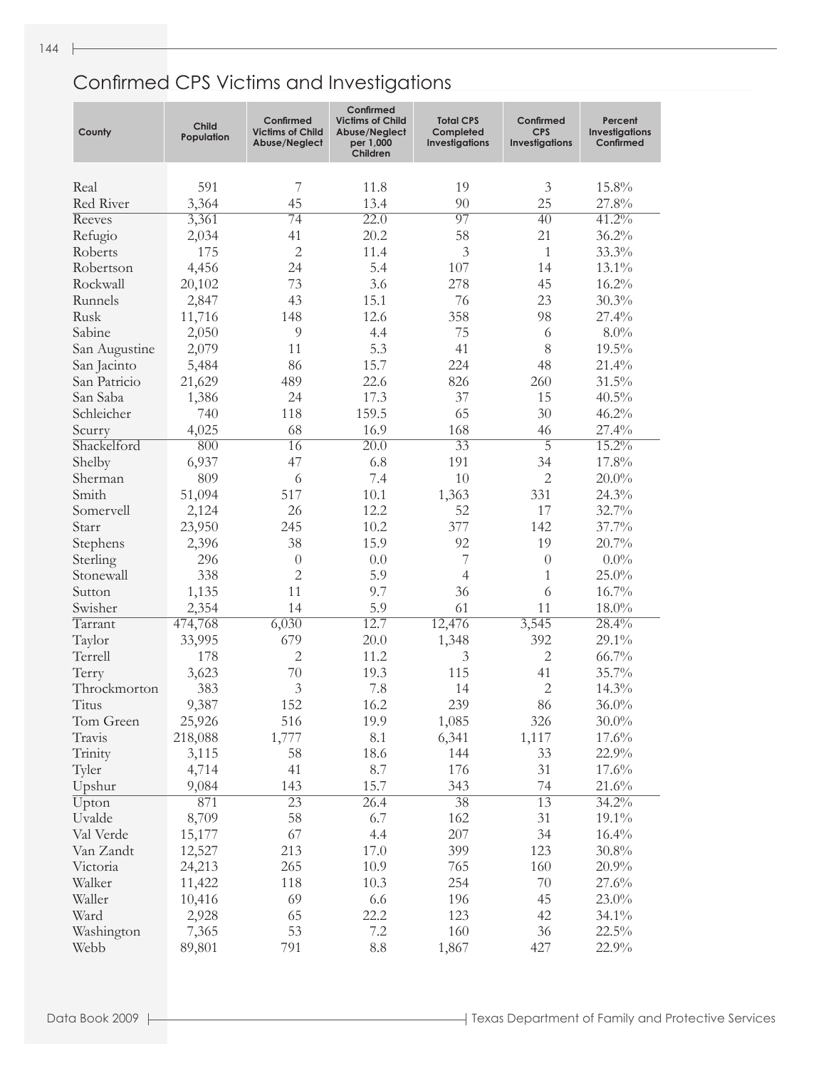| County        | <b>Child</b><br>Population | Confirmed<br><b>Victims of Child</b><br>Abuse/Neglect | Confirmed<br><b>Victims of Child</b><br>Abuse/Neglect<br>per 1,000<br>Children | <b>Total CPS</b><br>Completed<br><b>Investigations</b> | Confirmed<br><b>CPS</b><br><b>Investigations</b> | Percent<br><b>Investigations</b><br>Confirmed |
|---------------|----------------------------|-------------------------------------------------------|--------------------------------------------------------------------------------|--------------------------------------------------------|--------------------------------------------------|-----------------------------------------------|
| Real          | 591                        | 7                                                     | 11.8                                                                           | 19                                                     | 3                                                | 15.8%                                         |
| Red River     | 3,364                      | 45                                                    | 13.4                                                                           | 90                                                     | 25                                               | 27.8%                                         |
| Reeves        | 3,361                      | $\overline{74}$                                       | 22.0                                                                           | 97                                                     | $\overline{40}$                                  | $41.2\%$                                      |
| Refugio       | 2,034                      | 41                                                    | 20.2                                                                           | 58                                                     | 21                                               | 36.2%                                         |
| Roberts       | 175                        | $\overline{2}$                                        | 11.4                                                                           | $\mathfrak{Z}$                                         | 1                                                | 33.3%                                         |
| Robertson     | 4,456                      | 24                                                    | 5.4                                                                            | 107                                                    | 14                                               | 13.1%                                         |
| Rockwall      | 20,102                     | 73                                                    | 3.6                                                                            | 278                                                    | 45                                               | 16.2%                                         |
| Runnels       | 2,847                      | 43                                                    | 15.1                                                                           | 76                                                     | 23                                               | 30.3%                                         |
| Rusk          | 11,716                     | 148                                                   | 12.6                                                                           | 358                                                    | 98                                               | 27.4%                                         |
| Sabine        | 2,050                      | $\overline{9}$                                        | 4.4                                                                            | 75                                                     | 6                                                | $8.0\%$                                       |
| San Augustine | 2,079                      | 11                                                    | 5.3                                                                            | 41                                                     | 8                                                | $19.5\%$                                      |
| San Jacinto   | 5,484                      | 86                                                    | 15.7                                                                           | 224                                                    | 48                                               | 21.4%                                         |
| San Patricio  | 21,629                     | 489                                                   | 22.6                                                                           | 826                                                    | 260                                              | $31.5\%$                                      |
| San Saba      | 1,386                      | 24                                                    | 17.3                                                                           | 37                                                     | 15                                               | $40.5\%$                                      |
| Schleicher    | 740                        | 118                                                   | 159.5                                                                          | 65                                                     | 30                                               | 46.2%                                         |
| Scurry        | 4,025                      | 68                                                    | 16.9                                                                           | 168                                                    | 46                                               | 27.4%                                         |
| Shackelford   | 800                        | 16                                                    | $\overline{20.0}$                                                              | $\overline{33}$                                        | $\overline{5}$                                   | $15.2\%$                                      |
| Shelby        | 6,937                      | 47                                                    | 6.8                                                                            | 191                                                    | 34                                               | 17.8%                                         |
| Sherman       | 809                        | 6                                                     | 7.4                                                                            | 10                                                     | $\mathbf{2}$                                     | $20.0\%$                                      |
| Smith         | 51,094                     | 517                                                   | 10.1                                                                           | 1,363                                                  | 331                                              | 24.3%                                         |
| Somervell     | 2,124                      | 26                                                    | 12.2                                                                           | 52                                                     | 17                                               | 32.7%                                         |
| Starr         | 23,950                     | 245                                                   | 10.2                                                                           | 377                                                    | 142                                              | 37.7%                                         |
| Stephens      | 2,396                      | 38                                                    | 15.9                                                                           | 92                                                     | 19                                               | 20.7%                                         |
| Sterling      | 296                        | $\theta$                                              | 0.0                                                                            | 7                                                      | $\theta$                                         | $0.0\%$                                       |
| Stonewall     | 338                        | $\overline{2}$                                        | 5.9                                                                            | $\overline{4}$                                         | $\mathbf{1}$                                     | $25.0\%$                                      |
| Sutton        | 1,135                      | 11                                                    | 9.7                                                                            | 36                                                     | 6                                                | 16.7%                                         |
| Swisher       | 2,354                      | 14                                                    | 5.9                                                                            | 61                                                     | 11                                               | 18.0%                                         |
| Tarrant       | 474,768                    | 6,030                                                 | 12.7                                                                           | 12,476                                                 | 3,545                                            | 28.4%                                         |
| Taylor        | 33,995                     | 679                                                   | 20.0                                                                           | 1,348                                                  | 392                                              | 29.1%                                         |
| Terrell       | 178                        | $\mathbf{2}$                                          | 11.2                                                                           | 3                                                      | $\mathbf{2}$                                     | 66.7%                                         |
| Terry         | 3,623                      | 70                                                    | 19.3                                                                           | 115                                                    | 41                                               | 35.7%                                         |
| Throckmorton  | 383                        | 3                                                     | 7.8                                                                            | 14                                                     | $\overline{2}$                                   | 14.3%                                         |
| Titus         | 9,387                      | 152                                                   | 16.2                                                                           | 239                                                    | 86                                               | 36.0%                                         |
| Tom Green     | 25,926                     | 516                                                   | 19.9                                                                           | 1,085                                                  | 326                                              | $30.0\%$                                      |
| Travis        | 218,088                    | 1,777                                                 | 8.1                                                                            | 6,341                                                  | 1,117                                            | 17.6%                                         |
| Trinity       | 3,115                      | 58                                                    | 18.6                                                                           | 144                                                    | 33                                               | 22.9%                                         |
| Tyler         | 4,714                      | 41                                                    | 8.7                                                                            | 176                                                    | 31                                               | 17.6%                                         |
| Upshur        | 9,084                      | 143                                                   | 15.7                                                                           | 343                                                    | 74                                               | 21.6%                                         |
| Upton         | 871                        | $\overline{23}$                                       | 26.4                                                                           | $\overline{38}$                                        | $\overline{13}$                                  | $34.2\%$                                      |
| Uvalde        | 8,709                      | 58                                                    | 6.7                                                                            | 162                                                    | 31                                               | 19.1%                                         |
| Val Verde     | 15,177                     | 67                                                    | 4.4                                                                            | 207                                                    | 34                                               | 16.4%                                         |
| Van Zandt     | 12,527                     | 213                                                   | 17.0                                                                           | 399                                                    | 123                                              | $30.8\%$                                      |
| Victoria      | 24,213                     | 265                                                   | 10.9                                                                           | 765                                                    | 160                                              | 20.9%                                         |
| Walker        | 11,422                     | 118                                                   | 10.3                                                                           | 254                                                    | $70\,$                                           | 27.6%                                         |
| Waller        | 10,416                     | 69                                                    | 6.6                                                                            | 196                                                    | 45                                               | $23.0\%$                                      |
| Ward          | 2,928                      | 65                                                    | 22.2                                                                           | 123                                                    | 42                                               | 34.1%                                         |
| Washington    | 7,365                      | 53                                                    | 7.2                                                                            | 160                                                    | 36                                               | 22.5%                                         |
| Webb          | 89,801                     | 791                                                   | 8.8                                                                            | 1,867                                                  | 427                                              | 22.9%                                         |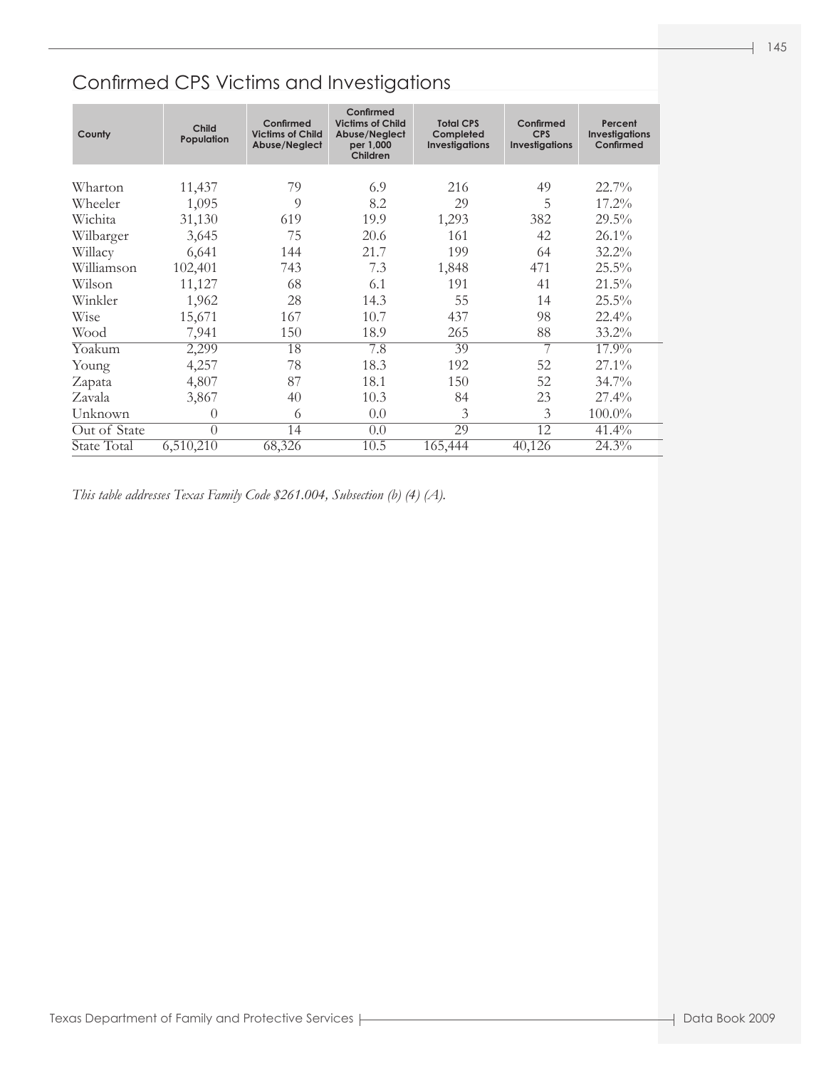| County       | Child<br>Population | Confirmed<br><b>Victims of Child</b><br>Abuse/Neglect | Confirmed<br><b>Victims of Child</b><br>Abuse/Neglect<br>per 1,000<br>Children | <b>Total CPS</b><br>Completed<br><b>Investigations</b> | Confirmed<br><b>CPS</b><br><b>Investigations</b> | Percent<br><b>Investigations</b><br>Confirmed |
|--------------|---------------------|-------------------------------------------------------|--------------------------------------------------------------------------------|--------------------------------------------------------|--------------------------------------------------|-----------------------------------------------|
| Wharton      | 11,437              | 79                                                    | 6.9                                                                            | 216                                                    | 49                                               | $22.7\%$                                      |
| Wheeler      | 1,095               | 9                                                     | 8.2                                                                            | 29                                                     | 5                                                | $17.2\%$                                      |
| Wichita      | 31,130              | 619                                                   | 19.9                                                                           | 1,293                                                  | 382                                              | $29.5\%$                                      |
| Wilbarger    | 3,645               | 75                                                    | 20.6                                                                           | 161                                                    | 42                                               | 26.1%                                         |
| Willacy      | 6,641               | 144                                                   | 21.7                                                                           | 199                                                    | 64                                               | $32.2\%$                                      |
| Williamson   | 102,401             | 743                                                   | 7.3                                                                            | 1,848                                                  | 471                                              | $25.5\%$                                      |
| Wilson       | 11,127              | 68                                                    | 6.1                                                                            | 191                                                    | 41                                               | $21.5\%$                                      |
| Winkler      | 1,962               | 28                                                    | 14.3                                                                           | 55                                                     | 14                                               | 25.5%                                         |
| <b>Wise</b>  | 15,671              | 167                                                   | 10.7                                                                           | 437                                                    | 98                                               | 22.4%                                         |
| Wood         | 7,941               | 150                                                   | 18.9                                                                           | 265                                                    | 88                                               | $33.2\%$                                      |
| Yoakum       | 2,299               | 18                                                    | 7.8                                                                            | 39                                                     | 7                                                | 17.9%                                         |
| Young        | 4,257               | 78                                                    | 18.3                                                                           | 192                                                    | 52                                               | 27.1%                                         |
| Zapata       | 4,807               | 87                                                    | 18.1                                                                           | 150                                                    | 52                                               | $34.7\%$                                      |
| Zavala       | 3,867               | 40                                                    | 10.3                                                                           | 84                                                     | 23                                               | $27.4\%$                                      |
| Unknown      | $\theta$            | 6                                                     | 0.0                                                                            | 3                                                      | 3                                                | $100.0\%$                                     |
| Out of State | $\overline{0}$      | 14                                                    | 0.0                                                                            | 29                                                     | 12                                               | 41.4%                                         |
| State Total  | 6,510,210           | 68,326                                                | 10.5                                                                           | 165,444                                                | 40,126                                           | 24.3%                                         |

*This table addresses Texas Family Code \$261.004, Subsection (b) (4) (A).*

Ī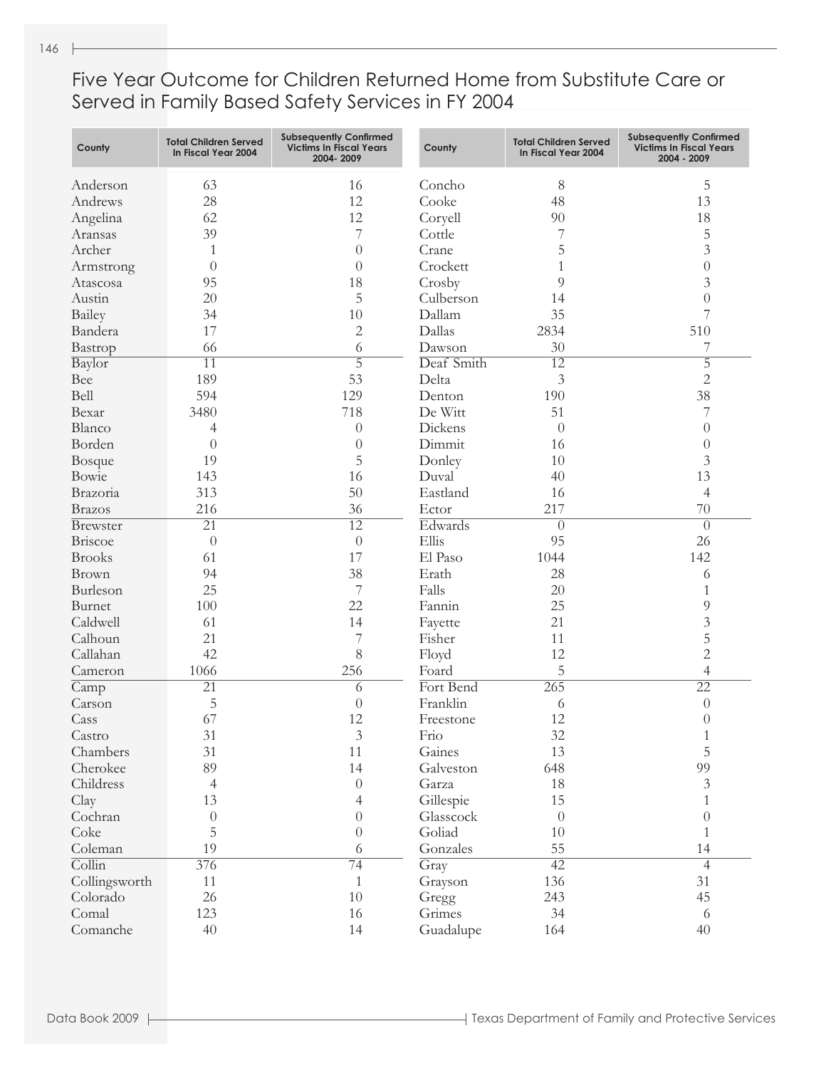Five Year Outcome for Children Returned Home from Substitute Care or Served in Family Based Safety Services in FY 2004

| County                     | <b>Total Children Served</b><br>In Fiscal Year 2004 | <b>Subsequently Confirmed</b><br><b>Victims In Fiscal Years</b><br>2004-2009 | County               | <b>Total Children Served</b><br>In Fiscal Year 2004 | <b>Subsequently Confirmed</b><br><b>Victims In Fiscal Years</b><br>2004 - 2009 |
|----------------------------|-----------------------------------------------------|------------------------------------------------------------------------------|----------------------|-----------------------------------------------------|--------------------------------------------------------------------------------|
| Anderson                   | 63                                                  | 16                                                                           | Concho               | 8                                                   | 5                                                                              |
| Andrews                    | 28                                                  | 12                                                                           | Cooke                | 48                                                  | 13                                                                             |
| Angelina                   | 62                                                  | 12                                                                           | Coryell              | 90                                                  | 18                                                                             |
| Aransas                    | 39                                                  | 7                                                                            | Cottle               |                                                     | 5                                                                              |
| Archer                     | 1                                                   | $\overline{0}$                                                               | Crane                | 5                                                   | $\overline{3}$                                                                 |
| Armstrong                  | $\theta$                                            | $\overline{0}$                                                               | Crockett             | 1                                                   | $\theta$                                                                       |
| Atascosa                   | 95                                                  | 18                                                                           | Crosby               | 9                                                   | 3                                                                              |
| Austin                     | 20                                                  | 5                                                                            | Culberson            | 14                                                  | $\overline{0}$                                                                 |
| Bailey                     | 34                                                  | 10                                                                           | Dallam               | 35                                                  | 7                                                                              |
|                            | 17                                                  | $\mathbf{2}$                                                                 | Dallas               | 2834                                                | 510                                                                            |
| Bandera                    |                                                     |                                                                              |                      | 30                                                  |                                                                                |
| Bastrop                    | 66                                                  | 6<br>$\overline{5}$                                                          | Dawson<br>Deaf Smith |                                                     | 7<br>$\overline{5}$                                                            |
| Baylor                     | $\overline{11}$                                     |                                                                              |                      | $\overline{12}$                                     |                                                                                |
| Bee                        | 189                                                 | 53                                                                           | Delta                | 3                                                   | $\overline{2}$                                                                 |
| Bell                       | 594                                                 | 129                                                                          | Denton               | 190                                                 | 38                                                                             |
| Bexar                      | 3480                                                | 718                                                                          | De Witt              | 51                                                  | 7                                                                              |
| Blanco                     | 4                                                   | $\theta$                                                                     | Dickens              | $\overline{0}$                                      | $\theta$                                                                       |
| Borden                     | $\theta$                                            | $\theta$                                                                     | Dimmit               | 16                                                  | $\theta$                                                                       |
| <b>Bosque</b>              | 19                                                  | 5                                                                            | Donley               | 10                                                  | 3                                                                              |
| Bowie                      | 143                                                 | 16                                                                           | Duval                | 40                                                  | 13                                                                             |
| Brazoria                   | 313                                                 | 50                                                                           | Eastland             | 16                                                  | $\overline{4}$                                                                 |
| <b>Brazos</b>              | 216                                                 | 36                                                                           | Ector                | 217                                                 | 70                                                                             |
| <b>Brewster</b>            | $\overline{21}$                                     | $\overline{12}$                                                              | Edwards              | $\overline{0}$                                      | $\theta$                                                                       |
| Briscoe                    | $\theta$                                            | $\theta$                                                                     | Ellis                | 95                                                  | 26                                                                             |
| <b>Brooks</b>              | 61                                                  | 17                                                                           | El Paso              | 1044                                                | 142                                                                            |
| Brown                      | 94                                                  | 38                                                                           | Erath                | 28                                                  | 6                                                                              |
| Burleson                   | 25                                                  | 7                                                                            | Falls                | 20                                                  | 1                                                                              |
| Burnet                     | 100                                                 | 22                                                                           | Fannin               | 25                                                  | 9                                                                              |
| Caldwell                   | 61                                                  | 14                                                                           | Fayette              | 21                                                  | 3                                                                              |
| Calhoun                    | 21                                                  | 7                                                                            | Fisher               | 11                                                  | 5                                                                              |
| Callahan                   | 42                                                  | 8                                                                            | Floyd                | 12                                                  | $\overline{2}$                                                                 |
| Cameron                    | 1066                                                | 256                                                                          | Foard                | 5                                                   | $\overline{4}$                                                                 |
| Camp                       | $\overline{21}$                                     | 6                                                                            | Fort Bend            | 265                                                 | $\overline{22}$                                                                |
| Carson                     | 5                                                   | $\overline{0}$                                                               | Franklin             | 6                                                   | $\theta$                                                                       |
| Cass                       | 67                                                  | 12                                                                           | Freestone            | 12                                                  | $\theta$                                                                       |
| Castro                     | 31                                                  | $\ensuremath{\mathfrak{Z}}$                                                  | Frio                 | 32                                                  | 1                                                                              |
| Chambers                   | 31                                                  | 11                                                                           | Gaines               | 13                                                  | 5                                                                              |
| Cherokee                   | 89                                                  | 14                                                                           | Galveston            | 648                                                 | 99                                                                             |
| Childress                  | $\overline{4}$                                      | $\theta$                                                                     | Garza                | 18                                                  | $\mathfrak{Z}$                                                                 |
| Clay                       | 13                                                  | $\overline{4}$                                                               | Gillespie            | 15                                                  | $\mathbf{1}$                                                                   |
| Cochran                    | $\boldsymbol{0}$                                    | $\boldsymbol{0}$                                                             | Glasscock            | $\theta$                                            | $\overline{0}$                                                                 |
| Coke                       | 5                                                   | $\theta$                                                                     | Goliad               | 10                                                  | $\mathbf{1}$                                                                   |
| Coleman                    | 19                                                  | 6                                                                            | Gonzales             | 55                                                  | 14                                                                             |
| $\overline{\text{Collin}}$ | 376                                                 | 74                                                                           | Gray                 | 42                                                  | $\overline{4}$                                                                 |
| Collingsworth              | 11                                                  | $\mathbf{1}$                                                                 | Grayson              | 136                                                 | 31                                                                             |
| Colorado                   | 26                                                  | $10\,$                                                                       | Gregg                | 243                                                 | 45                                                                             |
| Comal                      | 123                                                 | 16                                                                           | Grimes               | 34                                                  | 6                                                                              |
| Comanche                   | 40                                                  | 14                                                                           | Guadalupe            | 164                                                 | 40                                                                             |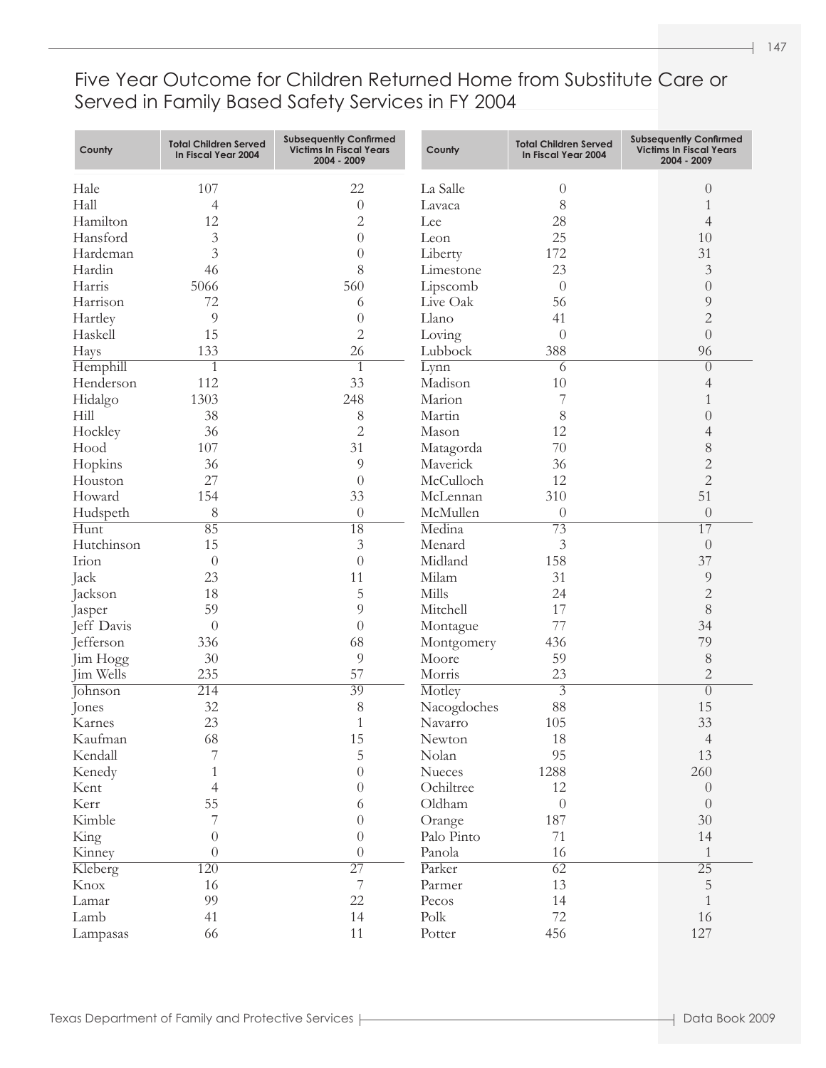#### Five Year Outcome for Children Returned Home from Substitute Care or Served in Family Based Safety Services in FY 2004

| County     | <b>Total Children Served</b><br>In Fiscal Year 2004 | <b>Subsequently Confirmed</b><br><b>Victims In Fiscal Years</b><br>2004 - 2009 | County      | <b>Total Children Served</b><br>In Fiscal Year 2004 | <b>Subsequently Confirmed</b><br><b>Victims In Fiscal Years</b><br>2004 - 2009 |
|------------|-----------------------------------------------------|--------------------------------------------------------------------------------|-------------|-----------------------------------------------------|--------------------------------------------------------------------------------|
| Hale       | 107                                                 | 22                                                                             | La Salle    | 0                                                   | $\theta$                                                                       |
| Hall       | $\overline{4}$                                      | $\theta$                                                                       | Lavaca      | 8                                                   | 1                                                                              |
| Hamilton   | 12                                                  | $\mathbf{2}$                                                                   | Lee         | 28                                                  | 4                                                                              |
| Hansford   | 3                                                   | $\overline{0}$                                                                 | Leon        | 25                                                  | 10                                                                             |
| Hardeman   | 3                                                   | $\theta$                                                                       | Liberty     | 172                                                 | 31                                                                             |
| Hardin     | 46                                                  | 8                                                                              | Limestone   | 23                                                  | 3                                                                              |
| Harris     | 5066                                                | 560                                                                            | Lipscomb    | $\theta$                                            | $\theta$                                                                       |
| Harrison   | 72                                                  | 6                                                                              | Live Oak    | 56                                                  | 9                                                                              |
| Hartley    | 9                                                   | $\overline{0}$                                                                 | Llano       | 41                                                  | $\overline{c}$                                                                 |
| Haskell    | 15                                                  | $\overline{2}$                                                                 | Loving      | $\theta$                                            | $\overline{0}$                                                                 |
| Hays       | 133                                                 | 26                                                                             | Lubbock     | 388                                                 | 96                                                                             |
| Hemphill   | 1                                                   | $\mathbf{1}$                                                                   | Lynn        | 6                                                   | $\overline{0}$                                                                 |
| Henderson  | 112                                                 | 33                                                                             | Madison     | 10                                                  | 4                                                                              |
| Hidalgo    | 1303                                                | 248                                                                            | Marion      | 7                                                   | 1                                                                              |
| Hill       | 38                                                  | 8                                                                              | Martin      | 8                                                   | $\theta$                                                                       |
| Hockley    | 36                                                  | $\mathbf{2}$                                                                   | Mason       | 12                                                  | 4                                                                              |
| Hood       | 107                                                 | 31                                                                             | Matagorda   | 70                                                  | $\,$ $\,$                                                                      |
| Hopkins    | 36                                                  | 9                                                                              | Maverick    | 36                                                  | $\overline{c}$                                                                 |
| Houston    | 27                                                  | $\overline{0}$                                                                 | McCulloch   | 12                                                  | $\overline{2}$                                                                 |
| Howard     | 154                                                 | 33                                                                             | McLennan    | 310                                                 | 51                                                                             |
| Hudspeth   | 8                                                   | $\theta$                                                                       | McMullen    | $\theta$                                            | $\theta$                                                                       |
| Hunt       | 85                                                  | $\overline{18}$                                                                | Medina      | $\overline{73}$                                     | $\overline{17}$                                                                |
| Hutchinson | 15                                                  | 3                                                                              | Menard      | 3                                                   | $\overline{0}$                                                                 |
| Irion      | $\theta$                                            | $\overline{0}$                                                                 | Midland     | 158                                                 | 37                                                                             |
| Jack       | 23                                                  | 11                                                                             | Milam       | 31                                                  | 9                                                                              |
| Jackson    | 18                                                  | 5                                                                              | Mills       | 24                                                  | $\overline{2}$                                                                 |
| Jasper     | 59                                                  | 9                                                                              | Mitchell    | 17                                                  | 8                                                                              |
| Jeff Davis | $\theta$                                            | $\overline{0}$                                                                 | Montague    | 77                                                  | 34                                                                             |
| Jefferson  | 336                                                 | 68                                                                             | Montgomery  | 436                                                 | 79                                                                             |
| Jim Hogg   | 30                                                  | 9                                                                              | Moore       | 59                                                  | 8                                                                              |
| Jim Wells  | 235                                                 | 57                                                                             | Morris      | 23                                                  | $\overline{2}$                                                                 |
| Johnson    | 214                                                 | 39                                                                             | Motley      | $\overline{3}$                                      | $\overline{0}$                                                                 |
| Jones      | 32                                                  | 8                                                                              | Nacogdoches | 88                                                  | 15                                                                             |
| Karnes     | 23                                                  | $\mathbf{1}$                                                                   | Navarro     | 105                                                 | 33                                                                             |
| Kaufman    | 68                                                  | 15                                                                             | Newton      | 18                                                  | $\overline{4}$                                                                 |
| Kendall    | 7                                                   | $\mathbf 5$                                                                    | Nolan       | 95                                                  | 13                                                                             |
| Kenedy     | $\mathbf{1}$                                        | $\theta$                                                                       | Nueces      | 1288                                                | 260                                                                            |
| Kent       | $\overline{4}$                                      | $\boldsymbol{0}$                                                               | Ochiltree   | 12                                                  | $\overline{0}$                                                                 |
| Kerr       | 55                                                  | 6                                                                              | Oldham      | $\boldsymbol{0}$                                    | $\theta$                                                                       |
| Kimble     | 7                                                   | $\theta$                                                                       | Orange      | 187                                                 | 30                                                                             |
| King       | $\theta$                                            | $\theta$                                                                       | Palo Pinto  | 71                                                  | 14                                                                             |
| Kinney     | $\overline{0}$                                      | $\theta$                                                                       | Panola      | 16                                                  | $\mathbf{1}$                                                                   |
| Kleberg    | 120                                                 | $\overline{27}$                                                                | Parker      | $\overline{62}$                                     | $\overline{25}$                                                                |
| Knox       | 16                                                  | $\overline{\mathcal{I}}$                                                       | Parmer      | 13                                                  | $\mathbf 5$                                                                    |
| Lamar      | 99                                                  | 22                                                                             | Pecos       | 14                                                  | $\mathbf{1}$                                                                   |
| Lamb       | 41                                                  | 14                                                                             | Polk        | $72\,$                                              | 16                                                                             |
| Lampasas   | 66                                                  | $11\,$                                                                         | Potter      | 456                                                 | 127                                                                            |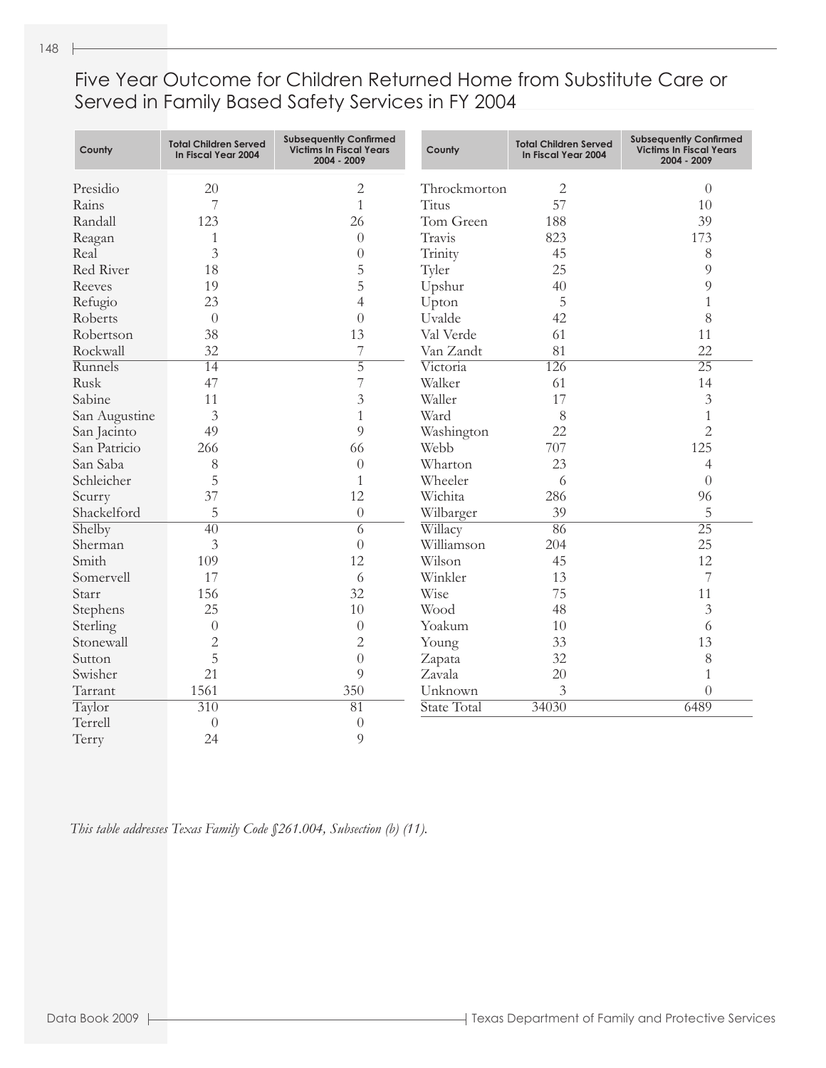Five Year Outcome for Children Returned Home from Substitute Care or Served in Family Based Safety Services in FY 2004

| County        | <b>Total Children Served</b><br>In Fiscal Year 2004 | <b>Subsequently Confirmed</b><br><b>Victims In Fiscal Years</b><br>2004 - 2009 | County       | <b>Total Children Served</b><br>In Fiscal Year 2004 | <b>Subsequently Confirmed</b><br><b>Victims In Fiscal Years</b><br>2004 - 2009 |
|---------------|-----------------------------------------------------|--------------------------------------------------------------------------------|--------------|-----------------------------------------------------|--------------------------------------------------------------------------------|
| Presidio      | 20                                                  | $\mathbf{2}$                                                                   | Throckmorton | 2                                                   | $\theta$                                                                       |
| Rains         | 7                                                   | $\mathbf{1}$                                                                   | Titus        | 57                                                  | 10                                                                             |
| Randall       | 123                                                 | 26                                                                             | Tom Green    | 188                                                 | 39                                                                             |
| Reagan        | 1                                                   | $\theta$                                                                       | Travis       | 823                                                 | 173                                                                            |
| Real          | $\overline{3}$                                      | $\overline{0}$                                                                 | Trinity      | 45                                                  | 8                                                                              |
| Red River     | 18                                                  | 5                                                                              | Tyler        | 25                                                  | 9                                                                              |
| Reeves        | 19                                                  | 5                                                                              | Upshur       | 40                                                  | 9                                                                              |
| Refugio       | 23                                                  | $\overline{4}$                                                                 | Upton        | 5                                                   | $\mathbf{1}$                                                                   |
| Roberts       | $\theta$                                            | $\overline{0}$                                                                 | Uvalde       | 42                                                  | 8                                                                              |
| Robertson     | 38                                                  | 13                                                                             | Val Verde    | 61                                                  | 11                                                                             |
| Rockwall      | 32                                                  | 7                                                                              | Van Zandt    | 81                                                  | 22                                                                             |
| Runnels       | 14                                                  | $\overline{5}$                                                                 | Victoria     | 126                                                 | $\overline{25}$                                                                |
| Rusk          | 47                                                  | $\overline{7}$                                                                 | Walker       | 61                                                  | 14                                                                             |
| Sabine        | 11                                                  | $\mathfrak{Z}$                                                                 | Waller       | 17                                                  | $\overline{3}$                                                                 |
| San Augustine | $\overline{3}$                                      | $\mathbf{1}$                                                                   | Ward         | 8                                                   | $\mathbf{1}$                                                                   |
| San Jacinto   | 49                                                  | $\overline{Q}$                                                                 | Washington   | 22                                                  | $\overline{2}$                                                                 |
| San Patricio  | 266                                                 | 66                                                                             | Webb         | 707                                                 | 125                                                                            |
| San Saba      | 8                                                   | $\overline{0}$                                                                 | Wharton      | 23                                                  | 4                                                                              |
| Schleicher    | 5                                                   | $\mathbf{1}$                                                                   | Wheeler      | 6                                                   | $\overline{0}$                                                                 |
| Scurry        | 37                                                  | 12                                                                             | Wichita      | 286                                                 | 96                                                                             |
| Shackelford   | 5                                                   | $\theta$                                                                       | Wilbarger    | 39                                                  | 5                                                                              |
| Shelby        | $\overline{40}$                                     | $\overline{6}$                                                                 | Willacy      | 86                                                  | $\overline{25}$                                                                |
| Sherman       | $\overline{3}$                                      | $\overline{0}$                                                                 | Williamson   | 204                                                 | 25                                                                             |
| Smith         | 109                                                 | 12                                                                             | Wilson       | 45                                                  | 12                                                                             |
| Somervell     | 17                                                  | 6                                                                              | Winkler      | 13                                                  | 7                                                                              |
| Starr         | 156                                                 | 32                                                                             | Wise         | 75                                                  | 11                                                                             |
| Stephens      | 25                                                  | 10                                                                             | Wood         | 48                                                  | $\overline{3}$                                                                 |
| Sterling      | $\theta$                                            | $\overline{0}$                                                                 | Yoakum       | 10                                                  | 6                                                                              |
| Stonewall     | $\overline{2}$                                      | $\overline{2}$                                                                 | Young        | 33                                                  | 13                                                                             |
| Sutton        | 5                                                   | $\overline{0}$                                                                 | Zapata       | 32                                                  | 8                                                                              |
| Swisher       | 21                                                  | 9                                                                              | Zavala       | 20                                                  | $\mathbf{1}$                                                                   |
| Tarrant       | 1561                                                | 350                                                                            | Unknown      | 3                                                   | $\overline{0}$                                                                 |
| Taylor        | 310                                                 | $\overline{81}$                                                                | State Total  | 34030                                               | 6489                                                                           |
| Terrell       | $\theta$                                            | $\theta$                                                                       |              |                                                     |                                                                                |
| Terry         | 24                                                  | 9                                                                              |              |                                                     |                                                                                |

*This table addresses Texas Family Code §261.004, Subsection (b) (11).*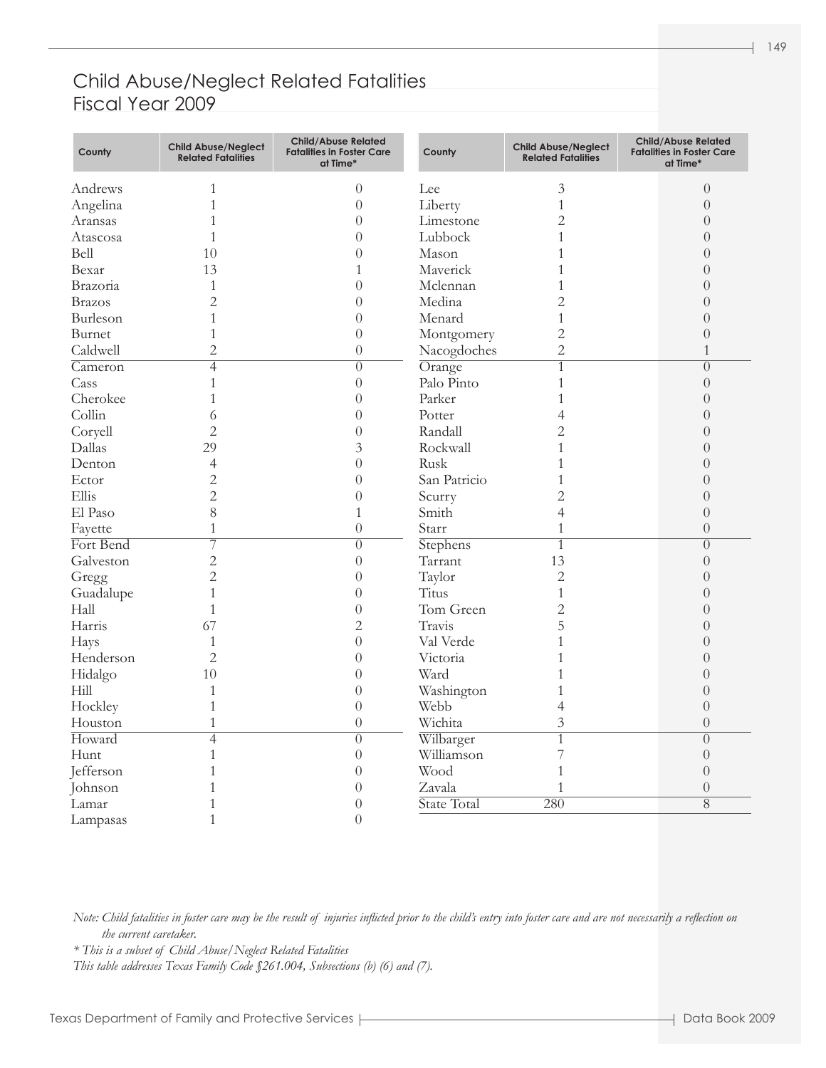#### Child Abuse/Neglect Related Fatalities Fiscal Year 2009

| County                      | <b>Child Abuse/Neglect</b><br><b>Related Fatalities</b> | <b>Child/Abuse Related</b><br><b>Fatalities in Foster Care</b><br>at Time* | County       | <b>Child Abuse/Neglect</b><br><b>Related Fatalities</b> | <b>Child/Abuse Related</b><br><b>Fatalities in Foster Care</b><br>at Time* |
|-----------------------------|---------------------------------------------------------|----------------------------------------------------------------------------|--------------|---------------------------------------------------------|----------------------------------------------------------------------------|
| Andrews                     | $\mathbf{1}$                                            | $\theta$                                                                   | Lee          | $\mathfrak{Z}$                                          | $\boldsymbol{0}$                                                           |
| Angelina                    | $\mathbf{1}$                                            | $\theta$                                                                   | Liberty      | $\mathbf{1}$                                            | $\overline{0}$                                                             |
| Aransas                     | 1                                                       | $\overline{0}$                                                             | Limestone    | $\overline{2}$                                          | $\theta$                                                                   |
| Atascosa                    | $\mathbf{1}$                                            | $\boldsymbol{0}$                                                           | Lubbock      | $\mathbf{1}$                                            | $\theta$                                                                   |
| Bell                        | 10                                                      | $\overline{0}$                                                             | Mason        | 1                                                       | $\overline{0}$                                                             |
| Bexar                       | 13                                                      | $\mathbf{1}$                                                               | Maverick     | 1                                                       | $\overline{0}$                                                             |
| Brazoria                    | $\mathbf{1}$                                            | $\overline{0}$                                                             | Mclennan     | 1                                                       | $\overline{0}$                                                             |
| <b>Brazos</b>               | $\overline{c}$                                          | $\boldsymbol{0}$                                                           | Medina       | $\overline{2}$                                          | $\theta$                                                                   |
| Burleson                    | $\mathbf{1}$                                            | $\theta$                                                                   | Menard       | $\mathbf{1}$                                            | $\overline{0}$                                                             |
| Burnet                      | $\mathbf{1}$                                            | $\theta$                                                                   | Montgomery   | $\overline{2}$                                          | $\overline{0}$                                                             |
| Caldwell                    | $\overline{2}$                                          | $\theta$                                                                   | Nacogdoches  | $\overline{2}$                                          | $\mathbf{1}$                                                               |
| $\overline{\text{Cameron}}$ | $\overline{4}$                                          | $\overline{0}$                                                             | Orange       | $\overline{1}$                                          | $\overline{0}$                                                             |
| Cass                        | $\mathbf{1}$                                            | $\overline{0}$                                                             | Palo Pinto   | $\mathbf{1}$                                            | $\overline{0}$                                                             |
| Cherokee                    | 1                                                       | $\theta$                                                                   | Parker       | $\mathbf{1}$                                            | $\theta$                                                                   |
| Collin                      | 6                                                       | $\overline{0}$                                                             | Potter       | $\overline{4}$                                          | $\overline{0}$                                                             |
| Coryell                     | $\overline{2}$                                          | $\theta$                                                                   | Randall      | $\overline{2}$                                          | $\overline{0}$                                                             |
| Dallas                      | 29                                                      | $\overline{3}$                                                             | Rockwall     | $\mathbf{1}$                                            | $\overline{0}$                                                             |
| Denton                      | 4                                                       | $\overline{0}$                                                             | Rusk         | $\mathbf{1}$                                            | $\theta$                                                                   |
| Ector                       | $\overline{2}$                                          | $\overline{0}$                                                             | San Patricio | $\mathbf{1}$                                            | $\overline{0}$                                                             |
| Ellis                       | $\overline{2}$                                          | $\theta$                                                                   | Scurry       | $\overline{2}$                                          | $\overline{0}$                                                             |
| El Paso                     | 8                                                       | $\mathbf{1}$                                                               | Smith        | $\overline{4}$                                          | $\overline{0}$                                                             |
| Fayette                     | $\mathbf{1}$                                            | $\overline{0}$                                                             | Starr        | $\mathbf{1}$                                            | $\overline{0}$                                                             |
| Fort Bend                   | $\overline{7}$                                          | $\overline{0}$                                                             | Stephens     | $\overline{1}$                                          | $\overline{0}$                                                             |
| Galveston                   | $\overline{2}$                                          | $\overline{0}$                                                             | Tarrant      | 13                                                      | $\overline{0}$                                                             |
| Gregg                       | $\overline{2}$                                          | $\overline{0}$                                                             | Taylor       | $\overline{2}$                                          | $\overline{0}$                                                             |
| Guadalupe                   | $\mathbf{1}$                                            | $\left( \right)$                                                           | Titus        | $\mathbf{1}$                                            | $\theta$                                                                   |
| Hall                        | $\mathbf{1}$                                            | $\theta$                                                                   | Tom Green    | $\overline{2}$                                          | $\overline{0}$                                                             |
| Harris                      | 67                                                      | $\overline{2}$                                                             | Travis       | 5                                                       | $\overline{0}$                                                             |
| Hays                        | $\mathbf{1}$                                            | $\theta$                                                                   | Val Verde    | $\mathbf{1}$                                            | $\overline{0}$                                                             |
| Henderson                   | 2                                                       | $\theta$                                                                   | Victoria     | $\mathbf{1}$                                            | $\theta$                                                                   |
| Hidalgo                     | 10                                                      | $\theta$                                                                   | Ward         | 1                                                       | $\boldsymbol{0}$                                                           |
| Hill                        | $\mathbf{1}$                                            | $\theta$                                                                   | Washington   | $\mathbf{1}$                                            | $\overline{0}$                                                             |
| Hockley                     | $\mathbf{1}$                                            | $\theta$                                                                   | Webb         | 4                                                       | $\overline{0}$                                                             |
| Houston                     | $\mathbf{1}$                                            | $\theta$                                                                   | Wichita      | 3                                                       | $\overline{0}$                                                             |
| Howard                      | $\overline{4}$                                          | $\overline{0}$                                                             | Wilbarger    | $\overline{1}$                                          | $\overline{0}$                                                             |
| Hunt                        | $\mathbf{1}$                                            | $\overline{0}$                                                             | Williamson   | $\overline{7}$                                          | $\overline{0}$                                                             |
| Jefferson                   | 1                                                       | $\theta$                                                                   | Wood         | $\mathbf{1}$                                            | $\overline{0}$                                                             |
| Johnson                     | 1                                                       | $\theta$                                                                   | Zavala       | $\mathbf{1}$                                            | $\overline{0}$                                                             |
| Lamar                       | 1                                                       | $\theta$                                                                   | State Total  | 280                                                     | $\overline{8}$                                                             |
| Lampasas                    | $\mathbf{1}$                                            | $\theta$                                                                   |              |                                                         |                                                                            |

*Note: Child fatalities in foster care may be the result of injuries inflicted prior to the child's entry into foster care and are not necessarily a reflection on the current caretaker.*

*\* This is a subset of Child Abuse/Neglect Related Fatalities*

*This table addresses Texas Family Code §261.004, Subsections (b) (6) and (7).*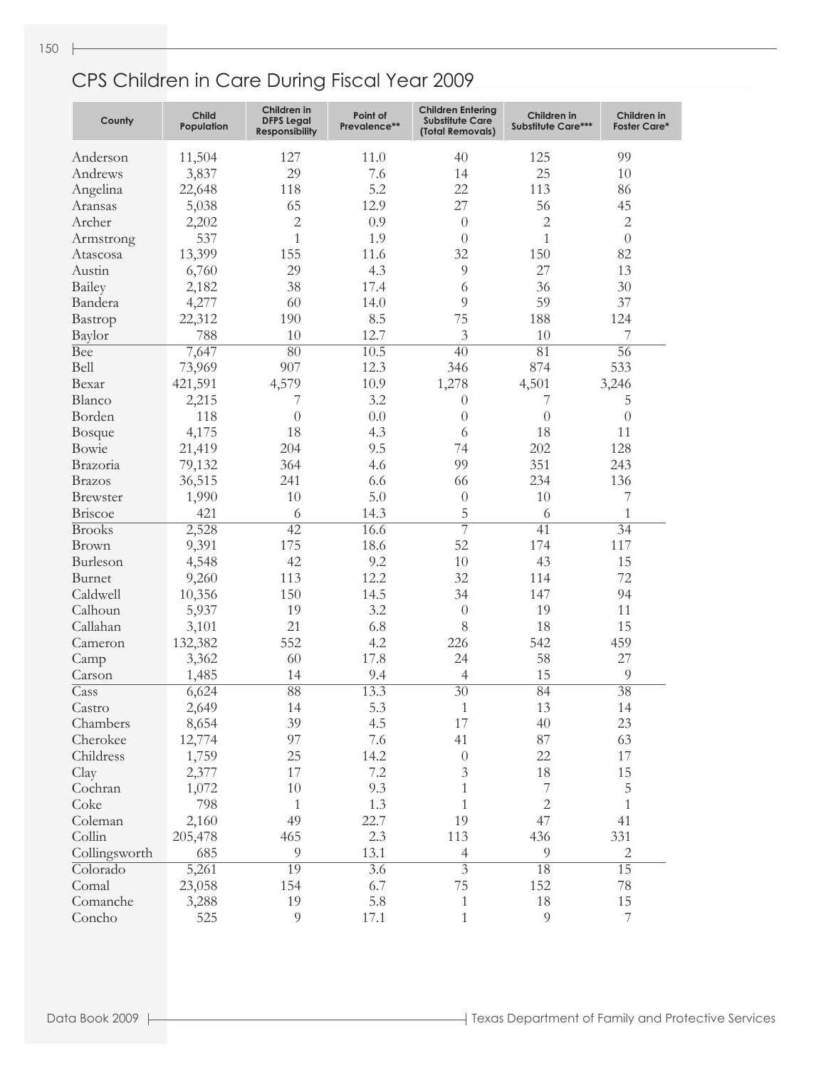| County                  | <b>Child</b><br>Population | Children in<br><b>DFPS Legal</b><br><b>Responsibility</b> | Point of<br>Prevalence** | <b>Children Entering</b><br><b>Substitute Care</b><br>(Total Removals) | Children in<br><b>Substitute Care***</b> | Children in<br><b>Foster Care*</b> |
|-------------------------|----------------------------|-----------------------------------------------------------|--------------------------|------------------------------------------------------------------------|------------------------------------------|------------------------------------|
| Anderson                | 11,504                     | 127                                                       | 11.0                     | 40                                                                     | 125                                      | 99                                 |
| Andrews                 | 3,837                      | 29                                                        | 7.6                      | 14                                                                     | 25                                       | 10                                 |
| Angelina                | 22,648                     | 118                                                       | 5.2                      | 22                                                                     | 113                                      | 86                                 |
| Aransas                 | 5,038                      | 65                                                        | 12.9                     | 27                                                                     | 56                                       | 45                                 |
| Archer                  | 2,202                      | $\overline{2}$                                            | 0.9                      | $\theta$                                                               | $\overline{c}$                           | $\sqrt{2}$                         |
| Armstrong               | 537                        | $\mathbf{1}$                                              | 1.9                      | $\theta$                                                               | $\mathbf{1}$                             | $\theta$                           |
| Atascosa                | 13,399                     | 155                                                       | 11.6                     | 32                                                                     | 150                                      | 82                                 |
| Austin                  | 6,760                      | 29                                                        | 4.3                      | 9                                                                      | 27                                       | 13                                 |
| Bailey                  | 2,182                      | 38                                                        | 17.4                     | 6                                                                      | 36                                       | 30                                 |
| Bandera                 | 4,277                      | 60                                                        | 14.0                     | 9                                                                      | 59                                       | 37                                 |
| Bastrop                 | 22,312                     | 190                                                       | 8.5                      | 75                                                                     | 188                                      | 124                                |
| Baylor                  | 788                        | 10                                                        | 12.7                     | $\mathfrak{Z}$                                                         | 10                                       | 7                                  |
| <b>Bee</b>              |                            | 80                                                        | 10.5                     | $\overline{40}$                                                        | $\overline{81}$                          | 56                                 |
| Bell                    | 7,647                      | 907                                                       |                          |                                                                        | 874                                      |                                    |
|                         | 73,969                     |                                                           | 12.3                     | 346                                                                    |                                          | 533                                |
| Bexar                   | 421,591                    | 4,579                                                     | 10.9                     | 1,278                                                                  | 4,501                                    | 3,246                              |
| Blanco                  | 2,215                      | 7                                                         | 3.2                      | $\theta$                                                               | 7                                        | 5                                  |
| Borden                  | 118                        | $\theta$                                                  | 0.0                      | $\theta$                                                               | $\theta$                                 | $\theta$                           |
| <b>Bosque</b>           | 4,175                      | 18                                                        | 4.3                      | 6                                                                      | 18                                       | 11                                 |
| Bowie                   | 21,419                     | 204                                                       | 9.5                      | 74                                                                     | 202                                      | 128                                |
| Brazoria                | 79,132                     | 364                                                       | 4.6                      | 99                                                                     | 351                                      | 243                                |
| <b>Brazos</b>           | 36,515                     | 241                                                       | 6.6                      | 66                                                                     | 234                                      | 136                                |
| Brewster                | 1,990                      | 10                                                        | 5.0                      | $\boldsymbol{0}$                                                       | 10                                       | $\overline{7}$                     |
| Briscoe                 | 421                        | 6                                                         | 14.3                     | 5                                                                      | 6                                        | $\mathbf{1}$                       |
| <b>Brooks</b>           | 2,528                      | $\overline{42}$                                           | 16.6                     | $\overline{7}$                                                         | 41                                       | $\overline{34}$                    |
| Brown                   | 9,391                      | 175                                                       | 18.6                     | 52                                                                     | 174                                      | 117                                |
| Burleson                | 4,548                      | 42                                                        | 9.2                      | 10                                                                     | 43                                       | 15                                 |
| Burnet                  | 9,260                      | 113                                                       | 12.2                     | 32                                                                     | 114                                      | 72                                 |
| Caldwell                | 10,356                     | 150                                                       | 14.5                     | 34                                                                     | 147                                      | 94                                 |
| Calhoun                 | 5,937                      | 19                                                        | 3.2                      | $\theta$                                                               | 19                                       | 11                                 |
| Callahan                | 3,101                      | 21                                                        | 6.8                      | 8                                                                      | 18                                       | 15                                 |
| Cameron                 | 132,382                    | 552                                                       | 4.2                      | 226                                                                    | 542                                      | 459                                |
| Camp                    | 3,362                      | 60                                                        | 17.8                     | 24                                                                     | 58                                       | 27                                 |
| Carson                  | 1,485                      | 14                                                        | 9.4                      | $\overline{4}$                                                         | 15                                       | $\overline{9}$                     |
| Cass                    | 6,624                      | $\overline{88}$                                           | 13.3                     | $\overline{30}$                                                        | 84                                       | $\overline{38}$                    |
| $\operatorname{Castro}$ | 2,649                      | 14                                                        | 5.3                      | $\,1$                                                                  | 13                                       | $14\,$                             |
| Chambers                | 8,654                      | 39                                                        | 4.5                      | 17                                                                     | 40                                       | 23                                 |
| Cherokee                | 12,774                     | 97                                                        | 7.6                      | 41                                                                     | 87                                       | 63                                 |
| Childress               | 1,759                      | 25                                                        | 14.2                     | $\boldsymbol{0}$                                                       | 22                                       | $17\,$                             |
| Clay                    | 2,377                      | 17                                                        | 7.2                      | $\mathfrak{Z}$                                                         | 18                                       | 15                                 |
| Cochran                 | 1,072                      | $10\,$                                                    | 9.3                      | $\mathbf{1}$                                                           | $\overline{\mathcal{I}}$                 | $\overline{5}$                     |
| Coke                    | 798                        | $\mathbf{1}$                                              | 1.3                      | $\mathbf{1}$                                                           | $\sqrt{2}$                               | $\mathbf{1}$                       |
| Coleman                 | 2,160                      | 49                                                        | 22.7                     | 19                                                                     | 47                                       | 41                                 |
| Collin                  | 205,478                    | 465                                                       | 2.3                      | 113                                                                    | 436                                      | 331                                |
| Collingsworth           | 685                        | $\overline{9}$                                            | 13.1                     | $\overline{4}$                                                         | $\overline{9}$                           | $\sqrt{2}$                         |
| Colorado                | 5,261                      | 19                                                        | $\overline{3.6}$         | $\overline{3}$                                                         | 18                                       | $\overline{15}$                    |
| Comal                   | 23,058                     | 154                                                       | 6.7                      | 75                                                                     | 152                                      | 78                                 |
| Comanche                | 3,288                      | 19                                                        | 5.8                      | $\,1\,$                                                                | 18                                       | $15\,$                             |
| Concho                  | 525                        | $\overline{9}$                                            | 17.1                     | $\mathbf{1}$                                                           | $\overline{9}$                           | $\overline{\mathcal{I}}$           |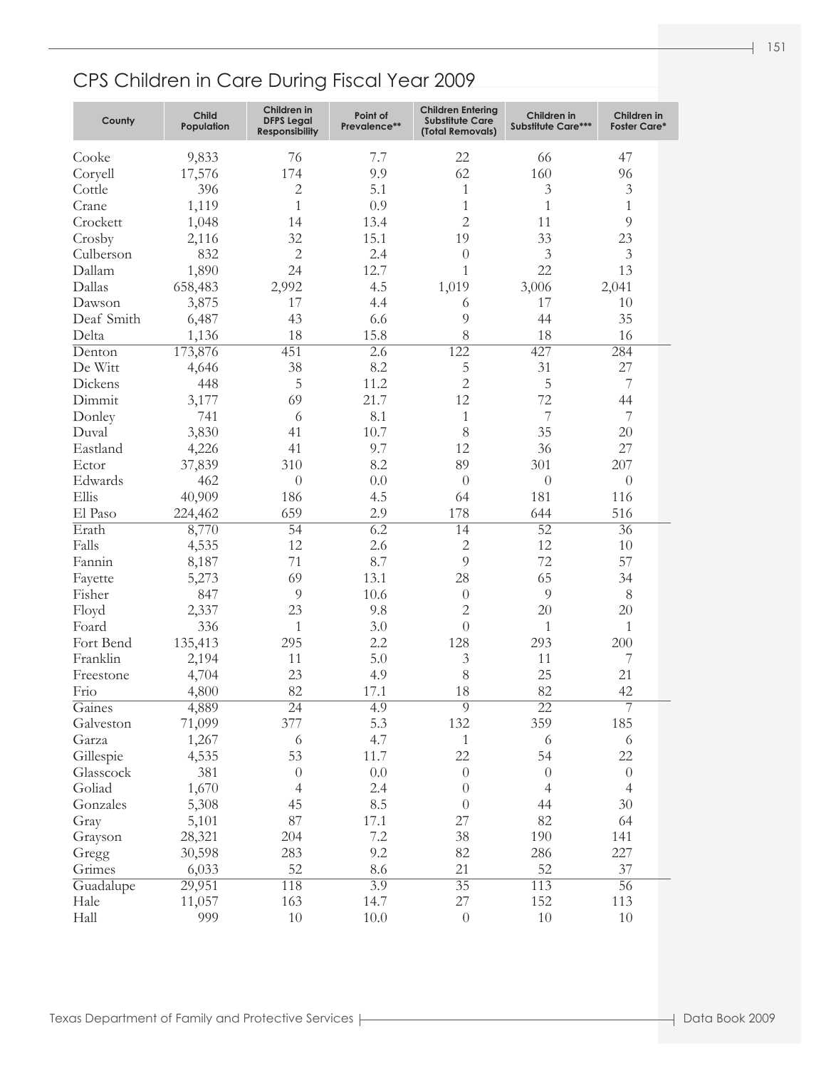| County     | <b>Child</b><br>Population | Children in<br><b>DFPS Legal</b><br><b>Responsibility</b> | Point of<br>Prevalence** | <b>Children Entering</b><br><b>Substitute Care</b><br>(Total Removals) | Children in<br><b>Substitute Care***</b> | Children in<br><b>Foster Care*</b> |
|------------|----------------------------|-----------------------------------------------------------|--------------------------|------------------------------------------------------------------------|------------------------------------------|------------------------------------|
| Cooke      | 9,833                      | 76                                                        | 7.7                      | 22                                                                     | 66                                       | 47                                 |
| Coryell    | 17,576                     | 174                                                       | 9.9                      | 62                                                                     | 160                                      | 96                                 |
| Cottle     | 396                        | $\overline{2}$                                            | 5.1                      | 1                                                                      | $\mathfrak{Z}$                           | $\mathfrak{Z}$                     |
| Crane      | 1,119                      | $\mathbf{1}$                                              | 0.9                      | $\mathbf{1}$                                                           | $\mathbf{1}$                             | $\mathbf{1}$                       |
| Crockett   | 1,048                      | 14                                                        | 13.4                     | $\overline{2}$                                                         | 11                                       | $\overline{9}$                     |
| Crosby     | 2,116                      | 32                                                        | 15.1                     | 19                                                                     | 33                                       | 23                                 |
| Culberson  | 832                        | $\overline{2}$                                            | 2.4                      | $\theta$                                                               | $\mathfrak{Z}$                           | $\mathfrak{Z}$                     |
| Dallam     | 1,890                      | 24                                                        | 12.7                     | 1                                                                      | 22                                       | 13                                 |
| Dallas     | 658,483                    | 2,992                                                     | 4.5                      | 1,019                                                                  | 3,006                                    | 2,041                              |
| Dawson     | 3,875                      | 17                                                        | 4.4                      | 6                                                                      | 17                                       | 10                                 |
| Deaf Smith | 6,487                      | 43                                                        | 6.6                      | 9                                                                      | 44                                       | 35                                 |
| Delta      | 1,136                      | 18                                                        | 15.8                     | 8                                                                      | 18                                       | 16                                 |
| Denton     | 173,876                    | 451                                                       | $\overline{2.6}$         | 122                                                                    | 427                                      | 284                                |
| De Witt    | 4,646                      | 38                                                        | 8.2                      | 5                                                                      | 31                                       | 27                                 |
| Dickens    | 448                        | 5                                                         | 11.2                     | $\overline{2}$                                                         | $\mathbf 5$                              | $\boldsymbol{7}$                   |
| Dimmit     | 3,177                      | 69                                                        | 21.7                     | 12                                                                     | 72                                       | 44                                 |
| Donley     | 741                        | 6                                                         | 8.1                      | $\mathbf{1}$                                                           | $\overline{7}$                           | $\overline{7}$                     |
| Duval      | 3,830                      | 41                                                        | 10.7                     | 8                                                                      | 35                                       | 20                                 |
| Eastland   | 4,226                      | 41                                                        | 9.7                      | 12                                                                     | 36                                       | 27                                 |
| Ector      | 37,839                     | 310                                                       | 8.2                      | 89                                                                     | 301                                      | 207                                |
| Edwards    | 462                        | $\theta$                                                  | 0.0                      | $\overline{0}$                                                         | $\theta$                                 | $\theta$                           |
| Ellis      | 40,909                     | 186                                                       | 4.5                      | 64                                                                     | 181                                      | 116                                |
| El Paso    | 224,462                    | 659                                                       | 2.9                      | 178                                                                    | 644                                      | 516                                |
| Erath      | 8,770                      | $\overline{54}$                                           | $\overline{6.2}$         | 14                                                                     | $\overline{52}$                          | $\overline{36}$                    |
| Falls      | 4,535                      | 12                                                        | 2.6                      | $\overline{2}$                                                         | 12                                       | 10                                 |
| Fannin     | 8,187                      | 71                                                        | 8.7                      | 9                                                                      | 72                                       | 57                                 |
| Fayette    | 5,273                      | 69                                                        | 13.1                     | 28                                                                     | 65                                       | 34                                 |
| Fisher     | 847                        | $\overline{9}$                                            | 10.6                     | $\theta$                                                               | 9                                        | $8\,$                              |
| Floyd      | 2,337                      | 23                                                        | 9.8                      | $\overline{2}$                                                         | 20                                       | 20                                 |
| Foard      | 336                        | $\mathbf{1}$                                              | 3.0                      | $\Omega$                                                               | $\mathbf{1}$                             | $\mathbf{1}$                       |
| Fort Bend  | 135,413                    | 295                                                       | 2.2                      | 128                                                                    | 293                                      | 200                                |
| Franklin   | 2,194                      | 11                                                        | 5.0                      | $\mathfrak{Z}$                                                         | 11                                       | 7                                  |
| Freestone  | 4,704                      | 23                                                        | 4.9                      | 8                                                                      | 25                                       | 21                                 |
| Frio       | 4,800                      | 82                                                        | 17.1                     | 18                                                                     | 82                                       | 42                                 |
| Gaines     | 4,889                      | $\overline{24}$                                           | 4.9                      | $\overline{9}$                                                         | $\overline{22}$                          | $\overline{7}$                     |
| Galveston  | 71,099                     | 377                                                       | 5.3                      | 132                                                                    | 359                                      | 185                                |
| Garza      | 1,267                      | 6                                                         | 4.7                      | $\mathbf{1}$                                                           | 6                                        | 6                                  |
| Gillespie  | 4,535                      | 53                                                        | 11.7                     | 22                                                                     | 54                                       | 22                                 |
| Glasscock  | 381                        | $\theta$                                                  | 0.0                      | $\theta$                                                               | $\theta$                                 | $\theta$                           |
| Goliad     | 1,670                      | $\overline{4}$                                            | 2.4                      | $\overline{0}$                                                         | $\overline{4}$                           | $\overline{4}$                     |
| Gonzales   | 5,308                      | 45                                                        | 8.5                      | $\theta$                                                               | 44                                       | 30                                 |
| Gray       | 5,101                      | 87                                                        | 17.1                     | 27                                                                     | 82                                       | 64                                 |
| Grayson    | 28,321                     | 204                                                       | 7.2                      | 38                                                                     | 190                                      | 141                                |
| Gregg      | 30,598                     | 283                                                       | 9.2                      | 82                                                                     | 286                                      | 227                                |
| Grimes     | 6,033                      | 52                                                        | 8.6                      | 21                                                                     | 52                                       | 37                                 |
| Guadalupe  | 29,951                     | 118                                                       | $\overline{3.9}$         | $\overline{35}$                                                        | 113                                      | $\overline{56}$                    |
| Hale       | 11,057                     | 163                                                       | 14.7                     | 27                                                                     | 152                                      | 113                                |
| Hall       | 999                        | 10                                                        | 10.0                     | $\theta$                                                               | 10                                       | $10\,$                             |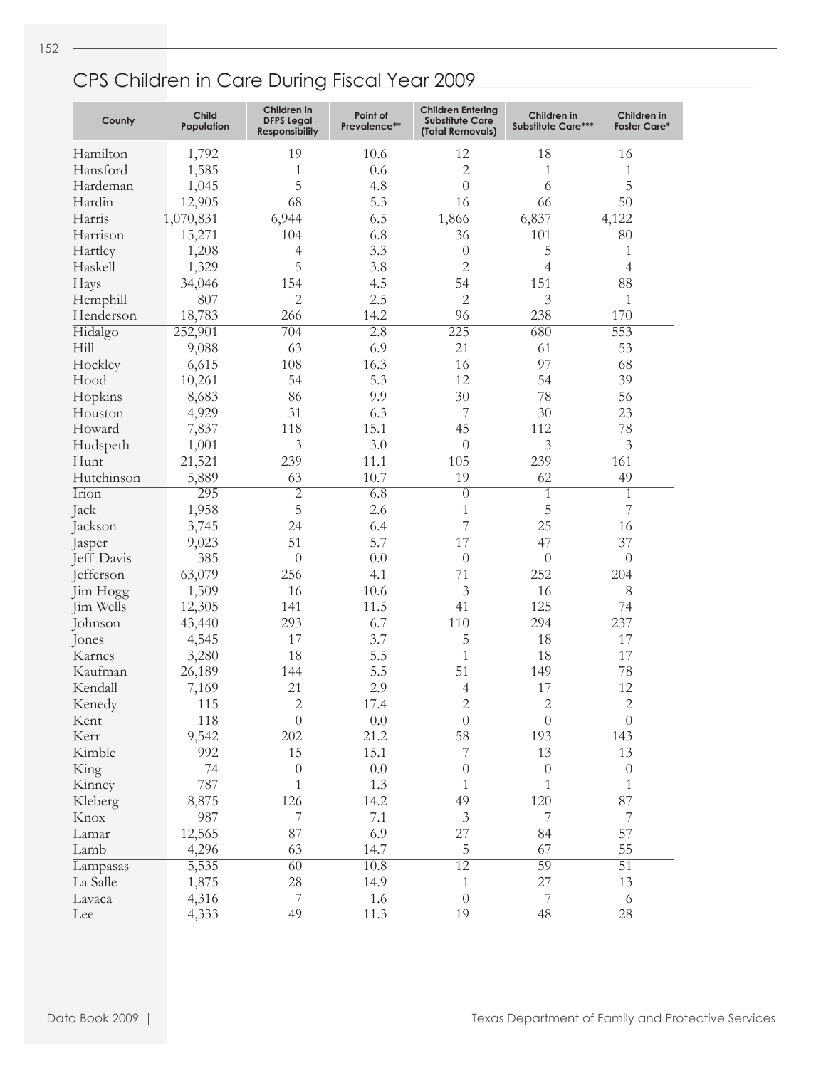| County         | <b>Child</b><br>Population | Children in<br><b>DFPS Legal</b><br><b>Responsibility</b> | Point of<br>Prevalence** | <b>Children Entering</b><br><b>Substitute Care</b><br>(Total Removals) | Children in<br><b>Substitute Care***</b> | Children in<br><b>Foster Care*</b> |
|----------------|----------------------------|-----------------------------------------------------------|--------------------------|------------------------------------------------------------------------|------------------------------------------|------------------------------------|
| Hamilton       | 1,792                      | 19                                                        | 10.6                     | 12                                                                     | 18                                       | 16                                 |
| Hansford       | 1,585                      | 1                                                         | 0.6                      | $\overline{c}$                                                         | 1                                        | 1                                  |
| Hardeman       | 1,045                      | 5                                                         | 4.8                      | $\overline{0}$                                                         | 6                                        | 5                                  |
| Hardin         | 12,905                     | 68                                                        | 5.3                      | 16                                                                     | 66                                       | 50                                 |
| Harris         | 1,070,831                  | 6,944                                                     | 6.5                      | 1,866                                                                  | 6,837                                    | 4,122                              |
| Harrison       | 15,271                     | 104                                                       | 6.8                      | 36                                                                     | 101                                      | 80                                 |
| Hartley        | 1,208                      | $\overline{4}$                                            | 3.3                      | $\theta$                                                               | 5                                        | 1                                  |
| Haskell        | 1,329                      | 5                                                         | 3.8                      | 2                                                                      | 4                                        | 4                                  |
|                | 34,046                     | 154                                                       | 4.5                      | 54                                                                     | 151                                      | 88                                 |
| Hays           |                            | $\overline{2}$                                            | 2.5                      | $\overline{c}$                                                         | 3                                        |                                    |
| Hemphill       | 807                        |                                                           |                          |                                                                        |                                          | 1                                  |
| Henderson      | 18,783                     | 266                                                       | 14.2                     | 96                                                                     | 238                                      | 170                                |
| Hidalgo        | 252,901                    | $\overline{704}$                                          | $\overline{2.8}$         | 225                                                                    | 680                                      | 553                                |
| Hill           | 9,088                      | 63                                                        | 6.9                      | 21                                                                     | 61                                       | 53                                 |
| Hockley        | 6,615                      | 108                                                       | 16.3                     | 16                                                                     | 97                                       | 68                                 |
| Hood           | 10,261                     | 54                                                        | 5.3                      | 12                                                                     | 54                                       | 39                                 |
| Hopkins        | 8,683                      | 86                                                        | 9.9                      | 30                                                                     | 78                                       | 56                                 |
| Houston        | 4,929                      | 31                                                        | 6.3                      | 7                                                                      | 30                                       | 23                                 |
| Howard         | 7,837                      | 118                                                       | 15.1                     | 45                                                                     | 112                                      | 78                                 |
| Hudspeth       | 1,001                      | 3                                                         | 3.0                      | $\theta$                                                               | $\mathfrak{Z}$                           | 3                                  |
| Hunt           | 21,521                     | 239                                                       | 11.1                     | 105                                                                    | 239                                      | 161                                |
| Hutchinson     | 5,889                      | 63                                                        | 10.7                     | 19                                                                     | 62                                       | 49                                 |
| Irion          | 295                        | $\overline{2}$                                            | $\overline{6.8}$         | $\overline{0}$                                                         | 1                                        | $\overline{1}$                     |
| Jack           | 1,958                      | 5                                                         | 2.6                      | 1                                                                      | 5                                        | 7                                  |
| Jackson        | 3,745                      | 24                                                        | 6.4                      | 7                                                                      | 25                                       | 16                                 |
| Jasper         | 9,023                      | 51                                                        | 5.7                      | 17                                                                     | 47                                       | 37                                 |
| Jeff Davis     | 385                        | $\overline{0}$                                            | 0.0                      | $\theta$                                                               | $\overline{0}$                           | $\theta$                           |
| Jefferson      | 63,079                     | 256                                                       | 4.1                      | 71                                                                     | 252                                      | 204                                |
| Jim Hogg       | 1,509                      | 16                                                        | 10.6                     | 3                                                                      | 16                                       | $8\,$                              |
| Jim Wells      | 12,305                     | 141                                                       | 11.5                     | 41                                                                     | 125                                      | 74                                 |
| Johnson        | 43,440                     | 293                                                       | 6.7                      | 110                                                                    | 294                                      | 237                                |
| Jones          | 4,545                      | 17                                                        | 3.7                      | 5                                                                      | 18                                       | 17                                 |
| Karnes         | 3,280                      | 18                                                        | $\overline{5.5}$         | $\mathbf{1}$                                                           | 18                                       | 17                                 |
| Kaufman        | 26,189                     | 144                                                       | 5.5                      | 51                                                                     | 149                                      | 78                                 |
| Kendall        | 7,169                      | 21                                                        | 2.9                      | 4                                                                      | 17                                       | 12                                 |
|                | 115                        | $\overline{2}$                                            | 17.4                     | $\overline{2}$                                                         | $\overline{2}$                           | $\overline{2}$                     |
| Kenedy<br>Kent | 118                        | $\boldsymbol{0}$                                          | 0.0                      | $\boldsymbol{0}$                                                       | $\theta$                                 | $\boldsymbol{0}$                   |
| Kerr           | 9,542                      | 202                                                       | 21.2                     | 58                                                                     | 193                                      | 143                                |
|                | 992                        | 15                                                        | 15.1                     | 7                                                                      | 13                                       |                                    |
| Kimble         |                            |                                                           |                          |                                                                        |                                          | 13                                 |
| King           | 74                         | $\sqrt{a}$                                                | 0.0                      | 0                                                                      | $\theta$                                 | $\boldsymbol{0}$                   |
| Kinney         | 787                        | 1                                                         | 1.3                      | 1                                                                      | 1                                        | 1                                  |
| Kleberg        | 8,875                      | 126                                                       | 14.2                     | 49                                                                     | 120                                      | 87                                 |
| Knox           | 987                        | 7                                                         | 7.1                      | $\mathfrak{Z}$                                                         | 7                                        | $\boldsymbol{7}$                   |
| Lamar          | 12,565                     | 87                                                        | 6.9                      | 27                                                                     | 84                                       | 57                                 |
| Lamb           | 4,296                      | 63                                                        | 14.7                     | 5                                                                      | 67                                       | 55                                 |
| Lampasas       | 5,535                      | $\overline{60}$                                           | 10.8                     | $\overline{12}$                                                        | 59                                       | $\overline{51}$                    |
| La Salle       | 1,875                      | 28                                                        | 14.9                     | $\mathbf{1}$                                                           | 27                                       | 13                                 |
| Lavaca         | 4,316                      | 7                                                         | 1.6                      | $\boldsymbol{0}$                                                       | $\overline{7}$                           | $\sqrt{6}$                         |
| Lee            | 4,333                      | 49                                                        | 11.3                     | 19                                                                     | 48                                       | 28                                 |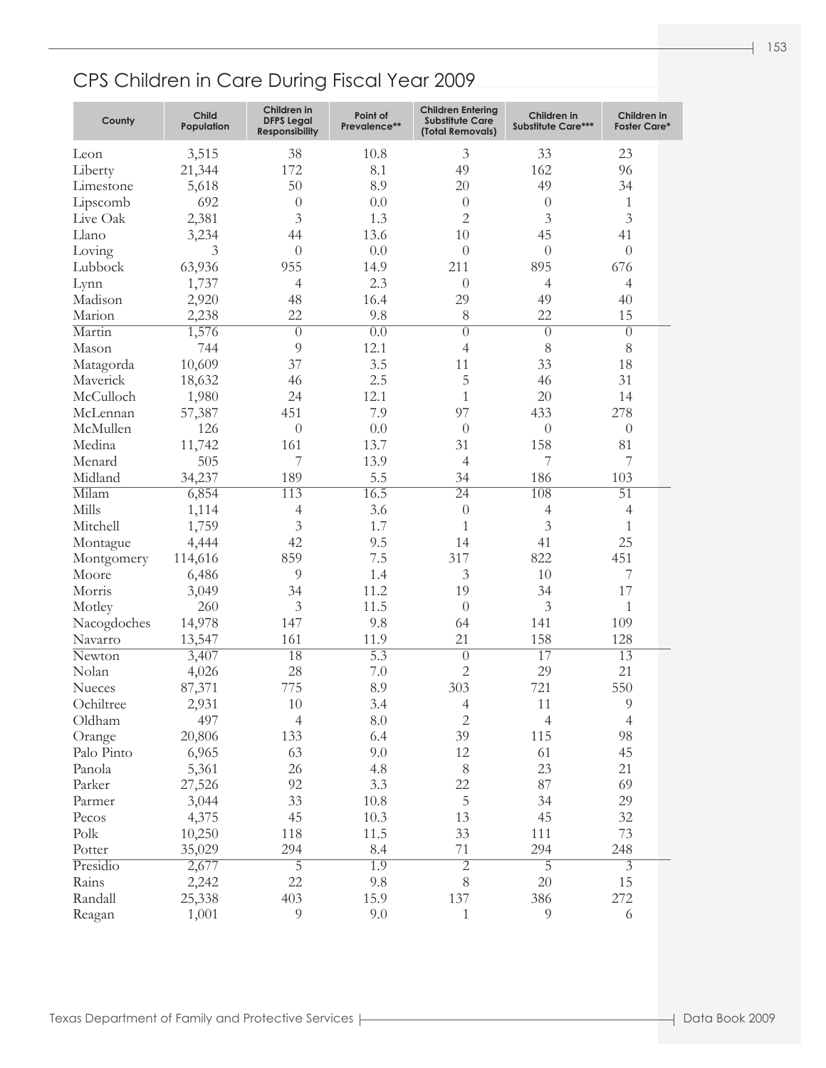| County               | <b>Child</b><br>Population | Children in<br><b>DFPS Legal</b><br><b>Responsibility</b> | Point of<br>Prevalence** | <b>Children Entering</b><br><b>Substitute Care</b><br>(Total Removals) | Children in<br><b>Substitute Care***</b> | Children in<br><b>Foster Care*</b> |  |
|----------------------|----------------------------|-----------------------------------------------------------|--------------------------|------------------------------------------------------------------------|------------------------------------------|------------------------------------|--|
| Leon                 | 3,515                      | 38                                                        | 10.8                     | 3                                                                      | 33                                       | 23                                 |  |
| Liberty              | 21,344                     | 172                                                       | 8.1                      | 49                                                                     | 162                                      | 96                                 |  |
| Limestone            | 5,618                      | 50                                                        | 8.9                      | 20                                                                     | 49                                       | 34                                 |  |
| Lipscomb             | 692                        | $\overline{0}$                                            | 0.0                      | $\theta$                                                               | $\theta$                                 | $\mathbf{1}$                       |  |
| Live Oak             | 2,381                      | 3                                                         | 1.3                      | $\mathbf{2}$                                                           | 3                                        | $\mathfrak{Z}$                     |  |
| Llano                | 3,234                      | 44                                                        | 13.6                     | 10                                                                     | 45                                       | 41                                 |  |
| Loving               | 3                          | $\theta$                                                  | 0.0                      | $\theta$                                                               | $\theta$                                 | $\theta$                           |  |
| Lubbock              | 63,936                     | 955                                                       | 14.9                     | 211                                                                    | 895                                      | 676                                |  |
| Lynn                 | 1,737                      | 4                                                         | 2.3                      | $\theta$                                                               | $\overline{4}$                           | $\overline{4}$                     |  |
| Madison              | 2,920                      | 48                                                        | 16.4                     | 29                                                                     | 49                                       | 40                                 |  |
| Marion               | 2,238                      | 22                                                        | 9.8                      | 8                                                                      | 22                                       | 15                                 |  |
| Martin               | 1,576                      | $\overline{0}$                                            | $\overline{0.0}$         | $\theta$                                                               | $\theta$                                 | $\theta$                           |  |
| Mason                | 744                        | $\overline{9}$                                            | 12.1                     | 4                                                                      | 8                                        | $8\,$                              |  |
| Matagorda            | 10,609                     | 37                                                        | 3.5                      | 11                                                                     | 33                                       | 18                                 |  |
| Maverick             | 18,632                     | 46                                                        | 2.5                      | 5                                                                      | 46                                       | 31                                 |  |
| McCulloch            | 1,980                      | 24                                                        | 12.1                     | 1                                                                      | 20                                       | 14                                 |  |
|                      |                            | 451                                                       | 7.9                      | 97                                                                     | 433                                      | 278                                |  |
| McLennan<br>McMullen | 57,387                     |                                                           | 0.0                      |                                                                        |                                          |                                    |  |
|                      | 126                        | $\overline{0}$                                            |                          | $\theta$                                                               | $\theta$                                 | $\theta$                           |  |
| Medina               | 11,742                     | 161                                                       | 13.7                     | 31                                                                     | 158                                      | 81                                 |  |
| Menard               | 505                        | 7                                                         | 13.9                     | $\overline{4}$                                                         | 7                                        | 7                                  |  |
| Midland              | 34,237                     | 189                                                       | 5.5                      | 34                                                                     | 186                                      | 103                                |  |
| Milam                | 6,854                      | 113                                                       | 16.5                     | $\overline{24}$                                                        | 108                                      | $\overline{51}$                    |  |
| Mills                | 1,114                      | $\overline{4}$                                            | 3.6                      | $\theta$                                                               | $\overline{4}$                           | $\overline{4}$                     |  |
| Mitchell             | 1,759                      | $\mathfrak{Z}$                                            | 1.7                      | $\mathbf{1}$                                                           | 3                                        | $\mathbf{1}$                       |  |
| Montague             | 4,444                      | 42                                                        | 9.5                      | 14                                                                     | 41                                       | 25                                 |  |
| Montgomery           | 114,616                    | 859                                                       | 7.5                      | 317                                                                    | 822                                      | 451                                |  |
| Moore                | 6,486                      | 9                                                         | 1.4                      | 3                                                                      | 10                                       | 7                                  |  |
| Morris               | 3,049                      | 34                                                        | 11.2                     | 19                                                                     | 34                                       | 17                                 |  |
| Motley               | 260                        | $\mathfrak{Z}$                                            | 11.5                     | $\theta$                                                               | 3                                        | $\mathbf{1}$                       |  |
| Nacogdoches          | 14,978                     | 147                                                       | 9.8                      | 64                                                                     | 141                                      | 109                                |  |
| Navarro              | 13,547                     | 161                                                       | 11.9                     | 21                                                                     | 158                                      | 128                                |  |
| Newton               | 3,407                      | 18                                                        | $\overline{5.3}$         | $\overline{0}$                                                         | 17                                       | $\overline{13}$                    |  |
| Nolan                | 4,026                      | 28                                                        | 7.0                      | $\overline{2}$                                                         | 29                                       | 21                                 |  |
| Nueces               | 87,371                     | 775                                                       | 8.9                      | 303                                                                    | 721                                      | 550                                |  |
| Ochiltree            | 2,931                      | 10                                                        | 3.4                      | $\overline{4}$                                                         | 11                                       | 9                                  |  |
| Oldham               | 497                        | $\overline{4}$                                            | 8.0                      | $\mathbf{2}$                                                           | $\overline{4}$                           | $\overline{4}$                     |  |
| Orange               | 20,806                     | 133                                                       | 6.4                      | 39                                                                     | 115                                      | 98                                 |  |
| Palo Pinto           | 6,965                      | 63                                                        | 9.0                      | 12                                                                     | 61                                       | 45                                 |  |
| Panola               | 5,361                      | 26                                                        | 4.8                      | $8\,$                                                                  | 23                                       | 21                                 |  |
| Parker               | 27,526                     | 92                                                        | 3.3                      | 22                                                                     | 87                                       | 69                                 |  |
| Parmer               | 3,044                      | 33                                                        | 10.8                     | $\overline{5}$                                                         | 34                                       | 29                                 |  |
| Pecos                | 4,375                      | 45                                                        | 10.3                     | 13                                                                     | 45                                       | 32                                 |  |
| Polk                 | 10,250                     | 118                                                       | 11.5                     | 33                                                                     | 111                                      | 73                                 |  |
| Potter               | 35,029                     | 294                                                       | 8.4                      | 71                                                                     | 294                                      | 248                                |  |
| Presidio             | 2,677                      | $\overline{5}$                                            | 1.9                      | $\overline{2}$                                                         | $\overline{5}$                           | $\overline{3}$                     |  |
| Rains                | 2,242                      | 22                                                        | 9.8                      | $\,8\,$                                                                | 20                                       | 15                                 |  |
| Randall              | 25,338                     | 403                                                       | 15.9                     | 137                                                                    | 386                                      | 272                                |  |
| Reagan               | 1,001                      | $\overline{9}$                                            | 9.0                      | $\mathbf{1}$                                                           | 9                                        | 6                                  |  |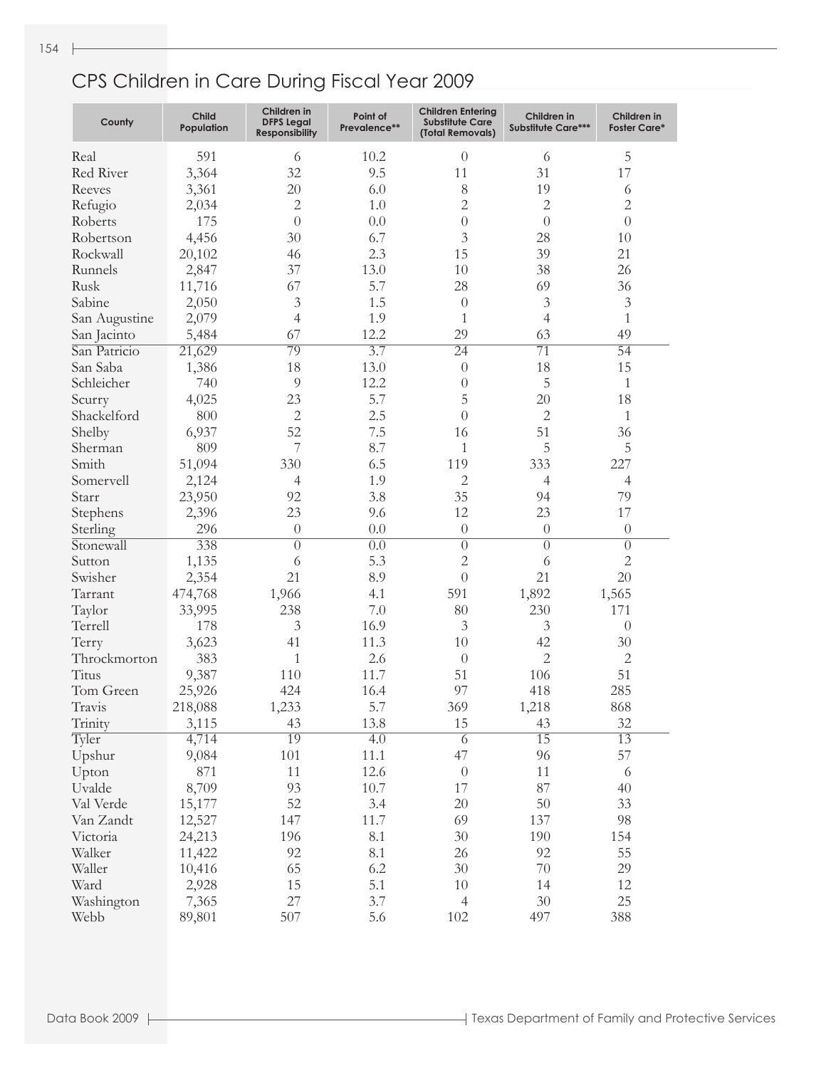| County        | Child<br>Population | Children in<br><b>DFPS Legal</b><br><b>Responsibility</b> | Point of<br>Prevalence** | <b>Children Entering</b><br><b>Substitute Care</b><br>(Total Removals) | Children in<br><b>Substitute Care***</b> | Children in<br><b>Foster Care*</b> |
|---------------|---------------------|-----------------------------------------------------------|--------------------------|------------------------------------------------------------------------|------------------------------------------|------------------------------------|
| Real          | 591                 | 6                                                         | 10.2                     | $\theta$                                                               | 6                                        | 5                                  |
| Red River     | 3,364               | 32                                                        | 9.5                      | 11                                                                     | 31                                       | 17                                 |
| Reeves        | 3,361               | 20                                                        | 6.0                      | 8                                                                      | 19                                       | 6                                  |
| Refugio       | 2,034               | $\overline{c}$                                            | 1.0                      | $\mathbf{2}$                                                           | $\mathbf{2}$                             | $\sqrt{2}$                         |
| Roberts       | 175                 | $\overline{0}$                                            | 0.0                      | $\theta$                                                               | $\theta$                                 | $\overline{0}$                     |
| Robertson     | 4,456               | 30                                                        | 6.7                      | 3                                                                      | 28                                       | 10                                 |
| Rockwall      | 20,102              | 46                                                        | 2.3                      | 15                                                                     | 39                                       | 21                                 |
| Runnels       | 2,847               | 37                                                        | 13.0                     | 10                                                                     | 38                                       | 26                                 |
| Rusk          | 11,716              | 67                                                        | 5.7                      | 28                                                                     | 69                                       | 36                                 |
| Sabine        | 2,050               | 3                                                         | 1.5                      | $\theta$                                                               | $\mathfrak{Z}$                           | $\mathfrak{Z}$                     |
| San Augustine | 2,079               | 4                                                         | 1.9                      | 1                                                                      | $\overline{4}$                           | $\mathbf{1}$                       |
| San Jacinto   | 5,484               | 67                                                        | 12.2                     | 29                                                                     | 63                                       | 49                                 |
| San Patricio  | 21,629              | 79                                                        | 3.7                      | $\overline{24}$                                                        | $\overline{71}$                          | $\overline{54}$                    |
| San Saba      | 1,386               | 18                                                        | 13.0                     | $\theta$                                                               | 18                                       | 15                                 |
|               |                     | 9                                                         | 12.2                     |                                                                        | 5                                        |                                    |
| Schleicher    | 740                 |                                                           |                          | $\theta$                                                               |                                          | 1                                  |
| Scurry        | 4,025               | 23                                                        | 5.7                      | 5                                                                      | 20                                       | 18                                 |
| Shackelford   | 800                 | $\mathbf{2}$                                              | 2.5                      | $\theta$                                                               | $\overline{2}$                           | 1                                  |
| Shelby        | 6,937               | 52                                                        | 7.5                      | 16                                                                     | 51                                       | 36                                 |
| Sherman       | 809                 | 7                                                         | 8.7                      | 1                                                                      | 5                                        | 5                                  |
| Smith         | 51,094              | 330                                                       | 6.5                      | 119                                                                    | 333                                      | 227                                |
| Somervell     | 2,124               | 4                                                         | 1.9                      | $\mathbf{2}$                                                           | 4                                        | $\overline{4}$                     |
| Starr         | 23,950              | 92                                                        | 3.8                      | 35                                                                     | 94                                       | 79                                 |
| Stephens      | 2,396               | 23                                                        | 9.6                      | 12                                                                     | 23                                       | 17                                 |
| Sterling      | 296                 | $\theta$                                                  | 0.0                      | $\theta$                                                               | $\theta$                                 | $\theta$                           |
| Stonewall     | 338                 | $\overline{0}$                                            | $\overline{0.0}$         | $\overline{0}$                                                         | $\overline{0}$                           | $\overline{0}$                     |
| Sutton        | 1,135               | 6                                                         | 5.3                      | $\sqrt{2}$                                                             | 6                                        | $\sqrt{2}$                         |
| Swisher       | 2,354               | 21                                                        | 8.9                      | $\theta$                                                               | 21                                       | 20                                 |
| Tarrant       | 474,768             | 1,966                                                     | 4.1                      | 591                                                                    | 1,892                                    | 1,565                              |
| Taylor        | 33,995              | 238                                                       | 7.0                      | 80                                                                     | 230                                      | 171                                |
| Terrell       | 178                 | 3                                                         | 16.9                     | 3                                                                      | 3                                        | $\boldsymbol{0}$                   |
| Terry         | 3,623               | 41                                                        | 11.3                     | 10                                                                     | 42                                       | $30\,$                             |
| Throckmorton  | 383                 | 1                                                         | 2.6                      | $\theta$                                                               | $\mathbf{2}$                             | $\mathbf{2}$                       |
| Titus         | 9,387               | 110                                                       | 11.7                     | 51                                                                     | 106                                      | 51                                 |
| Tom Green     | 25,926              | 424                                                       | 16.4                     | 97                                                                     | 418                                      | 285                                |
| Travis        | 218,088             | 1,233                                                     | 5.7                      | 369                                                                    | 1,218                                    | 868                                |
| Trinity       | 3,115               | 43                                                        | 13.8                     | 15                                                                     | 43                                       | 32                                 |
| Tyler         | 4,714               | 19                                                        | $\overline{4.0}$         | $\overline{6}$                                                         | 15                                       | 13                                 |
| Upshur        | 9,084               | 101                                                       | 11.1                     | 47                                                                     | 96                                       | 57                                 |
| Upton         | 871                 | 11                                                        | 12.6                     | $\theta$                                                               | 11                                       | 6                                  |
| Uvalde        | 8,709               | 93                                                        | 10.7                     | 17                                                                     | 87                                       | 40                                 |
| Val Verde     | 15,177              | 52                                                        | 3.4                      | $20\,$                                                                 | 50                                       | 33                                 |
| Van Zandt     | 12,527              | 147                                                       | 11.7                     | 69                                                                     | 137                                      | 98                                 |
| Victoria      | 24,213              | 196                                                       | 8.1                      | 30                                                                     | 190                                      | 154                                |
| Walker        | 11,422              | 92                                                        | 8.1                      | 26                                                                     | 92                                       | 55                                 |
| Waller        | 10,416              | 65                                                        | 6.2                      | 30                                                                     | $70\,$                                   | 29                                 |
| Ward          | 2,928               | 15                                                        | 5.1                      | 10                                                                     | 14                                       | 12                                 |
| Washington    | 7,365               | 27                                                        | 3.7                      | $\overline{4}$                                                         | 30                                       | 25                                 |
| Webb          | 89,801              | 507                                                       | 5.6                      | 102                                                                    | 497                                      | 388                                |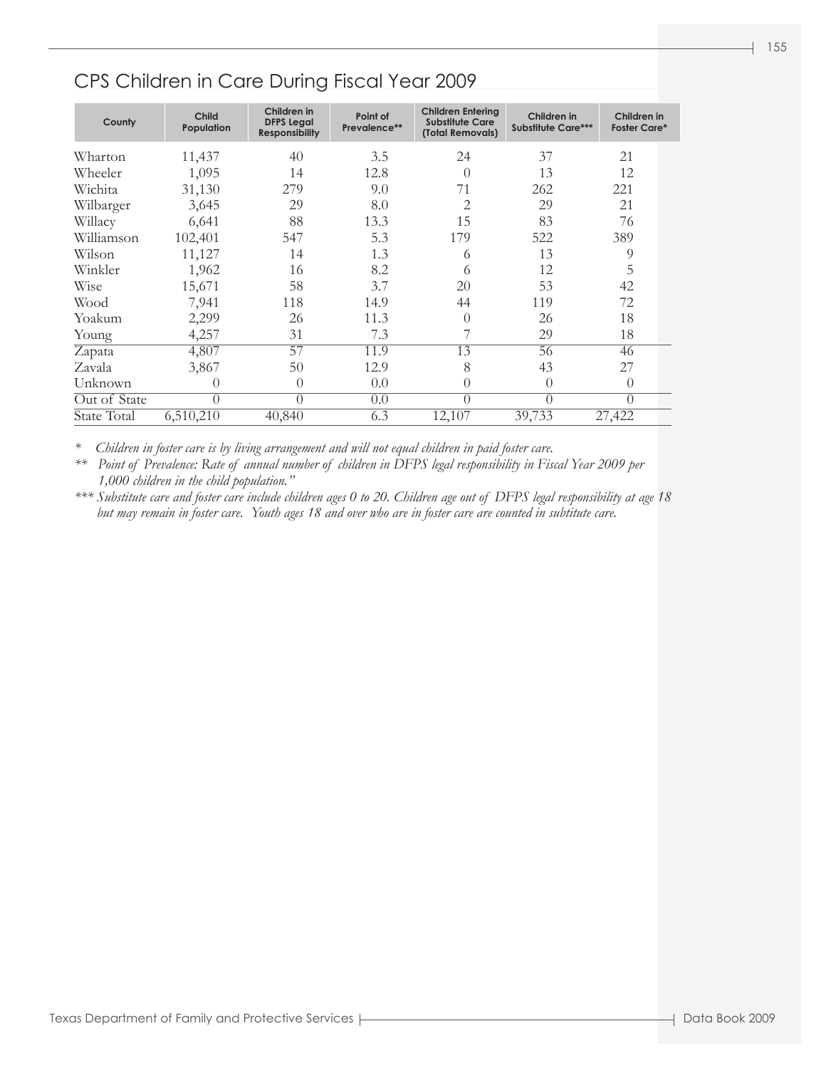#### CPS Children in Care During Fiscal Year 2009

| County       | Child<br>Population | Children in<br><b>DFPS Legal</b><br><b>Responsibility</b> | Point of<br>Prevalence** | <b>Children Entering</b><br><b>Substitute Care</b><br>(Total Removals) | Children in<br><b>Substitute Care***</b> | Children in<br><b>Foster Care*</b> |
|--------------|---------------------|-----------------------------------------------------------|--------------------------|------------------------------------------------------------------------|------------------------------------------|------------------------------------|
| Wharton      | 11,437              | 40                                                        | 3.5                      | 24                                                                     | 37                                       | 2.1                                |
| Wheeler      | 1,095               | 14                                                        | 12.8                     | $\Omega$                                                               | 13                                       | 12                                 |
| Wichita      | 31,130              | 279                                                       | 9.0                      | 71                                                                     | 262                                      | 221                                |
| Wilbarger    | 3,645               | 29                                                        | 8.0                      | $\overline{2}$                                                         | 29                                       | 21                                 |
| Willacy      | 6,641               | 88                                                        | 13.3                     | 15                                                                     | 83                                       | 76                                 |
| Williamson   | 102,401             | 547                                                       | 5.3                      | 179                                                                    | 522                                      | 389                                |
| Wilson       | 11,127              | 14                                                        | 1.3                      | 6                                                                      | 13                                       | 9                                  |
| Winkler      | 1,962               | 16                                                        | 8.2                      | 6                                                                      | 12                                       | 5                                  |
| Wise         | 15,671              | 58                                                        | 3.7                      | 20                                                                     | 53                                       | 42                                 |
| Wood         | 7,941               | 118                                                       | 14.9                     | 44                                                                     | 119                                      | 72                                 |
| Yoakum       | 2,299               | 26                                                        | 11.3                     | $\Omega$                                                               | 26                                       | 18                                 |
| Young        | 4,257               | 31                                                        | 7.3                      |                                                                        | 29                                       | 18                                 |
| Zapata       | 4,807               | $\overline{57}$                                           | 11.9                     | 13                                                                     | 56                                       | 46                                 |
| Zavala       | 3,867               | 50                                                        | 12.9                     | 8                                                                      | 43                                       | 27                                 |
| Unknown      | $\left( \right)$    | $\theta$                                                  | 0.0                      | $\Omega$                                                               | $\Omega$                                 | $\theta$                           |
| Out of State | $\Omega$            | $\theta$                                                  | 0.0                      | $\bigcap$                                                              | $\Omega$                                 | $\theta$                           |
| State Total  | 6,510,210           | 40,840                                                    | 6.3                      | 12,107                                                                 | 39,733                                   | 27,422                             |

*\* Children in foster care is by living arrangement and will not equal children in paid foster care.*

*\*\* Point of Prevalence: Rate of annual number of children in DFPS legal responsibility in Fiscal Year 2009 per 1,000 children in the child population."*

*\*\*\* Substitute care and foster care include children ages 0 to 20. Children age out of DFPS legal responsibility at age 18 but may remain in foster care. Youth ages 18 and over who are in foster care are counted in subtitute care.*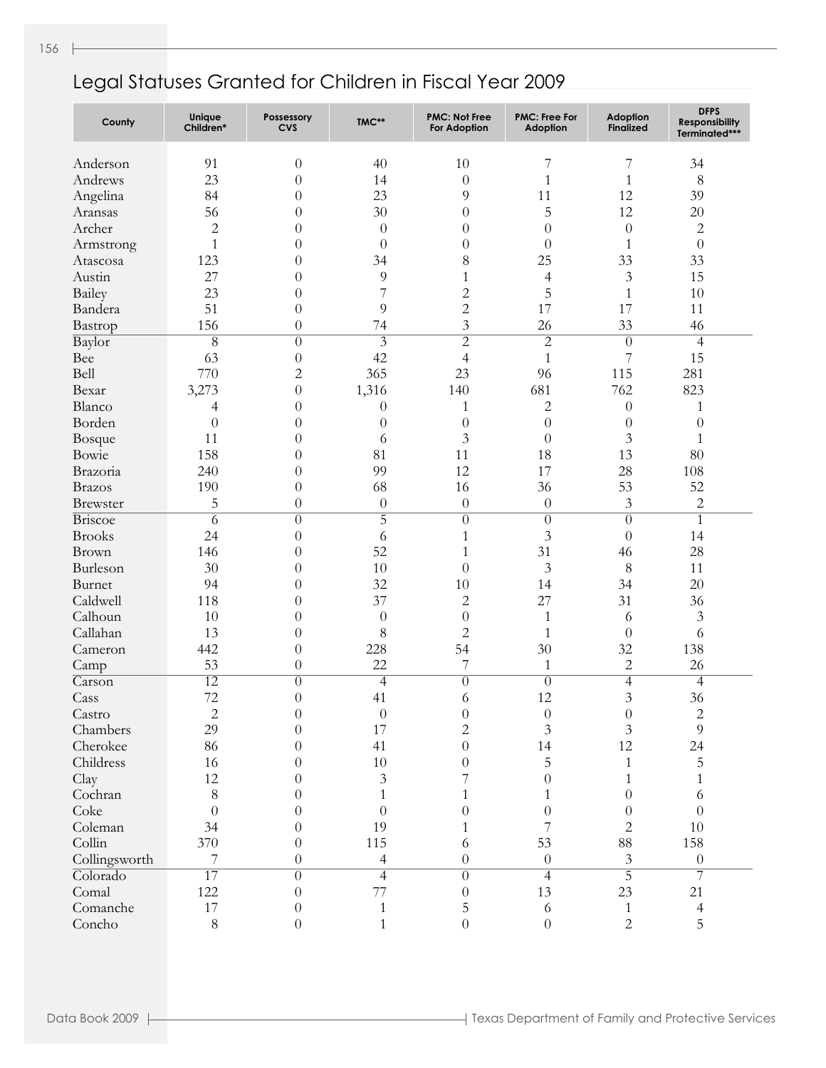| County                     | Unique<br>Children* | Possessory<br><b>CVS</b> | TMC**                    | <b>PMC: Not Free</b><br><b>For Adoption</b> | <b>PMC: Free For</b><br><b>Adoption</b> | <b>Adoption</b><br><b>Finalized</b> | <b>DFPS</b><br><b>Responsibility</b><br>Terminated*** |
|----------------------------|---------------------|--------------------------|--------------------------|---------------------------------------------|-----------------------------------------|-------------------------------------|-------------------------------------------------------|
| Anderson                   | 91                  | $\theta$                 | 40                       | 10                                          | 7                                       | 7                                   | 34                                                    |
| Andrews                    | 23                  | $\overline{0}$           | 14                       | $\overline{0}$                              | $\mathbf{1}$                            | $\mathbf{1}$                        | $8\,$                                                 |
| Angelina                   | 84                  | $\theta$                 | 23                       | 9                                           | 11                                      | 12                                  | 39                                                    |
| Aransas                    | 56                  | $\theta$                 | 30                       | $\theta$                                    | 5                                       | 12                                  | 20                                                    |
| Archer                     | $\overline{2}$      | $\theta$                 | $\theta$                 | $\theta$                                    | $\overline{0}$                          | $\boldsymbol{0}$                    | $\sqrt{2}$                                            |
| Armstrong                  | $\mathbf{1}$        | $\theta$                 | $\theta$                 | $\theta$                                    | $\theta$                                | $\mathbf{1}$                        | $\boldsymbol{0}$                                      |
| Atascosa                   | 123                 | $\theta$                 | 34                       | 8                                           | 25                                      | 33                                  | 33                                                    |
| Austin                     | 27                  | $\theta$                 | 9                        | $\mathbf{1}$                                | 4                                       | 3                                   | 15                                                    |
| Bailey                     | 23                  | $\theta$                 | 7                        | $\overline{c}$                              | 5                                       | $\mathbf{1}$                        | 10                                                    |
| Bandera                    | 51                  | $\overline{0}$           | 9                        | $\overline{2}$                              | 17                                      | 17                                  | 11                                                    |
| Bastrop                    | 156                 | $\theta$                 | 74                       | 3                                           | 26                                      | 33                                  | 46                                                    |
| Baylor                     | $\overline{8}$      | $\overline{0}$           | $\overline{3}$           | $\overline{2}$                              | $\overline{2}$                          | $\overline{0}$                      | $\overline{4}$                                        |
| Bee                        | 63                  | $\theta$                 | 42                       | $\overline{4}$                              | $\mathbf{1}$                            | 7                                   | 15                                                    |
| Bell                       | 770                 | $\overline{c}$           | 365                      | 23                                          | 96                                      | 115                                 | 281                                                   |
| Bexar                      | 3,273               | $\boldsymbol{0}$         | 1,316                    | 140                                         | 681                                     | 762                                 | 823                                                   |
| Blanco                     | 4                   | $\theta$                 | $\theta$                 | 1                                           | $\mathbf{2}$                            | $\boldsymbol{0}$                    | $\mathbf{1}$                                          |
| Borden                     | $\theta$            | $\theta$                 | $\theta$                 | $\theta$                                    | $\theta$                                | $\theta$                            | $\theta$                                              |
| Bosque                     | 11                  | $\theta$                 | 6                        | 3                                           | $\theta$                                | $\overline{3}$                      | $\mathbf{1}$                                          |
| Bowie                      | 158                 | $\theta$                 | 81                       | 11                                          | 18                                      | 13                                  | 80                                                    |
| Brazoria                   | 240                 | $\theta$                 | 99                       | 12                                          | 17                                      | 28                                  | 108                                                   |
| <b>Brazos</b>              | 190                 | $\theta$                 | 68                       | 16                                          | 36                                      | 53                                  | 52                                                    |
| <b>Brewster</b>            | 5                   | $\theta$                 | $\boldsymbol{0}$         | $\overline{0}$                              | $\boldsymbol{0}$                        | 3                                   | $\sqrt{2}$                                            |
| <b>Briscoe</b>             | $\overline{6}$      | $\overline{0}$           | $\overline{5}$           | $\overline{0}$                              | $\overline{0}$                          | $\overline{0}$                      | $\mathbf{1}$                                          |
| <b>Brooks</b>              | 24                  | $\theta$                 | 6                        | $\mathbf{1}$                                | $\mathfrak{Z}$                          | $\boldsymbol{0}$                    | 14                                                    |
| Brown                      | 146                 | $\theta$                 | 52                       | $\mathbf{1}$                                | 31                                      | 46                                  | 28                                                    |
| Burleson                   | 30                  | $\theta$                 | 10                       | $\theta$                                    | $\mathfrak{Z}$                          | 8                                   | 11                                                    |
| Burnet                     | 94                  | $\theta$                 | 32                       | 10                                          | 14                                      | 34                                  | 20                                                    |
| Caldwell                   | 118                 | $\theta$                 | 37                       | $\mathbf{2}$                                | 27                                      | 31                                  | 36                                                    |
| Calhoun                    | 10                  | $\theta$                 | $\theta$                 | $\theta$                                    | $\mathbf{1}$                            | 6                                   | $\mathfrak{Z}$                                        |
| Callahan                   | 13                  | $\theta$                 | 8                        | $\overline{c}$                              | $\mathbf{1}$                            | $\theta$                            | 6                                                     |
| Cameron                    | 442                 | $\theta$                 | 228                      | 54                                          | 30                                      | 32                                  | 138                                                   |
| Camp                       | 53                  | $\theta$                 | 22                       | 7                                           | $\mathbf{1}$                            | $\overline{2}$                      | 26                                                    |
| $\overline{\text{Carson}}$ | $\overline{12}$     | $\theta$                 | $\overline{4}$           | $\overline{0}$                              | $\overline{0}$                          | $\overline{\mathcal{A}}$            | $\overline{4}$                                        |
| Cass                       | 72                  | $\theta$                 | 41                       | 6                                           | 12                                      | $\overline{3}$                      | 36                                                    |
| Castro                     | $\overline{c}$      | 0                        | $\boldsymbol{0}$         | $\boldsymbol{0}$                            | $\theta$                                | $\boldsymbol{0}$                    | $\overline{c}$                                        |
| Chambers                   | 29                  | $\overline{0}$           | 17                       | $\sqrt{2}$                                  | $\mathfrak{Z}$                          | $\overline{3}$                      | $\overline{9}$                                        |
| Cherokee                   | 86                  | $\theta$                 | 41                       | $\overline{0}$                              | 14                                      | 12                                  | 24                                                    |
| Childress                  | 16                  | 0                        | 10                       | $\theta$                                    | 5                                       | $\mathbf{1}$                        | 5                                                     |
| Clay                       | 12                  | $\theta$                 | $\mathfrak{Z}$           | 7                                           | $\theta$                                | $\mathbf{1}$                        | 1                                                     |
| Cochran                    | 8                   | $\theta$                 | $\mathbf{1}$             | 1                                           | 1                                       | $\theta$                            | 6                                                     |
| Coke                       | $\theta$            | $\theta$                 | $\theta$                 | $\theta$                                    | $\boldsymbol{0}$                        | $\theta$                            | $\overline{0}$                                        |
| Coleman                    | 34                  | $\theta$                 | 19                       | 1                                           | 7                                       | $\overline{2}$                      | $10\,$                                                |
| Collin                     | 370                 | $\theta$                 | 115                      | 6                                           | 53                                      | $88\,$                              | 158                                                   |
| Collingsworth              | 7                   | $\boldsymbol{0}$         | $\overline{\mathcal{A}}$ | $\theta$                                    | $\boldsymbol{0}$                        | $\mathfrak{Z}$                      | $\theta$                                              |
| Colorado                   | $\overline{17}$     | $\overline{0}$           | $\overline{4}$           | $\overline{0}$                              | $\overline{4}$                          | $\overline{5}$                      | 7                                                     |
| Comal                      | 122                 | $\theta$                 | 77                       | $\theta$                                    | 13                                      | 23                                  | 21                                                    |
| Comanche                   | $17\,$              | $\theta$                 | $\mathbf{1}$             | 5                                           | $\sqrt{6}$                              | $\mathbf{1}$                        | $\overline{4}$                                        |
| Concho                     | 8                   | $\boldsymbol{0}$         | $\mathbf{1}$             | $\overline{0}$                              | $\boldsymbol{0}$                        | $\overline{2}$                      | 5                                                     |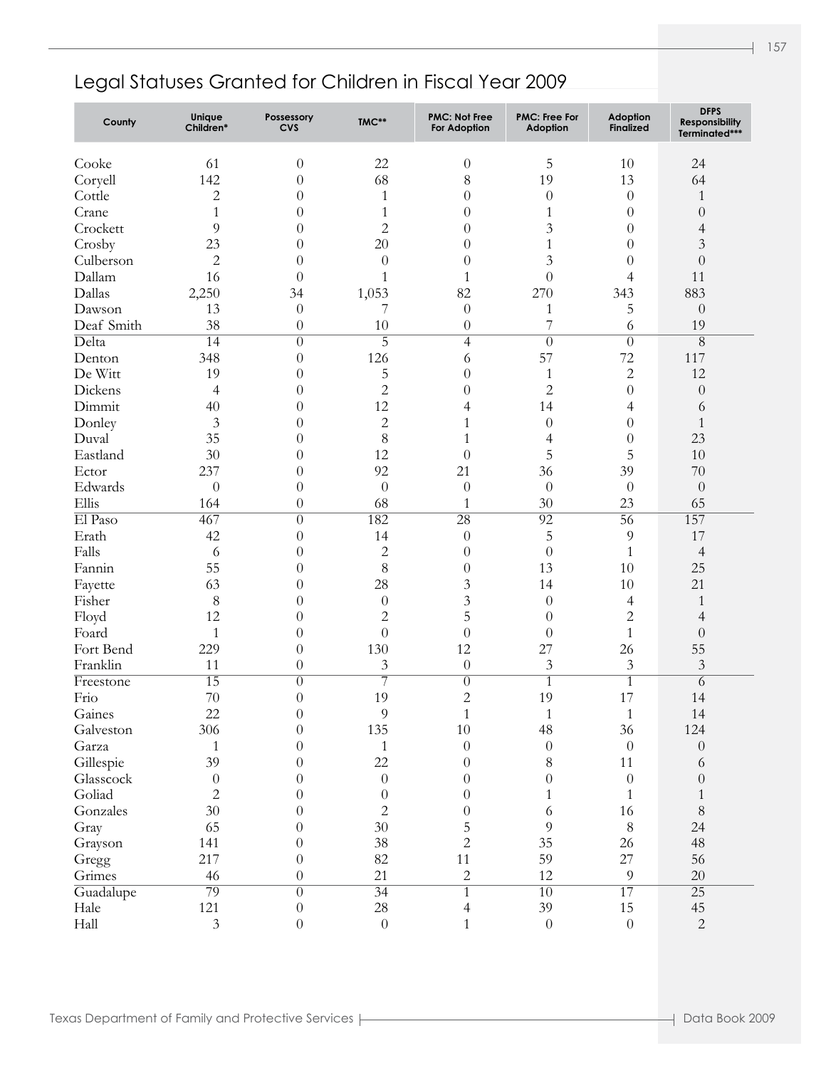| County     | Unique<br>Children* | Possessory<br><b>CVS</b> | TMC**            | <b>PMC: Not Free</b><br>For Adoption | <b>PMC: Free For</b><br>Adoption | <b>Adoption</b><br><b>Finalized</b> | <b>DFPS</b><br><b>Responsibility</b><br>Terminated*** |
|------------|---------------------|--------------------------|------------------|--------------------------------------|----------------------------------|-------------------------------------|-------------------------------------------------------|
| Cooke      | 61                  | $\boldsymbol{0}$         | 22               | $\theta$                             | 5                                | 10                                  | 24                                                    |
| Coryell    | 142                 | $\theta$                 | 68               | $8\,$                                | 19                               | 13                                  | 64                                                    |
| Cottle     | $\sqrt{2}$          | $\overline{0}$           | $\mathbf{1}$     | $\overline{0}$                       | $\boldsymbol{0}$                 | $\theta$                            | $\mathbf{1}$                                          |
| Crane      | $\mathbf{1}$        | $\theta$                 | $\mathbf{1}$     | $\overline{0}$                       | $\mathbf{1}$                     | $\theta$                            | $\theta$                                              |
| Crockett   | 9                   | $\theta$                 | $\overline{c}$   | $\overline{0}$                       | 3                                | $\theta$                            | $\overline{4}$                                        |
| Crosby     | 23                  | $\theta$                 | $20\,$           | $\theta$                             | $\mathbf{1}$                     | $\overline{0}$                      | $\mathfrak{Z}$                                        |
| Culberson  | $\mathbf{2}$        | $\theta$                 | $\boldsymbol{0}$ | $\overline{0}$                       | 3                                | $\theta$                            | $\boldsymbol{0}$                                      |
| Dallam     | 16                  | $\overline{0}$           | $\mathbf{1}$     | $\mathbf{1}$                         | $\boldsymbol{0}$                 | $\overline{4}$                      | 11                                                    |
| Dallas     | 2,250               | 34                       | 1,053            | 82                                   | 270                              | 343                                 | 883                                                   |
| Dawson     | 13                  | $\theta$                 | 7                | $\boldsymbol{0}$                     | 1                                | 5                                   | $\boldsymbol{0}$                                      |
| Deaf Smith | 38                  | $\theta$                 | 10               | $\theta$                             | 7                                | 6                                   | 19                                                    |
| Delta      | $\overline{14}$     | $\overline{0}$           | $\overline{5}$   | $\overline{4}$                       | $\overline{0}$                   | $\overline{0}$                      | $\overline{8}$                                        |
| Denton     | 348                 | $\overline{0}$           | 126              | 6                                    | 57                               | 72                                  | 117                                                   |
| De Witt    | 19                  | $\overline{0}$           | 5                | $\overline{0}$                       | $\mathbf{1}$                     | $\overline{2}$                      | 12                                                    |
| Dickens    | $\overline{4}$      | $\theta$                 | $\overline{c}$   | $\theta$                             | $\overline{c}$                   | $\overline{0}$                      | $\boldsymbol{0}$                                      |
| Dimmit     | 40                  | $\theta$                 | 12               | 4                                    | 14                               | 4                                   | $\sqrt{6}$                                            |
| Donley     | $\mathfrak{Z}$      | $\theta$                 | $\overline{c}$   | 1                                    | $\boldsymbol{0}$                 | $\overline{0}$                      | $\mathbf{1}$                                          |
| Duval      | 35                  | $\theta$                 | 8                | 1                                    | $\overline{4}$                   | $\theta$                            | 23                                                    |
| Eastland   | 30                  | $\theta$                 | 12               | $\overline{0}$                       | 5                                | 5                                   | 10                                                    |
| Ector      | 237                 | $\theta$                 | 92               | 21                                   | 36                               | 39                                  | 70                                                    |
| Edwards    | $\overline{0}$      | $\overline{0}$           | $\boldsymbol{0}$ | $\overline{0}$                       | $\theta$                         | $\boldsymbol{0}$                    | $\boldsymbol{0}$                                      |
| Ellis      | 164                 | $\theta$                 | 68               | 1                                    | 30                               | 23                                  | 65                                                    |
| El Paso    | 467                 | $\overline{0}$           | 182              | $\overline{28}$                      | $\overline{92}$                  | $\overline{56}$                     | 157                                                   |
| Erath      | 42                  | $\theta$                 | 14               | $\boldsymbol{0}$                     | 5                                | 9                                   | 17                                                    |
| Falls      | 6                   | $\theta$                 | $\overline{c}$   | $\overline{0}$                       | $\boldsymbol{0}$                 | $\mathbf{1}$                        | $\overline{4}$                                        |
| Fannin     | 55                  | $\theta$                 | 8                | $\theta$                             | 13                               | 10                                  | 25                                                    |
| Fayette    | 63                  | $\theta$                 | 28               | 3                                    | 14                               | 10                                  | 21                                                    |
| Fisher     | 8                   | $\theta$                 | $\boldsymbol{0}$ | $\overline{3}$                       | $\boldsymbol{0}$                 | 4                                   | $\mathbf{1}$                                          |
| Floyd      | 12                  | $\theta$                 | $\overline{c}$   | 5                                    | $\theta$                         | $\overline{c}$                      | $\overline{4}$                                        |
| Foard      | $\mathbf{1}$        | $\theta$                 | $\overline{0}$   | $\boldsymbol{0}$                     | $\theta$                         | $\mathbf{1}$                        | $\boldsymbol{0}$                                      |
| Fort Bend  | 229                 | $\theta$                 | 130              | 12                                   | 27                               | 26                                  | 55                                                    |
| Franklin   | 11                  | $\theta$                 | $\mathfrak{Z}$   | $\boldsymbol{0}$                     | $\mathfrak{Z}$                   | $\mathfrak{Z}$                      | $\mathfrak{Z}$                                        |
| Freestone  | $\overline{15}$     | $\overline{0}$           | $\overline{7}$   | $\overline{0}$                       | $\overline{1}$                   | $\overline{1}$                      | 6                                                     |
| Frio       | 70                  | $\theta$                 | 19               | $\overline{c}$                       | 19                               | 17                                  | 14                                                    |
| Gaines     | 22                  | 0                        | 9                | 1                                    | 1                                | 1                                   | 14                                                    |
| Galveston  | 306                 | $\theta$                 | 135              | $10\,$                               | 48                               | 36                                  | 124                                                   |
| Garza      | 1                   | $\theta$                 | $\mathbf{1}$     | $\overline{0}$                       | $\boldsymbol{0}$                 | $\overline{0}$                      | $\theta$                                              |
| Gillespie  | 39                  | 0                        | 22               | $\theta$                             | 8                                | 11                                  | 6                                                     |
| Glasscock  | $\boldsymbol{0}$    | $\theta$                 | $\boldsymbol{0}$ | $\theta$                             | $\overline{0}$                   | $\overline{0}$                      | $\boldsymbol{0}$                                      |
| Goliad     | $\overline{2}$      | $\theta$                 | $\boldsymbol{0}$ | $\theta$                             | $\mathbf{1}$                     | 1                                   | 1                                                     |
| Gonzales   | 30                  | $\theta$                 | $\overline{c}$   | $\boldsymbol{0}$                     | 6                                | 16                                  | $8\,$                                                 |
| Gray       | 65                  | 0                        | $30\,$           | 5                                    | 9                                | $8\,$                               | 24                                                    |
| Grayson    | 141                 | $\theta$                 | 38               | $\overline{2}$                       | 35                               | 26                                  | 48                                                    |
| Gregg      | 217                 | $\theta$                 | 82               | 11                                   | 59                               | 27                                  | 56                                                    |
| Grimes     | 46                  | $\boldsymbol{0}$         | 21               | $\mathbf{2}$                         | 12                               | 9                                   | $20\,$                                                |
| Guadalupe  | 79                  | $\overline{0}$           | $\overline{34}$  | $\overline{1}$                       | $\overline{10}$                  | 17                                  | $\overline{25}$                                       |
| Hale       | 121                 | $\theta$                 | 28               | $\overline{4}$                       | 39                               | 15                                  | 45                                                    |
| Hall       | 3                   | $\boldsymbol{0}$         | $\boldsymbol{0}$ | 1                                    | $\boldsymbol{0}$                 | $\boldsymbol{0}$                    | $\overline{2}$                                        |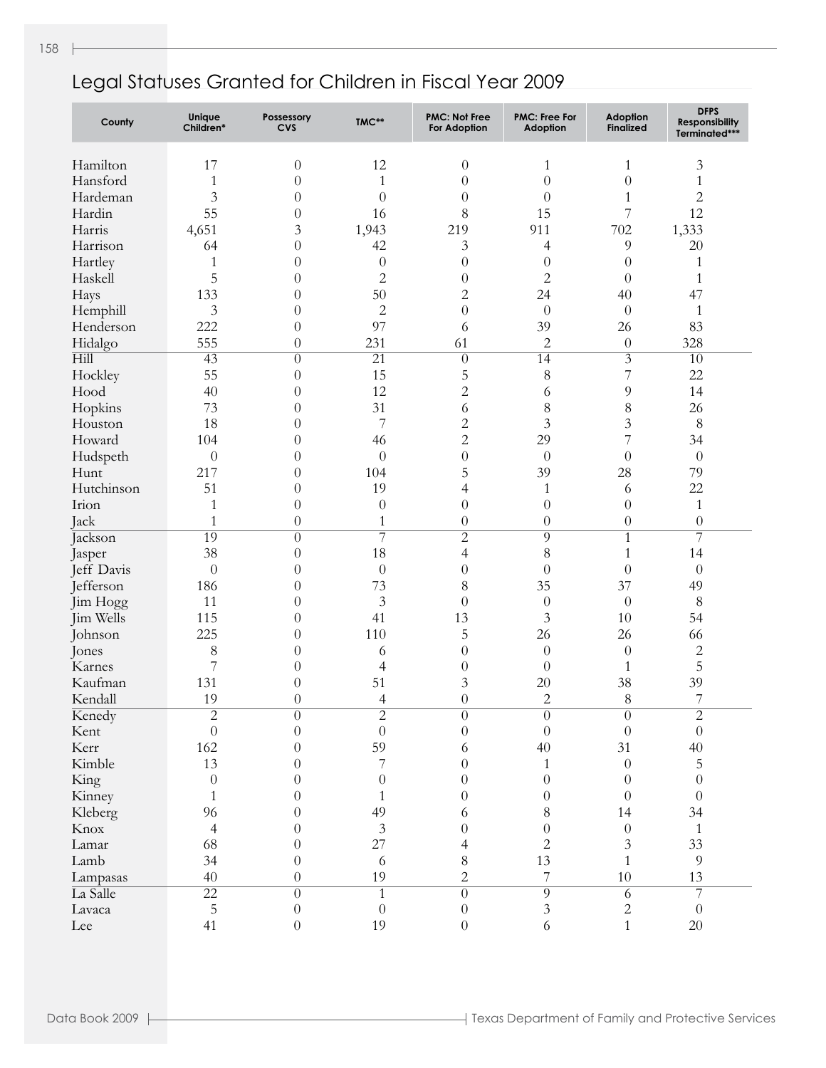| County     | Unique<br>Children*     | Possessory<br><b>CVS</b> | TMC**            | <b>PMC: Not Free</b><br><b>For Adoption</b> | <b>PMC: Free For</b><br>Adoption | <b>Adoption</b><br><b>Finalized</b> | <b>DFPS</b><br><b>Responsibility</b><br>Terminated*** |
|------------|-------------------------|--------------------------|------------------|---------------------------------------------|----------------------------------|-------------------------------------|-------------------------------------------------------|
| Hamilton   | 17                      | $\boldsymbol{0}$         | 12               | $\theta$                                    | 1                                | 1                                   | 3                                                     |
| Hansford   | $\mathbf{1}$            | $\boldsymbol{0}$         | $\mathbf{1}$     | $\theta$                                    | $\theta$                         | $\theta$                            | $\mathbf{1}$                                          |
| Hardeman   | 3                       | $\theta$                 | $\theta$         | $\theta$                                    | $\theta$                         | $\mathbf{1}$                        | $\overline{c}$                                        |
| Hardin     | 55                      | $\theta$                 | 16               | 8                                           | 15                               | 7                                   | 12                                                    |
| Harris     | 4,651                   | 3                        | 1,943            | 219                                         | 911                              | 702                                 | 1,333                                                 |
| Harrison   | 64                      | $\theta$                 | 42               | 3                                           | $\overline{4}$                   | 9                                   | $20\,$                                                |
| Hartley    | $\mathbf{1}$            | $\theta$                 | $\theta$         | $\theta$                                    | $\theta$                         | $\theta$                            | $\mathbf{1}$                                          |
| Haskell    | 5                       | $\overline{0}$           | $\overline{c}$   | $\theta$                                    | $\overline{c}$                   | $\theta$                            | $\mathbf{1}$                                          |
| Hays       | 133                     | $\overline{0}$           | 50               | $\overline{c}$                              | 24                               | 40                                  | 47                                                    |
| Hemphill   | 3                       | $\overline{0}$           | $\overline{c}$   | $\theta$                                    | $\theta$                         | $\theta$                            | $\mathbf{1}$                                          |
| Henderson  | 222                     | $\overline{0}$           | 97               | 6                                           | 39                               | 26                                  | 83                                                    |
| Hidalgo    | 555                     | $\theta$                 | 231              | 61                                          | 2                                | $\theta$                            | 328                                                   |
| Hill       | $\overline{43}$         | $\theta$                 | $\overline{21}$  | $\overline{0}$                              | $\overline{14}$                  | $\overline{\mathfrak{Z}}$           | 10                                                    |
| Hockley    | 55                      | $\theta$                 | 15               | 5                                           | 8                                | $\overline{7}$                      | 22                                                    |
| Hood       | 40                      | $\overline{0}$           | 12               | $\overline{c}$                              | 6                                | 9                                   | 14                                                    |
| Hopkins    | 73                      | $\overline{0}$           | 31               | 6                                           | 8                                | 8                                   | 26                                                    |
| Houston    | 18                      | $\theta$                 | $\overline{7}$   | $\overline{c}$                              | 3                                | $\mathfrak{Z}$                      | $\,8\,$                                               |
| Howard     | 104                     | $\overline{0}$           | 46               | $\overline{2}$                              | 29                               | 7                                   | 34                                                    |
| Hudspeth   | $\theta$                | $\overline{0}$           | $\theta$         | $\theta$                                    | $\theta$                         | $\theta$                            | $\theta$                                              |
| Hunt       | 217                     | $\overline{0}$           | 104              | 5                                           | 39                               | 28                                  | 79                                                    |
| Hutchinson | 51                      | $\theta$                 | 19               | 4                                           | $\mathbf{1}$                     | 6                                   | 22                                                    |
| Irion      | $\mathbf{1}$            | $\overline{0}$           | $\theta$         | $\theta$                                    | $\theta$                         | $\overline{0}$                      | $\mathbf{1}$                                          |
| Jack       | $\mathbf{1}$            | $\overline{0}$           | $\mathbf{1}$     | $\theta$                                    | $\theta$                         | $\boldsymbol{0}$                    | $\theta$                                              |
| Jackson    | 19                      | $\theta$                 | 7                | $\overline{2}$                              | $\overline{9}$                   | 1                                   | $\overline{7}$                                        |
| Jasper     | 38                      | $\theta$                 | 18               | $\overline{\mathcal{L}}$                    | $\,8$                            | $\mathbf{1}$                        | 14                                                    |
| Jeff Davis | $\theta$                | $\overline{0}$           | $\theta$         | $\theta$                                    | $\theta$                         | $\overline{0}$                      | $\theta$                                              |
| Jefferson  | 186                     | $\boldsymbol{0}$         | 73               | 8                                           | 35                               | 37                                  | 49                                                    |
| Jim Hogg   | 11                      | $\boldsymbol{0}$         | $\mathfrak{Z}$   | $\theta$                                    | $\theta$                         | $\theta$                            | $\,8\,$                                               |
| Jim Wells  | 115                     | $\theta$                 | 41               | 13                                          | 3                                | 10                                  | 54                                                    |
| Johnson    | 225                     | $\theta$                 | 110              | 5                                           | 26                               | 26                                  | 66                                                    |
| Jones      | 8                       | $\theta$                 | 6                | $\theta$                                    | $\theta$                         | $\theta$                            | $\overline{c}$                                        |
| Karnes     | 7                       | $\boldsymbol{0}$         | $\overline{4}$   | $\theta$                                    | $\theta$                         | $\mathbf{1}$                        | 5                                                     |
| Kaufman    | 131                     | $\overline{0}$           | 51               | 3                                           | 20                               | 38                                  | 39                                                    |
| Kendall    | 19                      | $\overline{0}$           | $\overline{4}$   | $\theta$                                    | $\mathbf{2}$                     | 8                                   | 7                                                     |
| Kenedy     | $\overline{\mathbf{c}}$ | $\boldsymbol{0}$         | $\overline{c}$   | $\boldsymbol{0}$                            | $\theta$                         | $\boldsymbol{0}$                    | $\mathbf{2}$                                          |
| Kent       | $\overline{0}$          | $\overline{0}$           | $\overline{0}$   | $\theta$                                    | $\overline{0}$                   | $\boldsymbol{0}$                    | $\boldsymbol{0}$                                      |
| Kerr       | 162                     | $\overline{0}$           | 59               | 6                                           | 40                               | 31                                  | $40\,$                                                |
| Kimble     | 13                      | $\overline{0}$           | 7                | $\theta$                                    | $\mathbf{1}$                     | $\boldsymbol{0}$                    | 5                                                     |
| King       | $\theta$                | $\overline{0}$           | $\theta$         | $\theta$                                    | $\theta$                         | $\theta$                            | $\boldsymbol{0}$                                      |
| Kinney     | $\mathbf{1}$            | $\theta$                 | 1                | $\theta$                                    | $\theta$                         | $\overline{0}$                      | $\boldsymbol{0}$                                      |
| Kleberg    | 96                      | $\theta$                 | 49               | 6                                           | 8                                | 14                                  | 34                                                    |
| Knox       | $\overline{4}$          | $\theta$                 | $\mathfrak{Z}$   | $\theta$                                    | $\overline{0}$                   | $\boldsymbol{0}$                    | $\mathbf{1}$                                          |
| Lamar      | 68                      | $\theta$                 | 27               | 4                                           | $\overline{c}$                   | 3                                   | 33                                                    |
| Lamb       | 34                      | $\theta$                 | 6                | $8\,$                                       | 13                               | $\mathbf{1}$                        | $\overline{9}$                                        |
| Lampasas   | 40                      | $\theta$                 | 19               | $\overline{c}$                              | $\boldsymbol{7}$                 | 10                                  | 13                                                    |
| La Salle   | $\overline{22}$         | $\theta$                 | $\mathbf{1}$     | $\overline{0}$                              | $\overline{9}$                   | 6                                   | $\overline{7}$                                        |
| Lavaca     | 5                       | $\boldsymbol{0}$         | $\boldsymbol{0}$ | $\boldsymbol{0}$                            | $\ensuremath{\mathfrak{Z}}$      | $\mathbf{2}$                        | $\boldsymbol{0}$                                      |
| Lee        | 41                      | $\overline{0}$           | 19               | $\overline{0}$                              | 6                                | $\mathbf{1}$                        | $20\,$                                                |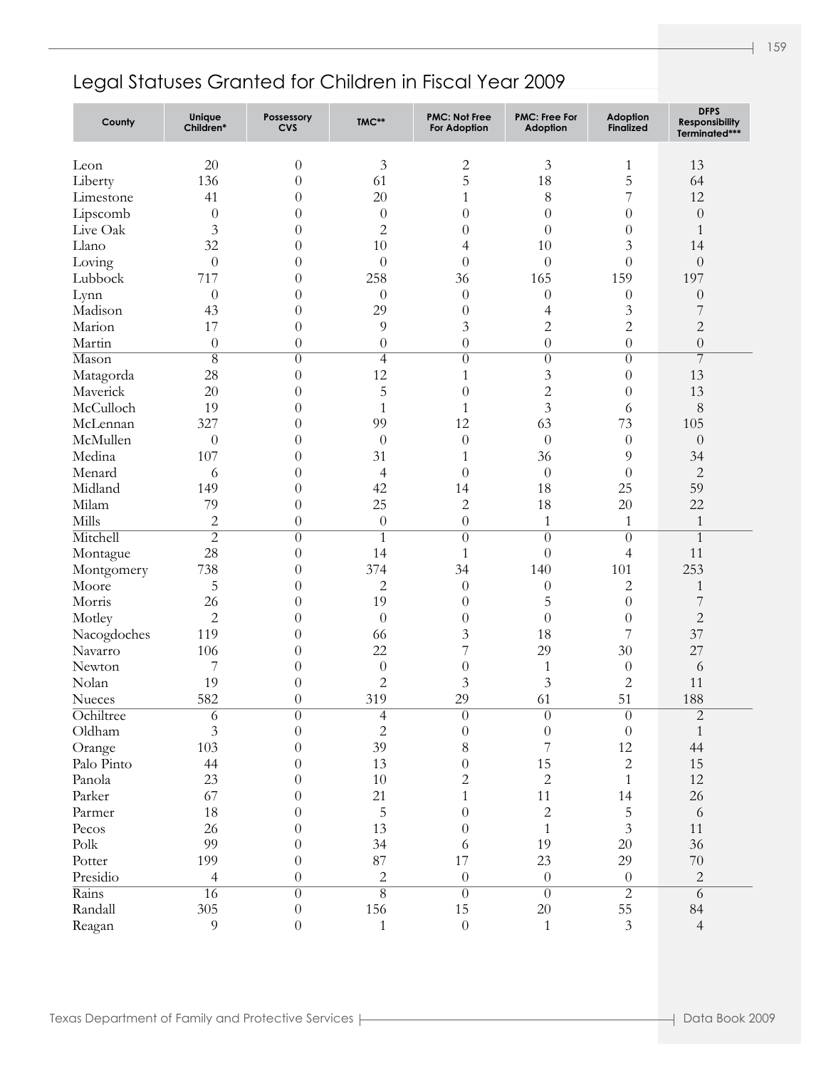| County                | Unique<br>Children* | Possessory<br><b>CVS</b> | TMC**              | <b>PMC: Not Free</b><br><b>For Adoption</b> | <b>PMC: Free For</b><br><b>Adoption</b> | Adoption<br><b>Finalized</b> | <b>DFPS</b><br>Responsibility<br>Terminated*** |
|-----------------------|---------------------|--------------------------|--------------------|---------------------------------------------|-----------------------------------------|------------------------------|------------------------------------------------|
| Leon                  | 20                  | $\theta$                 | $\mathfrak{Z}$     | $\mathbf{2}$                                | 3                                       | $\mathbf{1}$                 | 13                                             |
| Liberty               | 136                 | $\overline{0}$           | 61                 | 5                                           | 18                                      | 5                            | 64                                             |
| Limestone             | 41                  | $\theta$                 | 20                 | $\mathbf{1}$                                | 8                                       | 7                            | 12                                             |
| Lipscomb              | $\theta$            | $\theta$                 | $\theta$           | $\overline{0}$                              | $\theta$                                | $\overline{0}$               | $\boldsymbol{0}$                               |
| Live Oak              | 3                   | $\theta$                 | $\sqrt{2}$         | $\theta$                                    | $\theta$                                | $\overline{0}$               | 1                                              |
| Llano                 | 32                  | $\theta$                 | 10                 | 4                                           | 10                                      | 3                            | 14                                             |
| Loving                | $\boldsymbol{0}$    | $\overline{0}$           | $\theta$           | $\theta$                                    | $\boldsymbol{0}$                        | $\theta$                     | $\boldsymbol{0}$                               |
| Lubbock               | 717                 | $\theta$                 | 258                | 36                                          | 165                                     | 159                          | 197                                            |
| Lynn                  | $\theta$            | $\theta$                 | $\theta$           | $\theta$                                    | $\theta$                                | $\boldsymbol{0}$             | $\boldsymbol{0}$                               |
| Madison               | 43                  | $\overline{0}$           | 29                 | $\boldsymbol{0}$                            | 4                                       | 3                            | 7                                              |
| Marion                | 17                  | $\overline{0}$           | 9                  | $\mathfrak{Z}$                              | $\overline{c}$                          | $\mathbf{2}$                 | $\sqrt{2}$                                     |
| Martin                | $\theta$            | $\boldsymbol{0}$         | $\boldsymbol{0}$   | $\boldsymbol{0}$                            | $\boldsymbol{0}$                        | $\overline{0}$               | $\boldsymbol{0}$                               |
| Mason                 | $\overline{8}$      | $\overline{0}$           | $\overline{4}$     | $\overline{0}$                              | $\overline{0}$                          | $\overline{0}$               | $\overline{7}$                                 |
|                       | 28                  | $\overline{0}$           | 12                 | 1                                           | $\mathfrak{Z}$                          | $\overline{0}$               | 13                                             |
| Matagorda<br>Maverick | 20                  | $\overline{0}$           |                    | $\theta$                                    | $\overline{c}$                          | $\overline{0}$               | 13                                             |
| McCulloch             | 19                  |                          | $\mathbf 5$        |                                             | $\overline{3}$                          |                              |                                                |
|                       | 327                 | $\overline{0}$           | $\mathbf{1}$<br>99 | $\mathbf{1}$<br>12                          | 63                                      | 6<br>73                      | $\,8\,$                                        |
| McLennan              |                     | $\theta$                 |                    |                                             |                                         |                              | 105                                            |
| McMullen              | $\theta$            | $\overline{0}$           | $\boldsymbol{0}$   | $\theta$                                    | $\theta$                                | $\boldsymbol{0}$             | $\theta$                                       |
| Medina                | 107                 | $\theta$                 | 31                 | $\mathbf{1}$                                | 36                                      | 9                            | 34                                             |
| Menard                | 6                   | $\theta$                 | $\overline{4}$     | $\boldsymbol{0}$                            | $\theta$                                | $\overline{0}$               | $\overline{c}$                                 |
| Midland               | 149                 | $\overline{0}$           | 42                 | 14                                          | 18                                      | 25                           | 59                                             |
| Milam                 | 79                  | $\overline{0}$           | 25                 | $\overline{c}$                              | 18                                      | 20                           | 22                                             |
| Mills                 | $\overline{c}$      | $\theta$                 | $\boldsymbol{0}$   | $\boldsymbol{0}$                            | $\mathbf{1}$                            | $\mathbf{1}$                 | $\mathbf{1}$                                   |
| Mitchell              | $\overline{2}$      | $\overline{0}$           | $\overline{1}$     | $\overline{0}$                              | $\overline{0}$                          | $\overline{0}$               | $\mathbf{1}$                                   |
| Montague              | 28                  | $\theta$                 | 14                 | $\mathbf{1}$                                | $\boldsymbol{0}$                        | $\overline{4}$               | 11                                             |
| Montgomery            | 738                 | $\theta$                 | 374                | 34                                          | 140                                     | 101                          | 253                                            |
| Moore                 | 5                   | $\theta$                 | $\mathbf{2}$       | $\theta$                                    | $\theta$                                | $\overline{2}$               | $\mathbf{1}$                                   |
| Morris                | 26                  | $\theta$                 | 19                 | $\theta$                                    | 5                                       | $\overline{0}$               | $\overline{7}$                                 |
| Motley                | $\overline{c}$      | $\theta$                 | $\overline{0}$     | $\theta$                                    | $\theta$                                | $\theta$                     | $\overline{c}$                                 |
| Nacogdoches           | 119                 | $\theta$                 | 66                 | 3                                           | 18                                      | 7                            | 37                                             |
| Navarro               | 106                 | $\theta$                 | 22                 | 7                                           | 29                                      | 30                           | 27                                             |
| Newton                | 7                   | $\theta$                 | $\boldsymbol{0}$   | $\boldsymbol{0}$                            | $\mathbf{1}$                            | $\theta$                     | 6                                              |
| Nolan                 | 19                  | $\theta$                 | $\mathbf 2$        | 3                                           | $\mathfrak{Z}$                          | $\overline{c}$               | 11                                             |
| <b>Nueces</b>         | 582                 | $\theta$                 | 319                | 29                                          | 61                                      | 51                           | 188                                            |
| Ochiltree             | 6                   | 0                        | $\overline{4}$     | 0                                           | 0                                       | $\theta$                     | $\overline{c}$                                 |
| Oldham                | $\overline{3}$      | $\theta$                 | $\overline{c}$     | $\boldsymbol{0}$                            | $\boldsymbol{0}$                        | $\theta$                     | $\mathbf{1}$                                   |
| Orange                | 103                 | $\theta$                 | 39                 | $8\,$                                       | $\overline{7}$                          | 12                           | 44                                             |
| Palo Pinto            | 44                  | $\theta$                 | 13                 | $\boldsymbol{0}$                            | 15                                      | $\mathbf{2}$                 | 15                                             |
| Panola                | 23                  | $\theta$                 | $10\,$             | $\overline{2}$                              | $\overline{2}$                          | $\mathbf{1}$                 | 12                                             |
| Parker                | 67                  | $\theta$                 | 21                 | $\mathbf{1}$                                | 11                                      | 14                           | 26                                             |
| Parmer                | 18                  | $\theta$                 | $\mathbf 5$        | $\overline{0}$                              | $\sqrt{2}$                              | 5                            | $\sqrt{6}$                                     |
| Pecos                 | 26                  | $\theta$                 | 13                 | $\overline{0}$                              | $\mathbf{1}$                            | $\overline{3}$               | 11                                             |
| $\text{Polk}$         | 99                  | $\theta$                 | 34                 | 6                                           | 19                                      | $20\,$                       | 36                                             |
| Potter                | 199                 | $\theta$                 | 87                 | 17                                          | 23                                      | 29                           | $70\,$                                         |
| Presidio              | $\overline{4}$      | $\overline{0}$           | $\sqrt{2}$         | $\boldsymbol{0}$                            | $\boldsymbol{0}$                        | $\theta$                     | $\sqrt{2}$                                     |
| Rains                 | $\overline{16}$     | $\overline{0}$           | $\overline{8}$     | $\overline{0}$                              | $\overline{0}$                          | $\overline{2}$               | $\overline{6}$                                 |
| Randall               | 305                 | $\boldsymbol{0}$         | 156                | 15                                          | 20                                      | 55                           | 84                                             |
| Reagan                | 9                   | $\overline{0}$           | $1\,$              | $\boldsymbol{0}$                            | $\mathbf{1}$                            | $\overline{3}$               | $\overline{4}$                                 |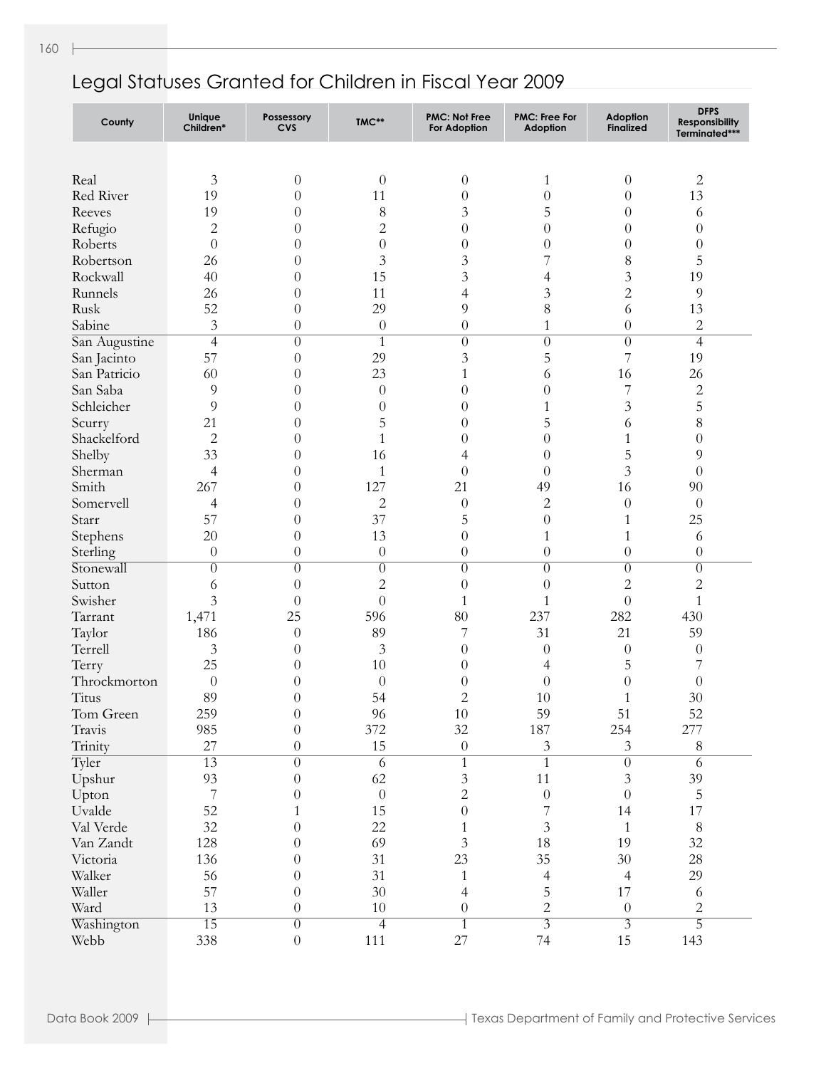| County        | Unique<br>Children*      | Possessory<br><b>CVS</b> | TMC**            | <b>PMC: Not Free</b><br>For Adoption | <b>PMC: Free For</b><br><b>Adoption</b> | Adoption<br><b>Finalized</b> | <b>DFPS</b><br>Responsibility<br>Terminated*** |
|---------------|--------------------------|--------------------------|------------------|--------------------------------------|-----------------------------------------|------------------------------|------------------------------------------------|
|               |                          |                          |                  |                                      |                                         |                              |                                                |
| Real          | 3                        | $\boldsymbol{0}$         | $\theta$         | $\boldsymbol{0}$                     | 1                                       | $\theta$                     | $\overline{c}$                                 |
| Red River     | 19                       | $\boldsymbol{0}$         | 11               | $\boldsymbol{0}$                     | $\overline{0}$                          | $\theta$                     | 13                                             |
| Reeves        | 19                       | $\boldsymbol{0}$         | 8                | 3                                    | 5                                       | $\theta$                     | 6                                              |
| Refugio       | 2                        | $\theta$                 | 2                | $\theta$                             | $\overline{0}$                          | $\theta$                     | $\theta$                                       |
| Roberts       | $\overline{0}$           | $\theta$                 | $\boldsymbol{0}$ | $\theta$                             | $\theta$                                | $\theta$                     | $\boldsymbol{0}$                               |
| Robertson     | 26                       | $\theta$                 | 3                | 3                                    | 7                                       | $\,8\,$                      | 5                                              |
| Rockwall      | 40                       | $\theta$                 | 15               | 3                                    | 4                                       | 3                            | 19                                             |
| Runnels       | 26                       | $\theta$                 | 11               | 4                                    | 3                                       | $\overline{c}$               | 9                                              |
| Rusk          | 52                       | $\theta$                 | 29               | 9                                    | 8                                       | 6                            | 13                                             |
| Sabine        | 3                        | $\theta$                 | $\boldsymbol{0}$ | $\boldsymbol{0}$                     | $\mathbf{1}$                            | $\theta$                     | 2                                              |
| San Augustine | $\overline{4}$           | $\theta$                 | $\overline{1}$   | $\theta$                             | $\overline{0}$                          | $\theta$                     | 4                                              |
| San Jacinto   | 57                       | $\theta$                 | 29               | 3                                    | 5                                       | 7                            | 19                                             |
| San Patricio  | 60                       | $\theta$                 | 23               | $\mathbf{1}$                         | 6                                       | 16                           | 26                                             |
| San Saba      | 9                        | $\theta$                 | $\theta$         | $\theta$                             | $\theta$                                | 7                            | 2                                              |
| Schleicher    | 9                        | $\boldsymbol{0}$         | $\boldsymbol{0}$ | $\theta$                             | 1                                       | $\mathfrak{Z}$               | 5                                              |
| Scurry        | 21                       | $\boldsymbol{0}$         | 5                | $\theta$                             | 5                                       | 6                            | 8                                              |
| Shackelford   | $\overline{2}$           | $\theta$                 | $\mathbf{1}$     | 0                                    | $\overline{0}$                          | $\mathbf{1}$                 | $\boldsymbol{0}$                               |
| Shelby        | 33                       | $\theta$                 | 16               | 4                                    | $\theta$                                | 5                            | 9                                              |
| Sherman       | 4                        | $\theta$                 | $\mathbf{1}$     | $\theta$                             | $\theta$                                | 3                            | $\boldsymbol{0}$                               |
| Smith         | 267                      | $\theta$                 | 127              | 21                                   | 49                                      | 16                           | 90                                             |
| Somervell     | 4                        | $\theta$                 | $\overline{c}$   | $\theta$                             | $\overline{2}$                          | $\theta$                     | $\theta$                                       |
| Starr         | 57                       | $\theta$                 | 37               | 5                                    | $\theta$                                | $\mathbf{1}$                 | 25                                             |
| Stephens      | 20                       | $\theta$                 | 13               | $\theta$                             | $\mathbf{1}$                            | $\mathbf{1}$                 | 6                                              |
| Sterling      | $\theta$                 | $\theta$                 | $\theta$         | $\theta$                             | $\theta$                                | $\theta$                     | $\boldsymbol{0}$                               |
| Stonewall     | $\theta$                 | $\overline{0}$           | $\overline{0}$   | $\theta$                             | $\overline{0}$                          | $\overline{0}$               | $\theta$                                       |
| Sutton        | 6                        | $\theta$                 | 2                | $\theta$                             | $\theta$                                | $\overline{c}$               | $\overline{c}$                                 |
| Swisher       | 3                        | $\theta$                 | $\theta$         | $\mathbf{1}$                         | $\mathbf{1}$                            | $\overline{0}$               | $\mathbf{1}$                                   |
| Tarrant       | 1,471                    | 25                       | 596              | 80                                   | 237                                     | 282                          | 430                                            |
| Taylor        | 186                      | $\theta$                 | 89               | 7                                    | 31                                      | 21                           | 59                                             |
| Terrell       | $\mathfrak{Z}$           | $\theta$                 | $\mathfrak{Z}$   | $\theta$                             | $\boldsymbol{0}$                        | $\theta$                     | $\boldsymbol{0}$                               |
| Terry         | 25                       | $\theta$                 | 10               | $\theta$                             | 4                                       | 5                            | 7                                              |
| Throckmorton  | $\theta$                 | $\theta$                 | $\theta$         | $\theta$                             | $\boldsymbol{0}$                        | $\theta$                     | $\theta$                                       |
| Titus         | 89                       | $\theta$                 | 54               | $\overline{2}$                       | 10                                      | $\mathbf{1}$                 | 30                                             |
| Tom Green     | 259                      | $\overline{0}$           | 96               | 10                                   | 59                                      | 51                           | 52                                             |
| Travis        | 985                      | $\overline{0}$           | 372              | 32                                   | 187                                     | 254                          | 277                                            |
| Trinity       | 27                       | $\boldsymbol{0}$         | 15               | $\boldsymbol{0}$                     | 3                                       | $\mathfrak{Z}$               | 8                                              |
| Tyler         | $\overline{13}$          | $\overline{0}$           | 6                | $\overline{1}$                       | $\overline{1}$                          | $\overline{0}$               | $\overline{6}$                                 |
| Upshur        | 93                       | $\theta$                 | 62               | $\mathfrak{Z}$                       | 11                                      | $\mathfrak{Z}$               | 39                                             |
| Upton         | $\overline{\phantom{a}}$ | $\boldsymbol{0}$         | $\boldsymbol{0}$ | $\overline{2}$                       | $\boldsymbol{0}$                        | $\theta$                     | 5                                              |
| Uvalde        | 52                       | 1                        | 15               | $\boldsymbol{0}$                     | $\overline{7}$                          | 14                           | $17\,$                                         |
| Val Verde     | 32                       | $\theta$                 | 22               | 1                                    | $\mathfrak{Z}$                          | $\mathbf{1}$                 | $\,8\,$                                        |
| Van Zandt     | 128                      | $\theta$                 | 69               | $\mathfrak{Z}$                       | 18                                      | 19                           | 32                                             |
| Victoria      | 136                      | $\theta$                 | 31               | 23                                   | 35                                      | 30                           | 28                                             |
| Walker        | 56                       | $\theta$                 | 31               | $\mathbf{1}$                         | $\overline{4}$                          | $\overline{4}$               | 29                                             |
| Waller        | 57                       | $\theta$                 | $30\,$           | $\overline{\mathcal{A}}$             | 5                                       | 17                           | 6                                              |
| Ward          | 13                       | $\boldsymbol{0}$         | $10\,$           | $\boldsymbol{0}$                     | $\overline{c}$                          | $\boldsymbol{0}$             | $\overline{c}$                                 |
| Washington    | $\overline{15}$          | $\overline{0}$           | $\overline{4}$   | $\overline{1}$                       | $\overline{\overline{3}}$               | $\overline{3}$               | $\overline{5}$                                 |
| Webb          | 338                      | $\boldsymbol{0}$         | 111              | 27                                   | 74                                      | 15                           | 143                                            |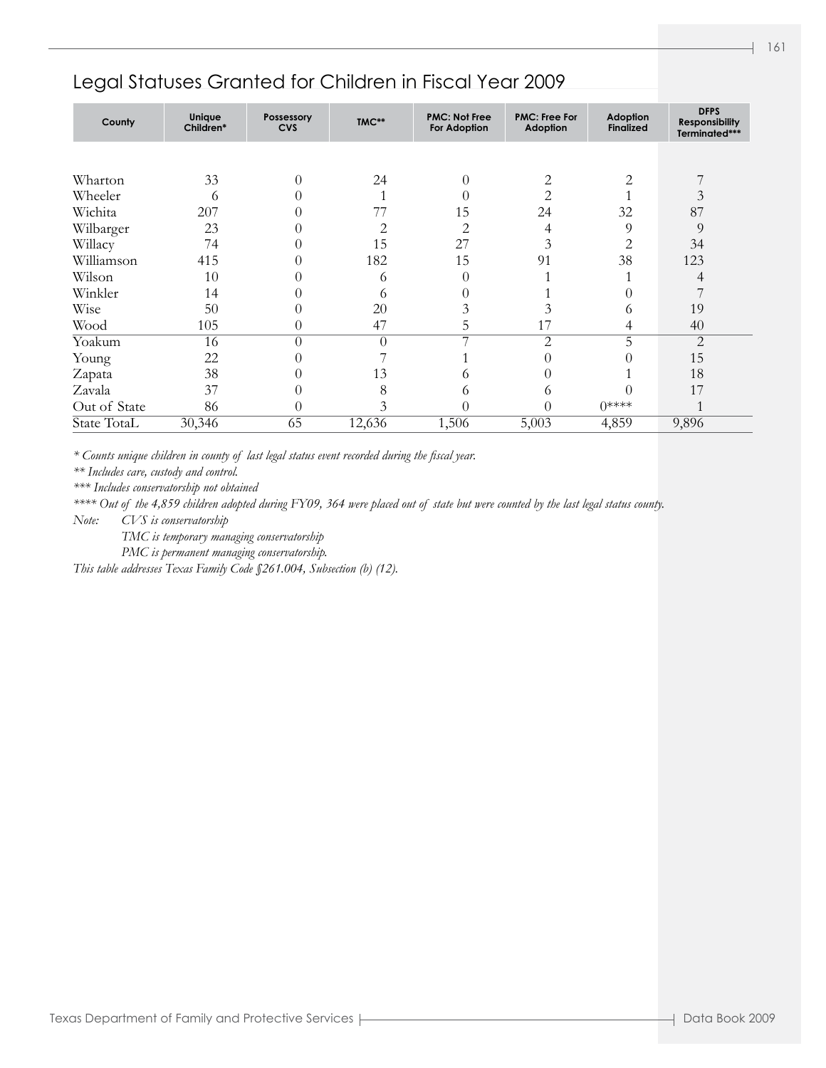| County       | Unique<br>Children* | Possessory<br><b>CVS</b> | TMC**    | <b>PMC: Not Free</b><br><b>For Adoption</b> | <b>PMC: Free For</b><br>Adoption | Adoption<br><b>Finalized</b> | <b>DFPS</b><br><b>Responsibility</b><br>Terminated*** |
|--------------|---------------------|--------------------------|----------|---------------------------------------------|----------------------------------|------------------------------|-------------------------------------------------------|
|              |                     |                          |          |                                             |                                  |                              |                                                       |
| Wharton      | 33                  | $\theta$                 | 24       | $\Omega$                                    | 2                                | 2                            |                                                       |
| Wheeler      | 6                   | $\left($                 |          | 0                                           | 2                                |                              | 3                                                     |
| Wichita      | 207                 | $\Omega$                 | 77       | 15                                          | 24                               | 32                           | 87                                                    |
| Wilbarger    | 23                  | $\left( \right)$         | 2        | 2                                           | 4                                | 9                            | 9                                                     |
| Willacy      | 74                  | $\Omega$                 | 15       | 27                                          | 3                                | $\overline{c}$               | 34                                                    |
| Williamson   | 415                 | 0                        | 182      | 15                                          | 91                               | 38                           | 123                                                   |
| Wilson       | 10                  | $\left($                 | 6        | 0                                           |                                  |                              | 4                                                     |
| Winkler      | 14                  | $\left($                 | 0        | $\left( \right)$                            |                                  |                              |                                                       |
| Wise         | 50                  | $\left($                 | 20       | 3                                           | 3                                | 0                            | 19                                                    |
| Wood         | 105                 | $\theta$                 | 47       | 5                                           | 17                               | 4                            | 40                                                    |
| Yoakum       | 16                  | $\theta$                 | $\Omega$ | 7                                           | 2                                | 5                            | $\overline{2}$                                        |
| Young        | 22                  | $\theta$                 |          |                                             | 0                                |                              | 15                                                    |
| Zapata       | 38                  | $\left($                 | 13       | 0                                           |                                  |                              | 18                                                    |
| Zavala       | 37                  | $\Omega$                 | 8        | 0                                           | O                                |                              | 17                                                    |
| Out of State | 86                  | $\theta$                 | 3        |                                             | 0                                | $()$ ****                    |                                                       |
| State TotaL  | 30,346              | $\overline{65}$          | 12,636   | 1,506                                       | 5,003                            | 4,859                        | 9,896                                                 |
|              |                     |                          |          |                                             |                                  |                              |                                                       |

*\* Counts unique children in county of last legal status event recorded during the fiscal year.*

*\*\* Includes care, custody and control.*

*\*\*\* Includes conservatorship not obtained* 

*\*\*\*\* Out of the 4,859 children adopted during FY09, 364 were placed out of state but were counted by the last legal status county.*

*Note: CVS is conservatorship* 

 *TMC is temporary managing conservatorship* 

 *PMC is permanent managing conservatorship.*

*This table addresses Texas Family Code §261.004, Subsection (b) (12).*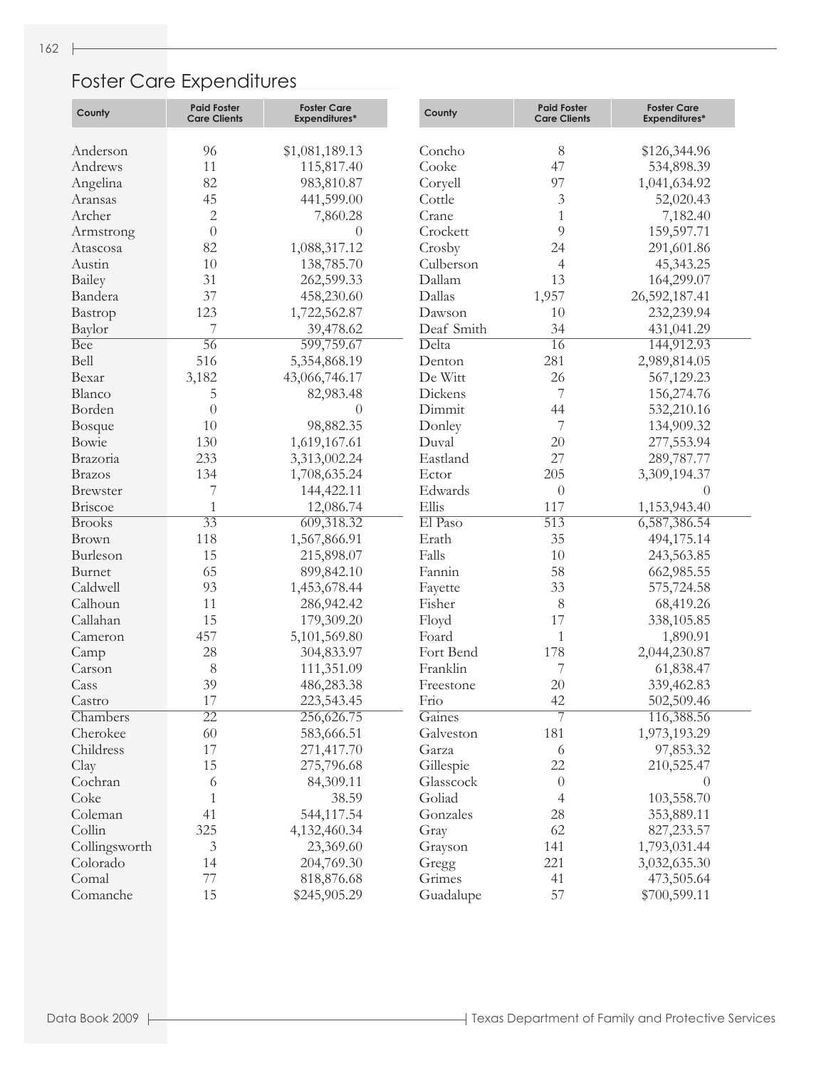## Foster Care Expenditures

| County          | <b>Paid Foster</b><br><b>Care Clients</b> | <b>Foster Care</b><br><b>Expenditures*</b> | County     | <b>Paid Foster</b><br><b>Care Clients</b> | <b>Foster Care</b><br><b>Expenditures*</b> |
|-----------------|-------------------------------------------|--------------------------------------------|------------|-------------------------------------------|--------------------------------------------|
|                 |                                           |                                            |            |                                           |                                            |
| Anderson        | 96                                        | \$1,081,189.13                             | Concho     | $8\,$                                     | \$126,344.96                               |
| Andrews         | 11                                        | 115,817.40                                 | Cooke      | 47                                        | 534,898.39                                 |
| Angelina        | 82                                        | 983,810.87                                 | Coryell    | 97                                        | 1,041,634.92                               |
| Aransas         | 45                                        | 441,599.00                                 | Cottle     | 3                                         | 52,020.43                                  |
| Archer          | $\sqrt{2}$                                | 7,860.28                                   | Crane      | 1                                         | 7,182.40                                   |
| Armstrong       | $\theta$                                  | $\overline{0}$                             | Crockett   | 9                                         | 159,597.71                                 |
| Atascosa        | 82                                        | 1,088,317.12                               | Crosby     | 24                                        | 291,601.86                                 |
| Austin          | 10                                        | 138,785.70                                 | Culberson  | 4                                         | 45,343.25                                  |
| Bailey          | 31                                        | 262,599.33                                 | Dallam     | 13                                        | 164,299.07                                 |
| Bandera         | 37                                        | 458,230.60                                 | Dallas     | 1,957                                     | 26,592,187.41                              |
| Bastrop         | 123                                       | 1,722,562.87                               | Dawson     | 10                                        | 232,239.94                                 |
| Baylor          | 7                                         | 39,478.62                                  | Deaf Smith | 34                                        | 431,041.29                                 |
| Bee             | $\overline{56}$                           | 599,759.67                                 | Delta      | $\overline{16}$                           | 144,912.93                                 |
| Bell            | 516                                       | 5,354,868.19                               | Denton     | 281                                       | 2,989,814.05                               |
| Bexar           | 3,182                                     | 43,066,746.17                              | De Witt    | 26                                        | 567,129.23                                 |
| Blanco          | 5                                         | 82,983.48                                  | Dickens    | 7                                         | 156,274.76                                 |
| Borden          | $\theta$                                  | $\left( \right)$                           | Dimmit     | 44                                        | 532,210.16                                 |
| Bosque          | 10                                        | 98,882.35                                  | Donley     | 7                                         | 134,909.32                                 |
| Bowie           | 130                                       | 1,619,167.61                               | Duval      | 20                                        | 277,553.94                                 |
| Brazoria        | 233                                       | 3,313,002.24                               | Eastland   | 27                                        | 289,787.77                                 |
| <b>Brazos</b>   | 134                                       | 1,708,635.24                               | Ector      | 205                                       | 3,309,194.37                               |
| <b>Brewster</b> | 7                                         | 144,422.11                                 | Edwards    | $\theta$                                  | $\theta$                                   |
| Briscoe         | $\mathbf{1}$                              | 12,086.74                                  | Ellis      | 117                                       | 1,153,943.40                               |
| <b>Brooks</b>   | $\overline{33}$                           | 609,318.32                                 | El Paso    | $\overline{513}$                          | 6,587,386.54                               |
| Brown           | 118                                       | 1,567,866.91                               | Erath      | 35                                        | 494,175.14                                 |
| Burleson        | 15                                        | 215,898.07                                 | Falls      | 10                                        | 243,563.85                                 |
| Burnet          | 65                                        | 899,842.10                                 | Fannin     | 58                                        | 662,985.55                                 |
| Caldwell        | 93                                        | 1,453,678.44                               | Fayette    | 33                                        | 575,724.58                                 |
| Calhoun         | 11                                        | 286,942.42                                 | Fisher     | $8\,$                                     | 68,419.26                                  |
| Callahan        | 15                                        | 179,309.20                                 | Floyd      | 17                                        | 338,105.85                                 |
| Cameron         | 457                                       | 5,101,569.80                               | Foard      | 1                                         | 1,890.91                                   |
| Camp            | 28                                        | 304,833.97                                 | Fort Bend  | 178                                       | 2,044,230.87                               |
| Carson          | $8\,$                                     | 111,351.09                                 | Franklin   | 7                                         | 61,838.47                                  |
| Cass            | 39                                        | 486,283.38                                 | Freestone  | 20                                        | 339,462.83                                 |
| Castro          | 17                                        | 223,543.45                                 | Frio       | 42                                        | 502,509.46                                 |
| Chambers        | $\overline{22}$                           | 256,626.75                                 | Gaines     | 7                                         | 116,388.56                                 |
| Cherokee        | 60                                        | 583,666.51                                 | Galveston  | 181                                       | 1,973,193.29                               |
| Childress       | 17                                        |                                            | Garza      | 6                                         | 97,853.32                                  |
|                 | 15                                        | 271,417.70                                 |            |                                           |                                            |
| Clay            |                                           | 275,796.68                                 | Gillespie  | 22                                        | 210,525.47                                 |
| Cochran         | 6                                         | 84,309.11                                  | Glasscock  | $\theta$                                  | $\theta$                                   |
| Coke            | 1                                         | 38.59                                      | Goliad     | 4                                         | 103,558.70                                 |
| Coleman         | 41                                        | 544,117.54                                 | Gonzales   | 28                                        | 353,889.11                                 |
| Collin          | 325                                       | 4,132,460.34                               | Gray       | 62                                        | 827, 233.57                                |
| Collingsworth   | 3                                         | 23,369.60                                  | Grayson    | 141                                       | 1,793,031.44                               |
| Colorado        | 14                                        | 204,769.30                                 | Gregg      | 221                                       | 3,032,635.30                               |
| Comal           | 77                                        | 818,876.68                                 | Grimes     | 41                                        | 473,505.64                                 |
| Comanche        | 15                                        | \$245,905.29                               | Guadalupe  | 57                                        | \$700,599.11                               |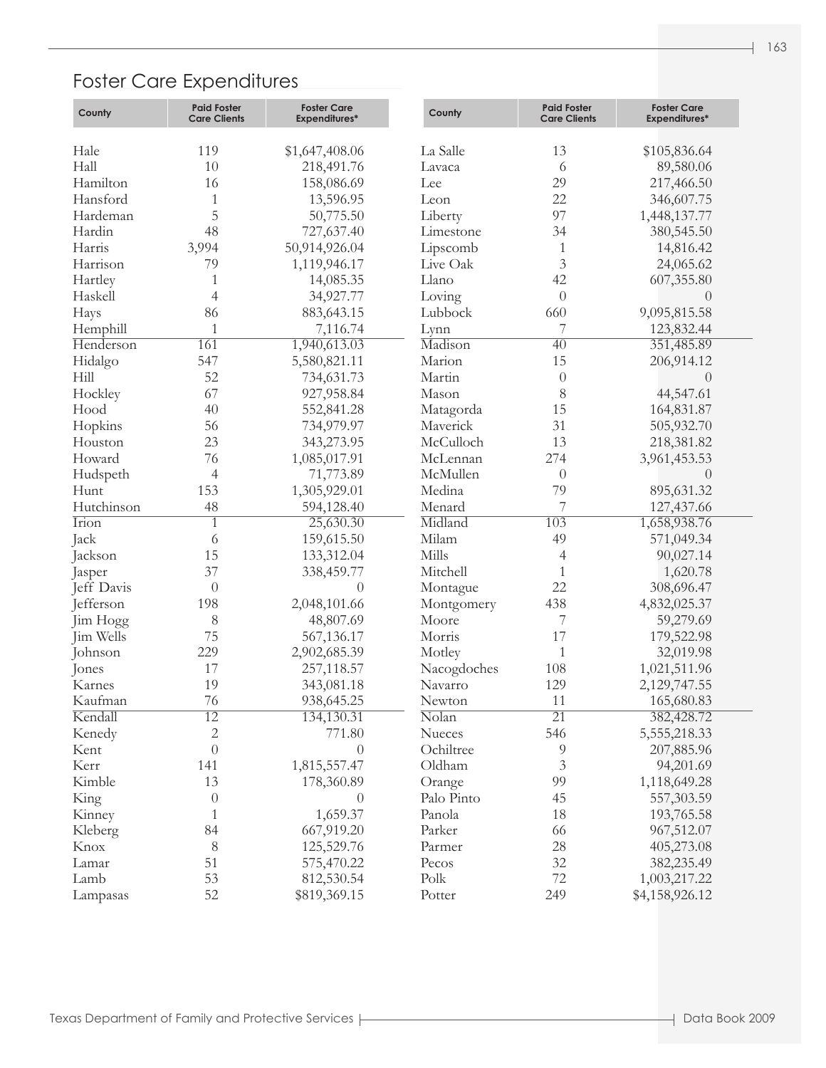## Foster Care Expenditures

| County       | <b>Paid Foster</b><br><b>Care Clients</b> | <b>Foster Care</b><br><b>Expenditures*</b> | County               | <b>Paid Foster</b><br><b>Care Clients</b> | <b>Foster Care</b><br><b>Expenditures*</b> |
|--------------|-------------------------------------------|--------------------------------------------|----------------------|-------------------------------------------|--------------------------------------------|
|              |                                           |                                            |                      |                                           |                                            |
| Hale         | 119                                       | \$1,647,408.06                             | La Salle             | 13                                        | \$105,836.64                               |
| Hall         | 10                                        | 218,491.76                                 | Lavaca               | 6                                         | 89,580.06                                  |
| Hamilton     | 16                                        | 158,086.69                                 | Lee                  | 29                                        | 217,466.50                                 |
| Hansford     | 1                                         | 13,596.95                                  | Leon                 | 22                                        | 346,607.75                                 |
| Hardeman     | 5                                         | 50,775.50                                  | Liberty              | 97                                        | 1,448,137.77                               |
| Hardin       | 48                                        | 727,637.40                                 | Limestone            | 34                                        | 380,545.50                                 |
| Harris       | 3,994                                     | 50,914,926.04                              | Lipscomb             | 1                                         | 14,816.42                                  |
| Harrison     | 79                                        | 1,119,946.17                               | Live Oak             | $\overline{3}$                            | 24,065.62                                  |
| Hartley      | 1                                         | 14,085.35                                  | Llano                | 42                                        | 607,355.80                                 |
| Haskell      | 4                                         | 34,927.77                                  | Loving               | $\theta$                                  | $\Omega$                                   |
| Hays         | 86                                        | 883, 643. 15                               | Lubbock              | 660                                       | 9,095,815.58                               |
| Hemphill     | $\mathbf{1}$                              | 7,116.74                                   | Lynn                 | 7                                         | 123,832.44                                 |
| Henderson    | 161                                       | 1,940,613.03                               | Madison              | $\overline{40}$                           | 351,485.89                                 |
| Hidalgo      | 547                                       | 5,580,821.11                               | Marion               | 15                                        | 206,914.12                                 |
| Hill         | 52                                        | 734,631.73                                 | Martin               | $\theta$                                  | $\theta$                                   |
| Hockley      | 67                                        | 927,958.84                                 | Mason                | 8                                         | 44,547.61                                  |
| Hood         | 40                                        | 552,841.28                                 | Matagorda            | 15                                        | 164,831.87                                 |
| Hopkins      | 56                                        | 734,979.97                                 | Maverick             | 31                                        | 505,932.70                                 |
| Houston      | 23                                        | 343,273.95                                 | McCulloch            | 13                                        | 218,381.82                                 |
| Howard       | 76                                        | 1,085,017.91                               | McLennan             | 274                                       | 3,961,453.53                               |
| Hudspeth     | $\overline{4}$                            | 71,773.89                                  | McMullen             | $\theta$                                  | $\Omega$                                   |
| Hunt         | 153                                       | 1,305,929.01                               | Medina               | 79                                        | 895,631.32                                 |
| Hutchinson   | 48                                        | 594,128.40                                 | Menard               | 7                                         | 127,437.66                                 |
| <b>Irion</b> | 1                                         | 25,630.30                                  | Midland              | 103                                       | 1,658,938.76                               |
| Jack         | 6                                         | 159,615.50                                 | Milam                | 49                                        | 571,049.34                                 |
| Jackson      | 15                                        | 133,312.04                                 | Mills                | 4                                         | 90,027.14                                  |
| Jasper       | 37                                        | 338,459.77                                 | Mitchell             | 1                                         | 1,620.78                                   |
| Jeff Davis   | $\theta$                                  | $\Omega$                                   | Montague             | 22                                        | 308,696.47                                 |
| Jefferson    | 198                                       | 2,048,101.66                               | Montgomery           | 438                                       | 4,832,025.37                               |
| Jim Hogg     | $8\,$                                     | 48,807.69                                  | Moore                | 7                                         | 59,279.69                                  |
| Jim Wells    | 75                                        | 567,136.17                                 | Morris               | 17                                        | 179,522.98                                 |
| Johnson      | 229                                       | 2,902,685.39                               | Motley               | 1                                         | 32,019.98                                  |
| Jones        | 17                                        | 257,118.57                                 | Nacogdoches          | 108                                       | 1,021,511.96                               |
| Karnes       | 19                                        | 343,081.18                                 | Navarro              | 129                                       | 2,129,747.55                               |
| Kaufman      | 76                                        | 938,645.25                                 | Newton               | $11\,$                                    | 165,680.83                                 |
| Kendall      | $\overline{12}$                           | 134,130.31                                 | Nolan                | $\overline{21}$                           | 382,428.72                                 |
| Kenedy       | $\overline{c}$                            | 771.80                                     | Nueces               | 546                                       | 5,555,218.33                               |
| Kent         | $\theta$                                  | $\theta$                                   | Ochiltree            | 9                                         | 207,885.96                                 |
| Kerr         | 141                                       | 1,815,557.47                               | Oldham               | 3                                         | 94,201.69                                  |
| Kimble       | 13                                        | 178,360.89                                 |                      | 99                                        | 1,118,649.28                               |
| King         |                                           | $\theta$                                   | Orange<br>Palo Pinto | 45                                        |                                            |
|              | $\theta$                                  | 1,659.37                                   |                      |                                           | 557,303.59                                 |
| Kinney       | 1                                         |                                            | Panola               | 18                                        | 193,765.58                                 |
| Kleberg      | 84                                        | 667,919.20                                 | Parker               | 66                                        | 967,512.07                                 |
| Knox         | 8                                         | 125,529.76                                 | Parmer               | 28                                        | 405,273.08                                 |
| Lamar        | 51                                        | 575,470.22                                 | Pecos                | 32                                        | 382,235.49                                 |
| Lamb         | 53                                        | 812,530.54                                 | Polk                 | $72\,$                                    | 1,003,217.22                               |
| Lampasas     | 52                                        | \$819,369.15                               | Potter               | 249                                       | \$4,158,926.12                             |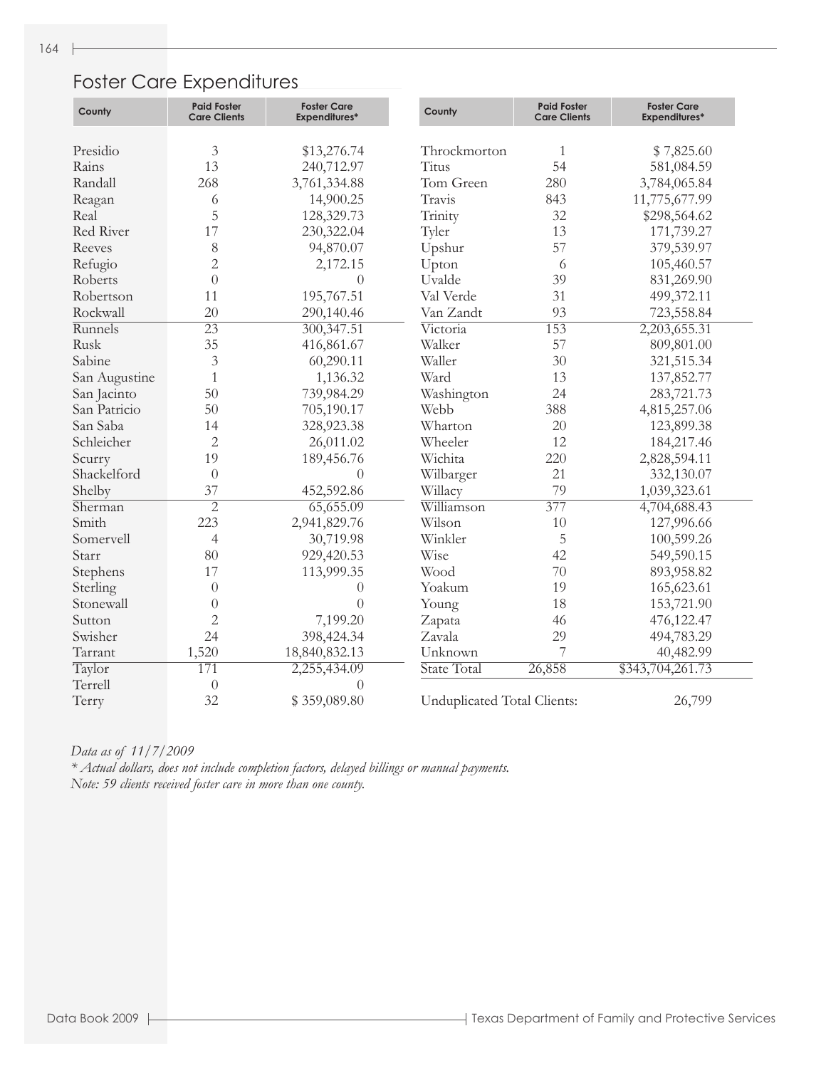## Foster Care Expenditures

| County        | <b>Paid Foster</b><br><b>Care Clients</b> | <b>Foster Care</b><br><b>Expenditures*</b> | County                      | <b>Paid Foster</b><br><b>Care Clients</b> | <b>Foster Care</b><br><b>Expenditures*</b> |
|---------------|-------------------------------------------|--------------------------------------------|-----------------------------|-------------------------------------------|--------------------------------------------|
|               |                                           |                                            |                             |                                           |                                            |
| Presidio      | $\mathfrak{Z}$                            | \$13,276.74                                | Throckmorton                | 1                                         | \$7,825.60                                 |
| Rains         | 13                                        | 240,712.97                                 | Titus                       | 54                                        | 581,084.59                                 |
| Randall       | 268                                       | 3,761,334.88                               | Tom Green                   | 280                                       | 3,784,065.84                               |
| Reagan        | 6                                         | 14,900.25                                  | Travis                      | 843                                       | 11,775,677.99                              |
| Real          | 5                                         | 128,329.73                                 | Trinity                     | 32                                        | \$298,564.62                               |
| Red River     | 17                                        | 230,322.04                                 | Tyler                       | 13                                        | 171,739.27                                 |
| Reeves        | $8\,$                                     | 94,870.07                                  | Upshur                      | 57                                        | 379,539.97                                 |
| Refugio       | $\overline{2}$                            | 2,172.15                                   | Upton                       | 6                                         | 105,460.57                                 |
| Roberts       | $\overline{0}$                            | $\left($                                   | Uvalde                      | 39                                        | 831,269.90                                 |
| Robertson     | 11                                        | 195,767.51                                 | Val Verde                   | 31                                        | 499,372.11                                 |
| Rockwall      | 20                                        | 290,140.46                                 | Van Zandt                   | 93                                        | 723,558.84                                 |
| Runnels       | $\overline{23}$                           | 300, 347.51                                | Victoria                    | 153                                       | 2,203,655.31                               |
| Rusk          | 35                                        | 416,861.67                                 | Walker                      | 57                                        | 809,801.00                                 |
| Sabine        | $\mathfrak{Z}$                            | 60,290.11                                  | Waller                      | 30                                        | 321,515.34                                 |
| San Augustine | $\mathbf{1}$                              | 1,136.32                                   | Ward                        | 13                                        | 137,852.77                                 |
| San Jacinto   | 50                                        | 739,984.29                                 | Washington                  | 24                                        | 283,721.73                                 |
| San Patricio  | 50                                        | 705,190.17                                 | Webb                        | 388                                       | 4,815,257.06                               |
| San Saba      | 14                                        | 328,923.38                                 | Wharton                     | 20                                        | 123,899.38                                 |
| Schleicher    | $\overline{2}$                            | 26,011.02                                  | Wheeler                     | 12                                        | 184,217.46                                 |
| Scurry        | 19                                        | 189,456.76                                 | Wichita                     | 220                                       | 2,828,594.11                               |
| Shackelford   | $\overline{0}$                            | $\theta$                                   | Wilbarger                   | 21                                        | 332,130.07                                 |
| Shelby        | 37                                        | 452,592.86                                 | Willacy                     | 79                                        | 1,039,323.61                               |
| Sherman       | $\overline{2}$                            | 65,655.09                                  | Williamson                  | 377                                       | 4,704,688.43                               |
| Smith         | 223                                       | 2,941,829.76                               | Wilson                      | 10                                        | 127,996.66                                 |
| Somervell     | $\overline{4}$                            | 30,719.98                                  | Winkler                     | 5                                         | 100,599.26                                 |
| Starr         | 80                                        | 929,420.53                                 | Wise                        | 42                                        | 549,590.15                                 |
| Stephens      | 17                                        | 113,999.35                                 | Wood                        | 70                                        | 893,958.82                                 |
| Sterling      | $\theta$                                  | $\Omega$                                   | Yoakum                      | 19                                        | 165,623.61                                 |
| Stonewall     | $\theta$                                  | $\left( \right)$                           | Young                       | 18                                        | 153,721.90                                 |
| Sutton        | $\overline{2}$                            | 7,199.20                                   | Zapata                      | 46                                        | 476,122.47                                 |
| Swisher       | 24                                        | 398,424.34                                 | Zavala                      | 29                                        | 494,783.29                                 |
| Tarrant       | 1,520                                     | 18,840,832.13                              | Unknown                     | 7                                         | 40,482.99                                  |
| Taylor        | 171                                       | 2,255,434.09                               | State Total                 | 26,858                                    | \$343,704,261.73                           |
| Terrell       | $\theta$                                  | $\Omega$                                   |                             |                                           |                                            |
| Terry         | 32                                        | \$359,089.80                               | Unduplicated Total Clients: |                                           | 26,799                                     |

*Data as of 11/7/2009 \* Actual dollars, does not include completion factors, delayed billings or manual payments. Note: 59 clients received foster care in more than one county.*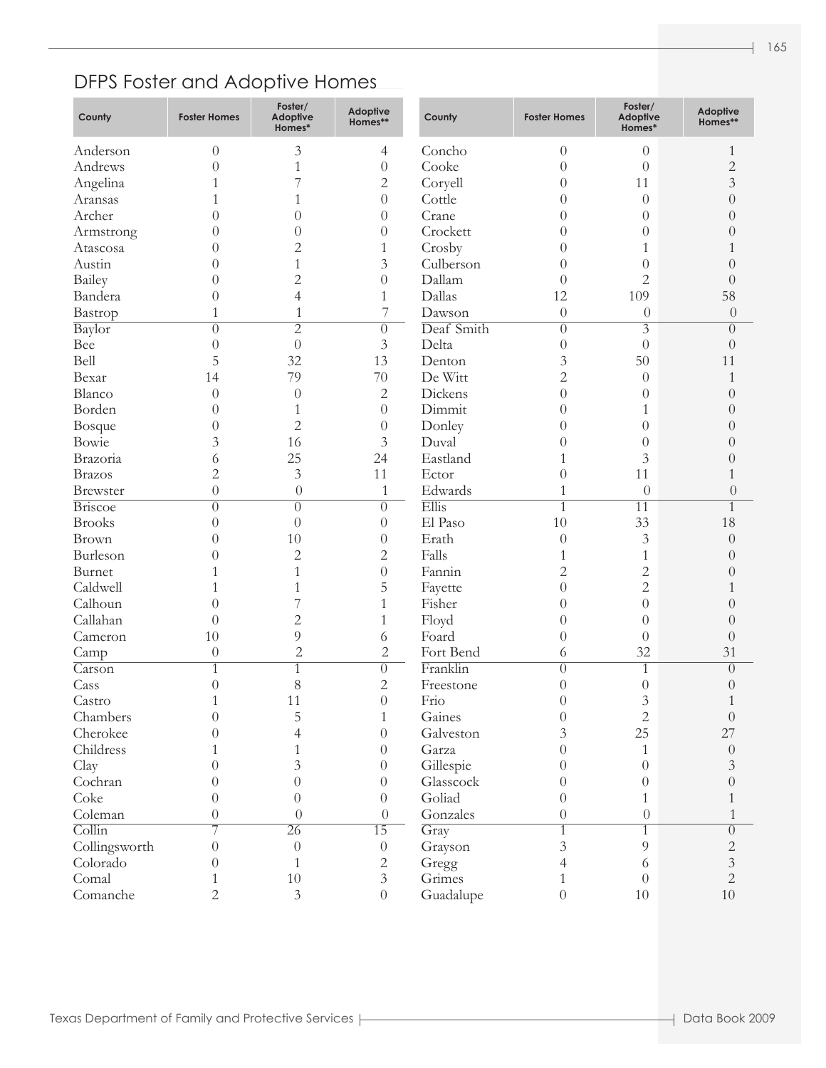## DFPS Foster and Adoptive Homes

| County                     | <b>Foster Homes</b> | Foster/<br><b>Adoptive</b><br>Homes* | <b>Adoptive</b><br>Homes** | County             | <b>Foster Homes</b> | Foster/<br><b>Adoptive</b><br>Homes* | <b>Adoptive</b><br>Homes** |
|----------------------------|---------------------|--------------------------------------|----------------------------|--------------------|---------------------|--------------------------------------|----------------------------|
| Anderson                   | $\theta$            | 3                                    | 4                          | Concho             | $\boldsymbol{0}$    | $\theta$                             | 1                          |
| Andrews                    | 0                   | 1                                    | $\theta$                   | Cooke              | $\theta$            | $\theta$                             | $\overline{c}$             |
| Angelina                   |                     |                                      | 2                          | Coryell            | $\theta$            | 11                                   | 3                          |
| Aransas                    |                     |                                      | $\theta$                   | Cottle             | 0                   | $\theta$                             | 0                          |
| Archer                     |                     | 0                                    | $\theta$                   | Crane              | $\Omega$            | $\left( \right)$                     | $\left( \right)$           |
| Armstrong                  | 0                   | 0                                    | $\theta$                   | Crockett           | $\Omega$            | 0                                    |                            |
| Atascosa                   | 0                   | $\overline{c}$                       | 1                          | Crosby             | $\theta$            | 1                                    |                            |
| Austin                     | 0                   | 1                                    | 3                          | Culberson          | $\theta$            | 0                                    |                            |
| Bailey                     | 0                   | $\overline{c}$                       | $\theta$                   | Dallam             | $\left( \right)$    | $\overline{2}$                       |                            |
| Bandera                    | 0                   | 4                                    | 1                          | Dallas             | 12                  | 109                                  | 58                         |
| Bastrop                    | 1                   | 1                                    | $\overline{7}$             | Dawson             | $\theta$            | $\theta$                             | $\theta$                   |
| Baylor                     | $\theta$            | $\overline{2}$                       | $\theta$                   | Deaf Smith         | $\overline{0}$      | $\overline{3}$                       | $\left( \right)$           |
| Bee                        | $\overline{0}$      | $\overline{0}$                       | 3                          | Delta              | $\overline{0}$      | $\theta$                             | $\left( \right)$           |
| Bell                       | 5                   | 32                                   | 13                         | Denton             | 3                   | 50                                   | 11                         |
| Bexar                      | 14                  | 79                                   | 70                         | De Witt            | $\overline{2}$      | $\theta$                             | 1                          |
| Blanco                     | $\theta$            | $\theta$                             | $\overline{c}$             | Dickens            | $\overline{0}$      | $\left( \right)$                     | $\left( \right)$           |
| Borden                     | 0                   |                                      | $\overline{0}$             | Dimmit             | $\theta$            | 1                                    | $\left( \right)$           |
| Bosque                     | 0                   | $\overline{c}$                       | $\overline{0}$             | Donley             | 0                   | $\theta$                             | $\left( \right)$           |
| Bowie                      | 3                   | 16                                   | 3                          | Duval              | 0                   | $\theta$                             | $\left( \right)$           |
| Brazoria                   | 6                   | 25                                   | 24                         | Eastland           | 1                   | 3                                    | $\left( \right)$           |
| <b>Brazos</b>              | $\overline{c}$      | 3                                    | 11                         | Ector              | $\overline{0}$      | 11                                   |                            |
| <b>Brewster</b>            | $\theta$            | $\overline{0}$                       | $\mathbf{1}$               | Edwards            | 1                   | $\theta$                             | $\theta$                   |
| <b>Briscoe</b>             | $\theta$            | $\left( \right)$                     | $\overline{0}$             | Ellis              | $\mathbf{1}$        | $\overline{11}$                      | 1                          |
| <b>Brooks</b>              | 0                   | $\theta$                             | $\theta$                   | El Paso            | 10                  | 33                                   | 18                         |
| Brown                      | 0                   | 10                                   | $\theta$                   | Erath              | $\overline{0}$      | $\mathfrak{Z}$                       | $\theta$                   |
| Burleson                   | 0                   | $\overline{c}$                       | 2                          | Falls              | 1                   | 1                                    | $\Omega$                   |
| Burnet                     |                     | 1                                    | $\theta$                   | Fannin             | $\overline{c}$      | $\overline{c}$                       | $\left( \right)$           |
| Caldwell                   |                     |                                      | 5                          | Fayette            | $\overline{0}$      | $\overline{2}$                       |                            |
| Calhoun                    | 0                   |                                      | 1                          | Fisher             | $\theta$            | $\theta$                             |                            |
| Callahan                   | $\left( \right)$    | $\overline{c}$                       | 1                          | Floyd              | $\overline{0}$      | $\theta$                             | $\left( \right)$           |
| Cameron                    | 10                  | 9                                    | 6                          | Foard              | $\overline{0}$      | $\theta$                             | $\left( \right)$           |
| Camp                       | $\theta$            | $\overline{c}$                       | $\overline{c}$             | Fort Bend          | 6                   | 32                                   | 31                         |
| $\overline{\text{Carson}}$ |                     |                                      | $\overline{0}$             | Franklin           | $\overline{0}$      | 1                                    | $\overline{0}$             |
| Cass                       | $\theta$            | 8                                    | $\overline{c}$             | Freestone          | $\overline{0}$      | $\overline{0}$                       | $\left( \right)$           |
| Castro                     | 1                   | 11                                   | $\boldsymbol{0}$           | Frio               | $\theta$            | 3                                    |                            |
| Chambers                   | $\theta$            | 5                                    | $\mathbf{1}$               | Gaines             | $\theta$            | $\overline{c}$                       | $\Omega$                   |
| Cherokee                   | 0                   | 4                                    | $\theta$                   | Galveston          | 3                   | 25                                   | 27                         |
| Childress                  |                     |                                      | $\theta$                   | Garza              | 0                   | 1                                    | $\theta$                   |
| Clay                       |                     | 3                                    |                            | Gillespie          | $\theta$            | $\theta$                             | 3                          |
| Cochran                    | $\left( \right)$    | 0                                    | $\theta$                   | Glasscock          | $\theta$            | 0                                    | 0                          |
| Coke                       |                     |                                      | $\theta$                   |                    |                     |                                      |                            |
| Coleman                    | 0<br>$\theta$       | 0<br>$\theta$                        | $\theta$                   | Goliad<br>Gonzales | $\theta$            | 1                                    |                            |
|                            |                     |                                      | $\theta$                   |                    | $\theta$            | $\theta$                             |                            |
| $\overline{\text{Collin}}$ |                     | $\overline{26}$                      | $\overline{15}$            | Gray               | $\mathbf{1}$        |                                      | $\theta$                   |
| Collingsworth              | $\theta$            | $\overline{0}$                       | $\theta$                   | Grayson            | 3                   | 9                                    | $\overline{c}$             |
| Colorado                   | 0                   |                                      | 2                          | Gregg              | 4                   | 6                                    | $\overline{3}$             |
| Comal                      |                     | 10                                   | 3                          | Grimes             | 1                   | $\Omega$                             | $\mathbf{2}$               |
| Comanche                   | $\overline{2}$      | $\mathfrak{Z}$                       | $\boldsymbol{0}$           | Guadalupe          | $\boldsymbol{0}$    | $10\,$                               | $10\,$                     |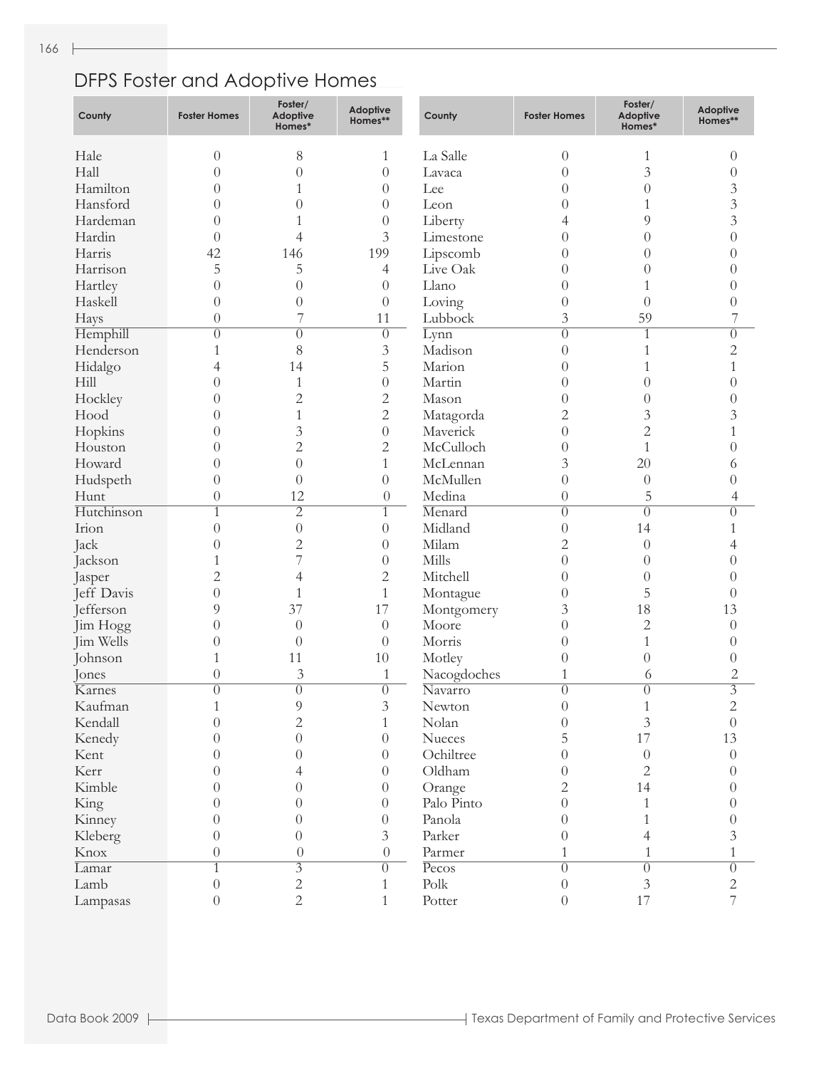## DFPS Foster and Adoptive Homes

| County     | <b>Foster Homes</b> | Foster/<br>Adoptive<br>Homes* | <b>Adoptive</b><br>Homes** | County                | <b>Foster Homes</b> | Foster/<br><b>Adoptive</b><br>Homes* | <b>Adoptive</b><br>Homes** |
|------------|---------------------|-------------------------------|----------------------------|-----------------------|---------------------|--------------------------------------|----------------------------|
| Hale       | $\theta$            | 8                             | 1                          | La Salle              | $\theta$            | 1                                    | $\theta$                   |
| Hall       | $\theta$            | $\overline{0}$                | $\overline{0}$             | Lavaca                | $\overline{0}$      | 3                                    | $\theta$                   |
| Hamilton   | $\overline{0}$      | 1                             | $\theta$                   | Lee                   | $\overline{0}$      | $\theta$                             | 3                          |
| Hansford   | $\overline{0}$      | $\theta$                      | $\theta$                   | Leon                  | $\overline{0}$      | 1                                    | $\mathfrak{Z}$             |
| Hardeman   | $\overline{0}$      |                               | $\overline{0}$             | Liberty               | 4                   | 9                                    | $\overline{3}$             |
| Hardin     | $\theta$            | 4                             | 3                          | Limestone             | $\boldsymbol{0}$    | $\theta$                             | $\theta$                   |
| Harris     | 42                  | 146                           | 199                        | Lipscomb              | $\boldsymbol{0}$    | $\theta$                             | $\Omega$                   |
| Harrison   | 5                   | 5                             | 4                          | Live Oak              | $\boldsymbol{0}$    | $\overline{0}$                       | $\Omega$                   |
| Hartley    | $\overline{0}$      | $\overline{0}$                | $\theta$                   | Llano                 | $\theta$            | 1                                    | $\Omega$                   |
| Haskell    | $\overline{0}$      | $\overline{0}$                | $\theta$                   | Loving                | $\theta$            | $\theta$                             | $\theta$                   |
| Hays       | $\overline{0}$      | 7                             | 11                         | Lubbock               | $\mathfrak{Z}$      | 59                                   |                            |
| Hemphill   | $\overline{0}$      | $\theta$                      | $\theta$                   | Lynn                  | $\overline{0}$      | $\mathbf{1}$                         | $\theta$                   |
| Henderson  | 1                   | 8                             | $\mathfrak{Z}$             | Madison               | $\theta$            | 1                                    | $\overline{2}$             |
| Hidalgo    | 4                   | 14                            | 5                          | Marion                | $\boldsymbol{0}$    | 1                                    | 1                          |
| Hill       | $\overline{0}$      | $\mathbf{1}$                  | $\theta$                   | Martin                | $\overline{0}$      | $\theta$                             | $\Omega$                   |
| Hockley    | $\overline{0}$      | $\overline{2}$                | 2                          | Mason                 | $\theta$            | $\theta$                             | 0                          |
| Hood       | $\overline{0}$      | 1                             | 2                          |                       | $\overline{c}$      | 3                                    | 3                          |
|            | $\overline{0}$      | 3                             | $\overline{0}$             | Matagorda<br>Maverick | $\overline{0}$      | $\overline{2}$                       | 1                          |
| Hopkins    | $\theta$            | $\overline{2}$                |                            | McCulloch             |                     | $\mathbf{1}$                         | 0                          |
| Houston    |                     |                               | 2                          |                       | $\overline{0}$      |                                      |                            |
| Howard     | $\overline{0}$      | $\overline{0}$                | 1                          | McLennan              | 3                   | 20                                   | 6                          |
| Hudspeth   | $\overline{0}$      | $\theta$                      | $\overline{0}$             | McMullen              | $\overline{0}$      | $\theta$                             | 0                          |
| Hunt       | $\theta$            | 12                            | $\theta$                   | Medina                | $\boldsymbol{0}$    | 5                                    | 4                          |
| Hutchinson | 1                   | $\overline{2}$                | $\mathbf{1}$               | Menard                | $\overline{0}$      | $\theta$                             | $\theta$                   |
| Irion      | $\overline{0}$      | $\theta$                      | $\overline{0}$             | Midland               | $\theta$            | 14                                   | 1                          |
| Jack       | $\overline{0}$      | $\overline{c}$                | $\overline{0}$             | Milam                 | $\overline{c}$      | $\theta$                             | 4                          |
| Jackson    | 1                   | 7                             | $\overline{0}$             | Mills                 | $\overline{0}$      | $\theta$                             | 0                          |
| Jasper     | $\overline{c}$      | 4                             | $\overline{c}$             | Mitchell              | $\theta$            | $\theta$                             | 0                          |
| Jeff Davis | $\overline{0}$      | 1                             | 1                          | Montague              | $\theta$            | 5                                    | $\theta$                   |
| Jefferson  | 9                   | 37                            | 17                         | Montgomery            | 3                   | 18                                   | 13                         |
| Jim Hogg   | $\overline{0}$      | $\overline{0}$                | $\theta$                   | Moore                 | $\overline{0}$      | 2                                    | $\theta$                   |
| Jim Wells  | $\theta$            | $\theta$                      | $\overline{0}$             | Morris                | $\boldsymbol{0}$    | $\mathbf{1}$                         | $\left( \right)$           |
| Johnson    | 1                   | 11                            | 10                         | Motley                | $\boldsymbol{0}$    | $\theta$                             | $\left( \right)$           |
| Jones      | 0                   | 3                             | 1                          | Nacogdoches           | 1                   | 6                                    | $\overline{c}$             |
| Karnes     | $\theta$            | $\overline{0}$                | $\overline{0}$             | Navarro               | $\overline{0}$      | $\theta$                             | $\overline{3}$             |
| Kaufman    |                     | 9                             | 3                          | Newton                | $_{0}$              |                                      | 2                          |
| Kendall    | $\theta$            | $\overline{2}$                | $\mathbf{1}$               | Nolan                 | $\theta$            | $\overline{3}$                       | $\theta$                   |
| Kenedy     | $\theta$            | $\theta$                      | $\theta$                   | Nueces                | 5                   | 17                                   | 13                         |
| Kent       | $\theta$            | $\theta$                      | $\theta$                   | Ochiltree             | $\boldsymbol{0}$    | $\boldsymbol{0}$                     | $\theta$                   |
| Kerr       | $\theta$            | 4                             | $\theta$                   | Oldham                | $\boldsymbol{0}$    | $\overline{2}$                       | $\theta$                   |
| Kimble     | $\theta$            | $\theta$                      | $\theta$                   | Orange                | $\overline{2}$      | 14                                   | $\Omega$                   |
| King       | $\theta$            | $\theta$                      | $\theta$                   | Palo Pinto            | $\boldsymbol{0}$    | $\mathbf{1}$                         | $\Omega$                   |
| Kinney     | $\theta$            | $\theta$                      | $\theta$                   | Panola                | $\boldsymbol{0}$    | 1                                    | $\Omega$                   |
| Kleberg    | $\overline{0}$      | $\theta$                      | 3                          | Parker                | $\boldsymbol{0}$    | 4                                    | 3                          |
| Knox       | $\theta$            | $\boldsymbol{0}$              | $\boldsymbol{0}$           | Parmer                | 1                   | 1                                    | 1                          |
| Lamar      | $\mathbf{1}$        | $\overline{\overline{3}}$     | $\overline{0}$             | Pecos                 | $\overline{0}$      | $\overline{0}$                       | $\overline{0}$             |
| Lamb       | $\theta$            | $\sqrt{2}$                    | $\mathbf{1}$               | Polk                  | $\boldsymbol{0}$    | $\mathfrak{Z}$                       | $\overline{c}$             |
| Lampasas   | $\boldsymbol{0}$    | $\overline{2}$                | $\mathbf{1}$               | Potter                | $\boldsymbol{0}$    | 17                                   | 7                          |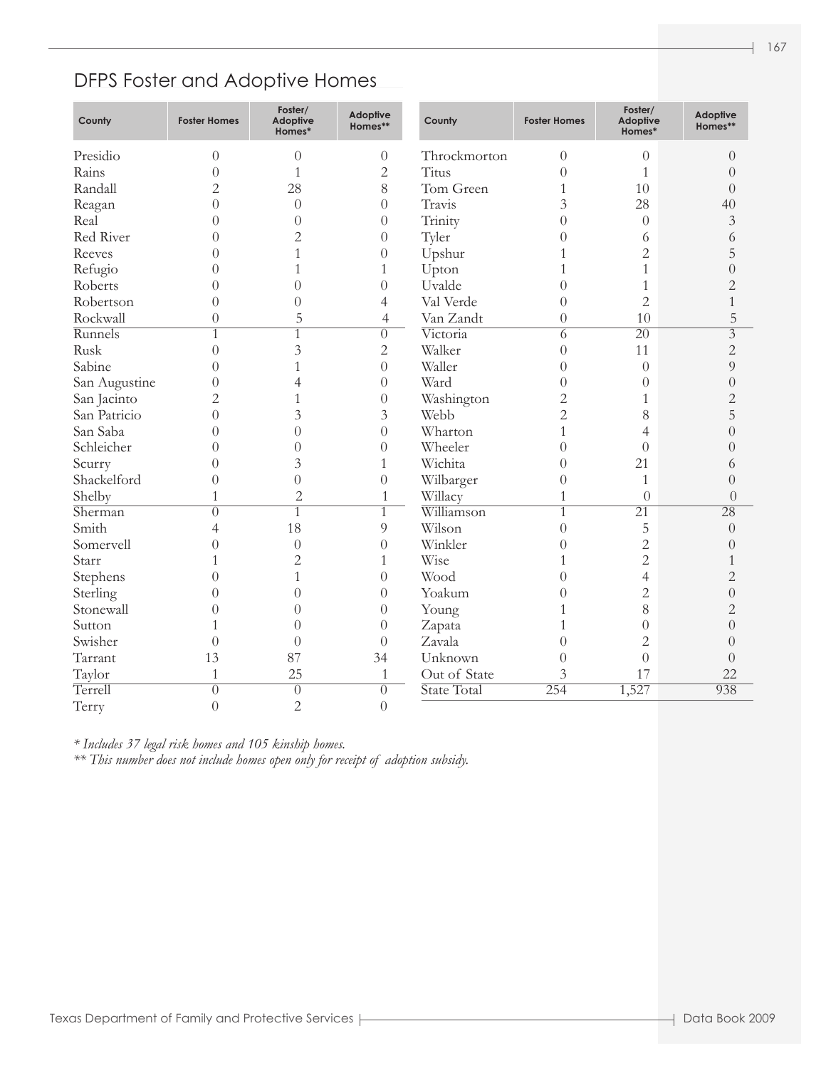#### DFPS Foster and Adoptive Homes

| County        | <b>Foster Homes</b> | Foster/<br><b>Adoptive</b><br>Homes* | Adoptive<br>Homes** | County       | <b>Foster Homes</b> | Foster/<br>Adoptive<br>Homes* | Adoptive<br>Homes** |
|---------------|---------------------|--------------------------------------|---------------------|--------------|---------------------|-------------------------------|---------------------|
| Presidio      | $\theta$            | $\overline{0}$                       | $\boldsymbol{0}$    | Throckmorton | $\overline{0}$      | $\theta$                      | $\overline{0}$      |
| Rains         | $\theta$            | 1                                    | $\overline{c}$      | <b>Titus</b> | $\overline{0}$      | 1                             | $\theta$            |
| Randall       | $\overline{2}$      | 28                                   | 8                   | Tom Green    | 1                   | 10                            | $\overline{0}$      |
| Reagan        | $\theta$            | $\theta$                             | $\overline{0}$      | Travis       | 3                   | 28                            | 40                  |
| Real          | $\overline{0}$      | $\overline{0}$                       | $\theta$            | Trinity      | $\overline{0}$      | $\overline{0}$                | $\mathfrak{Z}$      |
| Red River     | $\Omega$            | $\overline{c}$                       | $\overline{0}$      | Tyler        | $\overline{0}$      | 6                             | 6                   |
| Reeves        | $\Omega$            |                                      | $\theta$            | Upshur       | 1                   | $\overline{2}$                | 5                   |
| Refugio       | $\Omega$            | 1                                    | 1                   | Upton        |                     | 1                             | $\overline{0}$      |
| Roberts       | $\theta$            | $\theta$                             | $\overline{0}$      | Uvalde       | $\overline{0}$      | 1                             | $\overline{2}$      |
| Robertson     | $\Omega$            | $\theta$                             | $\overline{4}$      | Val Verde    | $\overline{0}$      | $\overline{2}$                | 1                   |
| Rockwall      | $\overline{0}$      | 5                                    | 4                   | Van Zandt    | $\overline{0}$      | 10                            | 5                   |
| Runnels       | $\mathbf{1}$        | 1                                    | $\overline{0}$      | Victoria     | 6                   | $\overline{20}$               | $\overline{3}$      |
| Rusk          | $\theta$            | 3                                    | $\mathbf{2}$        | Walker       | $\overline{0}$      | 11                            | $\overline{2}$      |
| Sabine        | $\Omega$            |                                      | $\overline{0}$      | Waller       | $\overline{0}$      | $\overline{0}$                | 9                   |
| San Augustine | $\theta$            | 4                                    | $\overline{0}$      | Ward         | $\overline{0}$      | $\overline{0}$                | $\overline{0}$      |
| San Jacinto   | $\overline{2}$      |                                      | $\theta$            | Washington   | $\overline{c}$      | 1                             | $\overline{2}$      |
| San Patricio  | $\theta$            | 3                                    | 3                   | Webb         | $\overline{c}$      | 8                             | 5                   |
| San Saba      | $\theta$            | $\Omega$                             | $\overline{0}$      | Wharton      | $\mathbf{1}$        | $\overline{4}$                | $\Omega$            |
| Schleicher    | $\theta$            | $\Omega$                             | $\theta$            | Wheeler      | $\overline{0}$      | $\theta$                      | $\theta$            |
| Scurry        | $\theta$            | 3                                    | $\mathbf{1}$        | Wichita      | $\theta$            | 21                            | 6                   |
| Shackelford   | $\theta$            | $\Omega$                             | $\overline{0}$      | Wilbarger    | $\overline{0}$      | $\mathbf{1}$                  | $\theta$            |
| Shelby        | 1                   | $\overline{2}$                       | $\mathbf{1}$        | Willacy      | $\mathbf{1}$        | $\overline{0}$                | $\overline{0}$      |
| Sherman       | $\left( \right)$    | $\overline{1}$                       | $\overline{1}$      | Williamson   | $\overline{1}$      | $\overline{21}$               | $\overline{28}$     |
| Smith         | $\overline{4}$      | 18                                   | $\overline{9}$      | Wilson       | $\overline{0}$      | 5                             | $\overline{0}$      |
| Somervell     | $\theta$            | $\theta$                             | $\overline{0}$      | Winkler      | $\theta$            | $\overline{c}$                | $\left( \right)$    |
| Starr         | 1                   | $\overline{2}$                       | $\mathbf{1}$        | Wise         | $\mathbf{1}$        | $\overline{2}$                |                     |
| Stephens      | $\theta$            | $\mathbf{1}$                         | $\overline{0}$      | Wood         | $\overline{0}$      | $\overline{4}$                | $\overline{2}$      |
| Sterling      | $\overline{0}$      | $\overline{0}$                       | $\theta$            | Yoakum       | $\overline{0}$      | $\overline{2}$                | $\overline{0}$      |
| Stonewall     | $\theta$            | $\theta$                             | $\theta$            | Young        | 1                   | 8                             | $\overline{2}$      |
| Sutton        | 1                   | $\theta$                             | $\theta$            | Zapata       | 1                   | $\overline{0}$                | $\overline{0}$      |
| Swisher       | $\theta$            | $\theta$                             | $\theta$            | Zavala       | $\overline{0}$      | $\overline{2}$                | $\theta$            |
| Tarrant       | 13                  | 87                                   | 34                  | Unknown      | $\overline{0}$      | $\overline{0}$                | $\theta$            |
| Taylor        | $\mathbf{1}$        | 25                                   | $\mathbf{1}$        | Out of State | 3                   | 17                            | 22                  |
| Terrell       | $\overline{0}$      | $\overline{0}$                       | $\overline{0}$      | State Total  | 254                 | 1,527                         | 938                 |
| Terry         | $\overline{0}$      | $\overline{2}$                       | $\overline{0}$      |              |                     |                               |                     |

*\* Includes 37 legal risk homes and 105 kinship homes.*

*\*\* This number does not include homes open only for receipt of adoption subsidy.*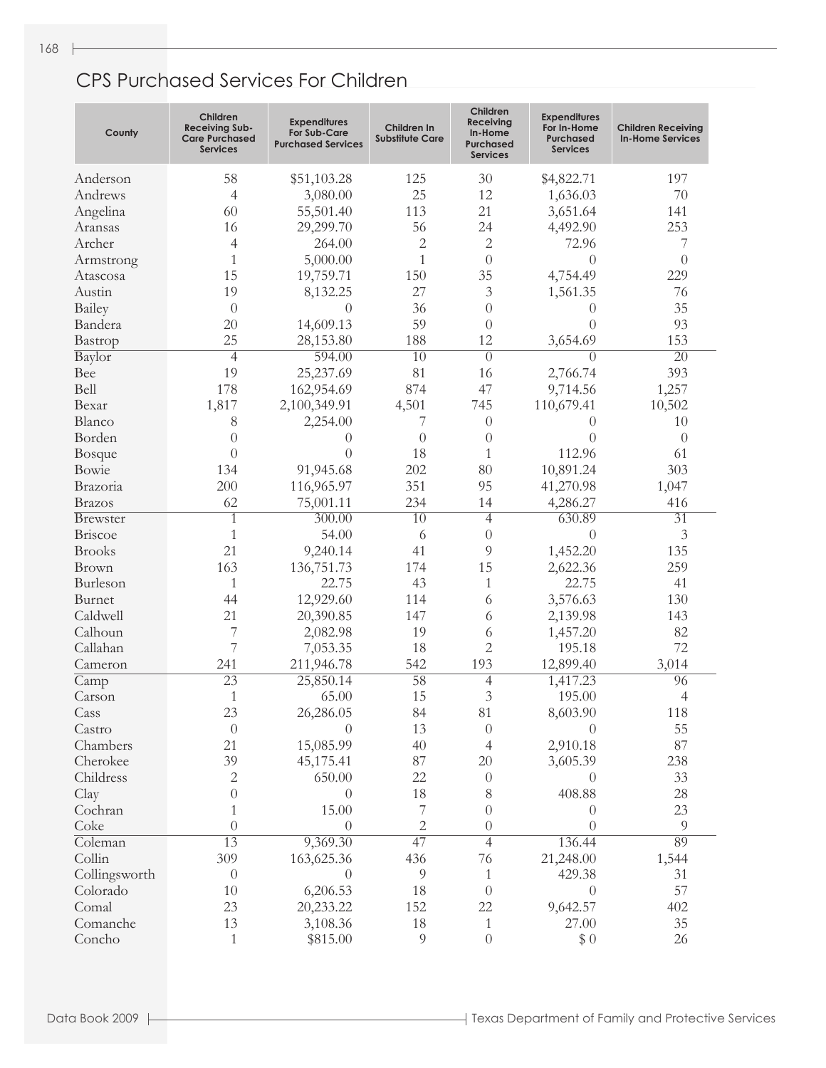### CPS Purchased Services For Children

| County         | Children<br><b>Receiving Sub-</b><br><b>Care Purchased</b><br>Services | <b>Expenditures</b><br>For Sub-Care<br><b>Purchased Services</b> | Children In<br><b>Substitute Care</b> | Children<br>Receiving<br>In-Home<br><b>Purchased</b><br><b>Services</b> | <b>Expenditures</b><br>For In-Home<br><b>Purchased</b><br><b>Services</b> | <b>Children Receiving</b><br><b>In-Home Services</b> |
|----------------|------------------------------------------------------------------------|------------------------------------------------------------------|---------------------------------------|-------------------------------------------------------------------------|---------------------------------------------------------------------------|------------------------------------------------------|
| Anderson       | 58                                                                     | \$51,103.28                                                      | 125                                   | 30                                                                      | \$4,822.71                                                                | 197                                                  |
| Andrews        | 4                                                                      | 3,080.00                                                         | 25                                    | 12                                                                      | 1,636.03                                                                  | 70                                                   |
| Angelina       | 60                                                                     | 55,501.40                                                        | 113                                   | 21                                                                      | 3,651.64                                                                  | 141                                                  |
| Aransas        | 16                                                                     | 29,299.70                                                        | 56                                    | 24                                                                      | 4,492.90                                                                  | 253                                                  |
| Archer         | 4                                                                      | 264.00                                                           | $\mathbf{2}$                          | $\overline{c}$                                                          | 72.96                                                                     | 7                                                    |
| Armstrong      | 1                                                                      | 5,000.00                                                         | 1                                     | $\overline{0}$                                                          | $\overline{0}$                                                            | $\theta$                                             |
| Atascosa       | 15                                                                     | 19,759.71                                                        | 150                                   | 35                                                                      | 4,754.49                                                                  | 229                                                  |
| Austin         | 19                                                                     | 8,132.25                                                         | 27                                    | 3                                                                       | 1,561.35                                                                  | 76                                                   |
| Bailey         | $\theta$                                                               | 0                                                                | 36                                    | $\overline{0}$                                                          | $\theta$                                                                  | 35                                                   |
| Bandera        | 20                                                                     | 14,609.13                                                        | 59                                    | $\overline{0}$                                                          | $\theta$                                                                  | 93                                                   |
| Bastrop        | 25                                                                     | 28,153.80                                                        | 188                                   | 12                                                                      | 3,654.69                                                                  | 153                                                  |
| Baylor         | $\overline{4}$                                                         | 594.00                                                           | $\overline{10}$                       | $\overline{0}$                                                          | $\theta$                                                                  | $\overline{20}$                                      |
| Bee            | 19                                                                     | 25,237.69                                                        | 81                                    | 16                                                                      | 2,766.74                                                                  | 393                                                  |
| Bell           | 178                                                                    | 162,954.69                                                       | 874                                   | 47                                                                      | 9,714.56                                                                  | 1,257                                                |
| Bexar          | 1,817                                                                  | 2,100,349.91                                                     | 4,501                                 | 745                                                                     | 110,679.41                                                                | 10,502                                               |
| Blanco         | 8                                                                      | 2,254.00                                                         | 7                                     | $\theta$                                                                | 0                                                                         | 10                                                   |
| Borden         | $\theta$                                                               | 0                                                                | $\overline{0}$                        | $\theta$                                                                | $\theta$                                                                  | $\Omega$                                             |
| <b>Bosque</b>  | $\theta$                                                               | $\theta$                                                         | 18                                    | 1                                                                       | 112.96                                                                    | 61                                                   |
| Bowie          | 134                                                                    | 91,945.68                                                        | 202                                   | 80                                                                      | 10,891.24                                                                 | 303                                                  |
| Brazoria       | 200                                                                    | 116,965.97                                                       | 351                                   | 95                                                                      | 41,270.98                                                                 | 1,047                                                |
| <b>Brazos</b>  | 62                                                                     | 75,001.11                                                        | 234                                   | 14                                                                      | 4,286.27                                                                  | 416                                                  |
| Brewster       | $\mathbf{1}$                                                           | 300.00                                                           | $\overline{10}$                       | $\overline{4}$                                                          | 630.89                                                                    | $\overline{31}$                                      |
| Briscoe        | 1                                                                      | 54.00                                                            | 6                                     | $\theta$                                                                | $\theta$                                                                  | 3                                                    |
| <b>Brooks</b>  | 21                                                                     | 9,240.14                                                         | 41                                    | 9                                                                       | 1,452.20                                                                  | 135                                                  |
| Brown          | 163                                                                    | 136,751.73                                                       | 174                                   | 15                                                                      | 2,622.36                                                                  | 259                                                  |
| Burleson       | 1                                                                      | 22.75                                                            | 43                                    | 1                                                                       | 22.75                                                                     | 41                                                   |
| Burnet         | 44                                                                     | 12,929.60                                                        | 114                                   | 6                                                                       | 3,576.63                                                                  | 130                                                  |
| Caldwell       | 21                                                                     | 20,390.85                                                        | 147                                   | 6                                                                       | 2,139.98                                                                  | 143                                                  |
| Calhoun        | 7                                                                      | 2,082.98                                                         | 19                                    | 6                                                                       | 1,457.20                                                                  | 82                                                   |
| Callahan       | 7                                                                      | 7,053.35                                                         | 18                                    | $\overline{2}$                                                          | 195.18                                                                    | 72                                                   |
| Cameron        | 241                                                                    | 211,946.78                                                       | 542<br>$\overline{58}$                | 193                                                                     | 12,899.40                                                                 | 3,014                                                |
| Camp<br>Carson | $\overline{23}$<br>1                                                   | 25,850.14<br>65.00                                               | 15                                    | 4<br>3                                                                  | 1,417.23<br>195.00                                                        | 96<br>4                                              |
| Cass           | 23                                                                     | 26,286.05                                                        | 84                                    | 81                                                                      | 8,603.90                                                                  | 118                                                  |
| Castro         | $\theta$                                                               | $\theta$                                                         | 13                                    | $\theta$                                                                | $\Omega$                                                                  | 55                                                   |
| Chambers       | 21                                                                     | 15,085.99                                                        | 40                                    | 4                                                                       | 2,910.18                                                                  | 87                                                   |
| Cherokee       | 39                                                                     | 45,175.41                                                        | 87                                    | $20\,$                                                                  | 3,605.39                                                                  | 238                                                  |
| Childress      | $\overline{c}$                                                         | 650.00                                                           | 22                                    | $\theta$                                                                | $\theta$                                                                  | 33                                                   |
| Clay           | $\theta$                                                               | $\theta$                                                         | 18                                    | 8                                                                       | 408.88                                                                    | 28                                                   |
| Cochran        | 1                                                                      | 15.00                                                            | 7                                     | $\boldsymbol{0}$                                                        | $\theta$                                                                  | 23                                                   |
| Coke           | $\theta$                                                               | $\overline{0}$                                                   | $\sqrt{2}$                            | $\boldsymbol{0}$                                                        | $\overline{0}$                                                            | $\overline{9}$                                       |
| Coleman        | $\overline{13}$                                                        | 9,369.30                                                         | 47                                    | $\overline{4}$                                                          | 136.44                                                                    | 89                                                   |
| Collin         | 309                                                                    | 163,625.36                                                       | 436                                   | 76                                                                      | 21,248.00                                                                 | 1,544                                                |
| Collingsworth  | $\theta$                                                               | $\theta$                                                         | 9                                     | $\mathbf{1}$                                                            | 429.38                                                                    | 31                                                   |
| Colorado       | 10                                                                     | 6,206.53                                                         | 18                                    | $\theta$                                                                | $\theta$                                                                  | 57                                                   |
| Comal          | 23                                                                     | 20,233.22                                                        | 152                                   | 22                                                                      | 9,642.57                                                                  | 402                                                  |
| Comanche       | 13                                                                     | 3,108.36                                                         | 18                                    | $\mathbf{1}$                                                            | 27.00                                                                     | 35                                                   |
| Concho         | $\mathbf{1}$                                                           | \$815.00                                                         | 9                                     | $\boldsymbol{0}$                                                        | \$0                                                                       | 26                                                   |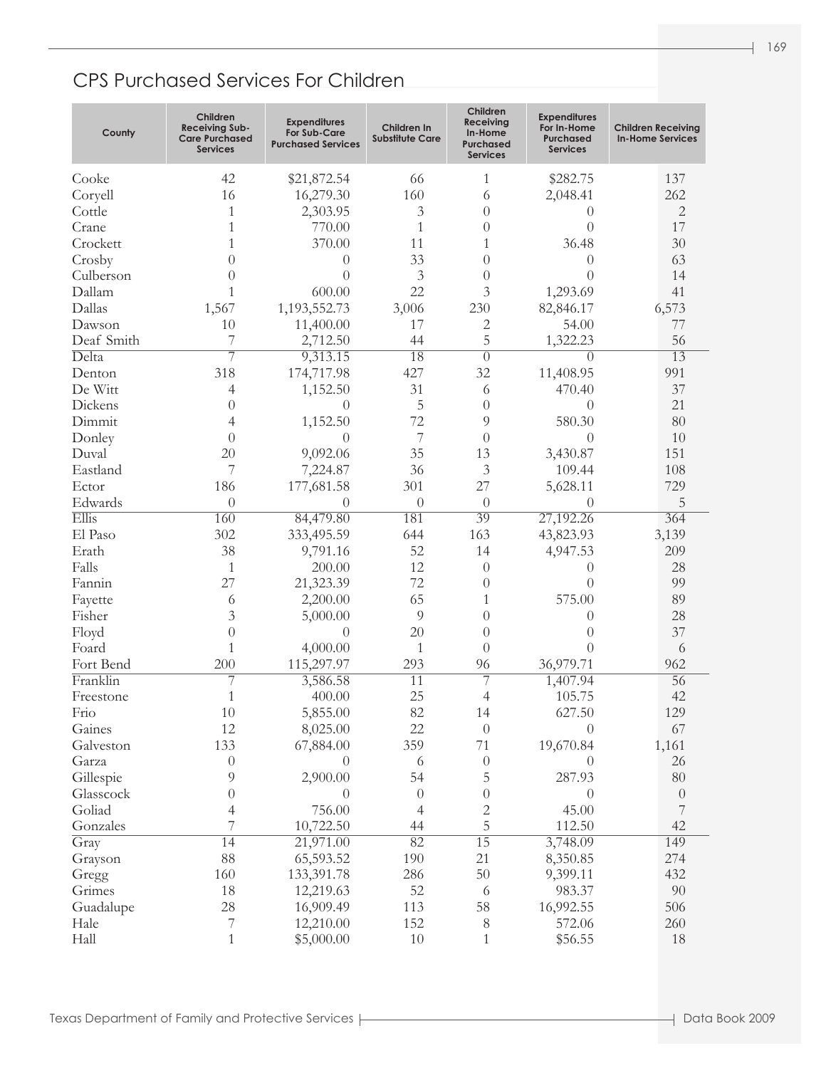### CPS Purchased Services For Children

| County     | Children<br><b>Receiving Sub-</b><br><b>Care Purchased</b><br><b>Services</b> | <b>Expenditures</b><br><b>For Sub-Care</b><br><b>Purchased Services</b> | Children In<br><b>Substitute Care</b> | Children<br>Receiving<br>In-Home<br>Purchased<br><b>Services</b> | <b>Expenditures</b><br>For In-Home<br><b>Purchased</b><br><b>Services</b> | <b>Children Receiving</b><br><b>In-Home Services</b> |
|------------|-------------------------------------------------------------------------------|-------------------------------------------------------------------------|---------------------------------------|------------------------------------------------------------------|---------------------------------------------------------------------------|------------------------------------------------------|
| Cooke      | 42                                                                            | \$21,872.54                                                             | 66                                    | 1                                                                | \$282.75                                                                  | 137                                                  |
| Coryell    | 16                                                                            | 16,279.30                                                               | 160                                   | 6                                                                | 2,048.41                                                                  | 262                                                  |
| Cottle     | 1                                                                             | 2,303.95                                                                | 3                                     | $\Omega$                                                         | $\theta$                                                                  | 2                                                    |
| Crane      | 1                                                                             | 770.00                                                                  | 1                                     | $\Omega$                                                         | $\theta$                                                                  | 17                                                   |
| Crockett   | 1                                                                             | 370.00                                                                  | 11                                    | 1                                                                | 36.48                                                                     | 30                                                   |
| Crosby     | $\theta$                                                                      | $\theta$                                                                | 33                                    | $\Omega$                                                         | $\Omega$                                                                  | 63                                                   |
| Culberson  | $\theta$                                                                      | $\overline{0}$                                                          | 3                                     | $\Omega$                                                         | $\theta$                                                                  | 14                                                   |
| Dallam     | 1                                                                             | 600.00                                                                  | 22                                    | 3                                                                | 1,293.69                                                                  | 41                                                   |
| Dallas     | 1,567                                                                         | 1,193,552.73                                                            | 3,006                                 | 230                                                              | 82,846.17                                                                 | 6,573                                                |
| Dawson     | 10                                                                            | 11,400.00                                                               | 17                                    | 2                                                                | 54.00                                                                     | 77                                                   |
| Deaf Smith | 7                                                                             | 2,712.50                                                                | 44                                    | 5                                                                | 1,322.23                                                                  | 56                                                   |
| Delta      | $\overline{7}$                                                                | 9,313.15                                                                | $\overline{18}$                       | $\overline{0}$                                                   | 0                                                                         | $\overline{13}$                                      |
| Denton     | 318                                                                           | 174,717.98                                                              | 427                                   | 32                                                               | 11,408.95                                                                 | 991                                                  |
| De Witt    | 4                                                                             | 1,152.50                                                                | 31                                    | 6                                                                | 470.40                                                                    | 37                                                   |
| Dickens    | $\theta$                                                                      | $\theta$                                                                | 5                                     | $\theta$                                                         | $\Omega$                                                                  | 21                                                   |
| Dimmit     | 4                                                                             | 1,152.50                                                                | 72                                    | 9                                                                | 580.30                                                                    | 80                                                   |
| Donley     | $\theta$                                                                      | $\theta$                                                                | 7                                     | $\theta$                                                         | $\Omega$                                                                  | 10                                                   |
| Duval      | 20                                                                            | 9,092.06                                                                | 35                                    | 13                                                               | 3,430.87                                                                  | 151                                                  |
| Eastland   | 7                                                                             | 7,224.87                                                                | 36                                    | 3                                                                | 109.44                                                                    | 108                                                  |
| Ector      | 186                                                                           | 177,681.58                                                              | 301                                   | 27                                                               | 5,628.11                                                                  | 729                                                  |
| Edwards    | $\overline{0}$                                                                | 0                                                                       | $\theta$                              | $\theta$                                                         | $\left( \right)$                                                          | 5                                                    |
| Ellis      | 160                                                                           | 84,479.80                                                               | 181                                   | 39                                                               | 27,192.26                                                                 | 364                                                  |
| El Paso    | 302                                                                           | 333,495.59                                                              | 644                                   | 163                                                              | 43,823.93                                                                 | 3,139                                                |
| Erath      | 38                                                                            | 9,791.16                                                                | 52                                    | 14                                                               | 4,947.53                                                                  | 209                                                  |
| Falls      | 1                                                                             | 200.00                                                                  | 12                                    | $\theta$                                                         | $\Omega$                                                                  | 28                                                   |
| Fannin     | 27                                                                            | 21,323.39                                                               | 72                                    | $\theta$                                                         | $\Omega$                                                                  | 99                                                   |
| Fayette    | 6                                                                             | 2,200.00                                                                | 65                                    | 1                                                                | 575.00                                                                    | 89                                                   |
| Fisher     | 3                                                                             | 5,000.00                                                                | 9                                     | $\left( \right)$                                                 | $\theta$                                                                  | 28                                                   |
| Floyd      | $\overline{0}$                                                                | $\theta$                                                                | 20                                    | $\left( \right)$                                                 | $\Omega$                                                                  | 37                                                   |
| Foard      | 1                                                                             | 4,000.00                                                                | 1                                     | $\overline{0}$                                                   | $\Omega$                                                                  | 6                                                    |
| Fort Bend  | 200                                                                           | 115,297.97                                                              | 293                                   | 96                                                               | 36,979.71                                                                 | 962                                                  |
| Franklin   | 7                                                                             | 3,586.58                                                                | 11                                    | 7                                                                | 1,407.94                                                                  | $\overline{56}$                                      |
| Freestone  | 1                                                                             | 400.00                                                                  | 25                                    | 4                                                                | 105.75                                                                    | 42                                                   |
| Frio       | 10                                                                            | 5,855.00                                                                | 82                                    | 14                                                               | 627.50                                                                    | 129                                                  |
| Gaines     | 12                                                                            | 8,025.00                                                                | 22                                    | $\theta$                                                         | $\theta$                                                                  | 67                                                   |
| Galveston  | 133                                                                           | 67,884.00                                                               | 359                                   | 71                                                               | 19,670.84                                                                 | 1,161                                                |
| Garza      | $\theta$                                                                      | $\theta$                                                                | 6                                     | $\theta$                                                         | $\theta$                                                                  | 26                                                   |
| Gillespie  | $\overline{9}$                                                                | 2,900.00                                                                | 54                                    | $\overline{5}$                                                   | 287.93                                                                    | 80                                                   |
| Glasscock  | $\overline{0}$                                                                | $\theta$                                                                | $\theta$                              | $\theta$                                                         | $\theta$                                                                  | $\theta$                                             |
| Goliad     | 4                                                                             | 756.00                                                                  | $\overline{4}$                        | $\mathbf{2}$                                                     | 45.00                                                                     | $\overline{7}$                                       |
| Gonzales   | 7                                                                             | 10,722.50                                                               | 44                                    | 5                                                                | 112.50                                                                    | 42                                                   |
| Gray       | $\overline{14}$                                                               | 21,971.00                                                               | 82                                    | 15                                                               | 3,748.09                                                                  | 149                                                  |
| Grayson    | 88                                                                            | 65,593.52                                                               | 190                                   | 21                                                               | 8,350.85                                                                  | 274                                                  |
| Gregg      | 160                                                                           | 133,391.78                                                              | 286                                   | 50                                                               | 9,399.11                                                                  | 432                                                  |
| Grimes     | 18                                                                            | 12,219.63                                                               | 52                                    | 6                                                                | 983.37                                                                    | 90                                                   |
| Guadalupe  | 28                                                                            | 16,909.49                                                               | 113                                   | 58                                                               | 16,992.55                                                                 | 506                                                  |
| Hale       | 7                                                                             | 12,210.00                                                               | 152                                   | $\,8\,$                                                          | 572.06                                                                    | 260                                                  |
| Hall       | $\mathbf{1}$                                                                  | \$5,000.00                                                              | 10                                    | $\mathbf{1}$                                                     | \$56.55                                                                   | 18                                                   |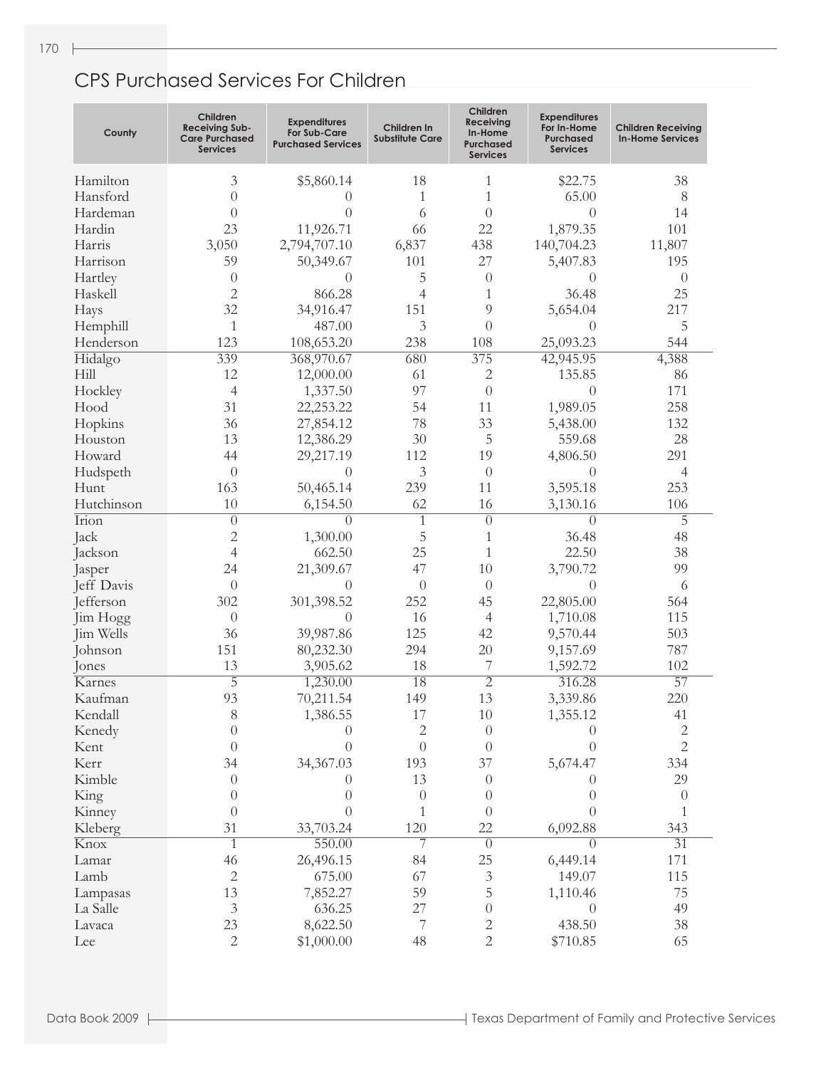170

| County     | Children<br><b>Receiving Sub-</b><br><b>Care Purchased</b><br>Services | <b>Expenditures</b><br>For Sub-Care<br><b>Purchased Services</b> | Children In<br><b>Substitute Care</b> | Children<br><b>Receiving</b><br>In-Home<br>Purchased<br><b>Services</b> | <b>Expenditures</b><br>For In-Home<br><b>Purchased</b><br><b>Services</b> | <b>Children Receiving</b><br><b>In-Home Services</b> |
|------------|------------------------------------------------------------------------|------------------------------------------------------------------|---------------------------------------|-------------------------------------------------------------------------|---------------------------------------------------------------------------|------------------------------------------------------|
| Hamilton   | 3                                                                      | \$5,860.14                                                       | 18                                    | 1                                                                       | \$22.75                                                                   | 38                                                   |
| Hansford   | $\theta$                                                               | 0                                                                | 1                                     | 1                                                                       | 65.00                                                                     | 8                                                    |
| Hardeman   | $\theta$                                                               | $\theta$                                                         | 6                                     | $\theta$                                                                | $\Omega$                                                                  | 14                                                   |
| Hardin     | 23                                                                     | 11,926.71                                                        | 66                                    | 22                                                                      | 1,879.35                                                                  | 101                                                  |
| Harris     | 3,050                                                                  | 2,794,707.10                                                     | 6,837                                 | 438                                                                     | 140,704.23                                                                | 11,807                                               |
| Harrison   | 59                                                                     | 50,349.67                                                        | 101                                   | 27                                                                      | 5,407.83                                                                  | 195                                                  |
| Hartley    | $\theta$                                                               | $\theta$                                                         | 5                                     | $\theta$                                                                | $\theta$                                                                  | $\theta$                                             |
| Haskell    | $\overline{2}$                                                         | 866.28                                                           | 4                                     | 1                                                                       | 36.48                                                                     | 25                                                   |
| Hays       | 32                                                                     | 34,916.47                                                        | 151                                   | 9                                                                       | 5,654.04                                                                  | 217                                                  |
| Hemphill   | 1                                                                      | 487.00                                                           | 3                                     | $\overline{0}$                                                          | $\theta$                                                                  | 5                                                    |
| Henderson  | 123                                                                    | 108,653.20                                                       | 238                                   | 108                                                                     | 25,093.23                                                                 | 544                                                  |
| Hidalgo    | 339                                                                    | 368,970.67                                                       | 680                                   | 375                                                                     | 42,945.95                                                                 | 4,388                                                |
| Hill       | 12                                                                     | 12,000.00                                                        | 61                                    | $\mathbf{2}$                                                            | 135.85                                                                    | 86                                                   |
| Hockley    | 4                                                                      | 1,337.50                                                         | 97                                    | $\theta$                                                                | $\theta$                                                                  | 171                                                  |
| Hood       | 31                                                                     | 22,253.22                                                        | 54                                    | 11                                                                      | 1,989.05                                                                  | 258                                                  |
| Hopkins    | 36                                                                     | 27,854.12                                                        | 78                                    | 33                                                                      | 5,438.00                                                                  | 132                                                  |
| Houston    | 13                                                                     | 12,386.29                                                        | 30                                    | 5                                                                       | 559.68                                                                    | 28                                                   |
| Howard     | 44                                                                     | 29,217.19                                                        | 112                                   | 19                                                                      | 4,806.50                                                                  | 291                                                  |
| Hudspeth   | $\theta$                                                               | $\theta$                                                         | 3                                     | $\theta$                                                                | $\theta$                                                                  | 4                                                    |
| Hunt       | 163                                                                    | 50,465.14                                                        | 239                                   | 11                                                                      | 3,595.18                                                                  | 253                                                  |
| Hutchinson | 10                                                                     | 6,154.50                                                         | 62                                    | 16                                                                      | 3,130.16                                                                  | 106                                                  |
| Irion      | $\overline{0}$                                                         | $\overline{0}$                                                   | 1                                     | $\overline{0}$                                                          | $\theta$                                                                  | $\overline{5}$                                       |
| Jack       | $\overline{c}$                                                         | 1,300.00                                                         | 5                                     | $\mathbf{1}$                                                            | 36.48                                                                     | 48                                                   |
| Jackson    | 4                                                                      | 662.50                                                           | 25                                    | 1                                                                       | 22.50                                                                     | 38                                                   |
| Jasper     | 24                                                                     | 21,309.67                                                        | 47                                    | 10                                                                      | 3,790.72                                                                  | 99                                                   |
| Jeff Davis | $\theta$                                                               | $\theta$                                                         | $\theta$                              | $\theta$                                                                | $\theta$                                                                  | 6                                                    |
| Jefferson  | 302                                                                    | 301,398.52                                                       | 252                                   | 45                                                                      | 22,805.00                                                                 | 564                                                  |
| Jim Hogg   | $\theta$                                                               | 0                                                                | 16                                    | $\overline{4}$                                                          | 1,710.08                                                                  | 115                                                  |
| Jim Wells  | 36                                                                     | 39,987.86                                                        | 125                                   | 42                                                                      | 9,570.44                                                                  | 503                                                  |
| Johnson    | 151                                                                    | 80,232.30                                                        | 294                                   | 20                                                                      | 9,157.69                                                                  | 787                                                  |
| Jones      | 13                                                                     | 3,905.62                                                         | 18                                    | 7                                                                       | 1,592.72                                                                  | 102                                                  |
| Karnes     | $\overline{5}$                                                         | 1,230.00                                                         | 18                                    | $\overline{2}$                                                          | 316.28                                                                    | $\overline{57}$                                      |
| Kaufman    | 93                                                                     | 70,211.54                                                        | 149                                   | 13                                                                      | 3,339.86                                                                  | 220                                                  |
| Kendall    | 8                                                                      | 1,386.55                                                         | 17                                    | $10\,$                                                                  | 1,355.12                                                                  | 41                                                   |
| Kenedy     | $\boldsymbol{0}$                                                       | $\theta$                                                         | 2                                     | $\boldsymbol{0}$                                                        | $\theta$                                                                  | $\sqrt{2}$                                           |
| Kent       | $\theta$                                                               | $\overline{0}$                                                   | $\theta$                              | $\theta$                                                                | $\theta$                                                                  | $\overline{2}$                                       |
| Kerr       | 34                                                                     | 34,367.03                                                        | 193                                   | 37                                                                      | 5,674.47                                                                  | 334                                                  |
| Kimble     | $\theta$                                                               | $\theta$                                                         | 13                                    | $\boldsymbol{0}$                                                        | $\left( \right)$                                                          | 29                                                   |
| King       | $\theta$                                                               | $\boldsymbol{0}$                                                 | $\theta$                              | $\theta$                                                                | $\theta$                                                                  | $\boldsymbol{0}$                                     |
| Kinney     | $\theta$                                                               | $\overline{0}$                                                   | 1                                     | $\theta$                                                                | $\theta$                                                                  | 1                                                    |
| Kleberg    | 31                                                                     | 33,703.24                                                        | 120                                   | 22                                                                      | 6,092.88                                                                  | 343                                                  |
| Knox       | $\overline{1}$                                                         | 550.00                                                           | 7                                     | $\overline{0}$                                                          | $\theta$                                                                  | $\overline{31}$                                      |
| Lamar      | 46                                                                     | 26,496.15                                                        | 84                                    | 25                                                                      | 6,449.14                                                                  | 171                                                  |
| Lamb       | $\mathbf{2}$                                                           | 675.00                                                           | 67                                    | $\mathfrak{Z}$                                                          | 149.07                                                                    | 115                                                  |
| Lampasas   | 13                                                                     | 7,852.27                                                         | 59                                    | 5                                                                       | 1,110.46                                                                  | 75                                                   |
| La Salle   | $\mathfrak{Z}$                                                         | 636.25                                                           | 27                                    | $\boldsymbol{0}$                                                        | $\theta$                                                                  | 49                                                   |
| Lavaca     | 23                                                                     | 8,622.50                                                         | 7                                     | $\sqrt{2}$                                                              | 438.50                                                                    | 38                                                   |
| Lee        | $\mathbf{2}$                                                           | \$1,000.00                                                       | 48                                    | $\overline{2}$                                                          | \$710.85                                                                  | 65                                                   |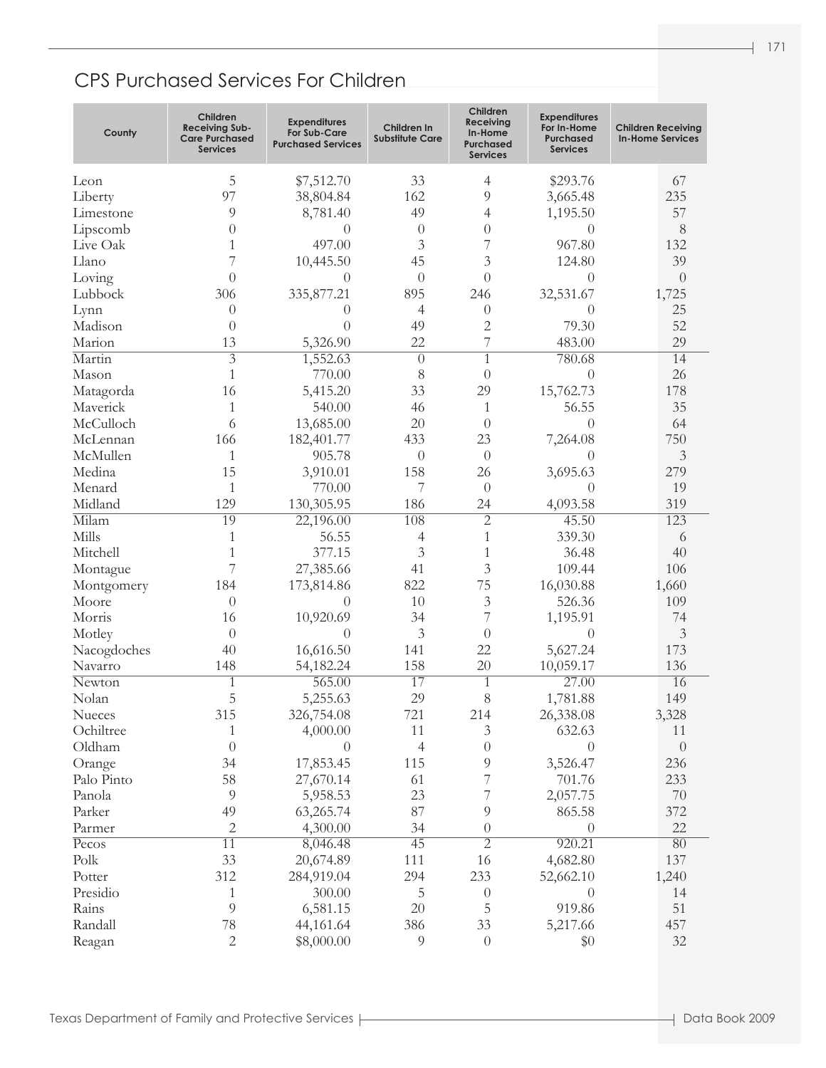### CPS Purchased Services For Children

| County      | Children<br><b>Receiving Sub-</b><br><b>Care Purchased</b><br><b>Services</b> | <b>Expenditures</b><br><b>For Sub-Care</b><br><b>Purchased Services</b> | Children In<br><b>Substitute Care</b> | Children<br>Receiving<br>In-Home<br>Purchased<br><b>Services</b> | <b>Expenditures</b><br>For In-Home<br>Purchased<br><b>Services</b> | <b>Children Receiving</b><br><b>In-Home Services</b> |
|-------------|-------------------------------------------------------------------------------|-------------------------------------------------------------------------|---------------------------------------|------------------------------------------------------------------|--------------------------------------------------------------------|------------------------------------------------------|
| Leon        | 5                                                                             | \$7,512.70                                                              | 33                                    | 4                                                                | \$293.76                                                           | 67                                                   |
| Liberty     | 97                                                                            | 38,804.84                                                               | 162                                   | 9                                                                | 3,665.48                                                           | 235                                                  |
| Limestone   | 9                                                                             | 8,781.40                                                                | 49                                    | 4                                                                | 1,195.50                                                           | 57                                                   |
| Lipscomb    | $\theta$                                                                      | $\theta$                                                                | $\overline{0}$                        | $\overline{0}$                                                   | $\Omega$                                                           | 8                                                    |
| Live Oak    | 1                                                                             | 497.00                                                                  | 3                                     | 7                                                                | 967.80                                                             | 132                                                  |
| Llano       | 7                                                                             | 10,445.50                                                               | 45                                    | 3                                                                | 124.80                                                             | 39                                                   |
| Loving      | $\theta$                                                                      | $\theta$                                                                | $\overline{0}$                        | $\overline{0}$                                                   | $\Omega$                                                           | $\overline{0}$                                       |
| Lubbock     | 306                                                                           | 335,877.21                                                              | 895                                   | 246                                                              | 32,531.67                                                          | 1,725                                                |
| Lynn        | $\theta$                                                                      | $\theta$                                                                | 4                                     | $\theta$                                                         | $\left( \right)$                                                   | 25                                                   |
| Madison     | $\overline{0}$                                                                | $\theta$                                                                | 49                                    | $\overline{2}$                                                   | 79.30                                                              | 52                                                   |
| Marion      | 13                                                                            | 5,326.90                                                                | 22                                    | 7                                                                | 483.00                                                             | 29                                                   |
| Martin      | $\overline{3}$                                                                | 1,552.63                                                                | $\theta$                              | $\overline{1}$                                                   | 780.68                                                             | 14                                                   |
| Mason       | $\mathbf{1}$                                                                  | 770.00                                                                  | 8                                     | $\theta$                                                         | $\Omega$                                                           | 26                                                   |
| Matagorda   | 16                                                                            | 5,415.20                                                                | 33                                    | 29                                                               | 15,762.73                                                          | 178                                                  |
| Maverick    | 1                                                                             | 540.00                                                                  | 46                                    | 1                                                                | 56.55                                                              | 35                                                   |
| McCulloch   | 6                                                                             | 13,685.00                                                               | 20                                    | $\theta$                                                         | $\Omega$                                                           | 64                                                   |
| McLennan    | 166                                                                           | 182,401.77                                                              | 433                                   | 23                                                               | 7,264.08                                                           | 750                                                  |
| McMullen    | 1                                                                             | 905.78                                                                  | $\overline{0}$                        | $\theta$                                                         | $\Omega$                                                           | 3                                                    |
| Medina      | 15                                                                            | 3,910.01                                                                | 158                                   | 26                                                               | 3,695.63                                                           | 279                                                  |
| Menard      | 1                                                                             | 770.00                                                                  | 7                                     | $\theta$                                                         | $\Omega$                                                           | 19                                                   |
| Midland     | 129                                                                           | 130,305.95                                                              | 186                                   | 24                                                               | 4,093.58                                                           | 319                                                  |
| Milam       | 19                                                                            | 22,196.00                                                               | 108                                   | $\overline{2}$                                                   | 45.50                                                              | 123                                                  |
| Mills       | 1                                                                             | 56.55                                                                   | 4                                     | $\mathbf{1}$                                                     | 339.30                                                             | 6                                                    |
| Mitchell    | 1                                                                             | 377.15                                                                  | 3                                     | 1                                                                | 36.48                                                              | 40                                                   |
| Montague    | 7                                                                             | 27,385.66                                                               | 41                                    | 3                                                                | 109.44                                                             | 106                                                  |
| Montgomery  | 184                                                                           | 173,814.86                                                              | 822                                   | 75                                                               | 16,030.88                                                          | 1,660                                                |
| Moore       | $\theta$                                                                      | $\theta$                                                                | 10                                    | 3                                                                | 526.36                                                             | 109                                                  |
| Morris      | 16                                                                            | 10,920.69                                                               | 34                                    | 7                                                                | 1,195.91                                                           | 74                                                   |
| Motley      | $\theta$                                                                      | $\theta$                                                                | 3                                     | $\overline{0}$                                                   | $\Omega$                                                           | $\mathfrak{Z}$                                       |
| Nacogdoches | 40                                                                            | 16,616.50                                                               | 141                                   | 22                                                               | 5,627.24                                                           | 173                                                  |
| Navarro     | 148                                                                           | 54,182.24                                                               | 158                                   | 20                                                               | 10,059.17                                                          | 136                                                  |
| Newton      | 1                                                                             | 565.00                                                                  | 17                                    | $\mathbf{1}$                                                     | 27.00                                                              | 16                                                   |
| Nolan       | 5                                                                             | 5,255.63                                                                | 29                                    | 8                                                                | 1,781.88                                                           | 149                                                  |
| Nueces      | 315                                                                           | 326,754.08                                                              | 721                                   | 214                                                              | 26,338.08                                                          | 3,328                                                |
| Ochiltree   | 1                                                                             | 4,000.00                                                                | 11                                    | $\mathfrak{Z}$                                                   | 632.63                                                             | 11                                                   |
| Oldham      | $\theta$                                                                      | $\theta$                                                                | 4                                     | $\boldsymbol{0}$                                                 | $\overline{0}$                                                     | $\boldsymbol{0}$                                     |
| Orange      | 34                                                                            | 17,853.45                                                               | 115                                   | $\overline{9}$                                                   | 3,526.47                                                           | 236                                                  |
| Palo Pinto  | 58                                                                            | 27,670.14                                                               | 61                                    | 7                                                                | 701.76                                                             | 233                                                  |
| Panola      | 9                                                                             | 5,958.53                                                                | 23                                    | 7                                                                | 2,057.75                                                           | $70\,$                                               |
| Parker      | 49                                                                            | 63,265.74                                                               | 87                                    | 9                                                                | 865.58                                                             | 372                                                  |
| Parmer      | 2                                                                             | 4,300.00                                                                | 34                                    | $\boldsymbol{0}$                                                 | $\overline{0}$                                                     | 22                                                   |
| Pecos       | $\overline{11}$                                                               | 8,046.48                                                                | 45                                    | $\overline{2}$                                                   | 920.21                                                             | 80                                                   |
| Polk        | 33                                                                            | 20,674.89                                                               | 111                                   | 16                                                               | 4,682.80                                                           | 137                                                  |
| Potter      | 312                                                                           | 284,919.04                                                              | 294                                   | 233                                                              | 52,662.10                                                          | 1,240                                                |
| Presidio    | 1                                                                             | 300.00                                                                  | 5                                     | $\theta$                                                         | $\theta$                                                           | 14                                                   |
| Rains       | $\overline{9}$                                                                | 6,581.15                                                                | 20                                    | $\mathbf 5$                                                      | 919.86                                                             | 51                                                   |
| Randall     | 78                                                                            | 44,161.64                                                               | 386                                   | 33                                                               | 5,217.66                                                           | 457                                                  |
| Reagan      | $\mathbf{2}$                                                                  | \$8,000.00                                                              | $\overline{9}$                        | $\boldsymbol{0}$                                                 | \$0                                                                | 32                                                   |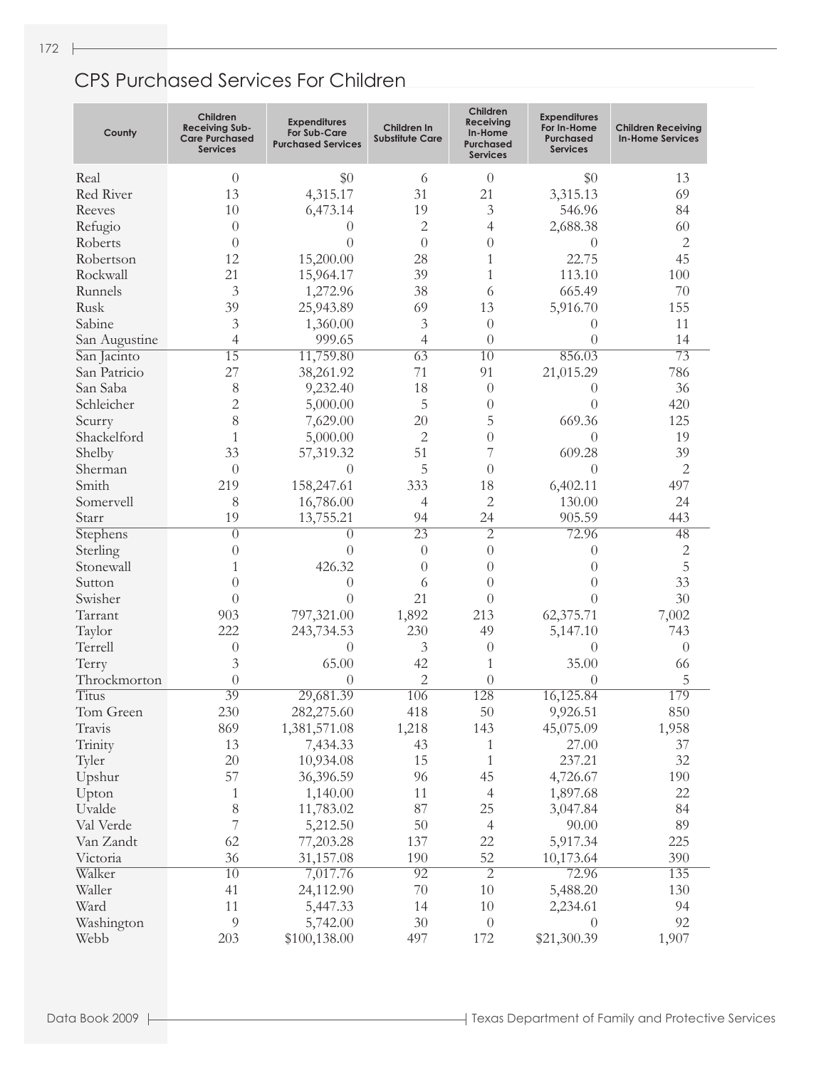| County        | Children<br><b>Receiving Sub-</b><br><b>Care Purchased</b><br><b>Services</b> | <b>Expenditures</b><br>For Sub-Care<br><b>Purchased Services</b> | Children In<br><b>Substitute Care</b> | Children<br><b>Receiving</b><br>In-Home<br>Purchased<br><b>Services</b> | <b>Expenditures</b><br>For In-Home<br><b>Purchased</b><br><b>Services</b> | Children Receivina<br><b>In-Home Services</b> |
|---------------|-------------------------------------------------------------------------------|------------------------------------------------------------------|---------------------------------------|-------------------------------------------------------------------------|---------------------------------------------------------------------------|-----------------------------------------------|
| Real          | $\theta$                                                                      | \$0                                                              | 6                                     | $\theta$                                                                | \$0                                                                       | 13                                            |
| Red River     | 13                                                                            | 4,315.17                                                         | 31                                    | 21                                                                      | 3,315.13                                                                  | 69                                            |
| Reeves        | 10                                                                            | 6,473.14                                                         | 19                                    | 3                                                                       | 546.96                                                                    | 84                                            |
| Refugio       | $\theta$                                                                      | $\theta$                                                         | 2                                     | 4                                                                       | 2,688.38                                                                  | 60                                            |
| Roberts       | $\theta$                                                                      | $\Omega$                                                         | $\theta$                              | $\left( \right)$                                                        | $\theta$                                                                  | 2                                             |
| Robertson     | 12                                                                            | 15,200.00                                                        | 28                                    | 1                                                                       | 22.75                                                                     | 45                                            |
| Rockwall      | 21                                                                            | 15,964.17                                                        | 39                                    | 1                                                                       | 113.10                                                                    | 100                                           |
| Runnels       | 3                                                                             | 1,272.96                                                         | 38                                    | 6                                                                       | 665.49                                                                    | 70                                            |
| Rusk          | 39                                                                            | 25,943.89                                                        | 69                                    | 13                                                                      | 5,916.70                                                                  | 155                                           |
| Sabine        | 3                                                                             | 1,360.00                                                         | 3                                     | $\theta$                                                                | $\Omega$                                                                  | 11                                            |
| San Augustine | 4                                                                             | 999.65                                                           | 4                                     | $\theta$                                                                | $\Omega$                                                                  | 14                                            |
| San Jacinto   | $\overline{15}$                                                               | 11,759.80                                                        | $\overline{63}$                       | $\overline{10}$                                                         | 856.03                                                                    | $\overline{73}$                               |
| San Patricio  | 27                                                                            | 38,261.92                                                        | 71                                    | 91                                                                      | 21,015.29                                                                 | 786                                           |
| San Saba      | 8                                                                             | 9,232.40                                                         | 18                                    | $\theta$                                                                | $\Omega$                                                                  | 36                                            |
| Schleicher    | $\overline{2}$                                                                | 5,000.00                                                         | 5                                     | $\theta$                                                                | $\Omega$                                                                  | 420                                           |
| Scurry        | 8                                                                             | 7,629.00                                                         | 20                                    | 5                                                                       | 669.36                                                                    | 125                                           |
| Shackelford   | 1                                                                             | 5,000.00                                                         | 2                                     | $\overline{0}$                                                          | $\Omega$                                                                  | 19                                            |
| Shelby        | 33                                                                            | 57,319.32                                                        | 51                                    | 7                                                                       | 609.28                                                                    | 39                                            |
| Sherman       | $\theta$                                                                      | $\Omega$                                                         | 5                                     | $\theta$                                                                | $\Omega$                                                                  | 2                                             |
| Smith         | 219                                                                           | 158,247.61                                                       | 333                                   | 18                                                                      | 6,402.11                                                                  | 497                                           |
| Somervell     | 8                                                                             | 16,786.00                                                        | 4                                     | 2                                                                       | 130.00                                                                    | 24                                            |
| Starr         | 19                                                                            | 13,755.21                                                        | 94                                    | 24                                                                      | 905.59                                                                    | 443                                           |
| Stephens      | $\theta$                                                                      | $\overline{0}$                                                   | $\overline{23}$                       | $\overline{2}$                                                          | 72.96                                                                     | 48                                            |
| Sterling      | $\theta$                                                                      | $\theta$                                                         | $\theta$                              | $\left( \right)$                                                        | $\overline{0}$                                                            | 2                                             |
| Stonewall     | 1                                                                             | 426.32                                                           | $\theta$                              | $\theta$                                                                | $\theta$                                                                  | 5                                             |
| Sutton        | $\theta$                                                                      | $\overline{0}$                                                   | 6                                     | $\theta$                                                                | $\Omega$                                                                  | 33                                            |
| Swisher       | $\theta$                                                                      | $\theta$                                                         | 21                                    | $\theta$                                                                | $\Omega$                                                                  | 30                                            |
| Tarrant       | 903                                                                           | 797,321.00                                                       | 1,892                                 | 213                                                                     | 62,375.71                                                                 | 7,002                                         |
| Taylor        | 222                                                                           | 243,734.53                                                       | 230                                   | 49                                                                      | 5,147.10                                                                  | 743                                           |
| Terrell       | $\theta$                                                                      | $\overline{0}$                                                   | 3                                     | $\theta$                                                                | $\overline{0}$                                                            | $\theta$                                      |
| Terry         | 3                                                                             | 65.00                                                            | 42                                    | 1                                                                       | 35.00                                                                     | 66                                            |
| Throckmorton  | $\theta$                                                                      | $\left( \right)$                                                 | $\overline{c}$                        | $\theta$                                                                | $\Omega$                                                                  | 5                                             |
| <b>Titus</b>  | 39                                                                            | 29,681.39                                                        | 106                                   | 128                                                                     | 16,125.84                                                                 | 179                                           |
| Tom Green     | 230                                                                           | 282,275.60                                                       | 418                                   | 50                                                                      | 9,926.51                                                                  | 850                                           |
| Travis        | 869                                                                           | 1,381,571.08                                                     | 1,218                                 | 143                                                                     | 45,075.09                                                                 | 1,958                                         |
| Trinity       | 13                                                                            | 7,434.33                                                         | 43                                    | $\mathbf{1}$                                                            | 27.00                                                                     | 37                                            |
| Tyler         | 20                                                                            | 10,934.08                                                        | 15                                    | $\mathbf{1}$                                                            | 237.21                                                                    | 32                                            |
| Upshur        | 57                                                                            | 36,396.59                                                        | 96                                    | 45                                                                      | 4,726.67                                                                  | 190                                           |
| Upton         | $\mathbf{1}$                                                                  | 1,140.00                                                         | 11                                    | $\overline{4}$                                                          | 1,897.68                                                                  | 22                                            |
| Uvalde        | $8\,$                                                                         | 11,783.02                                                        | 87                                    | 25                                                                      | 3,047.84                                                                  | 84                                            |
| Val Verde     | $\overline{7}$                                                                | 5,212.50                                                         | 50                                    | $\overline{4}$                                                          | 90.00                                                                     | 89                                            |
| Van Zandt     | 62                                                                            | 77,203.28                                                        | 137                                   | 22                                                                      | 5,917.34                                                                  | 225                                           |
| Victoria      | 36                                                                            | 31,157.08                                                        | 190                                   | 52                                                                      | 10,173.64                                                                 | 390                                           |
| Walker        | $\overline{10}$                                                               | 7,017.76                                                         | $\overline{92}$                       | $\overline{2}$                                                          | 72.96                                                                     | 135                                           |
| Waller        | 41                                                                            | 24,112.90                                                        | 70                                    | 10                                                                      | 5,488.20                                                                  | 130                                           |
| Ward          | 11                                                                            | 5,447.33                                                         | 14                                    | 10                                                                      | 2,234.61                                                                  | 94                                            |
| Washington    | 9                                                                             | 5,742.00                                                         | 30                                    | $\theta$                                                                | $\theta$                                                                  | 92                                            |
| Webb          | 203                                                                           | \$100,138.00                                                     | 497                                   | 172                                                                     | \$21,300.39                                                               | 1,907                                         |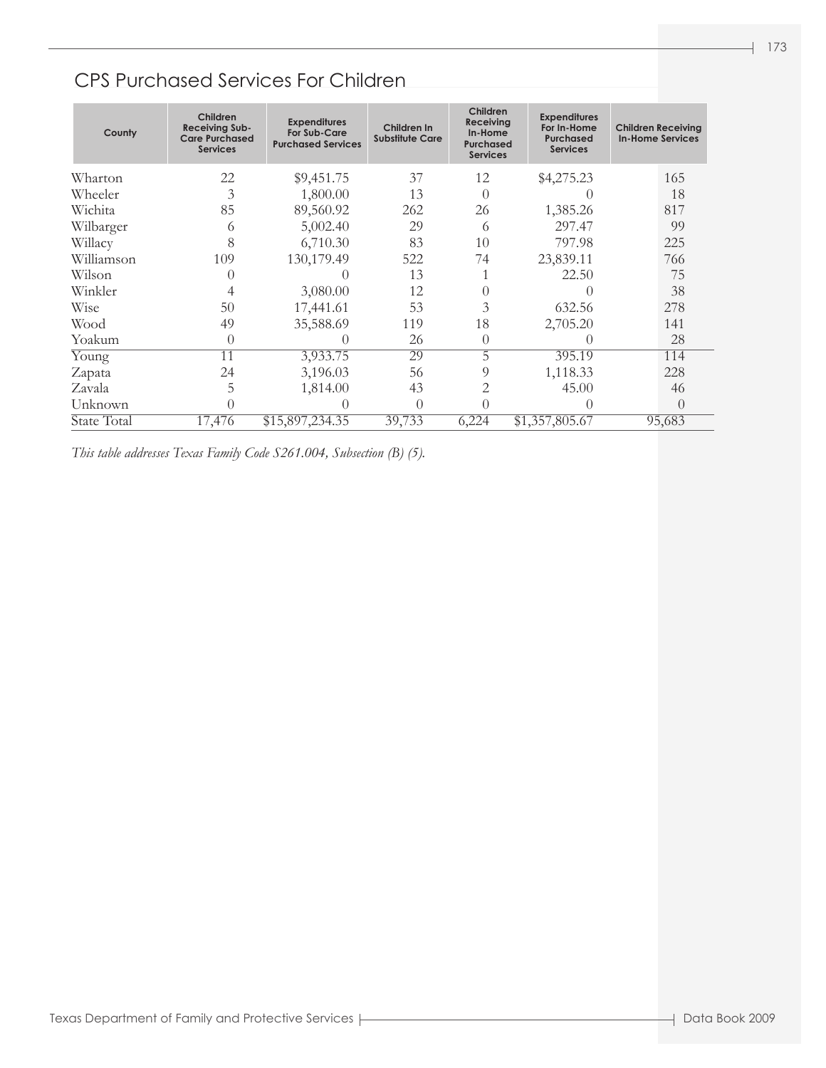#### CPS Purchased Services For Children

| County      | Children<br>Receiving Sub-<br><b>Care Purchased</b><br><b>Services</b> | <b>Expenditures</b><br><b>For Sub-Care</b><br><b>Purchased Services</b> | Children In<br><b>Substitute Care</b> | Children<br>Receiving<br>In-Home<br><b>Purchased</b><br><b>Services</b> | <b>Expenditures</b><br>For In-Home<br><b>Purchased</b><br><b>Services</b> | <b>Children Receiving</b><br><b>In-Home Services</b> |
|-------------|------------------------------------------------------------------------|-------------------------------------------------------------------------|---------------------------------------|-------------------------------------------------------------------------|---------------------------------------------------------------------------|------------------------------------------------------|
| Wharton     | 22                                                                     | \$9,451.75                                                              | 37                                    | 12                                                                      | \$4,275.23                                                                | 165                                                  |
| Wheeler     | 3                                                                      | 1,800.00                                                                | 13                                    | $\Omega$                                                                |                                                                           | 18                                                   |
| Wichita     | 85                                                                     | 89,560.92                                                               | 262                                   | 26                                                                      | 1,385.26                                                                  | 817                                                  |
| Wilbarger   | 6                                                                      | 5,002.40                                                                | 29                                    | 6                                                                       | 297.47                                                                    | 99                                                   |
| Willacy     | 8                                                                      | 6,710.30                                                                | 83                                    | 10                                                                      | 797.98                                                                    | 225                                                  |
| Williamson  | 109                                                                    | 130,179.49                                                              | 522                                   | 74                                                                      | 23,839.11                                                                 | 766                                                  |
| Wilson      | $\left( \right)$                                                       |                                                                         | 13                                    |                                                                         | 22.50                                                                     | 75                                                   |
| Winkler     | 4                                                                      | 3,080.00                                                                | 12                                    | $\theta$                                                                | $\left( \right)$                                                          | 38                                                   |
| Wise        | 50                                                                     | 17,441.61                                                               | 53                                    | 3                                                                       | 632.56                                                                    | 278                                                  |
| Wood        | 49                                                                     | 35,588.69                                                               | 119                                   | 18                                                                      | 2,705.20                                                                  | 141                                                  |
| Yoakum      | $\theta$                                                               | $\left( \right)$                                                        | 26                                    | $\theta$                                                                | $\left( \right)$                                                          | 28                                                   |
| Young       | 11                                                                     | 3,933.75                                                                | 29                                    | $\overline{5}$                                                          | 395.19                                                                    | 114                                                  |
| Zapata      | 24                                                                     | 3,196.03                                                                | 56                                    | 9                                                                       | 1,118.33                                                                  | 228                                                  |
| Zavala      | 5                                                                      | 1,814.00                                                                | 43                                    | 2                                                                       | 45.00                                                                     | 46                                                   |
| Unknown     |                                                                        | 0                                                                       | $\left( \right)$                      | $\left( \right)$                                                        | $\left( \right)$                                                          | $\left( \right)$                                     |
| State Total | 17,476                                                                 | \$15,897,234.35                                                         | 39,733                                | 6,224                                                                   | \$1,357,805.67                                                            | 95,683                                               |

*This table addresses Texas Family Code S261.004, Subsection (B) (5).*

Ī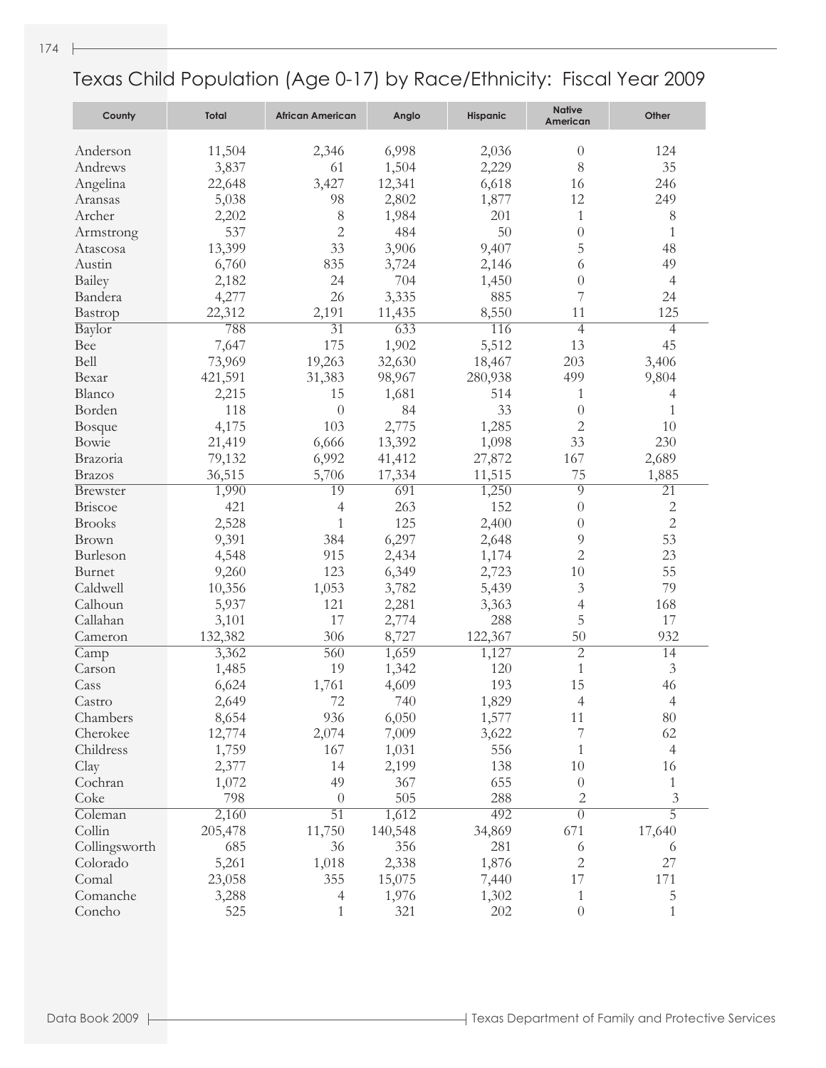| County                           | <b>Total</b> | <b>African American</b> | Anglo         | <b>Hispanic</b> | <b>Native</b><br>American | Other               |
|----------------------------------|--------------|-------------------------|---------------|-----------------|---------------------------|---------------------|
| Anderson                         | 11,504       | 2,346                   | 6,998         | 2,036           | $\theta$                  | 124                 |
| Andrews                          | 3,837        | 61                      | 1,504         | 2,229           | 8                         | 35                  |
| Angelina                         | 22,648       | 3,427                   | 12,341        | 6,618           | 16                        | 246                 |
| Aransas                          | 5,038        | 98                      | 2,802         | 1,877           | 12                        | 249                 |
| Archer                           | 2,202        | 8                       | 1,984         | 201             | 1                         | 8                   |
| Armstrong                        | 537          | $\overline{2}$          | 484           | 50              | $\theta$                  | $\mathbf{1}$        |
| Atascosa                         | 13,399       | 33                      | 3,906         | 9,407           | 5                         | 48                  |
| Austin                           | 6,760        | 835                     | 3,724         | 2,146           | 6                         | 49                  |
| Bailey                           | 2,182        | 24                      | 704           | 1,450           | $\theta$                  | $\overline{4}$      |
| Bandera                          | 4,277        | 26                      | 3,335         | 885             | 7                         | 24                  |
| Bastrop                          | 22,312       | 2,191                   | 11,435        | 8,550           | 11                        | 125                 |
| Baylor                           | 788          | $\overline{31}$         | 633           | 116             | $\overline{4}$            | 4                   |
| Bee                              | 7,647        | 175                     | 1,902         | 5,512           | 13                        | 45                  |
| Bell                             | 73,969       | 19,263                  | 32,630        | 18,467          | 203                       | 3,406               |
| Bexar                            | 421,591      | 31,383                  | 98,967        | 280,938         | 499                       | 9,804               |
| Blanco                           |              | 15                      | 1,681         | 514             | 1                         |                     |
| Borden                           | 2,215<br>118 | $\theta$                | 84            | 33              | $\theta$                  | 4<br>$\mathbf 1$    |
|                                  | 4,175        | 103                     | 2,775         | 1,285           | $\mathbf{2}$              | 10                  |
| <b>Bosque</b><br>Bowie           |              |                         |               |                 | 33                        | 230                 |
|                                  | 21,419       | 6,666                   | 13,392        | 1,098           | 167                       |                     |
| Brazoria                         | 79,132       | 6,992                   | 41,412        | 27,872          |                           | 2,689               |
| <b>Brazos</b><br><b>Brewster</b> | 36,515       | 5,706<br>19             | 17,334<br>691 | 11,515          | 75<br>9                   | 1,885<br>21         |
| <b>Briscoe</b>                   | 1,990<br>421 |                         | 263           | 1,250<br>152    | $\theta$                  | $\mathbf{2}$        |
| <b>Brooks</b>                    |              | 4<br>1                  | 125           |                 | $\theta$                  | $\overline{2}$      |
|                                  | 2,528        |                         |               | 2,400           | 9                         | 53                  |
| Brown<br>Burleson                | 9,391        | 384<br>915              | 6,297         | 2,648<br>1,174  | $\overline{2}$            | 23                  |
|                                  | 4,548        | 123                     | 2,434         |                 |                           |                     |
| Burnet                           | 9,260        |                         | 6,349         | 2,723           | 10                        | 55                  |
| Caldwell                         | 10,356       | 1,053                   | 3,782         | 5,439           | $\mathfrak{Z}$            | 79                  |
| Calhoun                          | 5,937        | 121                     | 2,281         | 3,363           | 4                         | 168                 |
| Callahan                         | 3,101        | 17                      | 2,774         | 288             | 5                         | 17                  |
| Cameron                          | 132,382      | 306                     | 8,727         | 122,367         | 50                        | 932                 |
| Camp                             | 3,362        | 560                     | 1,659         | 1,127           | $\overline{2}$            | 14                  |
| Carson                           | 1,485        | 19                      | 1,342         | 120             | 1                         | $\mathfrak{Z}$      |
| Cass                             | 6,624        | 1,761                   | 4,609         | 193             | 15                        | 46                  |
| Castro                           | 2,649        | 72                      | 740           | 1,829           | $\overline{4}$            | $\overline{4}$      |
| Chambers                         | 8,654        | 936                     | 6,050         | 1,577           | 11                        | 80                  |
| Cherokee                         | 12,774       | 2,074                   | 7,009         | 3,622           | 7                         | 62                  |
| Childress                        | 1,759        | 167                     | 1,031         | 556             | 1                         | 4                   |
| Clay                             | 2,377        | 14                      | 2,199         | 138             | 10                        | 16                  |
| Cochran                          | 1,072        | 49                      | 367           | 655             | $\theta$                  | 1                   |
| Coke                             | 798          | $\theta$                | 505           | 288             | 2                         | 3<br>$\overline{5}$ |
| Coleman                          | 2,160        | $\overline{51}$         | 1,612         | 492             | $\overline{0}$            |                     |
| Collin                           | 205,478      | 11,750                  | 140,548       | 34,869          | 671                       | 17,640              |
| Collingsworth                    | 685          | 36                      | 356           | 281             | 6                         | 6                   |
| Colorado                         | 5,261        | 1,018                   | 2,338         | 1,876           | $\mathbf{2}$              | 27                  |
| Comal                            | 23,058       | 355                     | 15,075        | 7,440           | 17                        | 171                 |
| Comanche                         | 3,288        | 4                       | 1,976         | 1,302           | 1                         | 5                   |
| Concho                           | 525          | 1                       | 321           | 202             | $\theta$                  | $\mathbf{1}$        |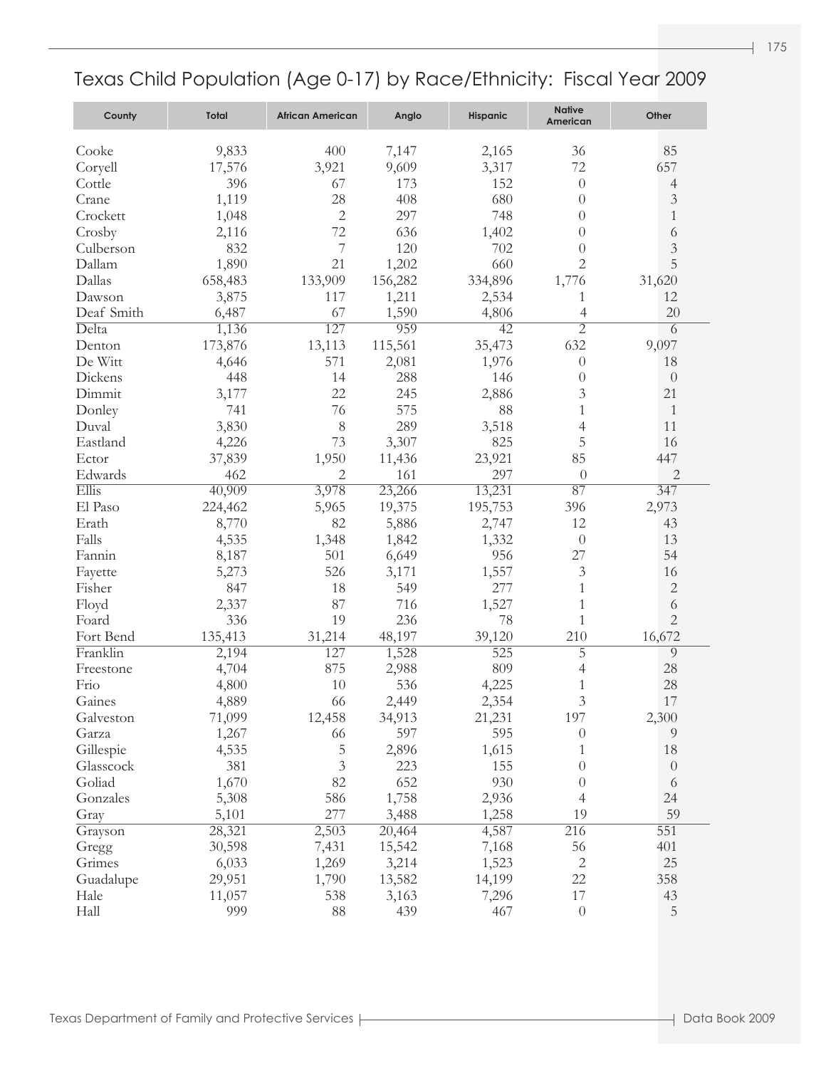| County     | Total   | <b>African American</b> | Anglo   | <b>Hispanic</b> | <b>Native</b><br>American | Other          |
|------------|---------|-------------------------|---------|-----------------|---------------------------|----------------|
| Cooke      | 9,833   | 400                     | 7,147   | 2,165           | 36                        | 85             |
| Coryell    | 17,576  | 3,921                   | 9,609   | 3,317           | 72                        | 657            |
| Cottle     | 396     | 67                      | 173     | 152             | $\theta$                  | 4              |
| Crane      | 1,119   | 28                      | 408     | 680             | $\theta$                  | 3              |
| Crockett   | 1,048   | $\mathbf{2}$            | 297     | 748             | $\theta$                  | $\mathbf{1}$   |
| Crosby     | 2,116   | 72                      | 636     | 1,402           | $\theta$                  | 6              |
| Culberson  | 832     | 7                       | 120     | 702             | $\theta$                  | $\mathfrak{Z}$ |
| Dallam     | 1,890   | 21                      | 1,202   | 660             | 2                         | 5              |
| Dallas     | 658,483 | 133,909                 | 156,282 | 334,896         | 1,776                     | 31,620         |
| Dawson     | 3,875   | 117                     | 1,211   | 2,534           | 1                         | 12             |
| Deaf Smith | 6,487   | 67                      | 1,590   |                 | $\overline{4}$            | 20             |
| Delta      |         | 127                     | 959     | 4,806<br>42     | $\overline{2}$            |                |
|            | 1,136   |                         |         |                 | 632                       | 6<br>9,097     |
| Denton     | 173,876 | 13,113                  | 115,561 | 35,473          |                           |                |
| De Witt    | 4,646   | 571                     | 2,081   | 1,976           | $\theta$                  | 18             |
| Dickens    | 448     | 14                      | 288     | 146             | $\theta$                  | $\theta$       |
| Dimmit     | 3,177   | 22                      | 245     | 2,886           | 3                         | 21             |
| Donley     | 741     | 76                      | 575     | 88              | $\mathbf{1}$              | $\mathbf{1}$   |
| Duval      | 3,830   | 8                       | 289     | 3,518           | 4                         | 11             |
| Eastland   | 4,226   | 73                      | 3,307   | 825             | 5                         | 16             |
| Ector      | 37,839  | 1,950                   | 11,436  | 23,921          | 85                        | 447            |
| Edwards    | 462     | 2                       | 161     | 297             | $\theta$                  | $\overline{c}$ |
| Ellis      | 40,909  | 3,978                   | 23,266  | 13,231          | 87                        | 347            |
| El Paso    | 224,462 | 5,965                   | 19,375  | 195,753         | 396                       | 2,973          |
| Erath      | 8,770   | 82                      | 5,886   | 2,747           | 12                        | 43             |
| Falls      | 4,535   | 1,348                   | 1,842   | 1,332           | $\theta$                  | 13             |
| Fannin     | 8,187   | 501                     | 6,649   | 956             | 27                        | 54             |
| Fayette    | 5,273   | 526                     | 3,171   | 1,557           | 3                         | 16             |
| Fisher     | 847     | 18                      | 549     | 277             | 1                         | $\overline{c}$ |
| Floyd      | 2,337   | 87                      | 716     | 1,527           | 1                         | 6              |
| Foard      | 336     | 19                      | 236     | 78              | $\mathbf{1}$              | $\overline{2}$ |
| Fort Bend  | 135,413 | 31,214                  | 48,197  | 39,120          | 210                       | 16,672         |
| Franklin   | 2,194   | 127                     | 1,528   | 525             | 5                         | 9              |
| Freestone  | 4,704   | 875                     | 2,988   | 809             | 4                         | 28             |
| Frio       | 4,800   | 10                      | 536     | 4,225           | 1                         | 28             |
| Gaines     | 4,889   | 66                      | 2,449   | 2,354           | 3                         | 17             |
| Galveston  | 71,099  | 12,458                  | 34,913  | 21,231          | 197                       | 2,300          |
| Garza      | 1,267   | 66                      | 597     | 595             | $\theta$                  | 9              |
| Gillespie  | 4,535   | 5                       | 2,896   | 1,615           | 1                         | 18             |
| Glasscock  | 381     | $\mathfrak{Z}$          | 223     | 155             | $\theta$                  | $\theta$       |
| Goliad     | 1,670   | 82                      | 652     | 930             | $\theta$                  | 6              |
| Gonzales   | 5,308   | 586                     | 1,758   | 2,936           | 4                         | 24             |
| Gray       | 5,101   | 277                     | 3,488   | 1,258           | 19                        | 59             |
| Grayson    | 28,321  | 2,503                   | 20,464  | 4,587           | 216                       | 551            |
| Gregg      | 30,598  | 7,431                   | 15,542  | 7,168           | 56                        | 401            |
| Grimes     | 6,033   | 1,269                   | 3,214   | 1,523           | $\sqrt{2}$                | 25             |
| Guadalupe  | 29,951  | 1,790                   | 13,582  | 14,199          | 22                        | 358            |
| Hale       | 11,057  | 538                     | 3,163   | 7,296           | 17                        | 43             |
| Hall       | 999     | 88                      | 439     | 467             | $\theta$                  | 5              |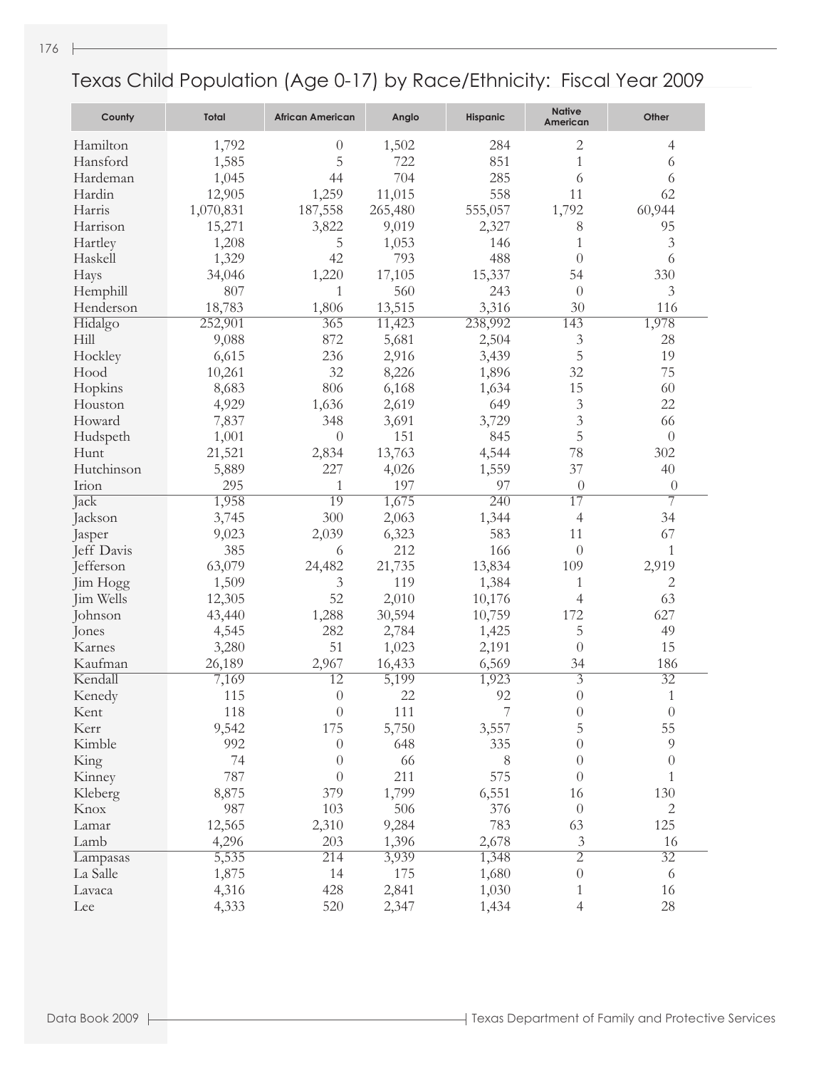| County     | <b>Total</b> | <b>African American</b> | Anglo   | <b>Hispanic</b> | <b>Native</b><br>American | Other            |
|------------|--------------|-------------------------|---------|-----------------|---------------------------|------------------|
| Hamilton   | 1,792        | $\theta$                | 1,502   | 284             | 2                         | 4                |
| Hansford   | 1,585        | 5                       | 722     | 851             | $\mathbf{1}$              | 6                |
| Hardeman   | 1,045        | 44                      | 704     | 285             | 6                         | 6                |
| Hardin     | 12,905       | 1,259                   | 11,015  | 558             | 11                        | 62               |
| Harris     | 1,070,831    | 187,558                 | 265,480 | 555,057         | 1,792                     | 60,944           |
| Harrison   | 15,271       | 3,822                   | 9,019   | 2,327           | 8                         | 95               |
| Hartley    | 1,208        | 5                       | 1,053   | 146             | 1                         | 3                |
| Haskell    | 1,329        | 42                      | 793     | 488             | $\left( \right)$          | 6                |
| Hays       | 34,046       | 1,220                   | 17,105  | 15,337          | 54                        | 330              |
| Hemphill   | 807          | 1                       | 560     | 243             | $\theta$                  | 3                |
| Henderson  | 18,783       | 1,806                   | 13,515  | 3,316           | 30                        | 116              |
| Hidalgo    | 252,901      | 365                     | 11,423  | 238,992         | 143                       | 1,978            |
| Hill       | 9,088        | 872                     | 5,681   | 2,504           | 3                         | 28               |
| Hockley    | 6,615        | 236                     | 2,916   | 3,439           | 5                         | 19               |
| Hood       | 10,261       | 32                      | 8,226   | 1,896           | 32                        | 75               |
| Hopkins    | 8,683        | 806                     | 6,168   | 1,634           | 15                        | 60               |
| Houston    | 4,929        | 1,636                   | 2,619   | 649             | 3                         | 22               |
| Howard     | 7,837        | 348                     | 3,691   | 3,729           | 3                         | 66               |
| Hudspeth   | 1,001        | $\theta$                | 151     | 845             | 5                         | $\theta$         |
| Hunt       | 21,521       | 2,834                   | 13,763  | 4,544           | 78                        | 302              |
| Hutchinson | 5,889        | 227                     | 4,026   | 1,559           | 37                        | 40               |
| Irion      | 295          | $\mathbf{1}$            | 197     | 97              | $\theta$                  | $\theta$         |
| Jack       | 1,958        | $\overline{19}$         | 1,675   | 240             | $\overline{17}$           | $\overline{7}$   |
| Jackson    | 3,745        | 300                     | 2,063   | 1,344           | $\overline{4}$            | 34               |
| Jasper     | 9,023        | 2,039                   | 6,323   | 583             | 11                        | 67               |
| Jeff Davis | 385          | 6                       | 212     | 166             | $\overline{0}$            | $\mathbf{1}$     |
| Jefferson  | 63,079       | 24,482                  | 21,735  | 13,834          | 109                       | 2,919            |
| Jim Hogg   | 1,509        | 3                       | 119     | 1,384           | 1                         | $\overline{c}$   |
| Jim Wells  | 12,305       | 52                      | 2,010   | 10,176          | $\overline{4}$            | 63               |
| Johnson    | 43,440       | 1,288                   | 30,594  | 10,759          | 172                       | 627              |
| Jones      | 4,545        | 282                     | 2,784   | 1,425           | 5                         | 49               |
| Karnes     | 3,280        | 51                      | 1,023   | 2,191           | $\theta$                  | 15               |
| Kaufman    | 26,189       | 2,967                   | 16,433  | 6,569           | 34                        | 186              |
| Kendall    | 7,169        | $\overline{12}$         | 5,199   | 1,923           | $\overline{3}$            | $\overline{32}$  |
| Kenedy     | 115          | $\overline{0}$          | 22      | 92              | $\overline{0}$            | 1                |
| Kent       | 118          | $\theta$                | 111     | 7               | $\boldsymbol{0}$          | $\theta$         |
| Kerr       | 9,542        | 175                     | 5,750   | 3,557           | 5                         | 55               |
| Kimble     | 992          | $\theta$                | 648     | 335             | $\theta$                  | $\overline{9}$   |
| King       | 74           | $\theta$                | 66      | 8               | $\overline{0}$            | $\boldsymbol{0}$ |
| Kinney     | 787          | $\theta$                | 211     | 575             | $\overline{0}$            | 1                |
| Kleberg    | 8,875        | 379                     | 1,799   | 6,551           | 16                        | 130              |
| Knox       | 987          | 103                     | 506     | 376             | $\theta$                  | 2                |
| Lamar      | 12,565       | 2,310                   | 9,284   | 783             | 63                        | 125              |
| Lamb       | 4,296        | 203                     | 1,396   | 2,678           | $\mathfrak{Z}$            | 16               |
| Lampasas   | 5,535        | 214                     | 3,939   | 1,348           | $\overline{2}$            | $\overline{32}$  |
| La Salle   | 1,875        | 14                      | 175     | 1,680           | $\boldsymbol{0}$          | 6                |
| Lavaca     | 4,316        | 428                     | 2,841   | 1,030           | 1                         | 16               |
| Lee        | 4,333        | 520                     | 2,347   | 1,434           | $\overline{4}$            | 28               |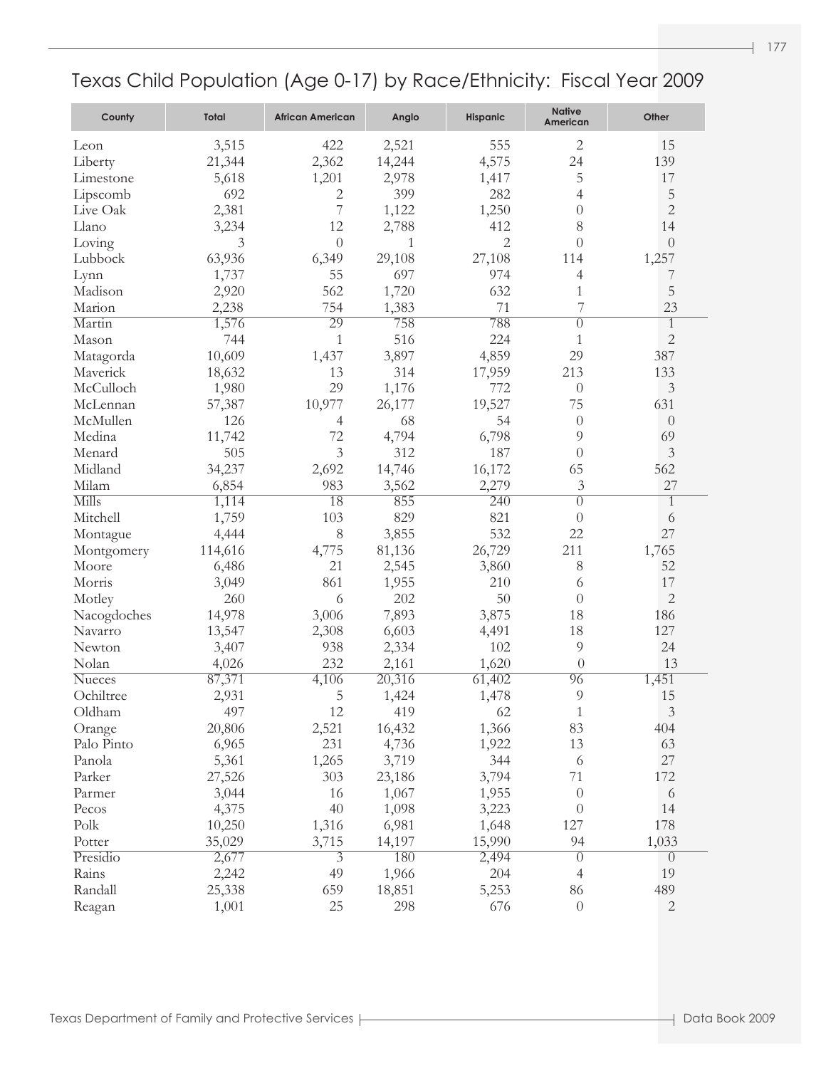| County        | <b>Total</b> | <b>African American</b> | Anglo  | <b>Hispanic</b> | <b>Native</b><br>American | Other          |
|---------------|--------------|-------------------------|--------|-----------------|---------------------------|----------------|
| Leon          | 3,515        | 422                     | 2,521  | 555             | $\overline{2}$            | 15             |
| Liberty       | 21,344       | 2,362                   | 14,244 | 4,575           | 24                        | 139            |
| Limestone     | 5,618        | 1,201                   | 2,978  | 1,417           | 5                         | 17             |
| Lipscomb      | 692          | $\mathbf{2}$            | 399    | 282             | 4                         | 5              |
| Live Oak      | 2,381        | 7                       | 1,122  | 1,250           | $\theta$                  | $\overline{c}$ |
| Llano         | 3,234        | 12                      | 2,788  | 412             | 8                         | 14             |
| Loving        | 3            | $\theta$                | 1      | 2               | $\theta$                  | $\theta$       |
| Lubbock       | 63,936       | 6,349                   | 29,108 | 27,108          | 114                       | 1,257          |
| Lynn          | 1,737        | 55                      | 697    | 974             | 4                         | 7              |
| Madison       | 2,920        | 562                     | 1,720  | 632             | $\mathbf{1}$              | 5              |
| Marion        | 2,238        | 754                     | 1,383  | 71              | 7                         | 23             |
| Martin        | 1,576        | 29                      | 758    | 788             | $\theta$                  | $\mathbf{1}$   |
| Mason         | 744          | $\mathbf{1}$            | 516    | 224             | 1                         | $\mathbf{2}$   |
| Matagorda     | 10,609       | 1,437                   | 3,897  | 4,859           | 29                        | 387            |
| Maverick      | 18,632       | 13                      | 314    | 17,959          | 213                       | 133            |
| McCulloch     | 1,980        | 29                      | 1,176  | 772             | $\theta$                  | $\mathfrak{Z}$ |
| McLennan      | 57,387       | 10,977                  | 26,177 | 19,527          | 75                        | 631            |
| McMullen      | 126          | $\overline{4}$          | 68     | 54              | $\theta$                  | $\theta$       |
| Medina        | 11,742       | 72                      | 4,794  | 6,798           | 9                         | 69             |
| Menard        | 505          | 3                       | 312    | 187             | $\theta$                  | $\mathfrak{Z}$ |
| Midland       | 34,237       | 2,692                   | 14,746 | 16,172          | 65                        | 562            |
| Milam         | 6,854        | 983                     | 3,562  | 2,279           | 3                         | 27             |
| Mills         | 1,114        | 18                      | 855    | 240             | $\theta$                  | $\mathbf{1}$   |
| Mitchell      | 1,759        | 103                     | 829    | 821             | $\Omega$                  | 6              |
| Montague      | 4,444        | 8                       | 3,855  | 532             | 22                        | 27             |
| Montgomery    | 114,616      | 4,775                   | 81,136 | 26,729          | 211                       | 1,765          |
| Moore         | 6,486        | 21                      | 2,545  | 3,860           | 8                         | 52             |
| Morris        | 3,049        | 861                     | 1,955  | 210             | 6                         | 17             |
| Motley        | 260          | 6                       | 202    | 50              | $\theta$                  | $\overline{2}$ |
| Nacogdoches   | 14,978       | 3,006                   | 7,893  | 3,875           | 18                        | 186            |
| Navarro       | 13,547       | 2,308                   | 6,603  | 4,491           | 18                        | 127            |
| Newton        | 3,407        | 938                     | 2,334  | 102             | 9                         | 24             |
| Nolan         | 4,026        | 232                     | 2,161  | 1,620           | $\theta$                  | 13             |
| <b>Nueces</b> | 87,371       | 4,106                   | 20,316 | 61,402          | 96                        | 1,451          |
| Ochiltree     | 2,931        | 5                       | 1,424  | 1,478           | 9                         | 15             |
| Oldham        | 497          | 12                      | 419    | 62              | $\mathbf{1}$              | $\mathfrak{Z}$ |
| Orange        | 20,806       | 2,521                   | 16,432 | 1,366           | 83                        | 404            |
| Palo Pinto    | 6,965        | 231                     | 4,736  | 1,922           | 13                        | 63             |
| Panola        | 5,361        | 1,265                   | 3,719  | 344             | 6                         | 27             |
| Parker        | 27,526       | 303                     | 23,186 | 3,794           | $71\,$                    | 172            |
| Parmer        | 3,044        | 16                      | 1,067  | 1,955           | $\overline{0}$            | 6              |
| Pecos         | 4,375        | 40                      | 1,098  | 3,223           | $\overline{0}$            | 14             |
| Polk          | 10,250       | 1,316                   | 6,981  | 1,648           | 127                       | 178            |
| Potter        | 35,029       | 3,715                   | 14,197 | 15,990          | 94                        | 1,033          |
| Presidio      | 2,677        | $\overline{3}$          | 180    | 2,494           | $\overline{0}$            | $\theta$       |
| Rains         | 2,242        | 49                      | 1,966  | 204             | $\overline{4}$            | 19             |
| Randall       | 25,338       | 659                     | 18,851 | 5,253           | 86                        | 489            |
| Reagan        | 1,001        | 25                      | 298    | 676             | $\boldsymbol{0}$          | $\mathbf{2}$   |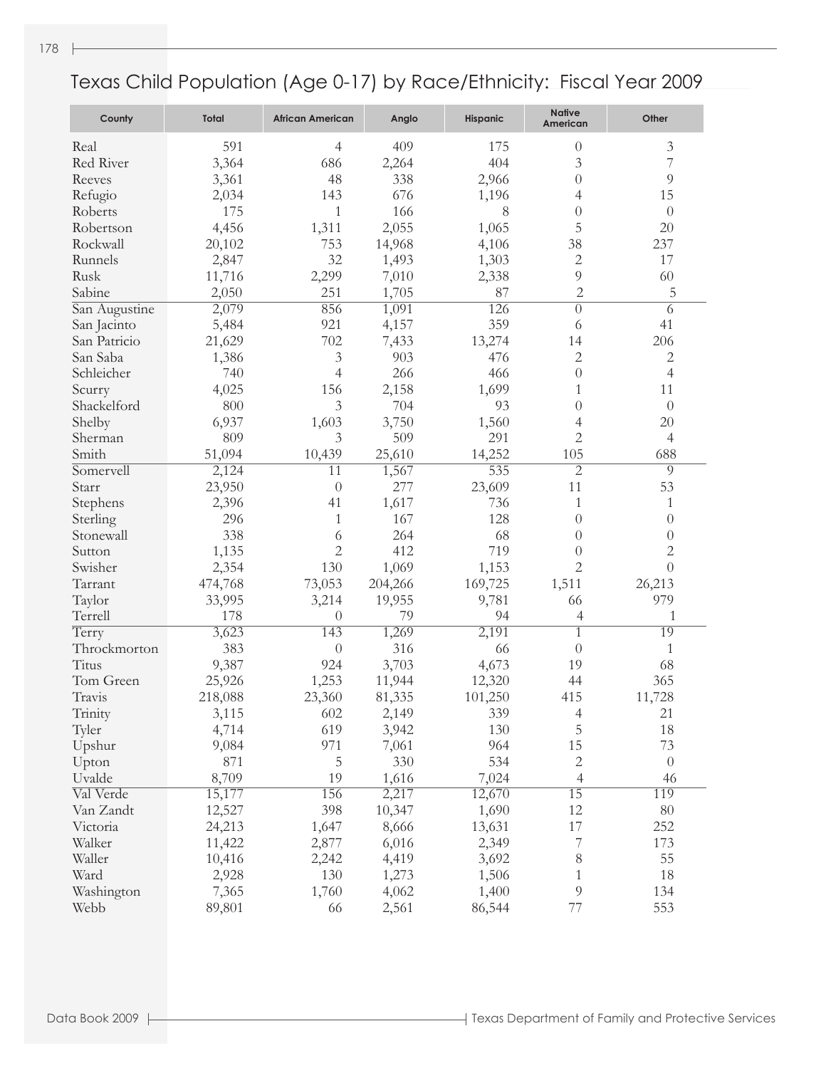| County        | Total   | <b>African American</b> | Anglo        | <b>Hispanic</b> | <b>Native</b><br>American | Other            |
|---------------|---------|-------------------------|--------------|-----------------|---------------------------|------------------|
| Real          | 591     | 4                       | 409          | 175             | $\theta$                  | $\mathfrak{Z}$   |
| Red River     | 3,364   | 686                     | 2,264        | 404             | 3                         | $\overline{7}$   |
| Reeves        | 3,361   | 48                      | 338          | 2,966           | $\theta$                  | 9                |
| Refugio       | 2,034   | 143                     | 676          | 1,196           | 4                         | 15               |
| Roberts       | 175     | 1                       | 166          | 8               | $\theta$                  | $\theta$         |
| Robertson     | 4,456   | 1,311                   | 2,055        | 1,065           | 5                         | 20               |
| Rockwall      | 20,102  | 753                     | 14,968       | 4,106           | 38                        | 237              |
| Runnels       | 2,847   | 32                      | 1,493        | 1,303           | $\mathbf{2}$              | 17               |
| Rusk          | 11,716  | 2,299                   | 7,010        | 2,338           | $\overline{9}$            | 60               |
| Sabine        | 2,050   | 251                     | 1,705        | 87              | $\overline{c}$            | 5                |
| San Augustine | 2,079   | 856                     | 1,091        | 126             | $\overline{0}$            | 6                |
| San Jacinto   | 5,484   | 921                     | 4,157        | 359             | 6                         | 41               |
| San Patricio  | 21,629  | 702                     | 7,433        | 13,274          | 14                        | 206              |
| San Saba      | 1,386   | $\mathfrak{Z}$          | 903          | 476             | $\mathbf{2}$              | $\mathbf{2}$     |
| Schleicher    | 740     | 4                       | 266          | 466             | $\theta$                  | 4                |
| Scurry        | 4,025   | 156                     | 2,158        | 1,699           | 1                         | 11               |
| Shackelford   | 800     | 3                       | 704          | 93              | $\left( \right)$          | $\theta$         |
| Shelby        | 6,937   | 1,603                   | 3,750        | 1,560           | 4                         | 20               |
| Sherman       | 809     | 3                       | 509          | 291             | $\overline{2}$            | $\overline{4}$   |
| Smith         | 51,094  | 10,439                  | 25,610       | 14,252          | 105                       | 688              |
| Somervell     | 2,124   | 11                      | 1,567        | 535             | $\overline{2}$            | $\overline{9}$   |
| Starr         | 23,950  | $\theta$                | 277          | 23,609          | 11                        | 53               |
| Stephens      | 2,396   | 41                      | 1,617        | 736             | 1                         | $\mathbf{1}$     |
| Sterling      | 296     | 1                       | 167          | 128             | $\theta$                  | $\theta$         |
| Stonewall     | 338     | 6                       | 264          | 68              | $\theta$                  | $\theta$         |
| Sutton        | 1,135   | $\overline{2}$          | 412          | 719             | $\theta$                  | $\overline{c}$   |
| Swisher       | 2,354   | 130                     | 1,069        | 1,153           | $\overline{2}$            | $\theta$         |
| Tarrant       | 474,768 | 73,053                  | 204,266      | 169,725         | 1,511                     | 26,213           |
| Taylor        | 33,995  | 3,214                   | 19,955       | 9,781           | 66                        | 979              |
| Terrell       | 178     | $\theta$                | 79           | 94              | $\overline{4}$            | 1                |
| Terry         | 3,623   | 143                     | 1,269        | 2,191           | $\mathbf{1}$              | 19               |
| Throckmorton  | 383     | $\theta$                | 316          | 66              | $\theta$                  | $\mathbf{1}$     |
| Titus         | 9,387   | 924                     | 3,703        | 4,673           | 19                        | 68               |
| Tom Green     | 25,926  | 1,253                   | 11,944       | 12,320          | 44                        | 365              |
| Travis        | 218,088 | 23,360                  | 81,335       | 101,250         | 415                       | 11,728           |
| Trinity       | 3,115   | 602                     | 2,149        | 339             |                           | 21               |
| Tyler         | 4,714   | 619                     | 3,942        | 130             | $\overline{4}$<br>5       | 18               |
|               | 9,084   | 971                     |              | 964             | 15                        | 73               |
| Upshur        | 871     |                         | 7,061<br>330 | 534             | $\sqrt{2}$                | $\boldsymbol{0}$ |
| Upton         | 8,709   | 5<br>19                 |              |                 |                           |                  |
| Uvalde        |         |                         | 1,616        | 7,024           | $\overline{4}$            | 46               |
| Val Verde     | 15,177  | 156                     | 2,217        | 12,670          | 15                        | 119              |
| Van Zandt     | 12,527  | 398                     | 10,347       | 1,690           | 12                        | 80               |
| Victoria      | 24,213  | 1,647                   | 8,666        | 13,631          | $17\,$                    | 252              |
| Walker        | 11,422  | 2,877                   | 6,016        | 2,349           | $\overline{\phantom{a}}$  | 173              |
| Waller        | 10,416  | 2,242                   | 4,419        | 3,692           | $\,$ $\,$                 | 55               |
| Ward          | 2,928   | 130                     | 1,273        | 1,506           | 1                         | 18               |
| Washington    | 7,365   | 1,760                   | 4,062        | 1,400           | $\overline{9}$            | 134              |
| Webb          | 89,801  | 66                      | 2,561        | 86,544          | 77                        | 553              |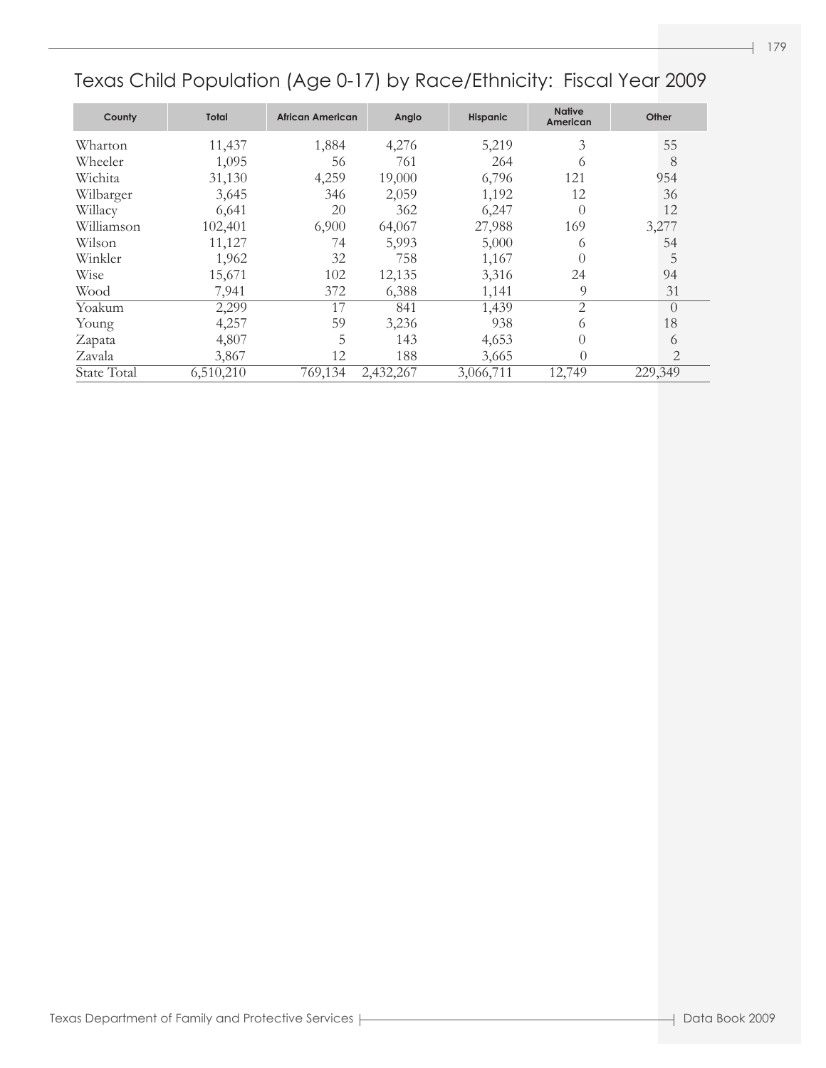| County      | <b>Total</b> | <b>African American</b> | Anglo     | <b>Hispanic</b> | <b>Native</b><br>American | Other          |
|-------------|--------------|-------------------------|-----------|-----------------|---------------------------|----------------|
| Wharton     | 11,437       | 1,884                   | 4,276     | 5,219           | 3                         | 55             |
| Wheeler     | 1,095        | 56                      | 761       | 264             | $^{(1)}$                  | 8              |
| Wichita     | 31,130       | 4,259                   | 19,000    | 6,796           | 121                       | 954            |
| Wilbarger   | 3,645        | 346                     | 2,059     | 1,192           | 12                        | 36             |
| Willacy     | 6,641        | 20                      | 362       | 6,247           | $\Omega$                  | 12             |
| Williamson  | 102,401      | 6,900                   | 64,067    | 27,988          | 169                       | 3,277          |
| Wilson      | 11,127       | 74                      | 5,993     | 5,000           | 6                         | 54             |
| Winkler     | 1,962        | 32                      | 758       | 1,167           |                           | 5              |
| Wise        | 15,671       | 102                     | 12,135    | 3,316           | 24                        | 94             |
| Wood        | 7,941        | 372                     | 6,388     | 1,141           | 9                         | 31             |
| Yoakum      | 2,299        | 17                      | 841       | 1,439           | $\overline{2}$            | $\Omega$       |
| Young       | 4,257        | 59                      | 3,236     | 938             | 6                         | 18             |
| Zapata      | 4,807        | 5                       | 143       | 4,653           | $\theta$                  | 6              |
| Zavala      | 3,867        | 12                      | 188       | 3,665           | 0                         | $\overline{2}$ |
| State Total | 6,510,210    | 769,134                 | 2,432,267 | 3,066,711       | 12,749                    | 229,349        |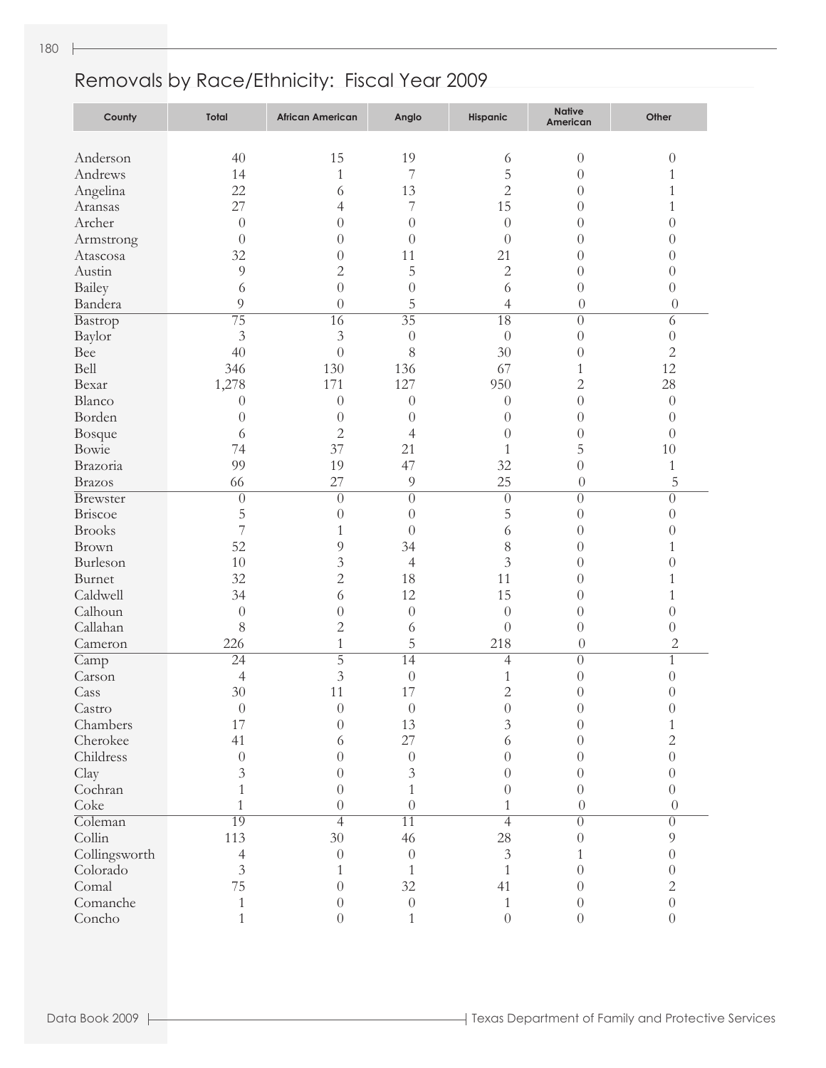| County                  | Total            | <b>African American</b> | Anglo            | Hispanic         | <b>Native</b><br>American | Other                      |
|-------------------------|------------------|-------------------------|------------------|------------------|---------------------------|----------------------------|
|                         |                  |                         |                  |                  |                           |                            |
| Anderson                | 40               | 15                      | 19               | 6                | $\boldsymbol{0}$          | $\boldsymbol{0}$           |
| Andrews                 | 14               | $\mathbf{1}$            | 7                | 5                | $\theta$                  | $\mathbf{1}$               |
| Angelina                | 22               | 6                       | 13               | $\overline{c}$   | $\theta$                  | 1                          |
| Aransas                 | 27               | 4                       | 7                | 15               | $\theta$                  | 1                          |
| Archer                  | $\theta$         | $\theta$                | $\overline{0}$   | $\boldsymbol{0}$ | $\theta$                  | $\overline{0}$             |
| Armstrong               | $\theta$         | $\theta$                | $\theta$         | $\overline{0}$   | $\theta$                  | $\overline{0}$             |
| Atascosa                | 32               | $\theta$                | 11               | 21               | $\theta$                  | $\overline{0}$             |
| Austin                  | 9                | $\overline{2}$          | 5                | $\overline{c}$   | $\theta$                  | $\overline{0}$             |
| Bailey                  | 6                | $\overline{0}$          | $\overline{0}$   | 6                | $\overline{0}$            | $\theta$                   |
| Bandera                 | 9                | $\overline{0}$          | 5                | $\overline{4}$   | $\theta$                  | $\theta$                   |
| Bastrop                 | $\overline{75}$  | 16                      | $\overline{35}$  | $\overline{18}$  | $\overline{0}$            | $\overline{6}$             |
| Baylor                  | 3                | $\mathfrak{Z}$          | $\theta$         | $\theta$         | $\boldsymbol{0}$          | $\sqrt{a}$                 |
| Bee                     | 40               | $\overline{0}$          | 8                | 30               | $\theta$                  | $\overline{2}$             |
| Bell                    | 346              | 130                     | 136              | 67               | 1                         | 12                         |
| Bexar                   | 1,278            | 171                     | 127              | 950              | $\overline{c}$            | 28                         |
| Blanco                  | $\theta$         | $\theta$                | $\boldsymbol{0}$ | $\theta$         | $\overline{0}$            | $\boldsymbol{0}$           |
| Borden                  | $\theta$         | $\theta$                | $\theta$         | $\theta$         | $\theta$                  | $\overline{0}$             |
| Bosque                  | 6                | $\overline{2}$          | $\overline{4}$   | $\overline{0}$   | $\theta$                  | $\theta$                   |
| Bowie                   | 74               | 37                      | 21               | 1                | 5                         | 10                         |
| Brazoria                | 99               | 19                      | 47               | 32               | $\overline{0}$            | $\mathbf{1}$               |
| Brazos                  | 66               | 27                      | 9                | 25               | $\theta$                  | $\overline{5}$             |
| Brewster                | $\overline{0}$   | $\overline{0}$          | $\overline{0}$   | $\overline{0}$   | $\overline{0}$            | $\overline{0}$             |
| Briscoe                 | 5                | $\theta$                | $\theta$         | 5                | $\overline{0}$            | $\theta$                   |
| <b>Brooks</b>           | 7                | 1                       | $\theta$         | 6                | $\theta$                  | $\overline{0}$             |
| Brown                   | 52               | 9                       | 34               | 8                | $\theta$                  | $\mathbf{1}$               |
| Burleson                | 10               | $\mathfrak{Z}$          | $\overline{4}$   | $\mathfrak{Z}$   | $\theta$                  | $\overline{0}$             |
| Burnet                  | 32               | $\overline{2}$          | 18               | 11               | $\theta$                  | 1                          |
| Caldwell                | 34               | 6                       | 12               | 15               | $\theta$                  | 1                          |
| Calhoun                 | $\theta$         | $\overline{0}$          | $\theta$         | $\theta$         | $\theta$                  | $\overline{0}$             |
| Callahan                | $8\,$            | $\overline{2}$          | 6                | $\theta$         | $\theta$                  | $\theta$                   |
| Cameron                 | 226              | $\mathbf{1}$            | 5                | 218              | $\theta$                  | $\overline{2}$             |
|                         | $\overline{24}$  | $\overline{5}$          | $\overline{14}$  | $\overline{4}$   | $\overline{0}$            | $\mathbf{1}$               |
| $\overline{Camp}$       |                  |                         | $\theta$         |                  |                           | $\overline{0}$             |
| Carson                  | 4<br>30          | $\mathfrak{Z}$<br>11    | 17               | 1                | $\theta$                  |                            |
| Cass                    |                  |                         |                  | $\overline{c}$   | $\theta$                  | $\overline{0}$<br>$\Omega$ |
| $\operatorname{Castro}$ | $\boldsymbol{0}$ | $\boldsymbol{0}$        | $\boldsymbol{0}$ | $\boldsymbol{0}$ | $\overline{0}$            |                            |
| Chambers                | 17               | $\overline{0}$          | 13               | $\overline{3}$   | $\overline{0}$            | 1                          |
| Cherokee                | 41               | 6                       | 27               | 6                | $\theta$                  | $\overline{c}$             |
| Childress               | $\theta$         | $\theta$                | $\theta$         | $\theta$         | $\theta$                  | $\overline{0}$             |
| Clay                    | $\mathfrak{Z}$   | $\theta$                | $\mathfrak{Z}$   | $\theta$         | $\theta$                  | $\overline{0}$             |
| Cochran                 | 1                | $\theta$                | $\mathbf{1}$     | $\theta$         | $\theta$                  | $\theta$                   |
| Coke                    | $\mathbf{1}$     | $\theta$                | $\overline{0}$   | 1                | $\overline{0}$            | $\theta$                   |
| Coleman                 | 19               | $\overline{4}$          | $\overline{11}$  | $\overline{4}$   | $\overline{0}$            | $\overline{0}$             |
| Collin                  | 113              | 30                      | 46               | $28\,$           | $\theta$                  | 9                          |
| Collingsworth           | $\overline{4}$   | $\theta$                | $\theta$         | $\mathfrak{Z}$   |                           | $\overline{0}$             |
| Colorado                | $\overline{3}$   | 1                       | 1                | 1                | $\theta$                  | $\overline{0}$             |
| Comal                   | 75               | $\theta$                | 32               | 41               | $\theta$                  | $\sqrt{2}$                 |
| Comanche                | 1                | $\theta$                | $\theta$         | 1                | $\theta$                  | $\overline{0}$             |
| Concho                  | 1                | $\overline{0}$          | $\mathbf{1}$     | $\overline{0}$   | $\overline{0}$            | $\boldsymbol{0}$           |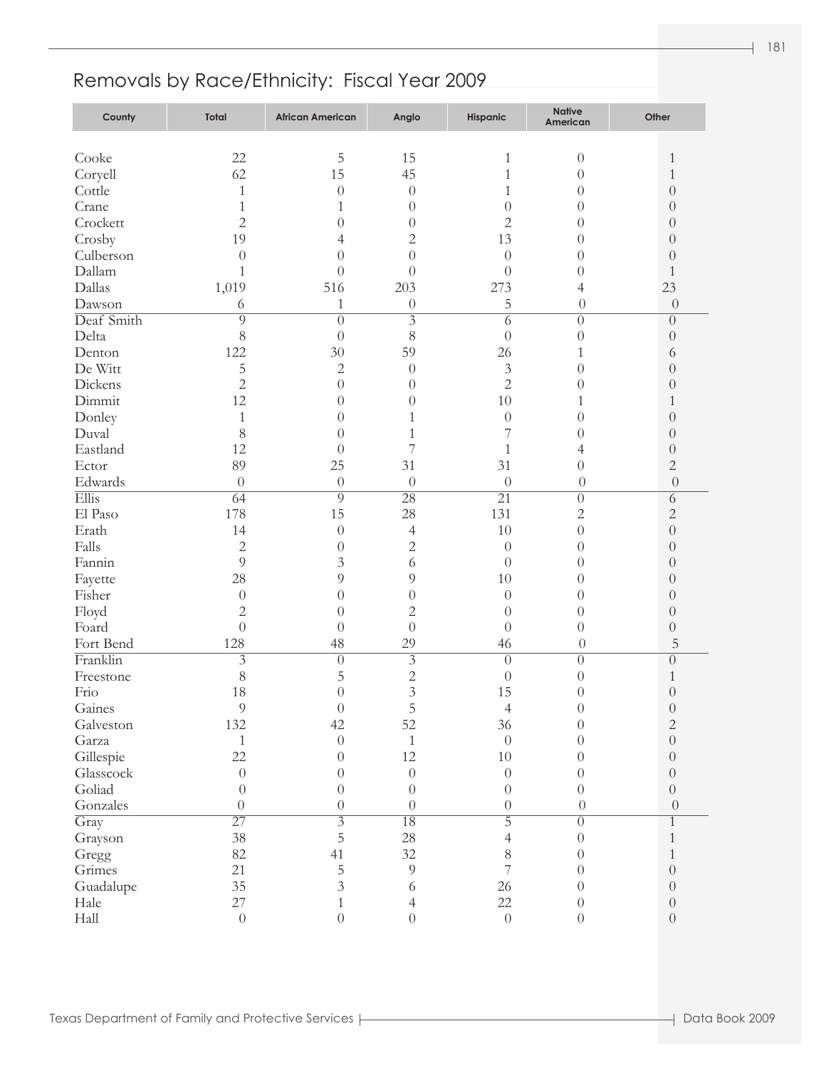| County          | <b>Total</b>     | <b>African American</b> | Anglo                              | <b>Hispanic</b>  | <b>Native</b><br>American | Other                                |
|-----------------|------------------|-------------------------|------------------------------------|------------------|---------------------------|--------------------------------------|
|                 |                  |                         |                                    |                  |                           |                                      |
| Cooke           | 22               | 5                       | 15                                 | 1                | $\theta$                  | $\mathbf{1}$                         |
| Coryell         | 62               | 15                      | 45                                 | 1                | $\theta$                  | $\mathbf{1}$                         |
| Cottle          | $\mathbf{1}$     | $\theta$                | $\theta$                           | 1                | $\theta$                  | $\theta$                             |
| Crane           | $\mathbf{1}$     | 1                       | $\theta$                           | $\theta$         | $\theta$                  | $\theta$                             |
| Crockett        | $\overline{2}$   | $\overline{0}$          | $\theta$                           | $\overline{2}$   | $\theta$                  | $\theta$                             |
| Crosby          | 19               | 4                       | $\overline{c}$                     | 13               | $\theta$                  | $\theta$                             |
| Culberson       | $\overline{0}$   | $\overline{0}$          | $\overline{0}$                     | $\boldsymbol{0}$ | $\theta$                  | $\theta$                             |
| Dallam          | $\mathbf{1}$     | $\overline{0}$          | $\overline{0}$                     | $\theta$         | $\theta$                  | $\mathbf{1}$                         |
| Dallas          | 1,019            | 516                     | 203                                | 273              | 4                         | 23                                   |
| Dawson          | 6                | $\mathbf{1}$            | $\theta$                           | 5                | $\overline{0}$            | $\theta$                             |
| Deaf Smith      | $\overline{9}$   | $\theta$                | $\overline{3}$                     | 6                | $\overline{0}$            | $\overline{0}$                       |
| Delta           | $8\,$            | $\overline{0}$          | 8                                  | $\boldsymbol{0}$ | $\theta$                  | $\boldsymbol{0}$                     |
| Denton          | 122              | 30                      | 59                                 | 26               | 1                         | 6                                    |
| De Witt         | 5                | $\mathbf{2}$            | $\theta$                           | $\mathfrak{Z}$   | $\theta$                  | $\theta$                             |
| Dickens         | $\overline{2}$   | $\overline{0}$          | $\theta$                           | $\overline{2}$   | $\overline{0}$            | $\theta$                             |
| Dimmit          | 12               | $\overline{0}$          | $\theta$                           | 10               | 1                         | $\mathbf{1}$                         |
| Donley          | $\mathbf{1}$     | $\overline{0}$          | 1                                  | $\boldsymbol{0}$ | $\overline{0}$            | $\theta$                             |
| Duval           | 8                | $\theta$                | 1                                  | 7                | $\overline{0}$            | $\theta$                             |
| Eastland        | 12               | $\overline{0}$          | 7                                  | 1                | 4                         | $\boldsymbol{0}$                     |
| Ector           | 89               | 25                      | 31                                 | 31               | $\theta$                  | $\mathbf{2}$                         |
| Edwards         | $\overline{0}$   | $\theta$                | $\theta$                           | $\boldsymbol{0}$ | $\overline{0}$            | $\theta$                             |
| Ellis           | 64               | $\overline{9}$          | $\overline{28}$                    | $\overline{21}$  | $\overline{0}$            | $\overline{6}$                       |
| El Paso         | 178              | 15                      | 28                                 | 131              | $\overline{c}$            | $\overline{c}$                       |
| Erath           | 14               | $\theta$                | $\overline{4}$                     | 10               | $\theta$                  | $\theta$                             |
| Falls           | $\overline{c}$   | $\overline{0}$          | $\overline{c}$                     | $\theta$         | $\overline{0}$            | $\theta$                             |
| Fannin          | 9                | $\mathfrak{Z}$          | 6                                  | $\theta$         | $\overline{0}$            | $\theta$                             |
| Fayette         | 28               | 9                       | 9                                  | 10               | $\theta$                  | $\theta$                             |
| Fisher          | $\theta$         | $\overline{0}$          | $\theta$                           | $\theta$         | $\theta$                  | $\theta$                             |
| Floyd           | $\overline{c}$   | $\overline{0}$          | $\overline{c}$                     | $\theta$         | $\theta$                  | $\theta$                             |
| Foard           | $\overline{0}$   | $\overline{0}$          | $\overline{0}$                     | $\theta$         | $\theta$                  | $\boldsymbol{0}$                     |
| Fort Bend       | 128              | 48                      | 29                                 | 46               | $\overline{0}$            | 5                                    |
| Franklin        | $\overline{3}$   | $\theta$                | $\overline{3}$                     | $\overline{0}$   | $\theta$                  | $\overline{0}$                       |
| Freestone       | 8                | 5                       | $\overline{c}$                     | $\theta$         | $\theta$                  | $\mathbf{1}$                         |
| Frio            | 18               | $\overline{0}$          | $\mathfrak{Z}$                     | 15               | $\theta$                  | $\boldsymbol{0}$                     |
| Gaines          | 9                | $\boldsymbol{0}$        | 5                                  | $\overline{4}$   | $\theta$                  | $\boldsymbol{0}$                     |
| Galveston       | 132              | 42                      | 52                                 | 36               | $\theta$                  | $\sqrt{2}$                           |
| Garza           | $\mathbf{1}$     | $\boldsymbol{0}$        | $\mathbf{1}$                       | $\boldsymbol{0}$ | $\overline{0}$            | $\boldsymbol{0}$                     |
| Gillespie       | 22               | $\overline{0}$          | 12                                 | $10\,$           | $\theta$                  | $\boldsymbol{0}$                     |
| Glasscock       | $\boldsymbol{0}$ | $\theta$                | $\boldsymbol{0}$                   | $\boldsymbol{0}$ | $\theta$                  | $\boldsymbol{0}$                     |
| Goliad          | $\theta$         | $\theta$                | $\boldsymbol{0}$                   | $\boldsymbol{0}$ | $\theta$                  | $\boldsymbol{0}$                     |
| Gonzales        | $\overline{0}$   | $\theta$                | $\theta$                           | $\boldsymbol{0}$ | $\boldsymbol{0}$          | $\theta$                             |
| Gray            | $\overline{27}$  | $\overline{3}$          | $\overline{18}$                    | $\overline{5}$   | $\overline{0}$            | $\overline{1}$                       |
|                 | 38               | 5                       | 28                                 | $\overline{4}$   | $\theta$                  | $\mathbf{1}$                         |
| Grayson         | 82               | 41                      | 32                                 | $8\,$            | $\theta$                  | $\mathbf{1}$                         |
| Gregg<br>Grimes | 21               |                         | $\overline{9}$                     | $\overline{7}$   | $\theta$                  | $\boldsymbol{0}$                     |
|                 | 35               | $\mathbf 5$             |                                    | 26               |                           |                                      |
| Guadalupe       | 27               | $\overline{3}$          | 6                                  | 22               | $\theta$                  | $\boldsymbol{0}$                     |
| Hale<br>Hall    | $\boldsymbol{0}$ | 1<br>$\overline{0}$     | $\overline{4}$<br>$\boldsymbol{0}$ | $\boldsymbol{0}$ | $\theta$<br>$\theta$      | $\boldsymbol{0}$<br>$\boldsymbol{0}$ |
|                 |                  |                         |                                    |                  |                           |                                      |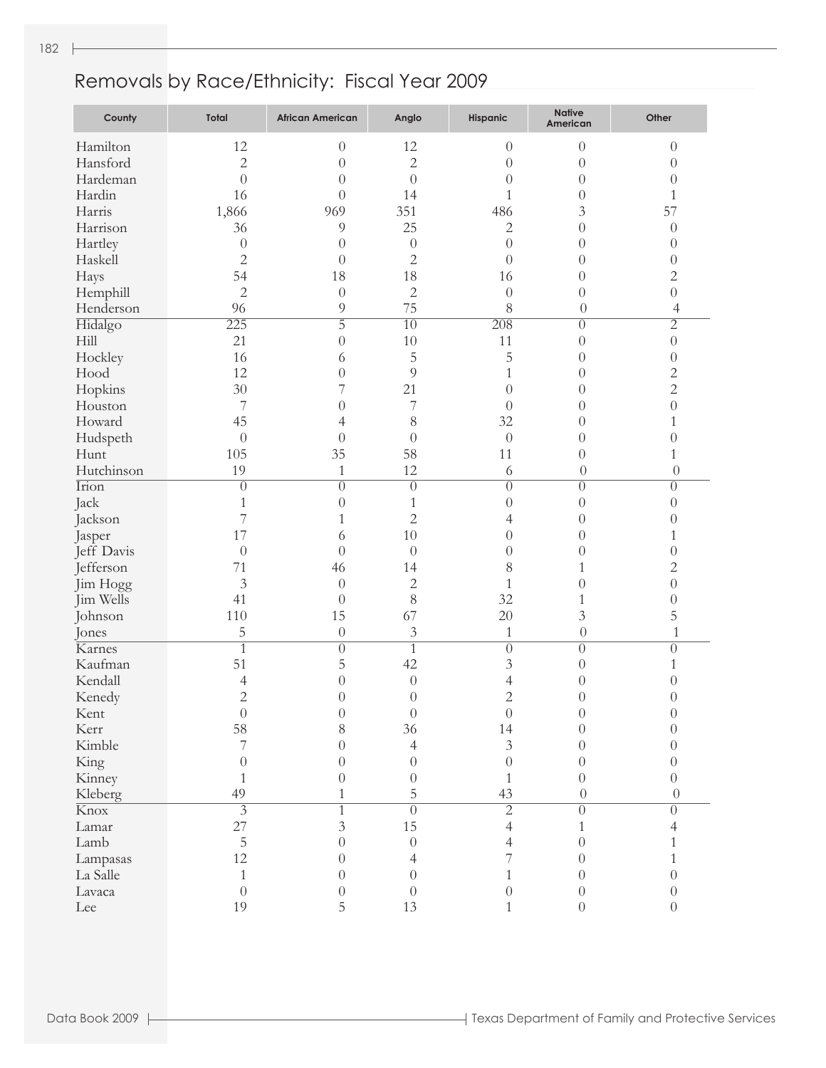| County                    | Total            | <b>African American</b> | Anglo            | Hispanic         | <b>Native</b><br>American | Other            |
|---------------------------|------------------|-------------------------|------------------|------------------|---------------------------|------------------|
| Hamilton                  | 12               | $\theta$                | 12               | $\theta$         | $\overline{0}$            | $\theta$         |
| Hansford                  | $\overline{2}$   | $\overline{0}$          | $\sqrt{2}$       | $\theta$         | $\theta$                  | $\theta$         |
| Hardeman                  | $\overline{0}$   | $\theta$                | $\overline{0}$   | $\theta$         | $\overline{0}$            | $\theta$         |
| Hardin                    | 16               | $\theta$                | 14               | 1                | $\theta$                  | 1                |
| Harris                    | 1,866            | 969                     | 351              | 486              | 3                         | 57               |
| Harrison                  | 36               | 9                       | 25               | $\mathbf{2}$     | $\overline{0}$            | $\theta$         |
| Hartley                   | $\theta$         | $\theta$                | $\theta$         | $\overline{0}$   | $\overline{0}$            | $\theta$         |
| Haskell                   | $\overline{c}$   | $\theta$                | $\overline{2}$   | $\theta$         | $\overline{0}$            | $\theta$         |
| Hays                      | 54               | 18                      | 18               | 16               | $\overline{0}$            | $\overline{c}$   |
| Hemphill                  | $\overline{2}$   | $\theta$                | $\overline{2}$   | $\boldsymbol{0}$ | $\theta$                  | $\boldsymbol{0}$ |
| Henderson                 | 96               | $\overline{9}$          | 75               | 8                | $\theta$                  | $\overline{4}$   |
| Hidalgo                   | 225              | $\overline{5}$          | $\overline{10}$  | $\overline{208}$ | $\overline{0}$            | $\overline{2}$   |
| Hill                      | 21               | $\theta$                | 10               | 11               | $\theta$                  | $\theta$         |
| Hockley                   | 16               | 6                       | 5                | 5                | $\theta$                  | $\theta$         |
| Hood                      | 12               | $\theta$                | 9                | 1                | $\theta$                  | $\overline{c}$   |
| Hopkins                   | 30               | 7                       | 21               | $\theta$         | $\overline{0}$            | $\overline{c}$   |
| Houston                   | 7                | $\theta$                | 7                | $\theta$         | $\overline{0}$            | $\theta$         |
| Howard                    | 45               | 4                       | 8                | 32               | $\overline{0}$            | 1                |
| Hudspeth                  | $\theta$         | $\theta$                | $\theta$         | $\theta$         | $\overline{0}$            | $\theta$         |
| Hunt                      | 105              | 35                      | 58               | 11               | $\overline{0}$            | 1                |
| Hutchinson                | 19               | $\mathbf{1}$            | 12               | 6                | $\theta$                  | $\overline{0}$   |
| $\overline{\text{Irion}}$ | $\overline{0}$   | $\overline{0}$          | $\overline{0}$   | $\overline{0}$   | $\overline{0}$            | $\overline{0}$   |
| Jack                      | 1                | $\theta$                | 1                | $\theta$         | $\theta$                  | $\theta$         |
| Jackson                   | 7                | 1                       | $\overline{2}$   | 4                | $\overline{0}$            | $\theta$         |
| Jasper                    | 17               | 6                       | 10               | $\theta$         | $\overline{0}$            | 1                |
| Jeff Davis                | $\theta$         | $\theta$                | $\theta$         | $\theta$         | $\overline{0}$            | $\theta$         |
| Jefferson                 | 71               | 46                      | 14               | 8                | 1                         | $\overline{c}$   |
| Jim Hogg                  | 3                | $\theta$                | $\mathbf{2}$     | 1                | $\overline{0}$            | $\theta$         |
| Jim Wells                 | 41               | $\theta$                | 8                | 32               | 1                         | $\theta$         |
| Johnson                   | 110              | 15                      | 67               | 20               | 3                         | 5                |
| Jones                     | 5                | $\theta$                | $\mathfrak{Z}$   | 1                | $\theta$                  | $\mathbf 1$      |
| Karnes                    | $\overline{1}$   | $\overline{0}$          | $\mathbf{1}$     | $\overline{0}$   | $\overline{0}$            | $\overline{0}$   |
| Kaufman                   | 51               | 5                       | 42               | $\overline{3}$   | $\theta$                  | 1                |
| Kendall                   | 4                | $\overline{0}$          | $\theta$         | 4                | $\theta$                  | $\theta$         |
| Kenedy                    | $\overline{2}$   | $\overline{0}$          | $\theta$         | $\overline{2}$   | $\theta$                  | $\theta$         |
| Kent                      | $\boldsymbol{0}$ | $\theta$                | $\boldsymbol{0}$ | $\boldsymbol{0}$ | $\left( \right)$          | $\theta$         |
| Kerr                      | 58               | 8                       | 36               | 14               | $\Omega$                  | 0                |
| Kimble                    | 7                | $\Omega$                | $\overline{4}$   | $\mathfrak{Z}$   | $\Omega$                  | 0                |
| King                      | $\theta$         | $\overline{0}$          | $\theta$         | $\overline{0}$   | $\theta$                  | $\theta$         |
| Kinney                    | 1                | $\overline{0}$          | $\theta$         | 1                | $\theta$                  | $\overline{0}$   |
| Kleberg                   | 49               | 1                       | 5                | 43               | $\theta$                  | $\theta$         |
| Knox <sup></sup>          | $\overline{3}$   | $\overline{1}$          | $\overline{0}$   | $\overline{2}$   | $\overline{0}$            | $\overline{0}$   |
| Lamar                     | 27               | $\mathfrak{Z}$          | 15               | $\overline{4}$   | 1                         | 4                |
| Lamb                      | 5                | $\overline{0}$          | $\theta$         | 4                | $\theta$                  | 1                |
| Lampasas                  | 12               | $\theta$                | 4                | 7                | $\Omega$                  | 1                |
| La Salle                  | $\mathbf{1}$     | $\theta$                | $\theta$         | 1                | $\Omega$                  | $\theta$         |
| Lavaca                    | $\overline{0}$   | $\theta$                | $\theta$         | $\boldsymbol{0}$ | $\theta$                  | $\theta$         |
| Lee                       | 19               | 5                       | 13               | 1                | $\theta$                  | $\theta$         |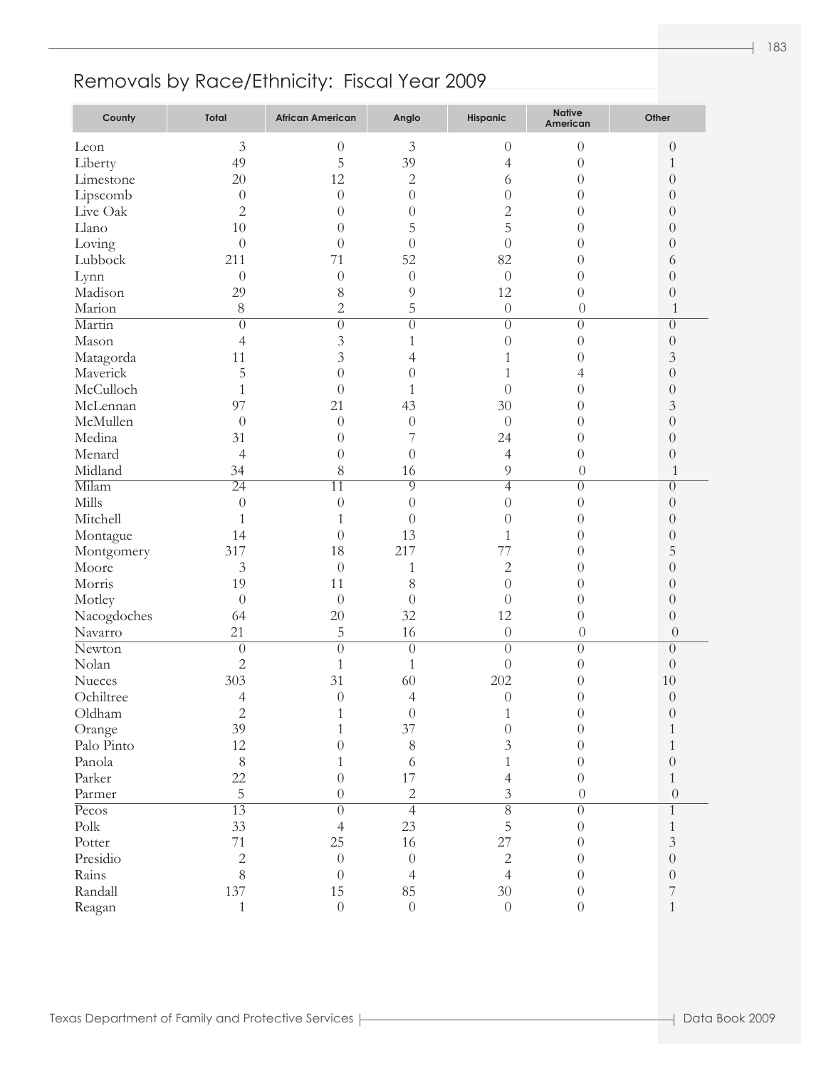| County      | Total           | <b>African American</b> | Anglo            | Hispanic         | <b>Native</b><br>American | Other            |
|-------------|-----------------|-------------------------|------------------|------------------|---------------------------|------------------|
| Leon        | $\mathfrak{Z}$  | $\theta$                | 3                | $\theta$         | $\theta$                  | $\theta$         |
| Liberty     | 49              | 5                       | 39               | 4                | $\theta$                  | $\mathbf{1}$     |
| Limestone   | 20              | 12                      | $\overline{2}$   | 6                | $\overline{0}$            | $\theta$         |
| Lipscomb    | $\theta$        | $\theta$                | $\theta$         | $\boldsymbol{0}$ | $\overline{0}$            | $\theta$         |
| Live Oak    | $\overline{c}$  | $\theta$                | $\theta$         | $\overline{2}$   | $\overline{0}$            | $\theta$         |
| Llano       | 10              | $\overline{0}$          | 5                | 5                | $\overline{0}$            | $\theta$         |
| Loving      | $\overline{0}$  | $\theta$                | $\overline{0}$   | $\overline{0}$   | $\theta$                  | $\theta$         |
| Lubbock     | 211             | 71                      | 52               | 82               | $\theta$                  | 6                |
| Lynn        | $\theta$        | $\theta$                | $\theta$         | $\theta$         | $\boldsymbol{0}$          | $\overline{0}$   |
| Madison     | 29              | 8                       | 9                | 12               | $\overline{0}$            | $\overline{0}$   |
| Marion      | $8\,$           | $\overline{2}$          | 5                | $\boldsymbol{0}$ | $\overline{0}$            | $\mathbf{1}$     |
| Martin      | $\overline{0}$  | $\overline{0}$          | $\overline{0}$   | $\theta$         | $\overline{0}$            | $\theta$         |
| Mason       | $\overline{4}$  | 3                       | 1                | $\boldsymbol{0}$ | $\theta$                  | $\boldsymbol{0}$ |
| Matagorda   | 11              | 3                       | 4                | 1                | $\overline{0}$            | $\mathfrak{Z}$   |
| Maverick    | 5               | $\overline{0}$          | $\theta$         | 1                | 4                         | $\overline{0}$   |
| McCulloch   | 1               | $\overline{0}$          | 1                | $\overline{0}$   | $\theta$                  | $\overline{0}$   |
| McLennan    | 97              | 21                      | 43               | 30               | $\theta$                  | $\mathfrak{Z}$   |
| McMullen    | $\theta$        | $\theta$                | $\theta$         | $\theta$         | $\theta$                  | $\overline{0}$   |
| Medina      | 31              | $\overline{0}$          | 7                | 24               | $\boldsymbol{0}$          | $\overline{0}$   |
| Menard      | $\overline{4}$  | $\overline{0}$          | $\overline{0}$   | 4                | $\overline{0}$            | $\overline{0}$   |
| Midland     | 34              | 8                       | 16               | 9                | $\theta$                  | $\mathbf{1}$     |
| Milam       | $\overline{24}$ | $\overline{11}$         | 9                | 4                | $\overline{0}$            | $\theta$         |
| Mills       | $\overline{0}$  | $\overline{0}$          | $\theta$         | $\theta$         | $\theta$                  | $\theta$         |
| Mitchell    | 1               | 1                       | $\theta$         | $\theta$         | $\theta$                  | $\overline{0}$   |
| Montague    | 14              | $\overline{0}$          | 13               | 1                | $\theta$                  | $\theta$         |
| Montgomery  | 317             | 18                      | 217              | 77               | $\theta$                  | 5                |
| Moore       | 3               | $\theta$                | 1                | 2                | $\theta$                  | $\overline{0}$   |
| Morris      | 19              | 11                      | 8                | $\overline{0}$   | $\theta$                  | $\overline{0}$   |
| Motley      | $\overline{0}$  | $\theta$                | $\overline{0}$   | $\theta$         | $\boldsymbol{0}$          | $\overline{0}$   |
| Nacogdoches | 64              | 20                      | 32               | 12               | $\theta$                  | $\theta$         |
| Navarro     | 21              | $\mathbf 5$             | 16               | $\boldsymbol{0}$ | $\theta$                  | $\theta$         |
| Newton      | $\theta$        | $\overline{0}$          | $\overline{0}$   | $\theta$         | $\overline{0}$            | $\theta$         |
| Nolan       | $\overline{2}$  | $\mathbf{1}$            | $\mathbf{1}$     | $\theta$         | $\theta$                  | $\theta$         |
| Nueces      | 303             | 31                      | 60               | 202              | $\theta$                  | 10               |
| Ochiltree   | 4               | $\overline{0}$          | 4                | $\boldsymbol{0}$ | $\theta$                  | $\theta$         |
| Oldham      | 2               |                         | $\theta$         |                  | $\theta$                  | $\cup$           |
| Orange      | 39              | 1                       | 37               | $\boldsymbol{0}$ | $\theta$                  | 1                |
| Palo Pinto  | 12              | $\overline{0}$          | 8                | 3                | $\theta$                  | 1                |
| Panola      | $8\,$           | 1                       | 6                | 1                | $\theta$                  | $\theta$         |
| Parker      | 22              | $\overline{0}$          | 17               | $\overline{4}$   | $\theta$                  | $\mathbf{1}$     |
| Parmer      | 5               | $\theta$                | $\mathbf{2}$     | 3                | $\theta$                  | $\theta$         |
| Pecos       | $\overline{13}$ | $\overline{0}$          | $\overline{4}$   | $\overline{8}$   | $\overline{0}$            | 1                |
| Polk        | 33              | $\overline{4}$          | 23               | $\mathbf 5$      | $\theta$                  | $\mathbf{1}$     |
| Potter      | 71              | 25                      | 16               | 27               | $\theta$                  | $\mathfrak{Z}$   |
| Presidio    | $\mathbf{2}$    | $\boldsymbol{0}$        | $\theta$         | $\mathbf{2}$     | $\theta$                  | $\boldsymbol{0}$ |
| Rains       | $8\,$           | $\overline{0}$          | $\overline{4}$   | $\overline{4}$   | $\theta$                  | $\boldsymbol{0}$ |
| Randall     | 137             | 15                      | 85               | 30               | $\theta$                  | 7                |
| Reagan      | $\mathbf{1}$    | $\boldsymbol{0}$        | $\boldsymbol{0}$ | $\boldsymbol{0}$ | $\overline{0}$            | $\mathbf{1}$     |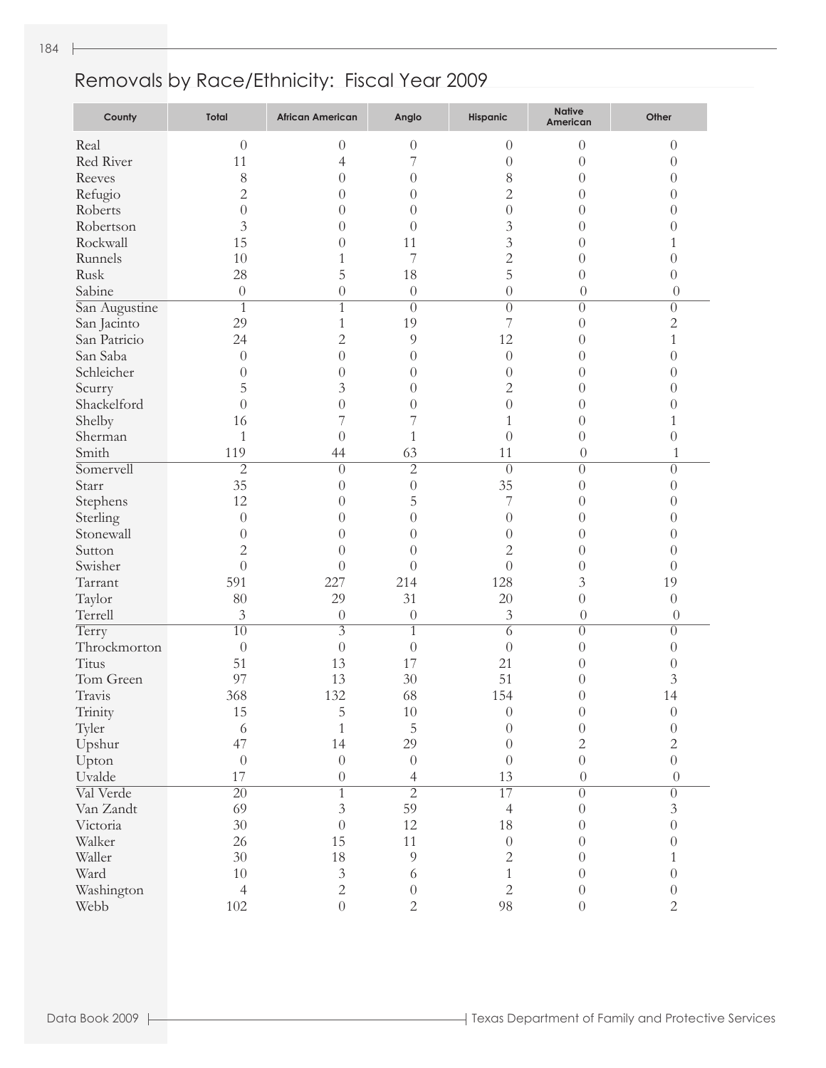| County        | Total            | <b>African American</b> | Anglo            | Hispanic         | <b>Native</b><br>American | Other            |
|---------------|------------------|-------------------------|------------------|------------------|---------------------------|------------------|
| Real          | $\overline{0}$   | $\theta$                | $\theta$         | $\overline{0}$   | $\theta$                  | $\theta$         |
| Red River     | 11               | 4                       | 7                | $\theta$         | $\theta$                  | 0                |
| Reeves        | 8                | 0                       | $\overline{0}$   | 8                | $\theta$                  | 0                |
| Refugio       | $\overline{c}$   | $\theta$                | $\theta$         | $\mathbf{2}$     | $\theta$                  | 0                |
| Roberts       | $\theta$         | $\theta$                | $\left( \right)$ | $\theta$         | $\theta$                  | 0                |
| Robertson     | 3                | 0                       | $\left( \right)$ | 3                | $\theta$                  | $_{()}$          |
| Rockwall      | 15               | 0                       | 11               | 3                | $\overline{0}$            |                  |
| Runnels       | 10               | 1                       | 7                | $\overline{c}$   | $\overline{0}$            | 0                |
| Rusk          | 28               | 5                       | 18               | 5                | $\overline{0}$            | 0                |
| Sabine        | $\boldsymbol{0}$ | $\boldsymbol{0}$        | $\theta$         | $\theta$         | $\theta$                  | $\theta$         |
| San Augustine | $\mathbf{1}$     | 1                       | $\overline{0}$   | $\theta$         | $\theta$                  | $\overline{0}$   |
| San Jacinto   | 29               | 1                       | 19               | 7                | $\theta$                  | $\overline{c}$   |
| San Patricio  | 24               | $\overline{2}$          | 9                | 12               | $\overline{0}$            | $\mathbf{1}$     |
| San Saba      | $\theta$         | $\theta$                | $\theta$         | $\overline{0}$   | $\overline{0}$            | 0                |
| Schleicher    | $\theta$         | $\theta$                | $\theta$         | $\overline{0}$   | $\left( \right)$          | 0                |
| Scurry        | 5                | 3                       | $\theta$         | $\mathbf{2}$     | $\left( \right)$          | $\left( \right)$ |
| Shackelford   | $\theta$         | $\overline{0}$          | $\theta$         | $\overline{0}$   | $\left( \right)$          | $_{0}$           |
| Shelby        | 16               | 7                       |                  | 1                | $\overline{0}$            | 1                |
| Sherman       | $\mathbf{1}$     | $\theta$                | $\mathbf{1}$     | $\overline{0}$   | $\overline{0}$            | 0                |
| Smith         | 119              | 44                      | 63               | 11               | $\theta$                  | 1                |
| Somervell     | $\overline{2}$   | $\Omega$                | $\overline{2}$   | $\overline{0}$   | $\theta$                  | $\theta$         |
| Starr         | 35               | $\theta$                | $\theta$         | 35               | $\theta$                  | 0                |
| Stephens      | 12               | $\theta$                | 5                | 7                | $\overline{0}$            | 0                |
| Sterling      | $\theta$         | $\theta$                | $\theta$         | $\overline{0}$   | $\theta$                  | 0                |
| Stonewall     | $\theta$         | 0                       | $\left( \right)$ | $\theta$         | $\theta$                  | 0                |
| Sutton        | $\overline{c}$   | $\theta$                | $\left( \right)$ | $\mathbf{2}$     | $\theta$                  | 0                |
| Swisher       | $\overline{0}$   | $\theta$                | $\theta$         | $\overline{0}$   | $\overline{0}$            | 0                |
| Tarrant       | 591              | 227                     | 214              | 128              | 3                         | 19               |
| Taylor        | 80               | 29                      | 31               | 20               | $\overline{0}$            | $\overline{0}$   |
| Terrell       | 3                | $\theta$                | $\boldsymbol{0}$ | 3                | $\theta$                  | $\theta$         |
| Terry         | $\overline{10}$  | $\overline{3}$          | $\overline{1}$   | 6                | $\theta$                  | $\overline{0}$   |
| Throckmorton  | $\theta$         | $\theta$                | $\theta$         | $\theta$         | $\theta$                  | $\overline{0}$   |
| Titus         | 51               | 13                      | 17               | 21               | $\left( \right)$          | $\theta$         |
| Tom Green     | 97               | 13                      | 30               | 51               | $\theta$                  | $\mathfrak{Z}$   |
| Travis        | 368              | 132                     | 68               | 154              | $\theta$                  | 14               |
| Trinity       | 15               | 5                       | 10               | $\left( \right)$ | $\theta$                  | 0                |
| Tyler         | 6                | $\mathbf{1}$            | $\overline{5}$   | $\theta$         | $\boldsymbol{0}$          | $\theta$         |
| Upshur        | 47               | 14                      | 29               | $\overline{0}$   | $\overline{2}$            | $\overline{2}$   |
| Upton         | $\boldsymbol{0}$ | $\boldsymbol{0}$        | $\boldsymbol{0}$ | $\overline{0}$   | $\boldsymbol{0}$          | $\boldsymbol{0}$ |
| Uvalde        | 17               | $\boldsymbol{0}$        | $\overline{4}$   | 13               | $\theta$                  | $\theta$         |
| Val Verde     | $\overline{20}$  | $\overline{1}$          | $\overline{2}$   | 17               | $\overline{0}$            | $\overline{0}$   |
| Van Zandt     | 69               | $\overline{3}$          | 59               | $\overline{4}$   | $\boldsymbol{0}$          | $\mathfrak{Z}$   |
| Victoria      | 30               | $\boldsymbol{0}$        | 12               | 18               | $\theta$                  | $\overline{0}$   |
| Walker        | 26               | 15                      | 11               | $\boldsymbol{0}$ | $\theta$                  | $\theta$         |
| Waller        | 30               | $18\,$                  | $\overline{9}$   | $\sqrt{2}$       | $\theta$                  | $\mathbf{1}$     |
| Ward          | 10               | $\mathfrak{Z}$          | 6                | $\mathbf{1}$     | $\theta$                  | $\boldsymbol{0}$ |
| Washington    | $\overline{4}$   | $\overline{2}$          | $\theta$         | $\overline{c}$   | $\boldsymbol{0}$          | $\boldsymbol{0}$ |
| Webb          | 102              | $\overline{0}$          | $\sqrt{2}$       | 98               | $\boldsymbol{0}$          | $\overline{2}$   |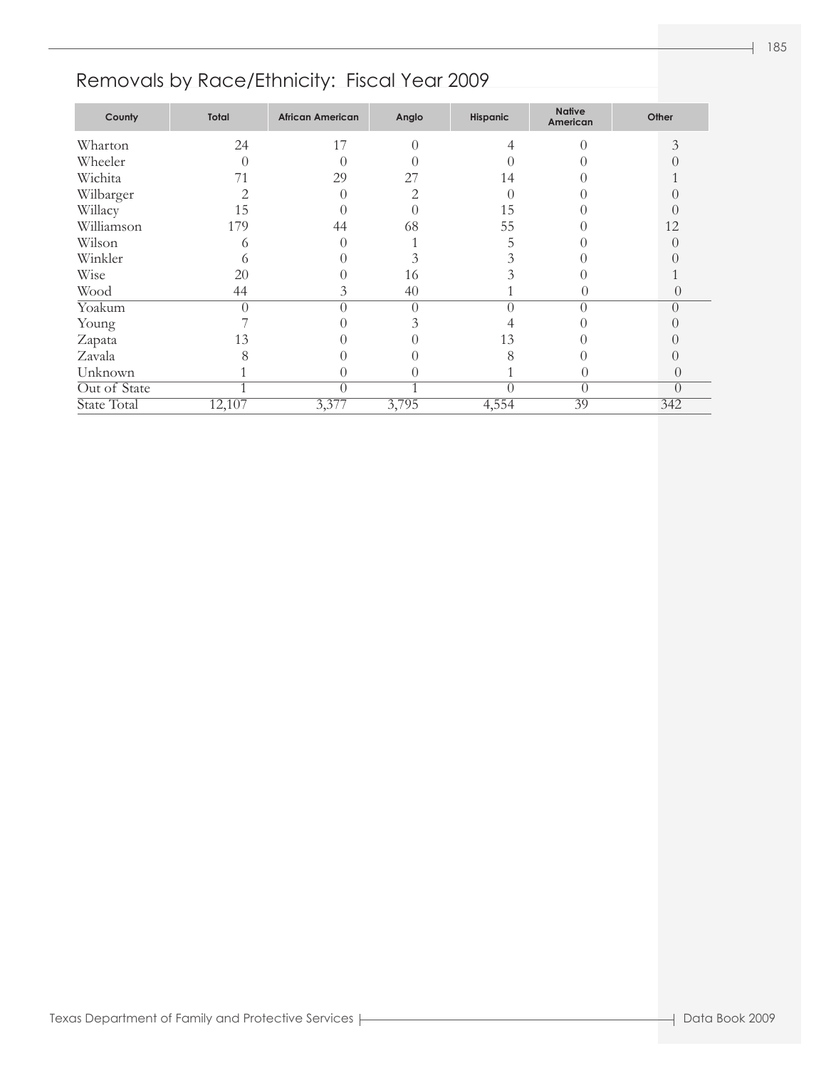| County       | Total  | <b>African American</b> | Anglo | Hispanic | <b>Native</b><br>American | Other     |
|--------------|--------|-------------------------|-------|----------|---------------------------|-----------|
| Wharton      | 24     | 17                      |       | 4        |                           | 3         |
| Wheeler      |        | $\left( \right)$        |       |          |                           |           |
| Wichita      | 71     | 29                      | 27    | 14       |                           |           |
| Wilbarger    |        |                         | っ     |          |                           |           |
| Willacy      | 15     |                         |       | 15       |                           |           |
| Williamson   | 179    | 44                      | 68    | 55       |                           | 12        |
| Wilson       | O      |                         |       |          |                           | $\bigcap$ |
| Winkler      | 6      |                         |       |          |                           |           |
| Wise         | 20     |                         | 16    |          |                           |           |
| Wood         | 44     | 3                       | 40    |          |                           |           |
| Yoakum       |        | 0                       | 0     |          |                           | $\bigcap$ |
| Young        |        |                         |       |          |                           |           |
| Zapata       | 13     |                         |       | 13       |                           |           |
| Zavala       |        |                         |       | 8        |                           |           |
| Unknown      |        |                         |       |          | O                         |           |
| Out of State |        | 0                       |       |          | $\Omega$                  | $\Omega$  |
| State Total  | 12,107 | 3,377                   | 3,795 | 4,554    | 39                        | 342       |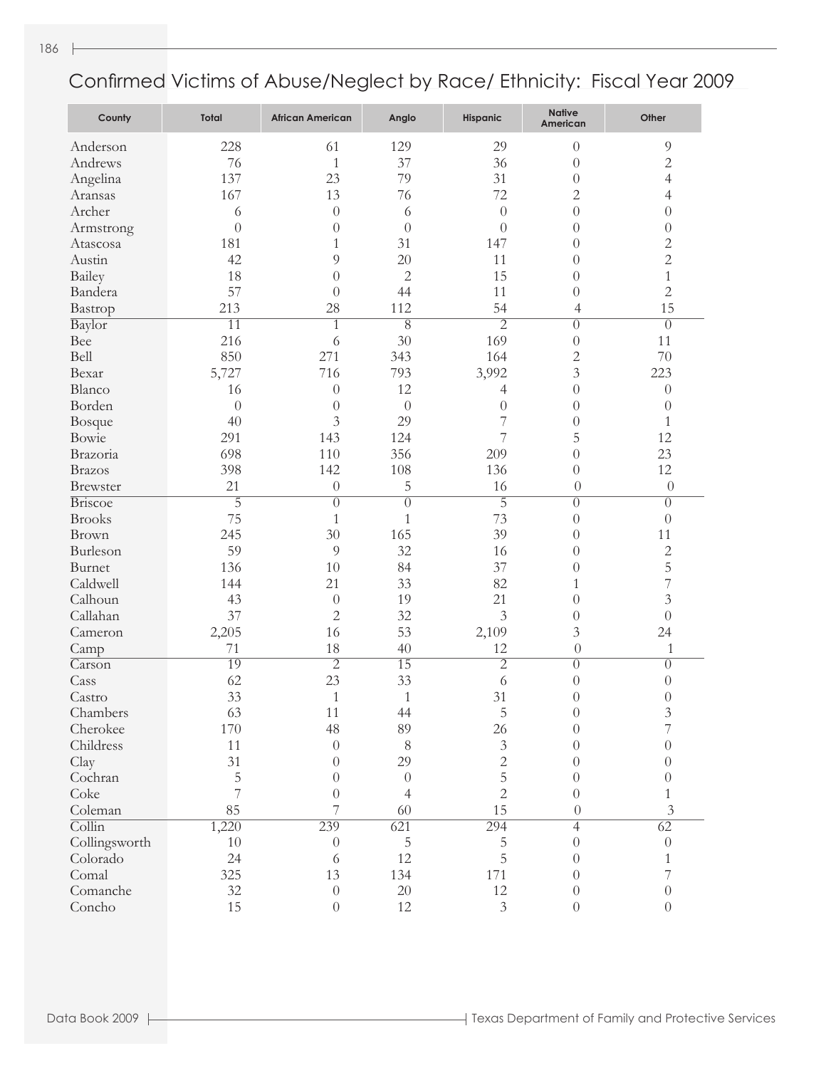| County                     | Total           | <b>African American</b> | Anglo           | Hispanic       | <b>Native</b><br>American | Other          |
|----------------------------|-----------------|-------------------------|-----------------|----------------|---------------------------|----------------|
| Anderson                   | 228             | 61                      | 129             | 29             | $\overline{0}$            | $\overline{9}$ |
| Andrews                    | 76              | $\mathbf{1}$            | 37              | 36             | $\theta$                  | $\overline{c}$ |
| Angelina                   | 137             | 23                      | 79              | 31             | $\theta$                  | $\overline{4}$ |
| Aransas                    | 167             | 13                      | 76              | 72             | $\overline{c}$            | 4              |
| Archer                     | 6               | $\overline{0}$          | 6               | $\overline{0}$ | $\overline{0}$            | $\theta$       |
| Armstrong                  | $\overline{0}$  | $\theta$                | $\overline{0}$  | $\overline{0}$ | $\overline{0}$            | $\theta$       |
| Atascosa                   | 181             | 1                       | 31              | 147            | $\overline{0}$            | $\overline{c}$ |
| Austin                     | 42              | 9                       | 20              | 11             | $\overline{0}$            | $\overline{c}$ |
| <b>Bailey</b>              | 18              | $\overline{0}$          | $\mathbf{2}$    | 15             | $\overline{0}$            | $\mathbf{1}$   |
| Bandera                    | 57              | $\theta$                | 44              | 11             | $\theta$                  | $\overline{c}$ |
| Bastrop                    | 213             | 28                      | 112             | 54             | $\overline{4}$            | 15             |
| Baylor                     | $\overline{11}$ | $\mathbf{1}$            | $\overline{8}$  | $\overline{2}$ | $\overline{0}$            | $\overline{0}$ |
| Bee                        | 216             | 6                       | 30              | 169            | $\theta$                  | 11             |
| Bell                       | 850             | 271                     | 343             | 164            | $\overline{c}$            | 70             |
| Bexar                      | 5,727           | 716                     | 793             | 3,992          | $\overline{3}$            | 223            |
| Blanco                     | 16              | $\theta$                | 12              | 4              | $\theta$                  | $\theta$       |
| Borden                     | $\theta$        | $\overline{0}$          | $\theta$        | $\theta$       | $\overline{0}$            | $\theta$       |
| Bosque                     | 40              | 3                       | 29              | 7              | $\theta$                  | $\mathbf{1}$   |
| Bowie                      | 291             | 143                     | 124             | 7              | 5                         | 12             |
| Brazoria                   | 698             | 110                     | 356             | 209            | $\overline{0}$            | 23             |
| <b>Brazos</b>              | 398             | 142                     | 108             | 136            | $\theta$                  | 12             |
| <b>Brewster</b>            | 21              | $\theta$                | 5               | 16             | $\theta$                  | $\theta$       |
| <b>Briscoe</b>             | $\overline{5}$  | $\overline{0}$          | $\overline{0}$  | $\overline{5}$ | $\overline{0}$            | $\overline{0}$ |
| <b>Brooks</b>              | 75              | 1                       | $\mathbf{1}$    | 73             | $\theta$                  | $\theta$       |
| Brown                      | 245             | 30                      | 165             | 39             | $\theta$                  | 11             |
| Burleson                   | 59              | 9                       | 32              | 16             | $\theta$                  | $\overline{c}$ |
| Burnet                     | 136             | 10                      | 84              | 37             | $\theta$                  | 5              |
| Caldwell                   | 144             | 21                      | 33              | 82             | 1                         | 7              |
| Calhoun                    | 43              | $\overline{0}$          | 19              | 21             | $\theta$                  | $\mathfrak{Z}$ |
| Callahan                   | 37              | $\overline{c}$          | 32              | $\overline{3}$ | $\theta$                  | $\theta$       |
| Cameron                    | 2,205           | 16                      | 53              | 2,109          | 3                         | 24             |
| Camp                       | 71              | 18                      | 40              | 12             | $\theta$                  | $\mathbf{1}$   |
| Carson                     | 19              | $\overline{2}$          | $\overline{15}$ | $\overline{2}$ | $\overline{0}$            | $\theta$       |
| Cass                       | 62              | 23                      | 33              | 6              | $\theta$                  | $\theta$       |
| Castro                     | 33              | 1                       | $\mathbf{1}$    | 31             | $\theta$                  | $\theta$       |
| Chambers                   | 63              | 11                      | 44              | 5              | $\theta$                  | $\mathfrak{Z}$ |
| Cherokee                   | 170             | 48                      | 89              | 26             | $\theta$                  | 7              |
| Childress                  | 11              | $\overline{0}$          | 8               | $\mathfrak{Z}$ | $\Omega$                  | $\theta$       |
| Clay                       | 31              | $\theta$                | 29              | $\overline{2}$ | $\Omega$                  | $\Omega$       |
| Cochran                    | 5               | $\overline{0}$          | $\theta$        | 5              | $\Omega$                  | $\Omega$       |
| Coke                       | 7               | $\overline{0}$          | $\overline{4}$  | $\overline{2}$ | $\theta$                  | 1              |
| Coleman                    | 85              | 7                       | 60              | 15             | $\theta$                  | 3              |
| $\overline{\text{Collin}}$ | 1,220           | 239                     | 621             | 294            | $\overline{4}$            | 62             |
| Collingsworth              | $10\,$          | $\theta$                | 5               | 5              | $\Omega$                  | $\theta$       |
| Colorado                   | 24              | 6                       | 12              | 5              | $\Omega$                  | 1              |
| Comal                      | 325             | 13                      | 134             | 171            | $\Omega$                  | 7              |
| Comanche                   | 32              | $\boldsymbol{0}$        | $20\,$          | 12             | $\theta$                  | $\theta$       |
| Concho                     | 15              | $\theta$                | 12              | $\mathfrak{Z}$ | $\theta$                  | $\theta$       |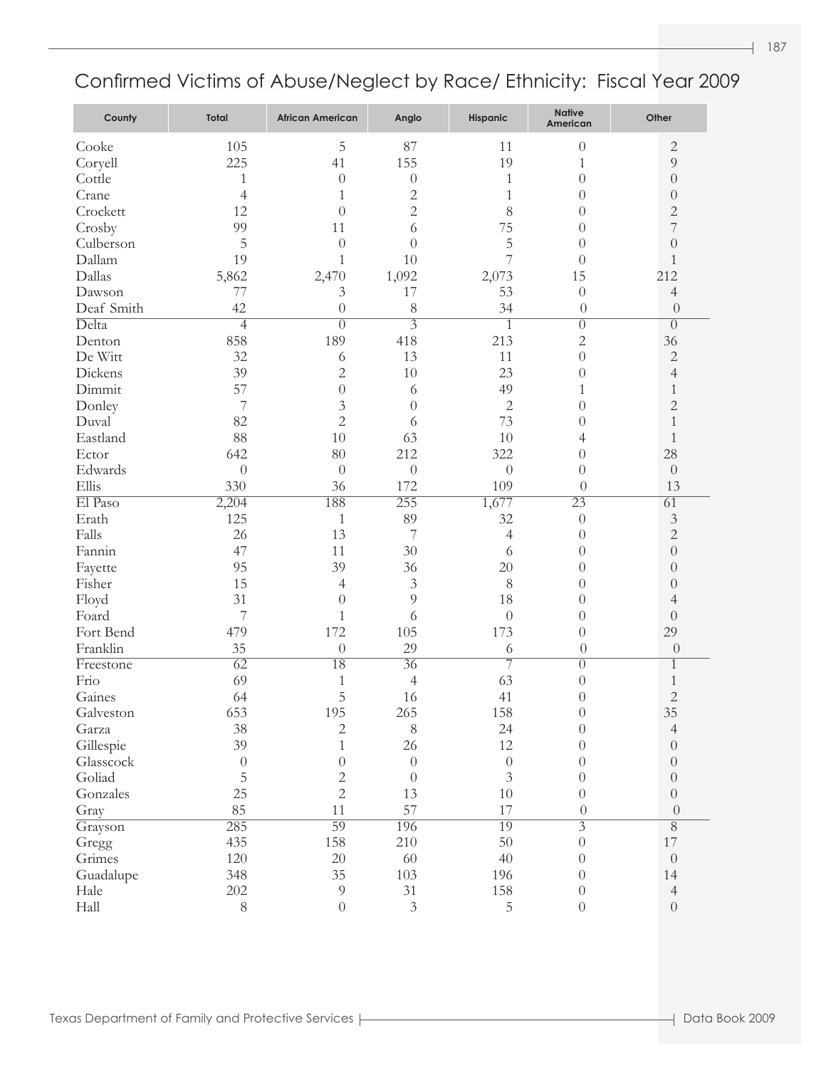| County     | <b>Total</b>     | <b>African American</b> | Anglo            | Hispanic         | <b>Native</b><br>American | Other            |
|------------|------------------|-------------------------|------------------|------------------|---------------------------|------------------|
| Cooke      | 105              | 5                       | 87               | 11               | $\theta$                  | $\overline{2}$   |
| Coryell    | 225              | 41                      | 155              | 19               | 1                         | 9                |
| Cottle     | 1                | $\theta$                | $\theta$         | 1                | $\theta$                  | $\boldsymbol{0}$ |
| Crane      | $\overline{4}$   | 1                       | $\overline{2}$   | $\mathbf{1}$     | $\theta$                  | $\boldsymbol{0}$ |
| Crockett   | 12               | $\theta$                | $\overline{2}$   | 8                | $\theta$                  | $\overline{c}$   |
| Crosby     | 99               | 11                      | 6                | 75               | $\theta$                  | 7                |
| Culberson  | 5                | $\theta$                | $\overline{0}$   | 5                | $\theta$                  | $\theta$         |
| Dallam     | 19               | 1                       | 10               | 7                | $\theta$                  | 1                |
| Dallas     | 5,862            | 2,470                   | 1,092            | 2,073            | 15                        | 212              |
| Dawson     | 77               | 3                       | 17               | 53               | $\theta$                  | $\overline{4}$   |
| Deaf Smith | 42               | $\theta$                | 8                | 34               | $\theta$                  | $\theta$         |
| Delta      | $\overline{4}$   | $\Omega$                | $\overline{3}$   | $\mathbf{1}$     | $\overline{0}$            | $\overline{0}$   |
| Denton     | 858              | 189                     | 418              | 213              | $\overline{c}$            | 36               |
| De Witt    | 32               | 6                       | 13               | 11               | $\theta$                  | $\overline{c}$   |
| Dickens    | 39               | $\overline{2}$          | 10               | 23               | $\theta$                  | 4                |
| Dimmit     | 57               | $\overline{0}$          | 6                | 49               | 1                         | $\mathbf{1}$     |
| Donley     | 7                | 3                       | $\overline{0}$   | $\mathbf{2}$     | $\theta$                  | $\overline{c}$   |
| Duval      | 82               | $\overline{2}$          | 6                | 73               | $\theta$                  | $\mathbf{1}$     |
| Eastland   | 88               | 10                      | 63               | 10               | 4                         | $\mathbf{1}$     |
| Ector      | 642              | 80                      | 212              | 322              | $\theta$                  | 28               |
| Edwards    | $\theta$         | $\theta$                | $\boldsymbol{0}$ | $\boldsymbol{0}$ | $\theta$                  | $\boldsymbol{0}$ |
| Ellis      | 330              | 36                      | 172              | 109              | $\theta$                  | 13               |
| El Paso    | 2,204            | 188                     | 255              | 1,677            | 23                        | $\overline{61}$  |
| Erath      | 125              | $\mathbf{1}$            | 89               | 32               | $\theta$                  | $\mathfrak{Z}$   |
| Falls      | 26               | 13                      | 7                | $\overline{4}$   | $\overline{0}$            | $\overline{2}$   |
| Fannin     | 47               | 11                      | 30               | 6                | $\theta$                  | $\boldsymbol{0}$ |
| Fayette    | 95               | 39                      | 36               | 20               | $\theta$                  | $\theta$         |
| Fisher     | 15               | 4                       | $\mathfrak{Z}$   | 8                | $\overline{0}$            | $\theta$         |
| Floyd      | 31               | $\theta$                | 9                | 18               | $\theta$                  | 4                |
| Foard      | $\overline{7}$   | 1                       | 6                | $\theta$         | $\theta$                  | $\boldsymbol{0}$ |
| Fort Bend  | 479              | 172                     | 105              | 173              | $\overline{0}$            | 29               |
| Franklin   | 35               | $\theta$                | 29               | 6                | $\theta$                  | $\theta$         |
| Freestone  | $\overline{62}$  | 18                      | $\overline{36}$  | 7                | $\overline{0}$            | $\mathbf{1}$     |
| Frio       | 69               | 1                       | $\overline{4}$   | 63               | $\theta$                  | $\mathbf{1}$     |
| Gaines     | 64               | 5                       | 16               | 41               | $\theta$                  | $\overline{2}$   |
| Galveston  | 653              | 195                     | 265              | 158              | $\boldsymbol{0}$          | 35               |
|            | 38               |                         | $8\,$            | 24               | $\theta$                  | $\overline{4}$   |
| Garza      | 39               | $\mathbf{2}$            |                  | 12               |                           |                  |
| Gillespie  |                  | $\mathbf{1}$            | 26               |                  | $\theta$                  | $\boldsymbol{0}$ |
| Glasscock  | $\boldsymbol{0}$ | $\boldsymbol{0}$        | $\boldsymbol{0}$ | $\boldsymbol{0}$ | $\theta$                  | $\boldsymbol{0}$ |
| Goliad     | 5                | $\overline{c}$          | $\theta$         | $\mathfrak{Z}$   | $\theta$                  | $\boldsymbol{0}$ |
| Gonzales   | 25               | $\overline{2}$          | 13               | 10               | $\theta$                  | $\boldsymbol{0}$ |
| Gray       | 85               | 11                      | 57               | 17               | $\theta$                  | $\theta$         |
| Grayson    | 285              | 59                      | 196              | 19               | $\overline{3}$            | $\overline{8}$   |
| Gregg      | 435              | 158                     | 210              | 50               | $\boldsymbol{0}$          | 17               |
| Grimes     | 120              | $20\,$                  | 60               | 40               | $\theta$                  | $\boldsymbol{0}$ |
| Guadalupe  | 348              | 35                      | 103              | 196              | $\theta$                  | 14               |
| Hale       | 202              | $\overline{9}$          | 31               | 158              | $\boldsymbol{0}$          | $\overline{4}$   |
| Hall       | $8\,$            | $\theta$                | $\mathfrak{Z}$   | 5                | $\boldsymbol{0}$          | $\boldsymbol{0}$ |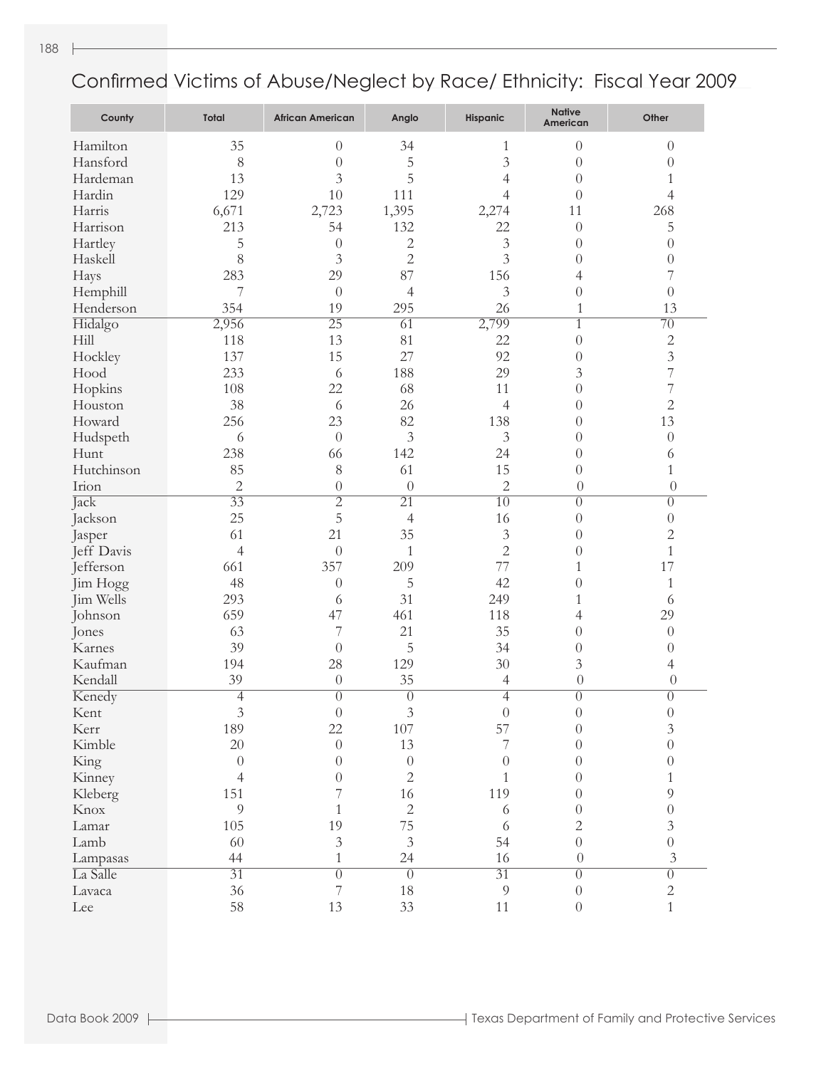| County     | <b>Total</b>     | <b>African American</b> | Anglo            | <b>Hispanic</b>  | <b>Native</b><br>American | Other            |
|------------|------------------|-------------------------|------------------|------------------|---------------------------|------------------|
| Hamilton   | 35               | $\theta$                | 34               | 1                | $\theta$                  | $\theta$         |
| Hansford   | 8                | $\overline{0}$          | 5                | 3                | $\theta$                  | $\theta$         |
| Hardeman   | 13               | 3                       | 5                | 4                | $\overline{0}$            | 1                |
| Hardin     | 129              | 10                      | 111              | 4                | $\overline{0}$            | 4                |
| Harris     | 6,671            | 2,723                   | 1,395            | 2,274            | 11                        | 268              |
| Harrison   | 213              | 54                      | 132              | 22               | $\overline{0}$            | 5                |
| Hartley    | 5                | $\overline{0}$          | $\mathbf{2}$     | $\mathfrak{Z}$   | $\overline{0}$            | $\overline{0}$   |
| Haskell    | 8                | 3                       | $\overline{2}$   | $\overline{3}$   | $\overline{0}$            | $\theta$         |
| Hays       | 283              | 29                      | 87               | 156              | 4                         | 7                |
| Hemphill   | 7                | $\theta$                | 4                | 3                | $\overline{0}$            | $\overline{0}$   |
| Henderson  | 354              | 19                      | 295              | 26               | $\mathbf{1}$              | 13               |
| Hidalgo    | 2,956            | $\overline{25}$         | $\overline{61}$  | 2,799            | $\mathbf{1}$              | $\overline{70}$  |
| Hill       | 118              | 13                      | 81               | 22               | $\theta$                  | $\overline{c}$   |
| Hockley    | 137              | 15                      | 27               | 92               | $\theta$                  | $\mathfrak{Z}$   |
| Hood       | 233              | 6                       | 188              | 29               | 3                         | $\overline{7}$   |
| Hopkins    | 108              | 22                      | 68               | 11               | $\overline{0}$            | $\overline{7}$   |
| Houston    | 38               | 6                       | 26               | $\overline{4}$   | $\overline{0}$            | $\sqrt{2}$       |
| Howard     | 256              | 23                      | 82               | 138              | $\theta$                  | 13               |
| Hudspeth   | 6                | $\theta$                | $\overline{3}$   | 3                | $\theta$                  | $\theta$         |
| Hunt       | 238              | 66                      | 142              | 24               | $\theta$                  | 6                |
| Hutchinson | 85               | 8                       | 61               | 15               | $\overline{0}$            | 1                |
| Irion      | $\overline{2}$   | $\theta$                | $\theta$         | $\overline{2}$   | $\theta$                  | $\theta$         |
| Jack       | $\overline{33}$  | $\overline{2}$          | $\overline{21}$  | $\overline{10}$  | $\overline{0}$            | $\overline{0}$   |
| Jackson    | 25               | 5                       | $\overline{4}$   | 16               | $\theta$                  | $\boldsymbol{0}$ |
| Jasper     | 61               | 21                      | 35               | $\mathfrak{Z}$   | $\theta$                  | $\mathbf 2$      |
| Jeff Davis | $\overline{4}$   | $\theta$                | $\mathbf{1}$     | $\overline{2}$   | $\overline{0}$            | $\mathbf{1}$     |
| Jefferson  | 661              | 357                     | 209              | 77               | 1                         | 17               |
| Jim Hogg   | 48               | $\theta$                | 5                | 42               | $\overline{0}$            | $\mathbf{1}$     |
| Jim Wells  | 293              | 6                       | 31               | 249              | 1                         | 6                |
| Johnson    | 659              | 47                      | 461              | 118              | 4                         | 29               |
| Jones      | 63               | 7                       | 21               | 35               | $\theta$                  | $\theta$         |
| Karnes     | 39               | $\theta$                | 5                | 34               | $\theta$                  | $\theta$         |
| Kaufman    | 194              | 28                      | 129              | 30               | 3                         | 4                |
| Kendall    | 39               | $\boldsymbol{0}$        | 35               | 4                | $\theta$                  | $\theta$         |
| Kenedy     | $\overline{4}$   | $\overline{0}$          | $\overline{0}$   | 4                | $\overline{0}$            | $\overline{0}$   |
| Kent       | $\mathfrak{Z}$   | $\boldsymbol{0}$        | $\mathfrak{Z}$   | $\boldsymbol{0}$ | $\theta$                  | $\theta$         |
| Kerr       | 189              | 22                      | $107\,$          | 57               | $\theta$                  | $\mathfrak{Z}$   |
| Kimble     | 20               | $\boldsymbol{0}$        | 13               | 7                | $\theta$                  | $\overline{0}$   |
| King       | $\boldsymbol{0}$ | $\theta$                | $\boldsymbol{0}$ | $\theta$         | $\theta$                  | $\theta$         |
| Kinney     | $\overline{4}$   | $\boldsymbol{0}$        | $\sqrt{2}$       | 1                | $\theta$                  | 1                |
| Kleberg    | 151              | 7                       | 16               | 119              | $\theta$                  | 9                |
| Knox       | $\overline{9}$   | $\mathbf{1}$            | $\sqrt{2}$       | 6                | $\theta$                  | $\theta$         |
| Lamar      | 105              | 19                      | 75               | 6                | $\sqrt{2}$                | $\mathfrak{Z}$   |
| Lamb       | 60               | $\mathfrak{Z}$          | $\mathfrak{Z}$   | 54               | $\boldsymbol{0}$          | $\theta$         |
| Lampasas   | 44               | 1                       | 24               | 16               | $\theta$                  | $\mathfrak{Z}$   |
| La Salle   | $\overline{31}$  | $\overline{0}$          | $\overline{0}$   | $\overline{31}$  | $\overline{0}$            | $\overline{0}$   |
| Lavaca     | 36               | 7                       | 18               | 9                | $\boldsymbol{0}$          | $\sqrt{2}$       |
| Lee        | 58               | 13                      | 33               | $11\,$           | $\boldsymbol{0}$          | $\mathbf{1}$     |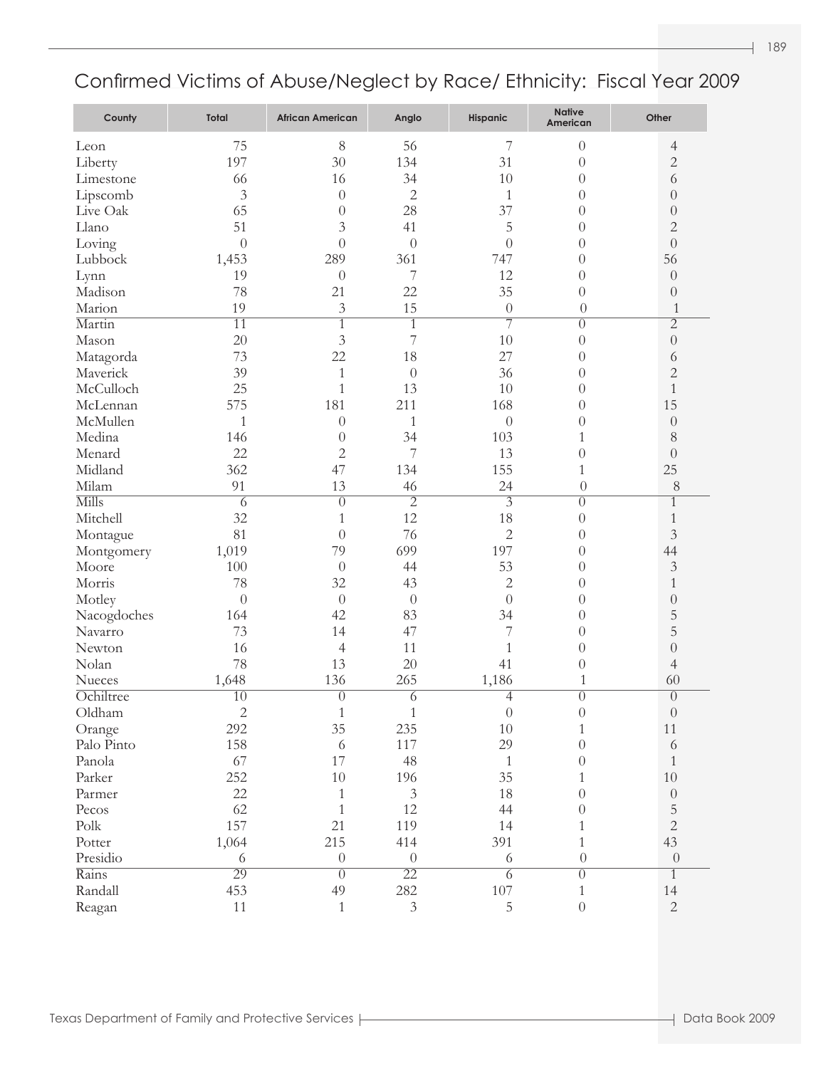| County                | <b>Total</b>     | <b>African American</b> | Anglo            | <b>Hispanic</b>  | <b>Native</b><br>American | Other            |
|-----------------------|------------------|-------------------------|------------------|------------------|---------------------------|------------------|
| Leon                  | 75               | 8                       | 56               | 7                | $\theta$                  | 4                |
| Liberty               | 197              | 30                      | 134              | 31               | $\theta$                  | $\overline{c}$   |
| Limestone             | 66               | 16                      | 34               | 10               | $\theta$                  | $\sqrt{6}$       |
| Lipscomb              | 3                | $\theta$                | $\overline{2}$   | $\mathbf{1}$     | $\theta$                  | $\boldsymbol{0}$ |
| Live Oak              | 65               | $\theta$                | 28               | 37               | $\theta$                  | $\boldsymbol{0}$ |
| Llano                 | 51               | $\mathfrak{Z}$          | 41               | 5                | $\theta$                  | $\overline{c}$   |
| Loving                | $\theta$         | $\boldsymbol{0}$        | $\theta$         | $\overline{0}$   | $\theta$                  | $\boldsymbol{0}$ |
| Lubbock               | 1,453            | 289                     | 361              | 747              | $\theta$                  | 56               |
| Lynn                  | 19               | $\boldsymbol{0}$        | 7                | 12               | $\theta$                  | $\boldsymbol{0}$ |
| Madison               | 78               | 21                      | 22               | 35               | $\theta$                  | $\boldsymbol{0}$ |
| Marion                | 19               | 3                       | 15               | $\boldsymbol{0}$ | $\theta$                  | $\mathbf{1}$     |
| Martin                | $\overline{11}$  | $\overline{1}$          | $\overline{1}$   | $\overline{7}$   | $\overline{0}$            | $\overline{2}$   |
| Mason                 | 20               | 3                       | 7                | 10               | $\theta$                  | $\boldsymbol{0}$ |
| Matagorda             | 73               | 22                      | 18               | 27               | $\theta$                  | 6                |
| Maverick              | 39               | $\mathbf{1}$            | $\theta$         | 36               | $\theta$                  | $\overline{c}$   |
| McCulloch             | 25               | $\mathbf{1}$            | 13               | 10               | $\theta$                  | $\mathbf{1}$     |
| McLennan              | 575              | 181                     | 211              | 168              | $\theta$                  | 15               |
| McMullen              | $\mathbf{1}$     | $\theta$                | $\mathbf{1}$     | $\theta$         | $\theta$                  | $\boldsymbol{0}$ |
| Medina                | 146              | $\theta$                | 34               | 103              | 1                         | 8                |
| Menard                | 22               | $\overline{c}$          | 7                | 13               | $\overline{0}$            | $\boldsymbol{0}$ |
| Midland               | 362              | 47                      | 134              | 155              | $\mathbf{1}$              | 25               |
| Milam                 | 91               | 13                      | 46               | 24               | $\boldsymbol{0}$          | $8\,$            |
| <b>Mills</b>          | $\overline{6}$   | $\overline{0}$          | $\overline{2}$   | $\overline{3}$   | $\overline{0}$            | $\overline{1}$   |
| Mitchell              | 32               | 1                       | 12               | 18               | $\theta$                  | $\,1$            |
| Montague              | 81               | $\boldsymbol{0}$        | 76               | $\overline{2}$   | $\theta$                  | $\mathfrak{Z}$   |
| Montgomery            | 1,019            | 79                      | 699              | 197              | $\theta$                  | 44               |
| Moore                 | 100              | $\theta$                | 44               | 53               | $\theta$                  | $\mathfrak{Z}$   |
| Morris                | 78               | 32                      | 43               | $\mathbf{2}$     | $\theta$                  | $\,1$            |
| Motley                | $\boldsymbol{0}$ | $\theta$                | $\theta$         | $\theta$         | $\theta$                  | $\boldsymbol{0}$ |
| Nacogdoches           | 164              | 42                      | 83               | 34               | $\theta$                  | 5                |
| Navarro               | 73               | 14                      | 47               | 7                | $\theta$                  | 5                |
| Newton                | 16               | $\overline{4}$          | 11               | $\mathbf{1}$     | $\theta$                  | $\boldsymbol{0}$ |
| Nolan                 | 78               | 13                      | 20               | 41               | $\theta$                  | $\overline{4}$   |
| Nueces                | 1,648            | 136                     | 265              | 1,186            | $\mathbf{1}$              | 60               |
| Ochiltree             | $\overline{10}$  | $\overline{0}$          | $\overline{6}$   | $\overline{4}$   | $\overline{0}$            | $\overline{0}$   |
| Oldham                | $\overline{2}$   | $\,1$                   | $\,1\,$          | $\boldsymbol{0}$ | $\boldsymbol{0}$          | $\boldsymbol{0}$ |
| Orange                | 292              | 35                      | 235              | 10               | $\mathbf{1}$              | 11               |
| Palo Pinto            | 158              | 6                       | 117              | 29               | $\theta$                  | 6                |
| Panola                | 67               | 17                      | 48               | $\mathbf{1}$     | $\theta$                  | $\mathbf{1}$     |
| Parker                | 252              | $10\,$                  | 196              | 35               | $\mathbf{1}$              | $10\,$           |
| Parmer                | 22               | $\mathbf{1}$            | $\mathfrak{Z}$   | 18               | $\theta$                  | $\boldsymbol{0}$ |
| Pecos                 | 62               | $\mathbf{1}$            | 12               | 44               | $\theta$                  | 5                |
| $\operatorname{Polk}$ | 157              | 21                      | 119              | 14               | $\mathbf{1}$              | $\overline{2}$   |
| Potter                | 1,064            | 215                     | 414              | 391              | $\mathbf{1}$              | 43               |
| Presidio              | 6                | $\boldsymbol{0}$        | $\boldsymbol{0}$ | 6                | $\boldsymbol{0}$          | $\boldsymbol{0}$ |
| Rains                 | 29               | $\overline{0}$          | $\overline{22}$  | $\overline{6}$   | $\overline{0}$            | $\mathbf{1}$     |
| Randall               | 453              | 49                      | 282              | $107\,$          | $\mathbf{1}$              | $14\,$           |
| Reagan                | 11               | $\mathbf{1}$            | $\mathfrak{Z}$   | $\mathbf 5$      | $\boldsymbol{0}$          | $\overline{2}$   |
|                       |                  |                         |                  |                  |                           |                  |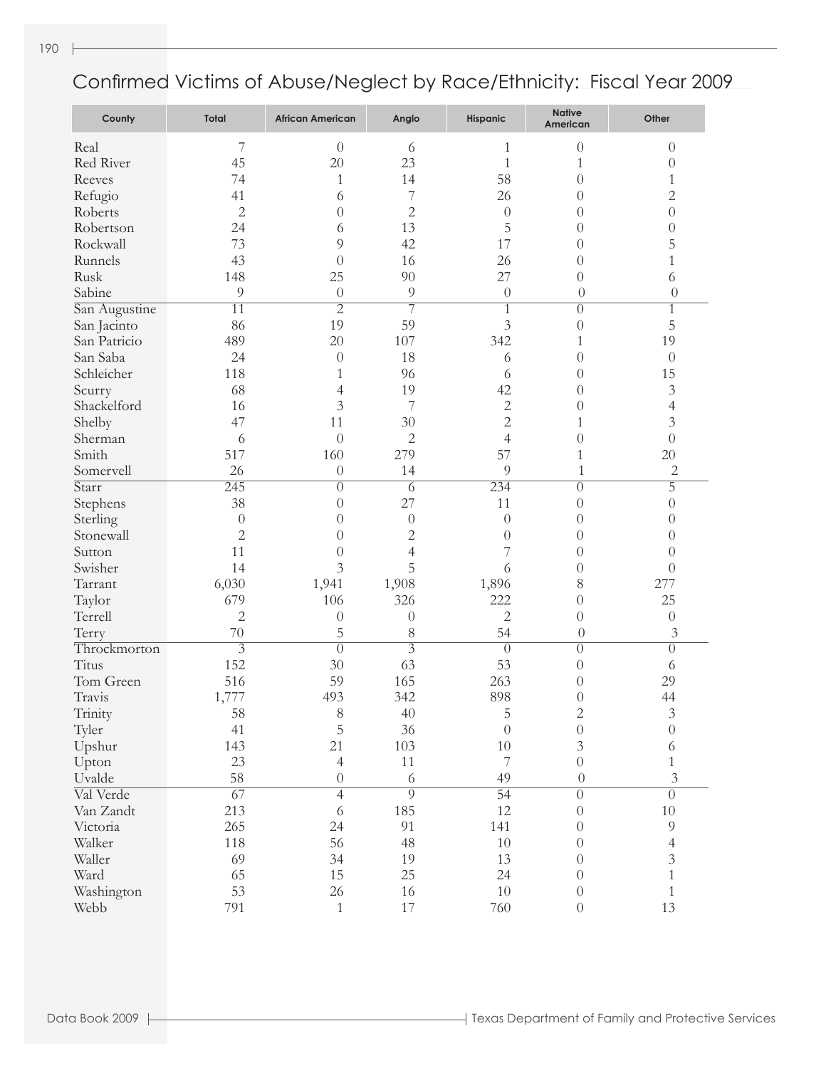| County        | <b>Total</b>     | <b>African American</b> | Anglo            | <b>Hispanic</b> | <b>Native</b><br>American | Other            |
|---------------|------------------|-------------------------|------------------|-----------------|---------------------------|------------------|
| Real          | 7                | $\theta$                | 6                | 1               | $\theta$                  | $\theta$         |
| Red River     | 45               | 20                      | 23               | $\mathbf{1}$    | 1                         | $\boldsymbol{0}$ |
| Reeves        | 74               | 1                       | 14               | 58              | $\theta$                  | 1                |
| Refugio       | 41               | 6                       | 7                | 26              | $\theta$                  | $\overline{c}$   |
| Roberts       | $\overline{c}$   | $\overline{0}$          | $\mathbf{2}$     | $\theta$        | $\theta$                  | $\overline{0}$   |
| Robertson     | 24               | 6                       | 13               | 5               | $\theta$                  | $\boldsymbol{0}$ |
| Rockwall      | 73               | 9                       | 42               | 17              | $\theta$                  | 5                |
| Runnels       | 43               | $\theta$                | 16               | 26              | $\theta$                  | $\mathbf{1}$     |
| Rusk          | 148              | 25                      | 90               | 27              | $\theta$                  | 6                |
| Sabine        | 9                | $\theta$                | 9                | $\theta$        | $\theta$                  | $\theta$         |
| San Augustine | $\overline{11}$  | $\overline{2}$          | 7                | $\mathbf{1}$    | $\theta$                  | $\overline{1}$   |
| San Jacinto   | 86               | 19                      | 59               | 3               | $\overline{0}$            | 5                |
| San Patricio  | 489              | 20                      | 107              | 342             | 1                         | 19               |
| San Saba      | 24               | $\theta$                | 18               | 6               | $\theta$                  | $\theta$         |
| Schleicher    | 118              | 1                       | 96               | 6               | $\theta$                  | 15               |
| Scurry        | 68               | 4                       | 19               | 42              | $\theta$                  | 3                |
| Shackelford   | 16               | 3                       | 7                | 2               | $\theta$                  | $\overline{4}$   |
| Shelby        | 47               | 11                      | 30               | $\overline{c}$  | 1                         | 3                |
| Sherman       | 6                | $\overline{0}$          | $\mathbf{2}$     | $\overline{4}$  | $\overline{0}$            | $\overline{0}$   |
| Smith         | 517              | 160                     | 279              | 57              | $\mathbf{1}$              | 20               |
| Somervell     | 26               | $\theta$                | 14               | 9               | $\mathbf{1}$              | 2                |
| Starr         | $\overline{245}$ | $\theta$                | $\overline{6}$   | 234             | $\theta$                  | $\overline{5}$   |
| Stephens      | 38               | $\theta$                | 27               | 11              | $\theta$                  | $\boldsymbol{0}$ |
| Sterling      | $\theta$         | $\theta$                | $\theta$         | $\theta$        | $\theta$                  | $\boldsymbol{0}$ |
| Stonewall     | 2                | $\theta$                | $\mathbf{2}$     | $\theta$        | $\theta$                  | 0                |
| Sutton        | 11               | $\theta$                | 4                | 7               | $\theta$                  | 0                |
| Swisher       | 14               | 3                       | 5                | 6               | $\theta$                  | $\theta$         |
| Tarrant       | 6,030            | 1,941                   | 1,908            | 1,896           | 8                         | 277              |
| Taylor        | 679              | 106                     | 326              | 222             | $\theta$                  | 25               |
| Terrell       | $\overline{c}$   | $\theta$                | $\boldsymbol{0}$ | 2               | $\theta$                  | $\boldsymbol{0}$ |
| Terry         | 70               | 5                       | 8                | 54              | $\theta$                  | 3                |
| Throckmorton  | $\overline{3}$   | $\overline{0}$          | $\overline{3}$   | $\overline{0}$  | $\theta$                  | $\boldsymbol{0}$ |
| Titus         | 152              | 30                      | 63               | 53              | $\theta$                  | 6                |
| Tom Green     | 516              | 59                      | 165              | 263             | $\theta$                  | 29               |
| Travis        | 1,777            | 493                     | 342              | 898             | $\overline{0}$            | 44               |
| Trinity       | 58               | 8                       | 40               | 5               | 2                         | 3                |
| Tyler         | 41               | 5                       | 36               | $\theta$        | $\boldsymbol{0}$          | $\sqrt{a}$       |
| Upshur        | 143              | 21                      | 103              | $10\,$          | $\mathfrak{Z}$            | 6                |
| Upton         | 23               | $\overline{4}$          | 11               | 7               | $\boldsymbol{0}$          | $\mathbf{1}$     |
| Uvalde        | 58               | $\boldsymbol{0}$        | $\sqrt{6}$       | 49              | $\theta$                  | $\mathfrak{Z}$   |
| Val Verde     | $\overline{67}$  | $\overline{4}$          | $\overline{9}$   | $\overline{54}$ | $\overline{0}$            | $\overline{0}$   |
| Van Zandt     | 213              | 6                       | 185              | 12              | $\boldsymbol{0}$          | $10\,$           |
| Victoria      | 265              | 24                      | 91               | 141             | $\boldsymbol{0}$          | 9                |
| Walker        | 118              | 56                      | 48               | $10\,$          | $\boldsymbol{0}$          | $\overline{4}$   |
| Waller        | 69               | 34                      | 19               | 13              | $\theta$                  | $\overline{3}$   |
| Ward          | 65               | 15                      | 25               |                 | $\theta$                  | $\mathbf{1}$     |
|               |                  |                         |                  | 24              |                           |                  |
| Washington    | 53               | 26                      | 16               | $10\,$          | $\boldsymbol{0}$          | $\mathbf{1}$     |
| Webb          | 791              | $\,1$                   | 17               | 760             | $\boldsymbol{0}$          | 13               |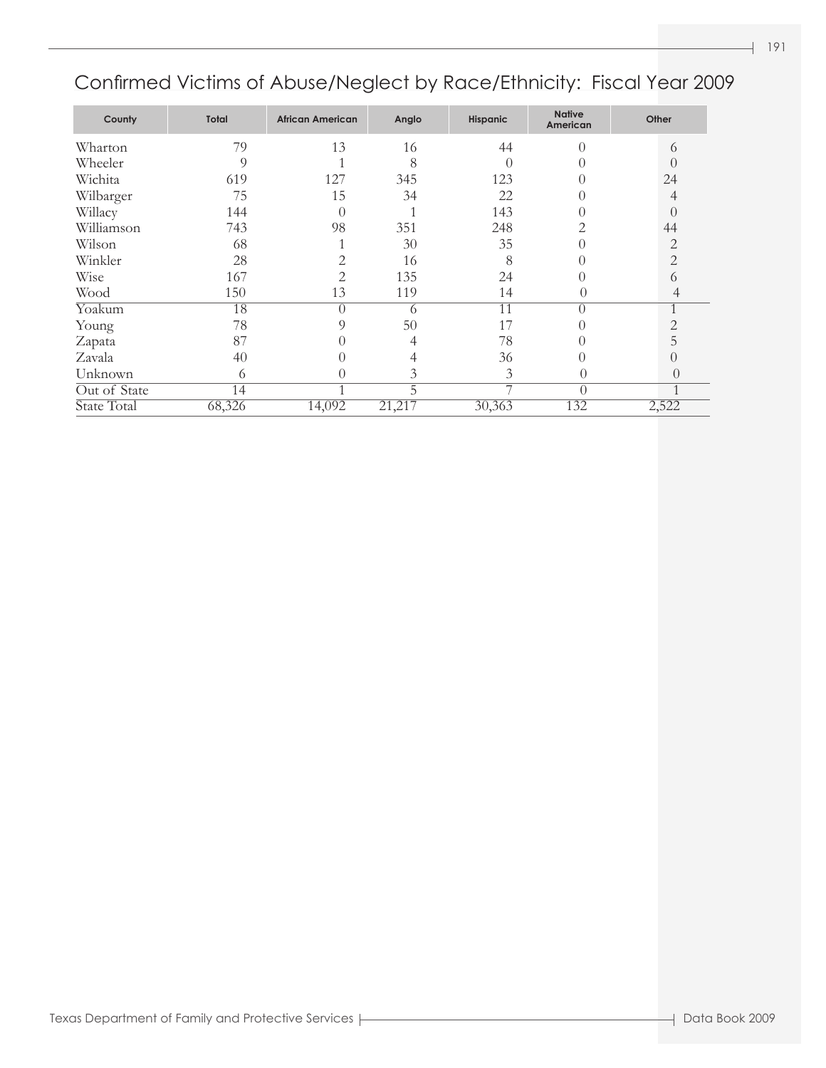### Confirmed Victims of Abuse/Neglect by Race/Ethnicity: Fiscal Year 2009

| County       | Total  | <b>African American</b> | Anglo  | <b>Hispanic</b> | <b>Native</b><br>American | Other          |
|--------------|--------|-------------------------|--------|-----------------|---------------------------|----------------|
| Wharton      | 79     | 13                      | 16     | 44              | $\Omega$                  | 6              |
| Wheeler      | 9      |                         | 8      |                 |                           | 0              |
| Wichita      | 619    | 127                     | 345    | 123             |                           | 24             |
| Wilbarger    | 75     | 15                      | 34     | 22              |                           | 4              |
| Willacy      | 144    | $\bigcap$               |        | 143             |                           | 0              |
| Williamson   | 743    | 98                      | 351    | 248             |                           | 44             |
| Wilson       | 68     |                         | 30     | 35              |                           | $\overline{c}$ |
| Winkler      | 28     | 2                       | 16     | 8               |                           | 2              |
| Wise         | 167    | $\overline{2}$          | 135    | 24              |                           | 6              |
| Wood         | 150    | 13                      | 119    | 14              | $\left( \right)$          | 4              |
| Yoakum       | 18     | $\Omega$                | 6      | 11              | $\Omega$                  | 1              |
| Young        | 78     | 9                       | 50     | 17              |                           | 2              |
| Zapata       | 87     |                         |        | 78              |                           | 5              |
| Zavala       | 40     |                         |        | 36              |                           | 0              |
| Unknown      | 6      | $\left( \right)$        | 3      | 3               | $\left( \right)$          | $\theta$       |
| Out of State | 14     | 1                       | 5      | ⇁               | $\theta$                  | 1              |
| State Total  | 68,326 | 14,092                  | 21,217 | 30,363          | 132                       | 2,522          |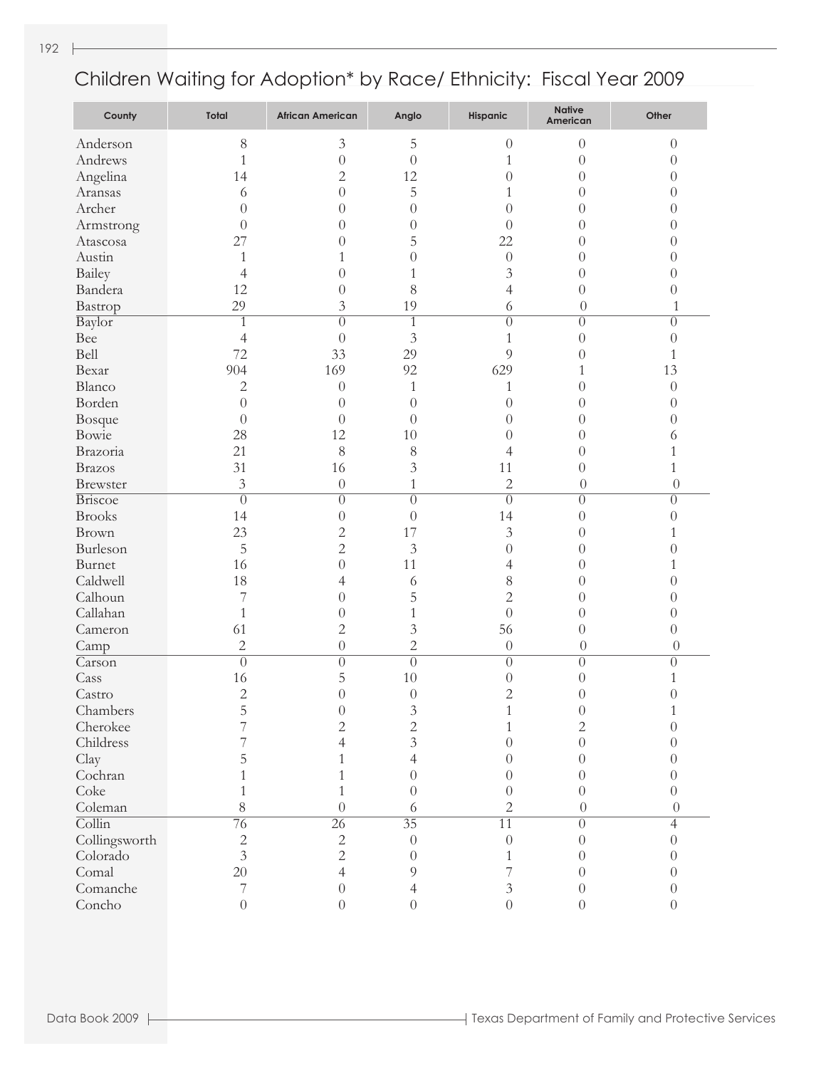| County                     | Total          | <b>African American</b> | Anglo           | Hispanic                    | <b>Native</b><br>American | Other            |
|----------------------------|----------------|-------------------------|-----------------|-----------------------------|---------------------------|------------------|
| Anderson                   | $8\,$          | $\mathfrak{Z}$          | 5               | $\theta$                    | $\overline{0}$            | $\theta$         |
| Andrews                    | $\mathbf{1}$   | $\overline{0}$          | $\overline{0}$  | $\mathbf{1}$                | $\theta$                  | $\theta$         |
| Angelina                   | 14             | $\sqrt{2}$              | 12              | $\overline{0}$              | $\overline{0}$            | $\theta$         |
| Aransas                    | 6              | $\overline{0}$          | 5               | $\mathbf{1}$                | $\overline{0}$            | $\theta$         |
| Archer                     | $\theta$       | $\overline{0}$          | $\theta$        | $\overline{0}$              | $\overline{0}$            | $\theta$         |
| Armstrong                  | $\overline{0}$ | $\overline{0}$          | $\theta$        | $\overline{0}$              | $\overline{0}$            | $\theta$         |
| Atascosa                   | 27             | $\overline{0}$          | 5               | 22                          | $\overline{0}$            | $\theta$         |
| Austin                     | $\mathbf{1}$   | $\mathbf{1}$            | $\theta$        | $\boldsymbol{0}$            | $\overline{0}$            | $\theta$         |
| Bailey                     | $\overline{4}$ | $\theta$                | $\,1\,$         | 3                           | $\overline{0}$            | $\theta$         |
| Bandera                    | 12             | $\overline{0}$          | 8               | $\overline{4}$              | $\overline{0}$            | $\theta$         |
| Bastrop                    | 29             | 3                       | 19              | 6                           | $\boldsymbol{0}$          | $\mathbf{1}$     |
| Baylor                     | $\mathbf{1}$   | $\overline{0}$          | $\mathbf{1}$    | $\overline{0}$              | $\overline{0}$            | $\overline{0}$   |
| Bee                        | $\overline{4}$ | $\overline{0}$          | $\overline{3}$  | $\mathbf{1}$                | $\theta$                  | $\boldsymbol{0}$ |
| Bell                       | 72             | 33                      | 29              | 9                           | $\theta$                  | $\mathbf{1}$     |
| Bexar                      | 904            | 169                     | 92              | 629                         | $\mathbf{1}$              | 13               |
| Blanco                     | $\mathbf{2}$   | $\boldsymbol{0}$        | $\mathbf{1}$    | 1                           | $\overline{0}$            | $\boldsymbol{0}$ |
| Borden                     | $\theta$       | $\boldsymbol{0}$        | $\theta$        | $\overline{0}$              | $\overline{0}$            | $\theta$         |
| Bosque                     | $\overline{0}$ | $\theta$                | $\overline{0}$  | $\theta$                    | $\overline{0}$            | $\theta$         |
| Bowie                      | 28             | 12                      | 10              | $\overline{0}$              | $\overline{0}$            | 6                |
| Brazoria                   | 21             | $8\,$                   | $\,$ $\,$       | 4                           | $\overline{0}$            | $\mathbf{1}$     |
| <b>Brazos</b>              | 31             | 16                      | $\mathfrak{Z}$  | 11                          | $\overline{0}$            | $\mathbf{1}$     |
| <b>Brewster</b>            | 3              | $\boldsymbol{0}$        | $\mathbf{1}$    | $\overline{2}$              | $\boldsymbol{0}$          | $\theta$         |
| <b>Briscoe</b>             | $\overline{0}$ | $\overline{0}$          | $\overline{0}$  | $\overline{0}$              | $\overline{0}$            | $\overline{0}$   |
| <b>Brooks</b>              | 14             | $\boldsymbol{0}$        | $\overline{0}$  | 14                          | $\theta$                  | $\theta$         |
| Brown                      | 23             | $\sqrt{2}$              | 17              | $\overline{3}$              | $\theta$                  | $\mathbf{1}$     |
| Burleson                   | 5              | $\overline{c}$          | $\mathfrak{Z}$  | $\theta$                    | $\overline{0}$            | $\overline{0}$   |
| Burnet                     | 16             | $\overline{0}$          | 11              | $\overline{4}$              | $\overline{0}$            | $\mathbf{1}$     |
| Caldwell                   | 18             | 4                       | 6               | $\,$ $\,$                   | $\overline{0}$            | $\theta$         |
| Calhoun                    | $\overline{7}$ | $\theta$                | 5               | $\overline{c}$              | $\overline{0}$            | $\theta$         |
| Callahan                   | $\mathbf{1}$   | $\boldsymbol{0}$        | $\,1\,$         | $\overline{0}$              | $\overline{0}$            | $\theta$         |
| Cameron                    | 61             | $\sqrt{2}$              | $\mathfrak{Z}$  | 56                          | $\overline{0}$            | $\theta$         |
| Camp                       | $\sqrt{2}$     | $\boldsymbol{0}$        | $\overline{c}$  | $\theta$                    | $\boldsymbol{0}$          | $\theta$         |
| Carson                     | $\overline{0}$ | $\overline{0}$          | $\overline{0}$  | $\overline{0}$              | $\overline{0}$            | $\overline{0}$   |
| Cass                       | 16             | 5                       | 10              | $\theta$                    | $\overline{0}$            | $\mathbf{1}$     |
| Castro                     | $\overline{c}$ | $\overline{0}$          | $\theta$        | $\overline{2}$              | $\theta$                  | $\overline{0}$   |
| Chambers                   | 5              | $\boldsymbol{0}$        | $\mathfrak{Z}$  | $\mathbf{1}$                | $\theta$                  | $\mathbf{1}$     |
| Cherokee                   |                | $\overline{2}$          | $\overline{c}$  | $\mathbf{1}$                | 2                         | $\theta$         |
| Childress                  |                | 4                       | 3               | $\theta$                    | $\theta$                  | 0                |
| Clay                       |                | 1                       | 4               | $\theta$                    | 0                         | 0                |
| Cochran                    |                | 1                       | $\theta$        | $\theta$                    | 0                         | 0                |
| Coke                       |                | 1                       | $\theta$        | $\theta$                    | $\theta$                  | $\theta$         |
| Coleman                    | 8              | $\Omega$                | 6               | $\overline{2}$              | $\theta$                  | $\Omega$         |
| $\overline{\text{Collin}}$ | 76             | $\overline{26}$         | $\overline{35}$ | $\overline{11}$             | $\overline{0}$            | $\overline{4}$   |
| Collingsworth              | $\overline{c}$ | $\sqrt{2}$              | $\theta$        | $\theta$                    | $\theta$                  | $\theta$         |
| Colorado                   | $\overline{3}$ | $\overline{c}$          | $\theta$        | $\mathbf{1}$                | 0                         | 0                |
| Comal                      | 20             | 4                       | 9               | 7                           | $\theta$                  | $\theta$         |
| Comanche                   | 7              | $\theta$                | 4               | $\ensuremath{\mathfrak{Z}}$ | $\theta$                  | $\theta$         |
| Concho                     | $\overline{0}$ | $\overline{0}$          | $\overline{0}$  | $\overline{0}$              | $\overline{0}$            | $\overline{0}$   |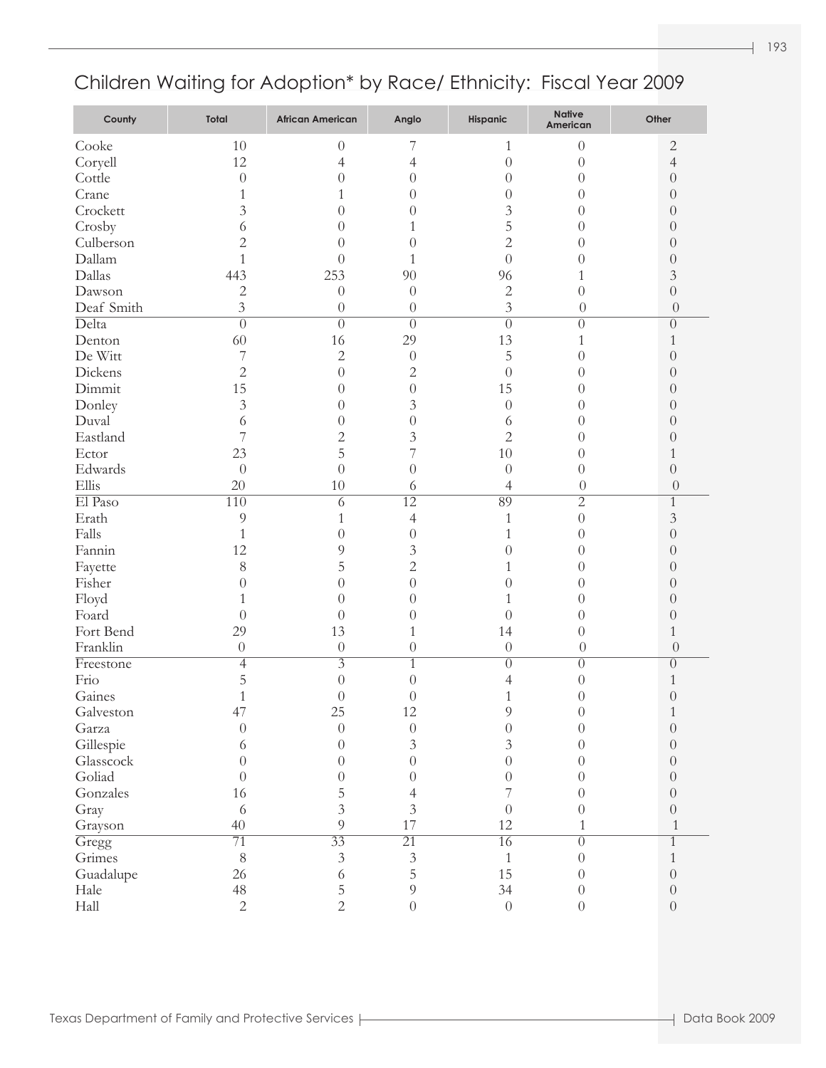| County     | Total          | <b>African American</b> | Anglo                            | Hispanic         | <b>Native</b><br>American | Other                        |
|------------|----------------|-------------------------|----------------------------------|------------------|---------------------------|------------------------------|
| Cooke      | 10             | $\theta$                | 7                                | 1                | $\theta$                  | $\overline{c}$               |
| Coryell    | 12             | 4                       | 4                                | $\theta$         | $\theta$                  | $\overline{4}$               |
| Cottle     | $\theta$       | $\theta$                | $\theta$                         | $\theta$         | 0                         | $\theta$                     |
| Crane      | 1              | 1                       | $\theta$                         | $\theta$         | 0                         | $\theta$                     |
| Crockett   | 3              | $\theta$                | 0                                | 3                | 0                         | $\theta$                     |
| Crosby     | 6              | 0                       |                                  | 5                | 0                         | $\theta$                     |
| Culberson  | $\overline{c}$ | 0                       | $\theta$                         | $\overline{2}$   | 0                         | $\theta$                     |
| Dallam     | 1              | $\theta$                | 1                                | $\overline{0}$   | 0                         | $\theta$                     |
| Dallas     | 443            | 253                     | 90                               | 96               |                           | $\mathfrak{Z}$               |
| Dawson     | $\sqrt{2}$     | $\theta$                | $\theta$                         | $\overline{c}$   | $\theta$                  | $\theta$                     |
| Deaf Smith | 3              | $\theta$                | $\theta$                         | $\overline{3}$   | $\theta$                  | $\theta$                     |
| Delta      | $\overline{0}$ | $\overline{0}$          | $\overline{0}$                   | $\overline{0}$   | $\overline{0}$            | $\overline{0}$               |
| Denton     | 60             | 16                      | 29                               | 13               | 1                         | 1                            |
| De Witt    | 7              | $\sqrt{2}$              | $\theta$                         | 5                | 0                         | $\theta$                     |
| Dickens    | $\overline{c}$ | $\theta$                | $\overline{c}$                   | $\theta$         | 0                         | $\theta$                     |
| Dimmit     | 15             | $\theta$                | $\theta$                         | 15               | 0                         | $\theta$                     |
| Donley     | 3              | $\theta$                | 3                                | $\theta$         | 0                         | $\theta$                     |
| Duval      | 6              | $\theta$                | $\theta$                         | 6                | 0                         | 0                            |
| Eastland   | 7              | $\overline{2}$          | 3                                | $\overline{2}$   | 0                         | 0                            |
| Ector      | 23             | 5                       | 7                                | 10               | 0                         | 1                            |
| Edwards    | $\theta$       | $\overline{0}$          | $\theta$                         | $\theta$         | $\theta$                  | $\theta$                     |
| Ellis      | 20             | 10                      | 6                                | 4                | $\theta$                  | $\theta$                     |
| El Paso    | 110            | 6                       | 12                               | 89               | $\overline{2}$            | 1                            |
| Erath      | 9              | 1                       | $\overline{4}$                   | 1                | $\theta$                  | $\mathfrak{Z}$               |
| Falls      | $\mathbf{1}$   | $\theta$                | $\boldsymbol{0}$                 | 1                | 0                         | $\theta$                     |
| Fannin     | 12             | 9                       | 3                                | 0                | 0                         | $\theta$                     |
| Fayette    | 8              | 5                       | $\overline{c}$                   | 1                | 0                         | $\theta$                     |
| Fisher     | $\overline{0}$ | $\overline{0}$          | $\theta$                         | 0                | 0                         | $\theta$                     |
| Floyd      |                | $\theta$                | $\overline{0}$                   | 1                | 0                         | 0                            |
| Foard      | $\theta$       | $\theta$                | $\theta$                         | $\theta$         | 0                         | 0                            |
| Fort Bend  | 29             | 13                      | 1                                | 14               | $\theta$                  | 1                            |
| Franklin   | $\theta$       | $\boldsymbol{0}$        | $\theta$                         | $\theta$         | $\theta$                  | $\theta$                     |
| Freestone  | $\overline{4}$ | $\overline{3}$          | 1                                | $\theta$         | $\theta$                  | $\theta$                     |
| Frio       | 5              | $\theta$                | $\theta$                         | 4                | $\theta$                  | 1                            |
| Gaines     | 1              | $\theta$                | $\theta$                         | 1                | 0                         | $\theta$                     |
| Galveston  | 47             | 25                      | 12                               | 9                | $\theta$                  |                              |
| Garza      | $\overline{0}$ | $\boldsymbol{0}$        | $\theta$                         | $\theta$         | $\theta$                  | $\boldsymbol{0}$             |
| Gillespie  | 6              | $\boldsymbol{0}$        | $\overline{3}$                   | $\overline{3}$   | $\theta$                  | $\theta$                     |
| Glasscock  | $\overline{0}$ | $\boldsymbol{0}$        | $\theta$                         | $\overline{0}$   | $\theta$                  | $\theta$                     |
| Goliad     | $\overline{0}$ | $\boldsymbol{0}$        | $\theta$                         | $\theta$         | $\theta$                  | $\theta$                     |
| Gonzales   | 16             | 5                       |                                  | 7                |                           |                              |
|            | 6              | $\overline{3}$          | $\overline{4}$<br>$\overline{3}$ | $\theta$         | $\theta$<br>$\theta$      | $\theta$<br>$\boldsymbol{0}$ |
| Gray       |                |                         |                                  |                  |                           |                              |
| Grayson    | 40             | $\overline{9}$          | 17                               | 12               | $\mathbf{1}$              | $\mathbf{1}$                 |
| Gregg      | 71             | $\overline{33}$         | 21                               | 16               | $\overline{0}$            | $\mathbf{1}$                 |
| Grimes     | $8\,$          | $\mathfrak{Z}$          | $\mathfrak{Z}$                   | $\mathbf{1}$     | $\theta$                  | $\mathbf{1}$                 |
| Guadalupe  | 26             | 6                       | 5                                | 15               | $\theta$                  | $\boldsymbol{0}$             |
| Hale       | 48             | 5                       | $\mathfrak{g}$                   | 34               | $\theta$                  | $\boldsymbol{0}$             |
| Hall       | $\overline{2}$ | $\overline{2}$          | $\boldsymbol{0}$                 | $\boldsymbol{0}$ | $\boldsymbol{0}$          | $\theta$                     |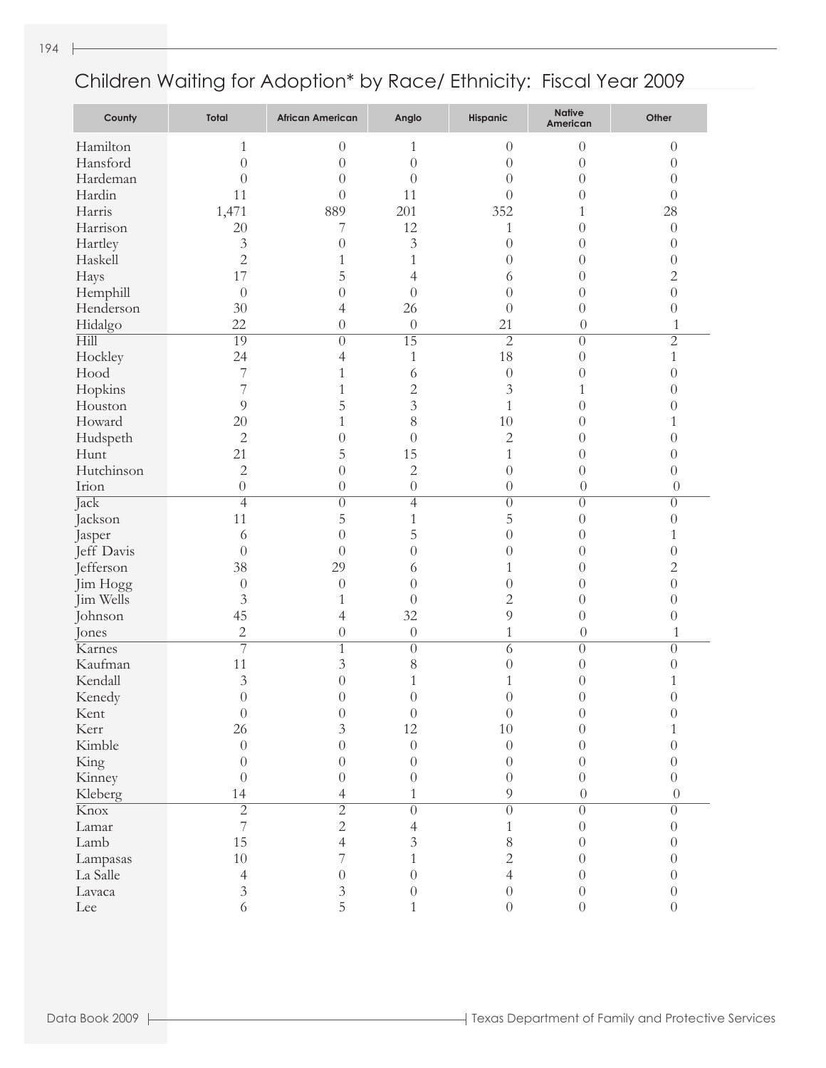| County                   | Total            | <b>African American</b> | Anglo            | Hispanic         | <b>Native</b><br>American | Other            |
|--------------------------|------------------|-------------------------|------------------|------------------|---------------------------|------------------|
| Hamilton                 | 1                | $\theta$                | 1                | $\theta$         | $\overline{0}$            | $\theta$         |
| Hansford                 | $\overline{0}$   | $\theta$                | $\overline{0}$   | $\theta$         | $\overline{0}$            | $\overline{0}$   |
| Hardeman                 | $\overline{0}$   | $\theta$                | $\theta$         | $\theta$         | $\overline{0}$            | $\overline{0}$   |
| Hardin                   | 11               | $\overline{0}$          | 11               | $\theta$         | $\overline{0}$            | $\overline{0}$   |
| Harris                   | 1,471            | 889                     | 201              | 352              | 1                         | 28               |
| Harrison                 | 20               | 7                       | 12               | $\mathbf{1}$     | $\overline{0}$            | $\boldsymbol{0}$ |
| Hartley                  | $\mathfrak{Z}$   | $\overline{0}$          | $\overline{3}$   | $\theta$         | $\overline{0}$            | $\overline{0}$   |
| Haskell                  | $\overline{c}$   | 1                       | $\mathbf{1}$     | $\theta$         | $\overline{0}$            | $\overline{0}$   |
| Hays                     | 17               | 5                       | 4                | 6                | $\overline{0}$            | $\overline{c}$   |
| Hemphill                 | $\theta$         | $\overline{0}$          | $\theta$         | $\theta$         | $\overline{0}$            | $\overline{0}$   |
| Henderson                | 30               | 4                       | 26               | $\theta$         | $\overline{0}$            | $\sqrt{a}$       |
| Hidalgo                  | 22               | $\boldsymbol{0}$        | $\theta$         | 21               | $\theta$                  | $\mathbf{1}$     |
| Hill                     | $\overline{19}$  | $\overline{0}$          | $\overline{15}$  | $\overline{2}$   | $\boldsymbol{0}$          | $\overline{2}$   |
| Hockley                  | 24               | 4                       | 1                | 18               | $\overline{0}$            | $\mathbf{1}$     |
| Hood                     | 7                | 1                       | 6                | $\boldsymbol{0}$ | $\overline{0}$            | $\overline{0}$   |
| Hopkins                  | $\overline{7}$   | 1                       | $\overline{c}$   | $\mathfrak{Z}$   | 1                         | $\overline{0}$   |
| Houston                  | 9                | 5                       | $\overline{3}$   | $\mathbf{1}$     | $\boldsymbol{0}$          | $\overline{0}$   |
| Howard                   | 20               | 1                       | 8                | 10               | $\boldsymbol{0}$          | 1                |
| Hudspeth                 | $\overline{2}$   | $\boldsymbol{0}$        | $\theta$         | $\overline{c}$   | $\overline{0}$            | $\boldsymbol{0}$ |
| Hunt                     | 21               | 5                       | 15               | $\mathbf{1}$     | $\overline{0}$            | $\overline{0}$   |
| Hutchinson               | $\overline{c}$   | $\overline{0}$          | $\overline{c}$   | $\theta$         | $\overline{0}$            | $\overline{0}$   |
| Irion                    | $\overline{0}$   | $\boldsymbol{0}$        | $\boldsymbol{0}$ | $\theta$         | $\theta$                  | $\theta$         |
| Jack                     | $\overline{4}$   | $\overline{0}$          | $\overline{4}$   | $\overline{0}$   | $\overline{0}$            | $\theta$         |
| Jackson                  | 11               | 5                       | $\mathbf{1}$     | 5                | $\overline{0}$            | $\overline{0}$   |
| Jasper                   | 6                | $\overline{0}$          | 5                | $\theta$         | $\overline{0}$            | 1                |
| Jeff Davis               | $\theta$         | $\overline{0}$          | $\overline{0}$   | $\theta$         | $\overline{0}$            | $\boldsymbol{0}$ |
| Jefferson                | 38               | 29                      | 6                | $\mathbf{1}$     | $\overline{0}$            | $\overline{c}$   |
| Jim Hogg                 | $\boldsymbol{0}$ | $\theta$                | $\theta$         | $\theta$         | $\overline{0}$            | $\overline{0}$   |
| Jim Wells                | $\mathfrak{Z}$   | 1                       | $\theta$         | $\overline{c}$   | $\overline{0}$            | $\overline{0}$   |
| Johnson                  | 45               | 4                       | 32               | 9                | $\overline{0}$            | $\overline{0}$   |
| Jones                    | $\sqrt{2}$       | $\boldsymbol{0}$        | $\boldsymbol{0}$ | $\mathbf{1}$     | $\theta$                  | 1                |
| Karnes                   | $\overline{7}$   | $\overline{1}$          | $\overline{0}$   | $\overline{6}$   | $\theta$                  | $\theta$         |
| Kaufman                  | 11               | $\mathfrak{Z}$          | $\,$ $\,$        | $\theta$         | $\overline{0}$            | $\overline{0}$   |
| Kendall                  | 3                | $\overline{0}$          | 1                | 1                | 0                         | 1                |
| Kenedy                   | $\overline{0}$   | $\overline{0}$          | $\overline{0}$   | $\overline{0}$   | $\overline{0}$            | $\overline{0}$   |
| Kent                     | $\boldsymbol{0}$ | $\boldsymbol{0}$        | $\boldsymbol{0}$ | $\boldsymbol{0}$ | $\theta$                  | $\theta$         |
| Kerr                     | 26               | $\overline{3}$          | 12               | 10               | $\Omega$                  | 1                |
| Kimble                   | $\overline{0}$   | $\theta$                | $\overline{0}$   | $\theta$         |                           | $\theta$         |
| King                     | $\overline{0}$   | $\theta$                | $\overline{0}$   | $\theta$         | $\bigcirc$                | $\theta$         |
| Kinney                   | $\overline{0}$   | $\theta$                | $\theta$         | $\overline{0}$   | $\theta$                  | $\overline{0}$   |
| Kleberg                  | 14               | 4                       | 1                | 9                | $\overline{0}$            | $\overline{0}$   |
| $\overline{\text{Knox}}$ | $\overline{2}$   | $\overline{2}$          | $\overline{0}$   | $\overline{0}$   | $\theta$                  | $\Omega$         |
| Lamar                    | $\overline{7}$   | $\overline{c}$          | 4                | $\mathbf{1}$     | $\left( \right)$          | $\theta$         |
| Lamb                     | 15               | 4                       | 3                | 8                | $\Omega$                  | $\theta$         |
| Lampasas                 | 10               | 7                       |                  | $\overline{c}$   | $\bigcirc$                | $\theta$         |
| La Salle                 | $\overline{4}$   | $\theta$                | $\theta$         | $\overline{4}$   | $\bigcirc$                | $\theta$         |
| Lavaca                   | $\mathfrak{Z}$   | 3                       | $\theta$         | $\theta$         | 0                         | $\theta$         |
| Lee                      | 6                | 5                       |                  | $\overline{0}$   | $\overline{0}$            | $\overline{0}$   |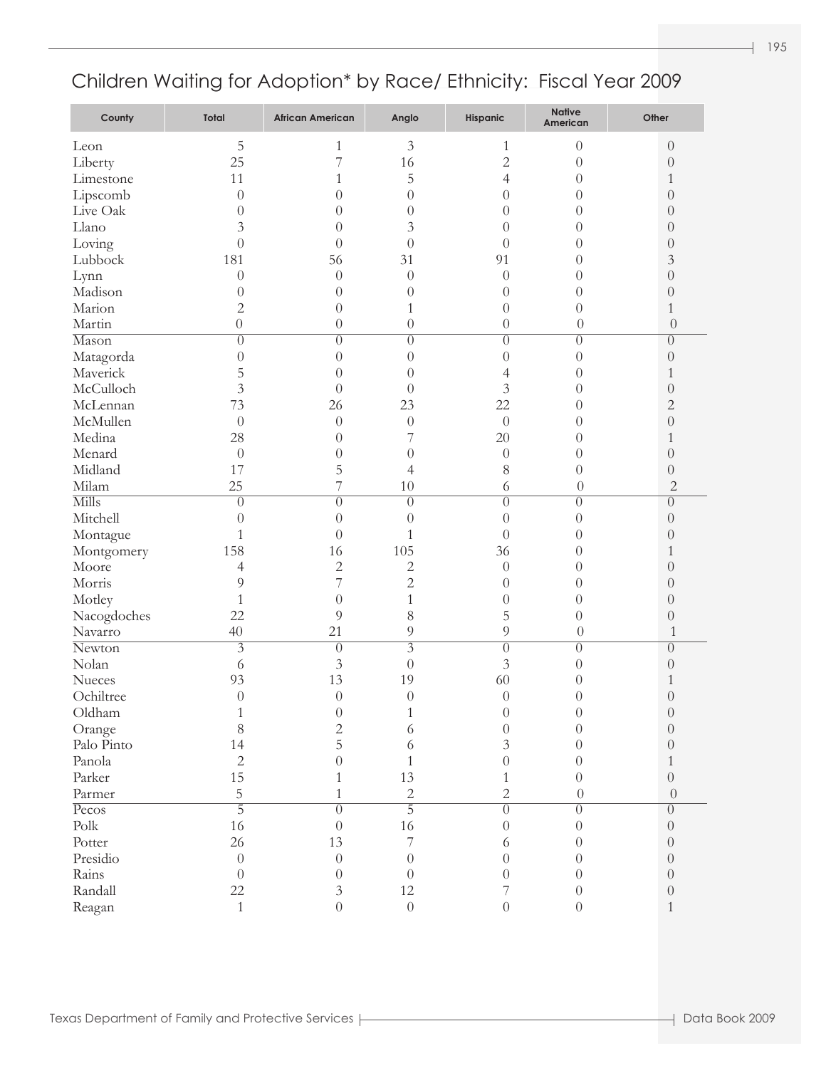| County        | Total            | <b>African American</b> | Anglo            | Hispanic         | <b>Native</b><br>American | Other            |
|---------------|------------------|-------------------------|------------------|------------------|---------------------------|------------------|
| Leon          | 5                | 1                       | $\mathfrak{Z}$   | 1                | $\theta$                  | $\theta$         |
| Liberty       | 25               | 7                       | 16               | $\overline{2}$   | $\theta$                  | $\boldsymbol{0}$ |
| Limestone     | 11               | 1                       | 5                | $\overline{4}$   | $\theta$                  | 1                |
| Lipscomb      | $\theta$         | $\theta$                | $\theta$         | $\theta$         | $\theta$                  | $\theta$         |
| Live Oak      | $\theta$         | 0                       | $\theta$         | $\theta$         | $\theta$                  | $\theta$         |
| Llano         | 3                | $\theta$                | 3                | $\theta$         | $\theta$                  | $\theta$         |
| Loving        | $\overline{0}$   | $\theta$                | $\theta$         | $\theta$         | $\theta$                  | $\theta$         |
| Lubbock       | 181              | 56                      | 31               | 91               | $\theta$                  | 3                |
| Lynn          | $\theta$         | $\theta$                | $\theta$         | $\theta$         | $\theta$                  | $\boldsymbol{0}$ |
| Madison       | $\theta$         | $\theta$                | $\theta$         | $\theta$         | $\theta$                  | $\boldsymbol{0}$ |
| Marion        | $\overline{2}$   | $\theta$                | 1                | $\theta$         | $\theta$                  | $\mathbf{1}$     |
| Martin        | $\boldsymbol{0}$ | $\overline{0}$          | $\theta$         | $\theta$         | $\theta$                  | $\theta$         |
| Mason         | $\overline{0}$   | $\overline{0}$          | $\overline{0}$   | $\overline{0}$   | $\overline{0}$            | $\overline{0}$   |
| Matagorda     | $\overline{0}$   | $\overline{0}$          | $\theta$         | $\theta$         | $\theta$                  | $\boldsymbol{0}$ |
| Maverick      | 5                | $\theta$                | $\theta$         | 4                | $\theta$                  | 1                |
| McCulloch     | $\overline{3}$   | $\theta$                | $\theta$         | $\mathfrak{Z}$   | $\theta$                  | $\theta$         |
| McLennan      | 73               | 26                      | 23               | 22               | $\theta$                  | $\overline{c}$   |
| McMullen      | $\overline{0}$   | $\theta$                | $\boldsymbol{0}$ | $\theta$         | $\theta$                  | $\boldsymbol{0}$ |
| Medina        | 28               | $\theta$                | 7                | 20               | $\theta$                  | 1                |
| Menard        | $\theta$         | $\overline{0}$          | $\theta$         | $\theta$         | $\theta$                  | $\theta$         |
| Midland       | 17               | 5                       | $\overline{4}$   | 8                | $\theta$                  | $\boldsymbol{0}$ |
| Milam         | 25               | 7                       | 10               | 6                | $\boldsymbol{0}$          | $\overline{c}$   |
| Mills         | $\overline{0}$   | $\overline{0}$          | $\overline{0}$   | $\overline{0}$   | $\overline{0}$            | $\overline{0}$   |
| Mitchell      | $\overline{0}$   | $\overline{0}$          | $\theta$         | $\theta$         | $\theta$                  | $\boldsymbol{0}$ |
| Montague      | $\mathbf{1}$     | $\theta$                | 1                | $\theta$         | $\theta$                  | $\theta$         |
| Montgomery    | 158              | 16                      | 105              | 36               | $\theta$                  | 1                |
| Moore         | 4                | $\overline{2}$          | $\overline{c}$   | $\theta$         | $\theta$                  | $\theta$         |
| Morris        | 9                | 7                       | $\overline{c}$   | $\theta$         | $\theta$                  | $\theta$         |
| Motley        | 1                | $\overline{0}$          | $\mathbf{1}$     | $\theta$         | $\theta$                  | $\theta$         |
| Nacogdoches   | 22               | 9                       | 8                | 5                | $\theta$                  | $\boldsymbol{0}$ |
| Navarro       | 40               | 21                      | $\overline{9}$   | 9                | $\theta$                  | 1                |
| Newton        | $\overline{3}$   | $\theta$                | $\overline{3}$   | $\overline{0}$   | $\overline{0}$            | $\theta$         |
| Nolan         | 6                | 3                       | $\theta$         | 3                | $\theta$                  | $\overline{0}$   |
| Nueces        | 93               | 13                      | 19               | 60               | $\theta$                  | 1                |
| Ochiltree     | $\theta$         | $\theta$                | $\theta$         | $\theta$         | $\theta$                  | $\sqrt{a}$       |
| Oldham        |                  | $\theta$                |                  | $\theta$         |                           | $\theta$         |
| Orange        | $8\,$            | $\overline{c}$          | 6                | $\theta$         | $\Omega$                  | $\overline{0}$   |
| Palo Pinto    | 14               | 5                       | 6                | $\mathfrak{Z}$   | $\theta$                  | $\overline{0}$   |
| Panola        | $\sqrt{2}$       | $\theta$                | $\mathbf{1}$     | $\boldsymbol{0}$ | $\theta$                  | 1                |
| Parker        | 15               | 1                       | 13               | $\mathbf{1}$     | $\theta$                  | $\boldsymbol{0}$ |
| Parmer        | 5                | 1                       | $\overline{c}$   | $\overline{2}$   | $\boldsymbol{0}$          | $\overline{0}$   |
| Pecos         | $\overline{5}$   | $\overline{0}$          | $\overline{5}$   | $\overline{0}$   | $\overline{0}$            | $\overline{0}$   |
| $\text{Polk}$ | 16               | $\theta$                | 16               | $\boldsymbol{0}$ | $\theta$                  | $\overline{0}$   |
| Potter        | 26               | 13                      | 7                | 6                | $\theta$                  | $\overline{0}$   |
| Presidio      | $\boldsymbol{0}$ | $\overline{0}$          | $\theta$         | $\overline{0}$   | $\theta$                  | $\overline{0}$   |
| Rains         | $\theta$         | $\theta$                | $\theta$         | $\boldsymbol{0}$ | $\theta$                  | $\overline{0}$   |
| Randall       | 22               | $\mathfrak{Z}$          | 12               | $\overline{7}$   | $\theta$                  | $\boldsymbol{0}$ |
| Reagan        | $\mathbf{1}$     | $\overline{0}$          | $\boldsymbol{0}$ | $\overline{0}$   | $\overline{0}$            | $\mathbf{1}$     |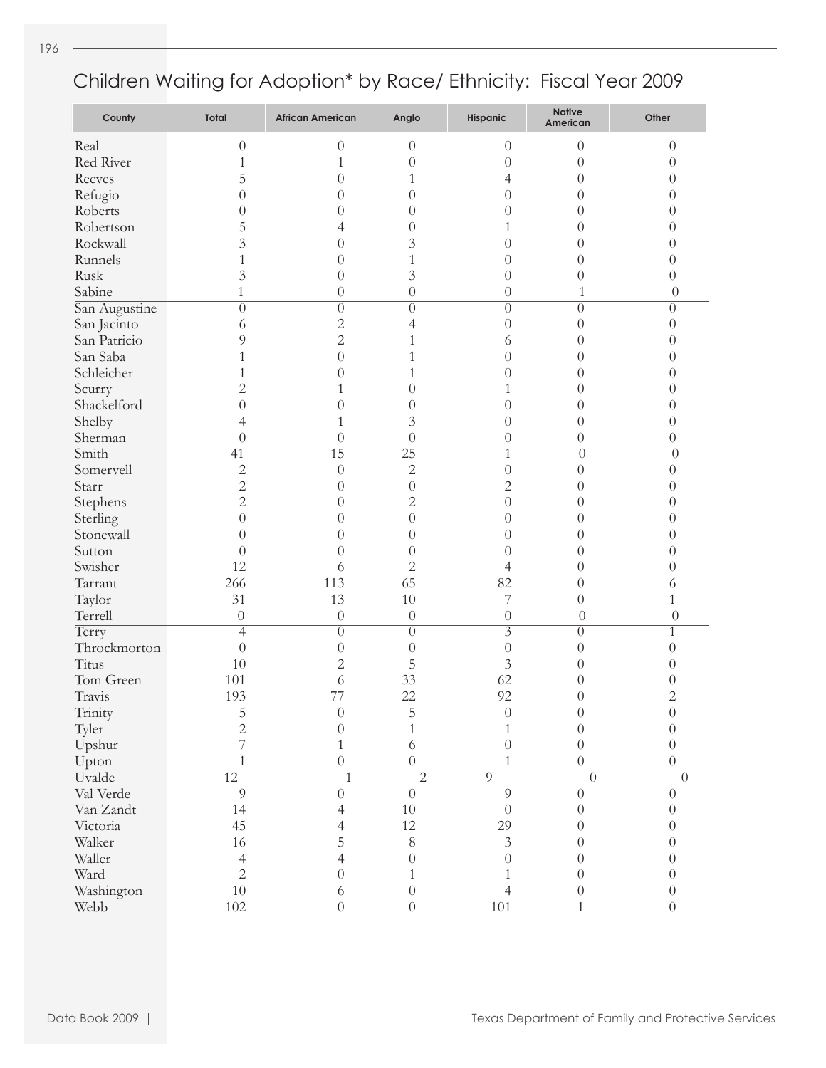| County        | Total            | <b>African American</b> | Anglo            | Hispanic         | <b>Native</b><br>American | Other            |
|---------------|------------------|-------------------------|------------------|------------------|---------------------------|------------------|
| Real          | $\boldsymbol{0}$ | $\theta$                | $\theta$         | $\theta$         | $\boldsymbol{0}$          | $\theta$         |
| Red River     | $\mathbf{1}$     | 1                       | $\overline{0}$   | $\overline{0}$   | $\boldsymbol{0}$          | $\theta$         |
| Reeves        | 5                | $\overline{0}$          | $\mathbf{1}$     | 4                | $\overline{0}$            | $\theta$         |
| Refugio       | $\overline{0}$   | $\theta$                | $\overline{0}$   | $\overline{0}$   | $\overline{0}$            | $\theta$         |
| Roberts       | $\overline{0}$   | $\theta$                | $\overline{0}$   | $\overline{0}$   | $\overline{0}$            | $\theta$         |
| Robertson     | 5                | 4                       | $\overline{0}$   | $\mathbf{1}$     | $\overline{0}$            | $\theta$         |
| Rockwall      | 3                | $\theta$                | 3                | $\overline{0}$   | $\overline{0}$            | $\theta$         |
| Runnels       | $\mathbf 1$      | $\theta$                | $\mathbf{1}$     | $\overline{0}$   | $\boldsymbol{0}$          | $\theta$         |
| Rusk          | 3                | $\theta$                | 3                | $\overline{0}$   | $\boldsymbol{0}$          | $\overline{0}$   |
| Sabine        | 1                | $\theta$                | $\overline{0}$   | $\boldsymbol{0}$ | $\mathbf{1}$              | $\theta$         |
| San Augustine | $\overline{0}$   | $\overline{0}$          | $\overline{0}$   | $\overline{0}$   | $\overline{0}$            | $\theta$         |
| San Jacinto   | 6                | $\mathbf{2}$            | 4                | $\theta$         | $\overline{0}$            | $\theta$         |
| San Patricio  | 9                | $\overline{c}$          | $\mathbf{1}$     | 6                | $\boldsymbol{0}$          | $\theta$         |
| San Saba      | 1                | $\overline{0}$          | 1                | $\theta$         | $\theta$                  | $\theta$         |
| Schleicher    | 1                | $\theta$                | 1                | $\theta$         | $\theta$                  | $\theta$         |
| Scurry        | $\overline{c}$   | 1                       | $\overline{0}$   | 1                | $\theta$                  | $\theta$         |
| Shackelford   | $\overline{0}$   | $\overline{0}$          | $\overline{0}$   | $\theta$         | $\theta$                  | $\theta$         |
| Shelby        | 4                | 1                       | 3                | $\theta$         | $\boldsymbol{0}$          | $\theta$         |
| Sherman       | $\overline{0}$   | $\overline{0}$          | $\theta$         | $\theta$         | $\boldsymbol{0}$          | $\theta$         |
| Smith         | 41               | 15                      | 25               | $\mathbf{1}$     | $\theta$                  | $\theta$         |
| Somervell     | $\overline{2}$   | $\overline{0}$          | $\overline{2}$   | $\overline{0}$   | $\overline{0}$            | $\theta$         |
| Starr         | $\overline{c}$   | $\theta$                | $\overline{0}$   | $\overline{2}$   | $\overline{0}$            | $\theta$         |
| Stephens      | $\overline{c}$   | $\theta$                | $\overline{c}$   | $\overline{0}$   | $\boldsymbol{0}$          | $\theta$         |
| Sterling      | $\overline{0}$   | $\theta$                | $\overline{0}$   | $\theta$         | $\theta$                  | $\theta$         |
| Stonewall     | $\overline{0}$   | $\overline{0}$          | $\overline{0}$   | $\theta$         | $\theta$                  | $\theta$         |
| Sutton        | $\overline{0}$   | $\overline{0}$          | $\overline{0}$   | $\theta$         | $\theta$                  | $\theta$         |
| Swisher       | 12               | 6                       | $\overline{c}$   | 4                | $\theta$                  | $\theta$         |
| Tarrant       | 266              | 113                     | 65               | 82               | $\boldsymbol{0}$          | 6                |
| Taylor        | 31               | 13                      | 10               | 7                | $\boldsymbol{0}$          | $\mathbf 1$      |
| Terrell       | $\boldsymbol{0}$ | $\boldsymbol{0}$        | $\boldsymbol{0}$ | $\theta$         | $\theta$                  | $\theta$         |
| Terry         | $\overline{4}$   | $\overline{0}$          | $\overline{0}$   | $\overline{3}$   | $\overline{0}$            | $\mathbf{1}$     |
| Throckmorton  | $\theta$         | $\theta$                | $\overline{0}$   | $\theta$         | $\overline{0}$            | $\theta$         |
| Titus         | 10               | $\overline{c}$          | 5                | $\mathfrak{Z}$   | $\theta$                  | $\theta$         |
| Tom Green     | 101              | 6                       | 33               | 62               | 0                         | 0                |
| Travis        | 193              | 77                      | 22               | 92               | $\theta$                  | $\overline{c}$   |
| Trinity       | 5                | $\boldsymbol{0}$        | 5                | $\boldsymbol{0}$ | $\boldsymbol{0}$          | $\theta$         |
| Tyler         | $\overline{c}$   | $\overline{0}$          | 1                | $\mathbf{1}$     | $\overline{0}$            | $\theta$         |
| Upshur        | 7                | $\mathbf{1}$            | 6                | $\overline{0}$   | $\theta$                  | $\theta$         |
| Upton         | $\mathbf{1}$     | $\overline{0}$          | $\overline{0}$   | $\mathbf{1}$     | $\overline{0}$            | $\theta$         |
| Uvalde        | 12               | $\mathbf{1}$            | $\overline{2}$   | 9                | $\boldsymbol{0}$          | $\theta$         |
| Val Verde     | $\overline{9}$   | $\theta$                | $\overline{0}$   | $\overline{9}$   | $\theta$                  | $\boldsymbol{0}$ |
| Van Zandt     | 14               | 4                       | $10\,$           | $\theta$         | $\theta$                  | $\theta$         |
| Victoria      | 45               | 4                       | 12               | 29               | $\theta$                  | $\theta$         |
| Walker        | 16               | 5                       | $8\,$            | $\mathfrak{Z}$   | 0                         | $\theta$         |
| Waller        | $\overline{4}$   | 4                       | $\overline{0}$   | $\overline{0}$   | 0                         | $\theta$         |
| Ward          | $\overline{2}$   | $\theta$                | $\mathbf{1}$     | $\mathbf{1}$     | $\theta$                  | $\theta$         |
| Washington    | 10               | 6                       | $\boldsymbol{0}$ | $\overline{4}$   | 0                         | $\boldsymbol{0}$ |
| Webb          | 102              | $\overline{0}$          | $\boldsymbol{0}$ | 101              | $\mathbf{1}$              | $\theta$         |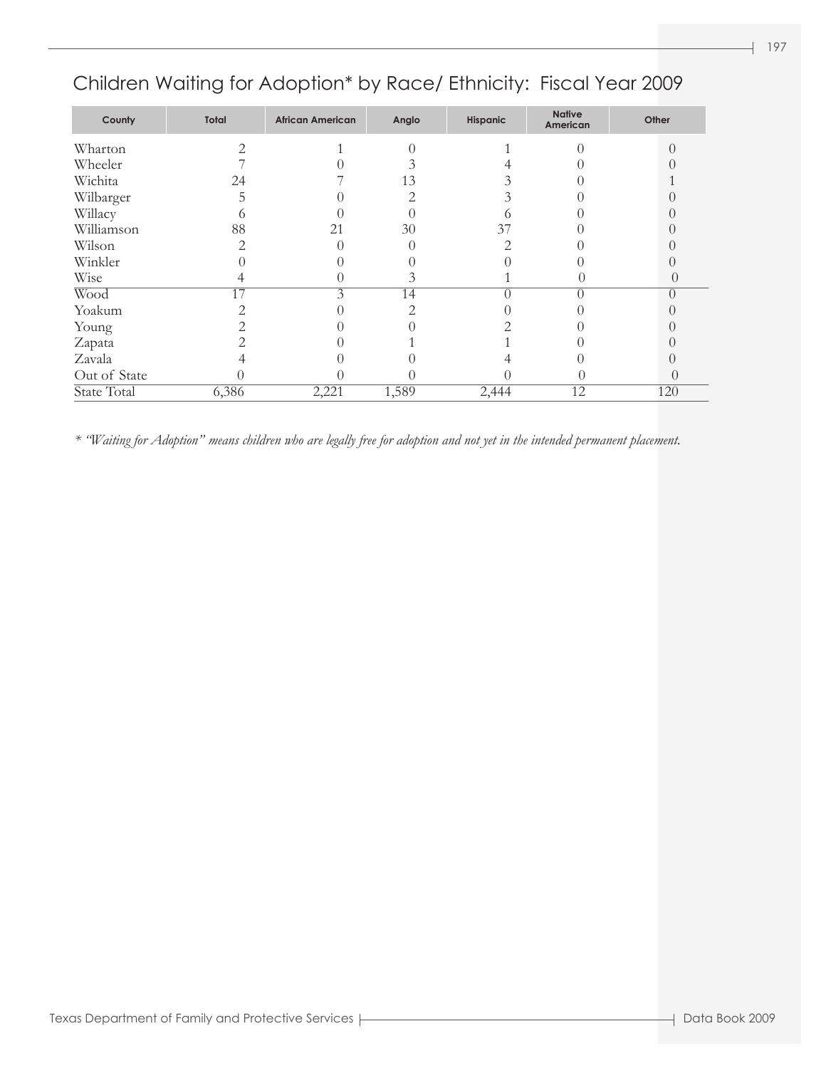| Total<br>County |       | <b>African American</b> | Anglo | Hispanic | <b>Native</b><br>American | Other            |  |
|-----------------|-------|-------------------------|-------|----------|---------------------------|------------------|--|
| Wharton         | 2     |                         |       |          |                           | 0                |  |
| Wheeler         |       |                         |       |          |                           |                  |  |
| Wichita         | 24    |                         | 13    |          |                           |                  |  |
| Wilbarger       |       |                         |       | 3        |                           |                  |  |
| Willacy         |       |                         |       |          |                           |                  |  |
| Williamson      | 88    | 21                      | 30    | 37       |                           |                  |  |
| Wilson          | っ     |                         |       | っ        |                           |                  |  |
| Winkler         |       |                         |       |          |                           |                  |  |
| Wise            |       |                         | 3     |          |                           | $\theta$         |  |
| Wood            | 17    | 3                       | 14    |          |                           | $\left( \right)$ |  |
| Yoakum          |       |                         |       |          |                           |                  |  |
| Young           |       |                         |       |          |                           |                  |  |
| Zapata          |       |                         |       |          |                           |                  |  |
| Zavala          |       |                         |       |          |                           |                  |  |
| Out of State    |       |                         |       |          |                           | $\left($         |  |
| State Total     | 6,386 | 2,221                   | 1,589 | 2,444    | 12                        | 120              |  |

*\* "Waiting for Adoption" means children who are legally free for adoption and not yet in the intended permanent placement.*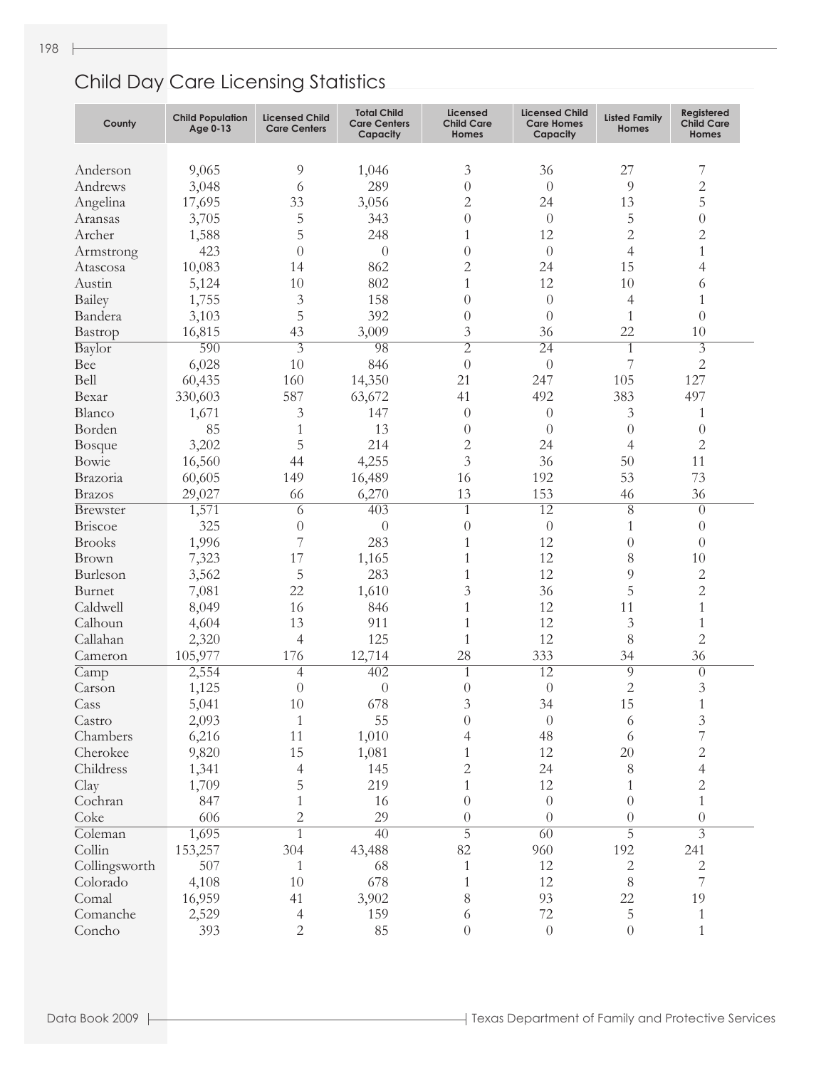| County           | <b>Child Population</b><br>Age 0-13 | <b>Licensed Child</b><br><b>Care Centers</b> | <b>Total Child</b><br><b>Care Centers</b><br>Capacity | Licensed<br><b>Child Care</b><br>Homes | <b>Licensed Child</b><br><b>Care Homes</b><br>Capacity | <b>Listed Family</b><br>Homes | Registered<br><b>Child Care</b><br>Homes |
|------------------|-------------------------------------|----------------------------------------------|-------------------------------------------------------|----------------------------------------|--------------------------------------------------------|-------------------------------|------------------------------------------|
|                  |                                     |                                              |                                                       |                                        |                                                        |                               |                                          |
| Anderson         | 9,065                               | 9                                            | 1,046                                                 | 3                                      | 36                                                     | 27                            | 7                                        |
| Andrews          | 3,048                               | 6                                            | 289                                                   | $\theta$                               | $\theta$                                               | 9                             | $\mathbf{2}$                             |
| Angelina         | 17,695                              | 33                                           | 3,056                                                 | 2                                      | 24                                                     | 13                            | 5                                        |
| Aransas          | 3,705                               | 5                                            | 343                                                   | $\theta$                               | $\theta$                                               | 5                             | $\theta$                                 |
| Archer           | 1,588                               | 5                                            | 248                                                   | 1                                      | 12                                                     | $\overline{c}$                | $\overline{2}$                           |
| Armstrong        | 423                                 | $\theta$                                     | $\theta$                                              | $\theta$                               | $\theta$                                               | 4                             | $\mathbf{1}$                             |
| Atascosa         | 10,083                              | 14                                           | 862                                                   | $\overline{c}$                         | 24                                                     | 15                            | 4                                        |
| Austin           | 5,124                               | 10                                           | 802                                                   | $\mathbf{1}$                           | 12                                                     | 10                            | 6                                        |
| Bailey           | 1,755                               | 3                                            | 158                                                   | $\theta$                               | $\theta$                                               | 4                             | 1                                        |
| Bandera          | 3,103                               | 5                                            | 392                                                   | $\theta$                               | $\theta$                                               | $\mathbf{1}$                  | $\theta$                                 |
| Bastrop          | 16,815                              | 43                                           | 3,009                                                 | 3                                      | 36                                                     | 22                            | 10                                       |
| Baylor           | 590                                 | $\overline{3}$                               | 98                                                    | $\overline{2}$                         | $\overline{24}$                                        | $\mathbf{1}$                  | $\overline{3}$                           |
| Bee              | 6,028                               | 10                                           | 846                                                   | $\theta$                               | $\theta$                                               | 7                             | $\mathbf{2}$                             |
| Bell             | 60,435                              | 160                                          | 14,350                                                | 21                                     | 247                                                    | 105                           | 127                                      |
| Bexar            | 330,603                             | 587                                          | 63,672                                                | 41                                     | 492                                                    | 383                           | 497                                      |
| Blanco           | 1,671                               | 3                                            | 147                                                   | $\theta$                               | $\theta$                                               | 3                             | 1                                        |
| Borden           | 85                                  | 1                                            | 13                                                    | $\theta$                               | $\theta$                                               | $\theta$                      | $\theta$                                 |
| <b>Bosque</b>    | 3,202                               | 5                                            | 214                                                   | $\mathbf{2}$                           | 24                                                     | 4                             | $\mathbf{2}$                             |
| Bowie            | 16,560                              | 44                                           | 4,255                                                 | 3                                      | 36                                                     | 50                            | 11                                       |
| Brazoria         | 60,605                              | 149                                          | 16,489                                                | 16                                     | 192                                                    | 53                            | 73                                       |
| <b>Brazos</b>    | 29,027                              | 66                                           | 6,270                                                 | 13                                     | 153                                                    | 46                            | 36                                       |
| <b>B</b> rewster | 1,571                               | 6                                            | 403                                                   | $\overline{1}$                         | $\overline{12}$                                        | 8                             | $\theta$                                 |
| Briscoe          | 325                                 | $\theta$                                     | $\theta$                                              | $\overline{0}$                         | $\theta$                                               | 1                             | $\overline{0}$                           |
| <b>Brooks</b>    | 1,996                               | 7                                            | 283                                                   | $\mathbf{1}$                           | 12                                                     | $\theta$                      | $\overline{0}$                           |
| Brown            | 7,323                               | 17                                           | 1,165                                                 | $\mathbf{1}$                           | 12                                                     | 8                             | 10                                       |
| Burleson         | 3,562                               | 5                                            | 283                                                   | $\mathbf{1}$                           | 12                                                     | 9                             | 2                                        |
| Burnet           | 7,081                               | 22                                           | 1,610                                                 | 3                                      | 36                                                     | 5                             | $\overline{c}$                           |
| Caldwell         | 8,049                               | 16                                           | 846                                                   | $\mathbf{1}$                           | 12                                                     | 11                            | 1                                        |
| Calhoun          | 4,604                               | 13                                           | 911                                                   | $\mathbf{1}$                           | 12                                                     | $\mathfrak{Z}$                | 1                                        |
| Callahan         | 2,320                               | 4                                            | 125                                                   | $\mathbf{1}$                           | 12                                                     | 8                             | $\overline{2}$                           |
| Cameron          | 105,977                             | 176                                          | 12,714                                                | 28                                     | 333                                                    | 34                            | 36                                       |
| Camp             | 2,554                               | 4                                            | 402                                                   | $\mathbf{1}$                           | $\overline{12}$                                        | 9                             | $\theta$                                 |
| Carson           | 1,125                               | $\overline{0}$                               | $\theta$                                              | $\theta$                               | $\theta$                                               | $\overline{c}$                | $\mathfrak{Z}$                           |
| Cass             |                                     | 10                                           | 678                                                   | 3                                      | 34                                                     | 15                            | $\mathbf{1}$                             |
|                  | 5,041                               |                                              | 55                                                    |                                        | $\boldsymbol{0}$                                       |                               |                                          |
| Castro           | 2,093                               | $\mathbf{1}$                                 |                                                       | $\theta$                               |                                                        | 6                             | $\mathfrak{Z}$<br>7                      |
| Chambers         | 6,216                               | 11                                           | 1,010                                                 | 4                                      | 48                                                     | 6                             |                                          |
| Cherokee         | 9,820                               | 15                                           | 1,081                                                 | 1                                      | 12                                                     | 20                            | $\mathbf{2}$                             |
| Childress        | 1,341                               | 4                                            | 145                                                   | 2                                      | 24                                                     | 8                             | 4                                        |
| Clay             | 1,709                               | 5                                            | 219                                                   | 1                                      | 12                                                     | 1                             | $\mathbf{2}$                             |
| Cochran          | 847                                 | 1                                            | 16                                                    | $\theta$                               | $\theta$                                               | $\theta$                      | 1                                        |
| Coke             | 606                                 | 2                                            | 29                                                    | $\theta$                               | $\theta$                                               | $\theta$                      | $\boldsymbol{0}$                         |
| Coleman          | 1,695                               | 1                                            | $\overline{40}$                                       | $\overline{5}$                         | 60                                                     | $\overline{5}$                | 3                                        |
| Collin           | 153,257                             | 304                                          | 43,488                                                | 82                                     | 960                                                    | 192                           | 241                                      |
| Collingsworth    | 507                                 | 1                                            | 68                                                    | 1                                      | 12                                                     | 2                             | 2                                        |
| Colorado         | 4,108                               | 10                                           | 678                                                   | 1                                      | 12                                                     | 8                             | 7                                        |
| Comal            | 16,959                              | 41                                           | 3,902                                                 | 8                                      | 93                                                     | 22                            | 19                                       |
| Comanche         | 2,529                               | 4                                            | 159                                                   | 6                                      | 72                                                     | 5                             | 1                                        |
| Concho           | 393                                 | $\overline{2}$                               | 85                                                    | $\theta$                               | $\boldsymbol{0}$                                       | $\theta$                      | $\mathbf{1}$                             |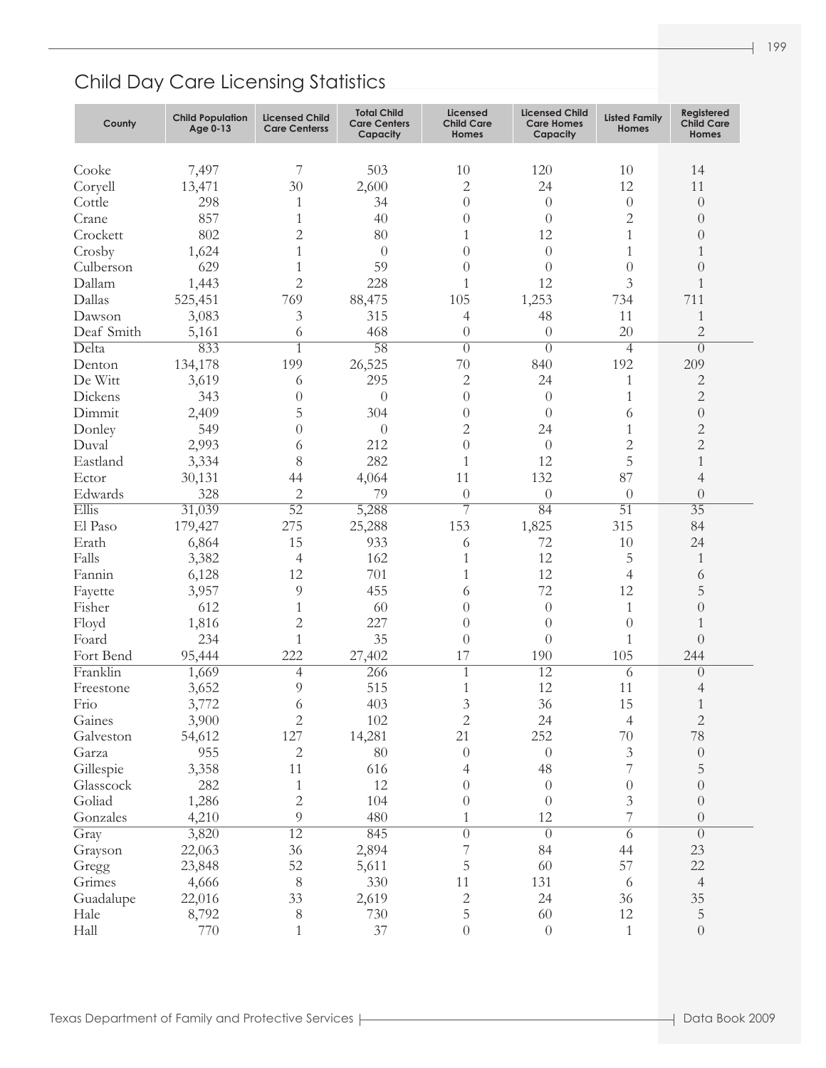| Cooke<br>7,497<br>7<br>503<br>10<br>120<br>10<br>14<br>$\mathbf{2}$<br>12<br>Coryell<br>30<br>2,600<br>24<br>11<br>13,471<br>Cottle<br>298<br>34<br>$\theta$<br>$\theta$<br>$\theta$<br>$\theta$<br>1<br>857<br>$\mathbf{2}$<br>Crane<br>40<br>1<br>$\Omega$<br>$\theta$<br>$\Omega$<br>802<br>$\overline{c}$<br>12<br>Crockett<br>80<br>1<br>1<br>$\Omega$<br>Crosby<br>1,624<br>1<br>1<br>$\theta$<br>$\theta$<br>$\theta$<br>1<br>59<br>Culberson<br>629<br>$\Omega$<br>1<br>$\theta$<br>$\theta$<br>$\Omega$<br>$\overline{2}$<br>Dallam<br>12<br>3<br>228<br>1<br>1,443<br>1<br>Dallas<br>105<br>1,253<br>711<br>769<br>88,475<br>734<br>525,451<br>3<br>11<br>Dawson<br>315<br>48<br>1<br>3,083<br>4<br>20<br>$\overline{2}$<br>Deaf Smith<br>468<br>$\theta$<br>$\theta$<br>5,161<br>6<br>58<br>Delta<br>833<br>1<br>$\theta$<br>$\theta$<br>$\Omega$<br>$\overline{4}$<br>199<br>70<br>192<br>26,525<br>840<br>209<br>Denton<br>134,178<br>De Witt<br>$\overline{2}$<br>24<br>2<br>3,619<br>295<br>1<br>6<br>$\mathbf{2}$<br>Dickens<br>$\theta$<br>1<br>343<br>$\theta$<br>$\theta$<br>$\theta$<br>5<br>Dimmit<br>304<br>$\theta$<br>2,409<br>$\theta$<br>$\theta$<br>6<br>$\overline{2}$<br>$\mathbf{2}$<br>24<br>Donley<br>549<br>$\theta$<br>$\theta$<br>1<br>$\mathbf{2}$<br>$\mathbf{2}$<br>Duval<br>212<br>$\theta$<br>2,993<br>$\theta$<br>6<br>5<br>282<br>12<br>Eastland<br>8<br>1<br>$\mathbf{1}$<br>3,334<br>87<br>132<br>Ector<br>11<br>30,131<br>4,064<br>4<br>44<br>$\overline{c}$<br>Edwards<br>328<br>79<br>$\theta$<br>$\theta$<br>$\theta$<br>$\theta$<br>7<br>$\overline{51}$<br>Ellis<br>52<br>$\overline{35}$<br>5,288<br>84<br>31,039<br>El Paso<br>275<br>153<br>315<br>25,288<br>1,825<br>84<br>179,427 |
|------------------------------------------------------------------------------------------------------------------------------------------------------------------------------------------------------------------------------------------------------------------------------------------------------------------------------------------------------------------------------------------------------------------------------------------------------------------------------------------------------------------------------------------------------------------------------------------------------------------------------------------------------------------------------------------------------------------------------------------------------------------------------------------------------------------------------------------------------------------------------------------------------------------------------------------------------------------------------------------------------------------------------------------------------------------------------------------------------------------------------------------------------------------------------------------------------------------------------------------------------------------------------------------------------------------------------------------------------------------------------------------------------------------------------------------------------------------------------------------------------------------------------------------------------------------------------------------------------------------------------------------------------------------------------------------------------------------------------------------|
|                                                                                                                                                                                                                                                                                                                                                                                                                                                                                                                                                                                                                                                                                                                                                                                                                                                                                                                                                                                                                                                                                                                                                                                                                                                                                                                                                                                                                                                                                                                                                                                                                                                                                                                                          |
|                                                                                                                                                                                                                                                                                                                                                                                                                                                                                                                                                                                                                                                                                                                                                                                                                                                                                                                                                                                                                                                                                                                                                                                                                                                                                                                                                                                                                                                                                                                                                                                                                                                                                                                                          |
|                                                                                                                                                                                                                                                                                                                                                                                                                                                                                                                                                                                                                                                                                                                                                                                                                                                                                                                                                                                                                                                                                                                                                                                                                                                                                                                                                                                                                                                                                                                                                                                                                                                                                                                                          |
|                                                                                                                                                                                                                                                                                                                                                                                                                                                                                                                                                                                                                                                                                                                                                                                                                                                                                                                                                                                                                                                                                                                                                                                                                                                                                                                                                                                                                                                                                                                                                                                                                                                                                                                                          |
|                                                                                                                                                                                                                                                                                                                                                                                                                                                                                                                                                                                                                                                                                                                                                                                                                                                                                                                                                                                                                                                                                                                                                                                                                                                                                                                                                                                                                                                                                                                                                                                                                                                                                                                                          |
|                                                                                                                                                                                                                                                                                                                                                                                                                                                                                                                                                                                                                                                                                                                                                                                                                                                                                                                                                                                                                                                                                                                                                                                                                                                                                                                                                                                                                                                                                                                                                                                                                                                                                                                                          |
|                                                                                                                                                                                                                                                                                                                                                                                                                                                                                                                                                                                                                                                                                                                                                                                                                                                                                                                                                                                                                                                                                                                                                                                                                                                                                                                                                                                                                                                                                                                                                                                                                                                                                                                                          |
|                                                                                                                                                                                                                                                                                                                                                                                                                                                                                                                                                                                                                                                                                                                                                                                                                                                                                                                                                                                                                                                                                                                                                                                                                                                                                                                                                                                                                                                                                                                                                                                                                                                                                                                                          |
|                                                                                                                                                                                                                                                                                                                                                                                                                                                                                                                                                                                                                                                                                                                                                                                                                                                                                                                                                                                                                                                                                                                                                                                                                                                                                                                                                                                                                                                                                                                                                                                                                                                                                                                                          |
|                                                                                                                                                                                                                                                                                                                                                                                                                                                                                                                                                                                                                                                                                                                                                                                                                                                                                                                                                                                                                                                                                                                                                                                                                                                                                                                                                                                                                                                                                                                                                                                                                                                                                                                                          |
|                                                                                                                                                                                                                                                                                                                                                                                                                                                                                                                                                                                                                                                                                                                                                                                                                                                                                                                                                                                                                                                                                                                                                                                                                                                                                                                                                                                                                                                                                                                                                                                                                                                                                                                                          |
|                                                                                                                                                                                                                                                                                                                                                                                                                                                                                                                                                                                                                                                                                                                                                                                                                                                                                                                                                                                                                                                                                                                                                                                                                                                                                                                                                                                                                                                                                                                                                                                                                                                                                                                                          |
|                                                                                                                                                                                                                                                                                                                                                                                                                                                                                                                                                                                                                                                                                                                                                                                                                                                                                                                                                                                                                                                                                                                                                                                                                                                                                                                                                                                                                                                                                                                                                                                                                                                                                                                                          |
|                                                                                                                                                                                                                                                                                                                                                                                                                                                                                                                                                                                                                                                                                                                                                                                                                                                                                                                                                                                                                                                                                                                                                                                                                                                                                                                                                                                                                                                                                                                                                                                                                                                                                                                                          |
|                                                                                                                                                                                                                                                                                                                                                                                                                                                                                                                                                                                                                                                                                                                                                                                                                                                                                                                                                                                                                                                                                                                                                                                                                                                                                                                                                                                                                                                                                                                                                                                                                                                                                                                                          |
|                                                                                                                                                                                                                                                                                                                                                                                                                                                                                                                                                                                                                                                                                                                                                                                                                                                                                                                                                                                                                                                                                                                                                                                                                                                                                                                                                                                                                                                                                                                                                                                                                                                                                                                                          |
|                                                                                                                                                                                                                                                                                                                                                                                                                                                                                                                                                                                                                                                                                                                                                                                                                                                                                                                                                                                                                                                                                                                                                                                                                                                                                                                                                                                                                                                                                                                                                                                                                                                                                                                                          |
|                                                                                                                                                                                                                                                                                                                                                                                                                                                                                                                                                                                                                                                                                                                                                                                                                                                                                                                                                                                                                                                                                                                                                                                                                                                                                                                                                                                                                                                                                                                                                                                                                                                                                                                                          |
|                                                                                                                                                                                                                                                                                                                                                                                                                                                                                                                                                                                                                                                                                                                                                                                                                                                                                                                                                                                                                                                                                                                                                                                                                                                                                                                                                                                                                                                                                                                                                                                                                                                                                                                                          |
|                                                                                                                                                                                                                                                                                                                                                                                                                                                                                                                                                                                                                                                                                                                                                                                                                                                                                                                                                                                                                                                                                                                                                                                                                                                                                                                                                                                                                                                                                                                                                                                                                                                                                                                                          |
|                                                                                                                                                                                                                                                                                                                                                                                                                                                                                                                                                                                                                                                                                                                                                                                                                                                                                                                                                                                                                                                                                                                                                                                                                                                                                                                                                                                                                                                                                                                                                                                                                                                                                                                                          |
|                                                                                                                                                                                                                                                                                                                                                                                                                                                                                                                                                                                                                                                                                                                                                                                                                                                                                                                                                                                                                                                                                                                                                                                                                                                                                                                                                                                                                                                                                                                                                                                                                                                                                                                                          |
|                                                                                                                                                                                                                                                                                                                                                                                                                                                                                                                                                                                                                                                                                                                                                                                                                                                                                                                                                                                                                                                                                                                                                                                                                                                                                                                                                                                                                                                                                                                                                                                                                                                                                                                                          |
|                                                                                                                                                                                                                                                                                                                                                                                                                                                                                                                                                                                                                                                                                                                                                                                                                                                                                                                                                                                                                                                                                                                                                                                                                                                                                                                                                                                                                                                                                                                                                                                                                                                                                                                                          |
| 15<br>Erath<br>72<br>10<br>6,864<br>933<br>24<br>6                                                                                                                                                                                                                                                                                                                                                                                                                                                                                                                                                                                                                                                                                                                                                                                                                                                                                                                                                                                                                                                                                                                                                                                                                                                                                                                                                                                                                                                                                                                                                                                                                                                                                       |
| 12<br>Falls<br>162<br>5<br>3,382<br>4<br>1<br>1                                                                                                                                                                                                                                                                                                                                                                                                                                                                                                                                                                                                                                                                                                                                                                                                                                                                                                                                                                                                                                                                                                                                                                                                                                                                                                                                                                                                                                                                                                                                                                                                                                                                                          |
| 12<br>12<br>Fannin<br>701<br>1<br>6,128<br>$\overline{4}$<br>6                                                                                                                                                                                                                                                                                                                                                                                                                                                                                                                                                                                                                                                                                                                                                                                                                                                                                                                                                                                                                                                                                                                                                                                                                                                                                                                                                                                                                                                                                                                                                                                                                                                                           |
| 72<br>12<br>5<br>9<br>455<br>3,957<br>6<br>Fayette                                                                                                                                                                                                                                                                                                                                                                                                                                                                                                                                                                                                                                                                                                                                                                                                                                                                                                                                                                                                                                                                                                                                                                                                                                                                                                                                                                                                                                                                                                                                                                                                                                                                                       |
| Fisher<br>612<br>60<br>$\theta$<br>$\theta$<br>1<br>$\Omega$<br>1                                                                                                                                                                                                                                                                                                                                                                                                                                                                                                                                                                                                                                                                                                                                                                                                                                                                                                                                                                                                                                                                                                                                                                                                                                                                                                                                                                                                                                                                                                                                                                                                                                                                        |
| $\overline{c}$<br>227<br>$\theta$<br>Floyd<br>1,816<br>$\theta$<br>$\theta$<br>1                                                                                                                                                                                                                                                                                                                                                                                                                                                                                                                                                                                                                                                                                                                                                                                                                                                                                                                                                                                                                                                                                                                                                                                                                                                                                                                                                                                                                                                                                                                                                                                                                                                         |
| 35<br>Foard<br>234<br>1<br>$\theta$<br>$\theta$<br>1<br>$\Omega$                                                                                                                                                                                                                                                                                                                                                                                                                                                                                                                                                                                                                                                                                                                                                                                                                                                                                                                                                                                                                                                                                                                                                                                                                                                                                                                                                                                                                                                                                                                                                                                                                                                                         |
| 222<br>17<br>190<br>105<br>Fort Bend<br>27,402<br>244<br>95,444                                                                                                                                                                                                                                                                                                                                                                                                                                                                                                                                                                                                                                                                                                                                                                                                                                                                                                                                                                                                                                                                                                                                                                                                                                                                                                                                                                                                                                                                                                                                                                                                                                                                          |
| Franklin<br>$\overline{12}$<br>266<br>1<br>1,669<br>4<br>6<br>$\Omega$                                                                                                                                                                                                                                                                                                                                                                                                                                                                                                                                                                                                                                                                                                                                                                                                                                                                                                                                                                                                                                                                                                                                                                                                                                                                                                                                                                                                                                                                                                                                                                                                                                                                   |
| 12<br>515<br>11<br>9<br>Freestone<br>3,652<br>1<br>4                                                                                                                                                                                                                                                                                                                                                                                                                                                                                                                                                                                                                                                                                                                                                                                                                                                                                                                                                                                                                                                                                                                                                                                                                                                                                                                                                                                                                                                                                                                                                                                                                                                                                     |
| 3<br>36<br>15<br>403<br>Frio<br>3,772<br>6                                                                                                                                                                                                                                                                                                                                                                                                                                                                                                                                                                                                                                                                                                                                                                                                                                                                                                                                                                                                                                                                                                                                                                                                                                                                                                                                                                                                                                                                                                                                                                                                                                                                                               |
| Gaines<br>$\mathbf{2}$<br>102<br>$\mathbf{2}$<br>24<br>$\sqrt{2}$<br>3,900<br>$\overline{4}$                                                                                                                                                                                                                                                                                                                                                                                                                                                                                                                                                                                                                                                                                                                                                                                                                                                                                                                                                                                                                                                                                                                                                                                                                                                                                                                                                                                                                                                                                                                                                                                                                                             |
| 127<br>252<br>78<br>14,281<br>21<br>$70\,$<br>54,612<br>Galveston                                                                                                                                                                                                                                                                                                                                                                                                                                                                                                                                                                                                                                                                                                                                                                                                                                                                                                                                                                                                                                                                                                                                                                                                                                                                                                                                                                                                                                                                                                                                                                                                                                                                        |
| $\mathfrak{Z}$<br>955<br>$\overline{c}$<br>80<br>$\theta$<br>$\theta$<br>$\boldsymbol{0}$<br>Garza                                                                                                                                                                                                                                                                                                                                                                                                                                                                                                                                                                                                                                                                                                                                                                                                                                                                                                                                                                                                                                                                                                                                                                                                                                                                                                                                                                                                                                                                                                                                                                                                                                       |
| 7<br>Gillespie<br>3,358<br>11<br>48<br>$\mathbf 5$<br>616<br>4                                                                                                                                                                                                                                                                                                                                                                                                                                                                                                                                                                                                                                                                                                                                                                                                                                                                                                                                                                                                                                                                                                                                                                                                                                                                                                                                                                                                                                                                                                                                                                                                                                                                           |
| 12<br>$\boldsymbol{0}$<br>282<br>$\theta$<br>$\theta$<br>$\theta$<br>Glasscock<br>1                                                                                                                                                                                                                                                                                                                                                                                                                                                                                                                                                                                                                                                                                                                                                                                                                                                                                                                                                                                                                                                                                                                                                                                                                                                                                                                                                                                                                                                                                                                                                                                                                                                      |
| $\overline{c}$<br>3<br>Goliad<br>1,286<br>104<br>$\theta$<br>$\theta$<br>$\theta$                                                                                                                                                                                                                                                                                                                                                                                                                                                                                                                                                                                                                                                                                                                                                                                                                                                                                                                                                                                                                                                                                                                                                                                                                                                                                                                                                                                                                                                                                                                                                                                                                                                        |
| $\overline{7}$<br>9<br>480<br>12<br>Gonzales<br>4,210<br>$\boldsymbol{0}$<br>1                                                                                                                                                                                                                                                                                                                                                                                                                                                                                                                                                                                                                                                                                                                                                                                                                                                                                                                                                                                                                                                                                                                                                                                                                                                                                                                                                                                                                                                                                                                                                                                                                                                           |
| 12<br>845<br>Gray<br>$\overline{0}$<br>3,820<br>$\left\{ 0\right\}$<br>6<br>$\boldsymbol{0}$                                                                                                                                                                                                                                                                                                                                                                                                                                                                                                                                                                                                                                                                                                                                                                                                                                                                                                                                                                                                                                                                                                                                                                                                                                                                                                                                                                                                                                                                                                                                                                                                                                             |
| 7<br>36<br>2,894<br>84<br>44<br>23<br>Grayson<br>22,063                                                                                                                                                                                                                                                                                                                                                                                                                                                                                                                                                                                                                                                                                                                                                                                                                                                                                                                                                                                                                                                                                                                                                                                                                                                                                                                                                                                                                                                                                                                                                                                                                                                                                  |
| 5<br>57<br>52<br>60<br>$22\,$<br>5,611<br>Gregg<br>23,848                                                                                                                                                                                                                                                                                                                                                                                                                                                                                                                                                                                                                                                                                                                                                                                                                                                                                                                                                                                                                                                                                                                                                                                                                                                                                                                                                                                                                                                                                                                                                                                                                                                                                |
| $\,8\,$<br>330<br>11<br>131<br>Grimes<br>4,666<br>$\overline{4}$<br>6                                                                                                                                                                                                                                                                                                                                                                                                                                                                                                                                                                                                                                                                                                                                                                                                                                                                                                                                                                                                                                                                                                                                                                                                                                                                                                                                                                                                                                                                                                                                                                                                                                                                    |
| $\overline{c}$<br>33<br>2,619<br>24<br>36<br>$35\,$<br>22,016<br>Guadalupe                                                                                                                                                                                                                                                                                                                                                                                                                                                                                                                                                                                                                                                                                                                                                                                                                                                                                                                                                                                                                                                                                                                                                                                                                                                                                                                                                                                                                                                                                                                                                                                                                                                               |
| 5<br>60<br>12<br>$\mathbf 5$<br>8<br>730<br>Hale<br>8,792                                                                                                                                                                                                                                                                                                                                                                                                                                                                                                                                                                                                                                                                                                                                                                                                                                                                                                                                                                                                                                                                                                                                                                                                                                                                                                                                                                                                                                                                                                                                                                                                                                                                                |
| Hall<br>37<br>$\boldsymbol{0}$<br>$\boldsymbol{0}$<br>$\mathbf{1}$<br>770<br>$\boldsymbol{0}$<br>1                                                                                                                                                                                                                                                                                                                                                                                                                                                                                                                                                                                                                                                                                                                                                                                                                                                                                                                                                                                                                                                                                                                                                                                                                                                                                                                                                                                                                                                                                                                                                                                                                                       |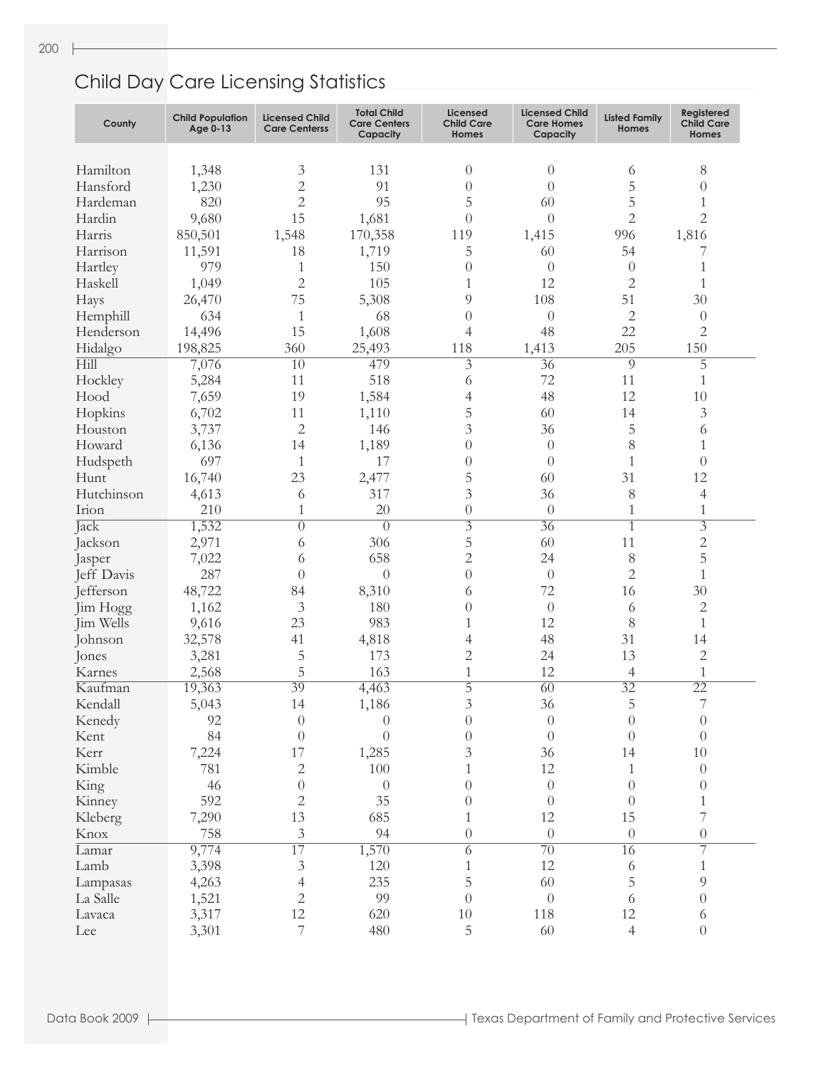| County     | <b>Child Population</b><br>Age 0-13 | <b>Licensed Child</b><br><b>Care Centerss</b> | <b>Total Child</b><br><b>Care Centers</b><br>Capacity | Licensed<br><b>Child Care</b><br>Homes | <b>Licensed Child</b><br><b>Care Homes</b><br>Capacity | <b>Listed Family</b><br>Homes | Registered<br><b>Child Care</b><br>Homes |
|------------|-------------------------------------|-----------------------------------------------|-------------------------------------------------------|----------------------------------------|--------------------------------------------------------|-------------------------------|------------------------------------------|
|            |                                     |                                               |                                                       |                                        |                                                        |                               |                                          |
| Hamilton   | 1,348                               | 3                                             | 131                                                   | $\theta$                               | $\theta$                                               | 6                             | 8                                        |
| Hansford   | 1,230                               | $\overline{c}$                                | 91                                                    | $\theta$                               | $\overline{0}$                                         | 5                             | $\theta$                                 |
| Hardeman   | 820                                 | $\overline{2}$                                | 95                                                    | 5                                      | 60                                                     | 5                             | 1                                        |
| Hardin     | 9,680                               | 15                                            | 1,681                                                 | $\theta$                               | $\theta$                                               | $\overline{2}$                | $\overline{2}$                           |
| Harris     | 850,501                             | 1,548                                         | 170,358                                               | 119                                    | 1,415                                                  | 996                           | 1,816                                    |
| Harrison   | 11,591                              | 18                                            | 1,719                                                 | 5                                      | 60                                                     | 54                            | 7                                        |
| Hartley    | 979                                 | 1                                             | 150                                                   | $\overline{0}$                         | $\overline{0}$                                         | $\theta$                      | 1                                        |
| Haskell    | 1,049                               | $\overline{c}$                                | 105                                                   | $\mathbf{1}$                           | 12                                                     | $\overline{2}$                | 1                                        |
| Hays       | 26,470                              | 75                                            | 5,308                                                 | 9                                      | 108                                                    | 51                            | 30                                       |
| Hemphill   | 634                                 | $\mathbf{1}$                                  | 68                                                    | $\theta$                               | $\theta$                                               | $\mathbf{2}$                  | $\theta$                                 |
| Henderson  | 14,496                              | 15                                            | 1,608                                                 | 4                                      | 48                                                     | 22                            | $\overline{2}$                           |
| Hidalgo    | 198,825                             | 360                                           | 25,493                                                | 118                                    | 1,413                                                  | 205                           | 150                                      |
| Hill       | 7,076                               | $\overline{10}$                               | 479                                                   | $\overline{3}$                         | $\overline{36}$                                        | 9                             | $\overline{5}$                           |
| Hockley    | 5,284                               | 11                                            | 518                                                   | 6                                      | 72                                                     | 11                            | 1                                        |
| Hood       | 7,659                               | 19                                            | 1,584                                                 | 4                                      | 48                                                     | 12                            | 10                                       |
| Hopkins    | 6,702                               | 11                                            | 1,110                                                 | 5                                      | 60                                                     | 14                            | 3                                        |
| Houston    | 3,737                               | $\overline{2}$                                | 146                                                   | 3                                      | 36                                                     | 5                             | 6                                        |
| Howard     | 6,136                               | 14                                            | 1,189                                                 | $\theta$                               | $\theta$                                               | 8                             | 1                                        |
| Hudspeth   | 697                                 | $\mathbf{1}$                                  | 17                                                    | $\theta$                               | $\theta$                                               | $\mathbf{1}$                  | $\theta$                                 |
| Hunt       | 16,740                              | 23                                            | 2,477                                                 | 5                                      | 60                                                     | 31                            | 12                                       |
| Hutchinson |                                     |                                               |                                                       | 3                                      |                                                        |                               |                                          |
|            | 4,613                               | 6                                             | 317                                                   |                                        | 36                                                     | 8                             | 4                                        |
| Irion      | 210                                 | 1                                             | 20                                                    | $\theta$                               | $\theta$                                               | 1                             | 1                                        |
| Jack       | 1,532                               | $\theta$                                      | $\overline{0}$                                        | $\overline{3}$                         | $\overline{36}$                                        | $\overline{1}$                | $\overline{3}$                           |
| Jackson    | 2,971                               | 6                                             | 306                                                   | 5                                      | 60                                                     | 11                            | $\overline{c}$                           |
| Jasper     | 7,022                               | 6                                             | 658                                                   | $\overline{2}$                         | 24                                                     | 8                             | 5                                        |
| Jeff Davis | 287                                 | $\left( \right)$                              | $\theta$                                              | $\theta$                               | $\theta$                                               | $\overline{2}$                | $\mathbf{1}$                             |
| Jefferson  | 48,722                              | 84                                            | 8,310                                                 | 6                                      | 72                                                     | 16                            | 30                                       |
| Jim Hogg   | 1,162                               | 3                                             | 180                                                   | $\overline{0}$                         | $\theta$                                               | 6                             | 2                                        |
| Jim Wells  | 9,616                               | 23                                            | 983                                                   | $\mathbf{1}$                           | 12                                                     | 8                             | $\mathbf{1}$                             |
| Johnson    | 32,578                              | 41                                            | 4,818                                                 | 4                                      | 48                                                     | 31                            | 14                                       |
| Jones      | 3,281                               | 5                                             | 173                                                   | $\mathbf{2}$                           | 24                                                     | 13                            | $\mathbf{2}$                             |
| Karnes     | 2,568                               | 5                                             | 163                                                   | $\mathbf{1}$                           | 12                                                     | 4                             | $\mathbf{1}$                             |
| Kaufman    | 19,363                              | 39                                            | 4,463                                                 | $\overline{5}$                         | $\overline{60}$                                        | $\overline{32}$               | $\overline{22}$                          |
| Kendall    | 5,043                               | 14                                            | 1,186                                                 | 3                                      | 36                                                     | 5                             | 7                                        |
| Kenedy     | 92                                  | $\theta$                                      | $\theta$                                              | $\theta$                               | $\boldsymbol{0}$                                       | $\theta$                      | $\theta$                                 |
| Kent       | 84                                  | $\theta$                                      | $\theta$                                              | $\theta$                               | $\boldsymbol{0}$                                       | $\theta$                      | $\theta$                                 |
| Kerr       | 7,224                               | 17                                            | 1,285                                                 | 3                                      | 36                                                     | 14                            | 10                                       |
| Kimble     | 781                                 | 2                                             | 100                                                   | 1                                      | 12                                                     | 1                             | $\overline{0}$                           |
| King       | 46                                  | $\theta$                                      | $\theta$                                              | $\theta$                               | $\theta$                                               | $\theta$                      | $\theta$                                 |
| Kinney     | 592                                 | 2                                             | 35                                                    | $\theta$                               | $\theta$                                               | $\theta$                      | 1                                        |
| Kleberg    | 7,290                               | 13                                            | 685                                                   | 1                                      | 12                                                     | 15                            | 7                                        |
| Knox       | 758                                 | 3                                             | 94                                                    | $\theta$                               | $\boldsymbol{0}$                                       | $\theta$                      | $\overline{0}$                           |
| Lamar      | 9,774                               | 17                                            | 1,570                                                 | 6                                      | $\overline{70}$                                        | 16                            | 7                                        |
| Lamb       | 3,398                               | 3                                             | 120                                                   | 1                                      | 12                                                     | 6                             | 1                                        |
|            |                                     |                                               | 235                                                   | 5                                      | 60                                                     | 5                             | 9                                        |
| Lampasas   | 4,263                               | 4                                             |                                                       |                                        |                                                        |                               |                                          |
| La Salle   | 1,521                               | 2                                             | 99                                                    | $\theta$                               | $\boldsymbol{0}$                                       | 6                             | $\theta$                                 |
| Lavaca     | 3,317                               | 12                                            | 620                                                   | $10\,$                                 | 118                                                    | 12                            | 6                                        |
| Lee        | 3,301                               | 7                                             | 480                                                   | 5                                      | 60                                                     | 4                             | $\overline{0}$                           |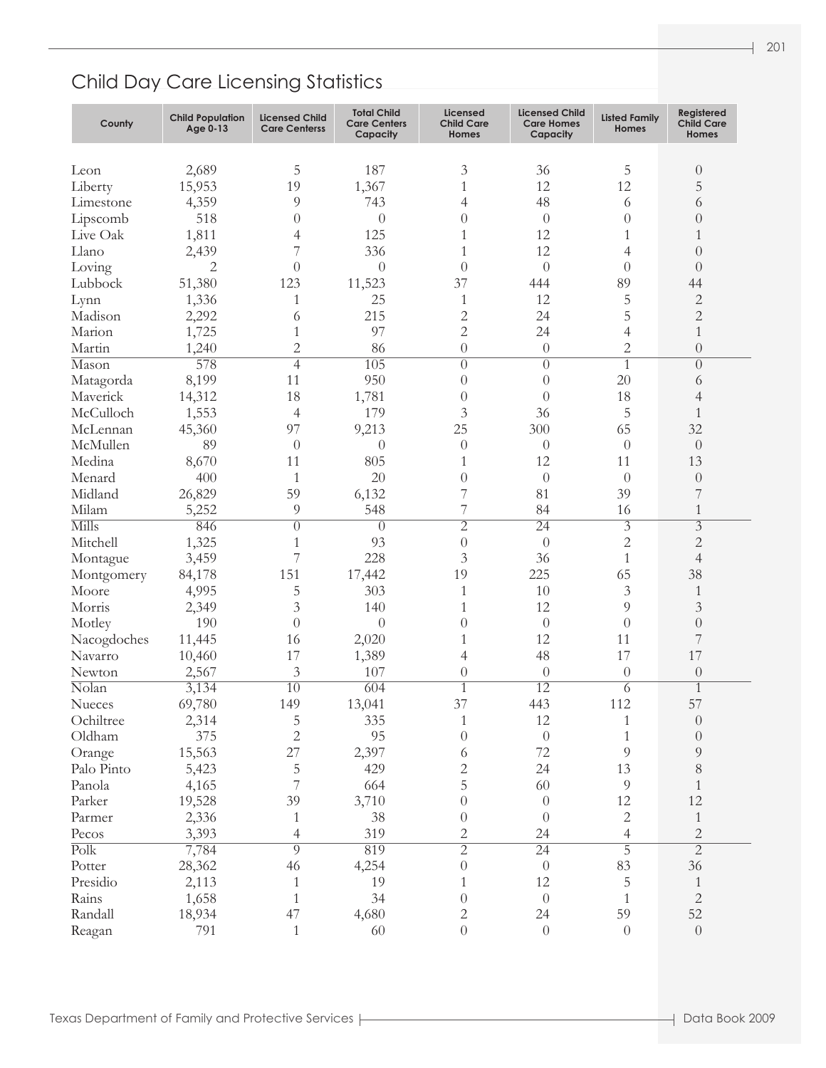| County                   | <b>Child Population</b><br>Age 0-13 | <b>Licensed Child</b><br><b>Care Centerss</b> | <b>Total Child</b><br><b>Care Centers</b><br>Capacity | <b>Licensed</b><br><b>Child Care</b><br>Homes | <b>Licensed Child</b><br><b>Care Homes</b><br>Capacity | <b>Listed Family</b><br>Homes | Registered<br><b>Child Care</b><br>Homes |
|--------------------------|-------------------------------------|-----------------------------------------------|-------------------------------------------------------|-----------------------------------------------|--------------------------------------------------------|-------------------------------|------------------------------------------|
|                          |                                     |                                               |                                                       |                                               |                                                        |                               |                                          |
| Leon                     | 2,689                               | 5                                             | 187                                                   | 3                                             | 36                                                     | 5                             | $\theta$                                 |
| Liberty                  | 15,953                              | 19                                            | 1,367                                                 | $\mathbf{1}$                                  | 12                                                     | 12                            | 5                                        |
| Limestone                | 4,359                               | 9                                             | 743                                                   | $\overline{4}$                                | 48                                                     | 6                             | 6                                        |
| Lipscomb                 | 518                                 | $\theta$                                      | $\theta$                                              | $\theta$                                      | $\theta$                                               | $\theta$                      | $\Omega$                                 |
| Live Oak                 | 1,811                               | 4                                             | 125                                                   | 1                                             | 12                                                     | 1                             | 1                                        |
| Llano                    | 2,439                               | 7                                             | 336                                                   | 1                                             | 12                                                     | $\overline{4}$                | $\Omega$                                 |
| Loving                   | 2                                   | $\theta$                                      | $\theta$                                              | $\overline{0}$                                | $\theta$                                               | $\theta$                      | $\Omega$                                 |
| Lubbock                  | 51,380                              | 123                                           | 11,523                                                | 37                                            | 444                                                    | 89                            | 44                                       |
| Lynn                     | 1,336                               | 1                                             | 25                                                    | 1                                             | 12                                                     | 5                             | $\overline{c}$                           |
| Madison                  | 2,292                               | 6                                             | 215                                                   | $\mathbf{2}$                                  | 24                                                     | 5                             | $\mathbf{2}$                             |
| Marion                   | 1,725                               | 1                                             | 97                                                    | $\mathbf{2}$                                  | 24                                                     | $\overline{4}$                | $\mathbf{1}$                             |
| Martin                   | 1,240                               | $\overline{2}$                                | 86                                                    | $\theta$                                      | $\theta$                                               | $\overline{2}$                | $\overline{0}$                           |
| Mason                    | 578                                 | $\overline{4}$                                | 105                                                   | $\theta$                                      | $\theta$                                               | $\mathbf{1}$                  | $\overline{0}$                           |
| Matagorda                | 8,199                               | 11                                            | 950                                                   | $\theta$                                      | $\theta$                                               | 20                            | 6                                        |
| Maverick                 | 14,312                              | 18                                            | 1,781                                                 | $\theta$                                      | $\theta$                                               | 18                            | 4                                        |
| McCulloch                | 1,553                               | 4                                             | 179                                                   | $\mathfrak{Z}$                                | 36                                                     | 5                             | $\mathbf{1}$                             |
| McLennan                 | 45,360                              | 97                                            | 9,213                                                 | 25                                            | 300                                                    | 65                            | 32                                       |
| McMullen                 | 89                                  | $\theta$                                      | $\theta$                                              | $\theta$                                      | $\theta$                                               | $\Omega$                      | $\theta$                                 |
| Medina                   | 8,670                               | 11                                            | 805                                                   | 1                                             | 12                                                     | 11                            | 13                                       |
| Menard                   | 400                                 | 1                                             | 20                                                    | $\theta$                                      | $\theta$                                               | $\theta$                      | $\theta$                                 |
| Midland                  | 26,829                              | 59                                            | 6,132                                                 | 7                                             | 81                                                     | 39                            | 7                                        |
| Milam                    | 5,252                               | 9                                             | 548                                                   | 7                                             | 84                                                     | 16                            | 1                                        |
| Mills                    | 846                                 | $\Omega$                                      | $\theta$                                              | $\overline{2}$                                | $\overline{24}$                                        | $\overline{3}$                | $\overline{3}$                           |
| Mitchell                 | 1,325                               | 1                                             | 93                                                    | $\theta$                                      | $\theta$                                               | $\overline{2}$                | $\overline{2}$                           |
|                          |                                     | 7                                             | 228                                                   | 3                                             | 36                                                     | 1                             | $\overline{4}$                           |
| Montague                 | 3,459                               |                                               |                                                       |                                               |                                                        |                               |                                          |
| Montgomery               | 84,178                              | 151                                           | 17,442                                                | 19                                            | 225                                                    | 65                            | 38                                       |
| Moore                    | 4,995                               | 5                                             | 303                                                   | 1                                             | 10                                                     | 3                             | 1                                        |
| Morris                   | 2,349                               | 3                                             | 140                                                   | $\mathbf{1}$                                  | 12                                                     | 9                             | 3                                        |
| Motley                   | 190                                 | $\left( \right)$                              | $\theta$                                              | $\theta$                                      | $\theta$                                               | $\Omega$                      | $\theta$                                 |
| Nacogdoches              | 11,445                              | 16                                            | 2,020                                                 | $\mathbf{1}$                                  | 12                                                     | 11                            | 7                                        |
| Navarro                  | 10,460                              | 17                                            | 1,389                                                 | 4                                             | 48                                                     | 17                            | 17                                       |
| Newton                   | 2,567                               | 3                                             | 107                                                   | $\theta$                                      | $\theta$                                               | $\theta$                      | $\theta$                                 |
| Nolan                    | 3,134                               | $\overline{10}$                               | 604                                                   | $\mathbf{1}$                                  | $\overline{12}$                                        | 6                             | $\mathbf{1}$                             |
| <b>Nueces</b>            | 69,780                              | 149                                           | 13,041                                                | 37                                            | 443                                                    | 112                           | 57                                       |
| Ochiltree                | 2,314                               | 5                                             | 335                                                   | 1                                             | 12                                                     | 1                             | $\theta$                                 |
| Oldham                   | 375                                 | $\overline{c}$                                | 95                                                    | $\theta$                                      | $\boldsymbol{0}$                                       | 1                             | $\theta$                                 |
| Orange                   | 15,563                              | 27                                            | 2,397                                                 | 6                                             | 72                                                     | 9                             | 9                                        |
| Palo Pinto               | 5,423                               | 5                                             | 429                                                   | $\mathbf{2}$                                  | 24                                                     | 13                            | $8\,$                                    |
| Panola                   | 4,165                               | 7                                             | 664                                                   | 5                                             | 60                                                     | $\overline{9}$                | 1                                        |
| Parker                   | 19,528                              | 39                                            | 3,710                                                 | $\theta$                                      | $\theta$                                               | 12                            | 12                                       |
| Parmer                   | 2,336                               | 1                                             | $38\,$                                                | $\overline{0}$                                | $\theta$                                               | $\mathbf{2}$                  | $\mathbf{1}$                             |
| Pecos                    | 3,393                               | $\overline{4}$                                | 319                                                   | $\overline{2}$                                | 24                                                     | $\overline{4}$                | $\mathbf{2}$                             |
| $\overline{\text{Poly}}$ | 7,784                               | $\overline{9}$                                | 819                                                   | $\overline{2}$                                | $\overline{24}$                                        | $\overline{5}$                | $\overline{2}$                           |
| Potter                   | 28,362                              | 46                                            | 4,254                                                 | $\theta$                                      | $\boldsymbol{0}$                                       | 83                            | 36                                       |
| Presidio                 | 2,113                               | 1                                             | 19                                                    | 1                                             | 12                                                     | 5                             | $\mathbf{1}$                             |
| Rains                    | 1,658                               | $\mathbf{1}$                                  | 34                                                    | $\boldsymbol{0}$                              | $\boldsymbol{0}$                                       | $\mathbf{1}$                  | $\sqrt{2}$                               |
| Randall                  | 18,934                              | 47                                            | 4,680                                                 | $\mathbf{2}$                                  | 24                                                     | 59                            | 52                                       |
|                          |                                     |                                               |                                                       |                                               |                                                        |                               |                                          |
| Reagan                   | 791                                 | $\mathbf{1}$                                  | 60                                                    | $\sqrt{a}$                                    | $\boldsymbol{0}$                                       | $\boldsymbol{0}$              | $\theta$                                 |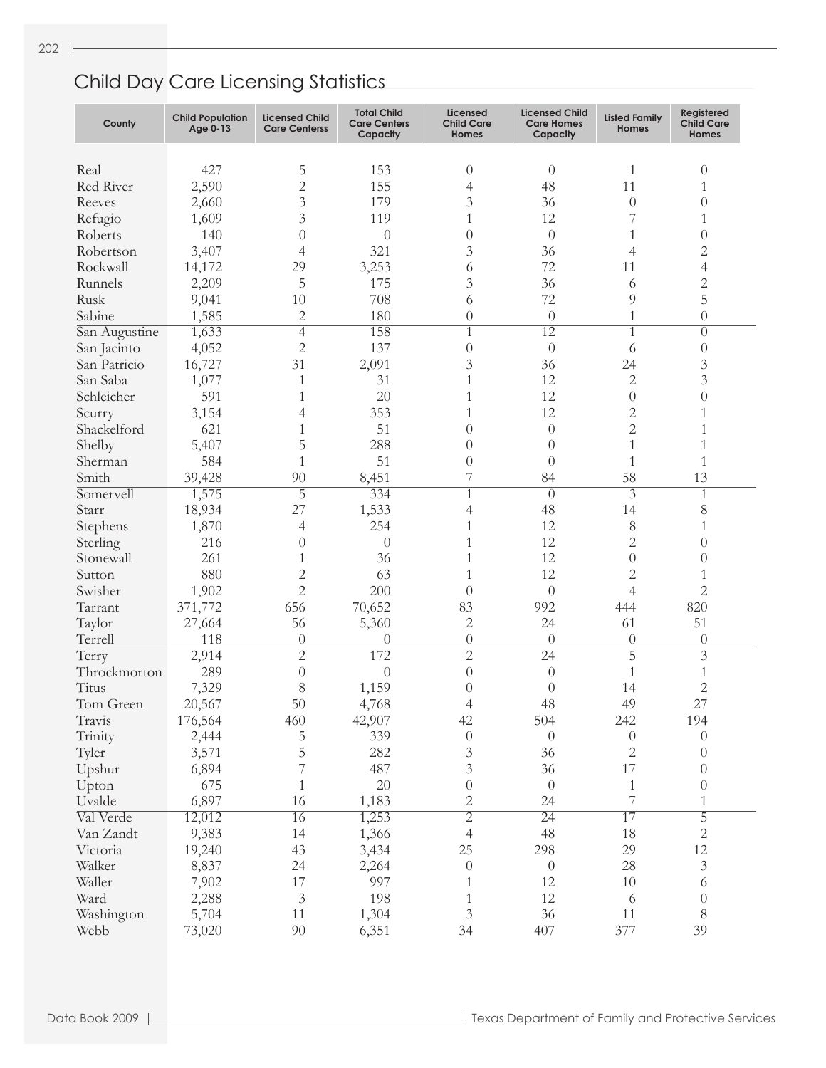| County            | <b>Child Population</b><br>Age 0-13 | <b>Licensed Child</b><br><b>Care Centerss</b> | <b>Total Child</b><br><b>Care Centers</b><br>Capacity | <b>Licensed</b><br><b>Child Care</b><br><b>Homes</b> | <b>Licensed Child</b><br><b>Care Homes</b><br>Capacity | <b>Listed Family</b><br><b>Homes</b> | Registered<br><b>Child Care</b><br>Homes |
|-------------------|-------------------------------------|-----------------------------------------------|-------------------------------------------------------|------------------------------------------------------|--------------------------------------------------------|--------------------------------------|------------------------------------------|
|                   |                                     |                                               |                                                       |                                                      |                                                        |                                      |                                          |
| Real              | 427                                 | 5                                             | 153                                                   | $\theta$                                             | $\theta$                                               | 1                                    | $\theta$                                 |
| Red River         | 2,590                               | $\overline{2}$                                | 155                                                   | 4                                                    | 48                                                     | 11                                   | 1                                        |
| Reeves            | 2,660                               | $\overline{3}$                                | 179                                                   | 3                                                    | 36                                                     | $\theta$                             | $\theta$                                 |
| Refugio           | 1,609                               | $\overline{3}$                                | 119                                                   | $\mathbf{1}$                                         | 12                                                     | 7                                    | 1                                        |
| Roberts           | 140                                 | $\theta$                                      | $\theta$                                              | $\overline{0}$                                       | $\theta$                                               | 1                                    | $\theta$                                 |
| Robertson         | 3,407                               | 4                                             | 321                                                   | 3                                                    | 36                                                     | 4                                    | $\sqrt{2}$                               |
| Rockwall          | 14,172                              | 29                                            | 3,253                                                 | 6                                                    | 72                                                     | 11                                   | $\overline{4}$                           |
| Runnels           | 2,209                               | 5                                             | 175                                                   | 3                                                    | 36                                                     | 6                                    | $\overline{c}$                           |
| Rusk              | 9,041                               | 10                                            | 708                                                   | 6                                                    | 72                                                     | 9                                    | 5                                        |
| Sabine            | 1,585                               | $\overline{2}$                                | 180                                                   | $\overline{0}$                                       | $\theta$                                               | 1                                    | $\theta$                                 |
| San Augustine     | 1,633                               | $\overline{4}$                                | 158                                                   | $\mathbf{1}$                                         | 12                                                     | 1                                    | $\theta$                                 |
| San Jacinto       | 4,052                               | $\mathbf{2}$                                  | 137                                                   | $\overline{0}$                                       | $\theta$                                               | 6                                    | $\theta$                                 |
| San Patricio      | 16,727                              | 31                                            | 2,091                                                 | 3                                                    | 36                                                     | 24                                   | $\mathfrak{Z}$                           |
| San Saba          | 1,077                               | 1                                             | 31                                                    | $\mathbf{1}$                                         | 12                                                     | 2                                    | 3                                        |
| Schleicher        | 591                                 | 1                                             | 20                                                    | 1                                                    | 12                                                     | $\theta$                             | $\overline{0}$                           |
| Scurry            | 3,154                               | 4                                             | 353                                                   | 1                                                    | 12                                                     | $\overline{c}$                       | 1                                        |
| Shackelford       | 621                                 | 1                                             | 51                                                    | $\theta$                                             | $\theta$                                               | $\overline{2}$                       | $\mathbf{1}$                             |
| Shelby            | 5,407                               | 5                                             | 288                                                   | $\overline{0}$                                       | $\theta$                                               | 1                                    | $\mathbf{1}$                             |
| Sherman           | 584                                 | 1                                             | 51                                                    | $\overline{0}$                                       | $\theta$                                               | $\mathbf{1}$                         | $\mathbf{1}$                             |
| Smith             | 39,428                              | 90                                            | 8,451                                                 | 7                                                    | 84                                                     | 58                                   | 13                                       |
| Somervell         | 1,575                               | $\overline{5}$                                | 334                                                   | $\mathbf{1}$                                         | $\theta$                                               | $\overline{3}$                       | $\mathbf{1}$                             |
| Starr             | 18,934                              | 27                                            | 1,533                                                 | 4                                                    | 48                                                     | 14                                   | 8                                        |
| Stephens          | 1,870                               | 4                                             | 254                                                   | 1                                                    | 12                                                     | 8                                    | 1                                        |
| Sterling          | 216                                 | $\theta$                                      | $\theta$                                              | 1                                                    | 12                                                     | 2                                    | $\theta$                                 |
| Stonewall         | 261                                 | 1                                             | 36                                                    | 1                                                    | 12                                                     | $\theta$                             | $\theta$                                 |
| Sutton            | 880                                 | $\overline{2}$                                | 63                                                    | 1                                                    | 12                                                     | $\overline{c}$                       | 1                                        |
| Swisher           | 1,902                               | $\overline{2}$                                | 200                                                   | $\left( \right)$                                     | $\theta$                                               | $\overline{4}$                       | $\overline{2}$                           |
| Tarrant           | 371,772                             | 656                                           | 70,652                                                | 83                                                   | 992                                                    | 444                                  | 820                                      |
|                   |                                     | 56                                            |                                                       |                                                      | 24                                                     |                                      | 51                                       |
| Taylor<br>Terrell | 27,664                              |                                               | 5,360                                                 | 2                                                    |                                                        | 61                                   |                                          |
|                   | 118                                 | $\theta$<br>$\overline{2}$                    | $\theta$                                              | $\theta$                                             | $\theta$                                               | $\theta$<br>$\overline{5}$           | $\theta$<br>$\overline{\mathfrak{Z}}$    |
| Terry             | 2,914                               |                                               | 172                                                   | $\overline{2}$                                       | $\overline{24}$                                        |                                      |                                          |
| Throckmorton      | 289                                 | $\boldsymbol{0}$                              | $\theta$                                              | $\overline{0}$                                       | $\theta$                                               | 1                                    | 1                                        |
| Titus             | 7,329                               | 8                                             | 1,159                                                 | $\overline{0}$                                       | $\overline{0}$                                         | 14                                   | $\overline{c}$                           |
| Tom Green         | 20,567                              | 50                                            | 4,768                                                 | $\overline{4}$                                       | 48                                                     | 49                                   | 27                                       |
| Travis            | 176,564                             | 460                                           | 42,907                                                | 42                                                   | 504                                                    | 242                                  | 194                                      |
| Trinity           | 2,444                               | 5                                             | 339                                                   | $\boldsymbol{0}$                                     | $\theta$                                               | $\theta$                             | $\theta$                                 |
| Tyler             | 3,571                               | 5                                             | 282                                                   | 3                                                    | 36                                                     | $\mathbf{2}$                         | $\theta$                                 |
| Upshur            | 6,894                               | 7                                             | 487                                                   | 3                                                    | 36                                                     | 17                                   | $\theta$                                 |
| Upton             | 675                                 | 1                                             | 20                                                    | $\theta$                                             | $\theta$                                               | $\mathbf{1}$                         | $\theta$                                 |
| Uvalde            | 6,897                               | 16                                            | 1,183                                                 | 2                                                    | 24                                                     | $\overline{7}$                       | 1                                        |
| Val Verde         | 12,012                              | 16                                            | 1,253                                                 | $\overline{2}$                                       | $\overline{24}$                                        | 17                                   | $\overline{5}$                           |
| Van Zandt         | 9,383                               | 14                                            | 1,366                                                 | 4                                                    | 48                                                     | 18                                   | $\sqrt{2}$                               |
| Victoria          | 19,240                              | 43                                            | 3,434                                                 | 25                                                   | 298                                                    | 29                                   | $12\,$                                   |
| Walker            | 8,837                               | 24                                            | 2,264                                                 | $\theta$                                             | $\theta$                                               | 28                                   | $\ensuremath{\mathfrak{Z}}$              |
| Waller            | 7,902                               | 17                                            | 997                                                   | 1                                                    | 12                                                     | 10                                   | 6                                        |
| Ward              | 2,288                               | $\mathfrak{Z}$                                | 198                                                   | 1                                                    | 12                                                     | 6                                    | $\boldsymbol{0}$                         |
| Washington        | 5,704                               | 11                                            | 1,304                                                 | 3                                                    | 36                                                     | 11                                   | 8                                        |
| Webb              | 73,020                              | 90                                            | 6,351                                                 | 34                                                   | 407                                                    | 377                                  | 39                                       |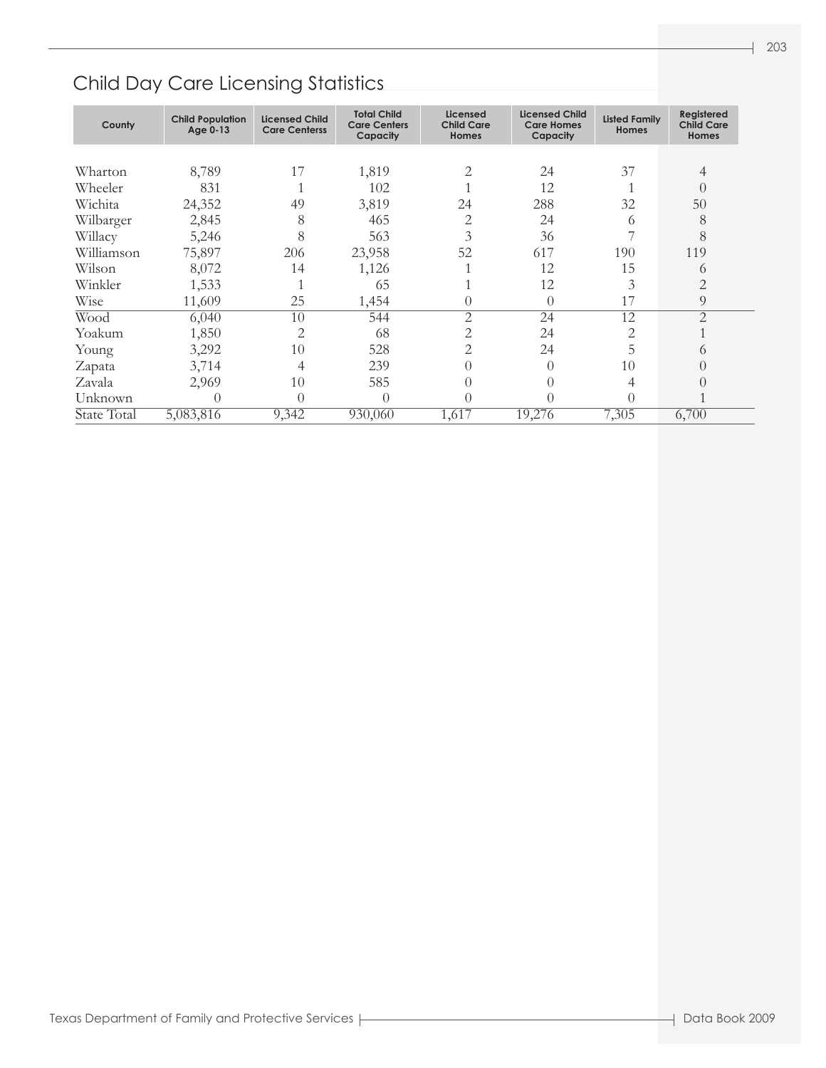| County      | <b>Child Population</b><br>Age 0-13 | <b>Licensed Child</b><br><b>Care Centerss</b> | <b>Total Child</b><br><b>Care Centers</b><br>Capacity | Licensed<br><b>Child Care</b><br><b>Homes</b> | <b>Licensed Child</b><br><b>Care Homes</b><br>Capacity | <b>Listed Family</b><br><b>Homes</b> | Registered<br><b>Child Care</b><br>Homes |
|-------------|-------------------------------------|-----------------------------------------------|-------------------------------------------------------|-----------------------------------------------|--------------------------------------------------------|--------------------------------------|------------------------------------------|
|             |                                     |                                               |                                                       |                                               |                                                        |                                      |                                          |
| Wharton     | 8,789                               | 17                                            | 1,819                                                 | 2                                             | 24                                                     | 37                                   | 4                                        |
| Wheeler     | 831                                 |                                               | 102                                                   |                                               | 12                                                     |                                      | $\left( \right)$                         |
| Wichita     | 24,352                              | 49                                            | 3,819                                                 | 24                                            | 288                                                    | 32                                   | 50                                       |
| Wilbarger   | 2,845                               | 8                                             | 465                                                   | $\overline{2}$                                | 24                                                     | 6                                    | 8                                        |
| Willacy     | 5,246                               | 8                                             | 563                                                   | 3                                             | 36                                                     |                                      | 8                                        |
| Williamson  | 75,897                              | 206                                           | 23,958                                                | 52                                            | 617                                                    | 190                                  | 119                                      |
| Wilson      | 8,072                               | 14                                            | 1,126                                                 |                                               | 12                                                     | 15                                   | 6                                        |
| Winkler     | 1,533                               |                                               | 65                                                    |                                               | 12                                                     | 3                                    | $\overline{2}$                           |
| Wise        | 11,609                              | 25                                            | 1,454                                                 | $\left( \right)$                              | $\theta$                                               | 17                                   | 9                                        |
| Wood        | 6,040                               | 10                                            | 544                                                   | 2                                             | 24                                                     | 12                                   | $\overline{2}$                           |
| Yoakum      | 1,850                               | 2                                             | 68                                                    | 2                                             | 24                                                     | 2                                    |                                          |
| Young       | 3,292                               | 10                                            | 528                                                   | 2                                             | 24                                                     | 5                                    | $\bigcirc$                               |
| Zapata      | 3,714                               | 4                                             | 239                                                   |                                               | $\theta$                                               | 10                                   | $\left( \right)$                         |
| Zavala      | 2,969                               | 10                                            | 585                                                   |                                               | $\theta$                                               | 4                                    | $\left( \right)$                         |
| Unknown     | $\left( \right)$                    | $\Omega$                                      | $\Omega$                                              |                                               | $\theta$                                               | 0                                    |                                          |
| State Total | 5,083,816                           | 9,342                                         | 930,060                                               | $1,61\overline{7}$                            | 19,276                                                 | 7,305                                | 6,700                                    |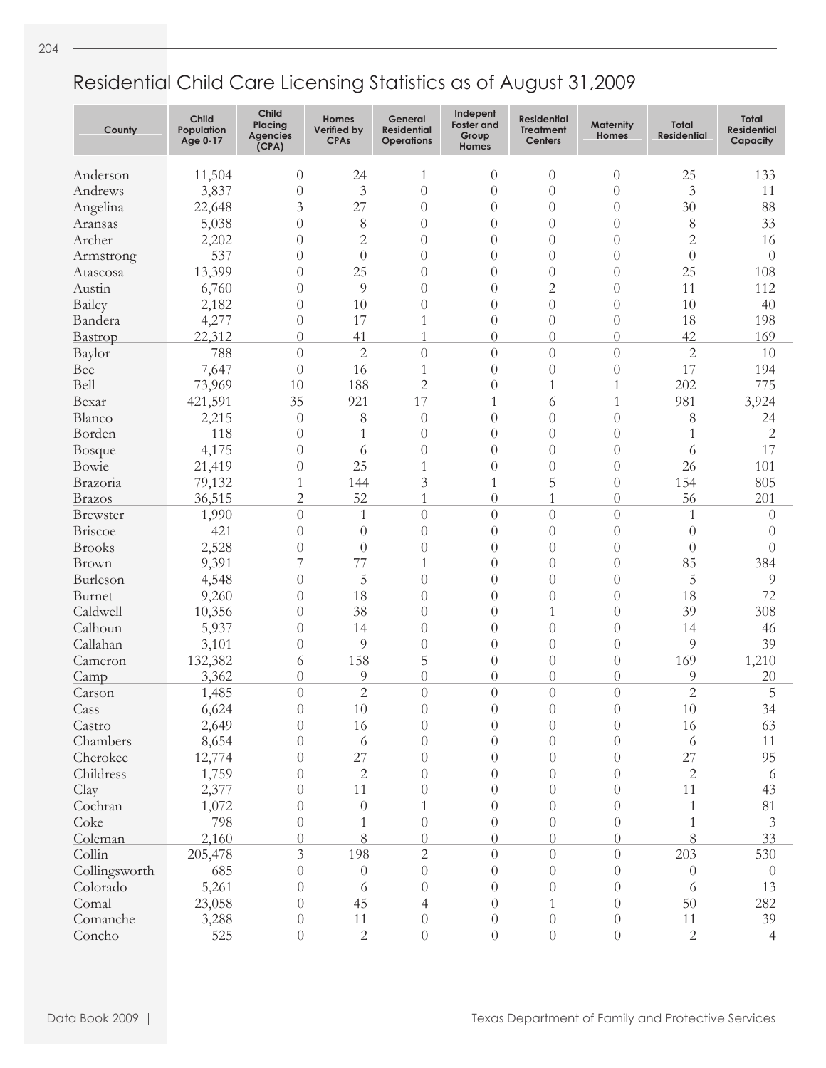- 1

| County                     | <b>Child</b><br>Population<br>Age 0-17 | Child<br>Placing<br><b>Agencies</b><br>(CPA) | Homes<br>Verified by<br><b>CPAs</b> | General<br><b>Residential</b><br><b>Operations</b> | Indepent<br><b>Foster</b> and<br>Group<br><b>Homes</b> | Residential<br><b>Treatment</b><br><b>Centers</b> | <b>Maternity</b><br><b>Homes</b> | Total<br><b>Residential</b> | Total<br><b>Residential</b><br>Capacity |
|----------------------------|----------------------------------------|----------------------------------------------|-------------------------------------|----------------------------------------------------|--------------------------------------------------------|---------------------------------------------------|----------------------------------|-----------------------------|-----------------------------------------|
| Anderson                   | 11,504                                 | $\theta$                                     | 24                                  | 1                                                  | $\theta$                                               | $\theta$                                          | $\theta$                         | 25                          | 133                                     |
| Andrews                    | 3,837                                  | $\theta$                                     | 3                                   | $\overline{0}$                                     | $\overline{0}$                                         | $\theta$                                          | $\theta$                         | 3                           | 11                                      |
| Angelina                   | 22,648                                 | 3                                            | 27                                  | $\left( \right)$                                   | $\overline{0}$                                         | $\theta$                                          | $\theta$                         | 30                          | 88                                      |
| Aransas                    | 5,038                                  | $\theta$                                     | 8                                   | $\theta$                                           | $\theta$                                               | $\overline{0}$                                    | $\theta$                         | 8                           | 33                                      |
| Archer                     | 2,202                                  | $\theta$                                     | $\overline{2}$                      | $\theta$                                           | $\overline{0}$                                         | $\theta$                                          | $\theta$                         | $\overline{2}$              | 16                                      |
| Armstrong                  | 537                                    | $\theta$                                     | $\overline{0}$                      | $\theta$                                           | $\overline{0}$                                         | $\theta$                                          | $\theta$                         | $\theta$                    | $\theta$                                |
| Atascosa                   | 13,399                                 | $\theta$                                     | 25                                  | $\theta$                                           | $\overline{0}$                                         | $\theta$                                          | $\theta$                         | 25                          | 108                                     |
| Austin                     | 6,760                                  | $\theta$                                     | $\overline{9}$                      | $\theta$                                           | $\overline{0}$                                         | $\overline{c}$                                    | $\theta$                         | 11                          | 112                                     |
| Bailey                     | 2,182                                  | $\theta$                                     | 10                                  | $\theta$                                           | $\overline{0}$                                         | $\theta$                                          | $\theta$                         | 10                          | 40                                      |
| Bandera                    |                                        | $\theta$                                     | 17                                  | 1                                                  | $\overline{0}$                                         | $\theta$                                          | $\theta$                         | 18                          | 198                                     |
|                            | 4,277<br>22,312                        | $\theta$                                     | 41                                  | 1                                                  | $\overline{0}$                                         | $\overline{0}$                                    | $\Omega$                         | 42                          | 169                                     |
| Bastrop<br>Baylor          | 788                                    | $\theta$                                     | $\overline{2}$                      | $\overline{0}$                                     | $\overline{0}$                                         | $\overline{0}$                                    | $\theta$                         | $\overline{2}$              | 10                                      |
| Bee                        | 7,647                                  | $\theta$                                     | 16                                  | 1                                                  | $\overline{0}$                                         | $\theta$                                          | $\theta$                         | 17                          | 194                                     |
| Bell                       |                                        | 10                                           | 188                                 | $\overline{2}$                                     |                                                        | 1                                                 | 1                                | 202                         | 775                                     |
| Bexar                      | 73,969                                 | 35                                           | 921                                 | 17                                                 | $\theta$<br>1                                          |                                                   |                                  | 981                         |                                         |
| Blanco                     | 421,591                                |                                              |                                     | $\overline{0}$                                     |                                                        | 6<br>$\theta$                                     | 1<br>$\theta$                    |                             | 3,924<br>24                             |
| Borden                     | 2,215<br>118                           | $\theta$                                     | 8<br>1                              | $\left( \right)$                                   | $\boldsymbol{0}$<br>$\overline{0}$                     | $\theta$                                          | $\theta$                         | 8<br>1                      |                                         |
|                            | 4,175                                  | $\theta$<br>$\overline{0}$                   |                                     | $\left( \right)$                                   | $\overline{0}$                                         |                                                   | $\theta$                         |                             | 2<br>17                                 |
| <b>Bosque</b>              |                                        |                                              | 6<br>25                             |                                                    |                                                        | $\theta$                                          |                                  | 6                           |                                         |
| Bowie                      | 21,419                                 | $\overline{0}$                               | 144                                 | 1                                                  | $\boldsymbol{0}$                                       | $\theta$<br>5                                     | $\theta$                         | 26<br>154                   | 101                                     |
| Brazoria                   | 79,132                                 | $\mathbf{1}$<br>$\overline{2}$               |                                     | 3<br>1                                             | 1                                                      | 1                                                 | $\theta$                         |                             | 805                                     |
| <b>Brazos</b>              | 36,515                                 |                                              | 52                                  |                                                    | $\overline{0}$                                         |                                                   | $\theta$                         | 56                          | 201                                     |
| <b>Brewster</b><br>Briscoe | 1,990                                  | $\theta$                                     | 1                                   | $\theta$<br>$\left( \right)$                       | $\overline{0}$                                         | $\overline{0}$                                    | $\theta$                         | 1                           | $\theta$                                |
|                            | 421                                    | $\overline{0}$                               | $\theta$                            |                                                    | $\sqrt{a}$                                             | $\theta$                                          | $\theta$                         | $\overline{0}$              | $\left( \right)$                        |
| <b>Brooks</b>              | 2,528                                  | $\overline{0}$<br>7                          | $\theta$<br>77                      | $\left( \right)$                                   | $\overline{0}$                                         | $\theta$                                          | $\theta$                         | $\overline{0}$<br>85        | $\theta$                                |
| Brown                      | 9,391                                  |                                              |                                     | 1                                                  | $\overline{0}$                                         | $\theta$                                          | $\theta$                         |                             | 384                                     |
| Burleson                   | 4,548                                  | $\overline{0}$                               | 5                                   | $\left( \right)$                                   | $\overline{0}$                                         | $\theta$                                          | $\theta$                         | 5                           | 9                                       |
| Burnet                     | 9,260                                  | $\overline{0}$                               | 18                                  | $\theta$                                           | $\overline{0}$                                         | $\theta$                                          | $\theta$                         | 18                          | 72                                      |
| Caldwell                   | 10,356                                 | $\overline{0}$                               | 38                                  | $\theta$                                           | $\theta$                                               | 1                                                 | $\theta$                         | 39                          | 308                                     |
| Calhoun                    | 5,937                                  | $\theta$                                     | 14                                  | $\theta$                                           | $\theta$                                               | $\overline{0}$                                    | $\theta$                         | 14<br>9                     | 46                                      |
| Callahan                   | 3,101                                  | $\overline{0}$                               | 9                                   | $\theta$                                           | $\theta$                                               | $\overline{0}$                                    | $\theta$                         |                             | 39                                      |
| Cameron                    | 132,382                                | 6                                            | 158                                 | 5                                                  | $\theta$                                               | $\overline{0}$                                    | $\theta$                         | 169<br>9                    | 1,210                                   |
| Camp                       | 3,362                                  | $\theta$                                     | 9<br>$\overline{2}$                 | $\theta$                                           | $\overline{0}$<br>$\overline{0}$                       | $\overline{0}$<br>$\overline{0}$                  | $\Omega$                         | $\overline{2}$              | 20                                      |
| Carson                     | 1,485                                  | $\overline{0}$                               |                                     | $\theta$<br>$\Omega$                               | $\Omega$                                               | $\Omega$                                          | $\theta$                         |                             | 5                                       |
| Cass                       | 6,624                                  | $\theta$                                     | 10                                  |                                                    |                                                        |                                                   | $\overline{0}$                   | $10\,$                      | 34                                      |
| Castro                     | 2,649                                  | $\theta$                                     | 16                                  | $\theta$                                           | $\theta$                                               | $\overline{0}$                                    | $\theta$                         | 16                          | 63                                      |
| Chambers                   | 8,654                                  | $\theta$                                     | 6<br>27                             | $\theta$                                           | $\theta$                                               | $\theta$                                          | $\Omega$                         | 6                           | 11                                      |
| Cherokee                   | 12,774                                 | $\left( \right)$                             |                                     | $\Omega$<br>$\Omega$                               | $\theta$                                               | $\theta$                                          | 0                                | 27                          | 95                                      |
| Childress                  | 1,759                                  | $\left( \right)$                             | $\sqrt{2}$                          |                                                    | $\theta$                                               | 0                                                 | 0                                | $\overline{2}$              | 6                                       |
| Clay                       | 2,377                                  | $\left( \right)$                             | 11                                  | $\Omega$                                           | $\theta$                                               | 0                                                 | 0                                | 11                          | 43                                      |
| Cochran                    | 1,072                                  | $\left( \right)$                             | $\theta$                            |                                                    | $\theta$                                               | 0                                                 | $\Omega$                         | 1                           | 81                                      |
| Coke                       | 798                                    | $\theta$                                     |                                     | $\theta$                                           | $\theta$                                               | $\overline{0}$                                    | $\theta$                         | 1                           | 3                                       |
| Coleman                    | 2,160                                  | $\theta$                                     | 8                                   | $\Omega$                                           | $\theta$                                               | $\overline{0}$                                    | $\Omega$                         | 8                           | 33                                      |
| Collin                     | 205,478                                | 3                                            | 198                                 | $\overline{c}$                                     | $\theta$                                               | $\theta$                                          | $\Omega$                         | 203                         | 530                                     |
| Collingsworth              | 685                                    | $\theta$                                     | $\theta$                            | $\theta$                                           | $\theta$                                               | $\overline{0}$                                    | $\Omega$                         | $\theta$                    | $\theta$                                |
| Colorado                   | 5,261                                  | $\theta$                                     | 6                                   | $\Omega$                                           | $\theta$                                               | $\left( \right)$                                  | $\Omega$                         | 6                           | 13                                      |
| Comal                      | 23,058                                 | $\theta$                                     | 45                                  | 4                                                  | $\theta$                                               | $\mathbf{1}$                                      | $\Omega$                         | 50                          | 282                                     |
| Comanche                   | 3,288                                  | $\theta$                                     | 11                                  | $\theta$                                           | $\theta$                                               | $\theta$                                          | $\Omega$                         | 11                          | 39                                      |
| Concho                     | 525                                    | $\theta$                                     | $\sqrt{2}$                          | $\overline{0}$                                     | $\boldsymbol{0}$                                       | $\theta$                                          | $\theta$                         | $\overline{2}$              | 4                                       |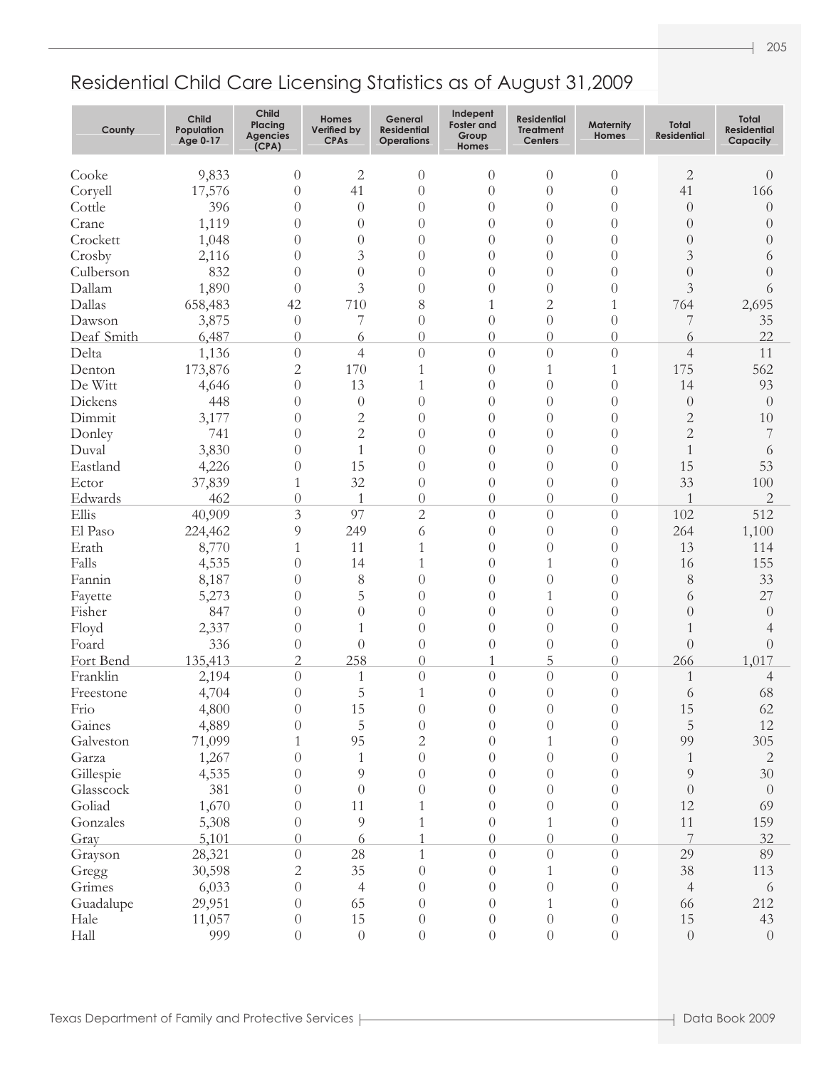| County     | <b>Child</b><br>Population<br>Age 0-17 | <b>Child</b><br>Placing<br><b>Agencies</b><br>(CPA) | <b>Homes</b><br>Verified by<br><b>CPAs</b> | General<br><b>Residential</b><br><b>Operations</b> | Indepent<br>Foster and<br>Group<br><b>Homes</b> | <b>Residential</b><br><b>Treatment</b><br><b>Centers</b> | <b>Maternity</b><br><b>Homes</b> | Total<br><b>Residential</b> | <b>Total</b><br><b>Residential</b><br>Capacity |
|------------|----------------------------------------|-----------------------------------------------------|--------------------------------------------|----------------------------------------------------|-------------------------------------------------|----------------------------------------------------------|----------------------------------|-----------------------------|------------------------------------------------|
| Cooke      | 9,833                                  | $\theta$                                            | $\mathbf{2}$                               | $\theta$                                           | $\theta$                                        | $\theta$                                                 | $\theta$                         | $\mathbf{2}$                | $\theta$                                       |
| Coryell    | 17,576                                 | $\theta$                                            | 41                                         | $\theta$                                           | $\theta$                                        | $\theta$                                                 | $\theta$                         | 41                          | 166                                            |
| Cottle     | 396                                    | $\theta$                                            | $\overline{0}$                             | $\theta$                                           | $\theta$                                        | $\theta$                                                 | $\theta$                         | $\theta$                    | $\theta$                                       |
| Crane      | 1,119                                  | $\theta$                                            | $\overline{0}$                             | $\theta$                                           | $\theta$                                        | $\theta$                                                 | $\theta$                         | $\overline{0}$              | $\theta$                                       |
| Crockett   | 1,048                                  | $\theta$                                            | $\theta$                                   | $\theta$                                           | $\theta$                                        | $\theta$                                                 | $\theta$                         | $\theta$                    | $\theta$                                       |
| Crosby     | 2,116                                  | $\theta$                                            | 3                                          | $\theta$                                           | $\theta$                                        | $\theta$                                                 | $\Omega$                         | 3                           | 6                                              |
| Culberson  | 832                                    | $\theta$                                            | $\theta$                                   | $\theta$                                           | $\theta$                                        | $\theta$                                                 | $\theta$                         | $\overline{0}$              | $\theta$                                       |
| Dallam     | 1,890                                  | $\Omega$                                            | 3                                          | $\theta$                                           | $\theta$                                        | $\theta$                                                 | $\theta$                         | 3                           | 6                                              |
| Dallas     | 658,483                                | 42                                                  | 710                                        | 8                                                  | 1                                               | $\overline{c}$                                           | 1                                | 764                         | 2,695                                          |
| Dawson     | 3,875                                  | $\overline{0}$                                      | 7                                          | $\theta$                                           | $\boldsymbol{0}$                                | $\theta$                                                 | $\theta$                         | 7                           | 35                                             |
| Deaf Smith | 6,487                                  | $\theta$                                            | 6                                          | $\theta$                                           | $\theta$                                        | $\theta$                                                 | $\theta$                         | 6                           | 22                                             |
| Delta      | 1,136                                  | $\theta$                                            | $\overline{4}$                             | $\theta$                                           | $\boldsymbol{0}$                                | $\theta$                                                 | $\theta$                         | $\overline{4}$              | 11                                             |
| Denton     | 173,876                                | $\overline{c}$                                      | 170                                        | 1                                                  | $\boldsymbol{0}$                                | $\mathbf{1}$                                             | 1                                | 175                         | 562                                            |
| De Witt    | 4,646                                  | $\theta$                                            | 13                                         | 1                                                  | $\boldsymbol{0}$                                | $\theta$                                                 | $\theta$                         | 14                          | 93                                             |
| Dickens    | 448                                    | $\overline{0}$                                      | $\theta$                                   | $\theta$                                           | $\boldsymbol{0}$                                | $\theta$                                                 | $\theta$                         | $\theta$                    | $\theta$                                       |
| Dimmit     | 3,177                                  | 0                                                   | $\overline{c}$                             | $\theta$                                           | $\boldsymbol{0}$                                | $\theta$                                                 | $\theta$                         | $\mathbf{2}$                | 10                                             |
| Donley     | 741                                    | $\overline{0}$                                      | $\mathbf{2}$                               | $\theta$                                           | $\boldsymbol{0}$                                | $\theta$                                                 | $\theta$                         | $\mathbf{2}$                | 7                                              |
| Duval      | 3,830                                  | $\theta$                                            | $\mathbf{1}$                               | $\theta$                                           | $\boldsymbol{0}$                                | $\theta$                                                 | $\theta$                         | 1                           | 6                                              |
| Eastland   | 4,226                                  | $\overline{0}$                                      | 15                                         | $\theta$                                           | $\boldsymbol{0}$                                | $\theta$                                                 | $\theta$                         | 15                          | 53                                             |
| Ector      | 37,839                                 | 1                                                   | 32                                         | $\theta$                                           | $\boldsymbol{0}$                                | $\theta$                                                 | $\theta$                         | 33                          | 100                                            |
| Edwards    | 462                                    | $\theta$                                            | $\mathbf{1}$                               | $\Omega$                                           | $\theta$                                        | $\overline{0}$                                           | $\theta$                         | $\overline{1}$              | 2                                              |
| Ellis      | 40,909                                 | 3                                                   | 97                                         | $\overline{c}$                                     | $\theta$                                        | $\theta$                                                 | $\theta$                         | 102                         | 512                                            |
| El Paso    | 224,462                                | 9                                                   | 249                                        | 6                                                  | $\theta$                                        | $\theta$                                                 | $\theta$                         | 264                         | 1,100                                          |
| Erath      | 8,770                                  | 1                                                   | 11                                         | 1                                                  | $\theta$                                        | $\theta$                                                 | $\theta$                         | 13                          | 114                                            |
| Falls      | 4,535                                  | $\theta$                                            | 14                                         | 1                                                  | $\theta$                                        | $\mathbf{1}$                                             | $\theta$                         | 16                          | 155                                            |
| Fannin     | 8,187                                  | $\overline{0}$                                      | 8                                          | $\Omega$                                           | $\theta$                                        | $\boldsymbol{0}$                                         | $\theta$                         | 8                           | 33                                             |
| Fayette    | 5,273                                  | $\overline{0}$                                      | 5                                          | $\Omega$                                           | $\theta$                                        | $\mathbf{1}$                                             | $\theta$                         | 6                           | 27                                             |
| Fisher     | 847                                    | $\overline{0}$                                      | $\overline{0}$                             | $\Omega$                                           | $\theta$                                        | $\boldsymbol{0}$                                         | $\theta$                         | $\theta$                    | $\theta$                                       |
| Floyd      | 2,337                                  | $\overline{0}$                                      | $\mathbf{1}$                               | $\Omega$                                           | $\theta$                                        | $\theta$                                                 | $\theta$                         | $\mathbf{1}$                | 4                                              |
| Foard      | 336                                    | $\theta$                                            | $\theta$                                   | $\Omega$                                           | $\theta$                                        | $\theta$                                                 | $\theta$                         | $\overline{0}$              | $\theta$                                       |
| Fort Bend  | 135,413                                | 2                                                   | 258                                        | $\theta$                                           | 1                                               | 5                                                        | 0                                | 266                         | 1,017                                          |
| Franklin   | 2,194                                  | $\theta$                                            | 1                                          | $\theta$                                           | $\theta$                                        | $\theta$                                                 | $\theta$                         | 1                           | 4                                              |
| Freestone  | 4,704                                  | $\overline{0}$                                      | 5                                          | 1                                                  | $\theta$                                        | $\overline{0}$                                           | $\theta$                         | 6                           | 68                                             |
| Frio       | 4,800                                  | $\Omega$                                            | 15                                         | 0                                                  | $\theta$                                        | $\Omega$                                                 | 0                                | 15                          | 62                                             |
| Gaines     | 4,889                                  | $\theta$                                            | $\mathbf 5$                                | $\theta$                                           | $\theta$                                        | $\theta$                                                 | $\overline{0}$                   | $\overline{5}$              | 12                                             |
| Galveston  | 71,099                                 | 1                                                   | 95                                         | $\mathbf{2}$                                       | $\theta$                                        | $\mathbf{1}$                                             | $\theta$                         | 99                          | 305                                            |
| Garza      | 1,267                                  | $\left( \right)$                                    | 1                                          | $\Omega$                                           | 0                                               | $\overline{0}$                                           | $\Omega$                         | 1                           | 2                                              |
| Gillespie  | 4,535                                  | $\theta$                                            | 9                                          | $\Omega$                                           | 0                                               | $\theta$                                                 | $\Omega$                         | 9                           | 30                                             |
| Glasscock  | 381                                    | $\theta$                                            | $\overline{0}$                             | $\Omega$                                           | 0                                               | $\theta$                                                 | $\Omega$                         | $\overline{0}$              | $\theta$                                       |
| Goliad     | 1,670                                  | $\theta$                                            | 11                                         |                                                    | 0                                               | $\overline{0}$                                           | $\Omega$                         | 12                          | 69                                             |
| Gonzales   | 5,308                                  | $\theta$                                            | $\overline{9}$                             |                                                    | $\theta$                                        | $\mathbf{1}$                                             | $\theta$                         | 11                          | 159                                            |
| Gray       | 5,101                                  | $\theta$                                            | 6                                          |                                                    | $\overline{0}$                                  | $\theta$                                                 | $\theta$                         | 7                           | 32                                             |
| Grayson    | 28,321                                 | $\theta$                                            | 28                                         | 1                                                  | $\theta$                                        | $\theta$                                                 | $\overline{0}$                   | 29                          | 89                                             |
| Gregg      | 30,598                                 | $\overline{c}$                                      | 35                                         | $\Omega$                                           | $\theta$                                        | 1                                                        | $\Omega$                         | 38                          | 113                                            |
| Grimes     | 6,033                                  | $\overline{0}$                                      | $\overline{4}$                             | $\Omega$                                           | $\theta$                                        | $\overline{0}$                                           | $\Omega$                         | $\overline{4}$              | 6                                              |
| Guadalupe  | 29,951                                 | $\overline{0}$                                      | 65                                         | $\theta$                                           | $\theta$                                        | 1                                                        | $\Omega$                         | 66                          | 212                                            |
| Hale       | 11,057                                 | $\theta$                                            | 15                                         | $\theta$                                           | $\boldsymbol{0}$                                | $\boldsymbol{0}$                                         | $\theta$                         | 15                          | 43                                             |
| Hall       | 999                                    | $\overline{0}$                                      | $\boldsymbol{0}$                           | $\theta$                                           | $\boldsymbol{0}$                                | $\boldsymbol{0}$                                         | $\overline{0}$                   | $\boldsymbol{0}$            | $\boldsymbol{0}$                               |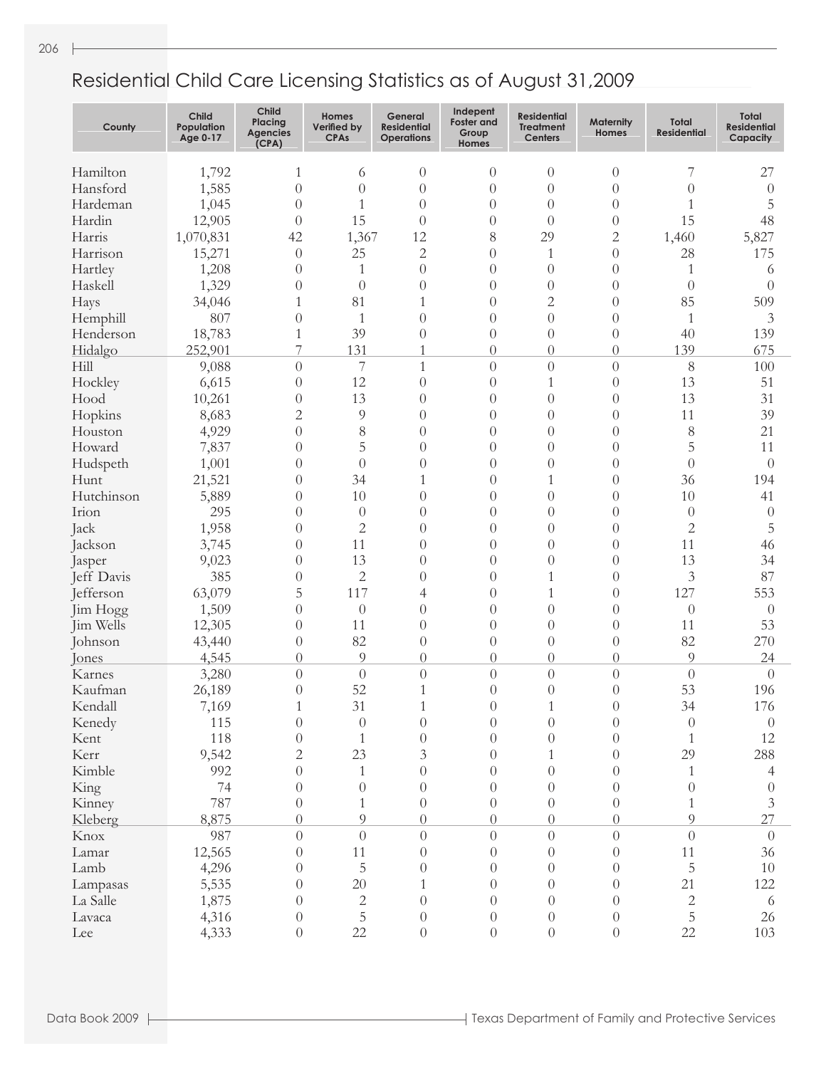- 1

| County     | <b>Child</b><br>Population<br>Age 0-17 | Child<br>Placing<br><b>Agencies</b><br>(CPA) | Homes<br>Verified by<br><b>CPAs</b> | General<br><b>Residential</b><br><b>Operations</b> | Indepent<br><b>Foster and</b><br>Group<br><b>Homes</b> | <b>Residential</b><br><b>Treatment</b><br><b>Centers</b> | <b>Maternity</b><br><b>Homes</b> | <b>Total</b><br><b>Residential</b> | <b>Total</b><br><b>Residential</b><br>Capacity |
|------------|----------------------------------------|----------------------------------------------|-------------------------------------|----------------------------------------------------|--------------------------------------------------------|----------------------------------------------------------|----------------------------------|------------------------------------|------------------------------------------------|
| Hamilton   | 1,792                                  | 1                                            | 6                                   | $\theta$                                           | $\overline{0}$                                         | $\theta$                                                 | $\theta$                         | 7                                  | 27                                             |
| Hansford   | 1,585                                  | $\theta$                                     | $\overline{0}$                      | $\theta$                                           | $\overline{0}$                                         | $\theta$                                                 | $\theta$                         | $\theta$                           | $\theta$                                       |
| Hardeman   | 1,045                                  | $\overline{0}$                               | $\mathbf{1}$                        | $\theta$                                           | $\overline{0}$                                         | $\theta$                                                 | $\theta$                         | 1                                  | 5                                              |
| Hardin     | 12,905                                 | $\theta$                                     | 15                                  | $\theta$                                           | $\overline{0}$                                         | $\overline{0}$                                           | $\theta$                         | 15                                 | 48                                             |
| Harris     | 1,070,831                              | 42                                           | 1,367                               | 12                                                 | 8                                                      | 29                                                       | $\overline{c}$                   | 1,460                              | 5,827                                          |
| Harrison   | 15,271                                 | $\overline{0}$                               | 25                                  | $\overline{c}$                                     | $\overline{0}$                                         | $\mathbf{1}$                                             | $\left( \right)$                 | 28                                 | 175                                            |
| Hartley    | 1,208                                  | $\overline{0}$                               | 1                                   | $\theta$                                           | $\overline{0}$                                         | $\theta$                                                 | $\overline{0}$                   | 1                                  | 6                                              |
| Haskell    | 1,329                                  | $\overline{0}$                               | $\theta$                            | $\theta$                                           | $\overline{0}$                                         | $\theta$                                                 | $\overline{0}$                   | $\Omega$                           | $\Omega$                                       |
| Hays       | 34,046                                 | 1                                            | 81                                  | 1                                                  | $\overline{0}$                                         | $\overline{c}$                                           | $\overline{0}$                   | 85                                 | 509                                            |
| Hemphill   | 807                                    | $\overline{0}$                               | $\mathbf{1}$                        | $\theta$                                           | $\overline{0}$                                         | $\theta$                                                 | $\theta$                         | 1                                  | 3                                              |
| Henderson  | 18,783                                 | 1                                            | 39                                  | $\theta$                                           | $\boldsymbol{0}$                                       | $\theta$                                                 | $\theta$                         | 40                                 | 139                                            |
| Hidalgo    | 252,901                                | 7                                            | 131                                 | 1                                                  | $\boldsymbol{0}$                                       | $\theta$                                                 | $\theta$                         | 139                                | 675                                            |
| Hill       | 9,088                                  | $\overline{0}$                               | $\overline{\mathcal{I}}$            | $\mathbf{1}$                                       | $\boldsymbol{0}$                                       | $\theta$                                                 | $\theta$                         | 8                                  | 100                                            |
| Hockley    | 6,615                                  | $\overline{0}$                               | 12                                  | $\theta$                                           | $\overline{0}$                                         | $\mathbf{1}$                                             | $\theta$                         | 13                                 | 51                                             |
| Hood       | 10,261                                 | $\overline{0}$                               | 13                                  | $\theta$                                           | $\overline{0}$                                         | $\theta$                                                 | $\theta$                         | 13                                 | 31                                             |
| Hopkins    | 8,683                                  | $\overline{c}$                               | $\overline{9}$                      | $\theta$                                           | $\overline{0}$                                         | $\overline{0}$                                           | $\theta$                         | 11                                 | 39                                             |
| Houston    | 4,929                                  | $\overline{0}$                               | 8                                   | $\theta$                                           | $\overline{0}$                                         | $\theta$                                                 | $\theta$                         | 8                                  | 21                                             |
| Howard     | 7,837                                  | $\overline{0}$                               | 5                                   | $\theta$                                           | $\overline{0}$                                         | $\theta$                                                 | $\overline{0}$                   | 5                                  | 11                                             |
| Hudspeth   | 1,001                                  | $\overline{0}$                               | $\theta$                            | $\theta$                                           | $\overline{0}$                                         | $\overline{0}$                                           | $\theta$                         | $\theta$                           | $\overline{0}$                                 |
| Hunt       | 21,521                                 | $\overline{0}$                               | 34                                  | 1                                                  | $\overline{0}$                                         | $\mathbf{1}$                                             | $\theta$                         | 36                                 | 194                                            |
| Hutchinson | 5,889                                  | $\overline{0}$                               | 10                                  | $\theta$                                           | $\overline{0}$                                         | $\overline{0}$                                           | $\overline{0}$                   | 10                                 | 41                                             |
| Irion      | 295                                    | $\overline{0}$                               | $\theta$                            | $\theta$                                           | $\overline{0}$                                         | $\theta$                                                 | $\theta$                         | $\theta$                           | $\theta$                                       |
| Jack       | 1,958                                  | $\overline{0}$                               | $\overline{2}$                      | $\theta$                                           | $\overline{0}$                                         | $\theta$                                                 | $\theta$                         | $\overline{c}$                     | $\overline{5}$                                 |
| Jackson    | 3,745                                  | $\overline{0}$                               | 11                                  | $\theta$                                           | $\overline{0}$                                         | $\theta$                                                 | $\overline{0}$                   | 11                                 | 46                                             |
| Jasper     | 9,023                                  | $\overline{0}$                               | 13                                  | $\theta$                                           | $\overline{0}$                                         | $\overline{0}$                                           | $\overline{0}$                   | 13                                 | 34                                             |
| Jeff Davis | 385                                    | $\overline{0}$                               | $\mathbf{2}$                        | $\theta$                                           | $\overline{0}$                                         | $\mathbf{1}$                                             | $\theta$                         | 3                                  | 87                                             |
| Jefferson  | 63,079                                 | 5                                            | 117                                 | 4                                                  | $\overline{0}$                                         | $\mathbf{1}$                                             | $\overline{0}$                   | 127                                | 553                                            |
| Jim Hogg   | 1,509                                  | $\overline{0}$                               | $\theta$                            | $\theta$                                           | $\overline{0}$                                         | $\overline{0}$                                           | $\overline{0}$                   | $\theta$                           | $\overline{0}$                                 |
| Jim Wells  | 12,305                                 | $\overline{0}$                               | 11                                  | $\theta$                                           | $\overline{0}$                                         | $\theta$                                                 | $\overline{0}$                   | 11                                 | 53                                             |
| Johnson    | 43,440                                 | $\overline{0}$                               | 82                                  | $\theta$                                           | $\theta$                                               | $\theta$                                                 | $\theta$                         | 82                                 | 270                                            |
| Jones      | 4,545                                  | $\overline{0}$                               | 9                                   | $\theta$                                           | $\theta$                                               | $\theta$                                                 | $\overline{0}$                   | 9                                  | 24                                             |
| Karnes     | 3,280                                  | $\overline{0}$                               | $\theta$                            | $\theta$                                           | $\overline{0}$                                         | $\overline{0}$                                           | $\theta$                         | $\theta$                           | $\theta$                                       |
| Kaufman    | 26,189                                 | $\overline{0}$                               | 52                                  | $\mathbf{1}$                                       | $\overline{0}$                                         | $\overline{0}$                                           | $\theta$                         | 53                                 | 196                                            |
| Kendall    | 7,169                                  | $\mathbf{1}$                                 | 31                                  | $\mathbf{1}$                                       | $\boldsymbol{0}$                                       | $\mathbf{1}$                                             | $\boldsymbol{0}$                 | 34                                 | 176                                            |
| Kenedy     | 115                                    | $\sqrt{a}$                                   | $\boldsymbol{0}$                    | $\theta$                                           | $\sqrt{a}$                                             | $\theta$                                                 | $\theta$                         | $\theta$                           | $\boldsymbol{0}$                               |
| Kent       | 118                                    | $\boldsymbol{0}$                             | $\mathbf{1}$                        | $\theta$                                           | $\boldsymbol{0}$                                       | $\theta$                                                 | $\overline{0}$                   | $\mathbf{1}$                       | 12                                             |
| Kerr       | 9,542                                  | $\overline{c}$                               | 23                                  | 3                                                  | $\theta$                                               | $\mathbf{1}$                                             | $\overline{0}$                   | 29                                 | 288                                            |
| Kimble     | 992                                    | $\theta$                                     | $\mathbf{1}$                        | $\theta$                                           | $\theta$                                               | $\theta$                                                 | $\theta$                         | 1                                  | 4                                              |
| King       | 74                                     | $\theta$                                     | $\theta$                            | $\theta$                                           | $\theta$                                               | $\boldsymbol{0}$                                         | $\overline{0}$                   | $\theta$                           | $\overline{0}$                                 |
| Kinney     | 787                                    | $\theta$                                     | $\mathbf{1}$                        | $\theta$                                           | $\boldsymbol{0}$                                       | $\boldsymbol{0}$                                         | $\overline{0}$                   | $\mathbf{1}$                       | $\mathfrak{Z}$                                 |
| Kleberg    | 8,875                                  | $\boldsymbol{0}$                             | 9                                   | $\Omega$                                           | $\boldsymbol{0}$                                       | $\boldsymbol{0}$                                         | $\Omega$                         | $\Omega$                           | 27                                             |
| Knox       | 987                                    | $\boldsymbol{0}$                             | $\theta$                            | $\theta$                                           | $\boldsymbol{0}$                                       | $\boldsymbol{0}$                                         | $\overline{0}$                   | $\theta$                           | $\theta$                                       |
| Lamar      | 12,565                                 | $\theta$                                     | 11                                  | $\theta$                                           | $\boldsymbol{0}$                                       | $\boldsymbol{0}$                                         | $\theta$                         | 11                                 | 36                                             |
| Lamb       | 4,296                                  | $\theta$                                     | $\overline{5}$                      | $\theta$                                           | $\boldsymbol{0}$                                       | $\boldsymbol{0}$                                         | $\theta$                         | 5                                  | $10\,$                                         |
| Lampasas   | 5,535                                  | $\boldsymbol{0}$                             | 20                                  | $\mathbf{1}$                                       | $\boldsymbol{0}$                                       | $\boldsymbol{0}$                                         | $\theta$                         | 21                                 | 122                                            |
| La Salle   | 1,875                                  | $\theta$                                     | $\sqrt{2}$                          | $\theta$                                           | $\boldsymbol{0}$                                       | $\boldsymbol{0}$                                         | $\theta$                         | $\mathbf{2}$                       | 6                                              |
| Lavaca     | 4,316                                  | $\boldsymbol{0}$                             | 5                                   | $\overline{0}$                                     | $\boldsymbol{0}$                                       | $\boldsymbol{0}$                                         | $\boldsymbol{0}$                 | 5                                  | 26                                             |
| Lee        | 4,333                                  | $\boldsymbol{0}$                             | 22                                  | $\overline{0}$                                     | $\boldsymbol{0}$                                       | $\boldsymbol{0}$                                         | $\boldsymbol{0}$                 | 22                                 | 103                                            |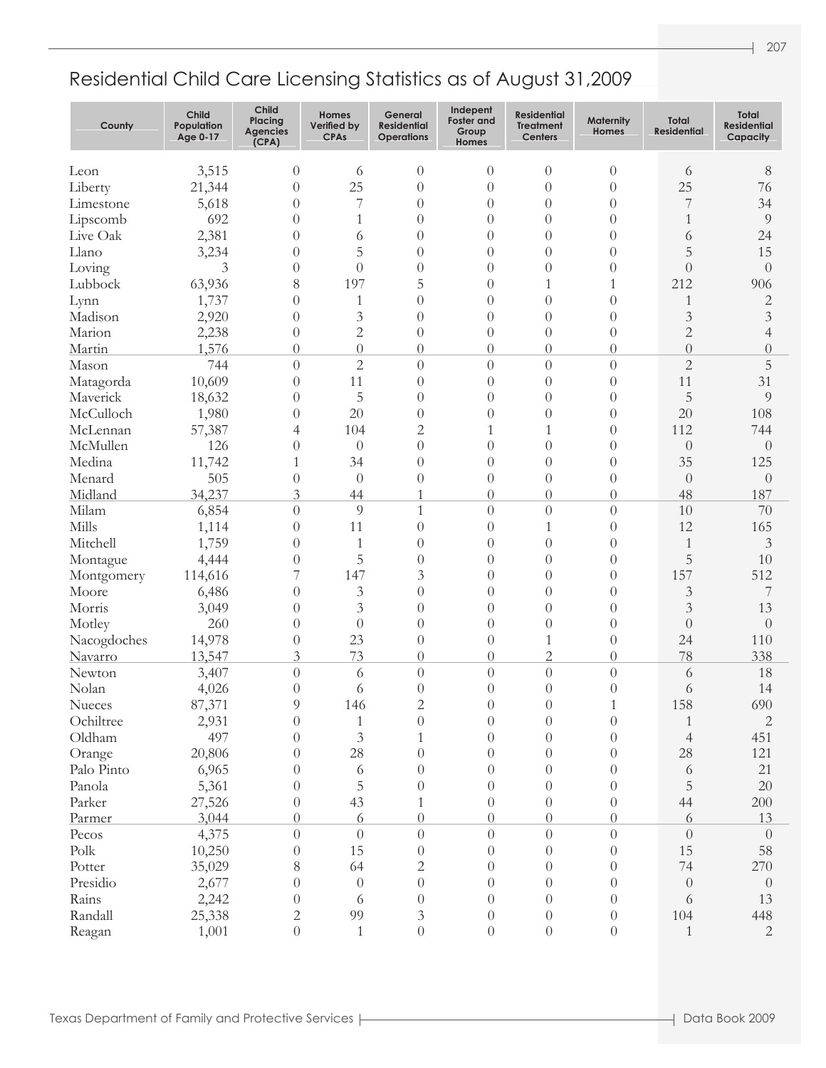| County           | <b>Child</b><br>Population<br>Age 0-17 | <b>Child</b><br>Placing<br><b>Agencies</b><br>(CPA) | Homes<br>Verified by<br><b>CPAs</b> | General<br><b>Residential</b><br><b>Operations</b> | Indepent<br><b>Foster and</b><br>Group<br><b>Homes</b> | <b>Residential</b><br><b>Treatment</b><br><b>Centers</b> | <b>Maternity</b><br><b>Homes</b>   | Total<br><b>Residential</b> | Total<br><b>Residential</b><br>Capacity |
|------------------|----------------------------------------|-----------------------------------------------------|-------------------------------------|----------------------------------------------------|--------------------------------------------------------|----------------------------------------------------------|------------------------------------|-----------------------------|-----------------------------------------|
| Leon             | 3,515                                  | $\theta$                                            | 6                                   | $\theta$                                           | $\theta$                                               | $\theta$                                                 | $\overline{0}$                     | 6                           | $8\,$                                   |
| Liberty          | 21,344                                 | $\theta$                                            | 25                                  | $\overline{0}$                                     | $\overline{0}$                                         | $\theta$                                                 | $\theta$                           | 25                          | 76                                      |
| Limestone        | 5,618                                  | $\theta$                                            | 7                                   | $\theta$                                           | $\overline{0}$                                         | $\theta$                                                 | $\theta$                           | 7                           | 34                                      |
| Lipscomb         | 692                                    | $\theta$                                            | 1                                   | $\theta$                                           | $\overline{0}$                                         | $\theta$                                                 | $\theta$                           | 1                           | 9                                       |
| Live Oak         | 2,381                                  | $\theta$                                            | 6                                   | $\theta$                                           | $\overline{0}$                                         | $\theta$                                                 | $\theta$                           | 6                           | 24                                      |
| Llano            | 3,234                                  | $\theta$                                            | 5                                   | $\theta$                                           | $\overline{0}$                                         | $\theta$                                                 | $\theta$                           | 5                           | 15                                      |
| Loving           | $\mathfrak{Z}$                         | $\theta$                                            | $\theta$                            | $\theta$                                           | $\overline{0}$                                         | $\theta$                                                 | $\theta$                           | $\overline{0}$              | $\theta$                                |
| Lubbock          | 63,936                                 | 8                                                   | 197                                 | 5                                                  | $\overline{0}$                                         | 1                                                        | 1                                  | 212                         | 906                                     |
| Lynn             | 1,737                                  | $\theta$                                            | $\mathbf{1}$                        | $\theta$                                           | $\overline{0}$                                         | $\theta$                                                 | $\theta$                           | 1                           | $\mathbf 2$                             |
| Madison          | 2,920                                  | $\theta$                                            | $\mathfrak{Z}$                      | $\theta$                                           | $\overline{0}$                                         | $\theta$                                                 | $\theta$                           | 3                           | $\mathfrak{Z}$                          |
| Marion           | 2,238                                  | $\theta$                                            | $\overline{2}$                      | $\theta$                                           | $\theta$                                               | $\theta$                                                 | $\theta$                           | $\overline{2}$              | 4                                       |
| Martin           | 1,576                                  | $\theta$                                            | $\theta$                            | $\theta$                                           | $\boldsymbol{0}$                                       | $\theta$                                                 | $\theta$                           | $\overline{0}$              | $\theta$                                |
| Mason            | 744                                    | $\overline{0}$                                      | $\overline{c}$                      | $\overline{0}$                                     | $\theta$                                               | $\theta$                                                 | $\overline{0}$                     | $\overline{c}$              | 5                                       |
| Matagorda        | 10,609                                 | $\theta$                                            | 11                                  | $\theta$                                           | $\theta$                                               | $\overline{0}$                                           | $\theta$                           | 11                          | 31                                      |
| Maverick         | 18,632                                 | $\theta$                                            | 5                                   | $\theta$                                           | $\theta$                                               | $\overline{0}$                                           | $\theta$                           | 5                           | 9                                       |
| McCulloch        | 1,980                                  | $\theta$                                            | 20                                  | $\theta$                                           | $\theta$                                               | $\theta$                                                 | $\theta$                           | 20                          | 108                                     |
| McLennan         | 57,387                                 | 4                                                   | 104                                 | $\mathbf{2}$                                       | 1                                                      | $\mathbf{1}$                                             | $\left( \right)$                   | 112                         | 744                                     |
| McMullen         | 126                                    | $\theta$                                            | $\theta$                            | $\theta$                                           | $\theta$                                               | $\overline{0}$                                           | $\left( \right)$                   | $\theta$                    | $\theta$                                |
| Medina           | 11,742                                 | 1                                                   | 34                                  | $\theta$                                           | $\theta$                                               | $\theta$                                                 | $\theta$                           | 35                          | 125                                     |
| Menard           | 505                                    | $\theta$                                            | $\theta$                            | $\theta$                                           | $\theta$                                               | $\theta$                                                 | $\theta$                           | $\theta$                    | $\overline{0}$                          |
| Midland          | 34,237                                 | 3                                                   | 44                                  |                                                    | $\boldsymbol{0}$                                       | $\overline{0}$                                           | $\theta$                           | 48                          | 187                                     |
| Milam            | 6,854                                  | $\theta$                                            | 9                                   | $\mathbf{1}$                                       | $\theta$                                               | $\theta$                                                 | $\theta$                           | 10                          | 70                                      |
| Mills            | 1,114                                  | $\theta$                                            | 11                                  | $\overline{0}$                                     | $\overline{0}$                                         | 1                                                        | $\overline{0}$                     | 12                          | 165                                     |
| Mitchell         | 1,759                                  | $\theta$                                            | $\mathbf{1}$                        | $\overline{0}$                                     | $\boldsymbol{0}$                                       | $\overline{0}$                                           | $\overline{0}$                     | 1                           | 3                                       |
| Montague         | 4,444                                  | $\boldsymbol{0}$                                    | 5                                   | $\overline{0}$                                     | $\boldsymbol{0}$                                       | $\overline{0}$                                           | $\overline{0}$                     | 5                           | 10                                      |
| Montgomery       | 114,616                                | 7                                                   | 147                                 | 3                                                  | $\boldsymbol{0}$                                       | $\overline{0}$                                           | $\overline{0}$                     | 157                         | 512                                     |
| Moore            | 6,486                                  | $\theta$                                            | $\mathfrak{Z}$                      | $\left( \right)$                                   | $\boldsymbol{0}$                                       | $\overline{0}$                                           | $\theta$                           | 3                           | 7                                       |
| Morris           | 3,049                                  | $\theta$                                            | 3                                   | $\overline{0}$                                     | $\overline{0}$                                         | $\overline{0}$                                           | $\overline{0}$                     | 3                           | 13                                      |
| Motley           | 260                                    | $\theta$                                            | $\theta$                            | $\overline{0}$                                     | $\boldsymbol{0}$                                       | $\overline{0}$                                           | $\overline{0}$                     | $\overline{0}$              | $\theta$                                |
| Nacogdoches      | 14,978                                 | $\theta$                                            | 23                                  | $\overline{0}$                                     | $\boldsymbol{0}$                                       | 1                                                        | $\overline{0}$                     | 24                          | 110                                     |
| Navarro          | 13,547                                 | 3                                                   | 73                                  | $\overline{0}$                                     | $\boldsymbol{0}$                                       | $\overline{2}$                                           | $\overline{0}$                     | 78                          | 338                                     |
| Newton           | 3,407                                  | $\theta$                                            | 6                                   | $\theta$                                           | $\theta$                                               | $\theta$                                                 | $\overline{0}$                     | 6                           | 18                                      |
| Nolan            | 4,026                                  | 0                                                   | 6                                   | $\theta$                                           | $\boldsymbol{0}$                                       | $\overline{0}$                                           | $\theta$                           | 6                           | 14                                      |
| Nueces           | 87,371                                 | $\Omega$                                            | 146                                 | $\mathcal{D}_{\mathcal{L}}$                        | $\Omega$                                               | $\Omega$                                                 |                                    | 158                         | 690                                     |
| Ochiltree        | 2,931                                  | $\theta$                                            | $\mathbf{1}$                        | $\theta$                                           | $\theta$                                               | $\theta$                                                 | $\theta$                           | 1                           | $\mathbf{2}$                            |
| Oldham           | 497                                    | $\theta$                                            | $\mathfrak{Z}$                      | 1                                                  | $\theta$                                               | $\theta$                                                 | $\theta$                           | $\overline{4}$              | 451                                     |
| Orange           | 20,806                                 | $\Omega$                                            | 28                                  | $\left( \right)$                                   | $\theta$                                               | $\theta$                                                 | $\Omega$                           | 28                          | 121                                     |
| Palo Pinto       | 6,965                                  | 0                                                   | 6                                   | $\theta$                                           | $\theta$                                               | $\theta$                                                 | $\Omega$                           | 6                           | 21                                      |
| Panola           | 5,361                                  | 0                                                   | $\mathbf 5$                         | $\left( \right)$                                   | $\theta$                                               | $\theta$                                                 | $\Omega$                           | 5                           | 20                                      |
| Parker           | 27,526                                 | $\theta$                                            | 43                                  |                                                    | $\theta$                                               | $\theta$                                                 | $\theta$                           | 44                          | 200                                     |
| Parmer           | 3,044                                  | $\theta$                                            | 6                                   | $\theta$                                           | $\theta$                                               | $\theta$                                                 | $\Omega$                           | 6                           | 13                                      |
| Pecos            | 4,375                                  | $\theta$                                            | $\theta$                            | $\overline{0}$                                     | $\boldsymbol{0}$                                       | $\boldsymbol{0}$                                         | $\theta$                           | $\theta$                    | $\theta$                                |
| Polk             | 10,250                                 | $\theta$                                            | 15                                  | $\theta$                                           | $\theta$                                               | $\theta$                                                 | $\theta$                           | 15                          | 58                                      |
| Potter           | 35,029                                 | 8                                                   | 64                                  | 2                                                  | $\theta$                                               | $\theta$                                                 | $\theta$                           | 74                          | 270                                     |
| Presidio         | 2,677                                  | $\theta$                                            | $\theta$                            | $\theta$                                           | $\theta$                                               | $\theta$                                                 | $\Omega$                           | $\theta$                    | $\overline{0}$                          |
| Rains<br>Randall | 2,242                                  | $\theta$                                            | 6<br>99                             | $\theta$                                           | $\theta$                                               | $\theta$                                                 | $\theta$                           | 6<br>104                    | 13                                      |
|                  | 25,338                                 | $\overline{c}$<br>$\sqrt{a}$                        | $\,1\,$                             | 3<br>$\boldsymbol{0}$                              | $\theta$                                               | $\theta$                                                 | $\overline{0}$<br>$\boldsymbol{0}$ | $\mathbf{1}$                | 448<br>$\mathbf{2}$                     |
| Reagan           | 1,001                                  |                                                     |                                     |                                                    | $\boldsymbol{0}$                                       | $\boldsymbol{0}$                                         |                                    |                             |                                         |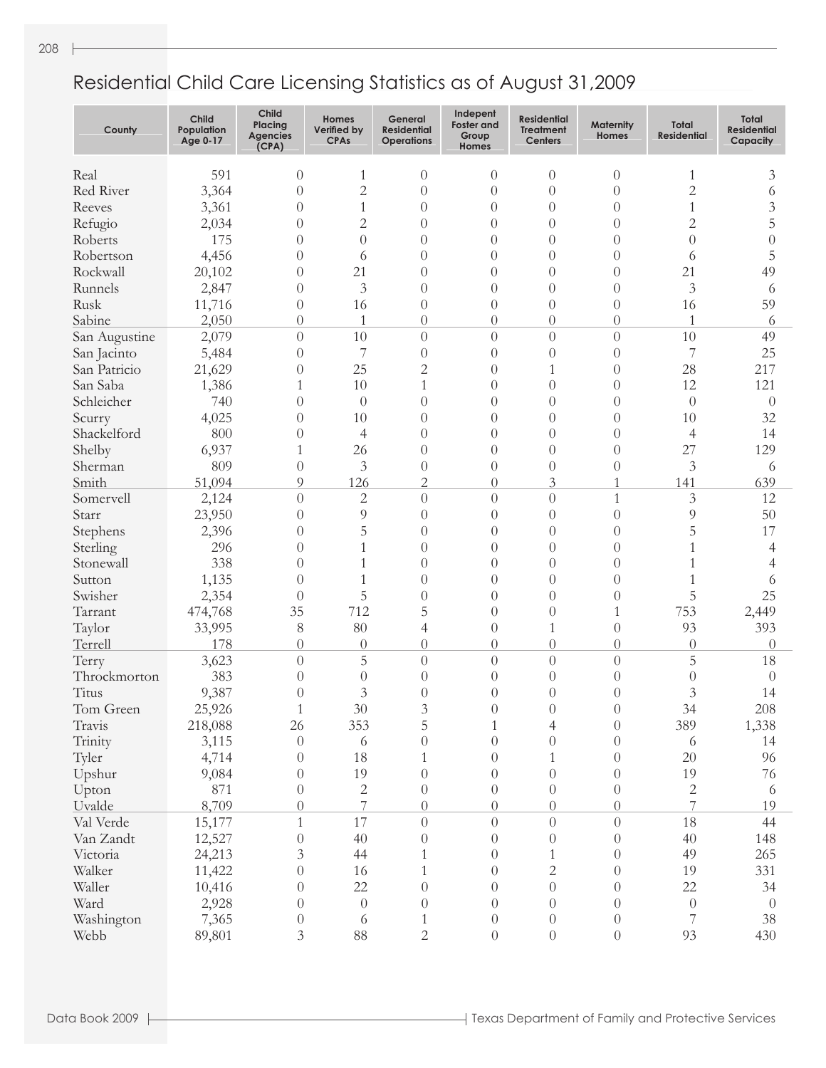| County        | <b>Child</b><br>Population<br>Age 0-17 | Child<br>Placing<br><b>Agencies</b><br>(CPA) | Homes<br>Verified by<br><b>CPAs</b> | General<br><b>Residential</b><br><b>Operations</b> | Indepent<br><b>Foster and</b><br>Group<br>Homes | <b>Residential</b><br><b>Treatment</b><br><b>Centers</b> | <b>Maternity</b><br><b>Homes</b> | Total<br><b>Residential</b> | <b>Total</b><br><b>Residential</b><br>Capacity |
|---------------|----------------------------------------|----------------------------------------------|-------------------------------------|----------------------------------------------------|-------------------------------------------------|----------------------------------------------------------|----------------------------------|-----------------------------|------------------------------------------------|
| Real          | 591                                    | $\theta$                                     | $\mathbf{1}$                        | $\theta$                                           | $\theta$                                        | $\theta$                                                 | $\theta$                         | $\mathbf{1}$                | 3                                              |
| Red River     | 3,364                                  | $\overline{0}$                               | $\overline{c}$                      | $\theta$                                           | $\overline{0}$                                  | $\overline{0}$                                           | $\left($                         | $\overline{c}$              | 6                                              |
| Reeves        | 3,361                                  | $\theta$                                     | $\mathbf{1}$                        | $\theta$                                           | $\overline{0}$                                  | $\overline{0}$                                           | $\theta$                         | 1                           | 3                                              |
| Refugio       | 2,034                                  | $\theta$                                     | $\overline{c}$                      | $\theta$                                           | $\overline{0}$                                  | $\overline{0}$                                           | $\theta$                         | $\overline{2}$              | 5                                              |
| Roberts       | 175                                    | $\theta$                                     | $\overline{0}$                      | $\theta$                                           | $\overline{0}$                                  | $\overline{0}$                                           | $\theta$                         | $\overline{0}$              | 0                                              |
| Robertson     | 4,456                                  | $\theta$                                     | 6                                   | $\theta$                                           | $\overline{0}$                                  | $\overline{0}$                                           | $\theta$                         | 6                           | 5                                              |
| Rockwall      | 20,102                                 | $\theta$                                     | 21                                  | $\theta$                                           | $\overline{0}$                                  | $\overline{0}$                                           | $\theta$                         | 21                          | 49                                             |
| Runnels       | 2,847                                  | $\theta$                                     | 3                                   | $\theta$                                           | $\overline{0}$                                  | $\overline{0}$                                           | $\theta$                         | 3                           | 6                                              |
| Rusk          | 11,716                                 | $\theta$                                     | 16                                  | $\overline{0}$                                     | $\overline{0}$                                  | $\overline{0}$                                           | $\overline{0}$                   | 16                          | 59                                             |
| Sabine        | 2,050                                  | $\theta$                                     | 1                                   | $\overline{0}$                                     | $\theta$                                        | $\theta$                                                 | $\theta$                         | 1                           | 6                                              |
| San Augustine | 2,079                                  | $\theta$                                     | 10                                  | $\overline{0}$                                     | $\overline{0}$                                  | $\theta$                                                 | $\theta$                         | 10                          | 49                                             |
| San Jacinto   | 5,484                                  | $\theta$                                     | $\overline{7}$                      | $\overline{0}$                                     | $\overline{0}$                                  | $\overline{0}$                                           | $\theta$                         | 7                           | 25                                             |
| San Patricio  | 21,629                                 | $\theta$                                     | 25                                  | $\overline{2}$                                     | $\overline{0}$                                  | $\mathbf{1}$                                             | $\theta$                         | 28                          | 217                                            |
| San Saba      | 1,386                                  | 1                                            | 10                                  | $\mathbf{1}$                                       | $\overline{0}$                                  | $\overline{0}$                                           | $\theta$                         | 12                          | 121                                            |
| Schleicher    | 740                                    |                                              |                                     |                                                    |                                                 |                                                          | $\theta$                         |                             |                                                |
|               |                                        | $\theta$                                     | $\theta$                            | $\overline{0}$                                     | $\overline{0}$                                  | $\theta$                                                 |                                  | $\overline{0}$              | $\theta$                                       |
| Scurry        | 4,025                                  | $\theta$                                     | 10                                  | $\overline{0}$                                     | $\overline{0}$                                  | $\theta$                                                 | $\theta$                         | 10                          | 32                                             |
| Shackelford   | 800                                    | $\theta$                                     | 4                                   | $\overline{0}$                                     | $\overline{0}$                                  | $\theta$                                                 | $\theta$                         | $\overline{4}$              | 14                                             |
| Shelby        | 6,937                                  | 1                                            | 26                                  | $\overline{0}$                                     | $\overline{0}$                                  | $\theta$                                                 | $\theta$                         | 27                          | 129                                            |
| Sherman       | 809                                    | $\theta$                                     | 3                                   | $\overline{0}$                                     | $\overline{0}$                                  | $\theta$                                                 | $\left( \right)$                 | 3                           | 6                                              |
| Smith         | 51,094                                 | 9                                            | 126                                 | $\overline{2}$                                     | $\sqrt{a}$                                      | 3                                                        | 1                                | 141                         | 639                                            |
| Somervell     | 2,124                                  | $\overline{0}$                               | $\mathbf{2}$                        | $\overline{0}$                                     | $\overline{0}$                                  | $\theta$                                                 | $\mathbf{1}$                     | 3                           | 12                                             |
| Starr         | 23,950                                 | $\theta$                                     | 9                                   | $\overline{0}$                                     | $\overline{0}$                                  | $\theta$                                                 | $\theta$                         | 9                           | 50                                             |
| Stephens      | 2,396                                  | $\theta$                                     | 5                                   | $\overline{0}$                                     | $\overline{0}$                                  | $\theta$                                                 | $\theta$                         | 5                           | 17                                             |
| Sterling      | 296                                    | $\theta$                                     | 1                                   | $\overline{0}$                                     | $\overline{0}$                                  | $\theta$                                                 | $\theta$                         | 1                           | 4                                              |
| Stonewall     | 338                                    | $\theta$                                     | 1                                   | $\overline{0}$                                     | $\overline{0}$                                  | $\theta$                                                 | $\theta$                         | 1                           | 4                                              |
| Sutton        | 1,135                                  | $\theta$                                     | 1                                   | $\overline{0}$                                     | $\overline{0}$                                  | $\theta$                                                 | $\theta$                         | 1                           | 6                                              |
| Swisher       | 2,354                                  | $\theta$                                     | 5                                   | $\theta$                                           | $\theta$                                        | $\overline{0}$                                           | $\theta$                         | 5                           | 25                                             |
| Tarrant       | 474,768                                | 35                                           | 712                                 | 5                                                  | $\theta$                                        | $\theta$                                                 | 1                                | 753                         | 2,449                                          |
| Taylor        | 33,995                                 | 8                                            | 80                                  | 4                                                  | $\theta$                                        | $\mathbf{1}$                                             | $\theta$                         | 93                          | 393                                            |
| Terrell       | 178                                    | $\theta$                                     | $\theta$                            | $\overline{0}$                                     | $\boldsymbol{0}$                                | $\overline{0}$                                           | $\theta$                         | $\theta$                    | $\theta$                                       |
| Terry         | 3,623                                  | $\theta$                                     | 5                                   | $\theta$                                           | $\overline{0}$                                  | $\theta$                                                 | $\theta$                         | 5                           | 18                                             |
| Throckmorton  | 383                                    | $\theta$                                     | $\theta$                            | $\overline{0}$                                     | $\theta$                                        | $\theta$                                                 | $\left( \right)$                 | 0                           | $\theta$                                       |
| Titus         | 9,387                                  | $\theta$                                     | 3                                   | $\theta$                                           | $\overline{0}$                                  | $\theta$                                                 | $\theta$                         | 3                           | 14                                             |
| Tom Green     | 25,926                                 | 1                                            | 30                                  | 3                                                  | $\boldsymbol{0}$                                | $\boldsymbol{0}$                                         | $\boldsymbol{0}$                 | 34                          | 208                                            |
| Travis        | 218,088                                | 26                                           | 353                                 | $\mathbf 5$                                        | $\mathbf{1}$                                    | 4                                                        | $\theta$                         | 389                         | 1,338                                          |
| Trinity       | 3,115                                  | $\theta$                                     | 6                                   | $\theta$                                           | $\theta$                                        | $\theta$                                                 | $\theta$                         | 6                           | 14                                             |
| Tyler         | 4,714                                  | $\theta$                                     | 18                                  | 1                                                  | $\theta$                                        | $\mathbf{1}$                                             | $\theta$                         | 20                          | 96                                             |
| Upshur        | 9,084                                  | $\theta$                                     | 19                                  | $\theta$                                           | $\theta$                                        | $\theta$                                                 | $\theta$                         | 19                          | 76                                             |
| Upton         | 871                                    | $\theta$                                     | $\overline{c}$                      | $\theta$                                           | $\theta$                                        | $\theta$                                                 | $\theta$                         | $\overline{c}$              | 6                                              |
| Uvalde        | 8,709                                  | $\theta$                                     | 7                                   | $\theta$                                           | $\theta$                                        | $\theta$                                                 | $\Omega$                         | 7                           | 19                                             |
| Val Verde     | 15,177                                 | $\mathbf{1}$                                 | 17                                  | $\theta$                                           | $\theta$                                        | $\theta$                                                 | $\Omega$                         | 18                          | 44                                             |
| Van Zandt     | 12,527                                 | $\theta$                                     | 40                                  | $\theta$                                           | $\theta$                                        | $\boldsymbol{0}$                                         | $\Omega$                         | 40                          | 148                                            |
| Victoria      | 24,213                                 | $\mathfrak{Z}$                               | 44                                  | 1                                                  | $\theta$                                        | $\mathbf{1}$                                             | $\Omega$                         | 49                          | 265                                            |
| Walker        | 11,422                                 | $\theta$                                     | 16                                  | 1                                                  | $\theta$                                        | $\overline{c}$                                           | $\Omega$                         | 19                          | 331                                            |
| Waller        | 10,416                                 | $\theta$                                     | 22                                  | $\overline{0}$                                     | $\theta$                                        | $\theta$                                                 | $\Omega$                         | 22                          | 34                                             |
| Ward          | 2,928                                  | $\theta$                                     | $\boldsymbol{0}$                    | $\theta$                                           | $\theta$                                        | $\boldsymbol{0}$                                         | $\theta$                         | $\theta$                    | $\theta$                                       |
| Washington    | 7,365                                  | $\theta$                                     | 6                                   | 1                                                  | $\theta$                                        | $\boldsymbol{0}$                                         | $\theta$                         | 7                           | 38                                             |
| Webb          | 89,801                                 | 3                                            | 88                                  | $\mathbf{2}$                                       | $\boldsymbol{0}$                                | $\boldsymbol{0}$                                         | $\theta$                         | 93                          | 430                                            |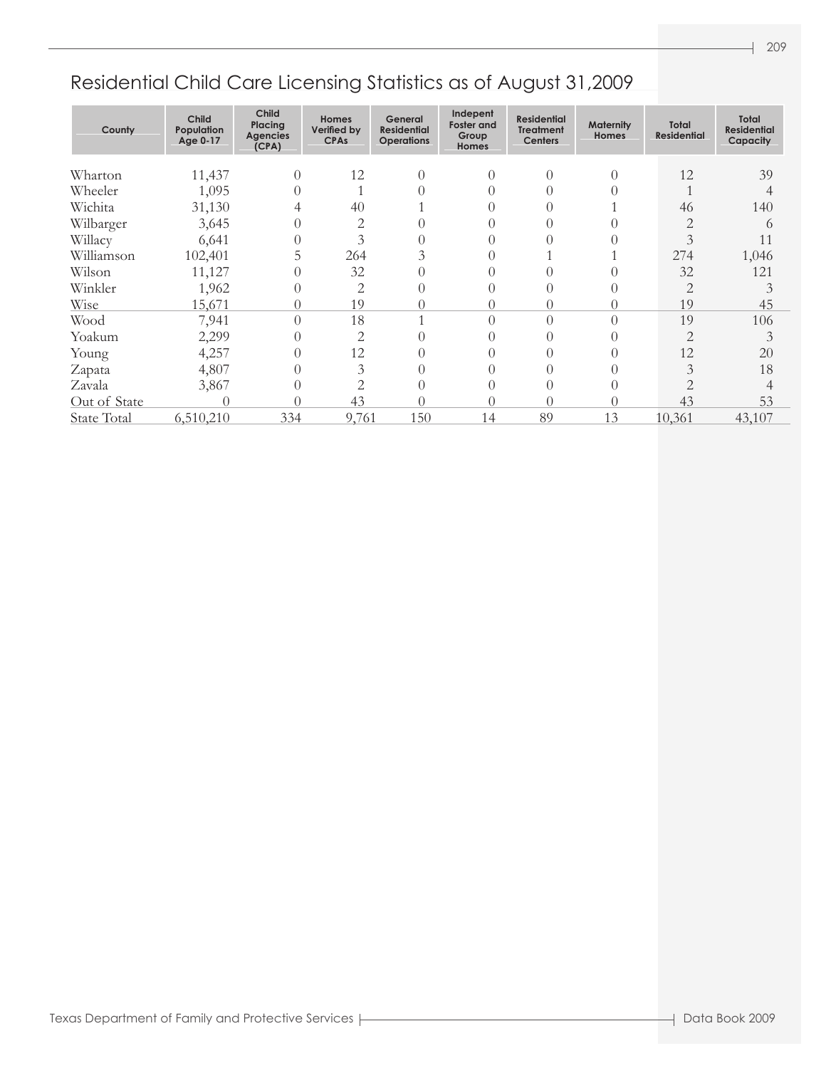| County             | <b>Child</b><br>Population<br>Age 0-17 | Child<br>Placing<br><b>Agencies</b><br>(CPA) | <b>Homes</b><br>Verified by<br><b>CPAs</b> | General<br><b>Residential</b><br><b>Operations</b> | Indepent<br><b>Foster and</b><br>Group<br><b>Homes</b> | <b>Residential</b><br><b>Treatment</b><br><b>Centers</b> | <b>Maternity</b><br><b>Homes</b> | Total<br><b>Residential</b> | <b>Total</b><br><b>Residential</b><br>Capacity |
|--------------------|----------------------------------------|----------------------------------------------|--------------------------------------------|----------------------------------------------------|--------------------------------------------------------|----------------------------------------------------------|----------------------------------|-----------------------------|------------------------------------------------|
| Wharton            | 11,437                                 | $\bigcap$                                    | 12                                         | $\theta$                                           | $\theta$                                               | $\left( \right)$                                         |                                  | 12                          | 39                                             |
| Wheeler            | 1,095                                  |                                              |                                            |                                                    |                                                        |                                                          |                                  |                             |                                                |
|                    |                                        |                                              |                                            |                                                    |                                                        |                                                          |                                  |                             |                                                |
| Wichita            | 31,130                                 |                                              | 40                                         |                                                    |                                                        |                                                          |                                  | 46                          | 140                                            |
| Wilbarger          | 3,645                                  |                                              | 2                                          |                                                    |                                                        |                                                          |                                  | 2                           | 6                                              |
| Willacy            | 6,641                                  |                                              | 3                                          |                                                    |                                                        |                                                          |                                  | 3                           | 11                                             |
| Williamson         | 102,401                                | 5                                            | 264                                        |                                                    |                                                        |                                                          |                                  | 274                         | 1,046                                          |
| Wilson             | 11,127                                 |                                              | 32                                         |                                                    |                                                        |                                                          |                                  | 32                          | 121                                            |
| Winkler            | 1,962                                  |                                              | 2                                          |                                                    |                                                        | $\left( \right)$                                         |                                  | $\overline{2}$              |                                                |
| Wise               | 15,671                                 |                                              | 19                                         |                                                    | 0                                                      | 0                                                        |                                  | 19                          | 45                                             |
| Wood               | 7,941                                  | $\bigcap$                                    | 18                                         |                                                    | $\theta$                                               | 0                                                        |                                  | 19                          | 106                                            |
| Yoakum             | 2,299                                  |                                              | $\overline{2}$                             |                                                    | 0                                                      |                                                          |                                  | $\overline{2}$              | 3                                              |
| Young              | 4,257                                  | $\Omega$                                     | 12                                         |                                                    | 0                                                      |                                                          |                                  | 12                          | 20                                             |
| Zapata             | 4,807                                  |                                              | 3                                          |                                                    |                                                        |                                                          |                                  | 3                           | 18                                             |
| Zavala             | 3,867                                  |                                              | 2                                          |                                                    | 0                                                      | $\left( \right)$                                         |                                  |                             |                                                |
| Out of State       | $\left( \right)$                       |                                              | 43                                         |                                                    | 0                                                      | 0                                                        |                                  | 43                          | 53                                             |
| <b>State Total</b> | 6,510,210                              | 334                                          | 9,761                                      | 150                                                | 14                                                     | 89                                                       | 13                               | 10,361                      | 43,107                                         |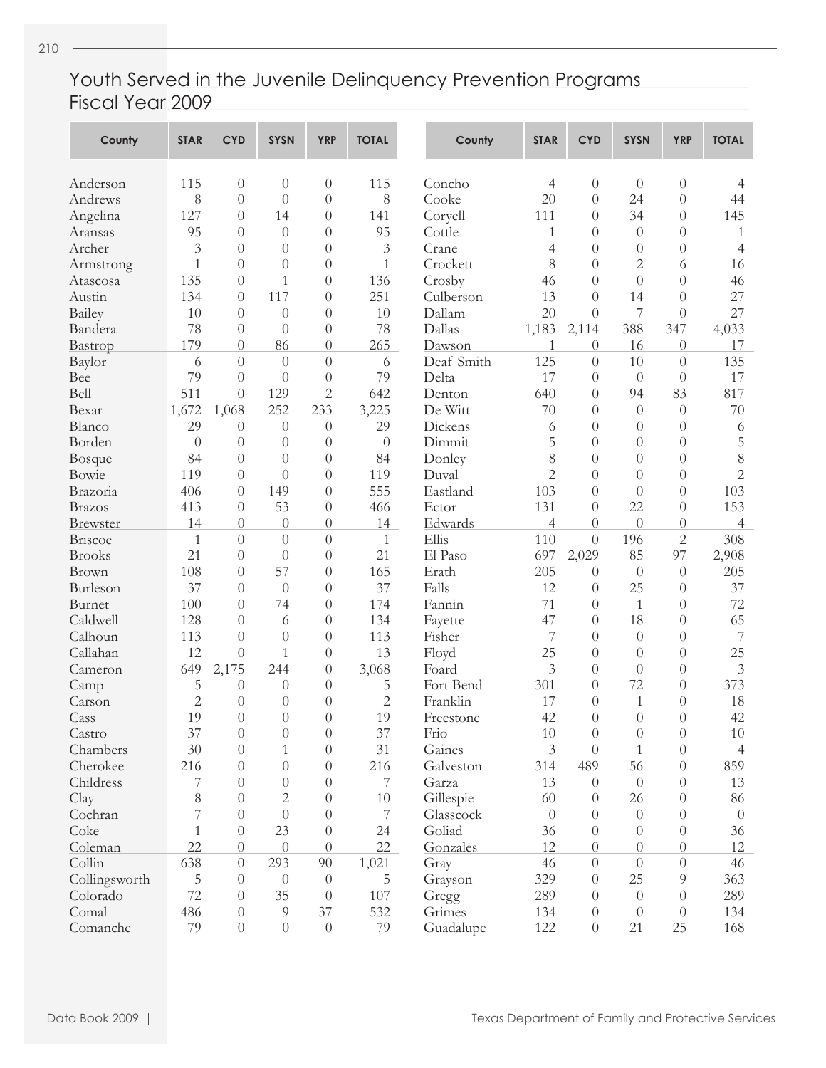#### Youth Served in the Juvenile Delinquency Prevention Programs Fiscal Year 2009

| County          | <b>STAR</b>         | <b>CYD</b>       | <b>SYSN</b>      | <b>YRP</b>           | <b>TOTAL</b>        | County            | <b>STAR</b>    | <b>CYD</b>       | <b>SYSN</b>    | <b>YRP</b>     | <b>TOTAL</b>   |
|-----------------|---------------------|------------------|------------------|----------------------|---------------------|-------------------|----------------|------------------|----------------|----------------|----------------|
| Anderson        | 115                 | $\overline{0}$   | $\theta$         | $\theta$             | 115                 | Concho            | 4              | $\theta$         | $\theta$       | $\theta$       | 4              |
| Andrews         | 8                   | $\theta$         | $\Omega$         | $\theta$             | 8                   | Cooke             | 20             | $\overline{0}$   | 24             | $\theta$       | 44             |
| Angelina        | 127                 | $\theta$         | 14               | $\theta$             | 141                 | Coryell           | 111            | $\overline{0}$   | 34             | $\Omega$       | 145            |
| Aransas         | 95                  | $\theta$         | $\theta$         | $\theta$             | 95                  | Cottle            | 1              | $\overline{0}$   | $\theta$       | $\Omega$       | $\mathbf{1}$   |
| Archer          | 3                   | $\theta$         | $\Omega$         | $\theta$             | 3                   | Crane             | 4              | $\overline{0}$   | $\theta$       | $\Omega$       | $\overline{4}$ |
| Armstrong       | $\mathbf{1}$        | $\theta$         | $\theta$         | $\theta$             | $\mathbf{1}$        | Crockett          | 8              | $\overline{0}$   | 2              | 6              | 16             |
| Atascosa        | 135                 | $\theta$         | $\mathbf{1}$     | $\theta$             | 136                 | Crosby            | 46             | $\overline{0}$   | $\overline{0}$ | $\overline{0}$ | 46             |
| Austin          | 134                 | $\theta$         | 117              | $\theta$             | 251                 | Culberson         | 13             | $\overline{0}$   | 14             | $\Omega$       | 27             |
| <b>Bailey</b>   | 10                  | $\theta$         | $\theta$         | $\theta$             | 10                  | Dallam            | 20             | $\theta$         | 7              | $\theta$       | 27             |
| Bandera         | 78                  | $\theta$         | $\theta$         | $\theta$             | 78                  | Dallas            | 1,183          | 2,114            | 388            | 347            | 4,033          |
| Bastrop         | 179                 | $\theta$         | 86               | $\theta$             | 265                 | Dawson            | 1              | $\theta$         | 16             | $\theta$       | 17             |
| Baylor          | 6                   | $\overline{0}$   | $\theta$         | $\theta$             | 6                   | Deaf Smith        | 125            | $\theta$         | 10             | $\theta$       | 135            |
| Bee             | 79                  | $\theta$         | $\overline{0}$   | $\theta$             | 79                  | Delta             | 17             | $\theta$         | $\theta$       | $\theta$       | 17             |
| Bell            | 511                 | $\overline{0}$   | 129              | $\overline{c}$       | 642                 | Denton            | 640            | $\overline{0}$   | 94             | 83             | 817            |
| Bexar           | 1,672               | 1,068            | 252              | 233                  | 3,225               | De Witt           | 70             | $\overline{0}$   | $\theta$       | $\theta$       | 70             |
| Blanco          | 29                  | $\theta$         | $\theta$         | $\theta$             | 29                  | Dickens           | 6              | $\overline{0}$   | $\theta$       | $\theta$       | 6              |
| Borden          | $\theta$            | $\theta$         | $\theta$         | $\theta$             | $\theta$            | Dimmit            | 5              | $\overline{0}$   | $\theta$       | $\theta$       | 5              |
| Bosque          | 84                  | $\theta$         | $\theta$         | $\theta$             | 84                  | Donley            | 8              | $\overline{0}$   | $\theta$       | $\theta$       | 8              |
| Bowie           | 119                 | $\theta$         | $\theta$         | $\theta$             | 119                 | Duval             | $\overline{2}$ | $\overline{0}$   | $\theta$       | $\theta$       | $\overline{2}$ |
| Brazoria        | 406                 | $\theta$         | 149              | $\theta$             | 555                 | Eastland          | 103            | $\overline{0}$   | $\theta$       | $\theta$       | 103            |
| <b>Brazos</b>   | 413                 | $\theta$         | 53               | $\theta$             | 466                 | Ector             | 131            | $\theta$         | 22             | $\theta$       | 153            |
| <b>Brewster</b> | 14                  | $\theta$         | $\overline{0}$   | $\theta$             | 14                  | Edwards           | 4              | $\overline{0}$   | $\overline{0}$ | $\theta$       | $\overline{4}$ |
| Briscoe         | $\mathbf{1}$        | $\overline{0}$   | $\theta$         | $\theta$             | $\mathbf{1}$        | Ellis             | 110            | $\theta$         | 196            | $\mathbf{2}$   | 308            |
| <b>Brooks</b>   | 21                  | $\theta$         | $\theta$         | $\theta$             | 21                  | El Paso           | 697            | 2,029            | 85             | 97             | 2,908          |
| <b>Brown</b>    | 108                 | $\theta$         | 57               | $\theta$             | 165                 | Erath             | 205            | $\theta$         | $\theta$       | $\theta$       | 205            |
| Burleson        | 37                  | $\theta$         | $\theta$         | $\theta$             | 37                  | Falls             | 12             | $\theta$         | 25             | $\theta$       | 37             |
| Burnet          | 100                 | $\theta$         | 74               | $\theta$             | 174                 | Fannin            | 71             | $\theta$         | $\mathbf{1}$   | $\Omega$       | 72             |
| Caldwell        | 128                 | $\theta$         | 6                | $\theta$             | 134                 |                   | 47             | $\overline{0}$   | 18             | $\Omega$       | 65             |
| Calhoun         | 113                 | $\theta$         | $\theta$         |                      | 113                 | Fayette<br>Fisher | 7              | $\theta$         | $\theta$       | $\Omega$       | $\overline{7}$ |
| Callahan        | 12                  |                  |                  | $\theta$             | 13                  |                   | 25             |                  |                |                | 25             |
|                 |                     | $\theta$         | 1<br>244         | $\theta$             |                     | Floyd             |                | $\overline{0}$   | $\theta$       | $\theta$       | 3              |
| Cameron         | 649                 | 2,175            |                  | $\theta$             | 3,068               | Foard             | 3<br>301       | $\theta$         | $\theta$<br>72 | $\theta$       | 373            |
| Camp            | 5<br>$\overline{2}$ | $\theta$         | $\theta$         | $\theta$             | 5<br>$\overline{2}$ | Fort Bend         |                | $\overline{0}$   |                | $\theta$       |                |
| Carson          |                     | $\theta$         | $\theta$         | $\theta$             |                     | Franklin          | 17             | $\theta$         | 1              | $\theta$       | 18             |
| Cass            | 19                  | $\theta$         | $\theta$         | $\overline{0}$       | 19                  | Freestone         | 42             | $\overline{0}$   | $\theta$       | $\theta$       | 42             |
| Castro          | 37                  | $\theta$         | $\theta$         | $\theta$<br>$\theta$ | 37                  | Frio              | 10             | $\theta$         | $\theta$       | $\theta$       | 10             |
| Chambers        | 30                  | $\theta$         | 1                |                      | 31                  | Gaines            | 3              | $\theta$         | 1              | $\overline{0}$ | $\overline{4}$ |
| Cherokee        | 216                 | $\Omega$         | $\theta$         | $\theta$             | 216                 | Galveston         | 314            | 489              | 56             | $\overline{0}$ | 859            |
| Childress       | 7                   | $\Omega$         | $\theta$         | $\theta$             | 7                   | Garza             | 13             | $\theta$         | $\theta$       | $\overline{0}$ | 13             |
| Clay            | 8                   | $\Omega$         | $\mathbf{2}$     | $\theta$             | 10                  | Gillespie         | 60             | $\theta$         | 26             | $\overline{0}$ | 86             |
| Cochran         | 7                   | $\theta$         | $\theta$         | $\theta$             | 7                   | Glasscock         | $\overline{0}$ | $\theta$         | $\theta$       | $\overline{0}$ | $\overline{0}$ |
| Coke            | $\mathbf{1}$        | $\overline{0}$   | 23               | $\theta$             | 24                  | Goliad            | 36             | $\theta$         | $\theta$       | $\overline{0}$ | 36             |
| Coleman         | 22                  | $\Omega$         | $\theta$         | $\theta$             | 22                  | Gonzales          | 12             | $\theta$         | $\Omega$       | $\overline{0}$ | 12             |
| Collin          | 638                 | $\boldsymbol{0}$ | 293              | 90                   | 1,021               | Gray              | 46             | $\boldsymbol{0}$ | $\theta$       | $\theta$       | 46             |
| Collingsworth   | $\mathbf 5$         | $\overline{0}$   | $\theta$         | $\boldsymbol{0}$     | 5                   | Grayson           | 329            | $\theta$         | 25             | 9              | 363            |
| Colorado        | 72                  | $\theta$         | 35               | $\theta$             | 107                 | Gregg             | 289            | $\theta$         | $\theta$       | $\theta$       | 289            |
| Comal           | 486                 | $\overline{0}$   | $\overline{9}$   | 37                   | 532                 | Grimes            | 134            | $\theta$         | $\theta$       | $\theta$       | 134            |
| Comanche        | 79                  | $\boldsymbol{0}$ | $\boldsymbol{0}$ | $\boldsymbol{0}$     | 79                  | Guadalupe         | 122            | $\boldsymbol{0}$ | 21             | 25             | 168            |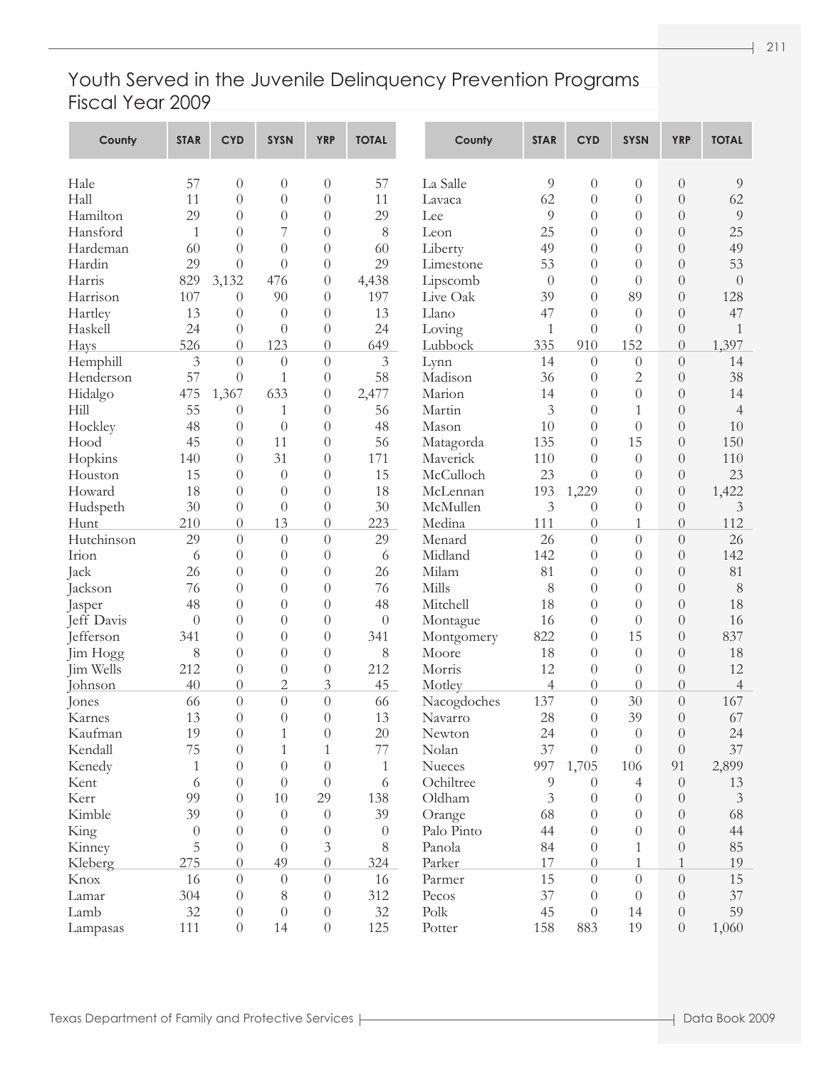#### Youth Served in the Juvenile Delinquency Prevention Programs Fiscal Year 2009

| County               | <b>STAR</b>  | <b>CYD</b>       | <b>SYSN</b>    | <b>YRP</b>       | <b>TOTAL</b> | County      | <b>STAR</b>    | <b>CYD</b>       | <b>SYSN</b>    | <b>YRP</b>       | <b>TOTAL</b>   |
|----------------------|--------------|------------------|----------------|------------------|--------------|-------------|----------------|------------------|----------------|------------------|----------------|
| Hale                 | 57           | $\theta$         | $\theta$       | $\theta$         | 57           | La Salle    | 9              | $\overline{0}$   | $\theta$       | $\theta$         | 9              |
| Hall                 | 11           | $\theta$         | $\overline{0}$ | $\theta$         | 11           | Lavaca      | 62             | $\theta$         | $\theta$       | $\theta$         | 62             |
| Hamilton             | 29           | $\theta$         | $\overline{0}$ | $\theta$         | 29           | Lee         | 9              | $\overline{0}$   | $\Omega$       | $\theta$         | 9              |
| Hansford             | 1            | $\theta$         | 7              | $\theta$         | 8            | Leon        | 25             | $\theta$         | $\Omega$       | $\Omega$         | 25             |
| Hardeman             | 60           | $\theta$         | $\left($       | $\theta$         | 60           | Liberty     | 49             | $\theta$         | $\Omega$       | $\Omega$         | 49             |
| Hardin               | 29           | $\theta$         | $\left($       | $\theta$         | 29           | Limestone   | 53             | $\theta$         | $\Omega$       | $\Omega$         | 53             |
| Harris               | 829          | 3,132            | 476            | $\theta$         | 4,438        | Lipscomb    | $\theta$       | $\theta$         | $\theta$       | $\theta$         | $\theta$       |
| Harrison             | 107          | $\theta$         | 90             | $\theta$         | 197          | Live Oak    | 39             | $\left( \right)$ | 89             | $\theta$         | 128            |
| Hartley              | 13           | $\theta$         | $\theta$       | $\overline{0}$   | 13           | Llano       | 47             | $\theta$         | $\theta$       | $\theta$         | 47             |
| Haskell              | 24           | $\theta$         | $\theta$       | $\theta$         | 24           | Loving      | 1              | $\overline{0}$   | $\theta$       | $\theta$         | 1              |
| Hays                 | 526          | $\overline{0}$   | 123            | $\theta$         | 649          | Lubbock     | 335            | 910              | 152            | $\overline{0}$   | 1,397          |
| Hemphill             | 3            | $\overline{0}$   | $\theta$       | $\theta$         | 3            | Lynn        | 14             | $\overline{0}$   | $\theta$       | $\theta$         | 14             |
| Henderson            | 57           | $\theta$         | 1              | $\overline{0}$   | 58           | Madison     | 36             | $\theta$         | 2              | $\theta$         | 38             |
| Hidalgo              | 475          | 1,367            | 633            | $\theta$         | 2,477        | Marion      | 14             | $\theta$         | $\theta$       | $\theta$         | 14             |
| Hill                 | 55           | $\theta$         | 1              | $\overline{0}$   | 56           | Martin      | 3              | $\overline{0}$   | 1              | $\theta$         | $\overline{4}$ |
| Hockley              | 48           | $\theta$         | $\theta$       | $\overline{0}$   | 48           | Mason       | 10             | $\theta$         | $\theta$       | $\Omega$         | 10             |
| Hood                 | 45           | $\theta$         | 11             | $\overline{0}$   | 56           | Matagorda   | 135            | $\left( \right)$ | 15             | $\Omega$         | 150            |
| Hopkins              | 140          | $\theta$         | 31             | $\overline{0}$   | 171          | Maverick    | 110            | $\theta$         | $\theta$       | $\theta$         | 110            |
| Houston              | 15           | $\theta$         | $\theta$       | $\overline{0}$   | 15           | McCulloch   | 23             | $\theta$         | $\Omega$       | $\theta$         | 23             |
| Howard               | 18           | $\theta$         | $\theta$       | $\overline{0}$   | 18           | McLennan    | 193            | 1,229            | $\theta$       | $\theta$         | 1,422          |
| Hudspeth             | 30           | $\theta$         | $\theta$       | $\theta$         | 30           | McMullen    | 3              | $\theta$         | $\theta$       | $\theta$         | 3              |
| Hunt                 | 210          | $\theta$         | 13             | $\theta$         | 223          | Medina      | 111            | $\overline{0}$   | 1              | $\theta$         | 112            |
| Hutchinson           | 29           | $\theta$         | $\theta$       | $\theta$         | 29           | Menard      | 26             | $\overline{0}$   | $\theta$       | $\theta$         | 26             |
| Irion                | 6            | $\theta$         | $\theta$       | $\overline{0}$   | 6            | Midland     | 142            | $\theta$         | $\theta$       | $\theta$         | 142            |
| Jack                 | 26           | $\overline{0}$   | $\theta$       | $\overline{0}$   | 26           | Milam       | 81             | $\theta$         | $\theta$       | $\theta$         | 81             |
|                      | 76           | $\overline{0}$   | $\theta$       | $\overline{0}$   | 76           | Mills       | 8              | $\theta$         | $\theta$       | $\theta$         | 8              |
| Jackson              | 48           | $\theta$         | $\theta$       | $\overline{0}$   | 48           | Mitchell    | 18             | $\theta$         | $\Omega$       | $\theta$         | 18             |
| Jasper<br>Jeff Davis | $\theta$     | $\overline{0}$   | $\theta$       | $\overline{0}$   | $\theta$     |             |                | $\overline{0}$   | $\theta$       | $\theta$         | 16             |
|                      | 341          | $\overline{0}$   |                |                  |              | Montague    | 16<br>822      | $\overline{0}$   | 15             | $\Omega$         | 837            |
| Jefferson            |              |                  | $\theta$       | $\theta$         | 341          | Montgomery  |                |                  |                |                  | 18             |
| Jim Hogg             | 8            | $\overline{0}$   | $\theta$       | $\theta$         | 8            | Moore       | 18             | $\theta$         | $\theta$       | $\theta$         |                |
| Jim Wells            | 212          | $\theta$         | $\theta$       | $\theta$         | 212          | Morris      | 12             | $\theta$         | $\theta$       | $\theta$         | 12             |
| Johnson              | 40           | $\theta$         | $\overline{2}$ | 3                | 45           | Motley      | $\overline{4}$ | $\overline{0}$   | $\theta$       | $\theta$         | $\overline{4}$ |
| Jones                | 66           | $\theta$         | $\theta$       | $\theta$         | 66           | Nacogdoches | 137            | $\overline{0}$   | 30             | $\theta$         | 167            |
| Karnes               | 13           | $\theta$         | $\overline{0}$ | $\theta$         | 13           | Navarro     | 28             | $\overline{0}$   | 39             | $\overline{0}$   | 67             |
| Kaufman              | 19           | $\overline{0}$   | 1              | $\theta$         | 20           | Newton      | 24             | $\theta$         | $\overline{0}$ | $\overline{0}$   | 24             |
| Kendall              | 75           | $\theta$         | 1              | $\mathbf{1}$     | 77           | Nolan       | 37             | $\theta$         | $\theta$       | $\boldsymbol{0}$ | 37             |
| Kenedy               | $\mathbf{1}$ | $\overline{0}$   | $\theta$       | $\theta$         | 1            | Nueces      | 997            | 1,705            | 106            | 91               | 2,899          |
| Kent                 | 6            | $\overline{0}$   | $\theta$       | $\theta$         | 6            | Ochiltree   | 9              | $\theta$         | $\overline{4}$ | $\theta$         | 13             |
| Kerr                 | 99           | $\Omega$         | 10             | 29               | 138          | Oldham      | 3              | $\theta$         | $\overline{0}$ | $\theta$         | $\mathfrak{Z}$ |
| Kimble               | 39           | $\theta$         | $\theta$       | $\theta$         | 39           | Orange      | 68             | $\theta$         | $\Omega$       | $\theta$         | 68             |
| King                 | $\theta$     | $\overline{0}$   | $\theta$       | $\boldsymbol{0}$ | $\theta$     | Palo Pinto  | 44             | $\theta$         | $\theta$       | $\theta$         | 44             |
| Kinney               | 5            | $\overline{0}$   | $\theta$       | 3                | 8            | Panola      | 84             | $\theta$         | 1              | $\theta$         | 85             |
| Kleberg              | 275          | $\overline{0}$   | 49             | $\boldsymbol{0}$ | 324          | Parker      | 17             | $\theta$         | 1              | 1                | 19             |
| Knox                 | 16           | $\overline{0}$   | $\theta$       | $\theta$         | 16           | Parmer      | 15             | $\theta$         | $\theta$       | $\overline{0}$   | 15             |
| Lamar                | 304          | $\overline{0}$   | 8              | $\theta$         | 312          | Pecos       | 37             | $\theta$         | $\theta$       | $\theta$         | 37             |
| Lamb                 | 32           | $\theta$         | $\theta$       | $\theta$         | 32           | Polk        | 45             | $\theta$         | 14             | $\theta$         | 59             |
| Lampasas             | 111          | $\boldsymbol{0}$ | 14             | $\boldsymbol{0}$ | 125          | Potter      | 158            | 883              | 19             | $\boldsymbol{0}$ | 1,060          |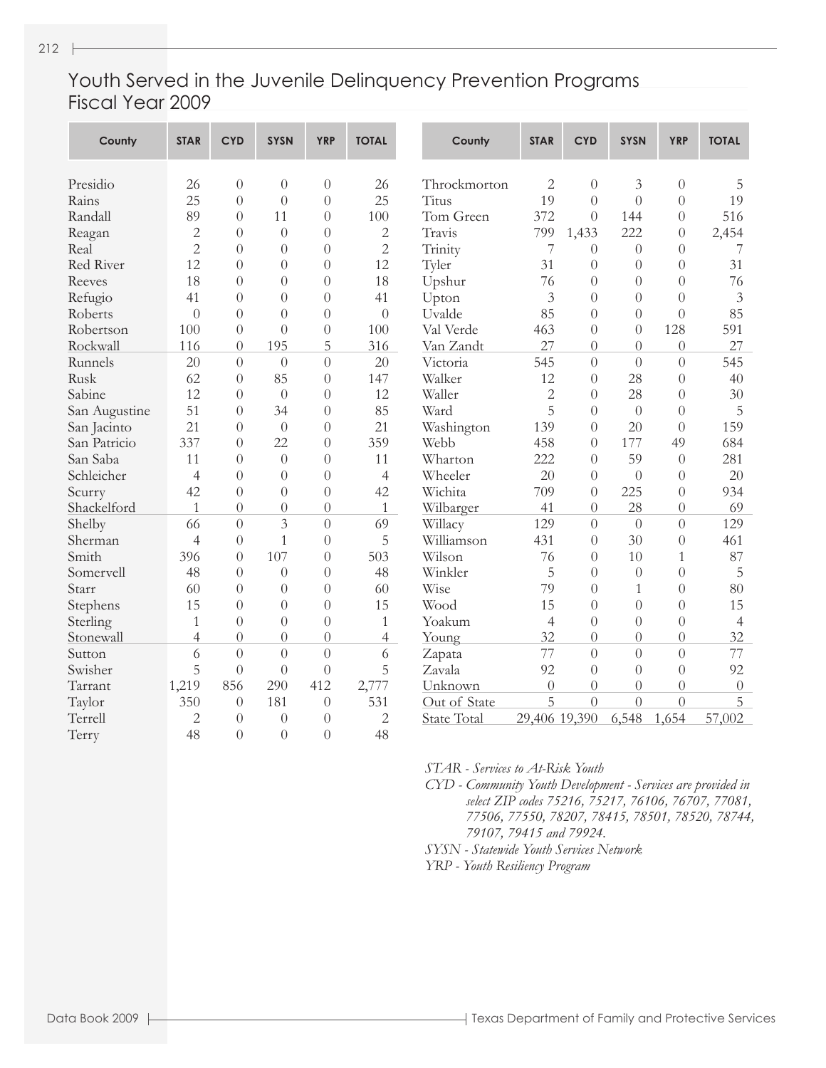#### Youth Served in the Juvenile Delinquency Prevention Programs Fiscal Year 2009

| County        | <b>STAR</b>    | <b>CYD</b>       | <b>SYSN</b>    | <b>YRP</b>       | <b>TOTAL</b>   | County             | <b>STAR</b>    | <b>CYD</b>       | <b>SYSN</b>      | <b>YRP</b>     | <b>TOTAL</b>   |
|---------------|----------------|------------------|----------------|------------------|----------------|--------------------|----------------|------------------|------------------|----------------|----------------|
| Presidio      | 26             | $\theta$         | $\theta$       | $\theta$         | 26             | Throckmorton       | 2              | $\theta$         | 3                | $\overline{0}$ | 5              |
| Rains         | 25             | $\overline{0}$   | $\overline{0}$ | $\overline{0}$   | 25             | Titus              | 19             | $\theta$         | $\theta$         | $\theta$       | 19             |
| Randall       | 89             | $\theta$         | 11             | $\theta$         | 100            | Tom Green          | 372            | $\Omega$         | 144              | $\theta$       | 516            |
| Reagan        | $\overline{c}$ | $\theta$         | $\overline{0}$ | $\overline{0}$   | $\overline{c}$ | Travis             | 799            | 1,433            | 222              | $\overline{0}$ | 2,454          |
| Real          | $\overline{2}$ | $\Omega$         | $\theta$       | $\theta$         | $\overline{2}$ | Trinity            | 7              | $\Omega$         | $\theta$         | $\Omega$       | 7              |
| Red River     | 12             | $\left( \right)$ | $\Omega$       | $\theta$         | 12             | Tyler              | 31             | $\Omega$         | $\left( \right)$ | $\Omega$       | 31             |
| Reeves        | 18             | $\theta$         | $\theta$       | $\overline{0}$   | 18             | Upshur             | 76             | $\theta$         | $\theta$         | $\Omega$       | 76             |
| Refugio       | 41             | $\overline{0}$   | $\overline{0}$ | $\overline{0}$   | 41             | Upton              | 3              | $\theta$         | $\theta$         | $\theta$       | $\mathfrak{Z}$ |
| Roberts       | $\overline{0}$ | $\theta$         | $\Omega$       | $\overline{0}$   | $\theta$       | Uvalde             | 85             | $\theta$         | $\theta$         | $\theta$       | 85             |
| Robertson     | 100            | $\theta$         | $\theta$       | $\overline{0}$   | 100            | Val Verde          | 463            | $\overline{0}$   | $\theta$         | 128            | 591            |
| Rockwall      | 116            | $\theta$         | 195            | 5                | 316            | Van Zandt          | 27             | $\theta$         | $\theta$         | $\overline{0}$ | 27             |
| Runnels       | 20             | $\overline{0}$   | $\theta$       | $\overline{0}$   | 20             | Victoria           | 545            | $\theta$         | $\overline{0}$   | $\overline{0}$ | 545            |
| Rusk          | 62             | $\theta$         | 85             | $\theta$         | 147            | Walker             | 12             | $\theta$         | 28               | $\theta$       | 40             |
| Sabine        | 12             | $\theta$         | $\theta$       | $\theta$         | 12             | Waller             | $\overline{2}$ | $\overline{0}$   | 28               | $\theta$       | 30             |
| San Augustine | 51             | $\theta$         | 34             | $\overline{0}$   | 85             | Ward               | 5              | $\theta$         | $\overline{0}$   | $\overline{0}$ | 5              |
| San Jacinto   | 21             | $\bigcap$        | $\theta$       | $\theta$         | 21             | Washington         | 139            | $\theta$         | 20               | $\Omega$       | 159            |
| San Patricio  | 337            | $\Omega$         | 22             | $\Omega$         | 359            | Webb               | 458            | $\Omega$         | 177              | 49             | 684            |
| San Saba      | 11             | $\theta$         | $\theta$       | $\overline{0}$   | 11             | Wharton            | 222            | $\theta$         | 59               | $\overline{0}$ | 281            |
| Schleicher    | 4              | $\theta$         | $\theta$       | $\overline{0}$   | $\overline{4}$ | Wheeler            | 20             | $\theta$         | $\overline{0}$   | $\theta$       | 20             |
| Scurry        | 42             | $\bigcap$        | $\theta$       | $\theta$         | 42             | Wichita            | 709            | $\left( \right)$ | 225              | $\theta$       | 934            |
| Shackelford   | $\mathbf{1}$   | $\theta$         | $\overline{0}$ | $\theta$         | $\mathbf{1}$   | Wilbarger          | 41             | $\overline{0}$   | 28               | $\theta$       | 69             |
| Shelby        | 66             | $\overline{0}$   | $\overline{3}$ | $\overline{0}$   | 69             | Willacy            | 129            | $\theta$         | $\overline{0}$   | $\overline{0}$ | 129            |
| Sherman       | $\overline{4}$ | $\overline{0}$   | $\mathbf{1}$   | $\overline{0}$   | 5              | Williamson         | 431            | $\theta$         | 30               | $\overline{0}$ | 461            |
| Smith         | 396            | $\theta$         | 107            | $\Omega$         | 503            | Wilson             | 76             | $\Omega$         | 10               | $\mathbf{1}$   | 87             |
| Somervell     | 48             | $\theta$         | $\theta$       | $\Omega$         | 48             | Winkler            | 5              | $\Omega$         | $\theta$         | $\theta$       | 5              |
| Starr         | 60             | $\theta$         | $\overline{0}$ | $\overline{0}$   | 60             | Wise               | 79             | $\overline{0}$   | $\mathbf{1}$     | $\theta$       | 80             |
| Stephens      | 15             | $\overline{0}$   | $\overline{0}$ | $\theta$         | 15             | Wood               | 15             | $\overline{0}$   | $\overline{0}$   | $\bigcap$      | 15             |
| Sterling      | $\mathbf{1}$   | $\theta$         | $\theta$       | $\theta$         | 1              | Yoakum             | 4              | $\left( \right)$ | $\overline{0}$   | $\theta$       | $\overline{4}$ |
| Stonewall     | $\overline{4}$ | $\theta$         | $\overline{0}$ | $\overline{0}$   | $\overline{4}$ | Young              | 32             | $\theta$         | $\theta$         | $\theta$       | 32             |
| Sutton        | 6              | $\overline{0}$   | $\overline{0}$ | $\overline{0}$   | 6              | Zapata             | 77             | $\theta$         | $\theta$         | $\overline{0}$ | 77             |
| Swisher       | 5              | $\overline{0}$   | $\theta$       | $\overline{0}$   | 5              | Zavala             | 92             | $\theta$         | $\theta$         | $\theta$       | 92             |
| Tarrant       | 1,219          | 856              | 290            | 412              | 2,777          | Unknown            | $\theta$       | $\theta$         | $\overline{0}$   | $\theta$       | $\theta$       |
| Taylor        | 350            | $\theta$         | 181            | $\boldsymbol{0}$ | 531            | Out of State       | 5              | $\overline{0}$   | $\overline{0}$   | $\overline{0}$ | 5              |
| Terrell       | $\overline{2}$ | $\overline{0}$   | $\theta$       | $\overline{0}$   | $\overline{c}$ | <b>State Total</b> | 29,406 19,390  |                  | 6,548            | 1,654          | 57,002         |
| Terry         | 48             | $\bigcap$        | $\theta$       | $\bigcap$        | 48             |                    |                |                  |                  |                |                |

*STAR - Services to At-Risk Youth*

*CYD - Community Youth Development - Services are provided in select ZIP codes 75216, 75217, 76106, 76707, 77081, 77506, 77550, 78207, 78415, 78501, 78520, 78744, 79107, 79415 and 79924.*

*SYSN - Statewide Youth Services Network*

*YRP - Youth Resiliency Program*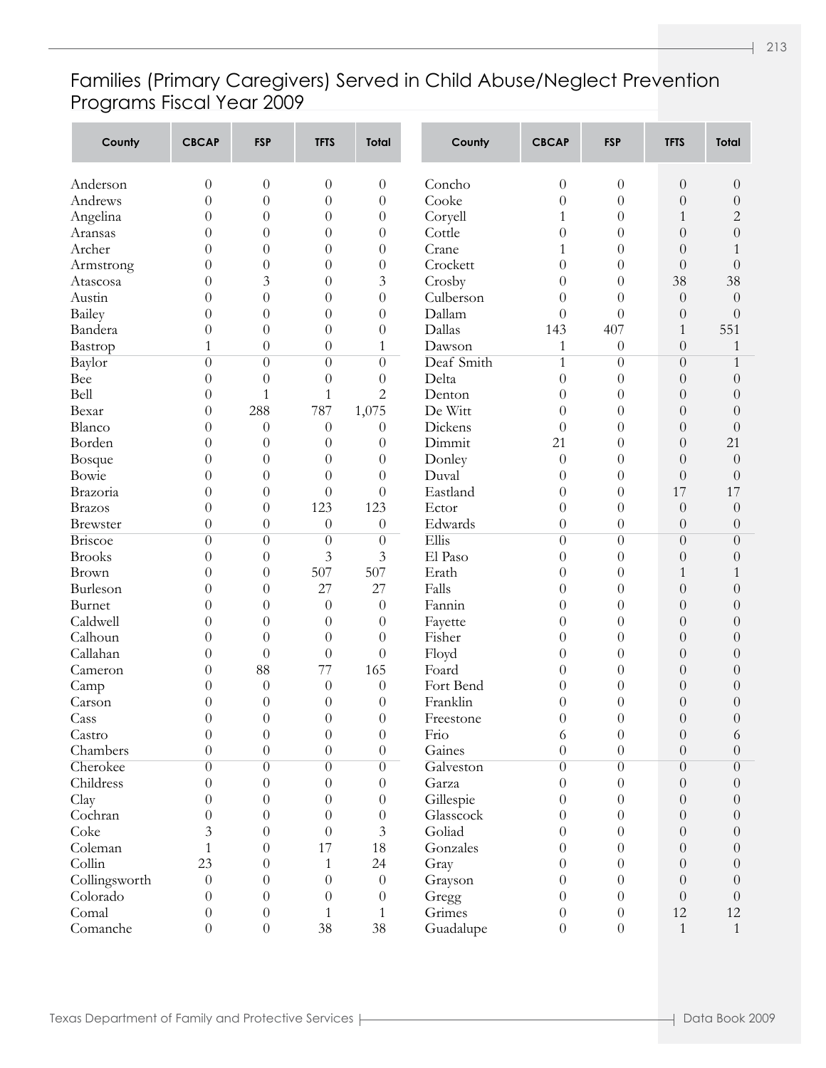#### Families (Primary Caregivers) Served in Child Abuse/Neglect Prevention Programs Fiscal Year 2009

| County         | <b>CBCAP</b>     | <b>FSP</b>           | <b>TFTS</b>            | <b>Total</b>                         | County             | <b>CBCAP</b>                       | <b>FSP</b>           | <b>TFTS</b>          | <b>Total</b>         |
|----------------|------------------|----------------------|------------------------|--------------------------------------|--------------------|------------------------------------|----------------------|----------------------|----------------------|
| Anderson       | 0                | $\boldsymbol{0}$     | $\theta$               | $\theta$                             | Concho             | $\boldsymbol{0}$                   | $\theta$             | $\theta$             | $\theta$             |
| Andrews        | 0                | $\overline{0}$       | $\theta$               | $\theta$                             | Cooke              | $\boldsymbol{0}$                   | $\theta$             | $\theta$             | $\boldsymbol{0}$     |
| Angelina       | 0                | $\boldsymbol{0}$     | $\theta$               | $\theta$                             | Coryell            | 1                                  | $\theta$             | 1                    | $\overline{c}$       |
| Aransas        | 0                | $\boldsymbol{0}$     | $\theta$               | $\boldsymbol{0}$                     | Cottle             | $\boldsymbol{0}$                   | $\theta$             | $\theta$             | $\theta$             |
| Archer         | 0                | $\boldsymbol{0}$     | $\theta$               | $\boldsymbol{0}$                     | Crane              | 1                                  | $\theta$             | $\theta$             | 1                    |
| Armstrong      | 0                | $\overline{0}$       | $\theta$               | $\boldsymbol{0}$                     | Crockett           | $\overline{0}$                     | $\theta$             | $\theta$             | $\theta$             |
| Atascosa       | 0                | 3                    | $\theta$               | 3                                    | Crosby             | $\boldsymbol{0}$                   | $\theta$             | 38                   | 38                   |
| Austin         | 0                | $\overline{0}$       | $\theta$               | $\boldsymbol{0}$                     | Culberson          | $\boldsymbol{0}$                   | $\theta$             | $\theta$             | $\theta$             |
| Bailey         | 0                | $\overline{0}$       | $\theta$               | $\boldsymbol{0}$                     | Dallam             | $\theta$                           | $\overline{0}$       | $\theta$             | $\theta$             |
| Bandera        | 0                | $\overline{0}$       | $\theta$               | $\boldsymbol{0}$                     | Dallas             | 143                                | 407                  | 1                    | 551                  |
| Bastrop        | 1                | $\boldsymbol{0}$     | $\boldsymbol{0}$       | 1                                    | Dawson             | 1                                  | $\theta$             | $\theta$             | 1                    |
| Baylor         | $\theta$         | $\overline{0}$       | $\theta$               | $\theta$                             | Deaf Smith         | $\mathbf{1}$                       | $\theta$             | $\theta$             | $\mathbf{1}$         |
| Bee            | 0                | $\boldsymbol{0}$     | $\theta$               | $\theta$                             | Delta              | $\boldsymbol{0}$                   | $\theta$             | $\theta$             | $\theta$             |
| Bell           | 0                | $\mathbf{1}$         | $\mathbf{1}$           | $\overline{c}$                       | Denton             | $\boldsymbol{0}$                   | $\theta$             | $\theta$             | $\theta$             |
| Bexar          | 0                | 288                  | 787                    | 1,075                                | De Witt            | $\theta$                           | $\theta$             | $\theta$             | $\theta$             |
| Blanco         | 0                | $\theta$             | $\theta$               | $\theta$                             | Dickens            | $\theta$                           | $\theta$             | $\theta$             | $\theta$             |
| Borden         | 0                | $\overline{0}$       | $\theta$               | $\theta$                             | Dimmit             | 21                                 | $\theta$             | $\theta$             | 21                   |
| Bosque         | 0                | $\boldsymbol{0}$     | $\theta$               | $\theta$                             | Donley             | $\theta$                           | $\theta$             | $\theta$             | $\theta$             |
| Bowie          | 0                | $\overline{0}$       | $\theta$               | $\theta$                             | Duval              | $\theta$                           | $\theta$             | $\theta$             | $\theta$             |
| Brazoria       | 0                | $\overline{0}$       | $\theta$               | $\theta$                             | Eastland           | $\boldsymbol{0}$                   | $\theta$             | 17                   | 17                   |
| <b>Brazos</b>  | 0                | $\overline{0}$       | 123                    | 123                                  | Ector              | $\boldsymbol{0}$                   | $\theta$             | $\theta$             | $\theta$             |
| Brewster       | 0                | $\boldsymbol{0}$     | $\theta$               | $\theta$                             | Edwards            | $\boldsymbol{0}$                   | $\theta$             | $\theta$             | $\theta$             |
| <b>Briscoe</b> | $\theta$         | $\boldsymbol{0}$     | $\theta$               | $\theta$                             | Ellis              | $\boldsymbol{0}$                   | $\overline{0}$       | $\theta$             | $\theta$             |
| <b>Brooks</b>  | 0                | $\boldsymbol{0}$     | 3                      | $\mathfrak{Z}$                       | El Paso            | $\boldsymbol{0}$                   | $\theta$             | $\theta$             | $\theta$             |
| Brown          | 0                | $\overline{0}$       | 507                    | 507                                  | Erath              | $\boldsymbol{0}$                   | $\theta$             | 1                    | 1                    |
| Burleson       | 0                | $\boldsymbol{0}$     | 27                     | 27                                   | Falls              | $\boldsymbol{0}$                   | $\theta$             | $\theta$             | $\theta$             |
| Burnet         | 0                | $\boldsymbol{0}$     | $\theta$               | $\theta$                             | Fannin             | $\boldsymbol{0}$                   | $\theta$             | $\theta$             | $\theta$             |
| Caldwell       | 0                | $\overline{0}$       | $\theta$               | $\theta$                             | Fayette            | $\boldsymbol{0}$                   | $\theta$             | $\theta$             | $\theta$             |
| Calhoun        | 0                | $\overline{0}$       | $\theta$               | $\theta$                             | Fisher             | $\boldsymbol{0}$                   | $\theta$             | $\theta$             | $\theta$             |
| Callahan       | 0                | $\theta$             | $\boldsymbol{0}$<br>77 | $\theta$                             | Floyd              | $\boldsymbol{0}$                   | $\theta$             | $\theta$             | $\theta$             |
| Cameron        | 0                | 88                   |                        | 165                                  | Foard<br>Fort Bend | $\boldsymbol{0}$                   | $\theta$             | $\theta$             | $\theta$             |
| Camp<br>Carson | 0<br>0           | $\theta$<br>$\theta$ | $\theta$               | $\theta$                             | Franklin           | $\boldsymbol{0}$                   | $\theta$<br>$\theta$ | $\theta$             | $\theta$             |
| Cass           | 0                | $\overline{0}$       | $\theta$<br>$\theta$   | $\boldsymbol{0}$<br>$\boldsymbol{0}$ | Freestone          | $\boldsymbol{0}$<br>$\overline{0}$ | $\overline{0}$       | $\theta$<br>$\theta$ | $\theta$<br>$\theta$ |
| Castro         | 0                | 0                    | $\theta$               | $\boldsymbol{0}$                     | Frio               | 6                                  | $\theta$             | $\theta$             | 6                    |
| Chambers       | $\overline{0}$   | $\overline{0}$       | $\boldsymbol{0}$       | $\boldsymbol{0}$                     | Gaines             | $\overline{0}$                     | $\theta$             | $\theta$             | $\boldsymbol{0}$     |
| Cherokee       | $\overline{0}$   | $\overline{0}$       | $\overline{0}$         | $\theta$                             | Galveston          | $\overline{0}$                     | $\overline{0}$       | $\theta$             | $\boldsymbol{0}$     |
| Childress      | 0                | $\boldsymbol{0}$     | $\boldsymbol{0}$       | $\theta$                             | Garza              | $\boldsymbol{0}$                   | $\theta$             | $\theta$             | $\boldsymbol{0}$     |
| Clay           | 0                | $\boldsymbol{0}$     | $\theta$               | $\theta$                             | Gillespie          | $\boldsymbol{0}$                   | $\theta$             | $\theta$             | $\boldsymbol{0}$     |
| Cochran        | 0                | $\boldsymbol{0}$     | $\theta$               | $\theta$                             | Glasscock          | $\boldsymbol{0}$                   | $\theta$             | $\theta$             | $\boldsymbol{0}$     |
| Coke           | 3                | $\boldsymbol{0}$     | $\overline{0}$         | 3                                    | Goliad             | $\theta$                           | $\theta$             | $\theta$             | $\boldsymbol{0}$     |
| Coleman        | 1                | $\theta$             | 17                     | 18                                   | Gonzales           | $\theta$                           | $\theta$             | $\theta$             | $\boldsymbol{0}$     |
| Collin         | 23               | $\theta$             | $\mathbf{1}$           | 24                                   | Gray               | $\theta$                           | $\theta$             | $\theta$             | $\boldsymbol{0}$     |
| Collingsworth  | $\overline{0}$   | $\boldsymbol{0}$     | $\theta$               | $\theta$                             | Grayson            | $\boldsymbol{0}$                   | $\theta$             | $\theta$             | $\boldsymbol{0}$     |
| Colorado       | $\theta$         | $\boldsymbol{0}$     | $\theta$               | $\theta$                             | Gregg              | $\boldsymbol{0}$                   | $\theta$             | $\theta$             | $\boldsymbol{0}$     |
| Comal          | $\theta$         | $\boldsymbol{0}$     | $\mathbf{1}$           | 1                                    | Grimes             | $\boldsymbol{0}$                   | $\theta$             | 12                   | 12                   |
| Comanche       | $\boldsymbol{0}$ | $\boldsymbol{0}$     | 38                     | 38                                   | Guadalupe          | $\boldsymbol{0}$                   | $\theta$             | $\mathbf{1}$         | $\mathbf{1}$         |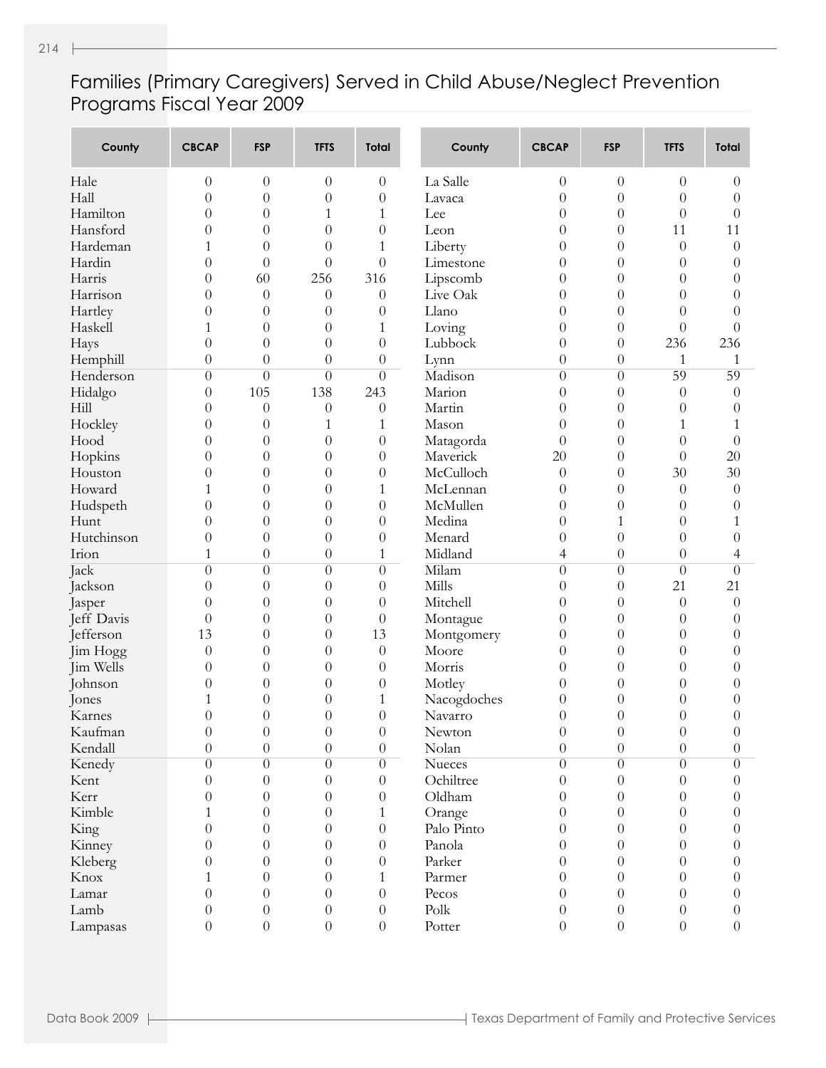#### Families (Primary Caregivers) Served in Child Abuse/Neglect Prevention Programs Fiscal Year 2009

| County               | <b>CBCAP</b>     | <b>FSP</b>       | <b>TFTS</b>      | <b>Total</b>     | County        | <b>CBCAP</b>               | <b>FSP</b>       | <b>TFTS</b>      | <b>Total</b>     |
|----------------------|------------------|------------------|------------------|------------------|---------------|----------------------------|------------------|------------------|------------------|
| Hale                 | $\theta$         | $\theta$         | $\overline{0}$   | $\theta$         | La Salle      | $\boldsymbol{0}$           | $\theta$         | $\theta$         | $\theta$         |
| Hall                 | $\overline{0}$   | $\overline{0}$   | $\overline{0}$   | $\overline{0}$   | Lavaca        | $\overline{0}$             | $\theta$         | $\theta$         | $\theta$         |
| Hamilton             | $\overline{0}$   | $\overline{0}$   | 1                | $\mathbf{1}$     | Lee           | $\overline{0}$             | $\overline{0}$   | $\overline{0}$   | $\theta$         |
| Hansford             | $\overline{0}$   | $\overline{0}$   | $\overline{0}$   | $\boldsymbol{0}$ | Leon          | $\overline{0}$             | $\overline{0}$   | 11               | 11               |
| Hardeman             | 1                | $\overline{0}$   | $\overline{0}$   | $\mathbf{1}$     | Liberty       | $\overline{0}$             | $\overline{0}$   | $\theta$         | $\theta$         |
| Hardin               | $\theta$         | $\overline{0}$   | $\theta$         | $\overline{0}$   | Limestone     | $\overline{0}$             | $\overline{0}$   | $\theta$         | $\theta$         |
| Harris               | $\theta$         | 60               | 256              | 316              | Lipscomb      | $\overline{0}$             | $\overline{0}$   | $\theta$         | $\theta$         |
| Harrison             | $\theta$         | $\boldsymbol{0}$ | $\theta$         | $\boldsymbol{0}$ | Live Oak      | $\overline{0}$             | $\overline{0}$   | $\theta$         | $\overline{0}$   |
| Hartley              | 0                | $\theta$         | $\overline{0}$   | $\boldsymbol{0}$ | Llano         | $\overline{0}$             | $\overline{0}$   | $\theta$         | $\theta$         |
| Haskell              | 1                | $\overline{0}$   | $\theta$         | $\mathbf{1}$     | Loving        | $\overline{0}$             | $\overline{0}$   | $\overline{0}$   | $\overline{0}$   |
| Hays                 | $\overline{0}$   | $\overline{0}$   | $\boldsymbol{0}$ | $\boldsymbol{0}$ | Lubbock       | $\overline{0}$             | $\theta$         | 236              | 236              |
| Hemphill             | $\boldsymbol{0}$ | $\overline{0}$   | $\boldsymbol{0}$ | $\boldsymbol{0}$ | Lynn          | $\boldsymbol{0}$           | $\theta$         | 1                | $\mathbf{1}$     |
| Henderson            | $\theta$         | $\overline{0}$   | $\theta$         | $\overline{0}$   | Madison       | $\overline{0}$             | $\overline{0}$   | 59               | 59               |
| Hidalgo              | $\overline{0}$   | 105              | 138              | 243              | Marion        | $\overline{0}$             | $\overline{0}$   | $\overline{0}$   | $\theta$         |
| Hill                 | 0                | $\boldsymbol{0}$ | $\boldsymbol{0}$ | $\boldsymbol{0}$ | Martin        | $\overline{0}$             | $\overline{0}$   | $\theta$         | $\theta$         |
| Hockley              | 0                | $\boldsymbol{0}$ | 1                | 1                | Mason         | $\overline{0}$             | $\overline{0}$   | $\mathbf{1}$     | 1                |
| Hood                 | 0                | $\overline{0}$   | $\theta$         | $\boldsymbol{0}$ | Matagorda     | $\overline{0}$             | $\overline{0}$   | $\overline{0}$   | $\overline{0}$   |
| Hopkins              | 0                | $\overline{0}$   | $\theta$         | $\boldsymbol{0}$ | Maverick      | 20                         | $\overline{0}$   | $\theta$         | 20               |
| Houston              | 0                | $\overline{0}$   | $\overline{0}$   | $\boldsymbol{0}$ | McCulloch     | $\theta$                   | $\overline{0}$   | 30               | 30               |
| Howard               |                  | $\overline{0}$   | $\overline{0}$   | $\mathbf{1}$     | McLennan      | $\overline{0}$             | $\overline{0}$   | $\theta$         | $\theta$         |
| Hudspeth             | 0                | $\overline{0}$   | $\overline{0}$   | $\boldsymbol{0}$ | McMullen      | $\overline{0}$             | $\overline{0}$   | $\theta$         | $\theta$         |
| Hunt                 | $\theta$         | $\overline{0}$   | $\overline{0}$   | $\boldsymbol{0}$ | Medina        | $\overline{0}$             | $\mathbf{1}$     | $\theta$         | 1                |
| Hutchinson           | $\overline{0}$   | $\overline{0}$   | $\theta$         | $\boldsymbol{0}$ | Menard        | $\overline{0}$             | $\overline{0}$   | $\theta$         | $\theta$         |
| Irion                | 1                | $\overline{0}$   | $\theta$         | $\mathbf{1}$     | Midland       | $\overline{4}$             | $\theta$         | $\overline{0}$   | 4                |
| Jack                 | $\theta$         | $\overline{0}$   | $\theta$         | $\overline{0}$   | Milam         | $\overline{0}$             | $\theta$         | $\overline{0}$   | $\overline{0}$   |
| Jackson              | $\overline{0}$   | $\overline{0}$   | $\theta$         | $\boldsymbol{0}$ | Mills         | $\overline{0}$             | $\theta$         | 21               | 21               |
|                      | $\overline{0}$   | $\overline{0}$   | $\overline{0}$   | $\theta$         | Mitchell      | $\overline{0}$             | $\overline{0}$   | $\theta$         | $\theta$         |
| Jasper<br>Jeff Davis | $\theta$         | $\overline{0}$   | $\theta$         | $\theta$         | Montague      | $\overline{0}$             | $\overline{0}$   | $\theta$         | $\theta$         |
| Jefferson            | 13               | $\overline{0}$   | $\theta$         | 13               | Montgomery    | $\overline{0}$             | $\overline{0}$   | $\theta$         | $\theta$         |
| Jim Hogg             | $\theta$         | $\overline{0}$   | $\theta$         | $\theta$         | Moore         | $\overline{0}$             | $\overline{0}$   | $\theta$         | $\theta$         |
| Jim Wells            | $\overline{0}$   |                  | $\overline{0}$   |                  | Morris        | $\overline{0}$             | $\overline{0}$   | $\theta$         |                  |
|                      |                  | $\boldsymbol{0}$ |                  | $\boldsymbol{0}$ |               |                            |                  |                  | $\theta$         |
| Johnson              | 0                | $\boldsymbol{0}$ | $\overline{0}$   | $\boldsymbol{0}$ | Motley        | $\overline{0}$             | $\overline{0}$   | $\theta$         | $\theta$         |
| Jones                |                  | $\theta$         | $\overline{0}$   | 1                | Nacogdoches   | $\overline{0}$             | $\theta$         | $\theta$         | $\theta$         |
| Karnes               | $\boldsymbol{0}$ | $\overline{0}$   | $\boldsymbol{0}$ | $\boldsymbol{0}$ | Navarro       | $\overline{0}$<br>$\Omega$ | $\theta$         | $\boldsymbol{0}$ | $\overline{0}$   |
| Kaufman              | $\boldsymbol{0}$ | $\boldsymbol{0}$ | $\boldsymbol{0}$ | $\boldsymbol{0}$ | Newton        |                            | $\boldsymbol{0}$ | $\boldsymbol{0}$ | $\theta$         |
| Kendall              | $\boldsymbol{0}$ | $\boldsymbol{0}$ | $\boldsymbol{0}$ | $\boldsymbol{0}$ | Nolan         | $\boldsymbol{0}$           | $\theta$         | $\boldsymbol{0}$ | $\theta$         |
| Kenedy               | $\theta$         | $\overline{0}$   | $\overline{0}$   | $\overline{0}$   | <b>Nueces</b> | $\overline{0}$             | $\overline{0}$   | $\theta$         | $\overline{0}$   |
| Kent                 | $\theta$         | $\overline{0}$   | $\overline{0}$   | $\theta$         | Ochiltree     | $\boldsymbol{0}$           | $\overline{0}$   | $\theta$         | $\overline{0}$   |
| Kerr                 | 0                | $\boldsymbol{0}$ | $\overline{0}$   | $\theta$         | Oldham        | $\theta$                   | $\theta$         | $\theta$         | $\overline{0}$   |
| Kimble               | 1                | $\boldsymbol{0}$ | $\overline{0}$   | 1                | Orange        | $\theta$                   | $\theta$         | $\theta$         | $\overline{0}$   |
| King                 | $\overline{0}$   | $\boldsymbol{0}$ | $\overline{0}$   | $\boldsymbol{0}$ | Palo Pinto    | $\theta$                   | $\theta$         | $\theta$         | $\overline{0}$   |
| Kinney               | $\theta$         | $\boldsymbol{0}$ | $\overline{0}$   | $\overline{0}$   | Panola        | $\theta$                   | $\theta$         | $\theta$         | $\overline{0}$   |
| Kleberg              | $\theta$         | $\boldsymbol{0}$ | $\overline{0}$   | $\theta$         | Parker        | $\theta$                   | $\theta$         | $\theta$         | $\overline{0}$   |
| Knox                 | 1                | $\boldsymbol{0}$ | $\overline{0}$   | 1                | Parmer        | $\theta$                   | $\theta$         | $\theta$         | $\overline{0}$   |
| Lamar                | $\overline{0}$   | $\boldsymbol{0}$ | $\overline{0}$   | $\theta$         | Pecos         | $\boldsymbol{0}$           | $\theta$         | $\theta$         | $\boldsymbol{0}$ |
| Lamb                 | $\theta$         | $\boldsymbol{0}$ | $\boldsymbol{0}$ | $\boldsymbol{0}$ | Polk          | $\boldsymbol{0}$           | $\theta$         | $\theta$         | $\boldsymbol{0}$ |
| Lampasas             | $\overline{0}$   | $\boldsymbol{0}$ | $\boldsymbol{0}$ | $\boldsymbol{0}$ | Potter        | $\boldsymbol{0}$           | $\theta$         | $\boldsymbol{0}$ | $\boldsymbol{0}$ |